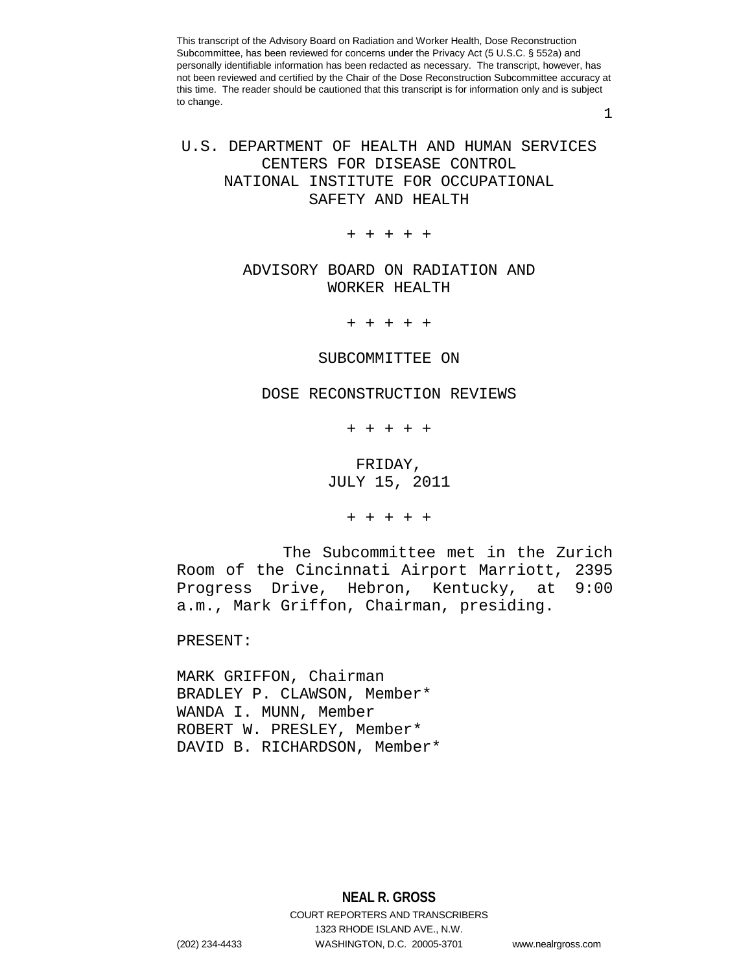1

# U.S. DEPARTMENT OF HEALTH AND HUMAN SERVICES CENTERS FOR DISEASE CONTROL NATIONAL INSTITUTE FOR OCCUPATIONAL SAFETY AND HEALTH

+ + + + +

## ADVISORY BOARD ON RADIATION AND WORKER HEALTH

+ + + + +

#### SUBCOMMITTEE ON

### DOSE RECONSTRUCTION REVIEWS

+ + + + +

## FRIDAY, JULY 15, 2011

+ + + + +

The Subcommittee met in the Zurich Room of the Cincinnati Airport Marriott, 2395<br>Progress Drive, Hebron, Kentucky, at 9:00 Progress Drive, Hebron, Kentucky, at a.m., Mark Griffon, Chairman, presiding.

PRESENT:

MARK GRIFFON, Chairman BRADLEY P. CLAWSON, Member\* WANDA I. MUNN, Member ROBERT W. PRESLEY, Member\* DAVID B. RICHARDSON, Member\*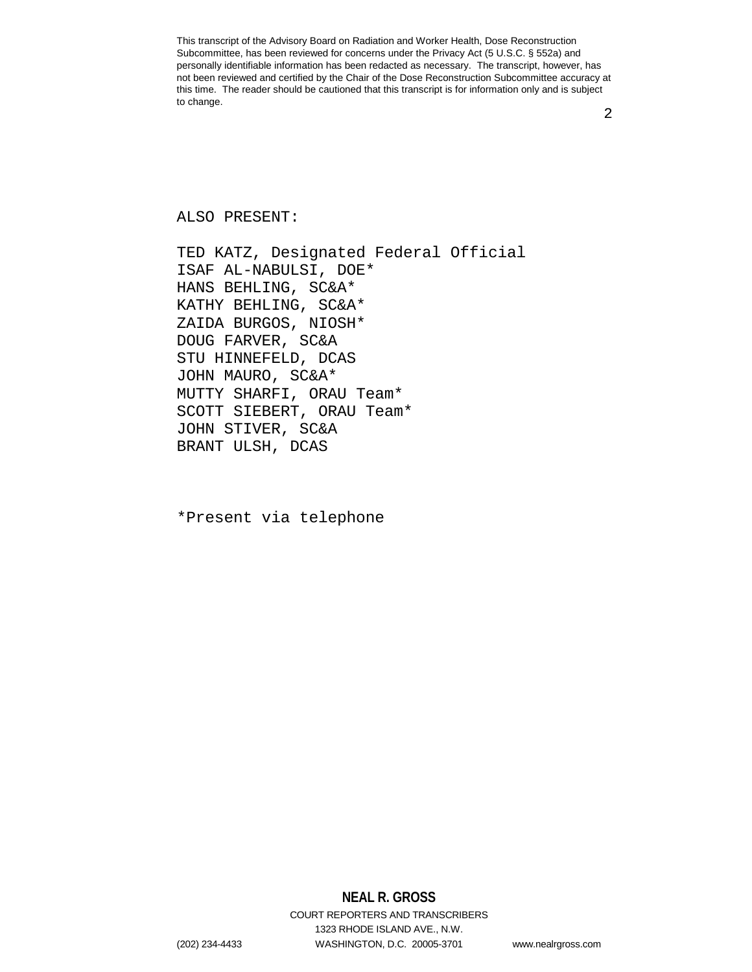2

#### ALSO PRESENT:

TED KATZ, Designated Federal Official ISAF AL-NABULSI, DOE\* HANS BEHLING, SC&A\* KATHY BEHLING, SC&A\* ZAIDA BURGOS, NIOSH\* DOUG FARVER, SC&A STU HINNEFELD, DCAS JOHN MAURO, SC&A\* MUTTY SHARFI, ORAU Team\* SCOTT SIEBERT, ORAU Team\* JOHN STIVER, SC&A BRANT ULSH, DCAS

\*Present via telephone

**NEAL R. GROSS** COURT REPORTERS AND TRANSCRIBERS 1323 RHODE ISLAND AVE., N.W. (202) 234-4433 WASHINGTON, D.C. 20005-3701 www.nealrgross.com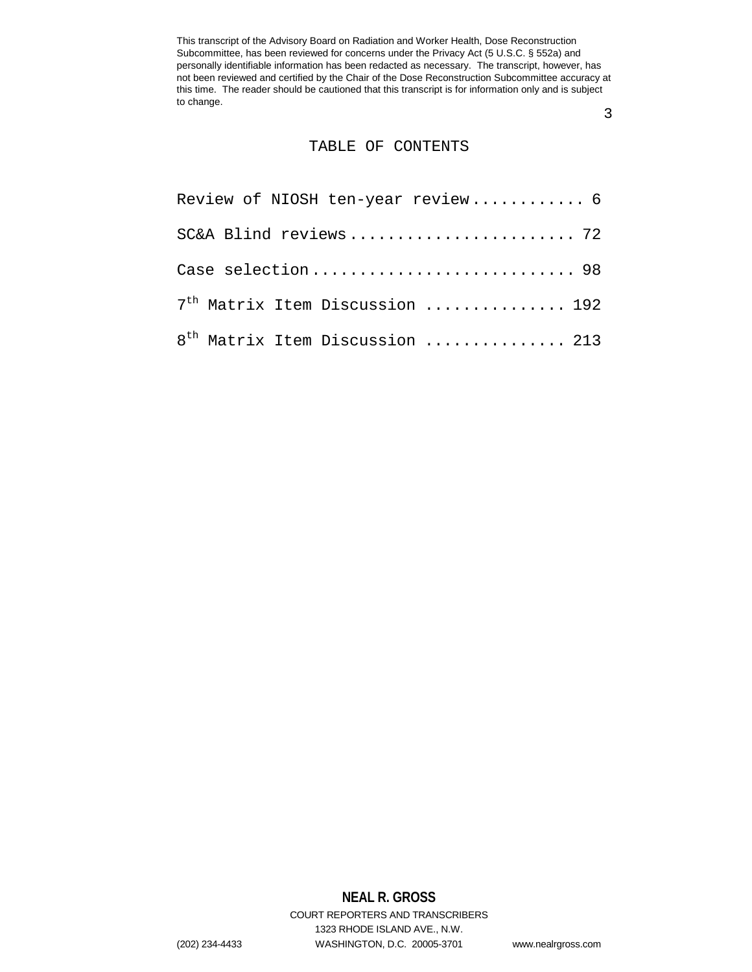3

### TABLE OF CONTENTS

| Review of NIOSH ten-year review 6           |
|---------------------------------------------|
|                                             |
| Case selection 98                           |
| 7 <sup>th</sup> Matrix Item Discussion  192 |
| 8 <sup>th</sup> Matrix Item Discussion  213 |

# **NEAL R. GROSS**

COURT REPORTERS AND TRANSCRIBERS 1323 RHODE ISLAND AVE., N.W. (202) 234-4433 WASHINGTON, D.C. 20005-3701 www.nealrgross.com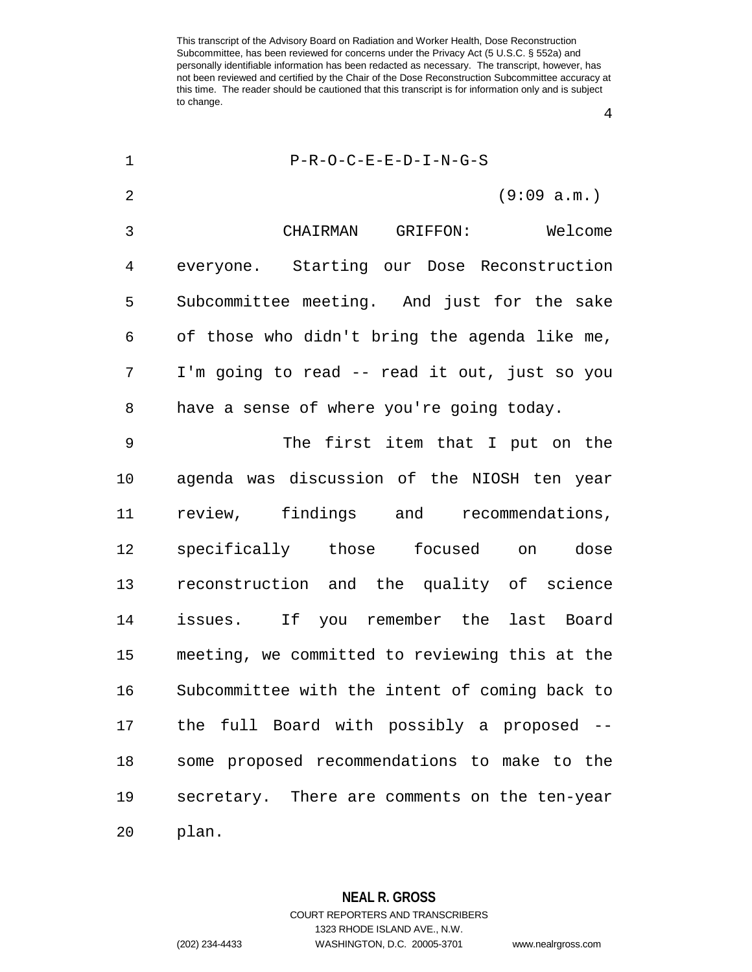P-R-O-C-E-E-D-I-N-G-S (9:09 a.m.) CHAIRMAN GRIFFON: Welcome everyone. Starting our Dose Reconstruction Subcommittee meeting. And just for the sake of those who didn't bring the agenda like me, I'm going to read -- read it out, just so you have a sense of where you're going today. The first item that I put on the agenda was discussion of the NIOSH ten year review, findings and recommendations, specifically those focused on dose reconstruction and the quality of science issues. If you remember the last Board meeting, we committed to reviewing this at the Subcommittee with the intent of coming back to the full Board with possibly a proposed -- some proposed recommendations to make to the secretary. There are comments on the ten-year plan.

> **NEAL R. GROSS** COURT REPORTERS AND TRANSCRIBERS 1323 RHODE ISLAND AVE., N.W. (202) 234-4433 WASHINGTON, D.C. 20005-3701 www.nealrgross.com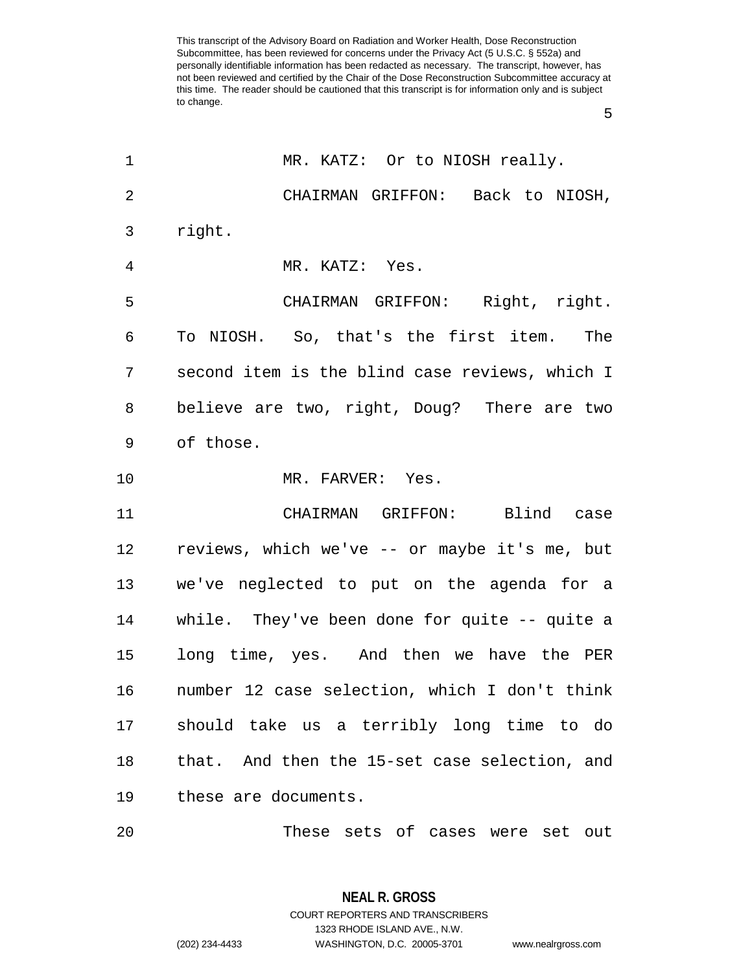| $\mathbf 1$    | MR. KATZ: Or to NIOSH really.                    |
|----------------|--------------------------------------------------|
| $\overline{2}$ | CHAIRMAN GRIFFON: Back to NIOSH,                 |
| 3              | right.                                           |
| $\overline{4}$ | MR. KATZ: Yes.                                   |
| 5              | CHAIRMAN GRIFFON: Right, right.                  |
| 6              | To NIOSH. So, that's the first item. The         |
| 7              | second item is the blind case reviews, which I   |
| 8              | believe are two, right, Doug? There are two      |
| 9              | of those.                                        |
| 10             | MR. FARVER: Yes.                                 |
| 11             | CHAIRMAN GRIFFON: Blind case                     |
| 12             | reviews, which we've -- or maybe it's me, but    |
| 13             | we've neglected to put on the agenda for a       |
| 14             | while. They've been done for quite $-$ - quite a |
| 15             | long time, yes. And then we have the PER         |
| 16             | number 12 case selection, which I don't think    |
|                | 17 should take us a terribly long time to do     |
|                |                                                  |
| 18             | that. And then the 15-set case selection, and    |
| 19             | these are documents.                             |

**NEAL R. GROSS** COURT REPORTERS AND TRANSCRIBERS 1323 RHODE ISLAND AVE., N.W. (202) 234-4433 WASHINGTON, D.C. 20005-3701 www.nealrgross.com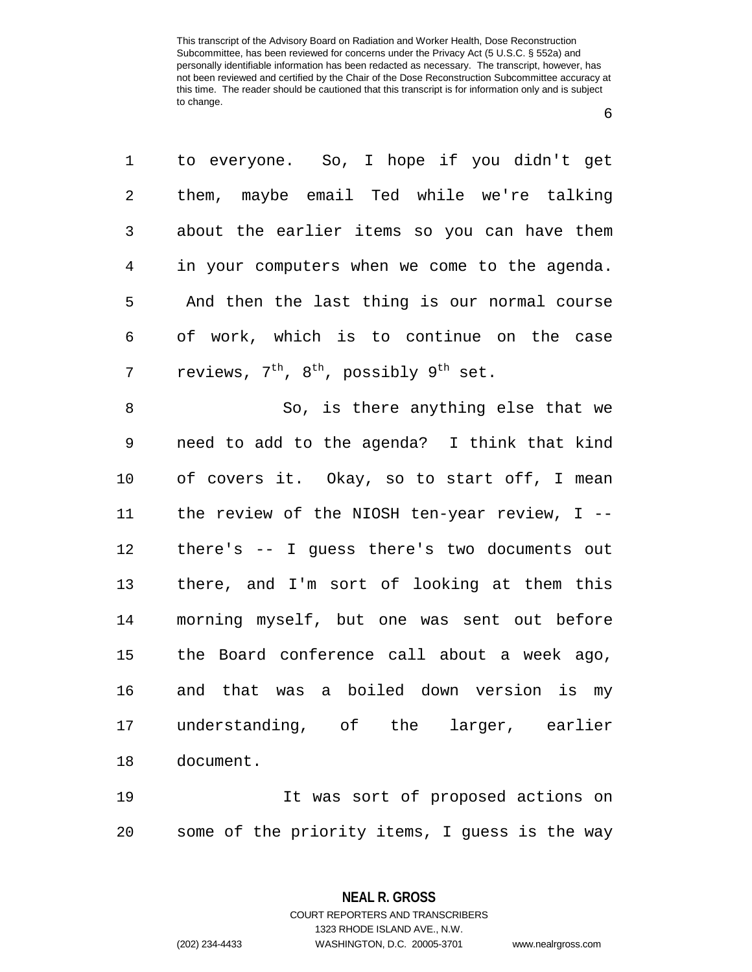to everyone. So, I hope if you didn't get them, maybe email Ted while we're talking about the earlier items so you can have them in your computers when we come to the agenda. And then the last thing is our normal course of work, which is to continue on the case 7 reviews,  $7^{\text{th}}$ ,  $8^{\text{th}}$ , possibly  $9^{\text{th}}$  set.

 So, is there anything else that we need to add to the agenda? I think that kind of covers it. Okay, so to start off, I mean the review of the NIOSH ten-year review, I -- there's -- I guess there's two documents out there, and I'm sort of looking at them this morning myself, but one was sent out before the Board conference call about a week ago, and that was a boiled down version is my understanding, of the larger, earlier document.

 It was sort of proposed actions on some of the priority items, I guess is the way

> **NEAL R. GROSS** COURT REPORTERS AND TRANSCRIBERS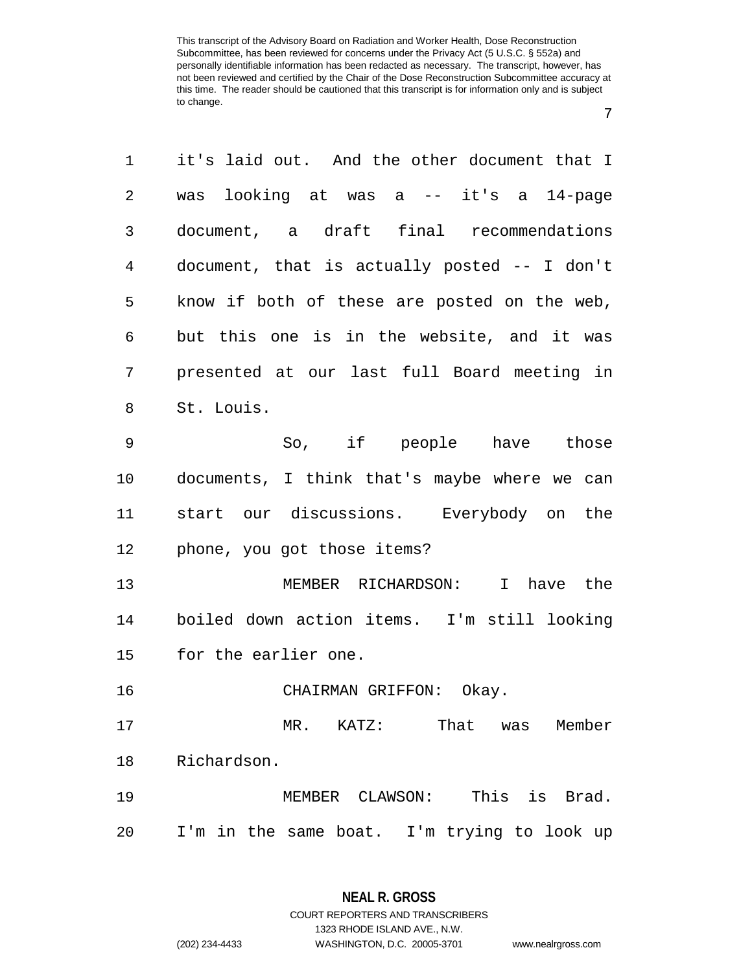| 1              | it's laid out. And the other document that I |
|----------------|----------------------------------------------|
| $\overline{2}$ | looking at was a -- it's a 14-page<br>was    |
| 3              | document, a draft final recommendations      |
| 4              | document, that is actually posted -- I don't |
| 5              | know if both of these are posted on the web, |
| 6              | but this one is in the website, and it was   |
| 7              | presented at our last full Board meeting in  |
| 8              | St. Louis.                                   |
| 9              | So, if people have those                     |
| 10             | documents, I think that's maybe where we can |
| 11             | start our discussions. Everybody on the      |
| 12             | phone, you got those items?                  |
| 13             | MEMBER RICHARDSON: I have the                |
| 14             | boiled down action items. I'm still looking  |
| 15             | for the earlier one.                         |
| 16             | CHAIRMAN GRIFFON: Okay.                      |
| 17             | MR. KATZ: That was Member                    |
| 18             | Richardson.                                  |
| 19             | MEMBER CLAWSON: This is Brad.                |
| 20             | I'm in the same boat. I'm trying to look up  |

1323 RHODE ISLAND AVE., N.W.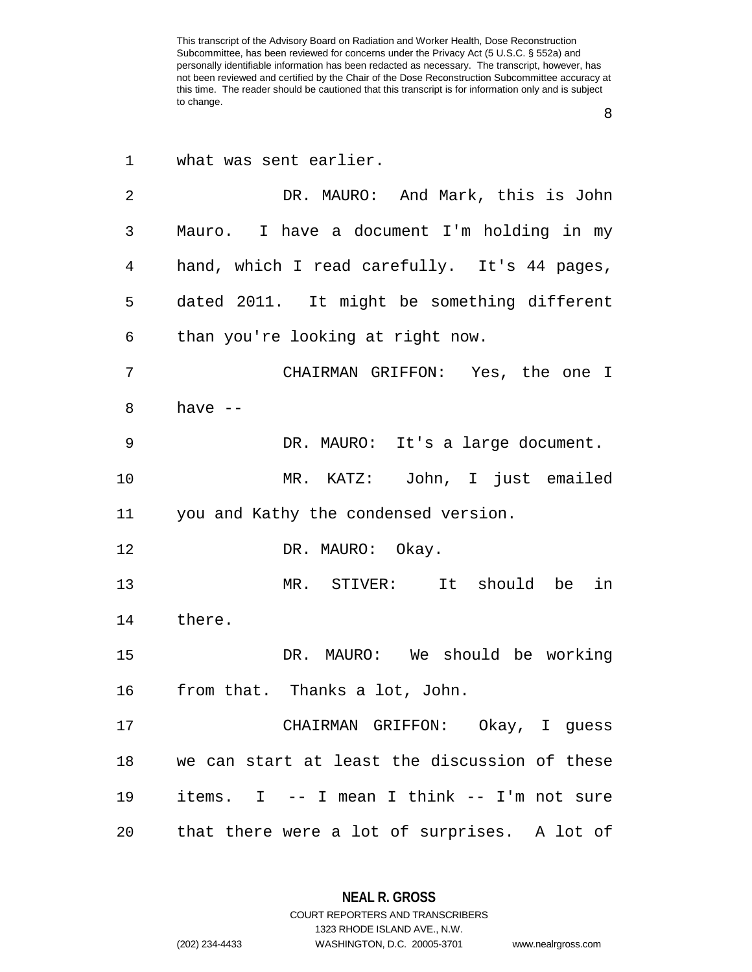|   | ٠       |
|---|---------|
| i |         |
| ٠ |         |
|   |         |
| × | I<br>۰, |

| 1  | what was sent earlier.                        |
|----|-----------------------------------------------|
| 2  | DR. MAURO: And Mark, this is John             |
| 3  | Mauro. I have a document I'm holding in my    |
| 4  | hand, which I read carefully. It's 44 pages,  |
| 5  | dated 2011. It might be something different   |
| 6  | than you're looking at right now.             |
| 7  | CHAIRMAN GRIFFON: Yes, the one I              |
| 8  | have $--$                                     |
| 9  | DR. MAURO: It's a large document.             |
| 10 | MR. KATZ: John, I just emailed                |
| 11 | you and Kathy the condensed version.          |
| 12 | DR. MAURO: Okay.                              |
| 13 | MR. STIVER: It should be<br>in                |
| 14 | there.                                        |
| 15 | DR. MAURO: We should be working               |
| 16 | from that. Thanks a lot, John.                |
| 17 | CHAIRMAN GRIFFON: Okay, I guess               |
| 18 | we can start at least the discussion of these |
| 19 | items. I -- I mean I think -- I'm not sure    |
| 20 | that there were a lot of surprises. A lot of  |

**NEAL R. GROSS** COURT REPORTERS AND TRANSCRIBERS

1323 RHODE ISLAND AVE., N.W. (202) 234-4433 WASHINGTON, D.C. 20005-3701 www.nealrgross.com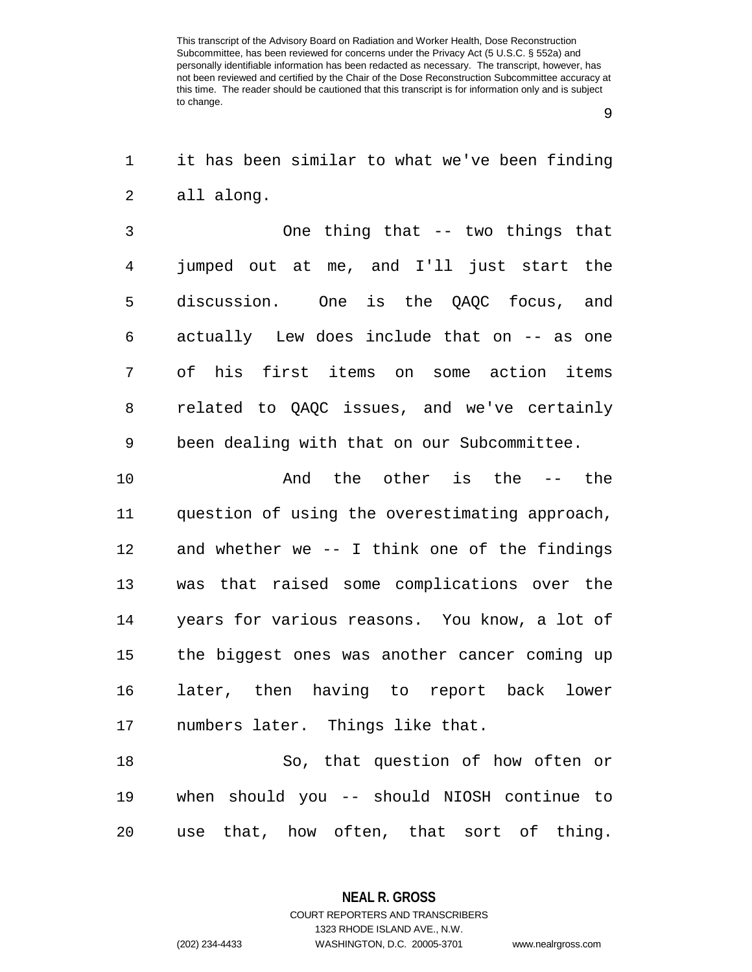it has been similar to what we've been finding all along.

 One thing that -- two things that jumped out at me, and I'll just start the discussion. One is the QAQC focus, and actually Lew does include that on -- as one of his first items on some action items related to QAQC issues, and we've certainly been dealing with that on our Subcommittee.

 And the other is the -- the question of using the overestimating approach, and whether we -- I think one of the findings was that raised some complications over the years for various reasons. You know, a lot of the biggest ones was another cancer coming up later, then having to report back lower numbers later. Things like that.

 So, that question of how often or when should you -- should NIOSH continue to use that, how often, that sort of thing.

> **NEAL R. GROSS** COURT REPORTERS AND TRANSCRIBERS

> > 1323 RHODE ISLAND AVE., N.W.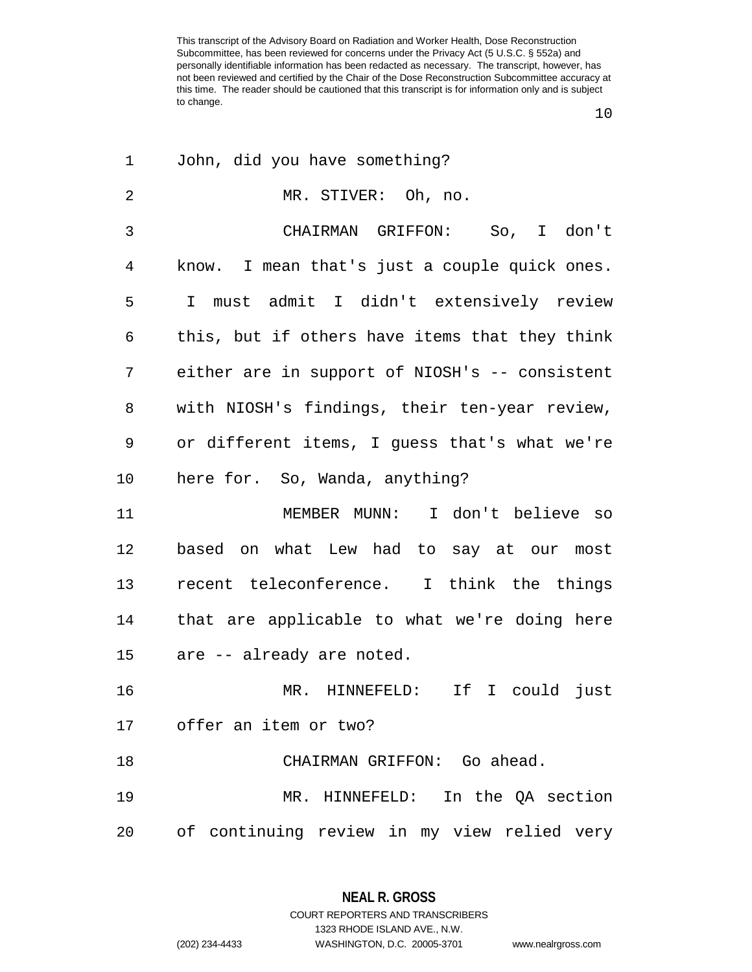| 1  | John, did you have something?                  |
|----|------------------------------------------------|
| 2  | MR. STIVER: Oh, no.                            |
| 3  | CHAIRMAN GRIFFON: So, I don't                  |
| 4  | know. I mean that's just a couple quick ones.  |
| 5  | I must admit I didn't extensively review       |
| 6  | this, but if others have items that they think |
| 7  | either are in support of NIOSH's -- consistent |
| 8  | with NIOSH's findings, their ten-year review,  |
| 9  | or different items, I guess that's what we're  |
| 10 | here for. So, Wanda, anything?                 |
| 11 | MEMBER MUNN: I don't believe so                |
| 12 | based on what Lew had to say at our most       |
| 13 | recent teleconference. I think the things      |
| 14 | that are applicable to what we're doing here   |
| 15 | are -- already are noted.                      |
| 16 | If I could just<br>MR. HINNEFELD:              |
|    | 17 offer an item or two?                       |
| 18 | CHAIRMAN GRIFFON: Go ahead.                    |
| 19 | MR. HINNEFELD: In the QA section               |
| 20 | of continuing review in my view relied very    |

**NEAL R. GROSS** COURT REPORTERS AND TRANSCRIBERS

1323 RHODE ISLAND AVE., N.W. (202) 234-4433 WASHINGTON, D.C. 20005-3701 www.nealrgross.com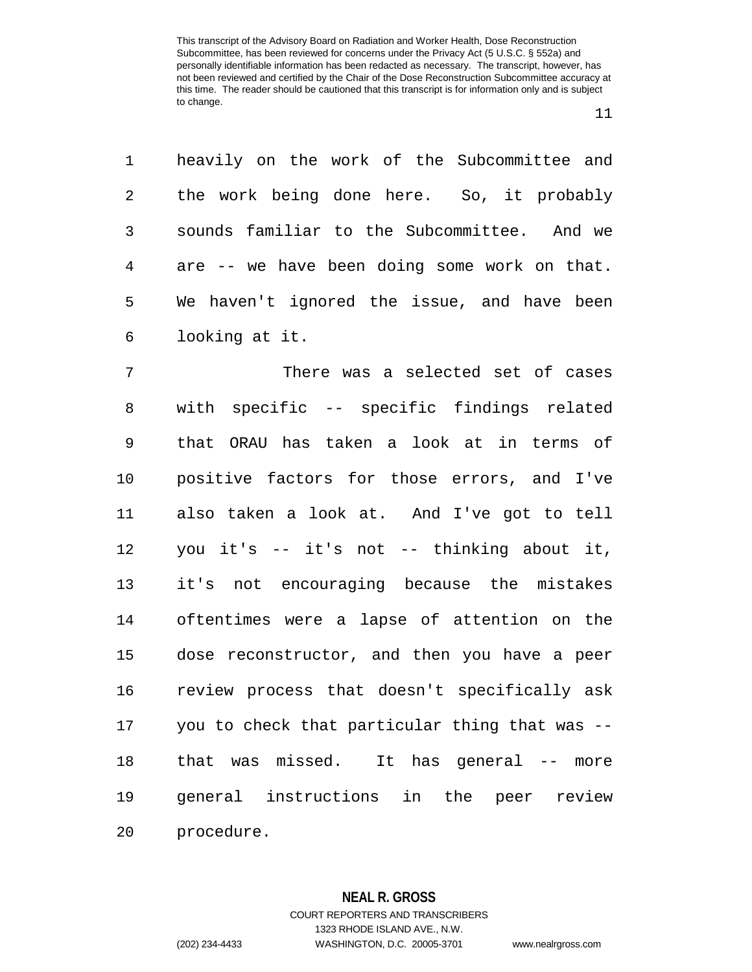| $1 \qquad \qquad$ | heavily on the work of the Subcommittee and  |
|-------------------|----------------------------------------------|
| $2^{\circ}$       | the work being done here. So, it probably    |
| 3 <sup>7</sup>    | sounds familiar to the Subcommittee. And we  |
| $4\degree$        | are -- we have been doing some work on that. |
| 5                 | We haven't ignored the issue, and have been  |
| $6\overline{}$    | looking at it.                               |

 There was a selected set of cases with specific -- specific findings related that ORAU has taken a look at in terms of positive factors for those errors, and I've also taken a look at. And I've got to tell you it's -- it's not -- thinking about it, it's not encouraging because the mistakes oftentimes were a lapse of attention on the dose reconstructor, and then you have a peer review process that doesn't specifically ask you to check that particular thing that was -- that was missed. It has general -- more general instructions in the peer review procedure.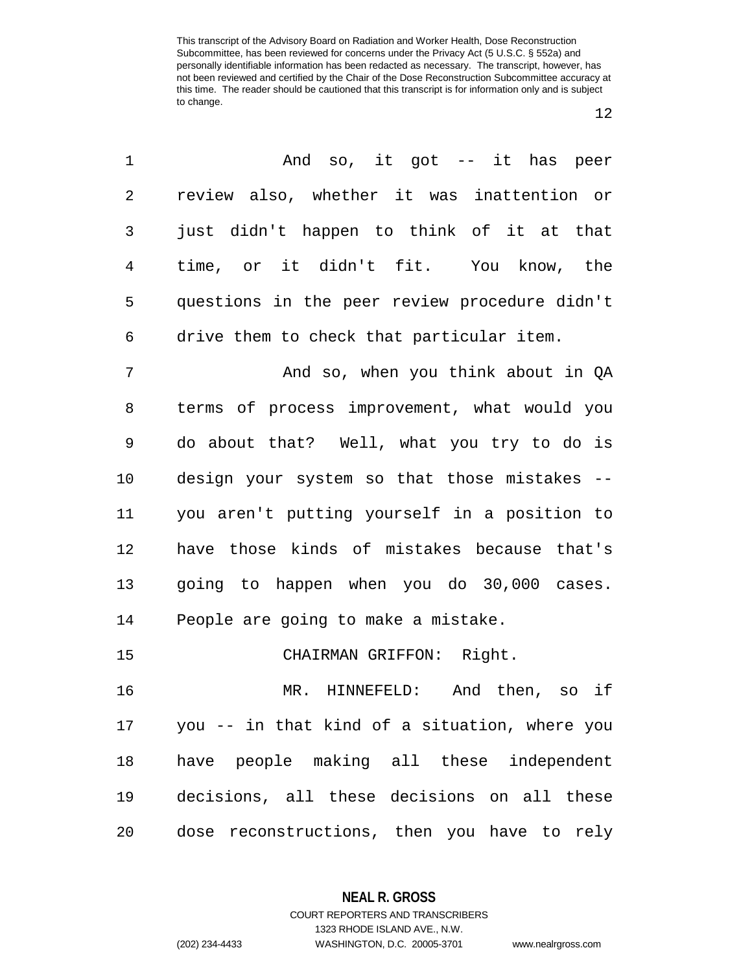| 1  | And so, it got -- it has peer                 |
|----|-----------------------------------------------|
| 2  | review also, whether it was inattention or    |
| 3  | just didn't happen to think of it at that     |
| 4  | time, or it didn't fit. You know, the         |
| 5  | questions in the peer review procedure didn't |
| 6  | drive them to check that particular item.     |
| 7  | And so, when you think about in QA            |
| 8  | terms of process improvement, what would you  |
| 9  | do about that? Well, what you try to do is    |
| 10 | design your system so that those mistakes --  |
| 11 | you aren't putting yourself in a position to  |
| 12 | have those kinds of mistakes because that's   |
| 13 | going to happen when you do 30,000 cases.     |
| 14 | People are going to make a mistake.           |
| 15 | CHAIRMAN GRIFFON: Right.                      |
| 16 | And then, so if<br>MR. HINNEFELD:             |
| 17 | you -- in that kind of a situation, where you |
| 18 | have people making all these independent      |
| 19 | decisions, all these decisions on all these   |
| 20 | dose reconstructions, then you have to rely   |

**NEAL R. GROSS** COURT REPORTERS AND TRANSCRIBERS

1323 RHODE ISLAND AVE., N.W. (202) 234-4433 WASHINGTON, D.C. 20005-3701 www.nealrgross.com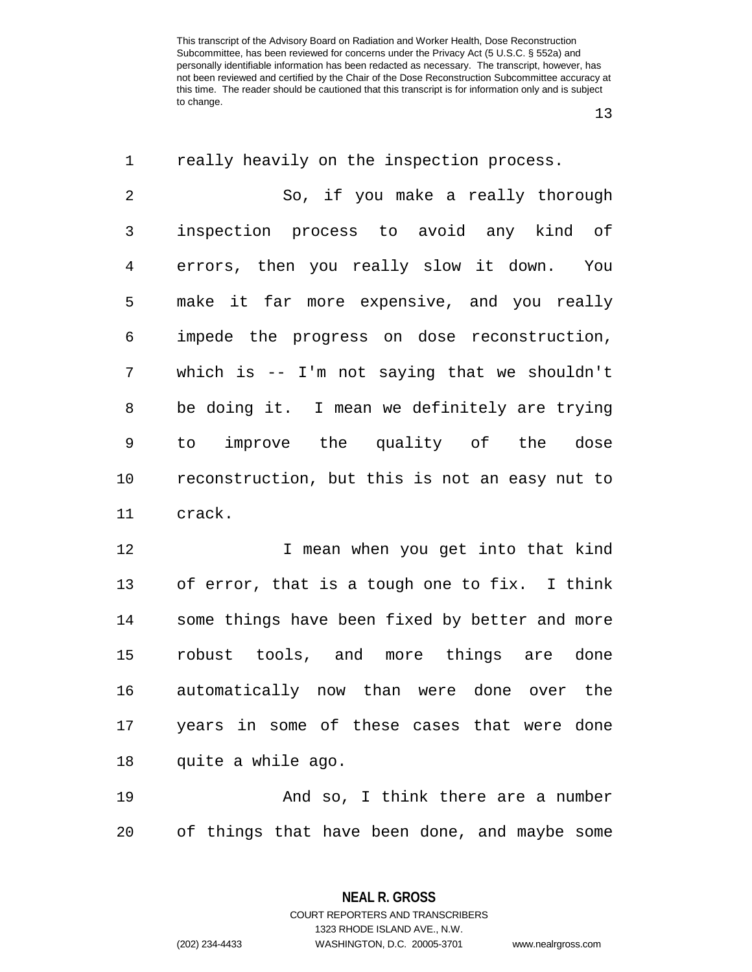| $\mathbf 1$ | really heavily on the inspection process.       |
|-------------|-------------------------------------------------|
| 2           | So, if you make a really thorough               |
| 3           | inspection process to avoid any kind of         |
| 4           | errors, then you really slow it down. You       |
| 5           | make it far more expensive, and you really      |
| 6           | impede the progress on dose reconstruction,     |
| 7           | which is $-$ - I'm not saying that we shouldn't |
| 8           | be doing it. I mean we definitely are trying    |
| 9           | improve the quality of the dose<br>to           |
| 10          | reconstruction, but this is not an easy nut to  |
| 11          | crack.                                          |
| 12          | I mean when you get into that kind              |
| 13          | of error, that is a tough one to fix. I think   |
| 14          | some things have been fixed by better and more  |
| 15          | robust tools, and more things are done          |
| 16          | automatically now than were done over the       |
| 17          | years in some of these cases that were done     |
| 18          | quite a while ago.                              |
| 19          | And so, I think there are a number              |
| 20          | of things that have been done, and maybe some   |

**NEAL R. GROSS** COURT REPORTERS AND TRANSCRIBERS

1323 RHODE ISLAND AVE., N.W. (202) 234-4433 WASHINGTON, D.C. 20005-3701 www.nealrgross.com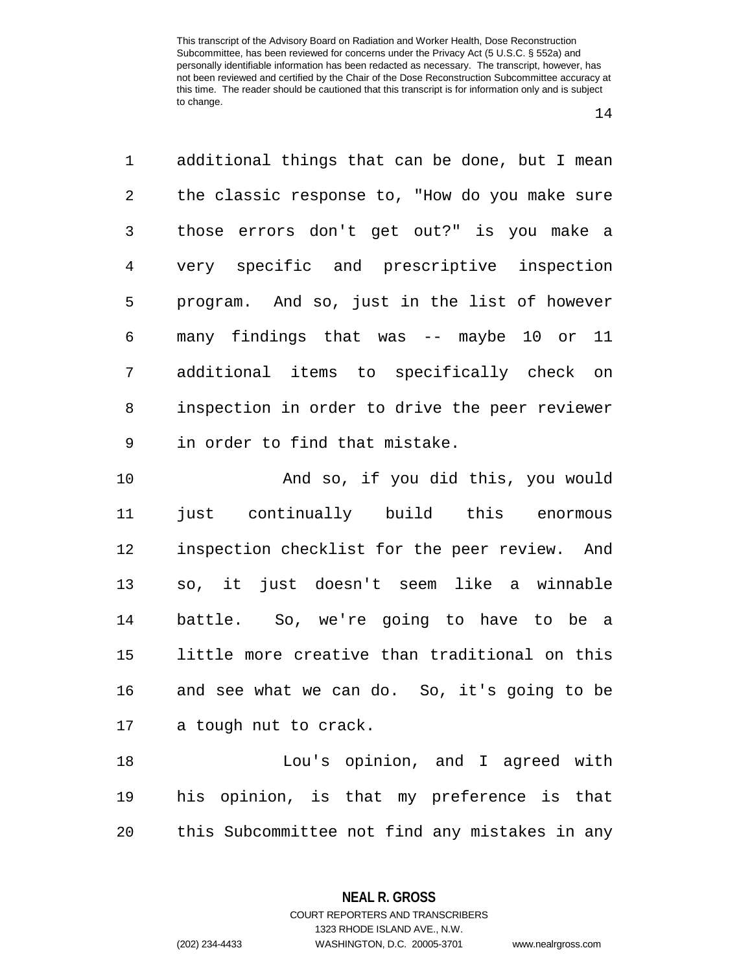| $\mathbf 1$    | additional things that can be done, but I mean |
|----------------|------------------------------------------------|
| $\overline{2}$ | the classic response to, "How do you make sure |
| 3              | those errors don't get out?" is you make a     |
| 4              | very specific and prescriptive inspection      |
| 5              | program. And so, just in the list of however   |
| 6              | many findings that was -- maybe 10 or 11       |
| 7              | additional items to specifically check on      |
| 8              | inspection in order to drive the peer reviewer |
| 9              | in order to find that mistake.                 |
| 10             | And so, if you did this, you would             |
| 11             | just continually build this enormous           |
| 12             | inspection checklist for the peer review. And  |
| 13             | so, it just doesn't seem like a winnable       |
| 14             | battle. So, we're going to have to be a        |
| 15             | little more creative than traditional on this  |

 and see what we can do. So, it's going to be a tough nut to crack.

 Lou's opinion, and I agreed with his opinion, is that my preference is that this Subcommittee not find any mistakes in any

**NEAL R. GROSS**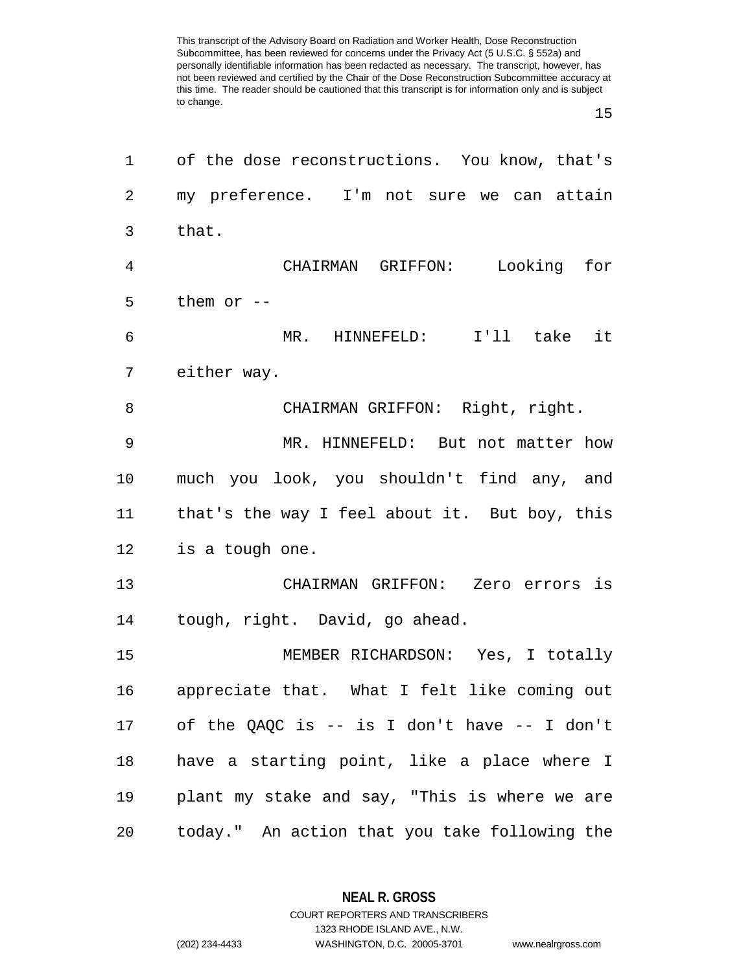| 1              | of the dose reconstructions. You know, that's    |
|----------------|--------------------------------------------------|
| $\overline{2}$ | my preference. I'm not sure we can attain        |
| 3              | that.                                            |
| $\overline{4}$ | CHAIRMAN GRIFFON:<br>Looking for                 |
| 5              | them or $-$                                      |
| 6              | MR. HINNEFELD: I'll take it                      |
| 7              | either way.                                      |
| 8              | CHAIRMAN GRIFFON: Right, right.                  |
| 9              | MR. HINNEFELD: But not matter how                |
| 10             | much you look, you shouldn't find any, and       |
| 11             | that's the way I feel about it. But boy, this    |
| 12             | is a tough one.                                  |
| 13             | CHAIRMAN GRIFFON: Zero errors is                 |
| 14             | tough, right. David, go ahead.                   |
| 15             | MEMBER RICHARDSON: Yes, I totally                |
| 16             | appreciate that. What I felt like coming out     |
| 17             | of the QAQC is $--$ is I don't have $--$ I don't |
| 18             | have a starting point, like a place where I      |
| 19             | plant my stake and say, "This is where we are    |
| 20             | today." An action that you take following the    |

**NEAL R. GROSS**

COURT REPORTERS AND TRANSCRIBERS 1323 RHODE ISLAND AVE., N.W. (202) 234-4433 WASHINGTON, D.C. 20005-3701 www.nealrgross.com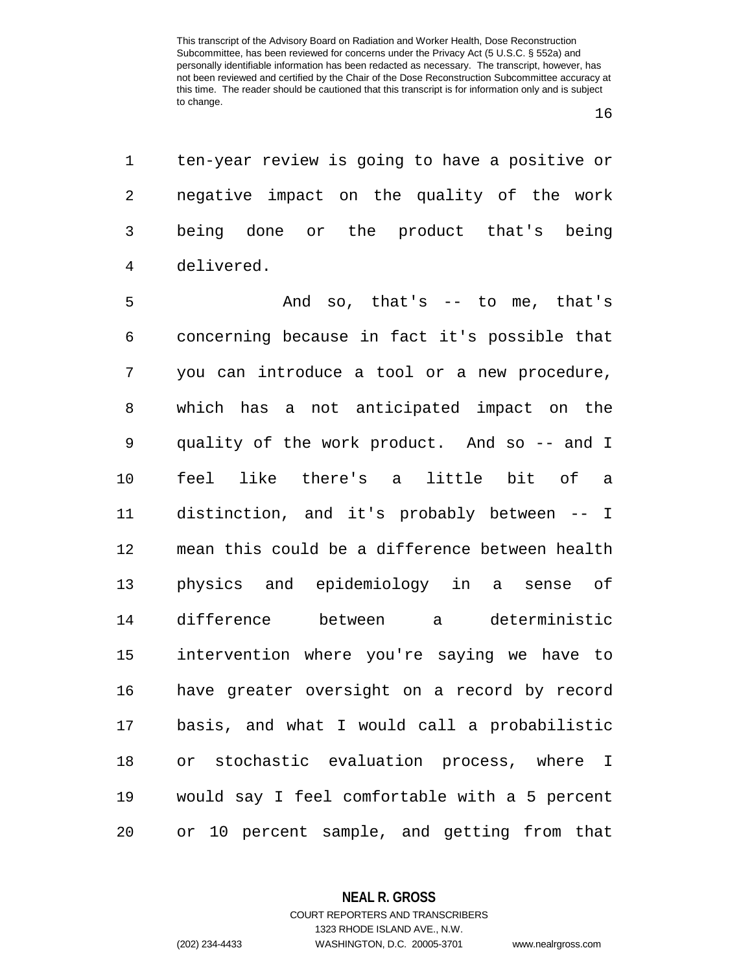ten-year review is going to have a positive or negative impact on the quality of the work being done or the product that's being delivered.

 And so, that's -- to me, that's concerning because in fact it's possible that you can introduce a tool or a new procedure, which has a not anticipated impact on the quality of the work product. And so -- and I feel like there's a little bit of a distinction, and it's probably between -- I mean this could be a difference between health physics and epidemiology in a sense of difference between a deterministic intervention where you're saying we have to have greater oversight on a record by record basis, and what I would call a probabilistic or stochastic evaluation process, where I would say I feel comfortable with a 5 percent or 10 percent sample, and getting from that

1323 RHODE ISLAND AVE., N.W.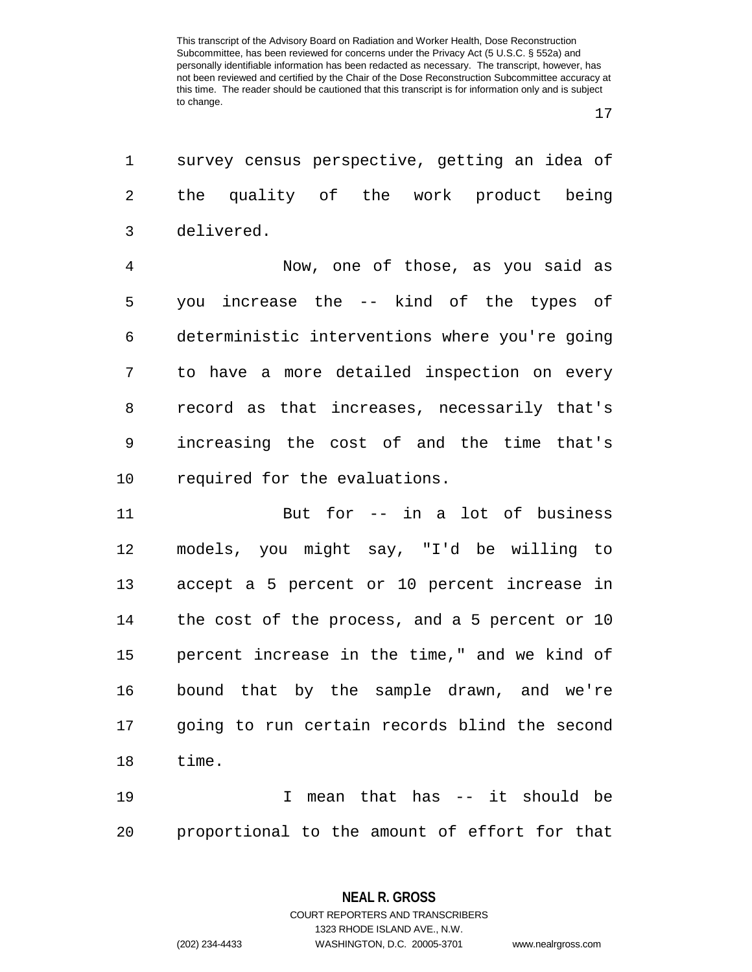survey census perspective, getting an idea of the quality of the work product being delivered.

 Now, one of those, as you said as you increase the -- kind of the types of deterministic interventions where you're going to have a more detailed inspection on every record as that increases, necessarily that's increasing the cost of and the time that's required for the evaluations.

 But for -- in a lot of business models, you might say, "I'd be willing to accept a 5 percent or 10 percent increase in the cost of the process, and a 5 percent or 10 percent increase in the time," and we kind of bound that by the sample drawn, and we're going to run certain records blind the second time.

 I mean that has -- it should be proportional to the amount of effort for that

**NEAL R. GROSS**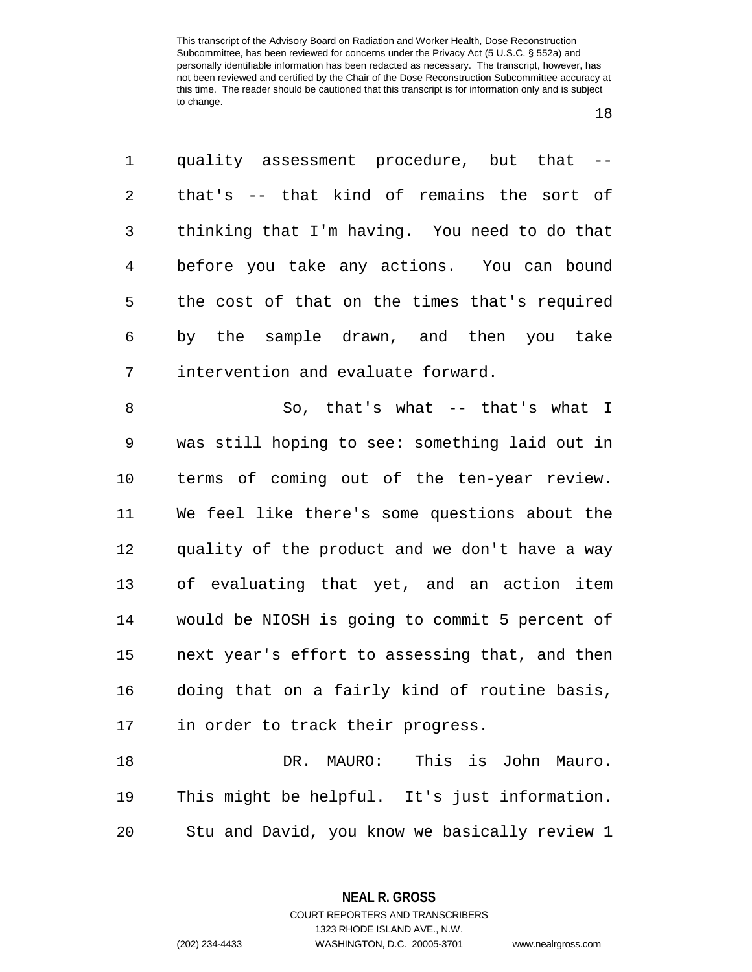quality assessment procedure, but that -- that's -- that kind of remains the sort of thinking that I'm having. You need to do that before you take any actions. You can bound the cost of that on the times that's required by the sample drawn, and then you take intervention and evaluate forward. So, that's what -- that's what I was still hoping to see: something laid out in terms of coming out of the ten-year review. We feel like there's some questions about the quality of the product and we don't have a way of evaluating that yet, and an action item would be NIOSH is going to commit 5 percent of next year's effort to assessing that, and then doing that on a fairly kind of routine basis, in order to track their progress.

 DR. MAURO: This is John Mauro. This might be helpful. It's just information. Stu and David, you know we basically review 1

> **NEAL R. GROSS** COURT REPORTERS AND TRANSCRIBERS

1323 RHODE ISLAND AVE., N.W. (202) 234-4433 WASHINGTON, D.C. 20005-3701 www.nealrgross.com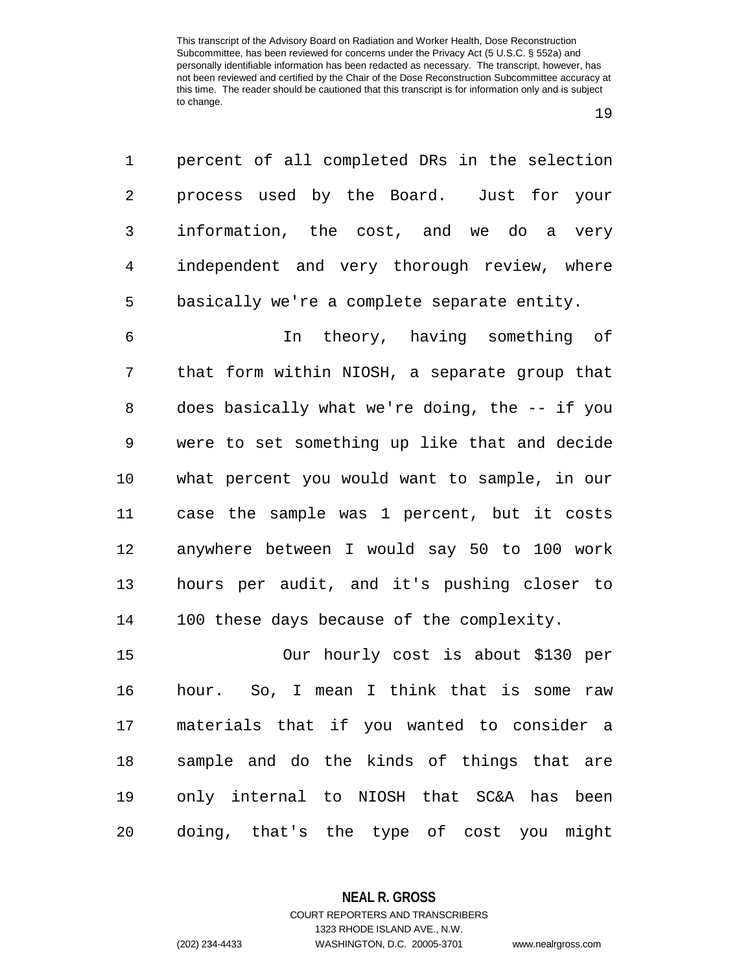| 1              | percent of all completed DRs in the selection  |
|----------------|------------------------------------------------|
| $\overline{2}$ | process used by the Board. Just for your       |
| 3              | information, the cost, and we do a very        |
| 4              | independent and very thorough review, where    |
| 5              | basically we're a complete separate entity.    |
| 6              | In theory, having something of                 |
| 7              | that form within NIOSH, a separate group that  |
| 8              | does basically what we're doing, the -- if you |
| 9              | were to set something up like that and decide  |
| 10             | what percent you would want to sample, in our  |
| 11             | case the sample was 1 percent, but it costs    |
| 12             | anywhere between I would say 50 to 100 work    |
| 13             | hours per audit, and it's pushing closer to    |
| 14             | 100 these days because of the complexity.      |
| 15             | Our hourly cost is about \$130 per             |
| 16             | hour. So, I mean I think that is some<br>raw   |
| 17             | materials that if you wanted to consider a     |
| 18             | sample and do the kinds of things that are     |
| 19             | only internal to NIOSH that SC&A has been      |
| 20             | doing, that's the type of cost you might       |

**NEAL R. GROSS** COURT REPORTERS AND TRANSCRIBERS

1323 RHODE ISLAND AVE., N.W.

(202) 234-4433 WASHINGTON, D.C. 20005-3701 www.nealrgross.com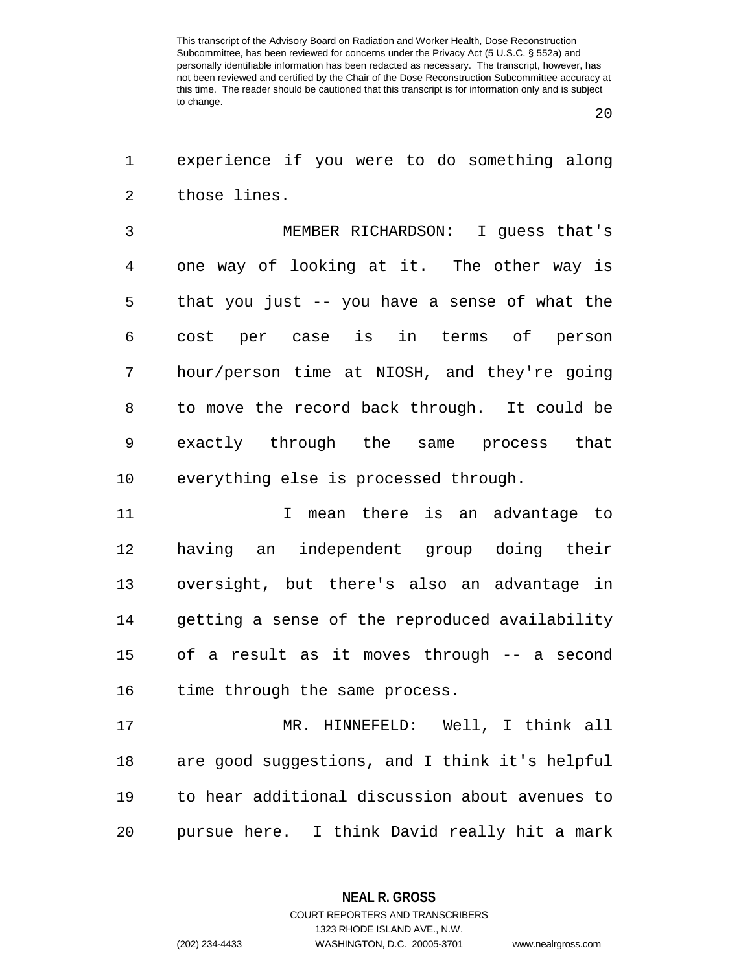| $1 \qquad \qquad$ | experience if you were to do something along |  |  |  |  |
|-------------------|----------------------------------------------|--|--|--|--|
|                   | those lines.                                 |  |  |  |  |

 MEMBER RICHARDSON: I guess that's one way of looking at it. The other way is that you just -- you have a sense of what the cost per case is in terms of person hour/person time at NIOSH, and they're going to move the record back through. It could be exactly through the same process that everything else is processed through.

 I mean there is an advantage to having an independent group doing their oversight, but there's also an advantage in getting a sense of the reproduced availability of a result as it moves through -- a second 16 time through the same process.

 MR. HINNEFELD: Well, I think all are good suggestions, and I think it's helpful to hear additional discussion about avenues to pursue here. I think David really hit a mark

**NEAL R. GROSS**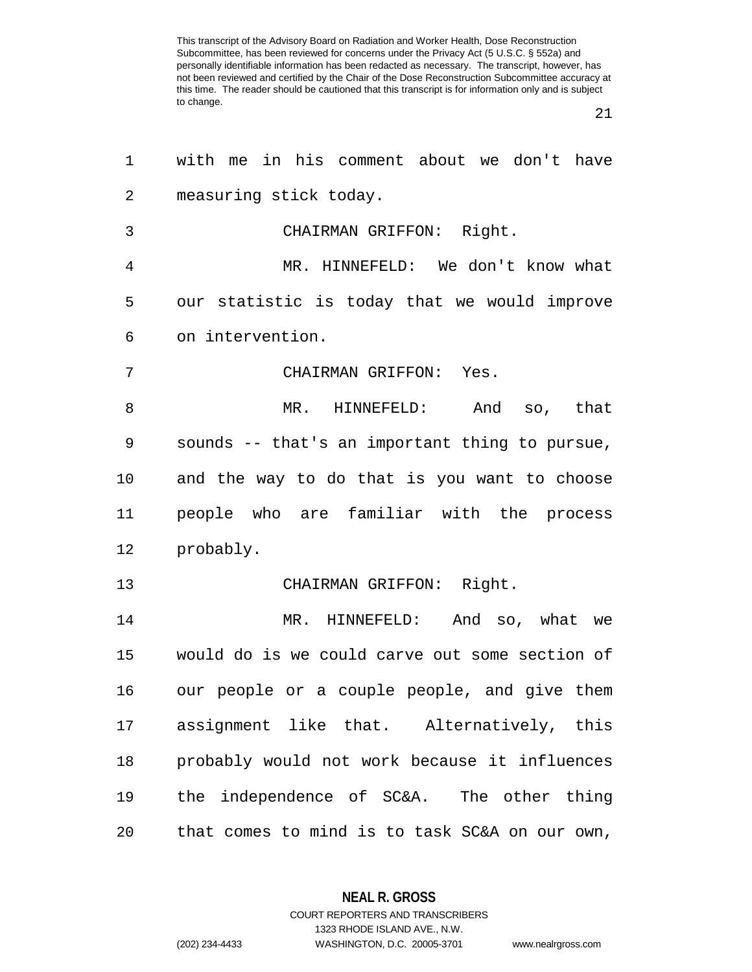| 1              | with me in his comment about we don't have     |
|----------------|------------------------------------------------|
| $\overline{2}$ | measuring stick today.                         |
| 3              | CHAIRMAN GRIFFON: Right.                       |
| 4              | MR. HINNEFELD: We don't know what              |
| 5              | our statistic is today that we would improve   |
| 6              | on intervention.                               |
| 7              | CHAIRMAN GRIFFON: Yes.                         |
| 8              | MR. HINNEFELD:<br>And so, that                 |
| 9              | sounds -- that's an important thing to pursue, |
| 10             | and the way to do that is you want to choose   |
| 11             | people who are familiar with the process       |
| 12             | probably.                                      |
| 13             | CHAIRMAN GRIFFON: Right.                       |
| 14             | MR. HINNEFELD:<br>And so, what we              |
| 15             | would do is we could carve out some section of |
| 16             | our people or a couple people, and give them   |
| 17             | assignment like that. Alternatively, this      |
| 18             | probably would not work because it influences  |
| 19             | the independence of SC&A. The other thing      |
| 20             | that comes to mind is to task SC&A on our own, |

**NEAL R. GROSS** COURT REPORTERS AND TRANSCRIBERS

1323 RHODE ISLAND AVE., N.W.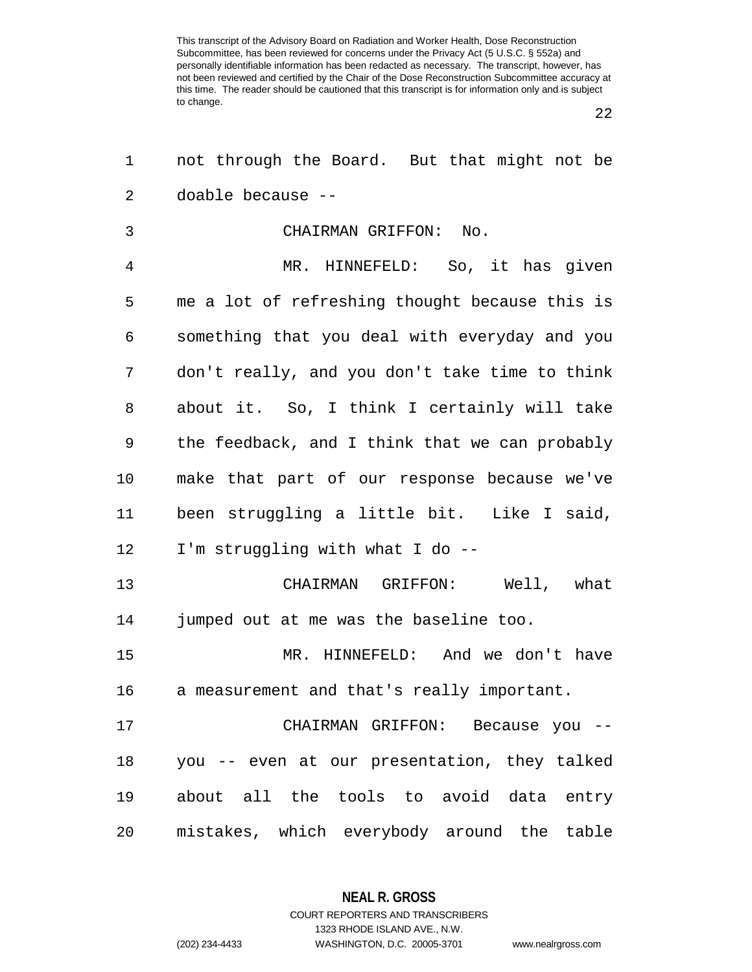| 1              | not through the Board. But that might not be   |
|----------------|------------------------------------------------|
| $\overline{a}$ | doable because --                              |
| 3              | CHAIRMAN GRIFFON: No.                          |
| 4              | MR. HINNEFELD: So, it has given                |
| 5              | me a lot of refreshing thought because this is |
| 6              | something that you deal with everyday and you  |
| 7              | don't really, and you don't take time to think |
| 8              | about it. So, I think I certainly will take    |
| 9              | the feedback, and I think that we can probably |
| $10 \,$        | make that part of our response because we've   |
| 11             | been struggling a little bit. Like I said,     |
| 12             | I'm struggling with what I do --               |
| 13             | CHAIRMAN GRIFFON: Well, what                   |
| 14             | jumped out at me was the baseline too.         |
| 15             | MR. HINNEFELD: And we don't have               |
| 16             | a measurement and that's really important.     |
| 17             | CHAIRMAN GRIFFON: Because you --               |
| 18             | you -- even at our presentation, they talked   |
| 19             | about all the tools to avoid data entry        |
| 20             | mistakes, which everybody around the table     |

**NEAL R. GROSS** COURT REPORTERS AND TRANSCRIBERS

1323 RHODE ISLAND AVE., N.W.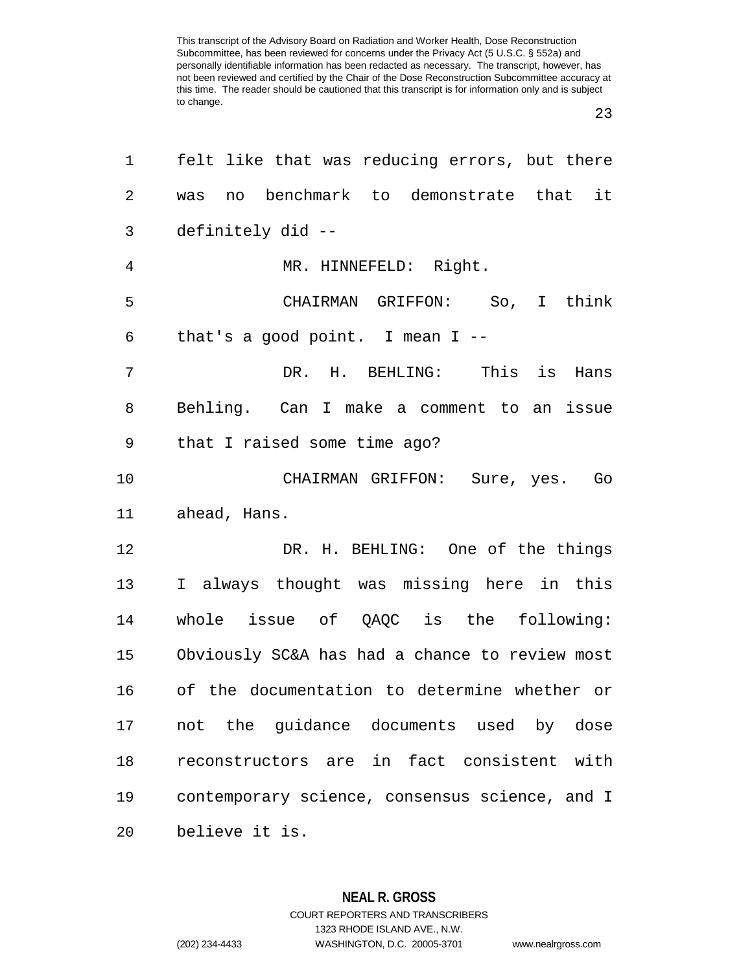| 1              | felt like that was reducing errors, but there  |
|----------------|------------------------------------------------|
| 2              | no benchmark to demonstrate that it<br>was     |
| 3              | definitely did --                              |
| $\overline{4}$ | MR. HINNEFELD: Right.                          |
| 5              | CHAIRMAN GRIFFON: So, I think                  |
| 6              | that's a good point. I mean $I$ --             |
| 7              | DR. H. BEHLING: This is Hans                   |
| 8              | Behling. Can I make a comment to an issue      |
| 9              | that I raised some time ago?                   |
| 10             | CHAIRMAN GRIFFON: Sure, yes. Go                |
| 11             | ahead, Hans.                                   |
| 12             | DR. H. BEHLING: One of the things              |
| 13             | I always thought was missing here in this      |
| 14             | whole issue of QAQC is the following:          |
| 15             | Obviously SC&A has had a chance to review most |
| 16             | of the documentation to determine whether or   |
| 17             | not the guidance documents used by dose        |
| 18             | reconstructors are in fact consistent with     |
| 19             | contemporary science, consensus science, and I |
| 20             | believe it is.                                 |

**NEAL R. GROSS** COURT REPORTERS AND TRANSCRIBERS 1323 RHODE ISLAND AVE., N.W. (202) 234-4433 WASHINGTON, D.C. 20005-3701 www.nealrgross.com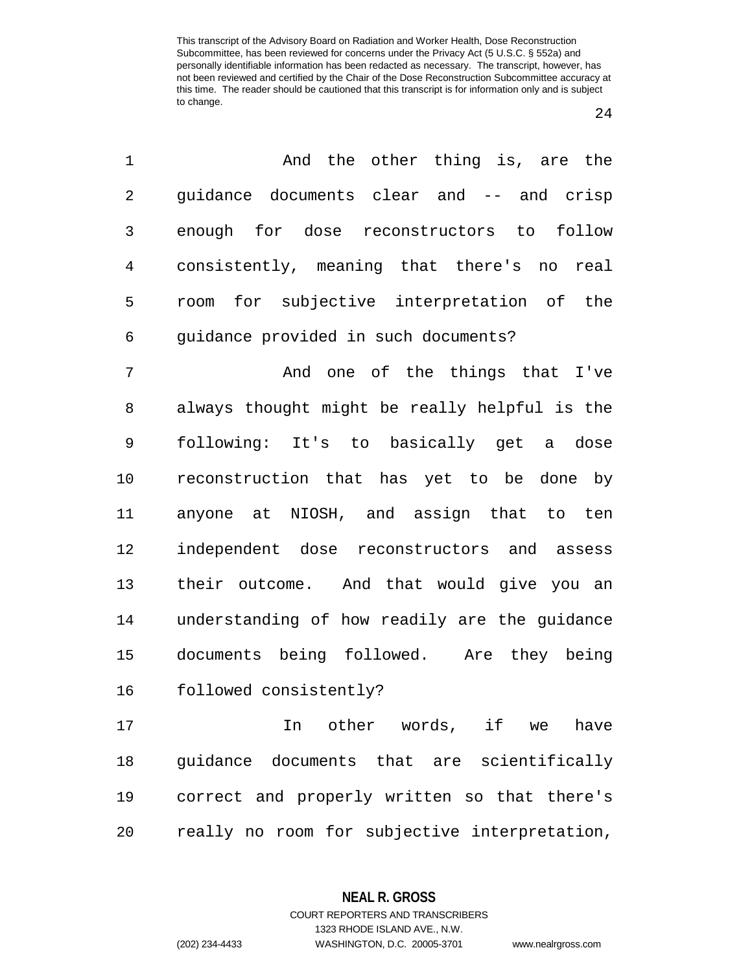| $\mathbf{1}$    | And the other thing is, are the            |
|-----------------|--------------------------------------------|
| $\overline{2}$  | quidance documents clear and -- and crisp  |
| 3 <sup>7</sup>  | enough for dose reconstructors to follow   |
| $4\overline{ }$ | consistently, meaning that there's no real |
| 5               | room for subjective interpretation of the  |
| 6               | quidance provided in such documents?       |

 And one of the things that I've always thought might be really helpful is the following: It's to basically get a dose reconstruction that has yet to be done by anyone at NIOSH, and assign that to ten independent dose reconstructors and assess their outcome. And that would give you an understanding of how readily are the guidance documents being followed. Are they being followed consistently?

 In other words, if we have guidance documents that are scientifically correct and properly written so that there's really no room for subjective interpretation,

> **NEAL R. GROSS** COURT REPORTERS AND TRANSCRIBERS

> > 1323 RHODE ISLAND AVE., N.W.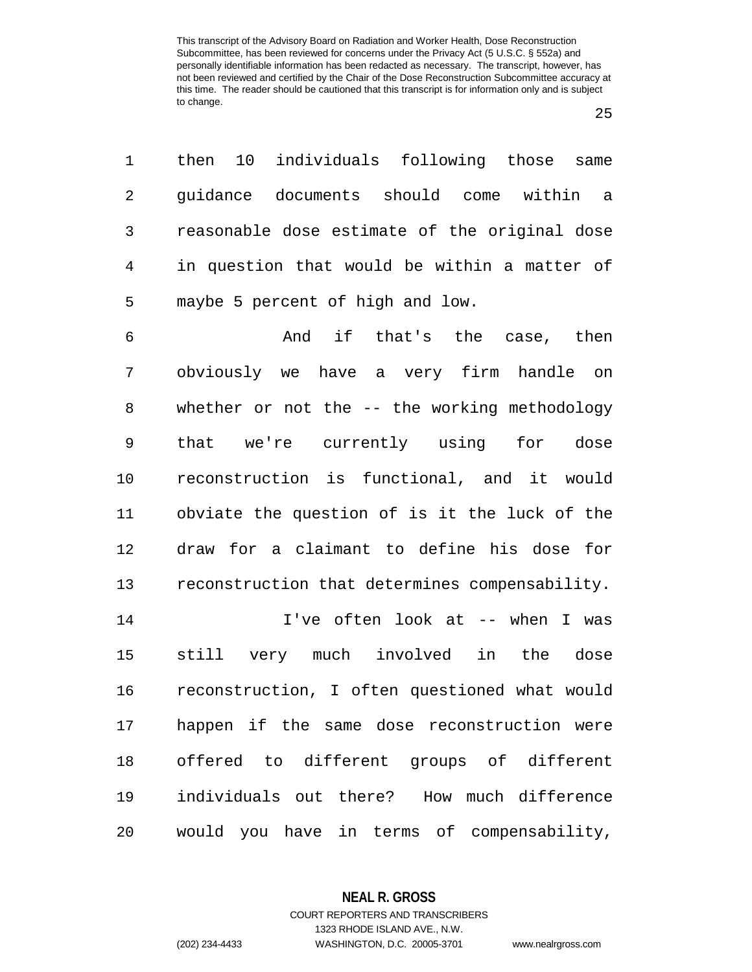| $1 \quad$      | then 10 individuals following those same      |
|----------------|-----------------------------------------------|
| 2              | guidance documents should come within a       |
| $\mathbf{3}$   | reasonable dose estimate of the original dose |
| $\overline{4}$ | in question that would be within a matter of  |
| 5              | maybe 5 percent of high and low.              |
|                |                                               |

 And if that's the case, then obviously we have a very firm handle on whether or not the -- the working methodology that we're currently using for dose reconstruction is functional, and it would obviate the question of is it the luck of the draw for a claimant to define his dose for reconstruction that determines compensability.

 I've often look at -- when I was still very much involved in the dose reconstruction, I often questioned what would happen if the same dose reconstruction were offered to different groups of different individuals out there? How much difference would you have in terms of compensability,

**NEAL R. GROSS**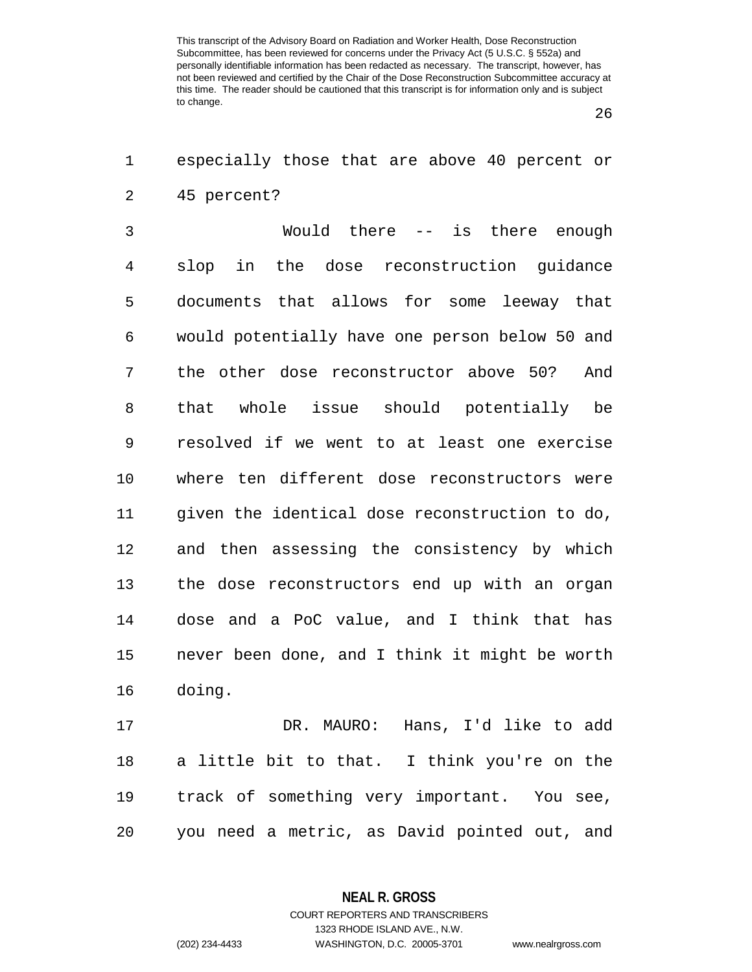especially those that are above 40 percent or

| $\overline{2}$ | 45 percent?                                    |
|----------------|------------------------------------------------|
| 3              | Would there -- is there enough                 |
| 4              | the dose reconstruction guidance<br>slop in    |
| 5              | documents that allows for some leeway that     |
| 6              | would potentially have one person below 50 and |
| 7              | the other dose reconstructor above 50?<br>And  |
| 8              | whole issue should potentially be<br>that      |
| 9              | resolved if we went to at least one exercise   |
| 10             | where ten different dose reconstructors were   |
| 11             | given the identical dose reconstruction to do, |
| 12             | and then assessing the consistency by which    |
| 13             | the dose reconstructors end up with an organ   |
| 14             | dose and a PoC value, and I think that has     |
| 15             | never been done, and I think it might be worth |
| 16             | doing.                                         |
| 17             | Hans, I'd like to add<br>DR. MAURO:            |
| 18             | a little bit to that. I think you're on the    |
| 19             | track of something very important. You see,    |

you need a metric, as David pointed out, and

**NEAL R. GROSS** COURT REPORTERS AND TRANSCRIBERS

1323 RHODE ISLAND AVE., N.W.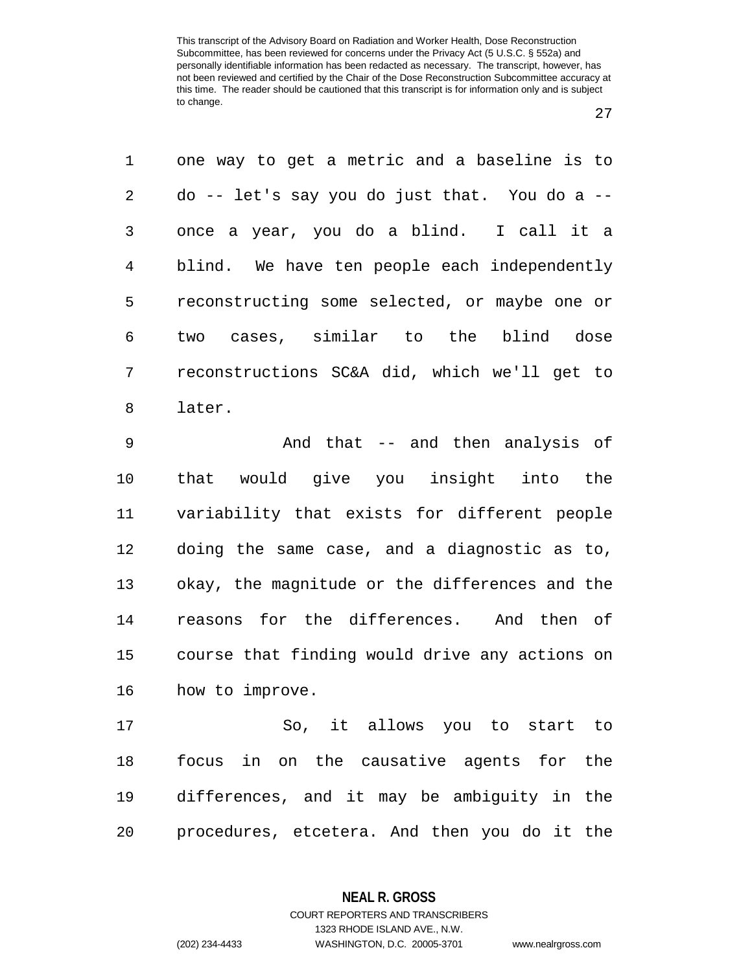| $\mathbf{1}$ | one way to get a metric and a baseline is to  |
|--------------|-----------------------------------------------|
| 2            | do -- let's say you do just that. You do a -- |
| 3            | once a year, you do a blind. I call it a      |
| 4            | blind. We have ten people each independently  |
| 5            | reconstructing some selected, or maybe one or |
| 6            | two cases, similar to the blind dose          |
| 7            | reconstructions SC&A did, which we'll get to  |
| 8            | later.                                        |
|              |                                               |

 And that -- and then analysis of that would give you insight into the variability that exists for different people doing the same case, and a diagnostic as to, okay, the magnitude or the differences and the reasons for the differences. And then of course that finding would drive any actions on how to improve.

 So, it allows you to start to focus in on the causative agents for the differences, and it may be ambiguity in the procedures, etcetera. And then you do it the

> **NEAL R. GROSS** COURT REPORTERS AND TRANSCRIBERS

> > 1323 RHODE ISLAND AVE., N.W.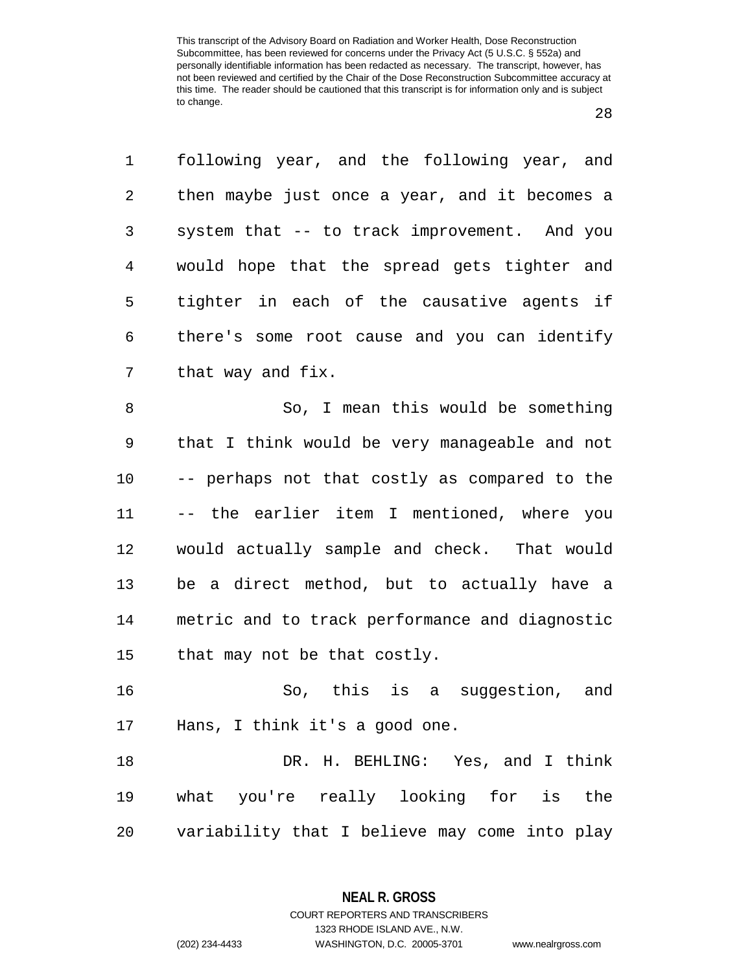| 1<br>following year, and the following year, and              |
|---------------------------------------------------------------|
| 2<br>then maybe just once a year, and it becomes a            |
| 3<br>system that -- to track improvement. And you             |
| would hope that the spread gets tighter and<br>$\overline{4}$ |
| tighter in each of the causative agents if<br>5               |
| there's some root cause and you can identify<br>6             |
| 7<br>that way and fix.                                        |
| 8<br>So, I mean this would be something                       |
| 9<br>that I think would be very manageable and not            |
| 10<br>-- perhaps not that costly as compared to the           |
| -- the earlier item I mentioned, where you<br>11              |
| would actually sample and check. That would<br>12             |
| be a direct method, but to actually have a<br>13              |
| metric and to track performance and diagnostic<br>14          |
| 15<br>that may not be that costly.                            |
| So, this is a suggestion, and<br>16                           |
| Hans, I think it's a good one.<br>17                          |
| DR. H. BEHLING: Yes, and I think<br>18                        |
| what you're really looking for is the<br>19                   |
| variability that I believe may come into play<br>20           |

**NEAL R. GROSS** COURT REPORTERS AND TRANSCRIBERS

1323 RHODE ISLAND AVE., N.W. (202) 234-4433 WASHINGTON, D.C. 20005-3701 www.nealrgross.com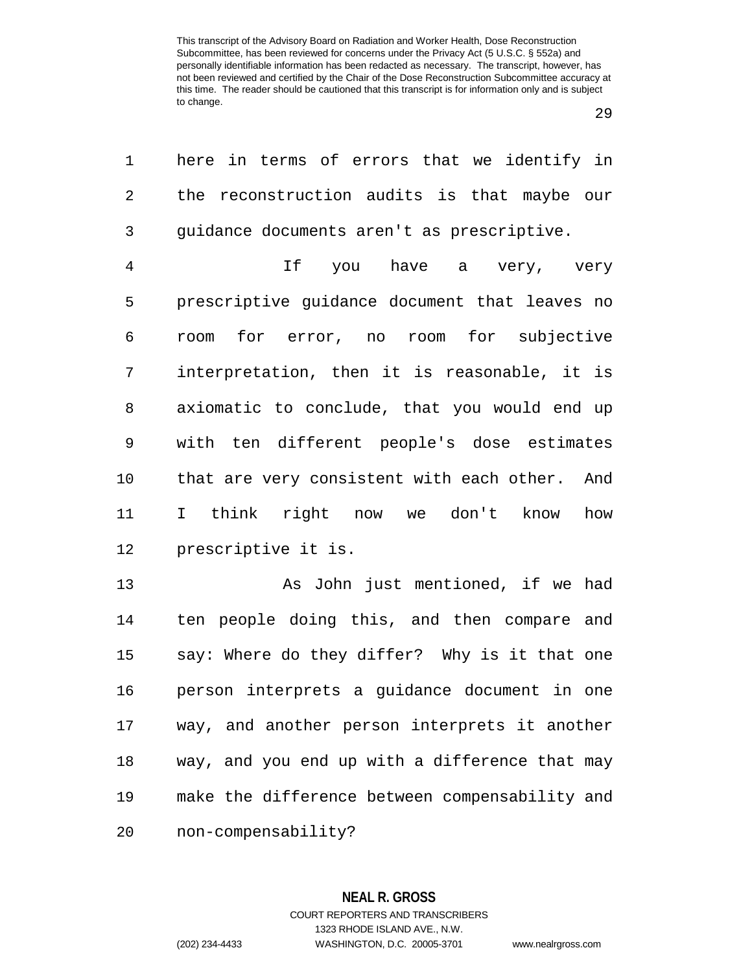| 1  | here in terms of errors that we identify in    |
|----|------------------------------------------------|
| 2  | the reconstruction audits is that maybe our    |
| 3  | guidance documents aren't as prescriptive.     |
| 4  | If you have a very, very                       |
| 5  | prescriptive guidance document that leaves no  |
| 6  | for error, no room for subjective<br>room      |
| 7  | interpretation, then it is reasonable, it is   |
| 8  | axiomatic to conclude, that you would end up   |
| 9  | with ten different people's dose estimates     |
| 10 | that are very consistent with each other. And  |
| 11 | I think right now we don't<br>know<br>how      |
| 12 | prescriptive it is.                            |
| 13 | As John just mentioned, if we had              |
| 14 | ten people doing this, and then compare and    |
| 15 | say: Where do they differ? Why is it that one  |
| 16 | person interprets a guidance document in one   |
| 17 | way, and another person interprets it another  |
| 18 | way, and you end up with a difference that may |
| 19 | make the difference between compensability and |
| 20 | non-compensability?                            |

1323 RHODE ISLAND AVE., N.W.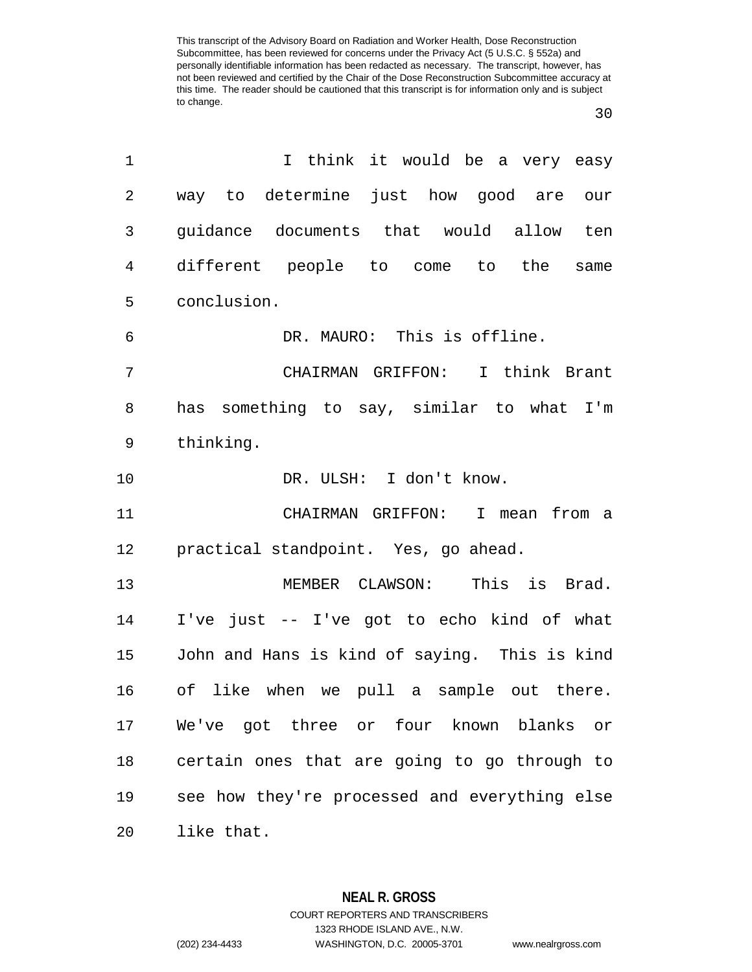| 1  | I think it would be a very easy               |
|----|-----------------------------------------------|
| 2  | way to determine just how good are<br>our     |
| 3  | guidance documents that would allow ten       |
| 4  | different people to come to the<br>same       |
| 5  | conclusion.                                   |
| 6  | DR. MAURO: This is offline.                   |
| 7  | CHAIRMAN GRIFFON: I think Brant               |
| 8  | has something to say, similar to what I'm     |
| 9  | thinking.                                     |
| 10 | DR. ULSH: I don't know.                       |
| 11 | CHAIRMAN GRIFFON: I mean from a               |
| 12 | practical standpoint. Yes, go ahead.          |
| 13 | MEMBER CLAWSON: This is Brad.                 |
| 14 | I've just -- I've got to echo kind of what    |
| 15 | John and Hans is kind of saying. This is kind |
| 16 | of like when we pull a sample out there.      |
| 17 | We've got three or four known blanks or       |
| 18 | certain ones that are going to go through to  |
| 19 | see how they're processed and everything else |
| 20 | like that.                                    |

**NEAL R. GROSS** COURT REPORTERS AND TRANSCRIBERS 1323 RHODE ISLAND AVE., N.W.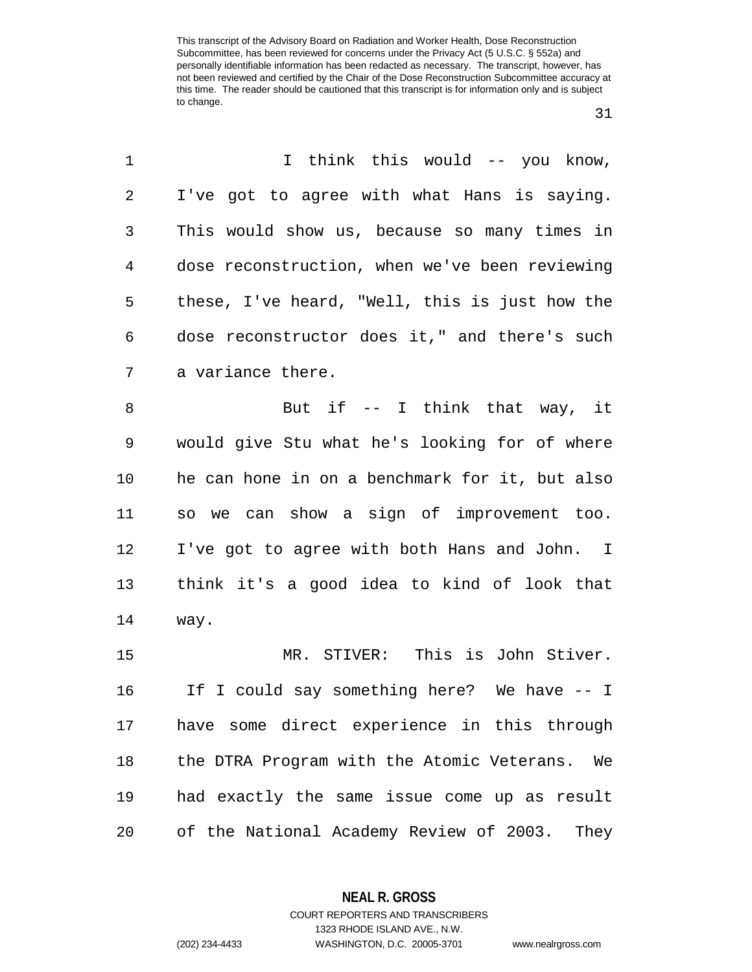| 1              | I think this would -- you know,                 |
|----------------|-------------------------------------------------|
| 2              | I've got to agree with what Hans is saying.     |
| 3              | This would show us, because so many times in    |
| $\overline{4}$ | dose reconstruction, when we've been reviewing  |
| 5              | these, I've heard, "Well, this is just how the  |
| 6              | dose reconstructor does it," and there's such   |
| 7              | a variance there.                               |
| 8              | But if $-$ I think that way, it                 |
| $\mathsf 9$    | would give Stu what he's looking for of where   |
| 10             | he can hone in on a benchmark for it, but also  |
| 11             | so we can show a sign of improvement too.       |
| 12             | I've got to agree with both Hans and John. I    |
| 13             | think it's a good idea to kind of look that     |
| 14             | way.                                            |
| 15             | MR. STIVER: This is John Stiver.                |
| 16             | If I could say something here? We have -- I     |
| 17             | have some direct experience in this through     |
| 18             | the DTRA Program with the Atomic Veterans. We   |
| 19             | had exactly the same issue come up as result    |
| 20             | of the National Academy Review of 2003.<br>They |

**NEAL R. GROSS**

COURT REPORTERS AND TRANSCRIBERS 1323 RHODE ISLAND AVE., N.W. (202) 234-4433 WASHINGTON, D.C. 20005-3701 www.nealrgross.com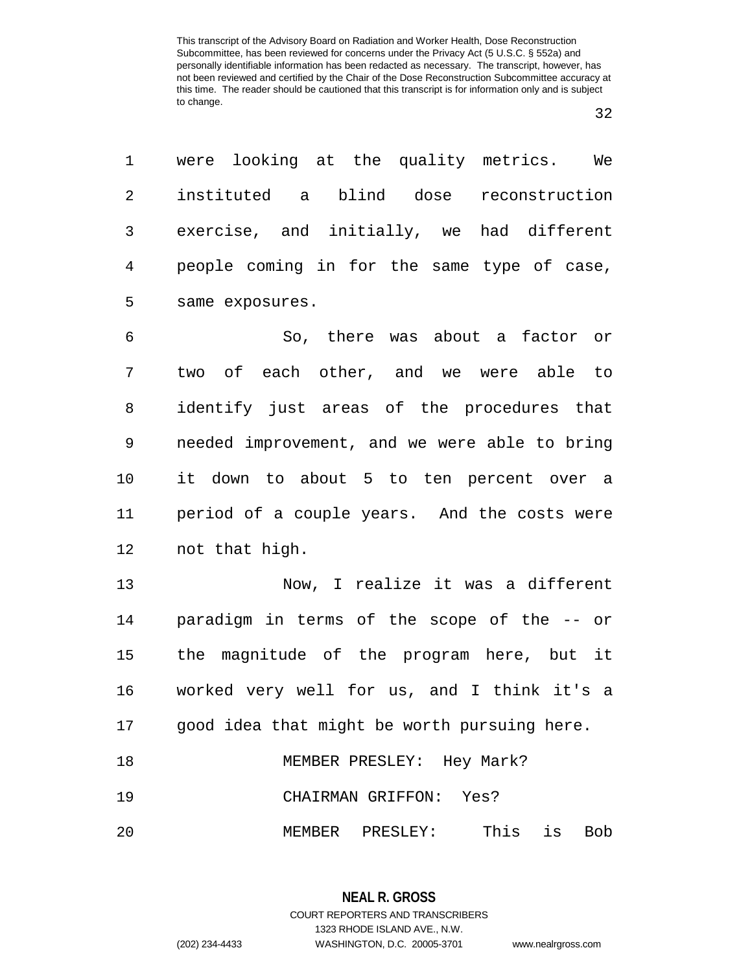|                   | 1 were looking at the quality metrics. We   |  |  |
|-------------------|---------------------------------------------|--|--|
| $2 \qquad \qquad$ | instituted a blind dose reconstruction      |  |  |
| 3 <sup>7</sup>    | exercise, and initially, we had different   |  |  |
| $4\degree$        | people coming in for the same type of case, |  |  |
|                   | 5 same exposures.                           |  |  |
|                   |                                             |  |  |

 So, there was about a factor or two of each other, and we were able to identify just areas of the procedures that needed improvement, and we were able to bring it down to about 5 to ten percent over a period of a couple years. And the costs were not that high.

 Now, I realize it was a different paradigm in terms of the scope of the -- or the magnitude of the program here, but it worked very well for us, and I think it's a good idea that might be worth pursuing here. 18 MEMBER PRESLEY: Hey Mark?

CHAIRMAN GRIFFON: Yes?

MEMBER PRESLEY: This is Bob

**NEAL R. GROSS** COURT REPORTERS AND TRANSCRIBERS 1323 RHODE ISLAND AVE., N.W. (202) 234-4433 WASHINGTON, D.C. 20005-3701 www.nealrgross.com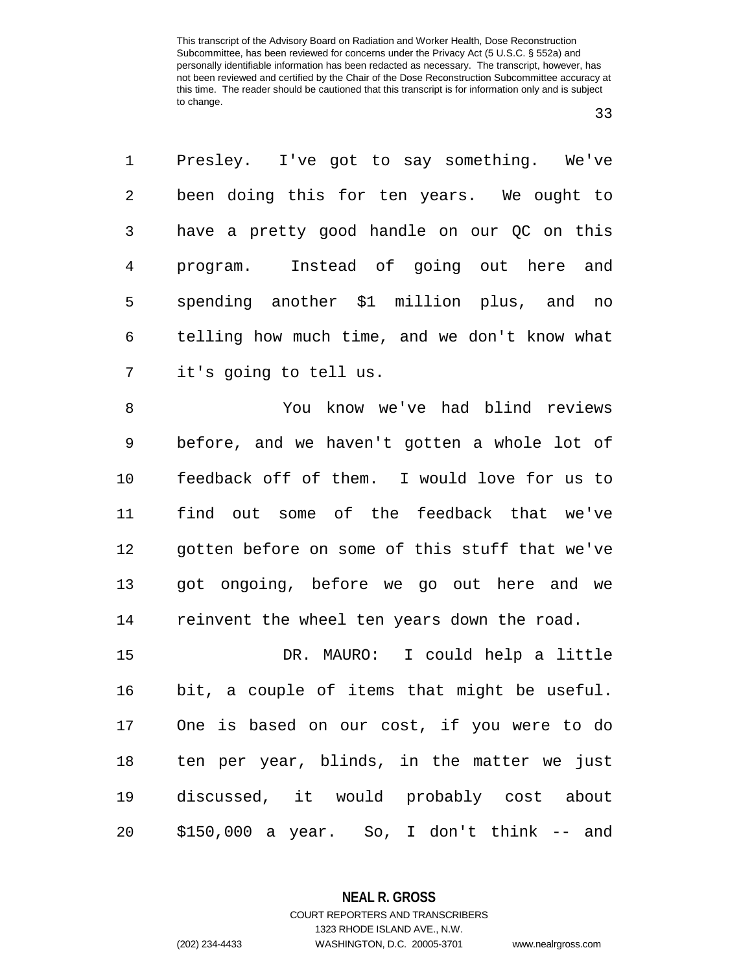| $\mathbf{1}$ | Presley. I've got to say something. We've     |
|--------------|-----------------------------------------------|
| 2            | been doing this for ten years. We ought to    |
| 3            | have a pretty good handle on our QC on this   |
| 4            | program. Instead of going out here and        |
| 5            | spending another \$1 million plus, and no     |
| 6            | telling how much time, and we don't know what |
| 7            | it's going to tell us.                        |

 You know we've had blind reviews before, and we haven't gotten a whole lot of feedback off of them. I would love for us to find out some of the feedback that we've gotten before on some of this stuff that we've got ongoing, before we go out here and we reinvent the wheel ten years down the road.

 DR. MAURO: I could help a little bit, a couple of items that might be useful. One is based on our cost, if you were to do ten per year, blinds, in the matter we just discussed, it would probably cost about \$150,000 a year. So, I don't think -- and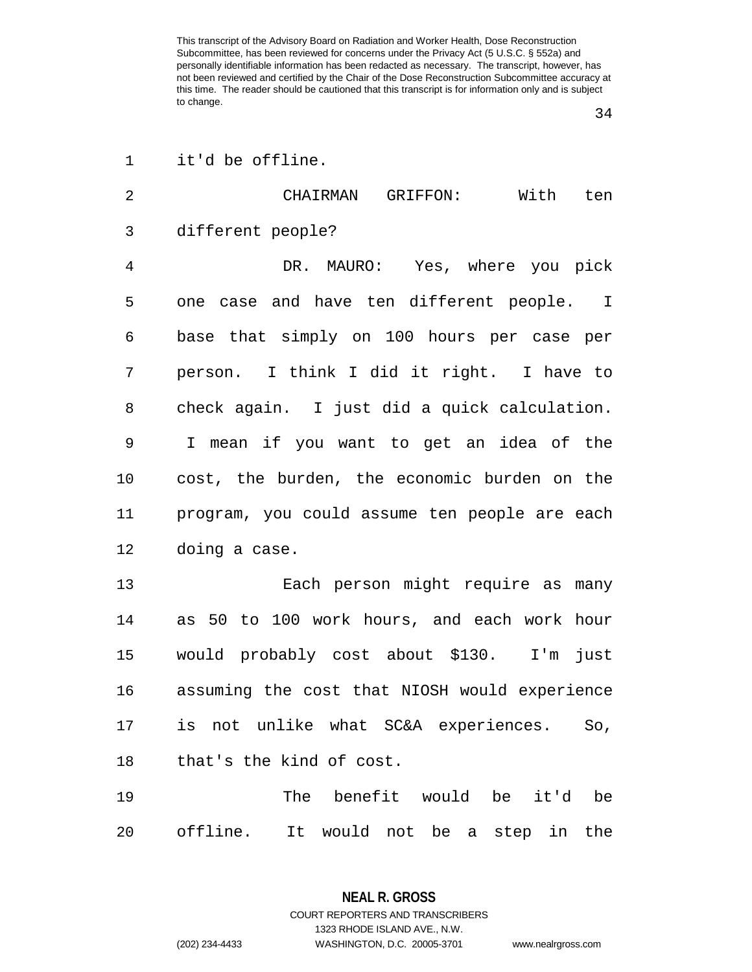it'd be offline.

| $\overline{2}$ | With ten<br>CHAIRMAN GRIFFON:                   |
|----------------|-------------------------------------------------|
| 3              | different people?                               |
| $\overline{4}$ | DR. MAURO: Yes, where you pick                  |
| 5              | one case and have ten different people. I       |
| 6              | base that simply on 100 hours per case per      |
| 7              | person. I think I did it right. I have to       |
| 8              | check again. I just did a quick calculation.    |
| 9              | I mean if you want to get an idea of the        |
| 10             | cost, the burden, the economic burden on the    |
| 11             | program, you could assume ten people are each   |
| 12             | doing a case.                                   |
| 13             | Each person might require as many               |
| 14             | as 50 to 100 work hours, and each work hour     |
| 15             | would probably cost about \$130. I'm just       |
| 16             | assuming the cost that NIOSH would experience   |
| 17             | is not unlike what SC&A experiences. So,        |
| 18             | that's the kind of cost.                        |
| 19             | benefit would<br>The<br>be<br>it'd<br>be        |
| 20             | It would not be a step<br>offline.<br>the<br>in |

**NEAL R. GROSS** COURT REPORTERS AND TRANSCRIBERS 1323 RHODE ISLAND AVE., N.W. (202) 234-4433 WASHINGTON, D.C. 20005-3701 www.nealrgross.com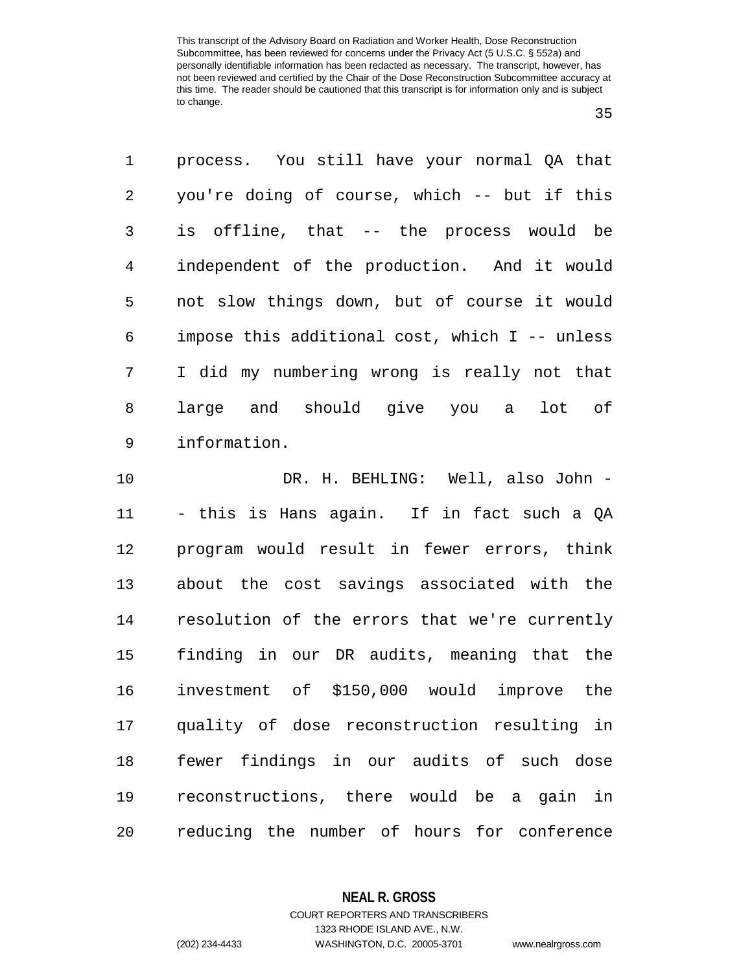process. You still have your normal QA that you're doing of course, which -- but if this is offline, that -- the process would be independent of the production. And it would not slow things down, but of course it would impose this additional cost, which I -- unless I did my numbering wrong is really not that large and should give you a lot of information.

 DR. H. BEHLING: Well, also John - - this is Hans again. If in fact such a QA program would result in fewer errors, think about the cost savings associated with the resolution of the errors that we're currently finding in our DR audits, meaning that the investment of \$150,000 would improve the quality of dose reconstruction resulting in fewer findings in our audits of such dose reconstructions, there would be a gain in reducing the number of hours for conference

**NEAL R. GROSS**

COURT REPORTERS AND TRANSCRIBERS 1323 RHODE ISLAND AVE., N.W. (202) 234-4433 WASHINGTON, D.C. 20005-3701 www.nealrgross.com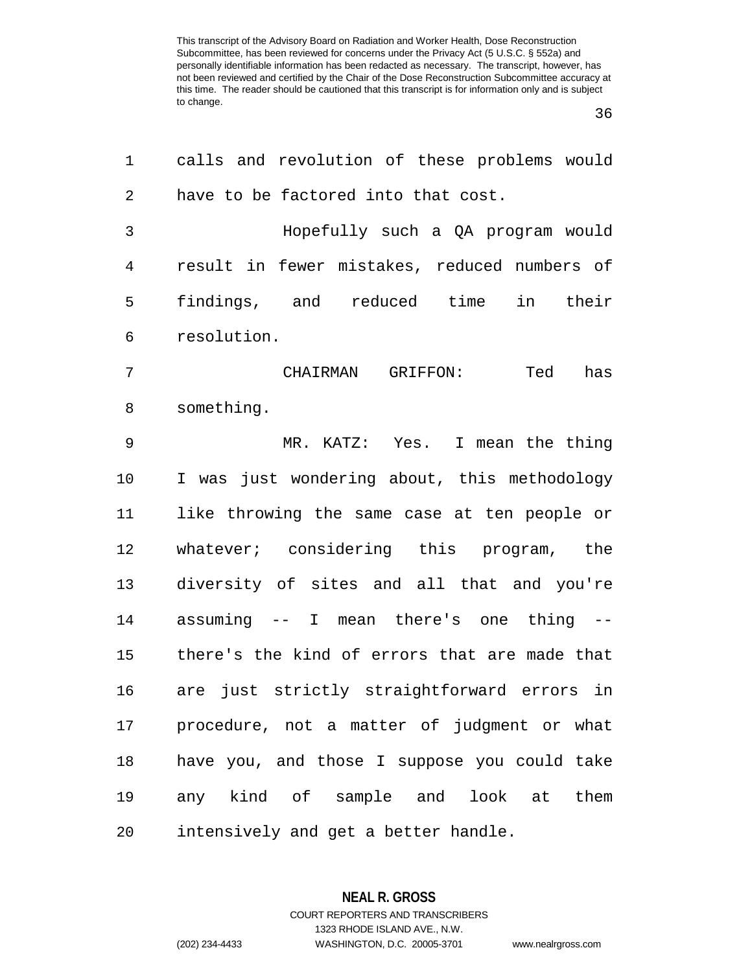| 1      | calls and revolution of these problems would  |
|--------|-----------------------------------------------|
| 2      | have to be factored into that cost.           |
| 3      | Hopefully such a QA program would             |
| 4      | result in fewer mistakes, reduced numbers of  |
| 5      | findings, and reduced time in their           |
| 6      | resolution.                                   |
| 7      | CHAIRMAN GRIFFON:<br>Ted<br>has               |
| 8      | something.                                    |
| 9      | MR. KATZ: Yes. I mean the thing               |
| 10     | I was just wondering about, this methodology  |
| 11     | like throwing the same case at ten people or  |
| 12     | whatever; considering this program, the       |
| 13     | diversity of sites and all that and you're    |
| 14     | assuming -- I mean there's one thing --       |
| 15     | there's the kind of errors that are made that |
| 16     | are just strictly straightforward errors in   |
| 17     | procedure, not a matter of judgment or what   |
| $18\,$ | have you, and those I suppose you could take  |
| 19     | any kind of sample and look at them           |
| 20     | intensively and get a better handle.          |

**NEAL R. GROSS** COURT REPORTERS AND TRANSCRIBERS 1323 RHODE ISLAND AVE., N.W. (202) 234-4433 WASHINGTON, D.C. 20005-3701 www.nealrgross.com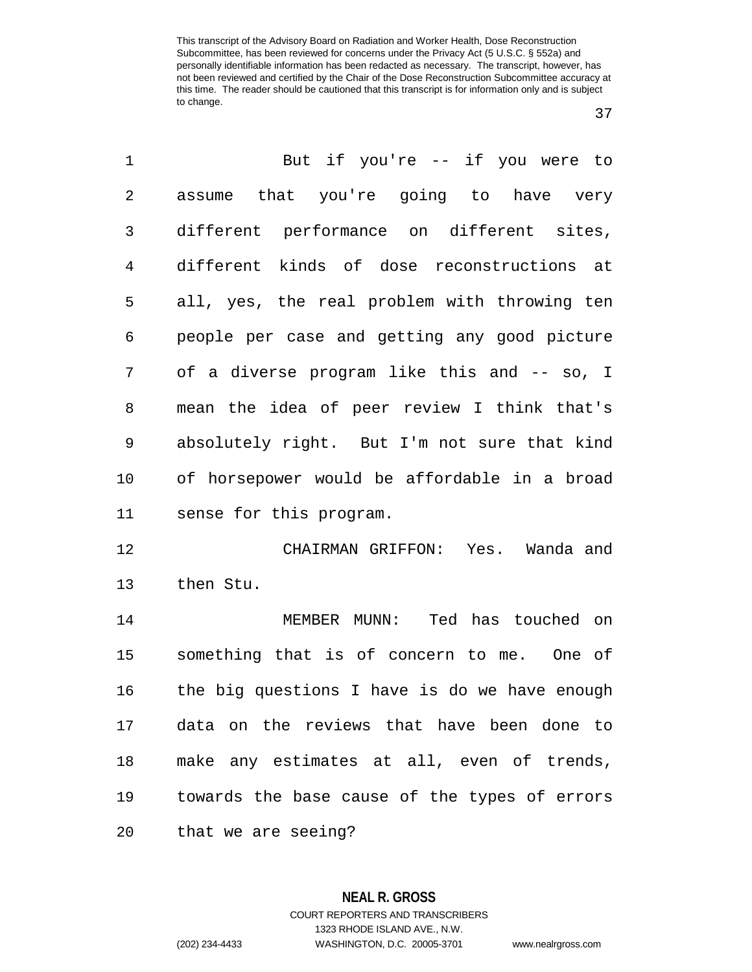| 1  | But if you're -- if you were to               |
|----|-----------------------------------------------|
| 2  | assume that you're going to have very         |
| 3  | different performance on different sites,     |
| 4  | different kinds of dose reconstructions at    |
| 5  | all, yes, the real problem with throwing ten  |
| 6  | people per case and getting any good picture  |
| 7  | of a diverse program like this and -- so, I   |
| 8  | mean the idea of peer review I think that's   |
| 9  | absolutely right. But I'm not sure that kind  |
| 10 | of horsepower would be affordable in a broad  |
| 11 | sense for this program.                       |
| 12 | CHAIRMAN GRIFFON: Yes. Wanda and              |
| 13 | then Stu.                                     |
| 14 | MEMBER MUNN: Ted has touched on               |
| 15 | something that is of concern to me. One of    |
| 16 | the big questions I have is do we have enough |
|    | 17 data on the reviews that have been done to |
| 18 | make any estimates at all, even of trends,    |
| 19 | towards the base cause of the types of errors |
| 20 | that we are seeing?                           |

**NEAL R. GROSS** COURT REPORTERS AND TRANSCRIBERS 1323 RHODE ISLAND AVE., N.W. (202) 234-4433 WASHINGTON, D.C. 20005-3701 www.nealrgross.com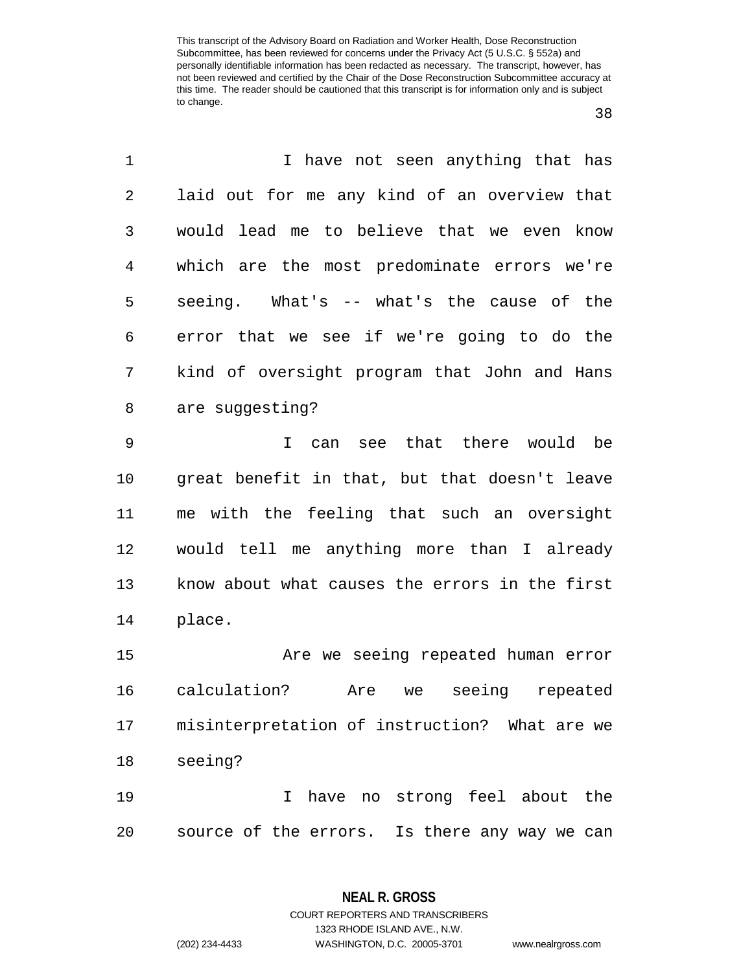| 1  | I have not seen anything that has               |
|----|-------------------------------------------------|
| 2  | laid out for me any kind of an overview that    |
| 3  | would lead me to believe that we even know      |
| 4  | which are the most predominate errors we're     |
| 5  | seeing. What's -- what's the cause of the       |
| 6  | error that we see if we're going to do the      |
| 7  | kind of oversight program that John and Hans    |
| 8  | are suggesting?                                 |
| 9  | see that there would be<br>I can                |
| 10 | great benefit in that, but that doesn't leave   |
| 11 | me with the feeling that such an oversight      |
| 12 | would tell me anything more than I already      |
| 13 | know about what causes the errors in the first  |
| 14 | place.                                          |
| 15 | Are we seeing repeated human error              |
| 16 | calculation?<br>seeing<br>Are<br>repeated<br>we |
| 17 | misinterpretation of instruction? What are we   |
| 18 | seeing?                                         |
| 19 | have no strong feel about the<br>I              |
| 20 | source of the errors. Is there any way we can   |

**NEAL R. GROSS** COURT REPORTERS AND TRANSCRIBERS 1323 RHODE ISLAND AVE., N.W.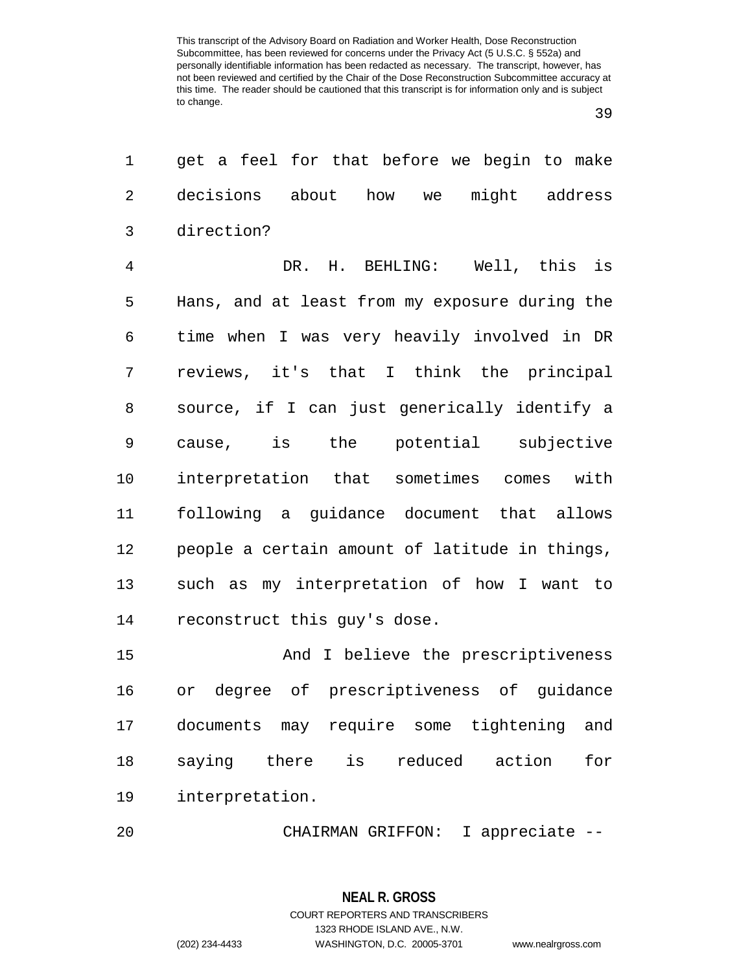| 1              | get a feel for that before we begin to make       |
|----------------|---------------------------------------------------|
| $\overline{2}$ | decisions about how we might address              |
| 3              | direction?                                        |
| $\overline{4}$ | DR. H. BEHLING: Well, this is                     |
| 5              | Hans, and at least from my exposure during the    |
| 6              | time when I was very heavily involved in DR       |
| 7              | reviews, it's that I think the principal          |
| 8              | source, if I can just generically identify a      |
| 9              | cause, is the potential subjective                |
| 10             | interpretation that sometimes comes with          |
| 11             | following a guidance document that allows         |
| 12             | people a certain amount of latitude in things,    |
| 13             | such as my interpretation of how I want to        |
| 14             | reconstruct this guy's dose.                      |
| 15             | And I believe the prescriptiveness                |
| 16             | or degree of prescriptiveness of guidance         |
| 17             | documents may require some tightening<br>and      |
| 18             | is<br>saying<br>reduced<br>action<br>there<br>for |
| 19             | interpretation.                                   |
| 20             | I appreciate --<br>CHAIRMAN GRIFFON:              |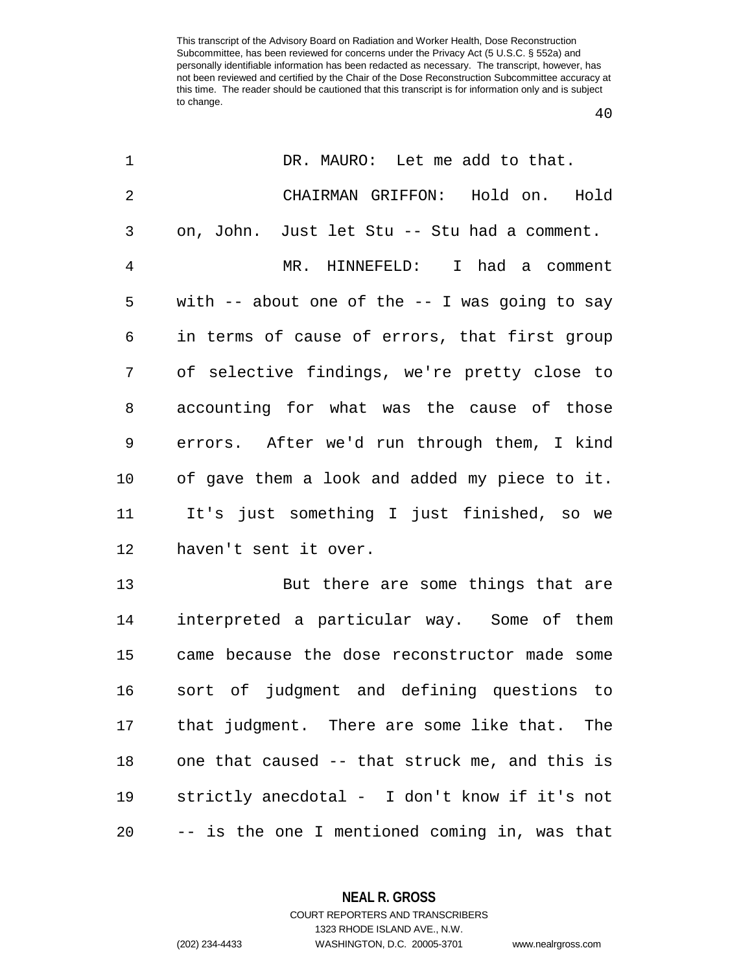| $\mathbf 1$    | DR. MAURO: Let me add to that.                   |
|----------------|--------------------------------------------------|
| $\overline{2}$ | CHAIRMAN GRIFFON: Hold on.<br>Hold               |
| 3              | on, John. Just let Stu -- Stu had a comment.     |
| 4              | MR. HINNEFELD: I had a comment                   |
| 5              | with $-$ about one of the $-$ I was going to say |
| 6              | in terms of cause of errors, that first group    |
| 7              | of selective findings, we're pretty close to     |
| 8              | accounting for what was the cause of those       |
| 9              | errors. After we'd run through them, I kind      |
| $10 \,$        | of gave them a look and added my piece to it.    |
| 11             | It's just something I just finished, so we       |
| 12             | haven't sent it over.                            |
| 13             | But there are some things that are               |
| 14             | interpreted a particular way. Some of them       |
| 15             | came because the dose reconstructor made some    |
| 16             | sort of judgment and defining questions to       |
| 17             | that judgment. There are some like that. The     |
| 18             | one that caused -- that struck me, and this is   |
| 19             | strictly anecdotal - I don't know if it's not    |
| 20             | -- is the one I mentioned coming in, was that    |

**NEAL R. GROSS** COURT REPORTERS AND TRANSCRIBERS

1323 RHODE ISLAND AVE., N.W. (202) 234-4433 WASHINGTON, D.C. 20005-3701 www.nealrgross.com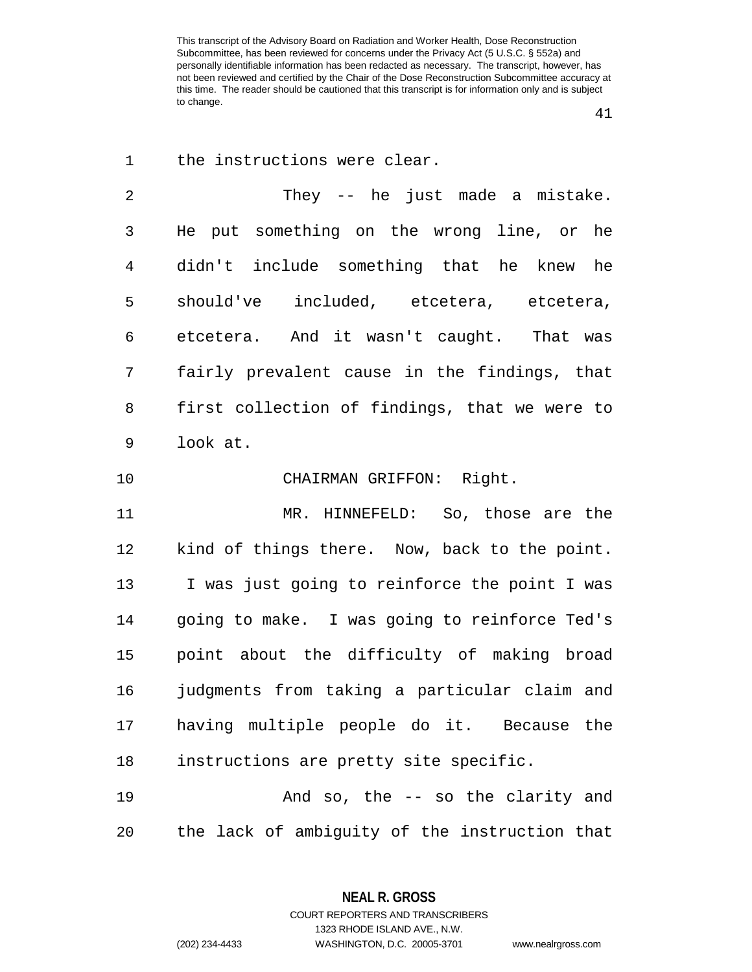the instructions were clear.

 They -- he just made a mistake. He put something on the wrong line, or he didn't include something that he knew he should've included, etcetera, etcetera, etcetera. And it wasn't caught. That was fairly prevalent cause in the findings, that first collection of findings, that we were to look at.

CHAIRMAN GRIFFON: Right.

 MR. HINNEFELD: So, those are the kind of things there. Now, back to the point. I was just going to reinforce the point I was going to make. I was going to reinforce Ted's point about the difficulty of making broad judgments from taking a particular claim and having multiple people do it. Because the instructions are pretty site specific.

 And so, the -- so the clarity and the lack of ambiguity of the instruction that

1323 RHODE ISLAND AVE., N.W.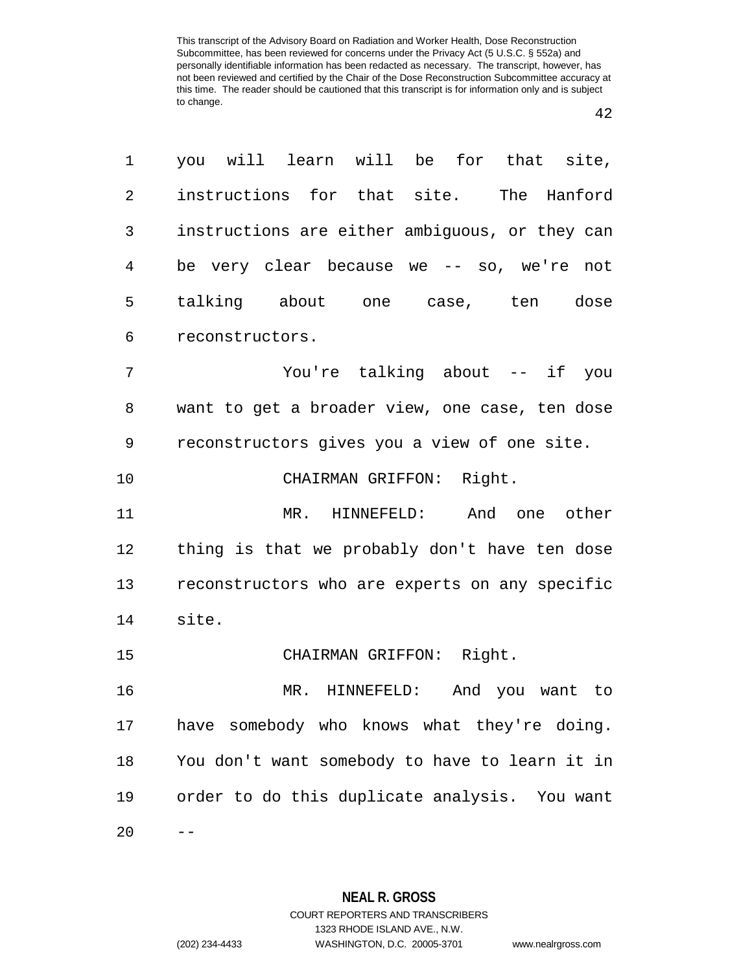| 1              | you will learn will be for that site,          |
|----------------|------------------------------------------------|
| $\overline{2}$ | instructions for that site. The Hanford        |
| 3              | instructions are either ambiguous, or they can |
| 4              | be very clear because we -- so, we're not      |
| 5              | talking about one case, ten dose               |
| 6              | reconstructors.                                |
| 7              | You're talking about -- if you                 |
| 8              | want to get a broader view, one case, ten dose |
| 9              | reconstructors gives you a view of one site.   |
| 10             | CHAIRMAN GRIFFON: Right.                       |
| 11             | MR. HINNEFELD: And one other                   |
| 12             | thing is that we probably don't have ten dose  |
| 13             | reconstructors who are experts on any specific |
| 14             | site.                                          |
| 15             | CHAIRMAN GRIFFON: Right.                       |
| 16             | MR. HINNEFELD: And you want to                 |
| 17             | have somebody who knows what they're doing.    |
| 18             | You don't want somebody to have to learn it in |
| 19             | order to do this duplicate analysis. You want  |
| 20             |                                                |

**NEAL R. GROSS** COURT REPORTERS AND TRANSCRIBERS

1323 RHODE ISLAND AVE., N.W.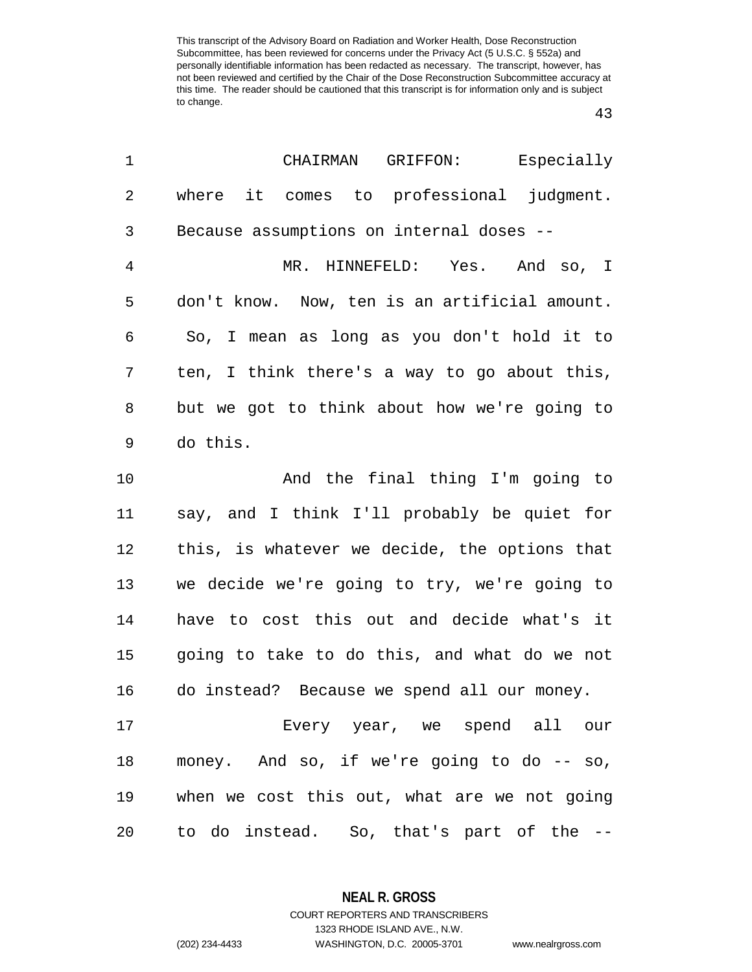| 1              | Especially<br>CHAIRMAN<br>GRIFFON:            |
|----------------|-----------------------------------------------|
| $\overline{2}$ | where it comes to professional judgment.      |
| 3              | Because assumptions on internal doses --      |
| $\overline{4}$ | MR. HINNEFELD: Yes. And so, I                 |
| 5              | don't know. Now, ten is an artificial amount. |
| 6              | So, I mean as long as you don't hold it to    |
| 7              | ten, I think there's a way to go about this,  |
| 8              | but we got to think about how we're going to  |
| 9              | do this.                                      |
| 10             | And the final thing I'm going to              |
| 11             | say, and I think I'll probably be quiet for   |
| 12             | this, is whatever we decide, the options that |
| 13             | we decide we're going to try, we're going to  |
| 14             | have to cost this out and decide what's it    |
| 15             | going to take to do this, and what do we not  |
| 16             | do instead? Because we spend all our money.   |
| 17             | Every year, we spend all our                  |
| 18             | money. And so, if we're going to do -- so,    |
| 19             | when we cost this out, what are we not going  |
| 20             | to do instead. So, that's part of the --      |

**NEAL R. GROSS**

COURT REPORTERS AND TRANSCRIBERS 1323 RHODE ISLAND AVE., N.W. (202) 234-4433 WASHINGTON, D.C. 20005-3701 www.nealrgross.com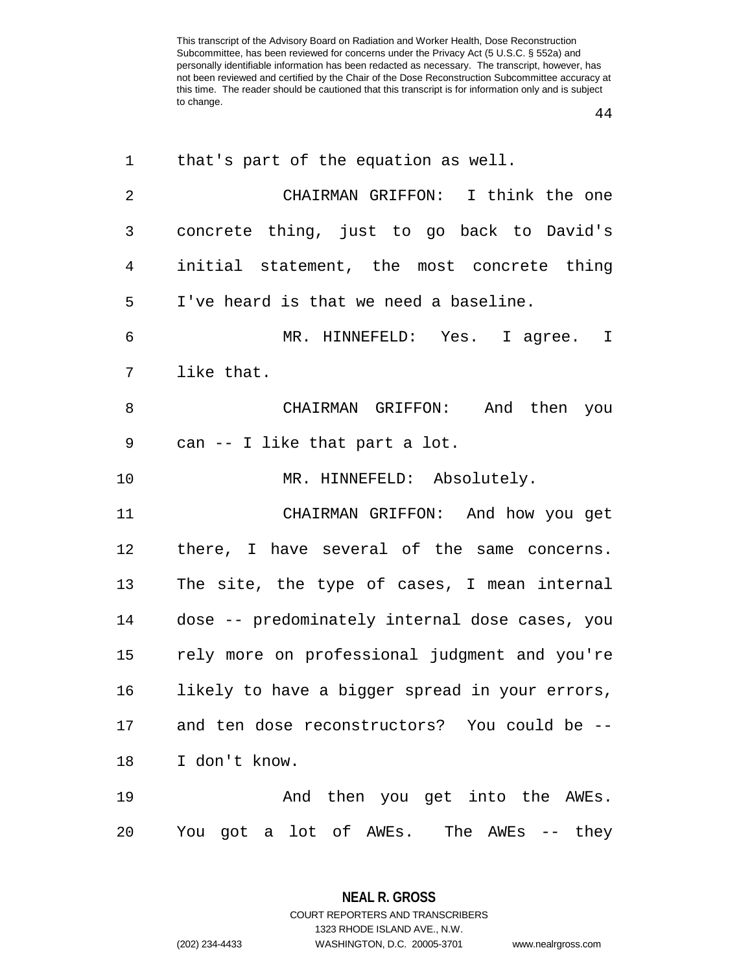| 1              | that's part of the equation as well.           |
|----------------|------------------------------------------------|
| $\overline{2}$ | CHAIRMAN GRIFFON: I think the one              |
| 3              | concrete thing, just to go back to David's     |
| 4              | initial statement, the most concrete thing     |
| 5              | I've heard is that we need a baseline.         |
| 6              | MR. HINNEFELD: Yes. I agree. I                 |
| 7              | like that.                                     |
| 8              | CHAIRMAN GRIFFON: And then you                 |
| 9              | can -- I like that part a lot.                 |
| 10             | MR. HINNEFELD: Absolutely.                     |
| 11             | CHAIRMAN GRIFFON: And how you get              |
| 12             | there, I have several of the same concerns.    |
| 13             | The site, the type of cases, I mean internal   |
| 14             | dose -- predominately internal dose cases, you |
| 15             | rely more on professional judgment and you're  |
| 16             | likely to have a bigger spread in your errors, |
| 17             | and ten dose reconstructors? You could be --   |
| 18             | I don't know.                                  |
| 19             | And then you get into the AWEs.                |
| 20             | You got a lot of AWEs. The AWEs -- they        |

**NEAL R. GROSS** COURT REPORTERS AND TRANSCRIBERS 1323 RHODE ISLAND AVE., N.W. (202) 234-4433 WASHINGTON, D.C. 20005-3701 www.nealrgross.com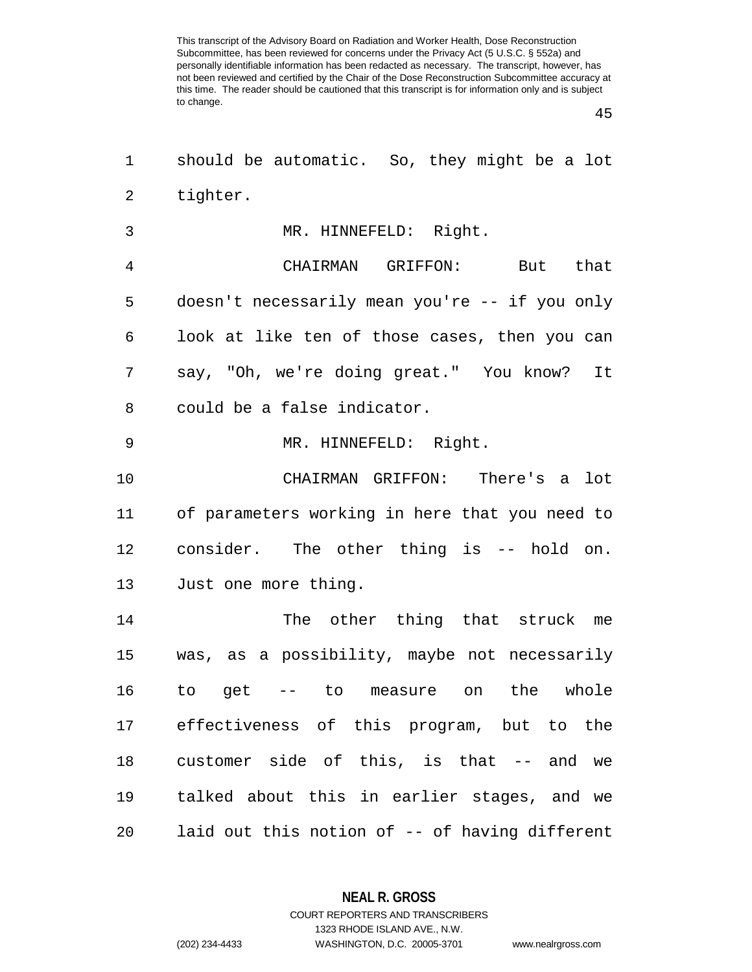| 1  | should be automatic. So, they might be a lot   |
|----|------------------------------------------------|
| 2  | tighter.                                       |
| 3  | MR. HINNEFELD: Right.                          |
| 4  | CHAIRMAN GRIFFON: But that                     |
| 5  | doesn't necessarily mean you're -- if you only |
| 6  | look at like ten of those cases, then you can  |
| 7  | say, "Oh, we're doing great." You know? It     |
| 8  | could be a false indicator.                    |
| 9  | MR. HINNEFELD: Right.                          |
| 10 | CHAIRMAN GRIFFON: There's a lot                |
| 11 | of parameters working in here that you need to |
| 12 | consider. The other thing is -- hold on.       |
| 13 | Just one more thing.                           |
| 14 | The other thing that struck me                 |
| 15 | was, as a possibility, maybe not necessarily   |
| 16 | to get -- to measure on the whole              |
| 17 | effectiveness of this program, but to the      |
| 18 | customer side of this, is that -- and we       |
| 19 | talked about this in earlier stages, and we    |
| 20 | laid out this notion of -- of having different |

**NEAL R. GROSS** COURT REPORTERS AND TRANSCRIBERS

1323 RHODE ISLAND AVE., N.W. (202) 234-4433 WASHINGTON, D.C. 20005-3701 www.nealrgross.com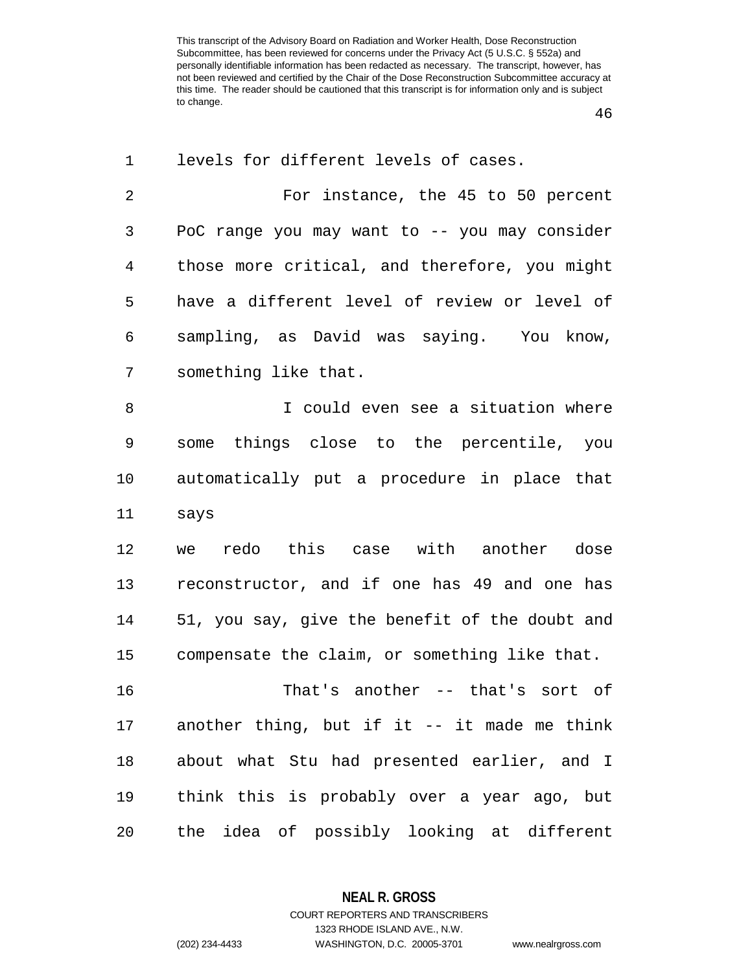| 1           | levels for different levels of cases.          |
|-------------|------------------------------------------------|
| 2           | For instance, the 45 to 50 percent             |
| 3           | PoC range you may want to -- you may consider  |
| 4           | those more critical, and therefore, you might  |
| 5           | have a different level of review or level of   |
| 6           | sampling, as David was saying. You know,       |
| 7           | something like that.                           |
| 8           | I could even see a situation where             |
| $\mathsf 9$ | some things close to the percentile, you       |
| 10          | automatically put a procedure in place that    |
| 11          | says                                           |
| 12          | redo this case with another dose<br>we         |
| 13          | reconstructor, and if one has 49 and one has   |
| 14          | 51, you say, give the benefit of the doubt and |
| 15          | compensate the claim, or something like that.  |
| 16          | That's another -- that's sort of               |
| 17          | another thing, but if it -- it made me think   |
| 18          | about what Stu had presented earlier, and I    |
| 19          | think this is probably over a year ago, but    |
| 20          | the idea of possibly looking at different      |

**NEAL R. GROSS**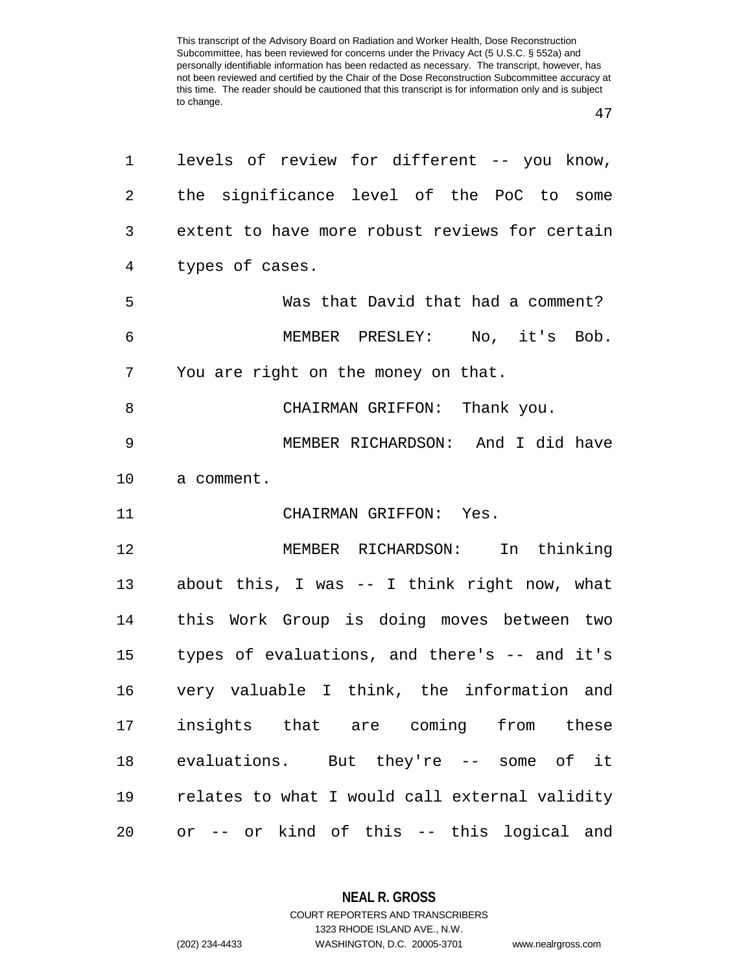| 1               | levels of review for different -- you know,    |
|-----------------|------------------------------------------------|
| $\overline{2}$  | the significance level of the PoC to some      |
| 3               | extent to have more robust reviews for certain |
| $\overline{4}$  | types of cases.                                |
| 5               | Was that David that had a comment?             |
| 6               | MEMBER PRESLEY: No, it's Bob.                  |
| 7               | You are right on the money on that.            |
| 8               | CHAIRMAN GRIFFON: Thank you.                   |
| 9               | MEMBER RICHARDSON: And I did have              |
| $10 \,$         | a comment.                                     |
| 11              | CHAIRMAN GRIFFON: Yes.                         |
| 12              | MEMBER RICHARDSON: In thinking                 |
| 13              | about this, I was -- I think right now, what   |
| 14              | this Work Group is doing moves between two     |
| 15 <sub>1</sub> | types of evaluations, and there's -- and it's  |
| 16              | very valuable I think, the information and     |
| 17              | insights that are coming from these            |
| 18              | evaluations. But they're -- some of it         |
| 19              | relates to what I would call external validity |
| 20              | or -- or kind of this -- this logical and      |

**NEAL R. GROSS** COURT REPORTERS AND TRANSCRIBERS

1323 RHODE ISLAND AVE., N.W.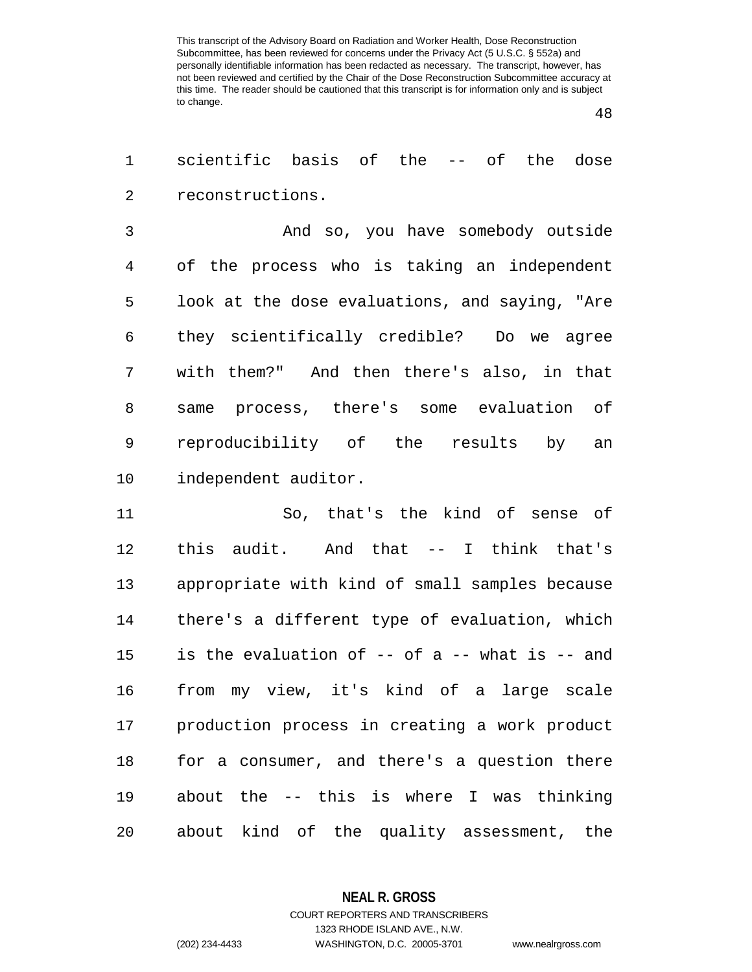scientific basis of the -- of the dose reconstructions.

 And so, you have somebody outside of the process who is taking an independent look at the dose evaluations, and saying, "Are they scientifically credible? Do we agree with them?" And then there's also, in that same process, there's some evaluation of reproducibility of the results by an independent auditor.

 So, that's the kind of sense of this audit. And that -- I think that's appropriate with kind of small samples because there's a different type of evaluation, which is the evaluation of -- of a -- what is -- and from my view, it's kind of a large scale production process in creating a work product for a consumer, and there's a question there about the -- this is where I was thinking about kind of the quality assessment, the

**NEAL R. GROSS**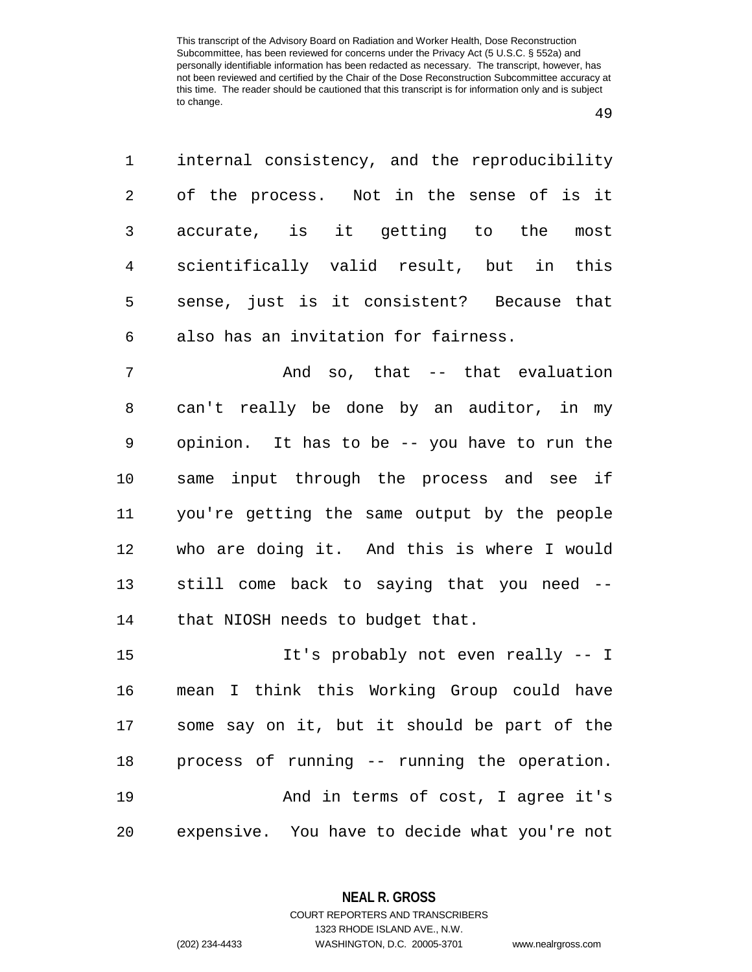| 1              | internal consistency, and the reproducibility  |
|----------------|------------------------------------------------|
| $\overline{2}$ | of the process. Not in the sense of is it      |
| 3              | accurate, is it getting to the most            |
| 4              | scientifically valid result, but in this       |
| 5              | sense, just is it consistent? Because that     |
| 6              | also has an invitation for fairness.           |
| 7              | And so, that -- that evaluation                |
| $\,8\,$        | can't really be done by an auditor, in my      |
| 9              | opinion. It has to be -- you have to run the   |
| 10             | same input through the process and see if      |
| 11             | you're getting the same output by the people   |
|                | 12 who are doing it. And this is where I would |
| 13             | still come back to saying that you need --     |

that NIOSH needs to budget that.

 It's probably not even really -- I mean I think this Working Group could have some say on it, but it should be part of the process of running -- running the operation. 19 And in terms of cost, I agree it's expensive. You have to decide what you're not

> **NEAL R. GROSS** COURT REPORTERS AND TRANSCRIBERS

> > 1323 RHODE ISLAND AVE., N.W.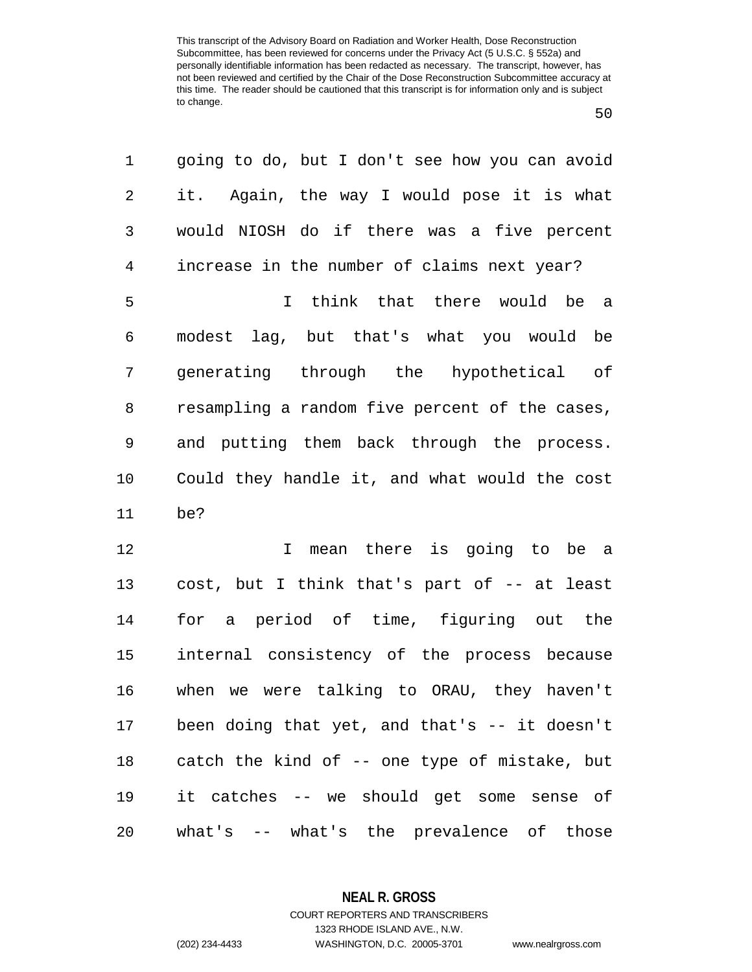| 1              | going to do, but I don't see how you can avoid |
|----------------|------------------------------------------------|
| 2              | it. Again, the way I would pose it is what     |
| 3              | would NIOSH do if there was a five percent     |
| $\overline{4}$ | increase in the number of claims next year?    |
| 5              | I think that there would be a                  |
| 6              | modest lag, but that's what you would be       |
| 7              | generating through the hypothetical of         |
| 8              | resampling a random five percent of the cases, |
| 9              | and putting them back through the process.     |
| 10             | Could they handle it, and what would the cost  |
| 11             | be?                                            |
| 12             | mean there is going to be a<br>$\mathbf{I}$    |
| 13             | cost, but I think that's part of -- at least   |
| 14             | for a period of time, figuring out the         |
| 15             | internal consistency of the process because    |
| 16             | when we were talking to ORAU, they haven't     |
| 17             | been doing that yet, and that's $-$ it doesn't |
| 18             | catch the kind of -- one type of mistake, but  |
| 19             | it catches -- we should get some sense of      |
| 20             | what's -- what's the prevalence of those       |

**NEAL R. GROSS**

COURT REPORTERS AND TRANSCRIBERS 1323 RHODE ISLAND AVE., N.W. (202) 234-4433 WASHINGTON, D.C. 20005-3701 www.nealrgross.com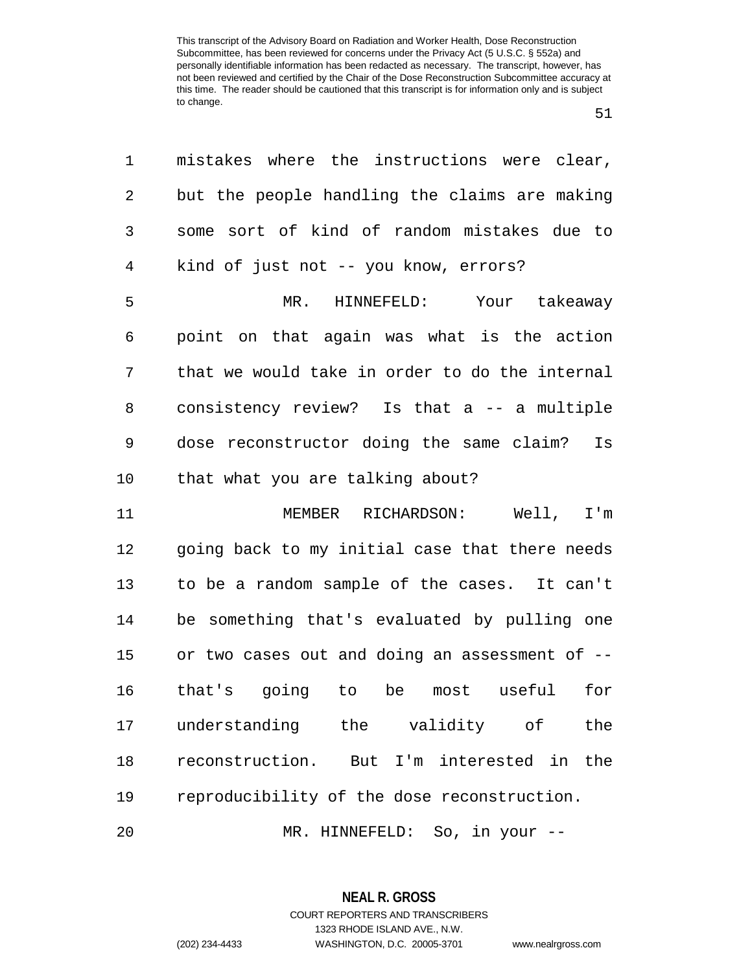| 1              | mistakes where the instructions were clear,    |
|----------------|------------------------------------------------|
| 2              | but the people handling the claims are making  |
| 3              | some sort of kind of random mistakes due to    |
| $\overline{4}$ | kind of just not -- you know, errors?          |
| 5              | MR. HINNEFELD: Your takeaway                   |
| 6              | point on that again was what is the action     |
| 7              | that we would take in order to do the internal |
| 8              | consistency review? Is that a -- a multiple    |
| 9              | dose reconstructor doing the same claim? Is    |
| 10             | that what you are talking about?               |
| 11             | MEMBER RICHARDSON: Well, I'm                   |
| 12             | going back to my initial case that there needs |
| 13             | to be a random sample of the cases. It can't   |
| 14             | be something that's evaluated by pulling one   |
| 15             | or two cases out and doing an assessment of -- |
| 16             | that's going to be<br>most useful<br>for       |
| 17             | understanding the validity of<br>the           |
| 18             | reconstruction. But I'm interested in<br>the   |
| 19             | reproducibility of the dose reconstruction.    |
| 20             | MR. HINNEFELD: So, in your --                  |

**NEAL R. GROSS** COURT REPORTERS AND TRANSCRIBERS

1323 RHODE ISLAND AVE., N.W.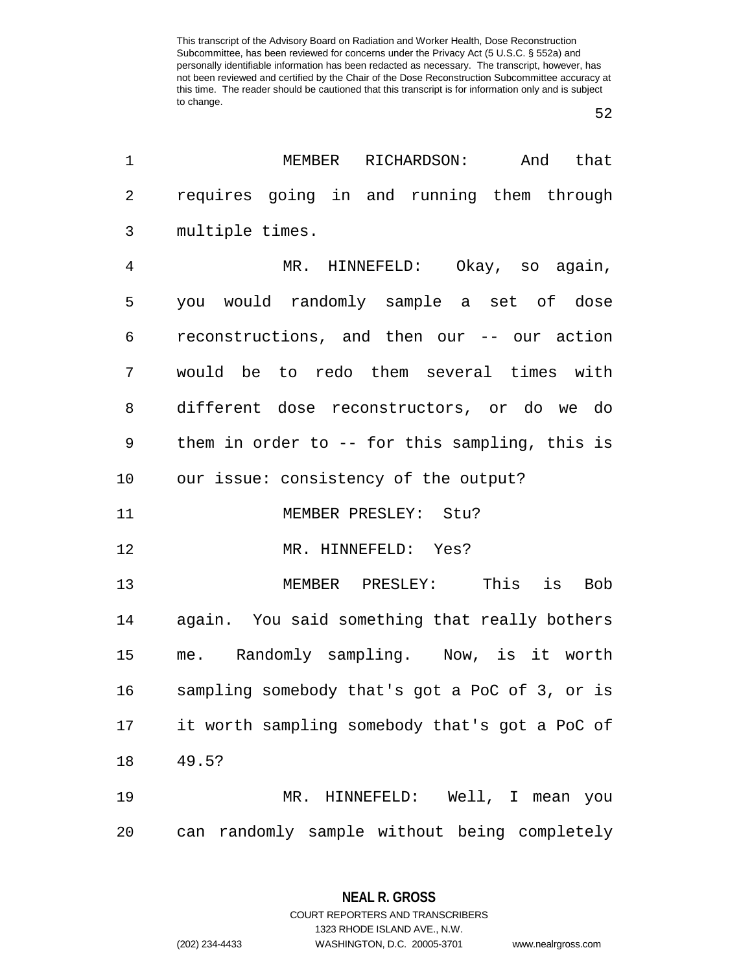| 1              | MEMBER<br>RICHARDSON:<br>And<br>that           |
|----------------|------------------------------------------------|
| $\sqrt{2}$     | requires going in and running them through     |
| 3              | multiple times.                                |
| $\overline{4}$ | MR. HINNEFELD: Okay, so again,                 |
| 5              | you would randomly sample a set of dose        |
| 6              | reconstructions, and then our -- our action    |
| 7              | would be to redo them several times with       |
| 8              | different dose reconstructors, or do we do     |
| 9              | them in order to -- for this sampling, this is |
| 10             | our issue: consistency of the output?          |
| 11             | MEMBER PRESLEY: Stu?                           |
| 12             | MR. HINNEFELD: Yes?                            |
| 13             | MEMBER PRESLEY: This is<br><b>Bob</b>          |
| 14             | again. You said something that really bothers  |
| 15             | me. Randomly sampling. Now, is it worth        |
| 16             | sampling somebody that's got a PoC of 3, or is |
| 17             | it worth sampling somebody that's got a PoC of |
| 18             | 49.5?                                          |
| 19             | MR. HINNEFELD: Well, I mean you                |
| 20             | can randomly sample without being completely   |

**NEAL R. GROSS** COURT REPORTERS AND TRANSCRIBERS

1323 RHODE ISLAND AVE., N.W. (202) 234-4433 WASHINGTON, D.C. 20005-3701 www.nealrgross.com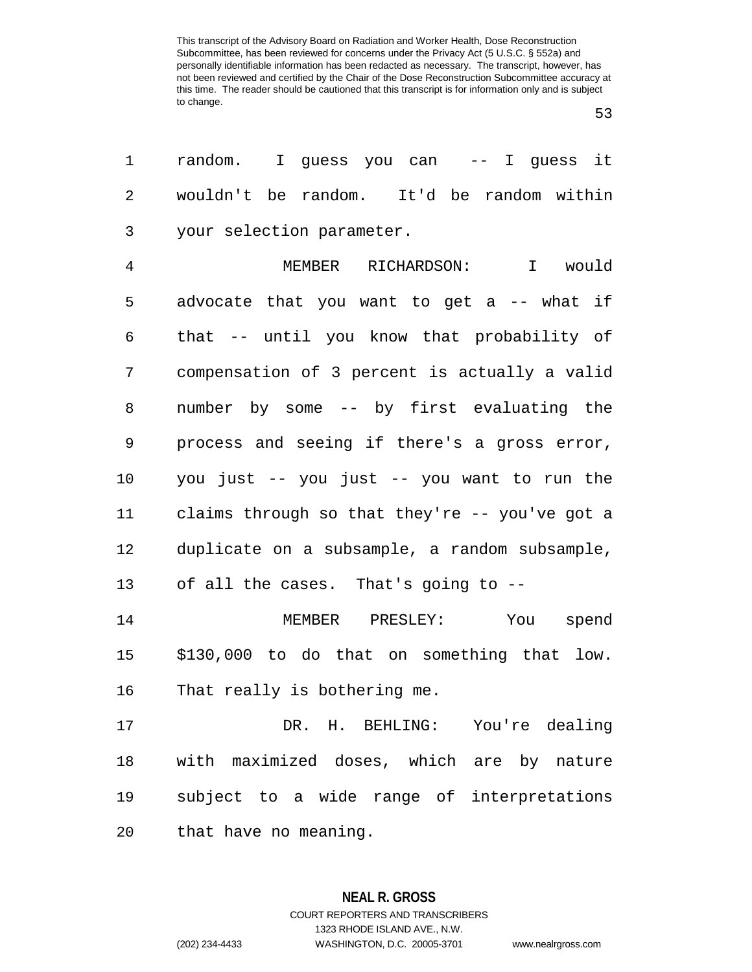| 1              | random. I guess you can  -- I guess it         |
|----------------|------------------------------------------------|
| 2              | wouldn't be random. It'd be random within      |
| 3              | your selection parameter.                      |
| $\overline{4}$ | MEMBER RICHARDSON:<br>I would                  |
| 5              | advocate that you want to get a -- what if     |
| 6              | that -- until you know that probability of     |
| 7              | compensation of 3 percent is actually a valid  |
| 8              | number by some -- by first evaluating the      |
| 9              | process and seeing if there's a gross error,   |
| 10             | you just -- you just -- you want to run the    |
| 11             | claims through so that they're -- you've got a |
| 12             | duplicate on a subsample, a random subsample,  |
| 13             | of all the cases. That's going to --           |
| 14             | You spend<br>MEMBER PRESLEY:                   |
| 15             | \$130,000 to do that on something that low.    |
| 16             | That really is bothering me.                   |
| 17             | DR. H. BEHLING: You're dealing                 |
| 18             | with maximized doses, which are by nature      |
| 19             | subject to a wide range of interpretations     |
| 20             | that have no meaning.                          |

**NEAL R. GROSS** COURT REPORTERS AND TRANSCRIBERS 1323 RHODE ISLAND AVE., N.W. (202) 234-4433 WASHINGTON, D.C. 20005-3701 www.nealrgross.com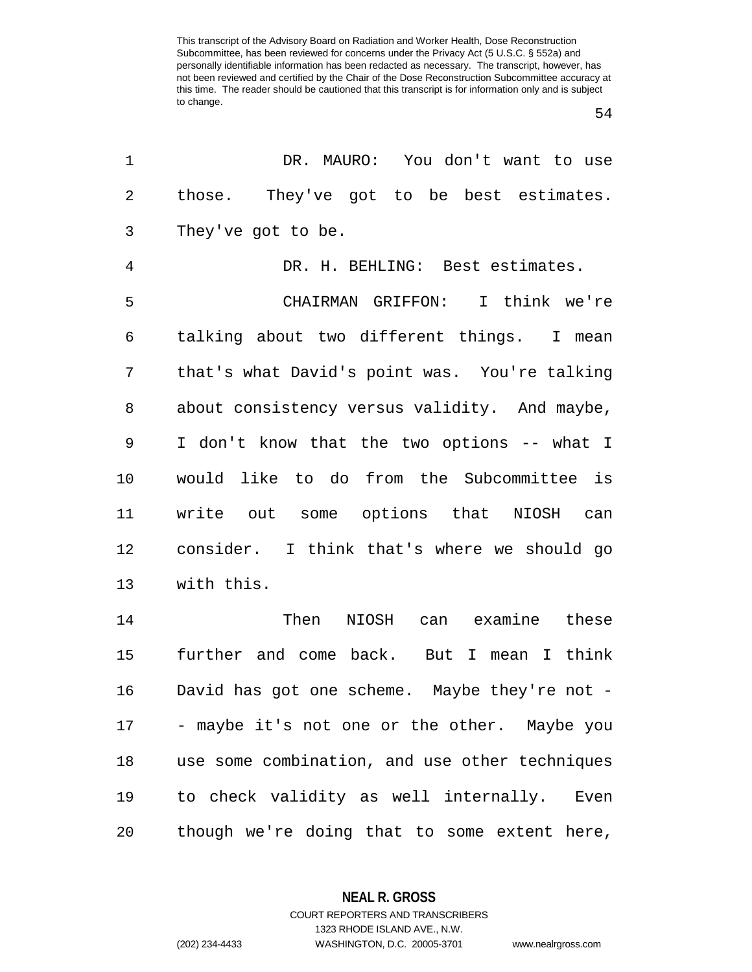| 1              | DR. MAURO: You don't want to use               |
|----------------|------------------------------------------------|
| $\overline{2}$ | those. They've got to be best estimates.       |
| 3              | They've got to be.                             |
| $\overline{4}$ | DR. H. BEHLING: Best estimates.                |
| 5              | CHAIRMAN GRIFFON: I think we're                |
| 6              | talking about two different things. I mean     |
| 7              | that's what David's point was. You're talking  |
| 8              | about consistency versus validity. And maybe,  |
| 9              | I don't know that the two options -- what I    |
| 10             | would like to do from the Subcommittee is      |
| 11             | write out some options that NIOSH can          |
| 12             | consider. I think that's where we should go    |
| 13             | with this.                                     |
| 14             | Then<br>NIOSH can examine these                |
| 15             | further and come back. But I mean I think      |
| 16             | David has got one scheme. Maybe they're not -  |
| 17             | - maybe it's not one or the other. Maybe you   |
| 18             | use some combination, and use other techniques |
| 19             | to check validity as well internally.<br>Even  |
| 20             | though we're doing that to some extent here,   |

**NEAL R. GROSS**

COURT REPORTERS AND TRANSCRIBERS 1323 RHODE ISLAND AVE., N.W. (202) 234-4433 WASHINGTON, D.C. 20005-3701 www.nealrgross.com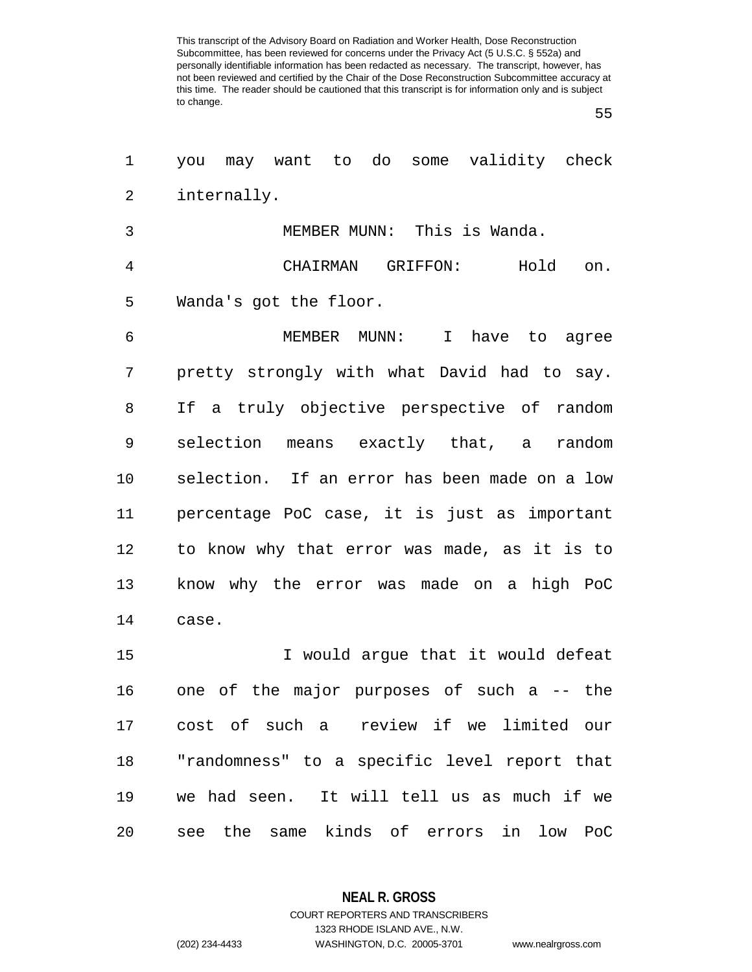| 1              | you may want to do some validity check        |
|----------------|-----------------------------------------------|
| 2              | internally.                                   |
| 3              | MEMBER MUNN: This is Wanda.                   |
| $\overline{4}$ | CHAIRMAN GRIFFON:<br>Hold on.                 |
| 5              | Wanda's got the floor.                        |
| 6              | MEMBER MUNN: I have to agree                  |
| 7              | pretty strongly with what David had to say.   |
| 8              | If a truly objective perspective of random    |
| 9              | selection means exactly that, a random        |
| 10             | selection. If an error has been made on a low |
| 11             | percentage PoC case, it is just as important  |
| 12             | to know why that error was made, as it is to  |
| 13             | know why the error was made on a high PoC     |
| 14             | case.                                         |
| 15             | I would argue that it would defeat            |
| 16             | one of the major purposes of such a -- the    |
| 17             | cost of such a review if we limited our       |
| 18             | "randomness" to a specific level report that  |
| 19             | we had seen. It will tell us as much if we    |
| 20             | see the same kinds of errors in low PoC       |

**NEAL R. GROSS**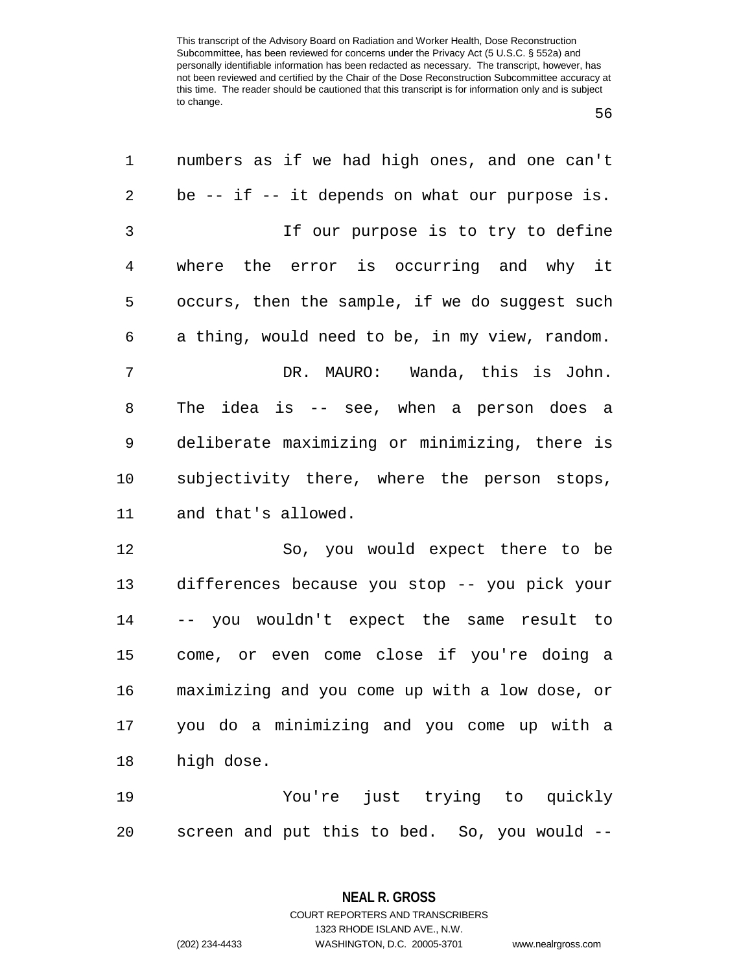| 1              | numbers as if we had high ones, and one can't      |
|----------------|----------------------------------------------------|
| 2              | be $--$ if $--$ it depends on what our purpose is. |
| $\mathfrak{Z}$ | If our purpose is to try to define                 |
| 4              | where the error is occurring and why it            |
| 5              | occurs, then the sample, if we do suggest such     |
| 6              | a thing, would need to be, in my view, random.     |
| 7              | DR. MAURO: Wanda, this is John.                    |
| 8              | The idea is -- see, when a person does a           |
| 9              | deliberate maximizing or minimizing, there is      |
| 10             | subjectivity there, where the person stops,        |
| 11             | and that's allowed.                                |
| 12             | So, you would expect there to be                   |
| 13             | differences because you stop -- you pick your      |
| 14             | -- you wouldn't expect the same result to          |
| 15             | come, or even come close if you're doing a         |
| 16             | maximizing and you come up with a low dose, or     |
| 17             | you do a minimizing and you come up with a         |
| 18             | high dose.                                         |
| 19             | You're just trying to quickly                      |
| 20             | screen and put this to bed. So, you would --       |

**NEAL R. GROSS** COURT REPORTERS AND TRANSCRIBERS

1323 RHODE ISLAND AVE., N.W.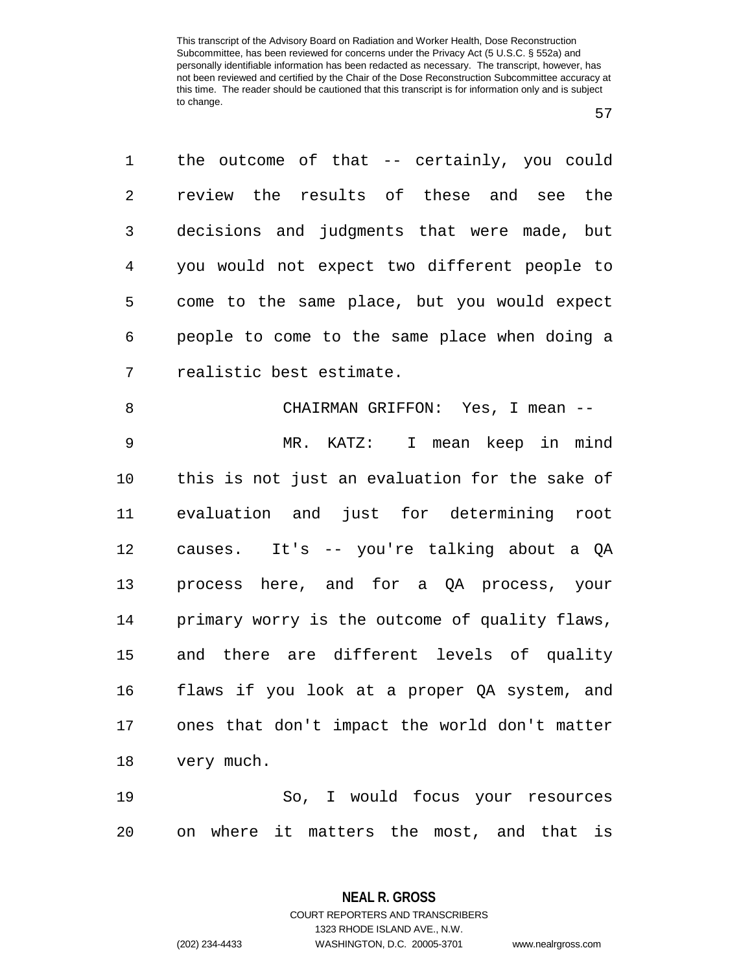| 1              | the outcome of that -- certainly, you could    |
|----------------|------------------------------------------------|
| $\overline{2}$ | review the results of these and see the        |
| 3              | decisions and judgments that were made, but    |
| 4              | you would not expect two different people to   |
| 5              | come to the same place, but you would expect   |
| 6              | people to come to the same place when doing a  |
| 7              | realistic best estimate.                       |
| 8              | CHAIRMAN GRIFFON: Yes, I mean --               |
| 9              | MR. KATZ: I mean keep in mind                  |
| 10             | this is not just an evaluation for the sake of |
| 11             | evaluation and just for determining root       |
| 12             | causes. It's -- you're talking about a QA      |
| 13             | process here, and for a QA process, your       |
| 14             | primary worry is the outcome of quality flaws, |
| 15             | and there are different levels of quality      |
| 16             | flaws if you look at a proper QA system, and   |
| 17             | ones that don't impact the world don't matter  |
| 18             | very much.                                     |
| 19             | So, I would focus your resources               |
|                |                                                |

on where it matters the most, and that is

**NEAL R. GROSS** COURT REPORTERS AND TRANSCRIBERS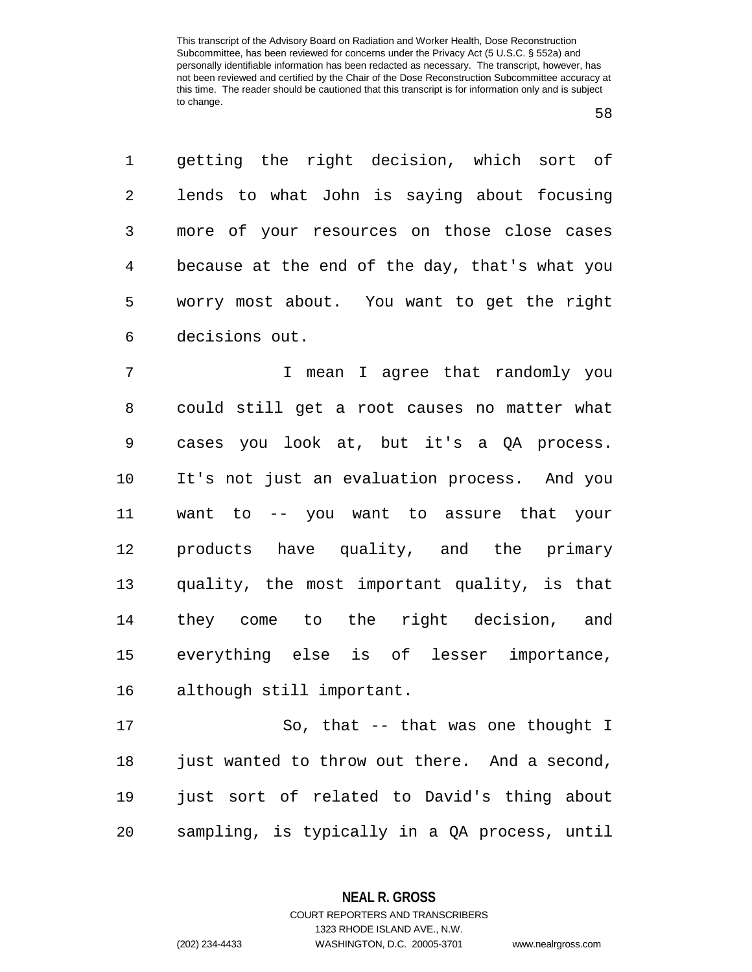getting the right decision, which sort of lends to what John is saying about focusing more of your resources on those close cases because at the end of the day, that's what you worry most about. You want to get the right decisions out.

 I mean I agree that randomly you could still get a root causes no matter what cases you look at, but it's a QA process. It's not just an evaluation process. And you want to -- you want to assure that your products have quality, and the primary quality, the most important quality, is that they come to the right decision, and everything else is of lesser importance, although still important.

17 So, that -- that was one thought I 18 just wanted to throw out there. And a second, just sort of related to David's thing about sampling, is typically in a QA process, until

> **NEAL R. GROSS** COURT REPORTERS AND TRANSCRIBERS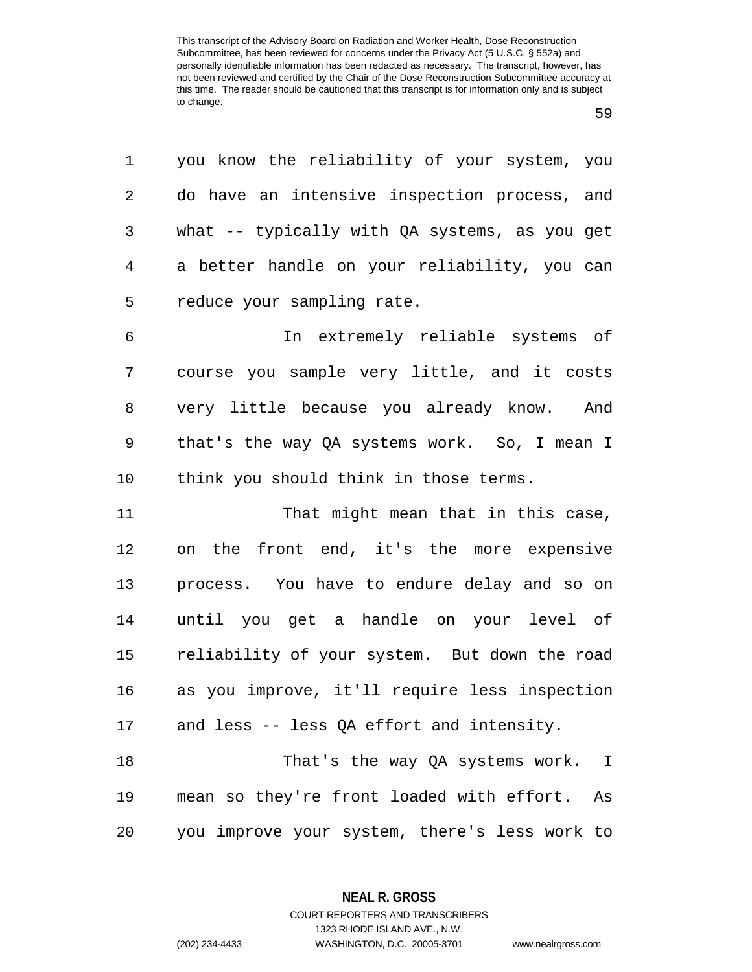| 1              | you know the reliability of your system, you  |
|----------------|-----------------------------------------------|
| $\overline{2}$ | do have an intensive inspection process, and  |
| 3              | what -- typically with QA systems, as you get |
| 4              | a better handle on your reliability, you can  |
| 5              | reduce your sampling rate.                    |
| б              | In extremely reliable systems of              |
| 7              | course you sample very little, and it costs   |
| 8              | very little because you already know. And     |
| 9              | that's the way QA systems work. So, I mean I  |
| 10             | think you should think in those terms.        |
| 11             | That might mean that in this case,            |
| 12             | on the front end, it's the more expensive     |
| 13             | process. You have to endure delay and so on   |
| 14             | until you get a handle on your level of       |
| 15             | reliability of your system. But down the road |
| 16             | as you improve, it'll require less inspection |
| 17             | and less -- less QA effort and intensity.     |

18 That's the way QA systems work. I mean so they're front loaded with effort. As you improve your system, there's less work to

> **NEAL R. GROSS** COURT REPORTERS AND TRANSCRIBERS

> > 1323 RHODE ISLAND AVE., N.W.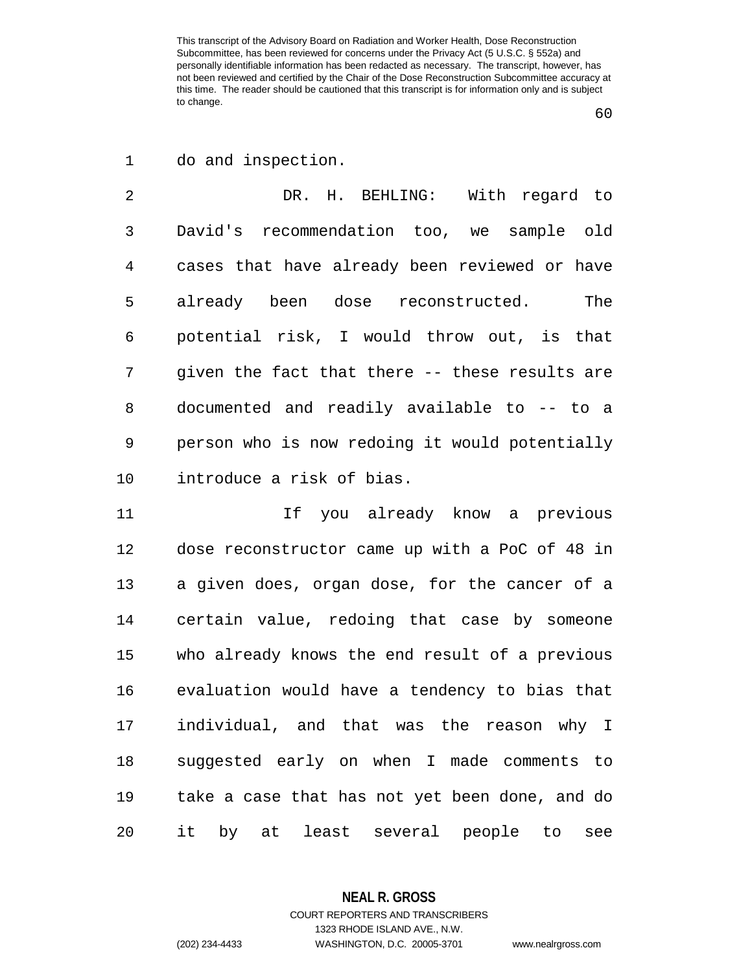do and inspection.

 DR. H. BEHLING: With regard to David's recommendation too, we sample old cases that have already been reviewed or have already been dose reconstructed. The potential risk, I would throw out, is that given the fact that there -- these results are documented and readily available to -- to a person who is now redoing it would potentially introduce a risk of bias.

 If you already know a previous dose reconstructor came up with a PoC of 48 in a given does, organ dose, for the cancer of a certain value, redoing that case by someone who already knows the end result of a previous evaluation would have a tendency to bias that individual, and that was the reason why I suggested early on when I made comments to take a case that has not yet been done, and do it by at least several people to see

**NEAL R. GROSS**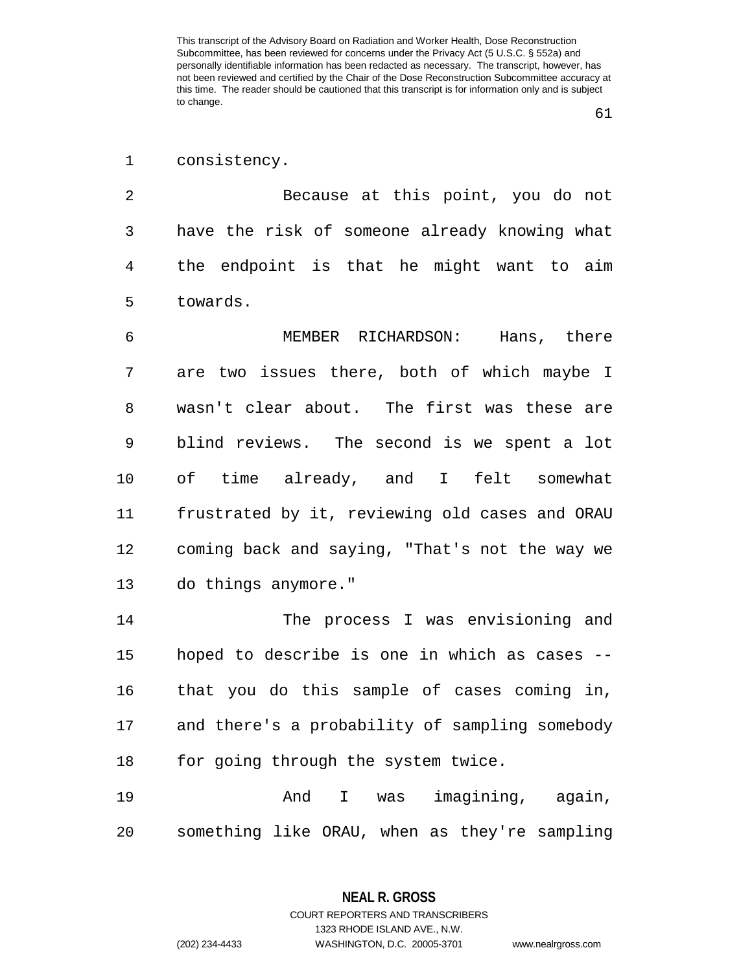consistency.

 Because at this point, you do not have the risk of someone already knowing what the endpoint is that he might want to aim towards.

 MEMBER RICHARDSON: Hans, there are two issues there, both of which maybe I wasn't clear about. The first was these are blind reviews. The second is we spent a lot of time already, and I felt somewhat frustrated by it, reviewing old cases and ORAU coming back and saying, "That's not the way we do things anymore."

 The process I was envisioning and hoped to describe is one in which as cases -- that you do this sample of cases coming in, and there's a probability of sampling somebody 18 for going through the system twice.

 And I was imagining, again, something like ORAU, when as they're sampling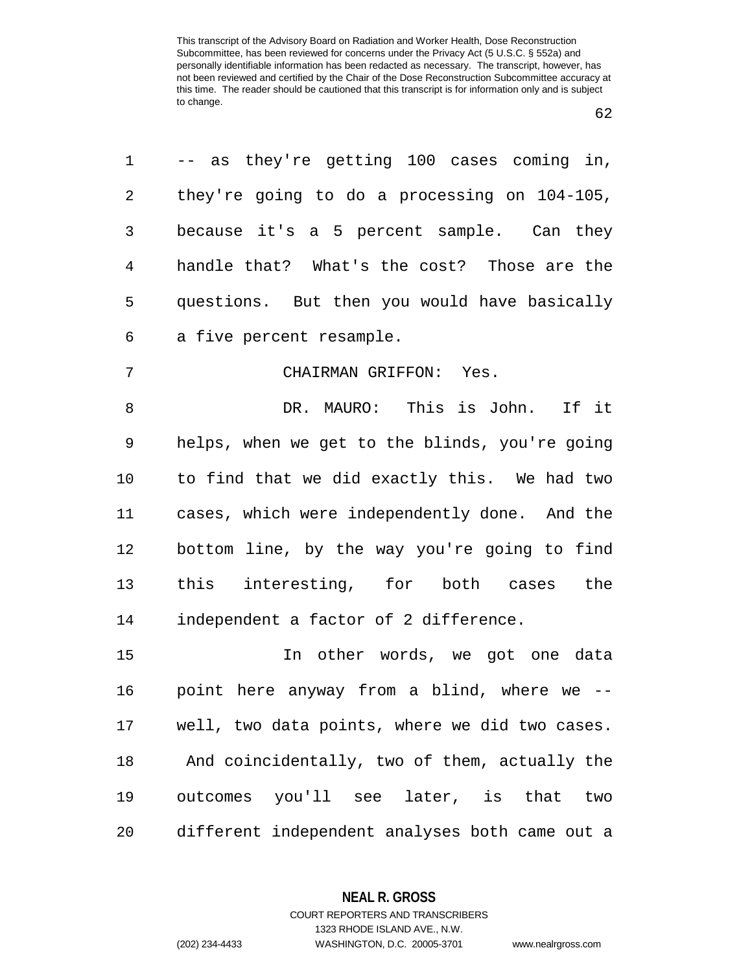| 1              | -- as they're getting 100 cases coming in,     |
|----------------|------------------------------------------------|
| 2              | they're going to do a processing on 104-105,   |
| 3              | because it's a 5 percent sample. Can they      |
| $\overline{4}$ | handle that? What's the cost? Those are the    |
| 5              | questions. But then you would have basically   |
| 6              | a five percent resample.                       |
| 7              | CHAIRMAN GRIFFON: Yes.                         |
| 8              | DR. MAURO: This is John.<br>If it              |
| $\mathsf 9$    | helps, when we get to the blinds, you're going |
| 10             | to find that we did exactly this. We had two   |
| 11             | cases, which were independently done. And the  |
| 12             | bottom line, by the way you're going to find   |
| 13             | this interesting, for both cases the           |
| 14             | independent a factor of 2 difference.          |
| 15             | In other words, we got one data                |
| 16             | point here anyway from a blind, where we --    |
| 17             | well, two data points, where we did two cases. |
| 18             | And coincidentally, two of them, actually the  |
| 19             | outcomes you'll see later, is that<br>two      |
| 20             | different independent analyses both came out a |

**NEAL R. GROSS**

COURT REPORTERS AND TRANSCRIBERS 1323 RHODE ISLAND AVE., N.W. (202) 234-4433 WASHINGTON, D.C. 20005-3701 www.nealrgross.com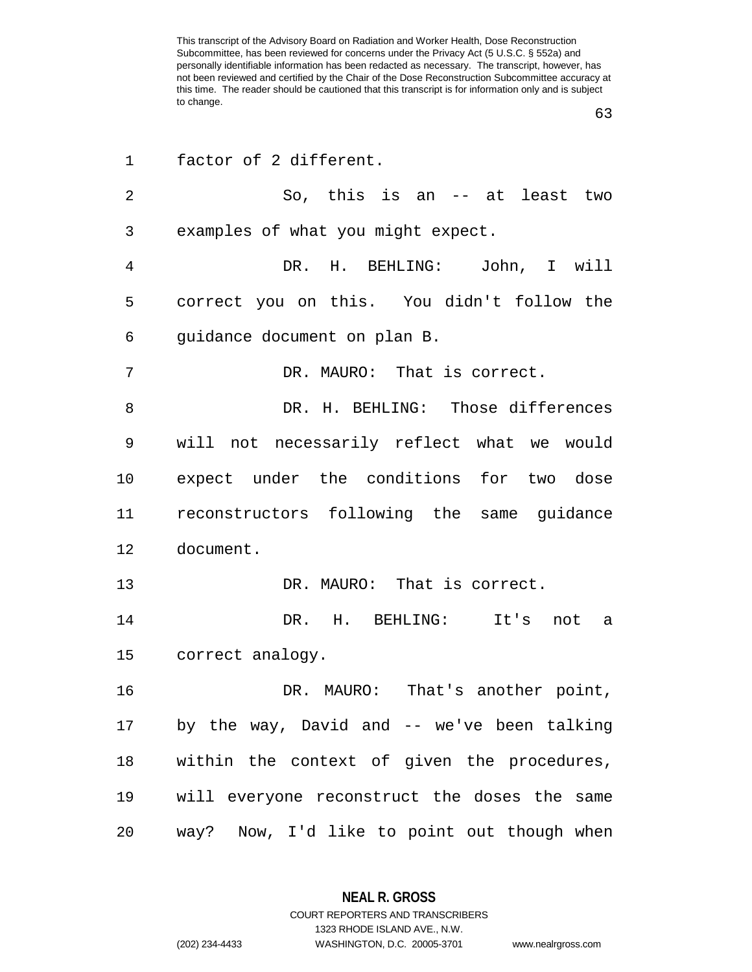| 1              | factor of 2 different.                       |
|----------------|----------------------------------------------|
| $\overline{2}$ | So, this is an -- at least two               |
| 3              | examples of what you might expect.           |
| 4              | DR. H. BEHLING: John, I will                 |
| 5              | correct you on this. You didn't follow the   |
| 6              | guidance document on plan B.                 |
| 7              | DR. MAURO: That is correct.                  |
| 8              | DR. H. BEHLING: Those differences            |
| 9              | will not necessarily reflect what we would   |
| 10             | expect under the conditions for two dose     |
| 11             | reconstructors following the same guidance   |
| 12             | document.                                    |
| 13             | DR. MAURO: That is correct.                  |
| 14             | DR. H. BEHLING: It's not a                   |
| 15             | correct analogy.                             |
| 16             | DR. MAURO: That's another point,             |
| 17             | by the way, David and -- we've been talking  |
| 18             | within the context of given the procedures,  |
| 19             | will everyone reconstruct the doses the same |
| 20             | way? Now, I'd like to point out though when  |

**NEAL R. GROSS** COURT REPORTERS AND TRANSCRIBERS

1323 RHODE ISLAND AVE., N.W.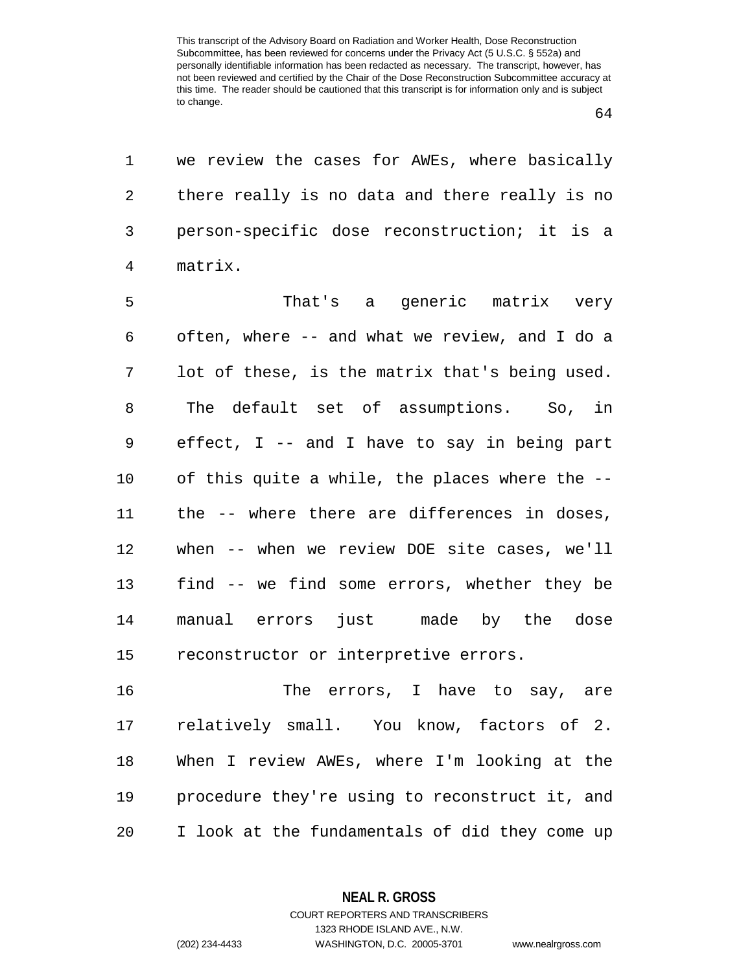we review the cases for AWEs, where basically there really is no data and there really is no person-specific dose reconstruction; it is a matrix.

 That's a generic matrix very often, where -- and what we review, and I do a lot of these, is the matrix that's being used. The default set of assumptions. So, in effect, I -- and I have to say in being part of this quite a while, the places where the -- the -- where there are differences in doses, when -- when we review DOE site cases, we'll find -- we find some errors, whether they be manual errors just made by the dose reconstructor or interpretive errors.

 The errors, I have to say, are relatively small. You know, factors of 2. When I review AWEs, where I'm looking at the procedure they're using to reconstruct it, and I look at the fundamentals of did they come up

> **NEAL R. GROSS** COURT REPORTERS AND TRANSCRIBERS

1323 RHODE ISLAND AVE., N.W. (202) 234-4433 WASHINGTON, D.C. 20005-3701 www.nealrgross.com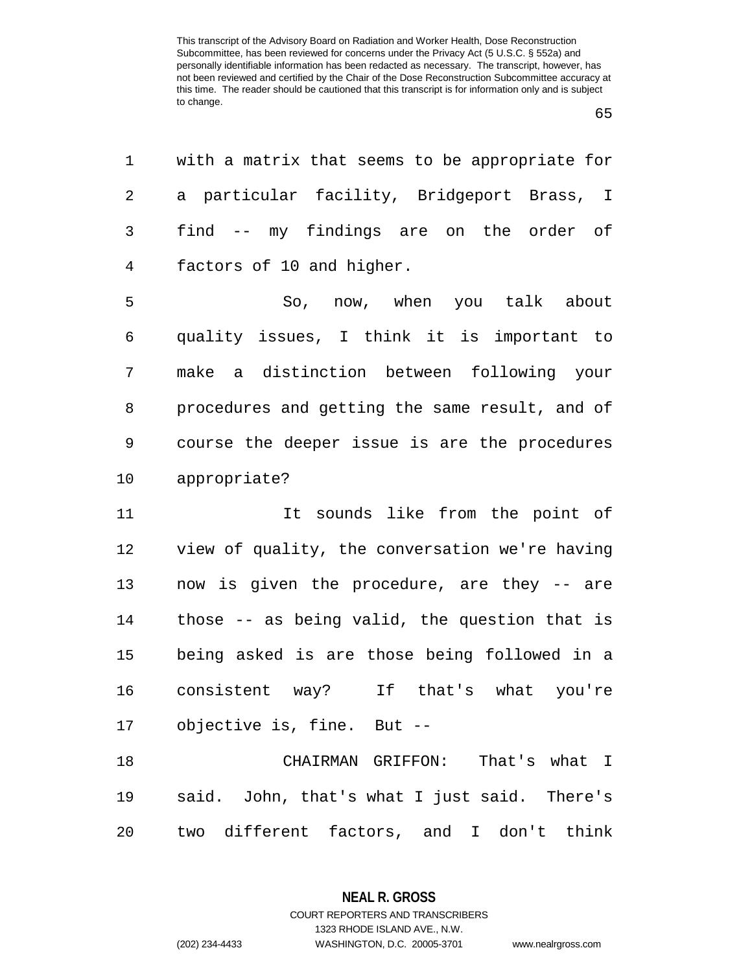| 1      | with a matrix that seems to be appropriate for |
|--------|------------------------------------------------|
| 2      | a particular facility, Bridgeport Brass, I     |
| 3      | find -- my findings are on the order of        |
| 4      | factors of 10 and higher.                      |
| 5      | So, now, when you talk about                   |
| 6      | quality issues, I think it is important to     |
| 7      | make a distinction between following your      |
| 8      | procedures and getting the same result, and of |
| 9      | course the deeper issue is are the procedures  |
| 10     | appropriate?                                   |
| 11     | It sounds like from the point of               |
| $1\,2$ | view of quality, the conversation we're having |
| 13     | now is given the procedure, are they -- are    |
| 14     | those -- as being valid, the question that is  |
| 15     | being asked is are those being followed in a   |
|        |                                                |
| 16     | consistent way? If that's what you're          |
| 17     | objective is, fine. But --                     |
| 18     | CHAIRMAN GRIFFON:<br>That's what I             |
| 19     | said. John, that's what I just said. There's   |

**NEAL R. GROSS** COURT REPORTERS AND TRANSCRIBERS

1323 RHODE ISLAND AVE., N.W.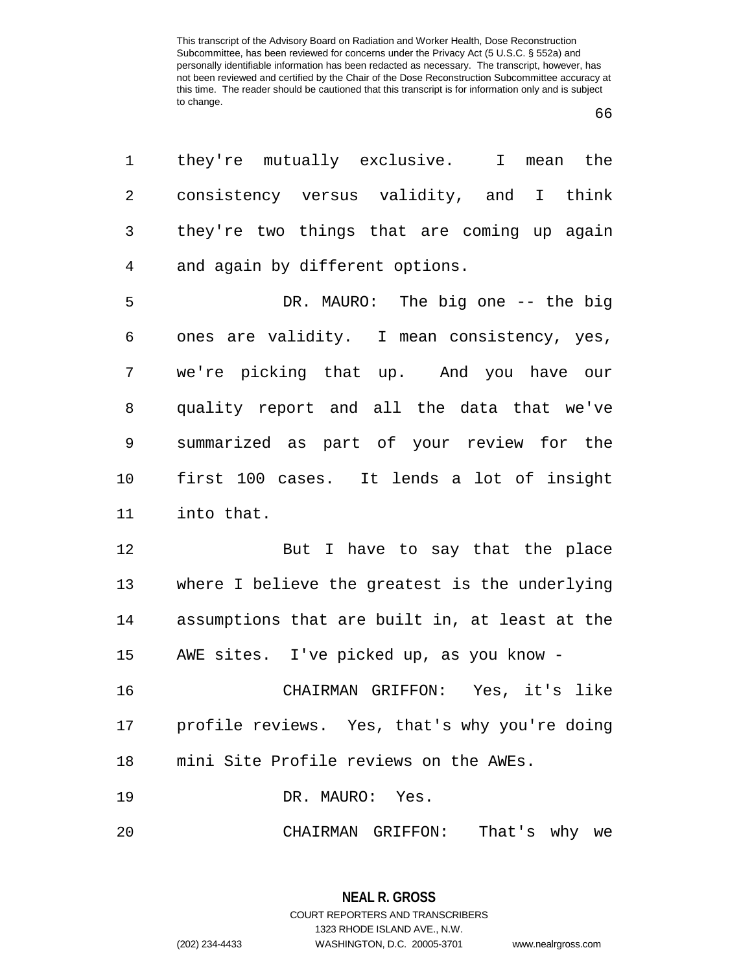| 1              | they're mutually exclusive. I mean the           |
|----------------|--------------------------------------------------|
| $\overline{2}$ | consistency versus validity, and I think         |
| 3              | they're two things that are coming up again      |
| 4              | and again by different options.                  |
| 5              | DR. MAURO: The big one -- the big                |
| 6              | ones are validity. I mean consistency, yes,      |
| 7              | we're picking that up. And you have our          |
| 8              | quality report and all the data that we've       |
| 9              | summarized as part of your review for the        |
| 10             | first 100 cases. It lends a lot of insight       |
| 11             | into that.                                       |
| 12             | But I have to say that the place                 |
| 13             | where I believe the greatest is the underlying   |
| 14             | assumptions that are built in, at least at the   |
| 15             | AWE sites. I've picked up, as you know -         |
| 16             | CHAIRMAN GRIFFON: Yes, it's like                 |
|                | 17 profile reviews. Yes, that's why you're doing |
| 18             | mini Site Profile reviews on the AWEs.           |
| 19             | DR. MAURO: Yes.                                  |
| 20             | That's why we<br>CHAIRMAN GRIFFON:               |

**NEAL R. GROSS** COURT REPORTERS AND TRANSCRIBERS 1323 RHODE ISLAND AVE., N.W. (202) 234-4433 WASHINGTON, D.C. 20005-3701 www.nealrgross.com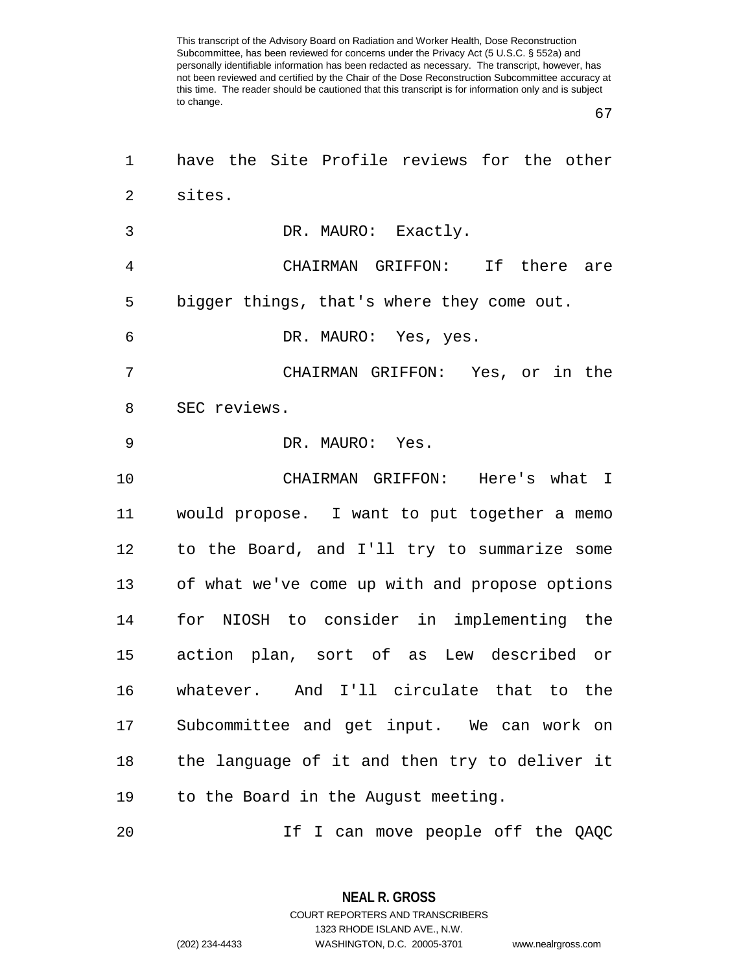| 1              | have the Site Profile reviews for the other    |
|----------------|------------------------------------------------|
| 2              | sites.                                         |
| 3              | DR. MAURO: Exactly.                            |
| $\overline{4}$ | CHAIRMAN GRIFFON: If there are                 |
| 5              | bigger things, that's where they come out.     |
| 6              | DR. MAURO: Yes, yes.                           |
| 7              | CHAIRMAN GRIFFON: Yes, or in the               |
| 8              | SEC reviews.                                   |
| 9              | DR. MAURO: Yes.                                |
| 10             | CHAIRMAN GRIFFON: Here's what I                |
| 11             | would propose. I want to put together a memo   |
| 12             | to the Board, and I'll try to summarize some   |
| 13             | of what we've come up with and propose options |
| 14             | for NIOSH to consider in implementing the      |
| 15             | action plan, sort of as Lew described or       |
| 16             | whatever. And I'll circulate that to the       |
| 17             | Subcommittee and get input. We can work on     |
| 18             | the language of it and then try to deliver it  |
| 19             | to the Board in the August meeting.            |
| 20             | If I can move people off the QAQC              |

**NEAL R. GROSS** COURT REPORTERS AND TRANSCRIBERS 1323 RHODE ISLAND AVE., N.W. (202) 234-4433 WASHINGTON, D.C. 20005-3701 www.nealrgross.com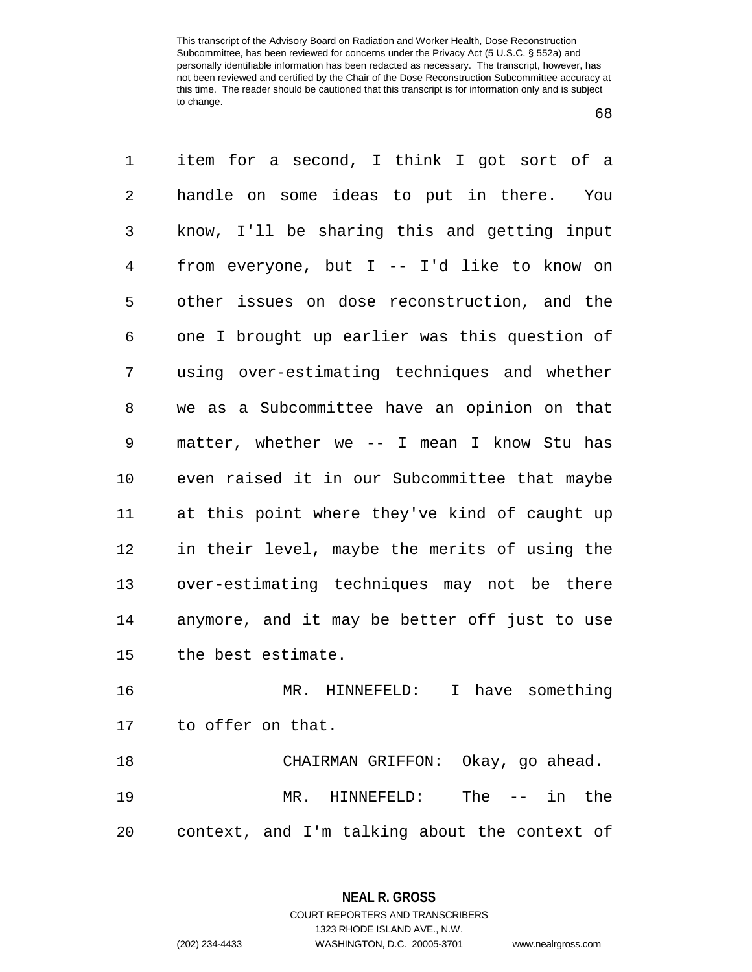| 1       | item for a second, I think I got sort of a    |
|---------|-----------------------------------------------|
| 2       | handle on some ideas to put in there. You     |
| 3       | know, I'll be sharing this and getting input  |
| 4       | from everyone, but I -- I'd like to know on   |
| 5       | other issues on dose reconstruction, and the  |
| 6       | one I brought up earlier was this question of |
| 7       | using over-estimating techniques and whether  |
| 8       | we as a Subcommittee have an opinion on that  |
| 9       | matter, whether we -- I mean I know Stu has   |
| $10 \,$ | even raised it in our Subcommittee that maybe |
| 11      | at this point where they've kind of caught up |
| 12      | in their level, maybe the merits of using the |
| 13      | over-estimating techniques may not be there   |
| 14      | anymore, and it may be better off just to use |
| 15      | the best estimate.                            |
| 16      | MR. HINNEFELD:<br>I have something            |
|         | 17 to offer on that.                          |
| 18      | CHAIRMAN GRIFFON: Okay, go ahead.             |
| 19      | MR. HINNEFELD: The -- in the                  |
| 20      | context, and I'm talking about the context of |

**NEAL R. GROSS** COURT REPORTERS AND TRANSCRIBERS

1323 RHODE ISLAND AVE., N.W. (202) 234-4433 WASHINGTON, D.C. 20005-3701 www.nealrgross.com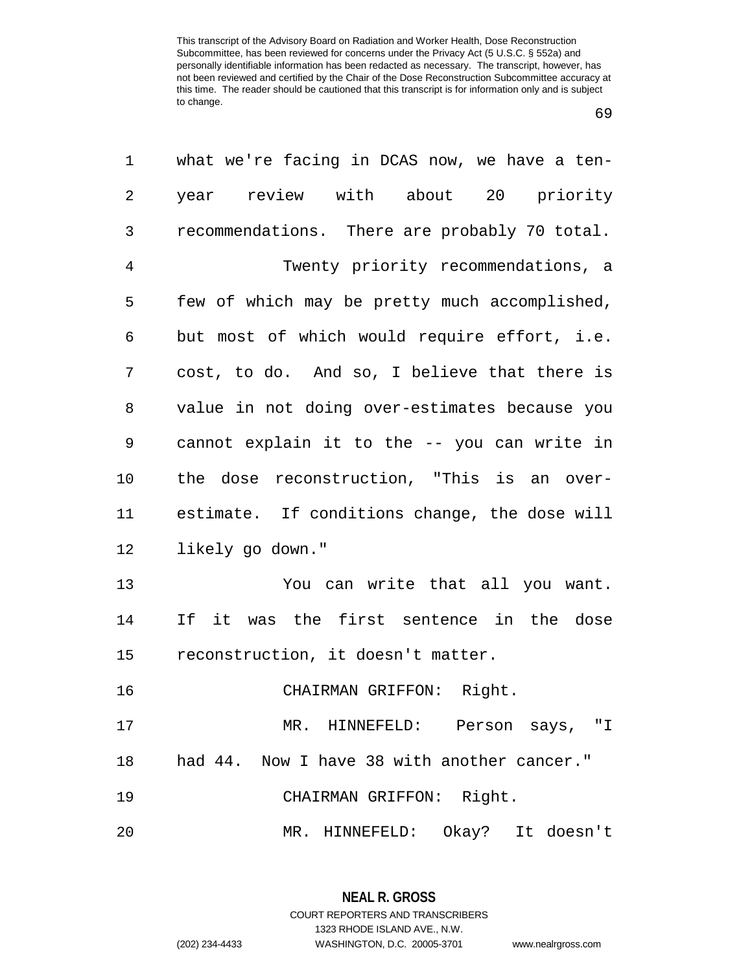| 1  | what we're facing in DCAS now, we have a ten- |
|----|-----------------------------------------------|
| 2  | year review with about 20 priority            |
| 3  | recommendations. There are probably 70 total. |
| 4  | Twenty priority recommendations, a            |
| 5  | few of which may be pretty much accomplished, |
| 6  | but most of which would require effort, i.e.  |
| 7  | cost, to do. And so, I believe that there is  |
| 8  | value in not doing over-estimates because you |
| 9  | cannot explain it to the -- you can write in  |
| 10 | the dose reconstruction, "This is an over-    |
| 11 | estimate. If conditions change, the dose will |
| 12 | likely go down."                              |
| 13 | You can write that all you want.              |
| 14 | If it was the first sentence in the dose      |
| 15 | reconstruction, it doesn't matter.            |
| 16 | CHAIRMAN GRIFFON: Right.                      |
| 17 | MR. HINNEFELD: Person says, "I                |
| 18 | had 44. Now I have 38 with another cancer."   |
| 19 | CHAIRMAN GRIFFON: Right.                      |
| 20 | MR. HINNEFELD: Okay? It doesn't               |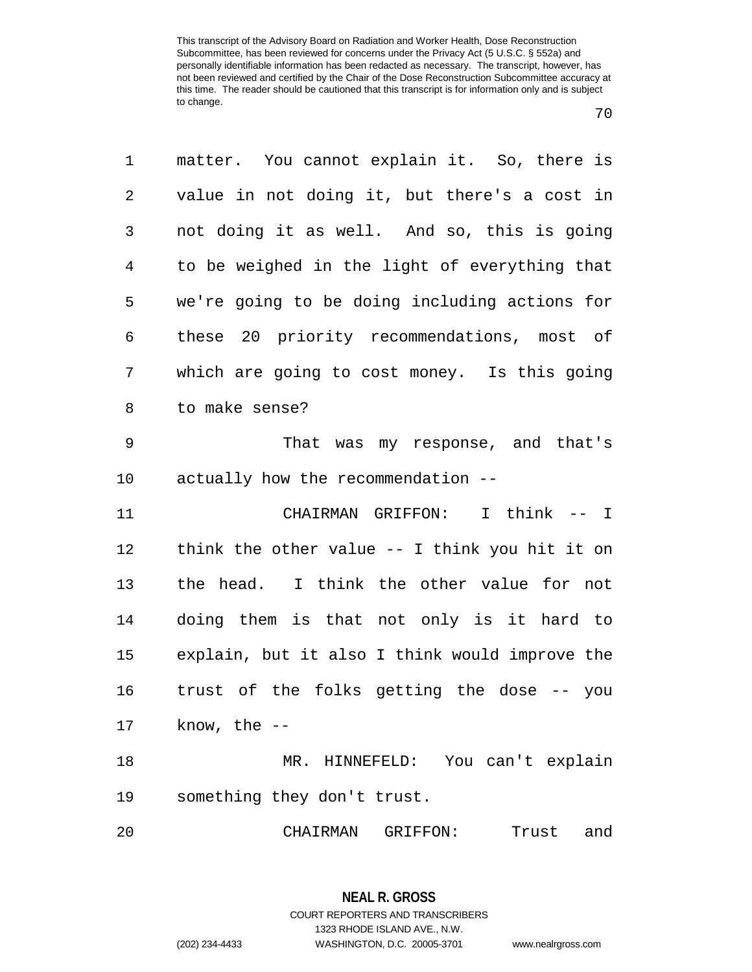| 1              | matter. You cannot explain it. So, there is     |
|----------------|-------------------------------------------------|
| 2              | value in not doing it, but there's a cost in    |
| 3              | not doing it as well. And so, this is going     |
| $\overline{4}$ | to be weighed in the light of everything that   |
| 5              | we're going to be doing including actions for   |
| 6              | these 20 priority recommendations, most of      |
| 7              | which are going to cost money. Is this going    |
| 8              | to make sense?                                  |
| 9              | That was my response, and that's                |
| 10             | actually how the recommendation --              |
| 11             | I think -- I<br>CHAIRMAN GRIFFON:               |
| 12             | think the other value $-$ I think you hit it on |
| 13             | the head. I think the other value for not       |
| 14             | doing them is that not only is it hard to       |
| 15             | explain, but it also I think would improve the  |
| 16             | trust of the folks getting the dose -- you      |
| 17             | know, the $--$                                  |
| 18             | MR. HINNEFELD: You can't explain                |
| 19             | something they don't trust.                     |
| 20             | CHAIRMAN GRIFFON:<br>Trust and                  |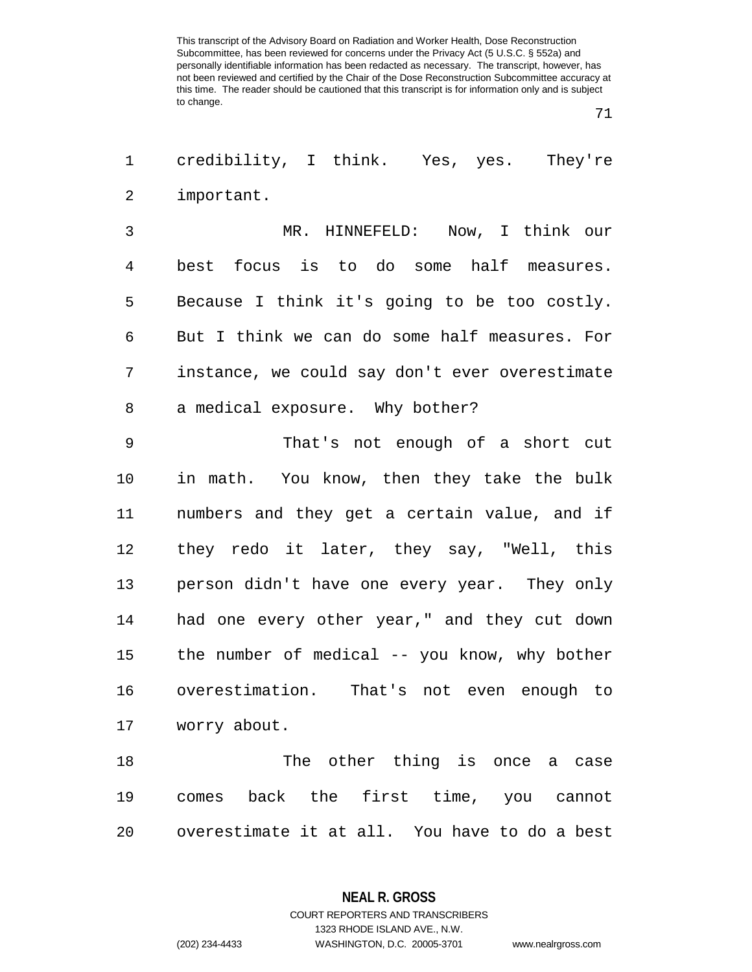| 1 credibility, I think. Yes, yes. They're |  |  |  |
|-------------------------------------------|--|--|--|
| 2 important.                              |  |  |  |

 MR. HINNEFELD: Now, I think our best focus is to do some half measures. Because I think it's going to be too costly. But I think we can do some half measures. For instance, we could say don't ever overestimate a medical exposure. Why bother?

 That's not enough of a short cut in math. You know, then they take the bulk numbers and they get a certain value, and if they redo it later, they say, "Well, this person didn't have one every year. They only had one every other year," and they cut down the number of medical -- you know, why bother overestimation. That's not even enough to worry about.

 The other thing is once a case comes back the first time, you cannot overestimate it at all. You have to do a best

> **NEAL R. GROSS** COURT REPORTERS AND TRANSCRIBERS 1323 RHODE ISLAND AVE., N.W. (202) 234-4433 WASHINGTON, D.C. 20005-3701 www.nealrgross.com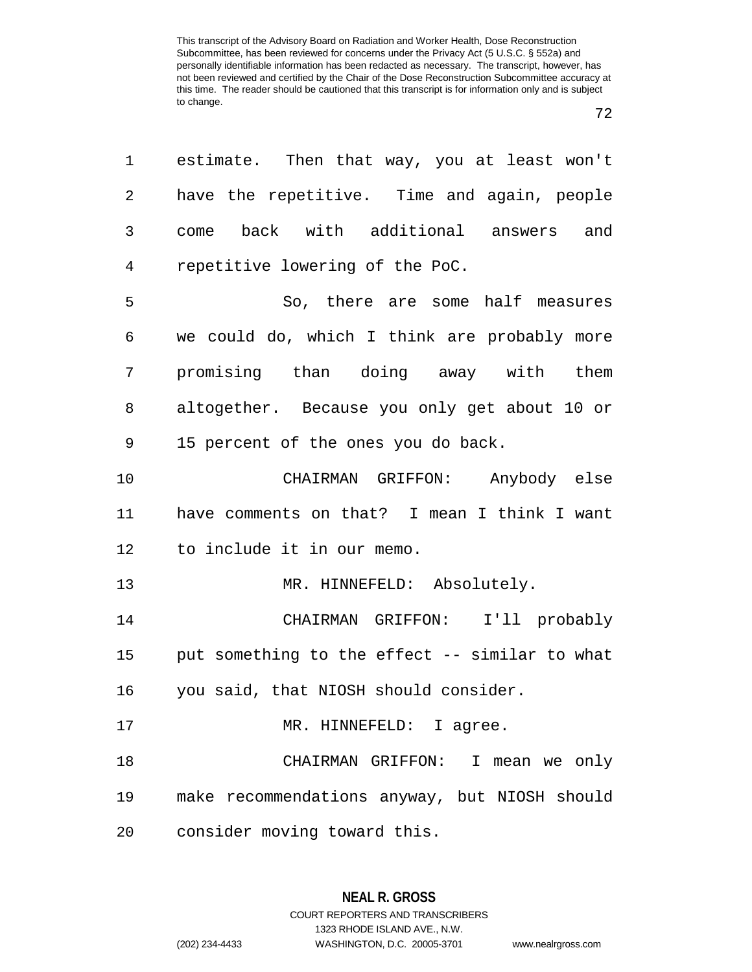| 1  | estimate. Then that way, you at least won't    |
|----|------------------------------------------------|
| 2  | have the repetitive. Time and again, people    |
| 3  | back with additional answers and<br>come       |
| 4  | repetitive lowering of the PoC.                |
| 5  | So, there are some half measures               |
| 6  | we could do, which I think are probably more   |
| 7  | promising than doing away with them            |
| 8  | altogether. Because you only get about 10 or   |
| 9  | 15 percent of the ones you do back.            |
| 10 | CHAIRMAN GRIFFON: Anybody else                 |
| 11 | have comments on that? I mean I think I want   |
| 12 | to include it in our memo.                     |
| 13 | MR. HINNEFELD: Absolutely.                     |
| 14 | CHAIRMAN GRIFFON: I'll probably                |
| 15 | put something to the effect -- similar to what |
| 16 | you said, that NIOSH should consider.          |
| 17 | MR. HINNEFELD: I agree.                        |
| 18 | CHAIRMAN GRIFFON: I mean we only               |
| 19 | make recommendations anyway, but NIOSH should  |
| 20 | consider moving toward this.                   |

**NEAL R. GROSS** COURT REPORTERS AND TRANSCRIBERS

1323 RHODE ISLAND AVE., N.W.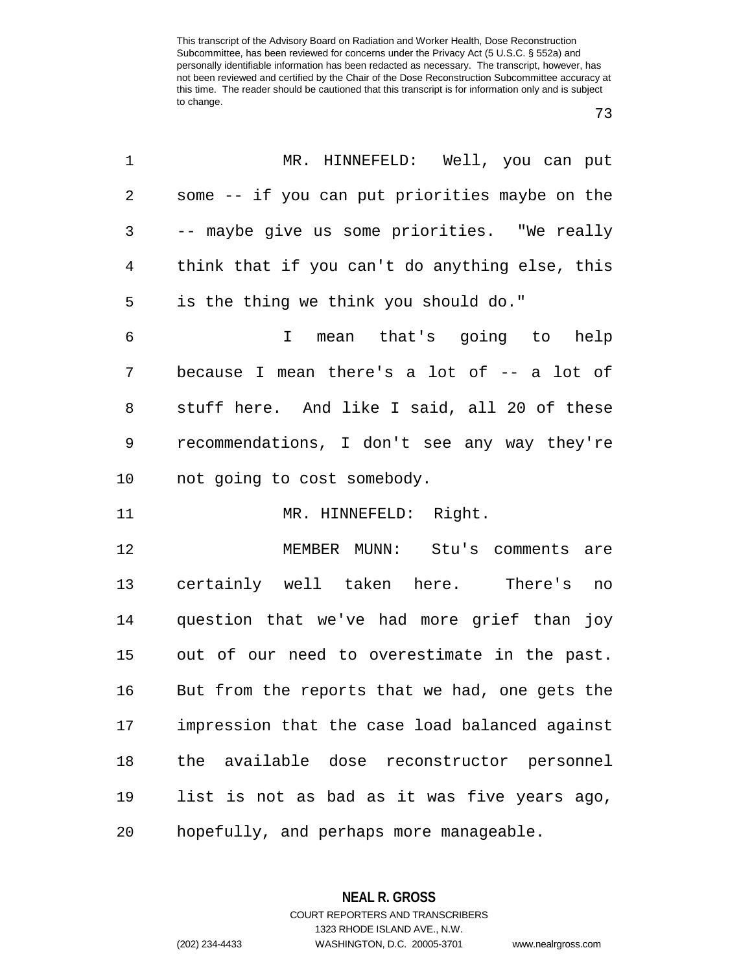| 1          | MR. HINNEFELD: Well, you can put               |
|------------|------------------------------------------------|
| $\sqrt{2}$ | some -- if you can put priorities maybe on the |
| 3          | -- maybe give us some priorities. "We really   |
| 4          | think that if you can't do anything else, this |
| 5          | is the thing we think you should do."          |
| 6          | mean that's going to help<br>$\mathbf{I}$      |
| 7          | because I mean there's a lot of -- a lot of    |
| 8          | stuff here. And like I said, all 20 of these   |
| 9          | recommendations, I don't see any way they're   |
| 10         | not going to cost somebody.                    |
| 11         | MR. HINNEFELD: Right.                          |
| 12         | MEMBER MUNN: Stu's comments are                |
| 13         | certainly well taken here. There's<br>no       |
| 14         | question that we've had more grief than joy    |
| 15         | out of our need to overestimate in the past.   |
| 16         | But from the reports that we had, one gets the |
| 17         | impression that the case load balanced against |
| 18         | the available dose reconstructor personnel     |
| 19         | list is not as bad as it was five years ago,   |
| 20         | hopefully, and perhaps more manageable.        |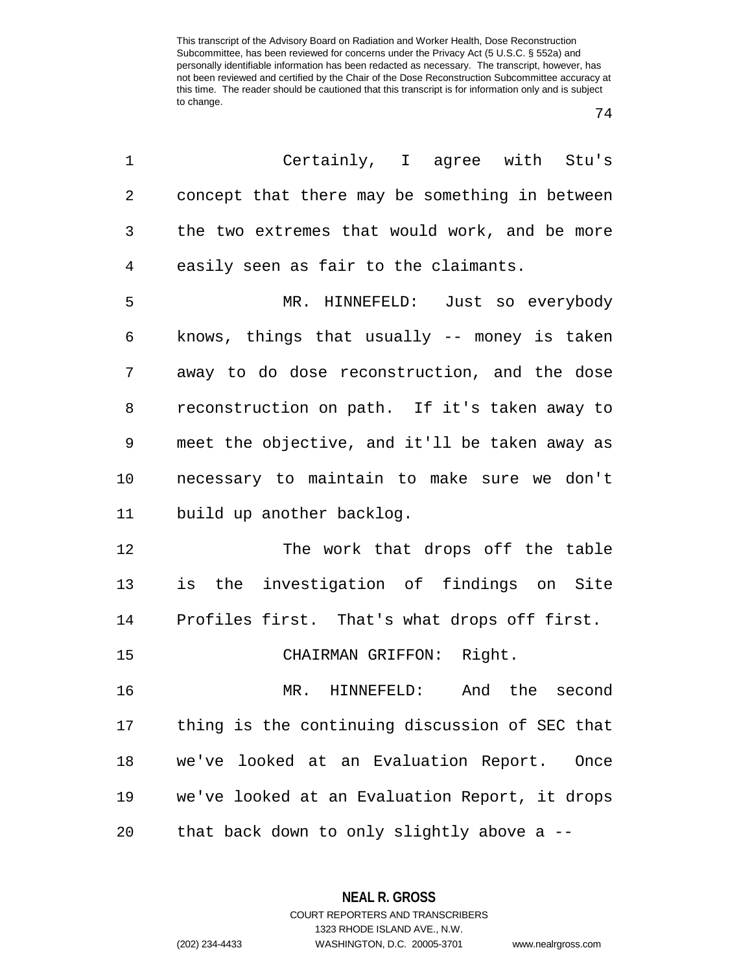| 1          | Certainly, I agree with Stu's                  |
|------------|------------------------------------------------|
| $\sqrt{2}$ | concept that there may be something in between |
| 3          | the two extremes that would work, and be more  |
| 4          | easily seen as fair to the claimants.          |
| 5          | MR. HINNEFELD: Just so everybody               |
| 6          | knows, things that usually -- money is taken   |
| 7          | away to do dose reconstruction, and the dose   |
| 8          | reconstruction on path. If it's taken away to  |
| 9          | meet the objective, and it'll be taken away as |
| 10         | necessary to maintain to make sure we don't    |
| 11         | build up another backlog.                      |
| 12         | The work that drops off the table              |
| 13         | is the investigation of findings on Site       |
| 14         | Profiles first. That's what drops off first.   |
| 15         | CHAIRMAN GRIFFON: Right.                       |
| 16         | MR. HINNEFELD: And the second                  |
| 17         | thing is the continuing discussion of SEC that |
| 18         | we've looked at an Evaluation Report.<br>Once  |
| 19         | we've looked at an Evaluation Report, it drops |
| 20         | that back down to only slightly above a --     |

**NEAL R. GROSS** COURT REPORTERS AND TRANSCRIBERS

1323 RHODE ISLAND AVE., N.W.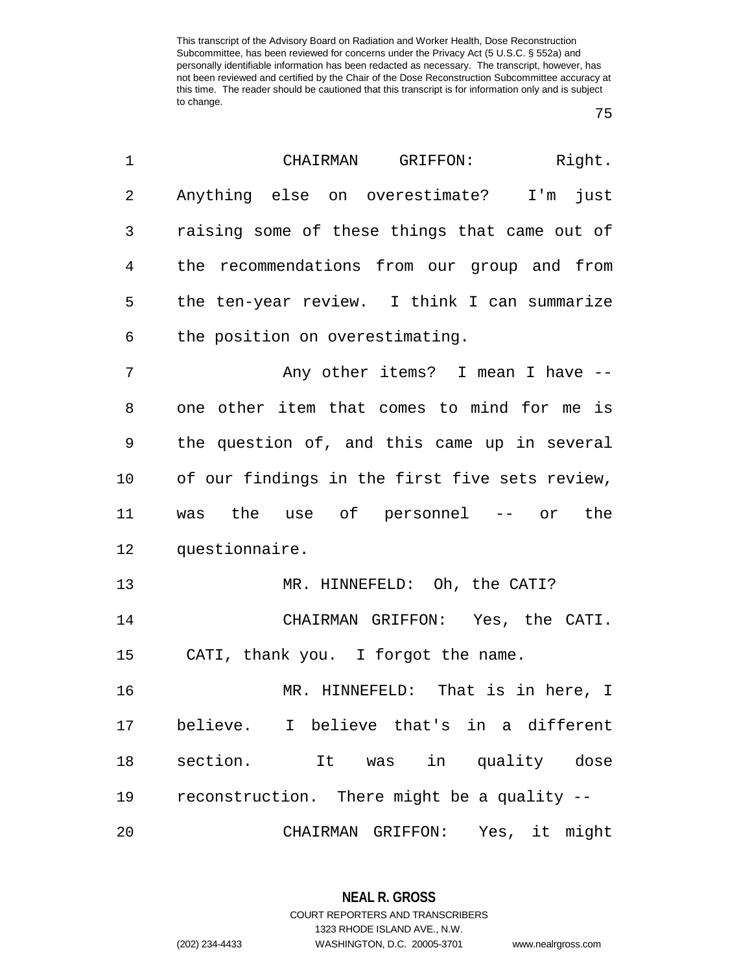| 1              | Right.<br>CHAIRMAN<br>GRIFFON:                 |
|----------------|------------------------------------------------|
| $\overline{2}$ | Anything else on overestimate? I'm<br>just     |
| 3              | raising some of these things that came out of  |
| 4              | the recommendations from our group and from    |
| 5              | the ten-year review. I think I can summarize   |
| 6              | the position on overestimating.                |
| 7              | Any other items? I mean I have --              |
| 8              | one other item that comes to mind for me is    |
| 9              | the question of, and this came up in several   |
| 10             | of our findings in the first five sets review, |
| 11             | was the use of personnel -- or the             |
| 12             | questionnaire.                                 |
| 13             | MR. HINNEFELD: Oh, the CATI?                   |
| 14             | CHAIRMAN GRIFFON: Yes, the CATI.               |
| 15             | CATI, thank you. I forgot the name.            |
| 16             | MR. HINNEFELD: That is in here, I              |
| 17             | believe. I believe that's in a different       |
| 18             | section. It was in quality dose                |
| 19             | reconstruction. There might be a quality --    |
| 20             | CHAIRMAN GRIFFON: Yes, it might                |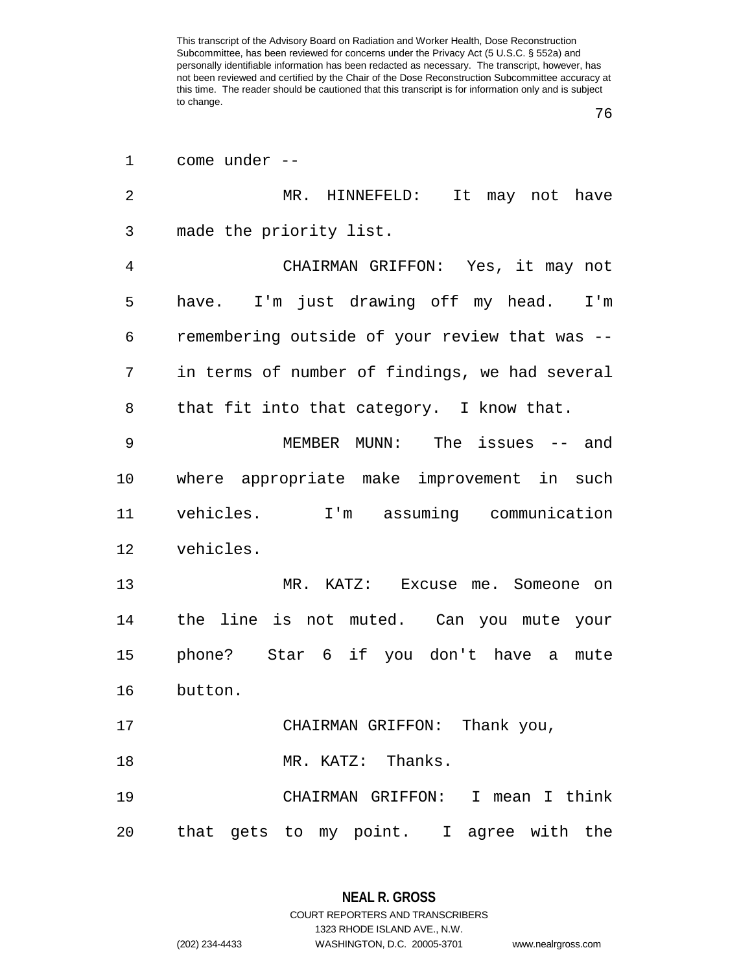| 1              | come under --                                  |
|----------------|------------------------------------------------|
| $\overline{2}$ | MR. HINNEFELD:<br>It may not have              |
| 3              | made the priority list.                        |
| 4              | CHAIRMAN GRIFFON: Yes, it may not              |
| 5              | have. I'm just drawing off my head. I'm        |
| 6              | remembering outside of your review that was -- |
| 7              | in terms of number of findings, we had several |
| 8              | that fit into that category. I know that.      |
| 9              | MEMBER MUNN: The issues -- and                 |
| 10             | where appropriate make improvement in such     |
| 11             | vehicles. I'm assuming communication           |
| 12             | vehicles.                                      |
| 13             | MR. KATZ: Excuse me. Someone on                |
| 14             | the line is not muted. Can you mute your       |
| 15             | phone? Star 6 if you don't have a<br>mute      |
| 16             | button.                                        |
| 17             | CHAIRMAN GRIFFON: Thank you,                   |
| 18             | MR. KATZ: Thanks.                              |
| 19             | CHAIRMAN GRIFFON: I mean I think               |
| 20             | that gets to my point. I agree with the        |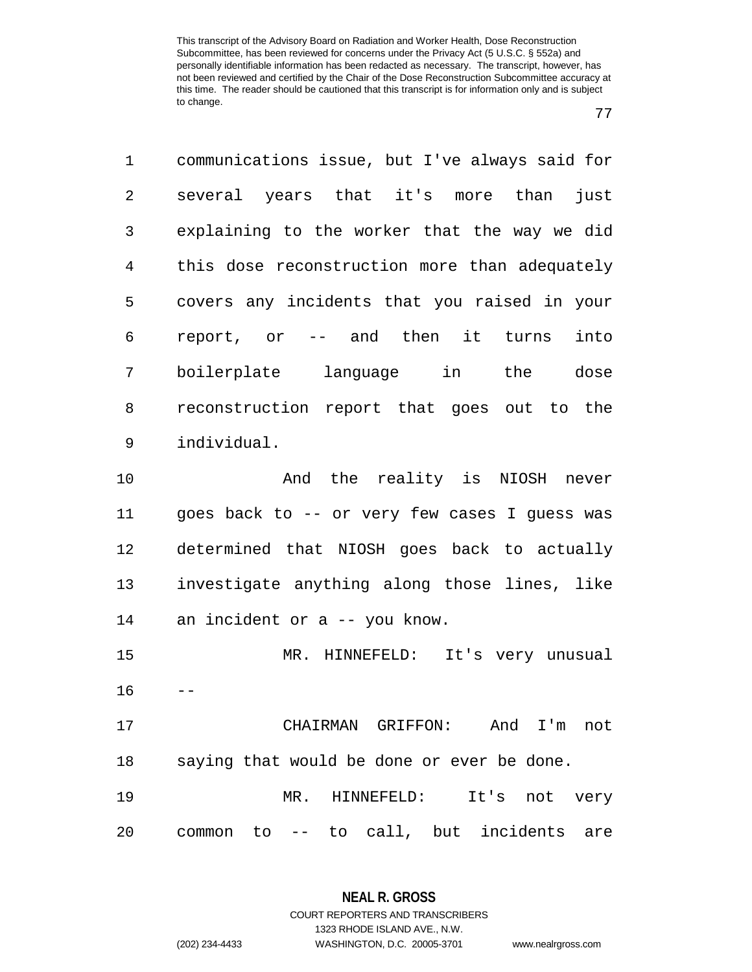| 1              | communications issue, but I've always said for |
|----------------|------------------------------------------------|
| 2              | several years that it's more than<br>just      |
| 3              | explaining to the worker that the way we did   |
| $\overline{4}$ | this dose reconstruction more than adequately  |
| 5              | covers any incidents that you raised in your   |
| 6              | report, or -- and then it turns<br>into        |
| 7              | boilerplate language in the<br>dose            |
| 8              | reconstruction report that goes out to the     |
| 9              | individual.                                    |
| 10             | And the reality is NIOSH never                 |
| 11             | goes back to -- or very few cases I guess was  |
| 12             | determined that NIOSH goes back to actually    |
| 13             | investigate anything along those lines, like   |
| 14             | an incident or a -- you know.                  |
| 15             | MR. HINNEFELD: It's very unusual               |
| 16             |                                                |
| 17             | CHAIRMAN GRIFFON: And I'm<br>not               |
| 18             | saying that would be done or ever be done.     |
| 19             | MR. HINNEFELD:<br>It's not very                |
| 20             | common to -- to call, but incidents are        |

**NEAL R. GROSS** COURT REPORTERS AND TRANSCRIBERS 1323 RHODE ISLAND AVE., N.W.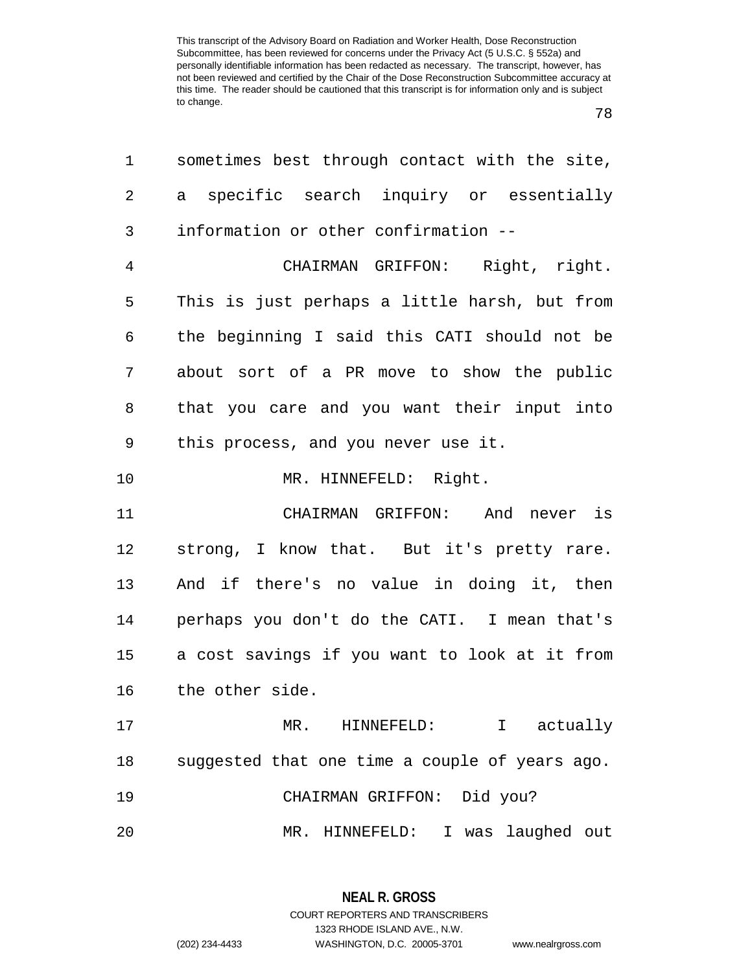| 1  | sometimes best through contact with the site,  |
|----|------------------------------------------------|
| 2  | specific search inquiry or essentially<br>a    |
| 3  | information or other confirmation --           |
| 4  | CHAIRMAN GRIFFON: Right, right.                |
| 5  | This is just perhaps a little harsh, but from  |
| 6  | the beginning I said this CATI should not be   |
| 7  | about sort of a PR move to show the public     |
| 8  | that you care and you want their input into    |
| 9  | this process, and you never use it.            |
| 10 | MR. HINNEFELD: Right.                          |
| 11 | CHAIRMAN GRIFFON: And never is                 |
| 12 | strong, I know that. But it's pretty rare.     |
| 13 | And if there's no value in doing it, then      |
| 14 | perhaps you don't do the CATI. I mean that's   |
| 15 | a cost savings if you want to look at it from  |
| 16 | the other side.                                |
| 17 | MR. HINNEFELD: I actually                      |
| 18 | suggested that one time a couple of years ago. |
| 19 | CHAIRMAN GRIFFON: Did you?                     |
| 20 | MR. HINNEFELD: I was laughed out               |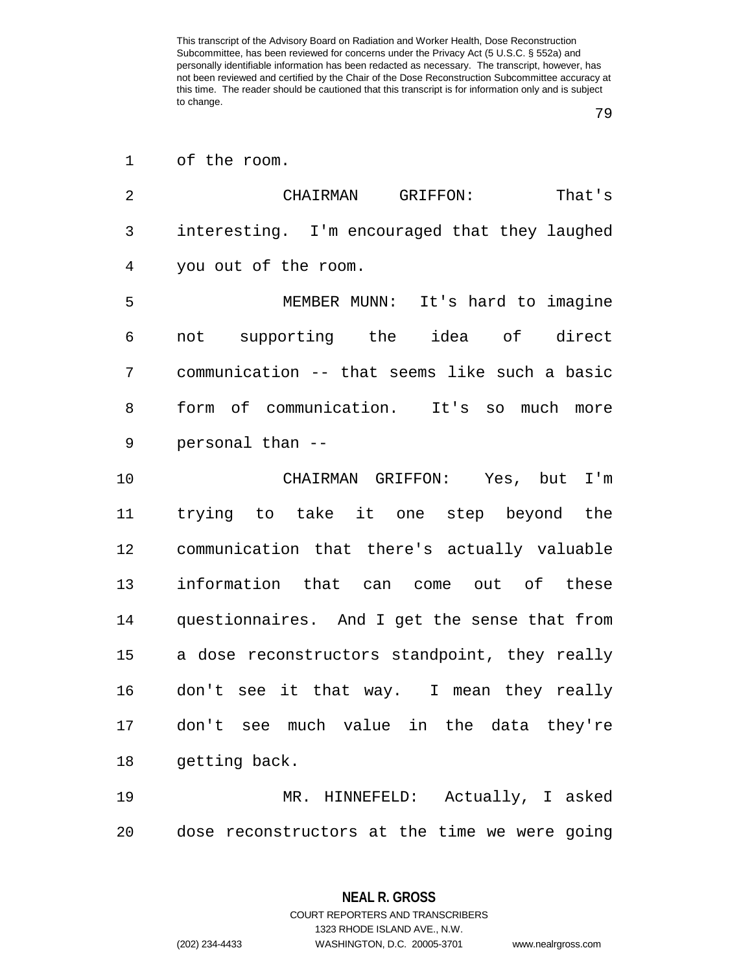of the room.

| $\overline{2}$ | That's<br>CHAIRMAN<br>GRIFFON:                 |
|----------------|------------------------------------------------|
| 3              | interesting. I'm encouraged that they laughed  |
| 4              | you out of the room.                           |
| 5              | MEMBER MUNN: It's hard to imagine              |
| 6              | not supporting the idea of direct              |
| 7              | communication -- that seems like such a basic  |
| 8              | form of communication. It's so<br>much<br>more |
| 9              | personal than --                               |
| 10             | CHAIRMAN GRIFFON: Yes, but I'm                 |
| 11             | trying to take it one step beyond the          |
| 12             | communication that there's actually valuable   |
| 13             | information that can come out of these         |
| 14             | questionnaires. And I get the sense that from  |
| 15             | a dose reconstructors standpoint, they really  |
| 16             | don't see it that way. I mean they really      |
|                |                                                |

getting back.

 MR. HINNEFELD: Actually, I asked dose reconstructors at the time we were going

1323 RHODE ISLAND AVE., N.W.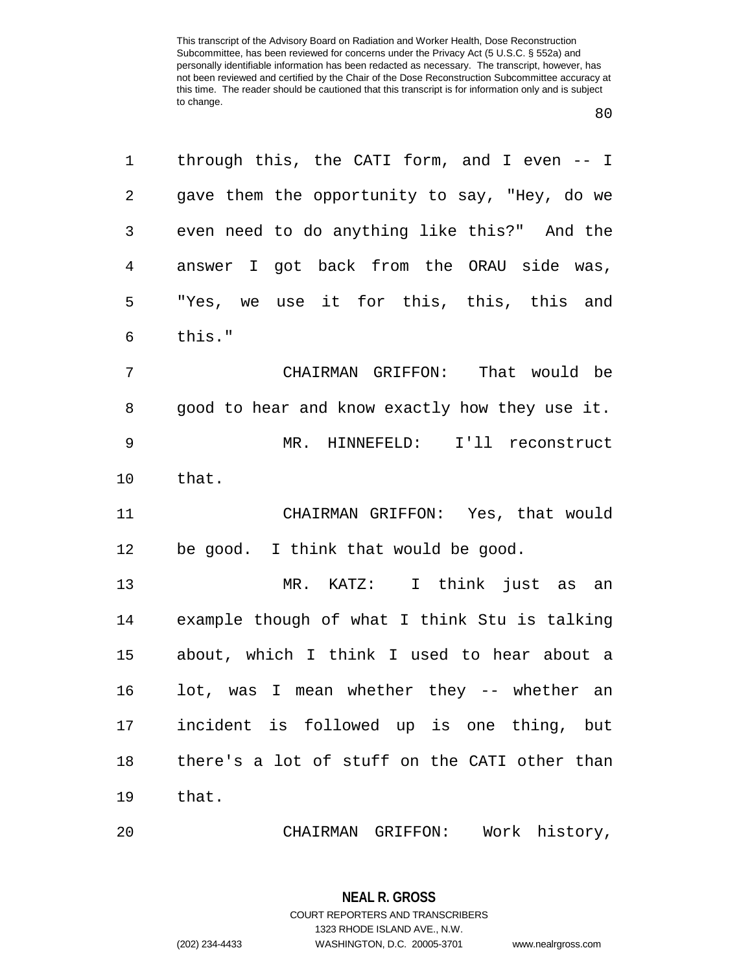| 1              | through this, the CATI form, and I even $-$ I  |
|----------------|------------------------------------------------|
| 2              | gave them the opportunity to say, "Hey, do we  |
| 3              | even need to do anything like this?" And the   |
| $\overline{4}$ | answer I got back from the ORAU side was,      |
| 5              | "Yes, we use it for this, this, this and       |
| 6              | this."                                         |
| 7              | CHAIRMAN GRIFFON: That would be                |
| 8              | good to hear and know exactly how they use it. |
| 9              | MR. HINNEFELD: I'll reconstruct                |
| 10             | that.                                          |
| 11             | CHAIRMAN GRIFFON: Yes, that would              |
| 12             | be good. I think that would be good.           |
| 13             | MR. KATZ: I think just as an                   |
| 14             | example though of what I think Stu is talking  |
| 15             | about, which I think I used to hear about a    |
| 16             | lot, was I mean whether they -- whether an     |
| 17             | incident is followed up is one thing, but      |
| 18             | there's a lot of stuff on the CATI other than  |
| 19             | that.                                          |
| 20             |                                                |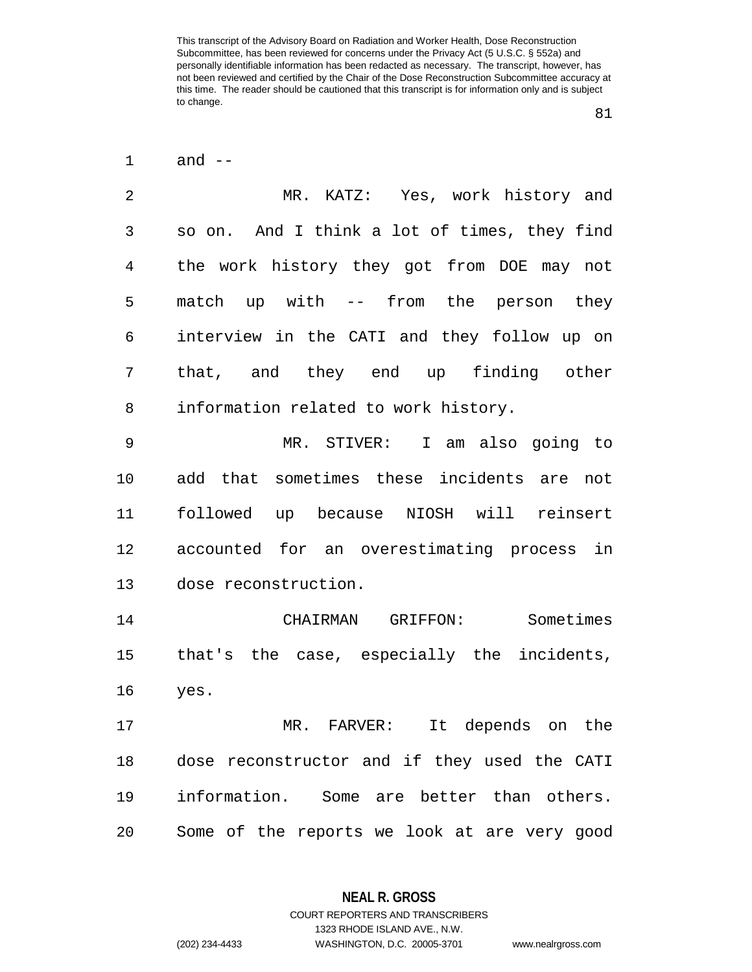and --

 MR. KATZ: Yes, work history and so on. And I think a lot of times, they find the work history they got from DOE may not match up with -- from the person they interview in the CATI and they follow up on that, and they end up finding other information related to work history.

 MR. STIVER: I am also going to add that sometimes these incidents are not followed up because NIOSH will reinsert accounted for an overestimating process in dose reconstruction.

 CHAIRMAN GRIFFON: Sometimes that's the case, especially the incidents, yes.

 MR. FARVER: It depends on the dose reconstructor and if they used the CATI information. Some are better than others. Some of the reports we look at are very good

1323 RHODE ISLAND AVE., N.W.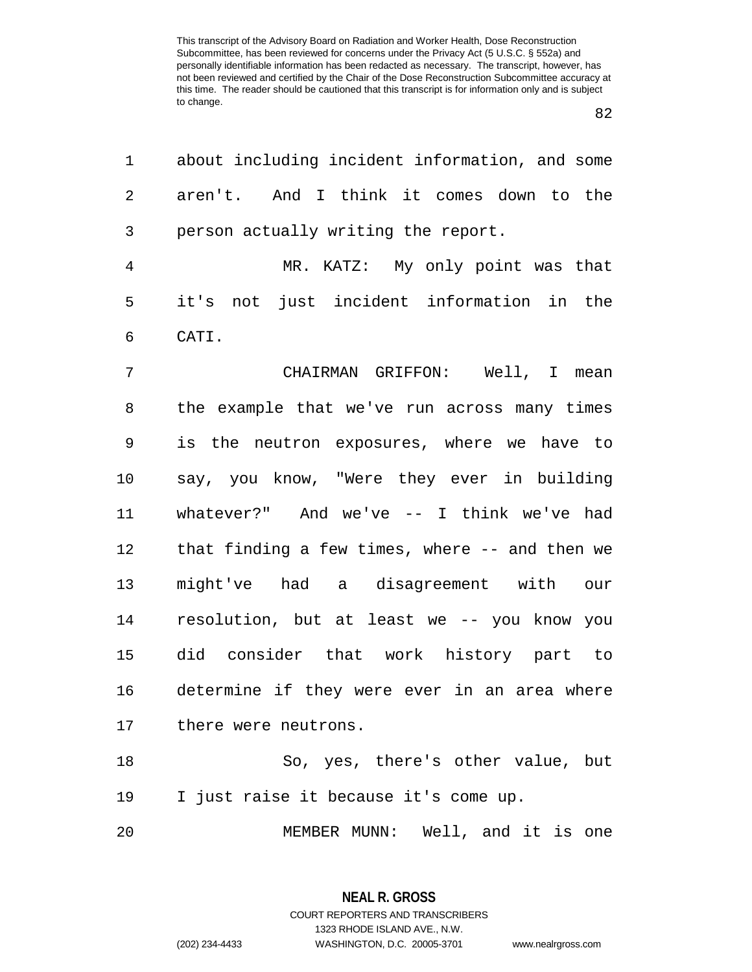| 1              | about including incident information, and some |
|----------------|------------------------------------------------|
| 2              | aren't. And I think it comes down to the       |
| 3              | person actually writing the report.            |
| $\overline{4}$ | MR. KATZ: My only point was that               |
| 5              | not just incident information in the<br>it's   |
| 6              | CATI.                                          |
| 7              | CHAIRMAN GRIFFON: Well, I mean                 |
| 8              | the example that we've run across many times   |
| 9              | is the neutron exposures, where we have to     |
| 10             | say, you know, "Were they ever in building     |
| 11             | whatever?" And we've $--$ I think we've had    |
| 12             | that finding a few times, where -- and then we |
| 13             | might've had a disagreement with our           |
| 14             | resolution, but at least we -- you know you    |
| 15             | did consider that work history part to         |
| 16             | determine if they were ever in an area where   |
| 17             | there were neutrons.                           |
| 18             | So, yes, there's other value, but              |
| 19             | I just raise it because it's come up.          |
| 20             | MEMBER MUNN: Well, and it is one               |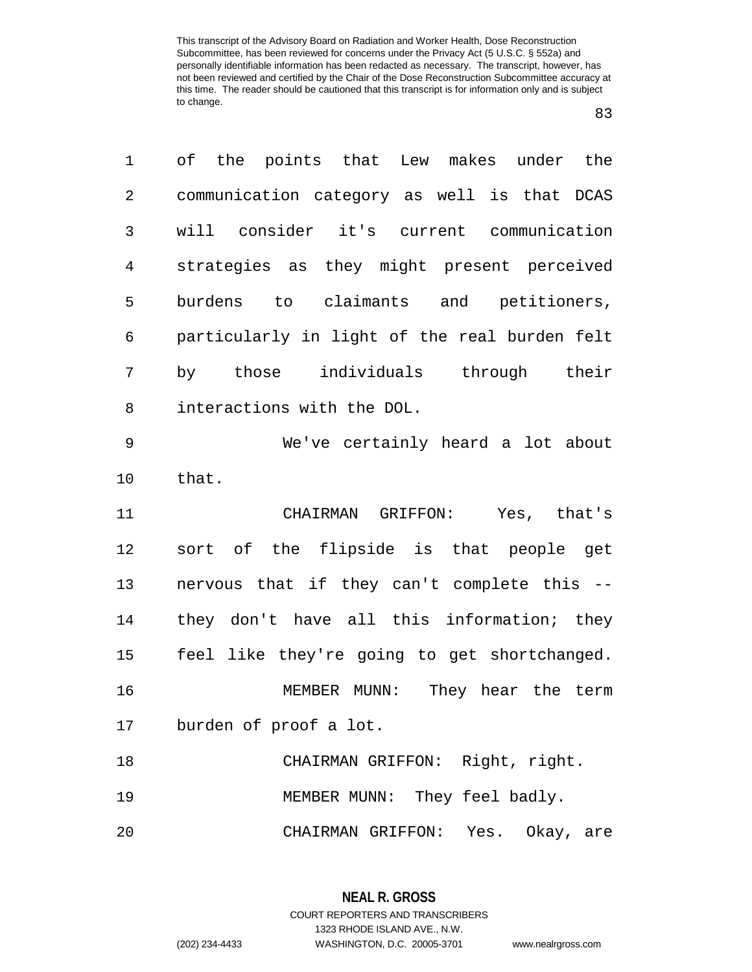| 1              | of the points that Lew makes under the        |
|----------------|-----------------------------------------------|
| $\overline{2}$ | communication category as well is that DCAS   |
| 3              | will consider it's current communication      |
| 4              | strategies as they might present perceived    |
| 5              | burdens to claimants and petitioners,         |
| 6              | particularly in light of the real burden felt |
| 7              | individuals through their<br>by those         |
| 8              | interactions with the DOL.                    |
| 9              | We've certainly heard a lot about             |
| 10             | that.                                         |
| 11             | CHAIRMAN GRIFFON: Yes, that's                 |
| 12             | sort of the flipside is that people get       |
| 13             | nervous that if they can't complete this --   |
| 14             | they don't have all this information; they    |
| 15             | feel like they're going to get shortchanged.  |
| 16             | MEMBER MUNN: They hear the term               |
| 17             | burden of proof a lot.                        |
| 18             | CHAIRMAN GRIFFON: Right, right.               |
| 19             | MEMBER MUNN: They feel badly.                 |
| 20             | CHAIRMAN GRIFFON: Yes. Okay, are              |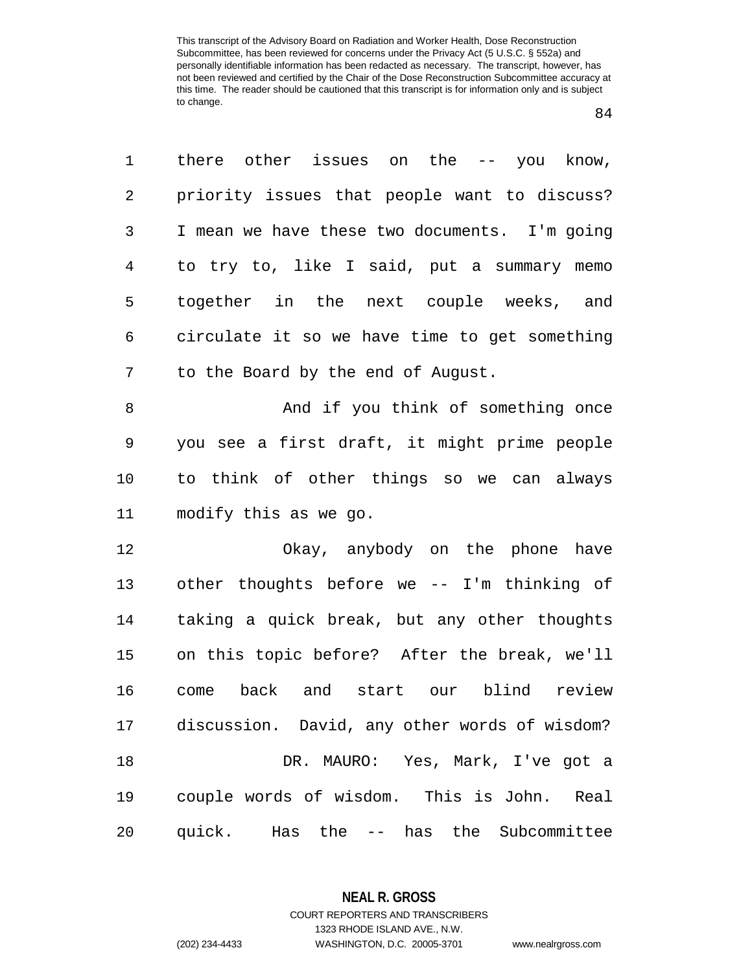| 1  | there other issues on the $-$ you know,       |
|----|-----------------------------------------------|
| 2  | priority issues that people want to discuss?  |
| 3  | I mean we have these two documents. I'm going |
| 4  | to try to, like I said, put a summary memo    |
| 5  | together in the next couple weeks, and        |
| 6  | circulate it so we have time to get something |
| 7  | to the Board by the end of August.            |
| 8  | And if you think of something once            |
| 9  | you see a first draft, it might prime people  |
| 10 | to think of other things so we can always     |
| 11 | modify this as we go.                         |
| 12 | Okay, anybody on the phone have               |
| 13 | other thoughts before we -- I'm thinking of   |
| 14 | taking a quick break, but any other thoughts  |
| 15 | on this topic before? After the break, we'll  |
| 16 | back and start our<br>blind review<br>come    |
| 17 | discussion. David, any other words of wisdom? |
| 18 | DR. MAURO: Yes, Mark, I've got a              |
| 19 | couple words of wisdom. This is John. Real    |
| 20 | quick. Has the -- has the Subcommittee        |

**NEAL R. GROSS** COURT REPORTERS AND TRANSCRIBERS

1323 RHODE ISLAND AVE., N.W.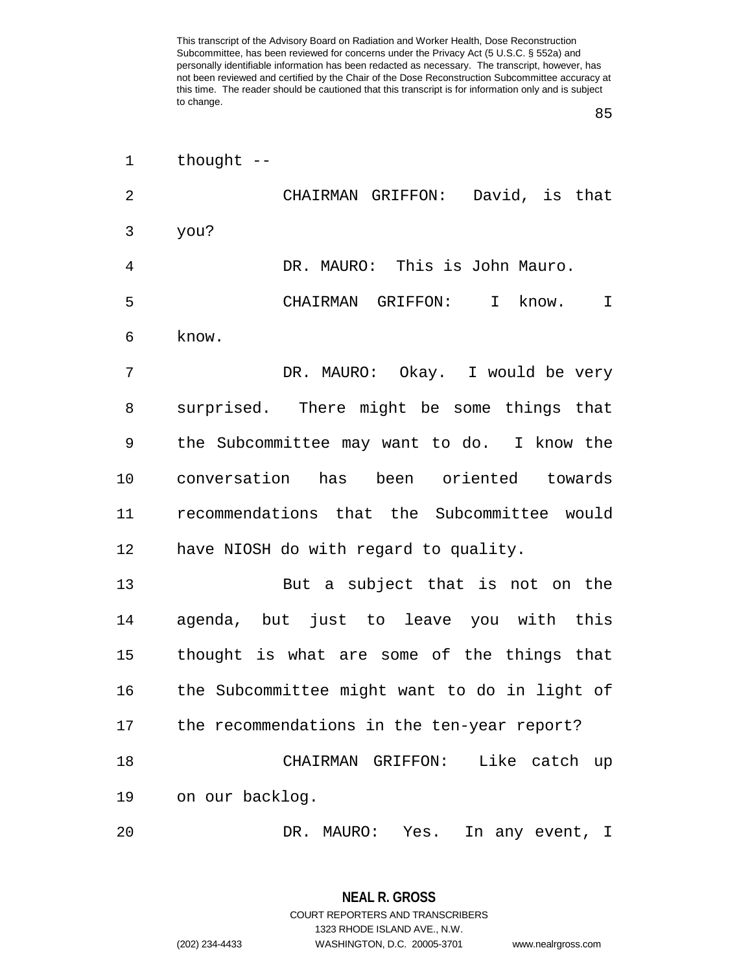| $\mathbf 1$ | thought $--$                                   |
|-------------|------------------------------------------------|
| 2           | CHAIRMAN GRIFFON: David, is that               |
| 3           | you?                                           |
| 4           | DR. MAURO: This is John Mauro.                 |
| 5           | CHAIRMAN GRIFFON: I know.<br>I                 |
| 6           | know.                                          |
| 7           | DR. MAURO: Okay. I would be very               |
| 8           | surprised. There might be some things that     |
| 9           | the Subcommittee may want to do. I know the    |
| 10          | conversation has been oriented towards         |
| 11          | recommendations that the Subcommittee would    |
| 12          | have NIOSH do with regard to quality.          |
| 13          | But a subject that is not on the               |
| 14          | agenda, but just to leave you with this        |
| 15          | thought is what are some of the things that    |
| 16          | the Subcommittee might want to do in light of  |
|             | 17 the recommendations in the ten-year report? |
| 18          | CHAIRMAN GRIFFON: Like catch up                |
| 19          | on our backlog.                                |
| 20          | DR. MAURO: Yes.<br>In any event, I             |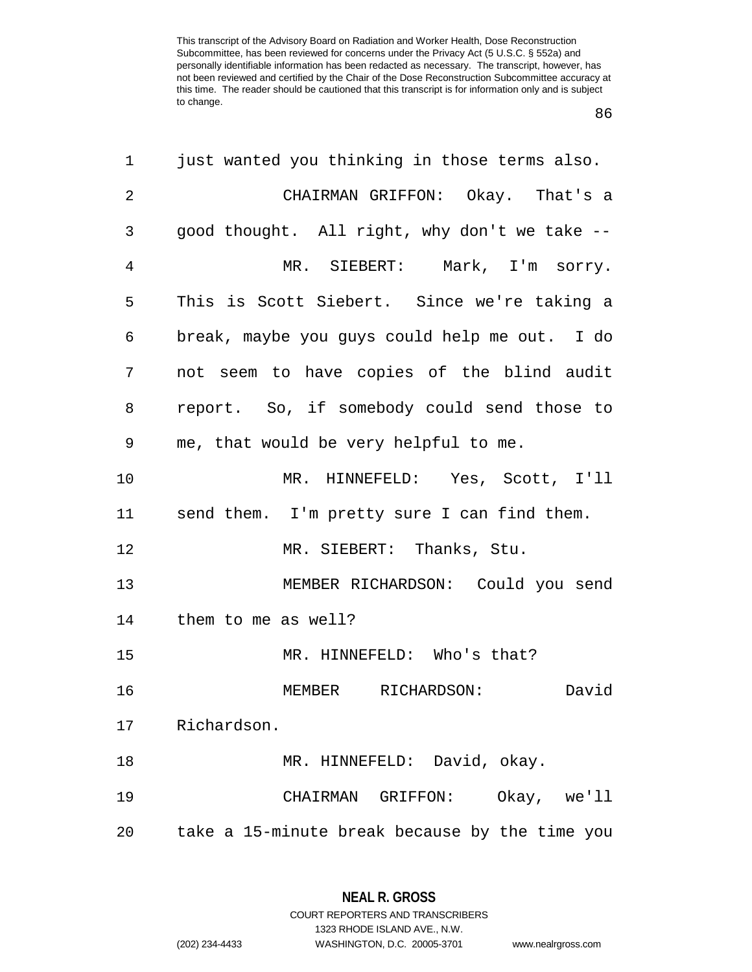| 1              | just wanted you thinking in those terms also.  |
|----------------|------------------------------------------------|
| $\overline{2}$ | CHAIRMAN GRIFFON: Okay. That's a               |
| 3              | good thought. All right, why don't we take --  |
| 4              | MR. SIEBERT: Mark, I'm sorry.                  |
| 5              | This is Scott Siebert. Since we're taking a    |
| 6              | break, maybe you guys could help me out. I do  |
| 7              | not seem to have copies of the blind audit     |
| 8              | report. So, if somebody could send those to    |
| 9              | me, that would be very helpful to me.          |
| 10             | MR. HINNEFELD: Yes, Scott, I'll                |
| 11             | send them. I'm pretty sure I can find them.    |
| 12             | MR. SIEBERT: Thanks, Stu.                      |
| 13             | MEMBER RICHARDSON: Could you send              |
| 14             | them to me as well?                            |
| 15             | MR. HINNEFELD: Who's that?                     |
| 16             | David<br>MEMBER RICHARDSON:                    |
| 17             | Richardson.                                    |
| 18             | MR. HINNEFELD: David, okay.                    |
| 19             | Okay, we'll<br>CHAIRMAN GRIFFON:               |
| 20             | take a 15-minute break because by the time you |

1323 RHODE ISLAND AVE., N.W. (202) 234-4433 WASHINGTON, D.C. 20005-3701 www.nealrgross.com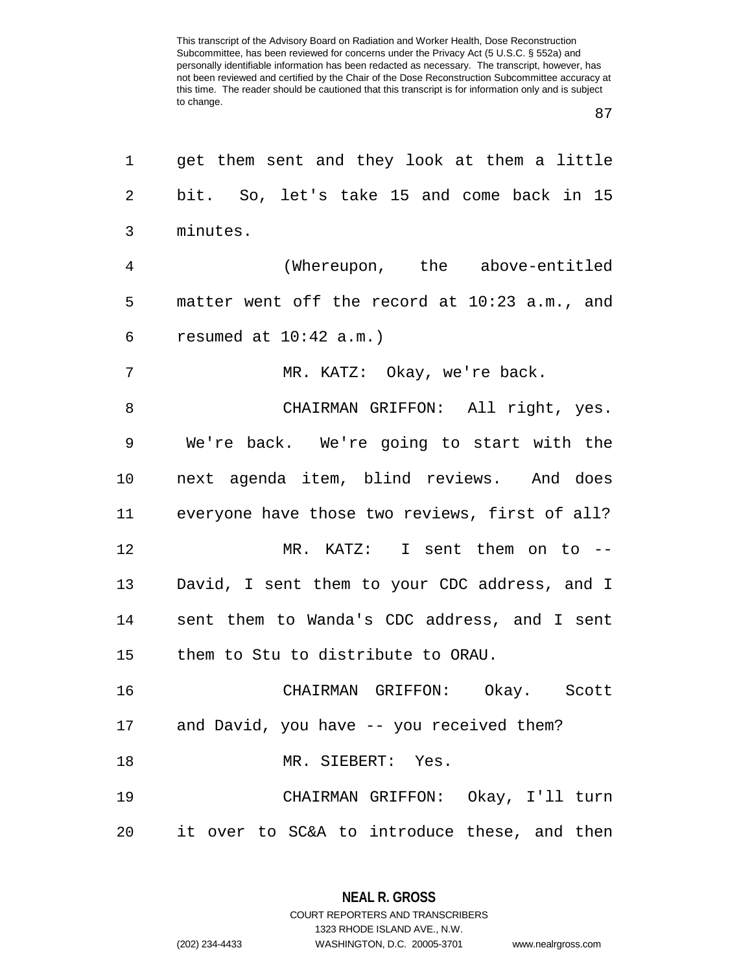| 1       | get them sent and they look at them a little   |
|---------|------------------------------------------------|
| 2       | bit. So, let's take 15 and come back in 15     |
| 3       | minutes.                                       |
| 4       | (Whereupon, the above-entitled                 |
| 5       | matter went off the record at 10:23 a.m., and  |
| 6       | resumed at $10:42$ a.m.)                       |
| 7       | MR. KATZ: Okay, we're back.                    |
| 8       | CHAIRMAN GRIFFON: All right, yes.              |
| 9       | We're back. We're going to start with the      |
| $10 \,$ | next agenda item, blind reviews. And does      |
| 11      | everyone have those two reviews, first of all? |
| 12      | MR. KATZ: I sent them on to --                 |
| 13      | David, I sent them to your CDC address, and I  |
| 14      | sent them to Wanda's CDC address, and I sent   |
| 15      | them to Stu to distribute to ORAU.             |
| 16      | CHAIRMAN GRIFFON: Okay. Scott                  |
|         | 17 and David, you have -- you received them?   |
| 18      | MR. SIEBERT: Yes.                              |
| 19      | CHAIRMAN GRIFFON: Okay, I'll turn              |
| 20      | it over to SC&A to introduce these, and then   |

**NEAL R. GROSS** COURT REPORTERS AND TRANSCRIBERS

1323 RHODE ISLAND AVE., N.W. (202) 234-4433 WASHINGTON, D.C. 20005-3701 www.nealrgross.com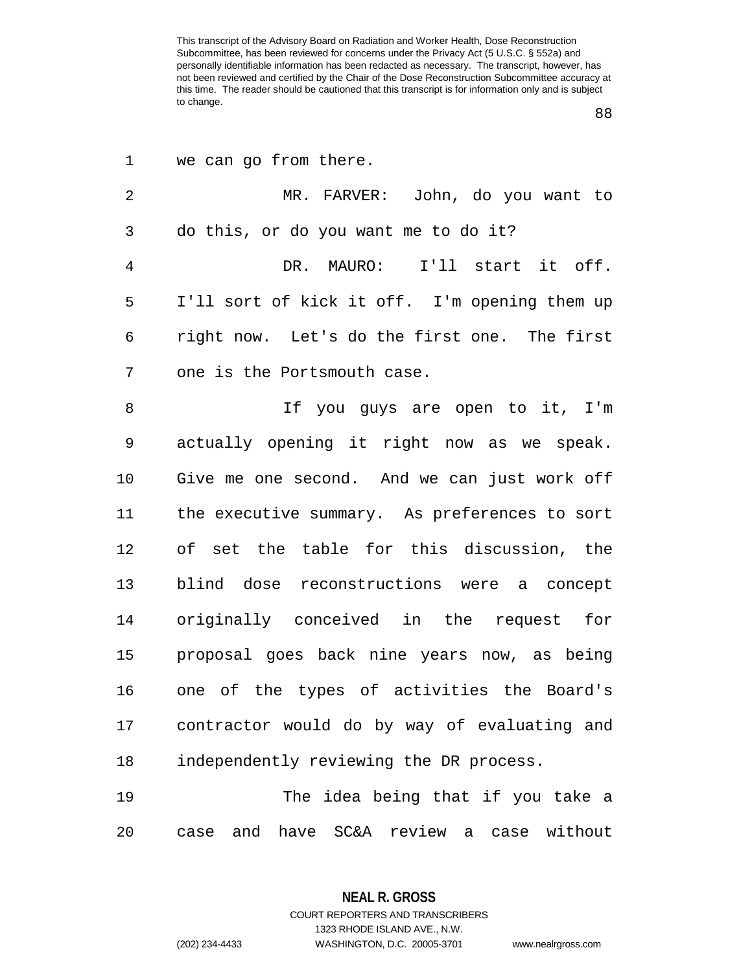| 1              | we can go from there.                         |
|----------------|-----------------------------------------------|
| $\overline{2}$ | MR. FARVER: John, do you want to              |
| 3              | do this, or do you want me to do it?          |
| $\overline{4}$ | DR. MAURO: I'll start it off.                 |
| 5              | I'll sort of kick it off. I'm opening them up |
| 6              | right now. Let's do the first one. The first  |
| 7              | one is the Portsmouth case.                   |
| 8              | If you guys are open to it, I'm               |
| 9              | actually opening it right now as we speak.    |
| 10             | Give me one second. And we can just work off  |
| 11             | the executive summary. As preferences to sort |
| 12             | of set the table for this discussion, the     |
| 13             | blind dose reconstructions were a concept     |
| 14             | originally conceived in the request for       |
| 15             | proposal goes back nine years now, as being   |
| 16             | one of the types of activities the Board's    |
| 17             | contractor would do by way of evaluating and  |
| 18             | independently reviewing the DR process.       |
| 19             | The idea being that if you take a             |
| 20             | case and have SC&A review a case without      |

**NEAL R. GROSS** COURT REPORTERS AND TRANSCRIBERS

1323 RHODE ISLAND AVE., N.W.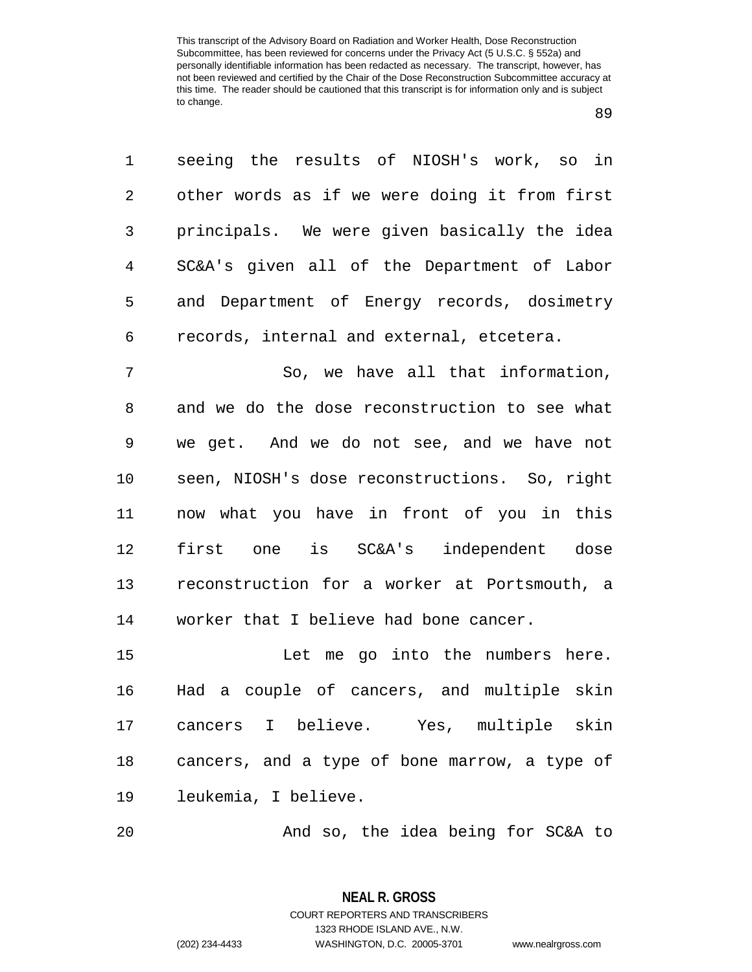seeing the results of NIOSH's work, so in other words as if we were doing it from first principals. We were given basically the idea SC&A's given all of the Department of Labor and Department of Energy records, dosimetry records, internal and external, etcetera.

 So, we have all that information, and we do the dose reconstruction to see what we get. And we do not see, and we have not seen, NIOSH's dose reconstructions. So, right now what you have in front of you in this first one is SC&A's independent dose reconstruction for a worker at Portsmouth, a worker that I believe had bone cancer.

 Let me go into the numbers here. Had a couple of cancers, and multiple skin cancers I believe. Yes, multiple skin cancers, and a type of bone marrow, a type of leukemia, I believe.

And so, the idea being for SC&A to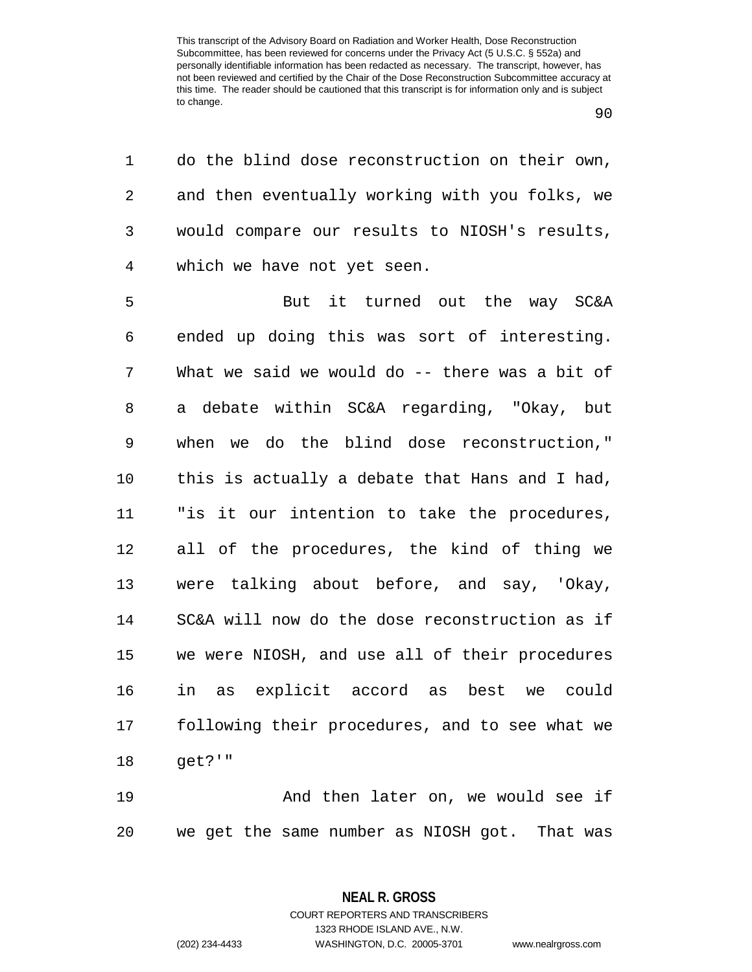do the blind dose reconstruction on their own, and then eventually working with you folks, we would compare our results to NIOSH's results, which we have not yet seen.

 But it turned out the way SC&A ended up doing this was sort of interesting. What we said we would do -- there was a bit of a debate within SC&A regarding, "Okay, but when we do the blind dose reconstruction," this is actually a debate that Hans and I had, "is it our intention to take the procedures, all of the procedures, the kind of thing we were talking about before, and say, 'Okay, SC&A will now do the dose reconstruction as if we were NIOSH, and use all of their procedures in as explicit accord as best we could following their procedures, and to see what we get?'"

 And then later on, we would see if we get the same number as NIOSH got. That was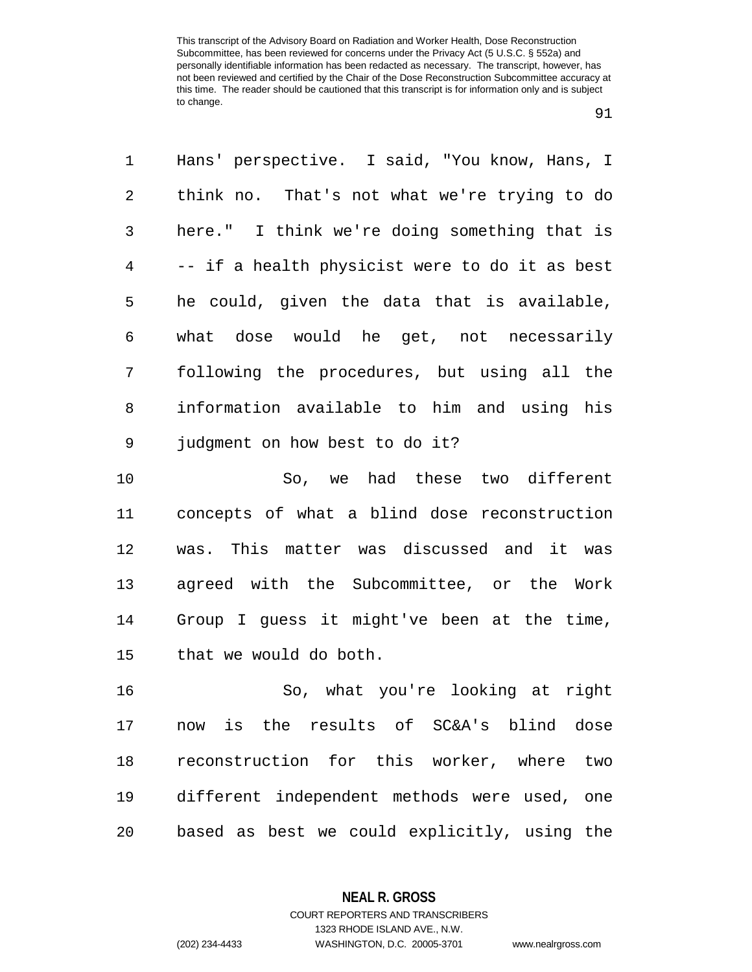| 1              | Hans' perspective. I said, "You know, Hans, I  |
|----------------|------------------------------------------------|
| $\overline{2}$ | think no. That's not what we're trying to do   |
| 3              | here." I think we're doing something that is   |
| 4              | -- if a health physicist were to do it as best |
| 5              | he could, given the data that is available,    |
| 6              | what dose would he get, not necessarily        |
| 7              | following the procedures, but using all the    |
| 8              | information available to him and using his     |
| 9              | judgment on how best to do it?                 |
| 10             | So, we had these two different                 |
| 11             | concepts of what a blind dose reconstruction   |
| 12             | was. This matter was discussed and it was      |
| 13             | agreed with the Subcommittee, or the Work      |
| 14             | Group I guess it might've been at the time,    |
| 15             | that we would do both.                         |
| 16             | So, what you're looking at right               |
| 17             | now is the results of SC&A's blind dose        |
| 18             | reconstruction for this worker, where<br>two   |
| 19             | different independent methods were used, one   |
| 20             | based as best we could explicitly, using the   |

**NEAL R. GROSS** COURT REPORTERS AND TRANSCRIBERS

1323 RHODE ISLAND AVE., N.W. (202) 234-4433 WASHINGTON, D.C. 20005-3701 www.nealrgross.com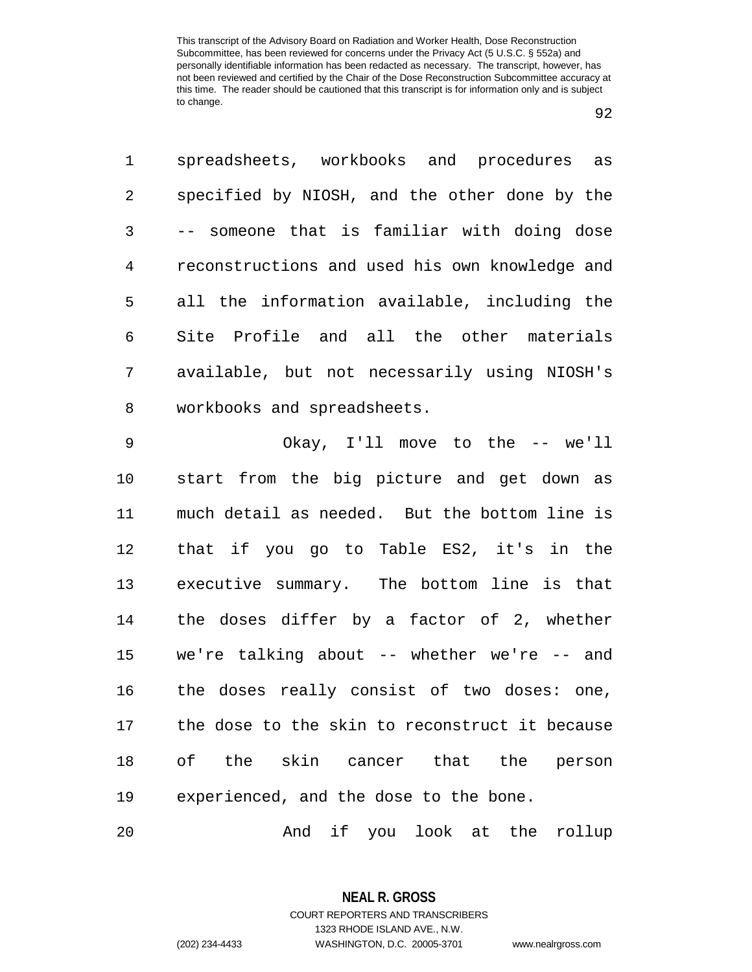spreadsheets, workbooks and procedures as specified by NIOSH, and the other done by the -- someone that is familiar with doing dose reconstructions and used his own knowledge and all the information available, including the Site Profile and all the other materials available, but not necessarily using NIOSH's workbooks and spreadsheets.

 Okay, I'll move to the -- we'll start from the big picture and get down as much detail as needed. But the bottom line is that if you go to Table ES2, it's in the executive summary. The bottom line is that the doses differ by a factor of 2, whether we're talking about -- whether we're -- and the doses really consist of two doses: one, the dose to the skin to reconstruct it because of the skin cancer that the person experienced, and the dose to the bone.

And if you look at the rollup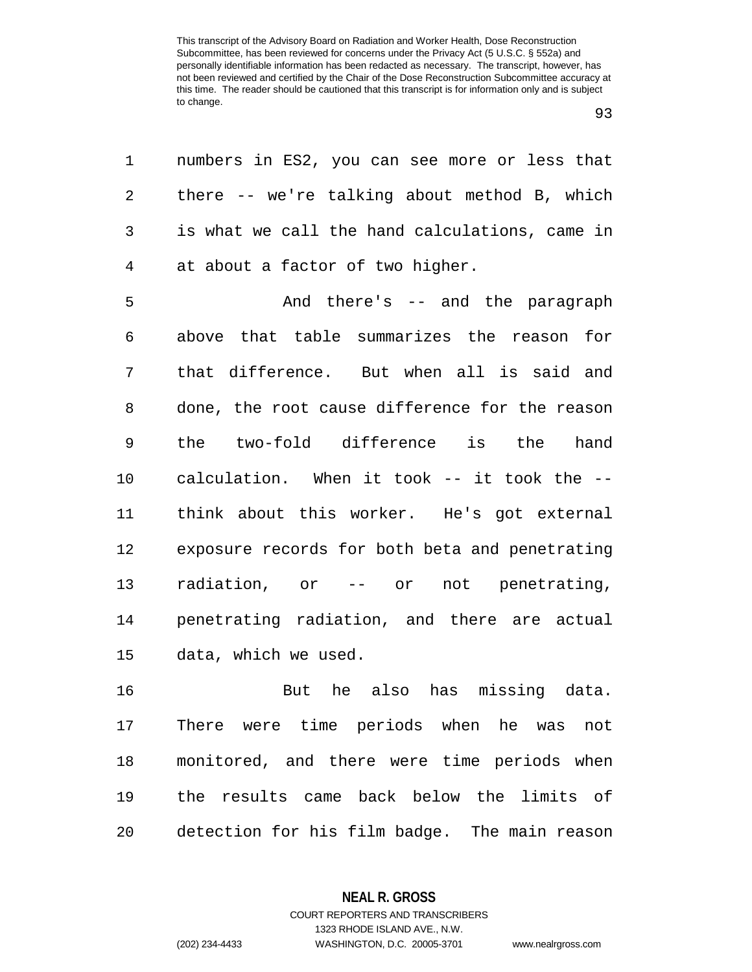| 1 numbers in ES2, you can see more or less that  |
|--------------------------------------------------|
| 2 there -- we're talking about method B, which   |
| 3 is what we call the hand calculations, came in |
| 4 at about a factor of two higher.               |

 And there's -- and the paragraph above that table summarizes the reason for that difference. But when all is said and done, the root cause difference for the reason the two-fold difference is the hand calculation. When it took -- it took the -- think about this worker. He's got external exposure records for both beta and penetrating radiation, or -- or not penetrating, penetrating radiation, and there are actual data, which we used.

 But he also has missing data. There were time periods when he was not monitored, and there were time periods when the results came back below the limits of detection for his film badge. The main reason

> **NEAL R. GROSS** COURT REPORTERS AND TRANSCRIBERS

> > 1323 RHODE ISLAND AVE., N.W.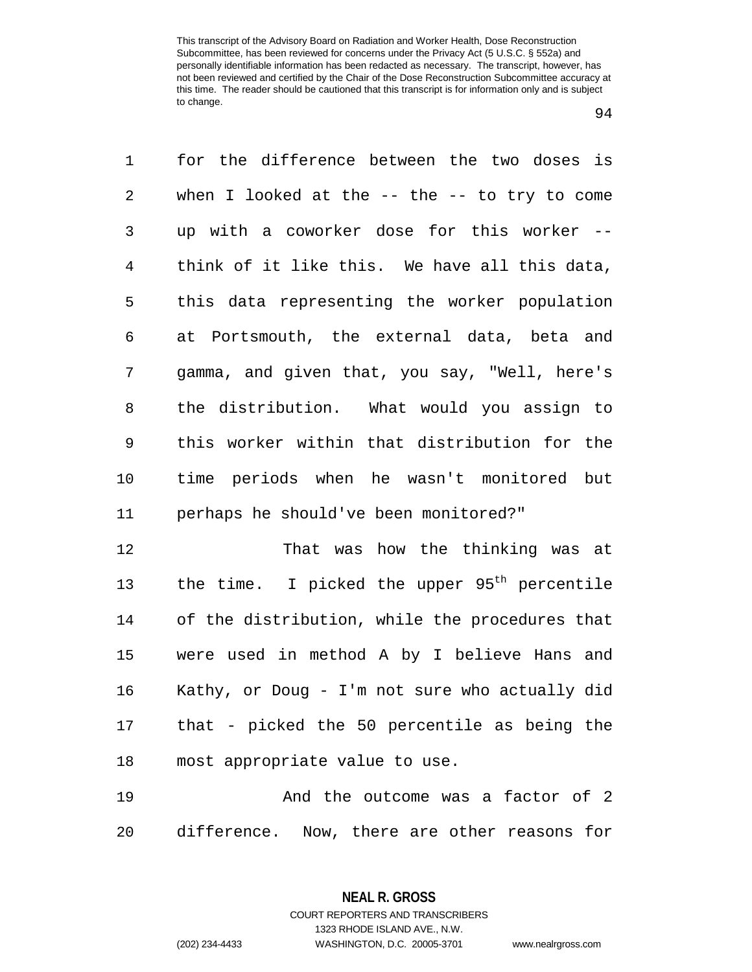| when I looked at the $--$ the $--$ to try to come        |
|----------------------------------------------------------|
|                                                          |
| up with a coworker dose for this worker --               |
| think of it like this. We have all this data,            |
| this data representing the worker population             |
| at Portsmouth, the external data, beta and               |
| gamma, and given that, you say, "Well, here's            |
| the distribution. What would you assign to               |
| this worker within that distribution for the             |
| time periods when he wasn't monitored but                |
| perhaps he should've been monitored?"                    |
|                                                          |
| That was how the thinking was at                         |
| the time. I picked the upper 95 <sup>th</sup> percentile |
| of the distribution, while the procedures that           |
|                                                          |

 Kathy, or Doug - I'm not sure who actually did that - picked the 50 percentile as being the most appropriate value to use.

**And the outcome was a factor of 2** difference. Now, there are other reasons for

> **NEAL R. GROSS** COURT REPORTERS AND TRANSCRIBERS

> > 1323 RHODE ISLAND AVE., N.W.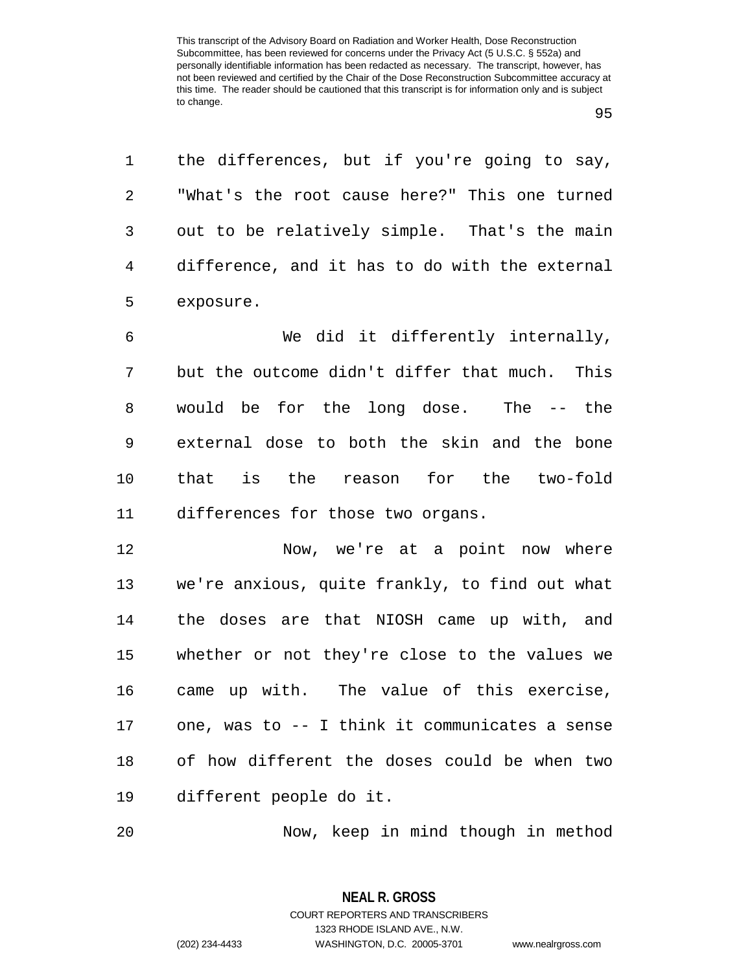the differences, but if you're going to say, "What's the root cause here?" This one turned out to be relatively simple. That's the main difference, and it has to do with the external exposure.

 We did it differently internally, but the outcome didn't differ that much. This would be for the long dose. The -- the external dose to both the skin and the bone that is the reason for the two-fold differences for those two organs.

 Now, we're at a point now where we're anxious, quite frankly, to find out what the doses are that NIOSH came up with, and whether or not they're close to the values we came up with. The value of this exercise, one, was to -- I think it communicates a sense of how different the doses could be when two different people do it.

Now, keep in mind though in method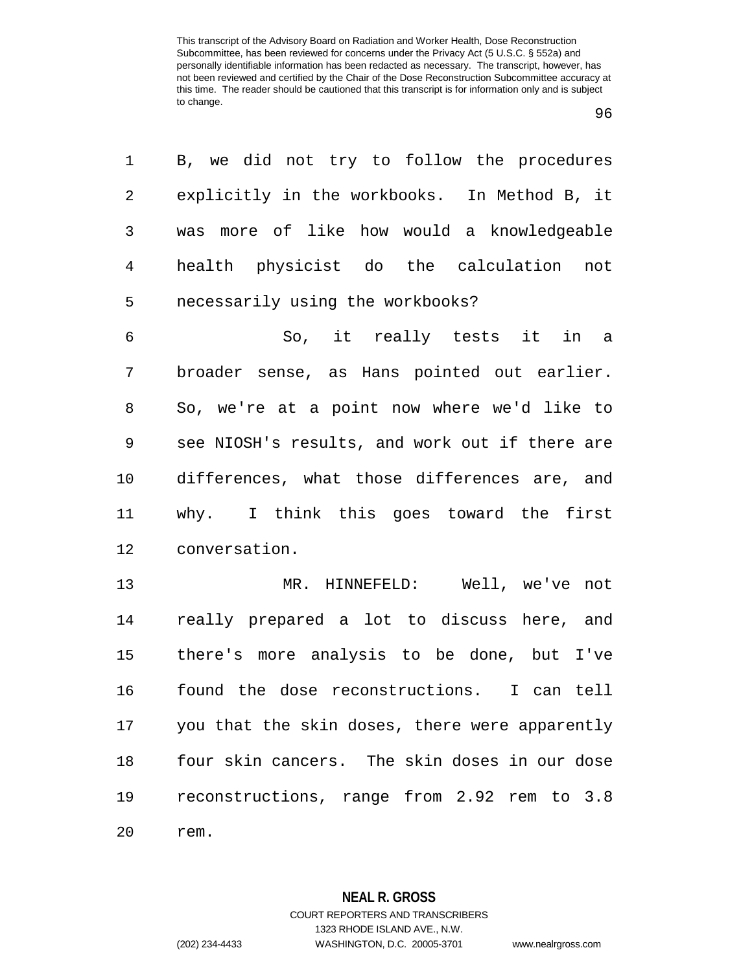| 1              | B, we did not try to follow the procedures     |
|----------------|------------------------------------------------|
| 2              | explicitly in the workbooks. In Method B, it   |
| 3              | was more of like how would a knowledgeable     |
| $\overline{4}$ | health physicist do the calculation not        |
| 5              | necessarily using the workbooks?               |
| 6              | So, it really tests it in a                    |
| 7              | broader sense, as Hans pointed out earlier.    |
| 8              | So, we're at a point now where we'd like to    |
| 9              | see NIOSH's results, and work out if there are |
| 10             | differences, what those differences are, and   |
| 11             | why. I think this goes toward the first        |
| 12             | conversation.                                  |
| 13             | MR. HINNEFELD: Well, we've not                 |
| 14             | really prepared a lot to discuss here, and     |
| 15             | there's more analysis to be done, but I've     |
| 16             | found the dose reconstructions. I can tell     |
| 17             | you that the skin doses, there were apparently |
| 18             | four skin cancers. The skin doses in our dose  |
| 19             | reconstructions, range from 2.92 rem to 3.8    |
| 2.0            | rem.                                           |

**NEAL R. GROSS** COURT REPORTERS AND TRANSCRIBERS

1323 RHODE ISLAND AVE., N.W.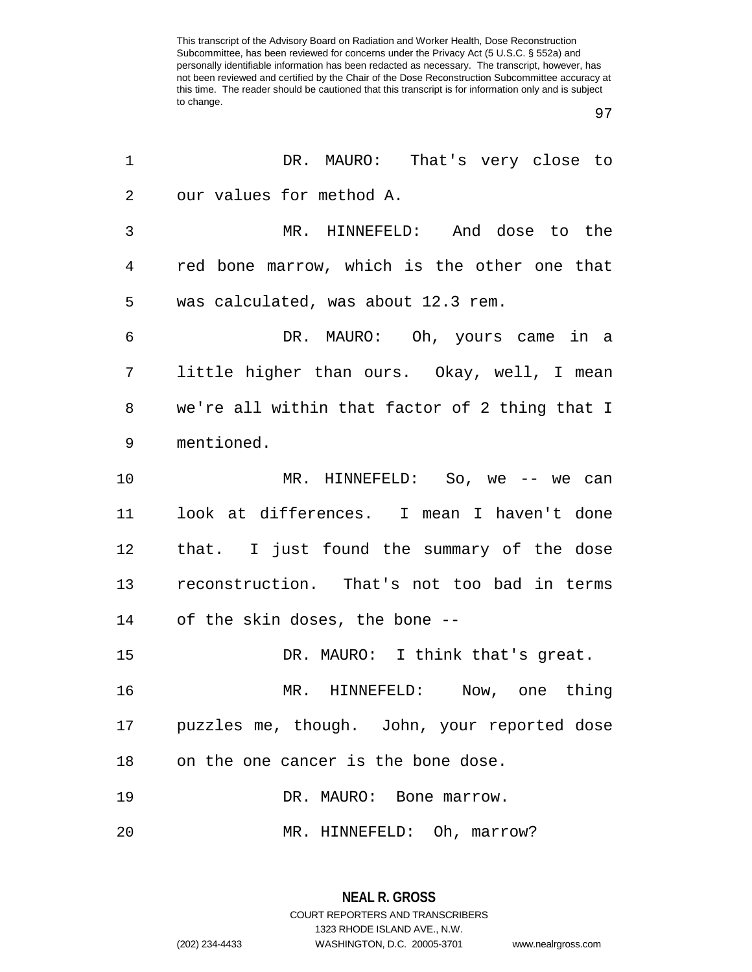| 1  | DR. MAURO: That's very close to                |
|----|------------------------------------------------|
| 2  | our values for method A.                       |
| 3  | MR. HINNEFELD: And dose to the                 |
| 4  | red bone marrow, which is the other one that   |
| 5  | was calculated, was about 12.3 rem.            |
| 6  | DR. MAURO: Oh, yours came in a                 |
| 7  | little higher than ours. Okay, well, I mean    |
| 8  | we're all within that factor of 2 thing that I |
| 9  | mentioned.                                     |
| 10 | MR. HINNEFELD: So, we -- we can                |
| 11 | look at differences. I mean I haven't done     |
| 12 | that. I just found the summary of the dose     |
| 13 | reconstruction. That's not too bad in terms    |
|    | 14 of the skin doses, the bone --              |
| 15 | DR. MAURO: I think that's great.               |
| 16 | MR. HINNEFELD: Now, one thing                  |
| 17 | puzzles me, though. John, your reported dose   |
| 18 | on the one cancer is the bone dose.            |
| 19 | DR. MAURO: Bone marrow.                        |
| 20 | MR. HINNEFELD: Oh, marrow?                     |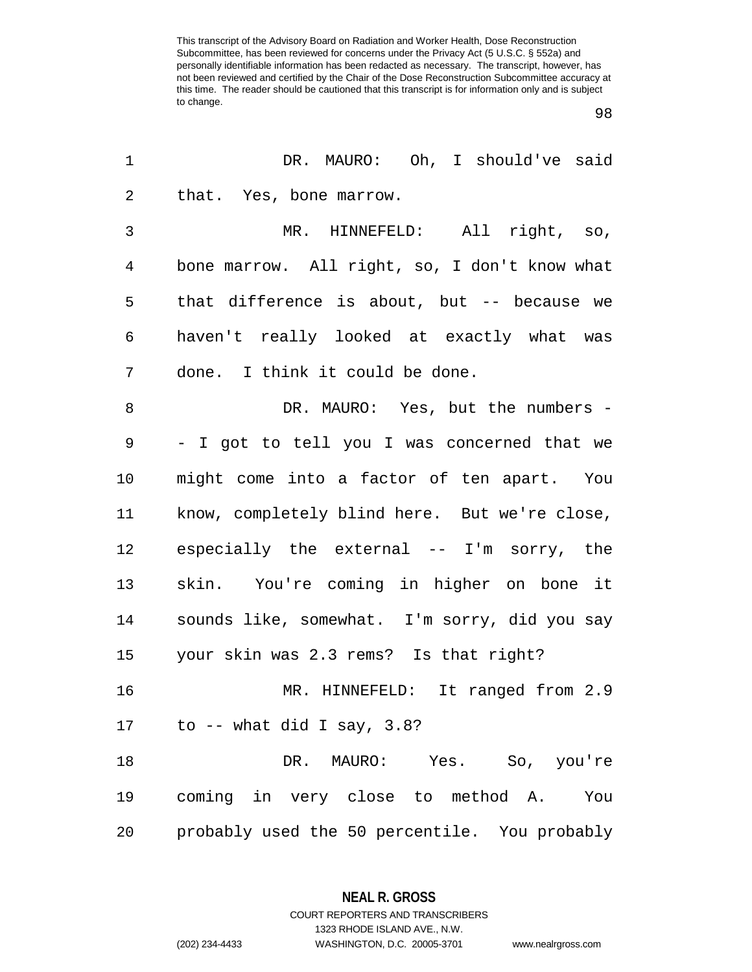| 1              | DR. MAURO: Oh, I should've said               |
|----------------|-----------------------------------------------|
| $\overline{2}$ | that. Yes, bone marrow.                       |
| 3              | MR. HINNEFELD: All right, so,                 |
| $\overline{4}$ | bone marrow. All right, so, I don't know what |
| 5              | that difference is about, but -- because we   |
| 6              | haven't really looked at exactly what was     |
| 7              | done. I think it could be done.               |
| 8              | DR. MAURO: Yes, but the numbers -             |
| 9              | - I got to tell you I was concerned that we   |
| 10             | might come into a factor of ten apart. You    |
| 11             | know, completely blind here. But we're close, |
| 12             | especially the external -- I'm sorry, the     |
| 13             | skin. You're coming in higher on bone it      |
| 14             | sounds like, somewhat. I'm sorry, did you say |
| 15             | your skin was 2.3 rems? Is that right?        |
| 16             | MR. HINNEFELD: It ranged from 2.9             |
| 17             | to -- what did I say, $3.8$ ?                 |
| 18             | DR. MAURO: Yes. So, you're                    |
| 19             | coming in very close to method A. You         |
| 20             | probably used the 50 percentile. You probably |

**NEAL R. GROSS** COURT REPORTERS AND TRANSCRIBERS

1323 RHODE ISLAND AVE., N.W. (202) 234-4433 WASHINGTON, D.C. 20005-3701 www.nealrgross.com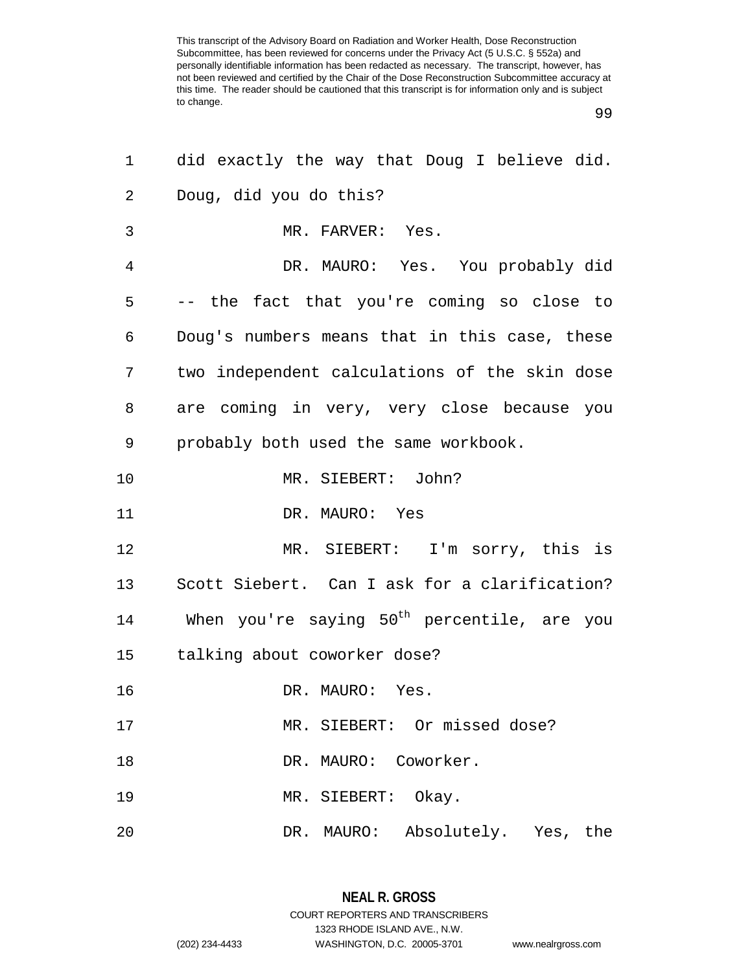| 1  | did exactly the way that Doug I believe did.            |
|----|---------------------------------------------------------|
| 2  | Doug, did you do this?                                  |
| 3  | MR. FARVER: Yes.                                        |
| 4  | DR. MAURO: Yes. You probably did                        |
| 5  | -- the fact that you're coming so close to              |
| 6  | Doug's numbers means that in this case, these           |
| 7  | two independent calculations of the skin dose           |
| 8  | are coming in very, very close because you              |
| 9  | probably both used the same workbook.                   |
| 10 | MR. SIEBERT: John?                                      |
| 11 | DR. MAURO: Yes                                          |
| 12 | MR. SIEBERT: I'm sorry, this is                         |
| 13 | Scott Siebert. Can I ask for a clarification?           |
| 14 | When you're saying 50 <sup>th</sup> percentile, are you |
| 15 | talking about coworker dose?                            |
| 16 | DR. MAURO: Yes.                                         |
| 17 | MR. SIEBERT: Or missed dose?                            |
| 18 | DR. MAURO: Coworker.                                    |
| 19 | MR. SIEBERT: Okay.                                      |
| 20 | DR. MAURO: Absolutely. Yes, the                         |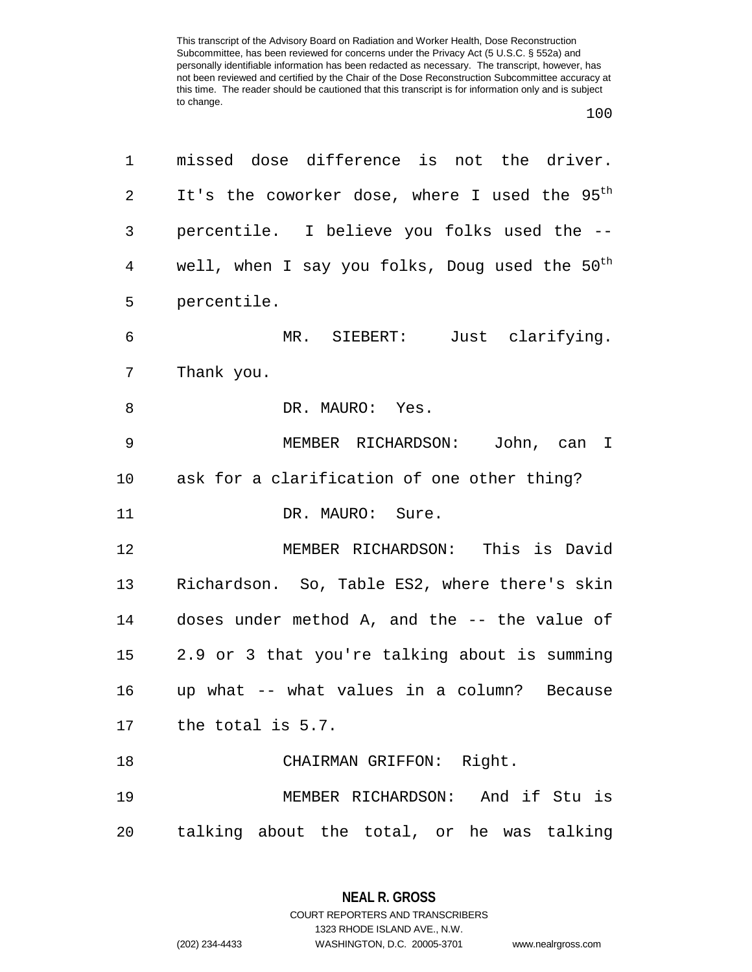## 100

| 1       | missed dose difference is not the driver.                  |
|---------|------------------------------------------------------------|
| 2       | It's the coworker dose, where I used the 95 <sup>th</sup>  |
| 3       | percentile. I believe you folks used the --                |
| 4       | well, when I say you folks, Doug used the 50 <sup>th</sup> |
| 5       | percentile.                                                |
| 6       | MR. SIEBERT: Just clarifying.                              |
| 7       | Thank you.                                                 |
| 8       | DR. MAURO: Yes.                                            |
| 9       | MEMBER RICHARDSON:<br>John, can I                          |
| $10 \,$ | ask for a clarification of one other thing?                |
| 11      | DR. MAURO: Sure.                                           |
| 12      | MEMBER RICHARDSON: This is David                           |
| 13      | Richardson. So, Table ES2, where there's skin              |
| 14      | doses under method A, and the -- the value of              |
| 15      | 2.9 or 3 that you're talking about is summing              |
| 16      | up what -- what values in a column? Because                |
| 17      | the total is 5.7.                                          |
| 18      | CHAIRMAN GRIFFON: Right.                                   |
| 19      | MEMBER RICHARDSON: And if Stu is                           |
| 20      | talking about the total, or he was talking                 |

**NEAL R. GROSS** COURT REPORTERS AND TRANSCRIBERS

1323 RHODE ISLAND AVE., N.W.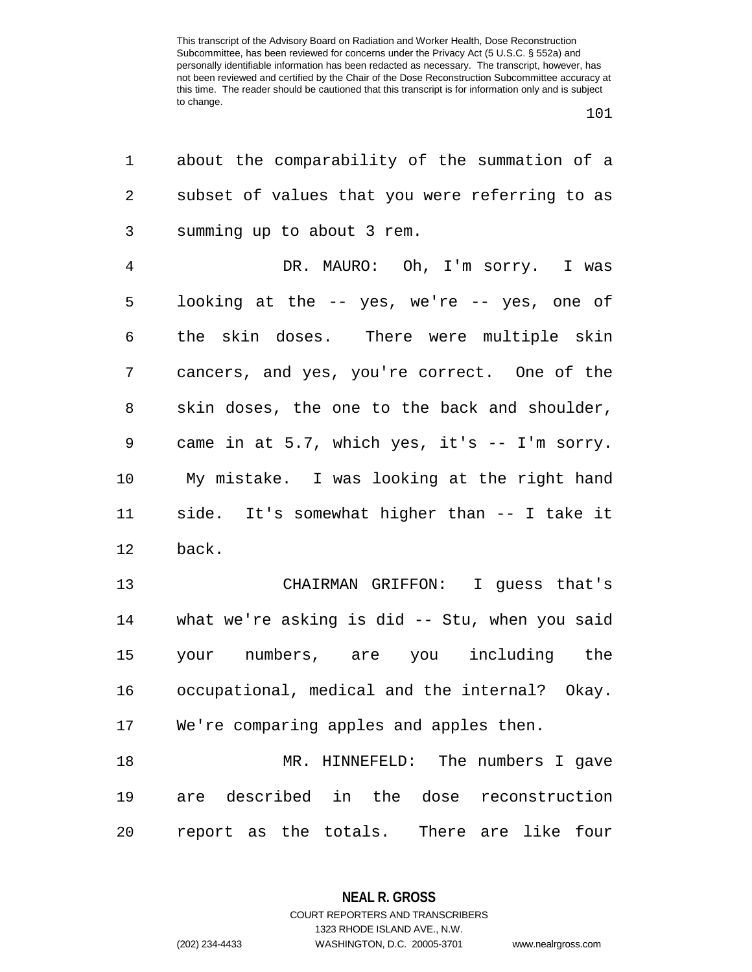| 1              | about the comparability of the summation of a  |
|----------------|------------------------------------------------|
| 2              | subset of values that you were referring to as |
| 3              | summing up to about 3 rem.                     |
| $\overline{4}$ | DR. MAURO: Oh, I'm sorry. I was                |
| 5              | looking at the -- yes, we're -- yes, one of    |
| 6              | the skin doses. There were multiple skin       |
| 7              | cancers, and yes, you're correct. One of the   |
| 8              | skin doses, the one to the back and shoulder,  |
| 9              | came in at 5.7, which yes, it's -- I'm sorry.  |
| 10             | My mistake. I was looking at the right hand    |
| 11             | side. It's somewhat higher than -- I take it   |
| 12             | back.                                          |
| 13             | CHAIRMAN GRIFFON: I guess that's               |
| 14             | what we're asking is did -- Stu, when you said |
| 15             | your numbers, are you including the            |
| 16             | occupational, medical and the internal? Okay.  |
| 17             | We're comparing apples and apples then.        |
| 18             | MR. HINNEFELD: The numbers I gave              |
| 19             | are described in the dose reconstruction       |
| 20             | report as the totals. There are like four      |

**NEAL R. GROSS** COURT REPORTERS AND TRANSCRIBERS

1323 RHODE ISLAND AVE., N.W.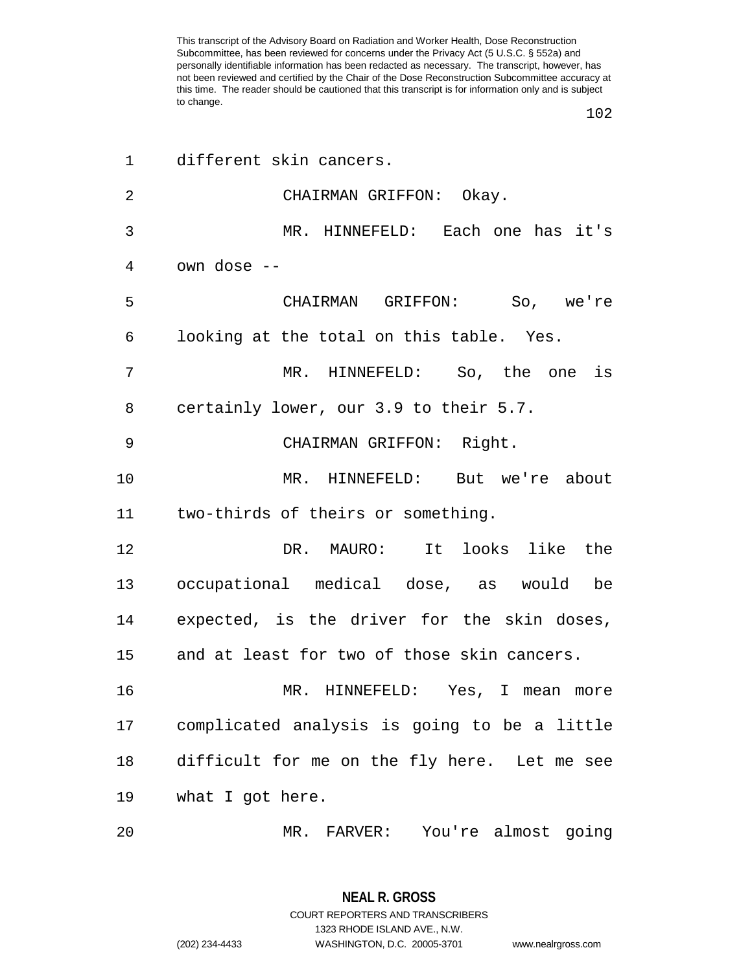| 1              | different skin cancers.                      |
|----------------|----------------------------------------------|
| $\overline{2}$ | CHAIRMAN GRIFFON: Okay.                      |
| 3              | MR. HINNEFELD: Each one has it's             |
| 4              | own dose --                                  |
| 5              | CHAIRMAN GRIFFON: So, we're                  |
| 6              | looking at the total on this table. Yes.     |
| 7              | MR. HINNEFELD: So, the one is                |
| 8              | certainly lower, our 3.9 to their 5.7.       |
| 9              | CHAIRMAN GRIFFON: Right.                     |
| 10             | MR. HINNEFELD: But we're about               |
| 11             | two-thirds of theirs or something.           |
| 12             | DR. MAURO: It looks like the                 |
| 13             | occupational medical dose, as would be       |
| 14             | expected, is the driver for the skin doses,  |
| 15             | and at least for two of those skin cancers.  |
| 16             | MR. HINNEFELD: Yes, I mean more              |
| 17             | complicated analysis is going to be a little |
| 18             | difficult for me on the fly here. Let me see |
| 19             | what I got here.                             |
| 20             | MR. FARVER: You're almost going              |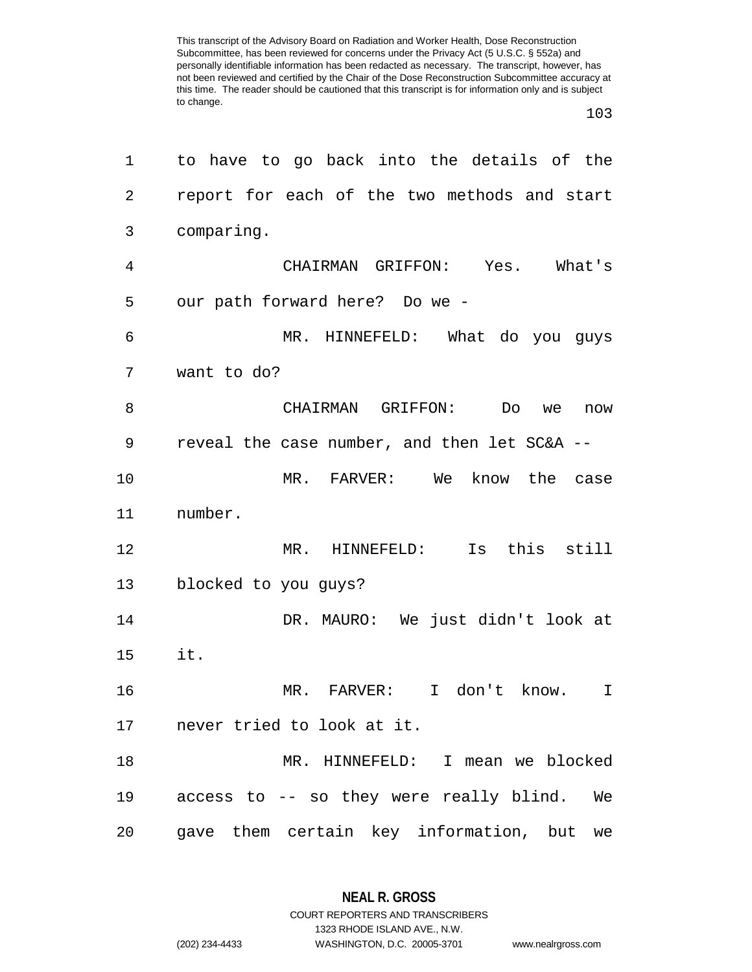| 1  | to have to go back into the details of the   |
|----|----------------------------------------------|
| 2  | report for each of the two methods and start |
| 3  | comparing.                                   |
| 4  | CHAIRMAN GRIFFON: Yes. What's                |
| 5  | our path forward here? Do we -               |
| 6  | MR. HINNEFELD: What do you guys              |
| 7  | want to do?                                  |
| 8  | CHAIRMAN<br>GRIFFON:<br>Do<br>we<br>now      |
| 9  | reveal the case number, and then let SC&A -- |
| 10 | MR. FARVER:<br>We<br>know the case           |
| 11 | number.                                      |
| 12 | this<br>$MR$ .<br>HINNEFELD:<br>Is<br>still  |
| 13 | blocked to you guys?                         |
| 14 | DR. MAURO: We just didn't look at            |
| 15 | it.                                          |
| 16 | MR. FARVER:<br>I don't know.<br>I.           |
|    | 17 never tried to look at it.                |
| 18 | MR. HINNEFELD: I mean we blocked             |
| 19 | access to -- so they were really blind. We   |
| 20 | gave them certain key information, but<br>we |

**NEAL R. GROSS** COURT REPORTERS AND TRANSCRIBERS

1323 RHODE ISLAND AVE., N.W.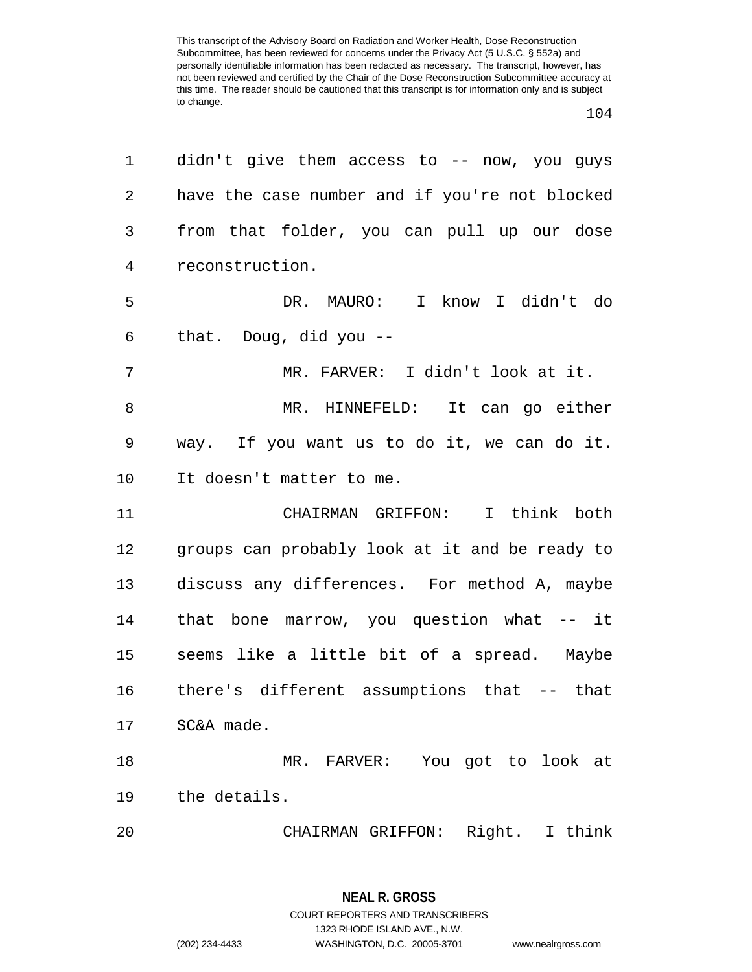## 

| 1              | didn't give them access to -- now, you guys    |
|----------------|------------------------------------------------|
| $\overline{a}$ | have the case number and if you're not blocked |
| 3              | from that folder, you can pull up our dose     |
| $\overline{4}$ | reconstruction.                                |
| 5              | DR. MAURO: I know I didn't do                  |
| 6              | that. Doug, did you --                         |
| $\overline{7}$ | MR. FARVER: I didn't look at it.               |
| 8              | MR. HINNEFELD: It can go either                |
| 9              | way. If you want us to do it, we can do it.    |
| 10             | It doesn't matter to me.                       |
| 11             | CHAIRMAN GRIFFON: I think both                 |
| 12             | groups can probably look at it and be ready to |
| 13             | discuss any differences. For method A, maybe   |
| 14             | that bone marrow, you question what -- it      |
| 15             | seems like a little bit of a spread. Maybe     |
| 16             | there's different assumptions that -- that     |
| 17             | SC&A made.                                     |
| 18             | MR. FARVER: You got to look at                 |
| 19             | the details.                                   |
| 20             | CHAIRMAN GRIFFON: Right. I think               |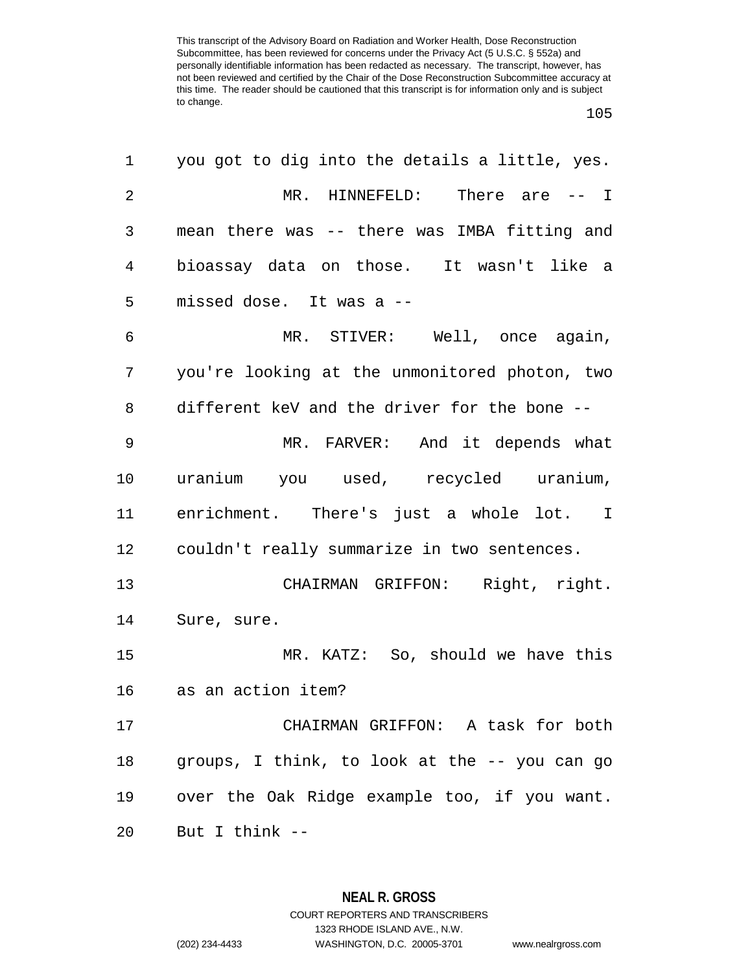| 1  | you got to dig into the details a little, yes. |
|----|------------------------------------------------|
| 2  | MR. HINNEFELD: There are -- I                  |
| 3  | mean there was -- there was IMBA fitting and   |
| 4  | bioassay data on those. It wasn't like a       |
| 5  | missed dose. It was a --                       |
| 6  | MR. STIVER: Well, once again,                  |
| 7  | you're looking at the unmonitored photon, two  |
| 8  | different keV and the driver for the bone --   |
| 9  | MR. FARVER: And it depends what                |
| 10 | uranium you used, recycled uranium,            |
| 11 | enrichment. There's just a whole lot. I        |
| 12 | couldn't really summarize in two sentences.    |
| 13 | CHAIRMAN GRIFFON: Right, right.                |
| 14 | Sure, sure.                                    |
| 15 | MR. KATZ: So, should we have this              |
| 16 | as an action item?                             |
| 17 | CHAIRMAN GRIFFON: A task for both              |
| 18 | groups, I think, to look at the -- you can go  |
| 19 | over the Oak Ridge example too, if you want.   |
| 20 | But I think --                                 |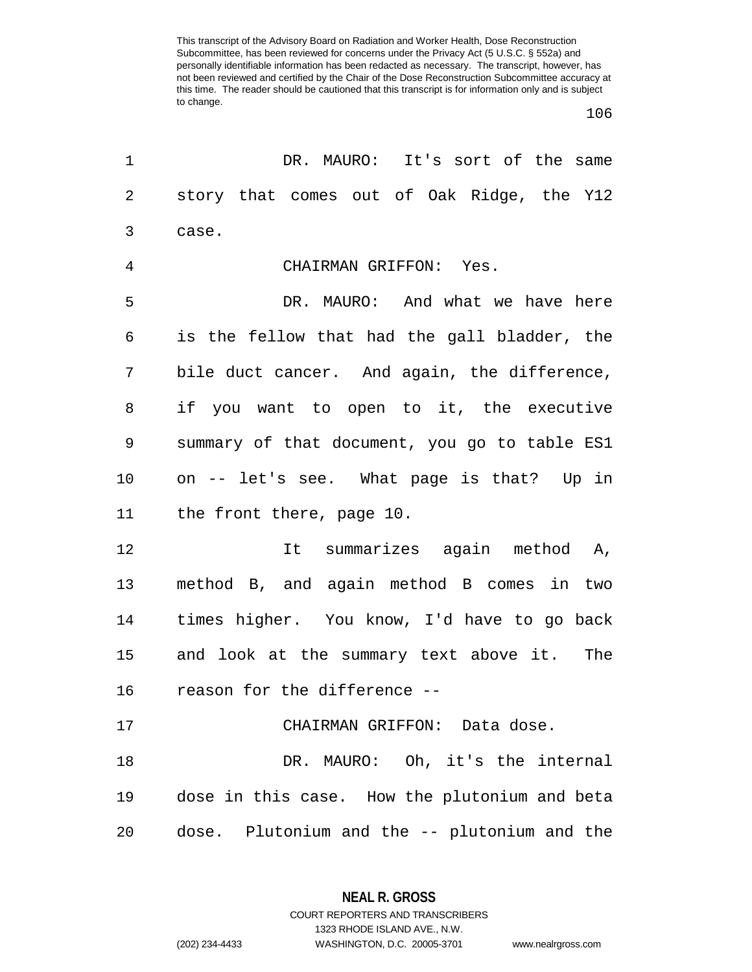| 1              | DR. MAURO: It's sort of the same              |
|----------------|-----------------------------------------------|
| 2              | story that comes out of Oak Ridge, the Y12    |
| 3              | case.                                         |
| $\overline{4}$ | CHAIRMAN GRIFFON: Yes.                        |
| 5              | DR. MAURO: And what we have here              |
| 6              | is the fellow that had the gall bladder, the  |
| 7              | bile duct cancer. And again, the difference,  |
| 8              | if you want to open to it, the executive      |
| 9              | summary of that document, you go to table ES1 |
| 10             | on -- let's see. What page is that? Up in     |
| 11             | the front there, page 10.                     |
| 12             | It summarizes again method A,                 |
| 13             | method B, and again method B comes in two     |
| 14             | times higher. You know, I'd have to go back   |
| 15             | and look at the summary text above it. The    |
| 16             | reason for the difference --                  |
| 17             | CHAIRMAN GRIFFON: Data dose.                  |
| 18             | DR. MAURO: Oh, it's the internal              |
| 19             | dose in this case. How the plutonium and beta |
| 20             | dose. Plutonium and the -- plutonium and the  |

**NEAL R. GROSS** COURT REPORTERS AND TRANSCRIBERS

1323 RHODE ISLAND AVE., N.W.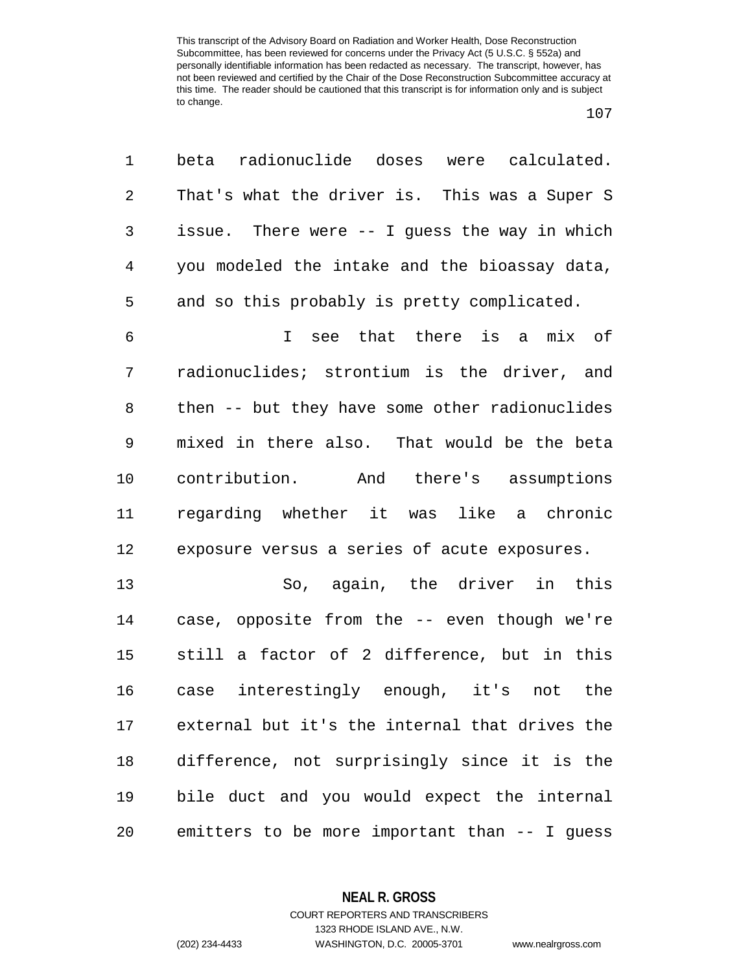| $\mathbf 1$ | radionuclide doses were calculated.<br>beta    |
|-------------|------------------------------------------------|
| $\sqrt{2}$  | That's what the driver is. This was a Super S  |
| 3           | issue. There were -- I guess the way in which  |
| 4           | you modeled the intake and the bioassay data,  |
| 5           | and so this probably is pretty complicated.    |
| 6           | see that there is a mix of<br>$\mathbf{I}$     |
| 7           | radionuclides; strontium is the driver, and    |
| 8           | then -- but they have some other radionuclides |
| 9           | mixed in there also. That would be the beta    |
| 10          | contribution. And there's assumptions          |
| 11          | regarding whether it was like a chronic        |
| 12          | exposure versus a series of acute exposures.   |
| 13          | So, again, the driver in this                  |
| 14          | case, opposite from the -- even though we're   |
| 15          | still a factor of 2 difference, but in this    |
| 16          | interestingly enough, it's<br>not the<br>case  |
| 17          | external but it's the internal that drives the |
| 18          | difference, not surprisingly since it is the   |
| 19          | bile duct and you would expect the internal    |
| 20          | emitters to be more important than -- I guess  |

**NEAL R. GROSS**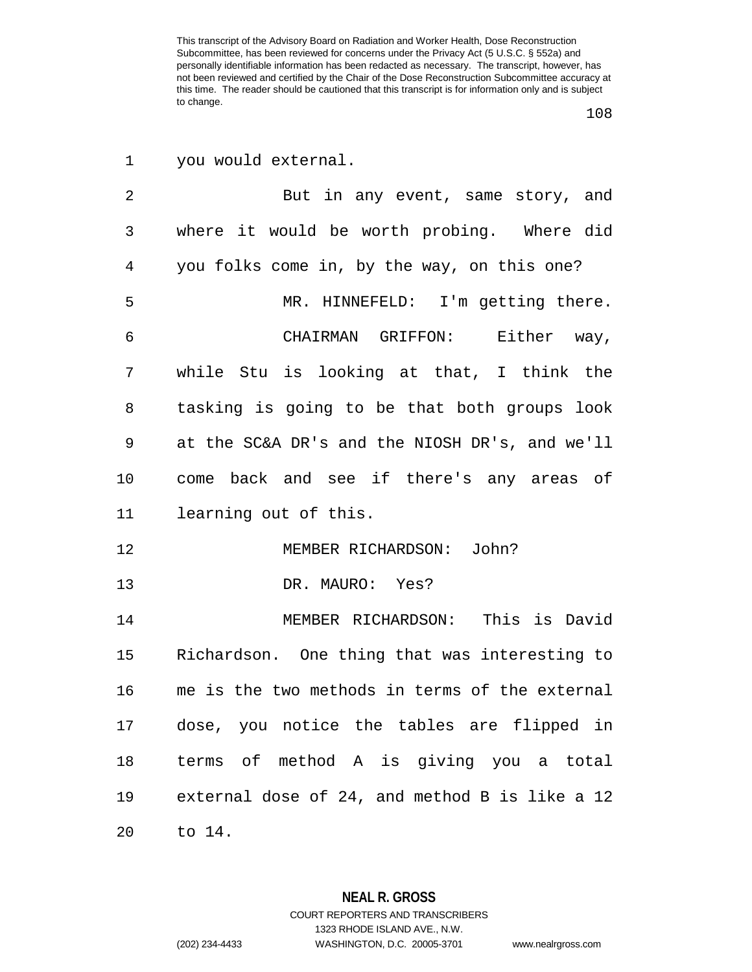you would external.

2 But in any event, same story, and where it would be worth probing. Where did you folks come in, by the way, on this one? MR. HINNEFELD: I'm getting there. CHAIRMAN GRIFFON: Either way, while Stu is looking at that, I think the tasking is going to be that both groups look at the SC&A DR's and the NIOSH DR's, and we'll come back and see if there's any areas of learning out of this. MEMBER RICHARDSON: John? DR. MAURO: Yes? MEMBER RICHARDSON: This is David Richardson. One thing that was interesting to me is the two methods in terms of the external dose, you notice the tables are flipped in terms of method A is giving you a total external dose of 24, and method B is like a 12 to 14.

> **NEAL R. GROSS** COURT REPORTERS AND TRANSCRIBERS

> > 1323 RHODE ISLAND AVE., N.W.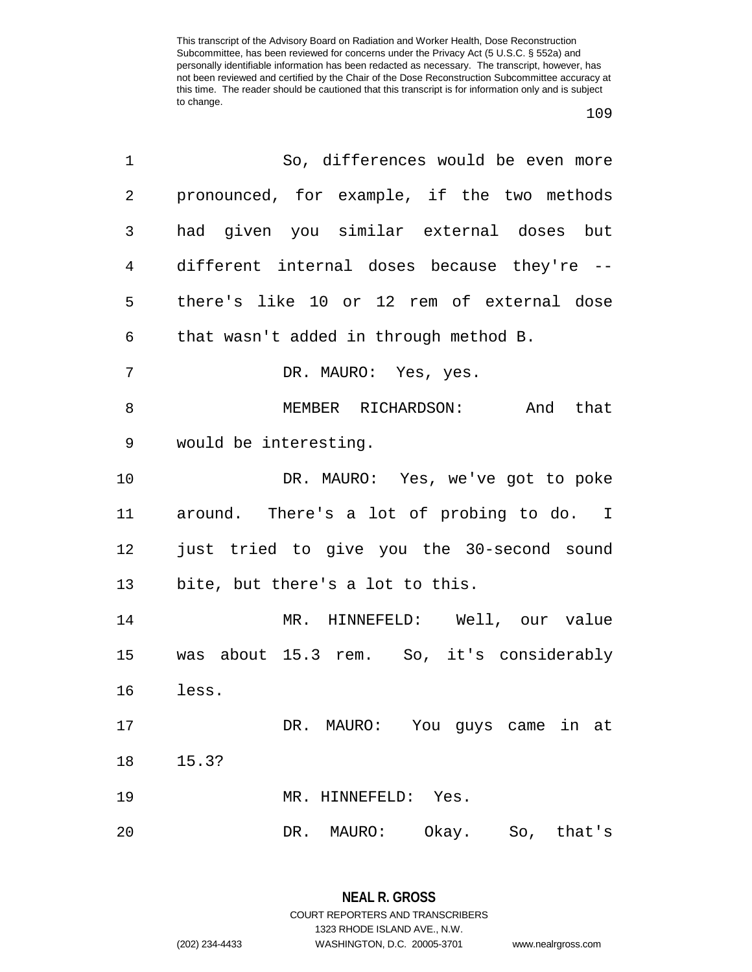| 1  | So, differences would be even more          |
|----|---------------------------------------------|
| 2  | pronounced, for example, if the two methods |
| 3  | had given you similar external doses but    |
| 4  | different internal doses because they're -- |
| 5  | there's like 10 or 12 rem of external dose  |
| 6  | that wasn't added in through method B.      |
| 7  | DR. MAURO: Yes, yes.                        |
| 8  | MEMBER RICHARDSON: And that                 |
| 9  | would be interesting.                       |
| 10 | DR. MAURO: Yes, we've got to poke           |
| 11 | around. There's a lot of probing to do. I   |
| 12 | just tried to give you the 30-second sound  |
| 13 | bite, but there's a lot to this.            |
| 14 | MR. HINNEFELD: Well, our value              |
| 15 | was about 15.3 rem. So, it's considerably   |
| 16 | less.                                       |
| 17 | DR. MAURO: You guys came in at              |
| 18 | 15.3?                                       |
| 19 | MR. HINNEFELD: Yes.                         |
| 20 | Okay.<br>DR. MAURO:<br>So, that's           |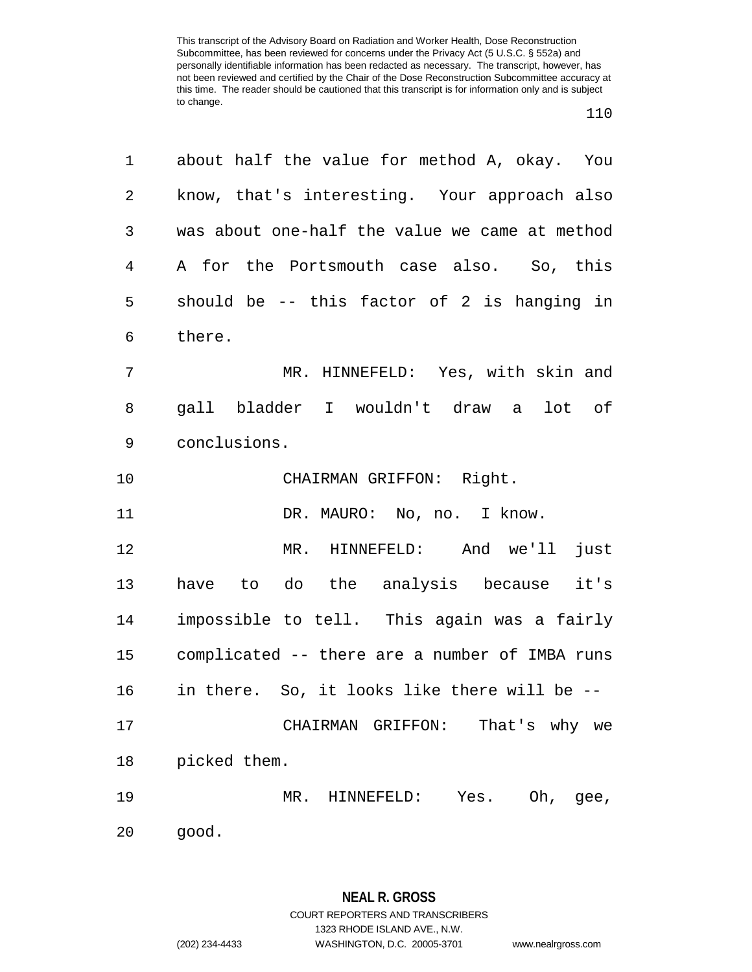| 1              | about half the value for method A, okay. You   |
|----------------|------------------------------------------------|
| $\overline{2}$ | know, that's interesting. Your approach also   |
| 3              | was about one-half the value we came at method |
| $\overline{4}$ | A for the Portsmouth case also. So, this       |
| 5              | should be -- this factor of 2 is hanging in    |
| 6              | there.                                         |
| 7              | MR. HINNEFELD: Yes, with skin and              |
| 8              | gall bladder I wouldn't draw a lot of          |
| $\mathsf 9$    | conclusions.                                   |
| 10             | CHAIRMAN GRIFFON: Right.                       |
| 11             | DR. MAURO: No, no. I know.                     |
| 12             | MR. HINNEFELD: And we'll<br>just               |
| 13             | have to do the analysis because it's           |
| 14             | impossible to tell. This again was a fairly    |
| 15             | complicated -- there are a number of IMBA runs |
| 16             | in there. So, it looks like there will be --   |
| 17             | That's why we<br>CHAIRMAN GRIFFON:             |
| 18             | picked them.                                   |
| 19             | Yes. Oh, gee,<br>MR. HINNEFELD:                |
| 20             | good.                                          |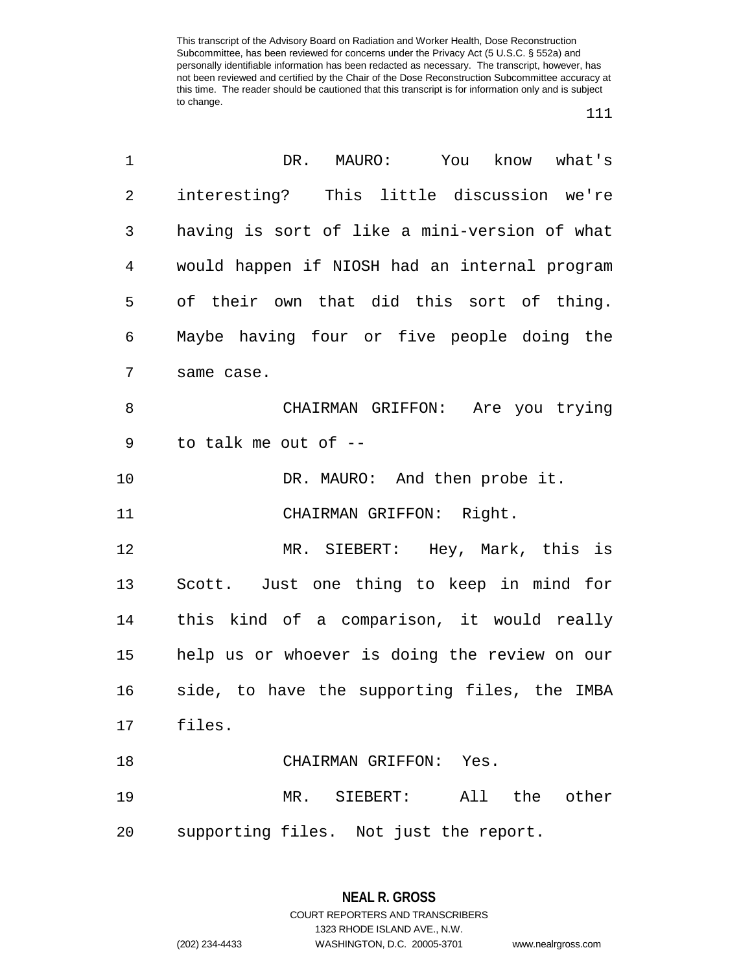| 1              | DR.<br>MAURO: You know what's                 |
|----------------|-----------------------------------------------|
| $\overline{a}$ | interesting? This little discussion we're     |
| $\mathsf{3}$   | having is sort of like a mini-version of what |
| $\overline{4}$ | would happen if NIOSH had an internal program |
| 5              | of their own that did this sort of thing.     |
| 6              | Maybe having four or five people doing the    |
| 7              | same case.                                    |
| 8              | CHAIRMAN GRIFFON: Are you trying              |
| 9              | to talk me out of --                          |
| 10             | DR. MAURO: And then probe it.                 |
| 11             | CHAIRMAN GRIFFON: Right.                      |
| 12             | MR. SIEBERT: Hey, Mark, this is               |
| 13             | Scott. Just one thing to keep in mind for     |
| 14             | this kind of a comparison, it would really    |
| 15             | help us or whoever is doing the review on our |
| 16             | side, to have the supporting files, the IMBA  |
|                | 17 files.                                     |
| 18             | CHAIRMAN GRIFFON: Yes.                        |
| 19             | MR. SIEBERT: All the other                    |
| 20             | supporting files. Not just the report.        |

**NEAL R. GROSS** COURT REPORTERS AND TRANSCRIBERS 1323 RHODE ISLAND AVE., N.W. (202) 234-4433 WASHINGTON, D.C. 20005-3701 www.nealrgross.com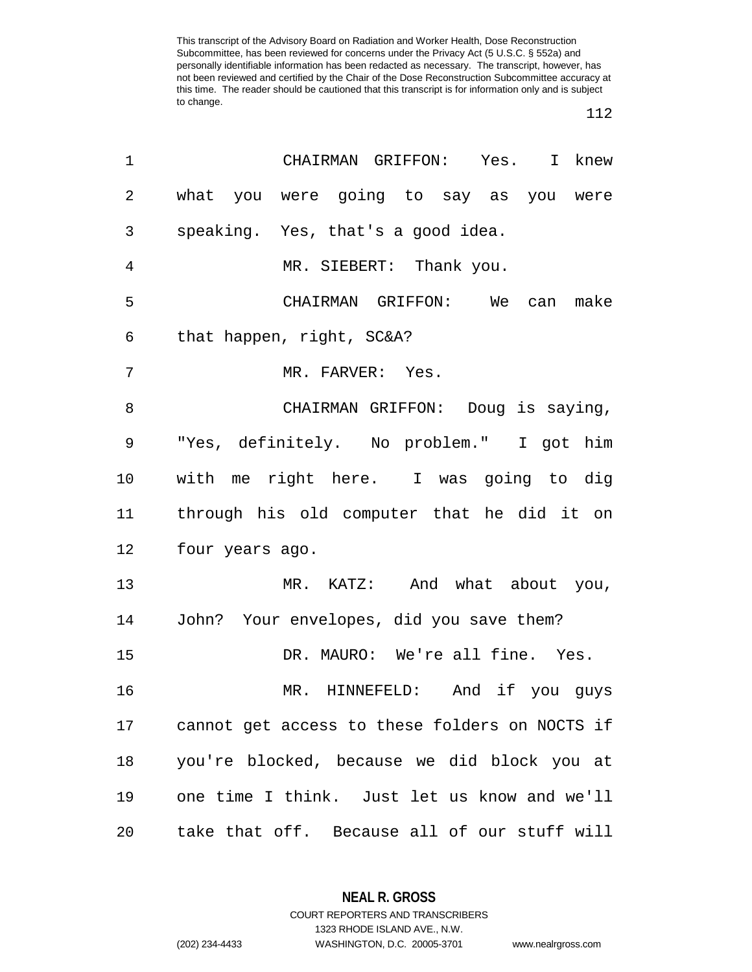## 

|                 | knew                                          |                                                                                                                                                                                                                                                                                                                                                                                                                                                                                                                                                                                                                                                                                                  |
|-----------------|-----------------------------------------------|--------------------------------------------------------------------------------------------------------------------------------------------------------------------------------------------------------------------------------------------------------------------------------------------------------------------------------------------------------------------------------------------------------------------------------------------------------------------------------------------------------------------------------------------------------------------------------------------------------------------------------------------------------------------------------------------------|
|                 |                                               |                                                                                                                                                                                                                                                                                                                                                                                                                                                                                                                                                                                                                                                                                                  |
|                 |                                               |                                                                                                                                                                                                                                                                                                                                                                                                                                                                                                                                                                                                                                                                                                  |
|                 |                                               |                                                                                                                                                                                                                                                                                                                                                                                                                                                                                                                                                                                                                                                                                                  |
|                 |                                               |                                                                                                                                                                                                                                                                                                                                                                                                                                                                                                                                                                                                                                                                                                  |
|                 |                                               |                                                                                                                                                                                                                                                                                                                                                                                                                                                                                                                                                                                                                                                                                                  |
|                 |                                               |                                                                                                                                                                                                                                                                                                                                                                                                                                                                                                                                                                                                                                                                                                  |
|                 |                                               |                                                                                                                                                                                                                                                                                                                                                                                                                                                                                                                                                                                                                                                                                                  |
|                 |                                               |                                                                                                                                                                                                                                                                                                                                                                                                                                                                                                                                                                                                                                                                                                  |
|                 |                                               |                                                                                                                                                                                                                                                                                                                                                                                                                                                                                                                                                                                                                                                                                                  |
|                 |                                               |                                                                                                                                                                                                                                                                                                                                                                                                                                                                                                                                                                                                                                                                                                  |
| four years ago. |                                               |                                                                                                                                                                                                                                                                                                                                                                                                                                                                                                                                                                                                                                                                                                  |
|                 |                                               |                                                                                                                                                                                                                                                                                                                                                                                                                                                                                                                                                                                                                                                                                                  |
|                 |                                               |                                                                                                                                                                                                                                                                                                                                                                                                                                                                                                                                                                                                                                                                                                  |
|                 |                                               |                                                                                                                                                                                                                                                                                                                                                                                                                                                                                                                                                                                                                                                                                                  |
|                 |                                               |                                                                                                                                                                                                                                                                                                                                                                                                                                                                                                                                                                                                                                                                                                  |
|                 |                                               |                                                                                                                                                                                                                                                                                                                                                                                                                                                                                                                                                                                                                                                                                                  |
|                 |                                               |                                                                                                                                                                                                                                                                                                                                                                                                                                                                                                                                                                                                                                                                                                  |
|                 |                                               |                                                                                                                                                                                                                                                                                                                                                                                                                                                                                                                                                                                                                                                                                                  |
|                 |                                               |                                                                                                                                                                                                                                                                                                                                                                                                                                                                                                                                                                                                                                                                                                  |
|                 | that happen, right, SC&A?<br>MR. FARVER: Yes. | CHAIRMAN GRIFFON: Yes. I<br>what you were going to say as you were<br>speaking. Yes, that's a good idea.<br>MR. SIEBERT: Thank you.<br>CHAIRMAN GRIFFON: We can make<br>CHAIRMAN GRIFFON: Doug is saying,<br>"Yes, definitely. No problem." I got him<br>with me right here. I was going to dig<br>through his old computer that he did it on<br>MR. KATZ: And what about you,<br>John? Your envelopes, did you save them?<br>DR. MAURO: We're all fine. Yes.<br>MR. HINNEFELD: And if you guys<br>cannot get access to these folders on NOCTS if<br>you're blocked, because we did block you at<br>one time I think. Just let us know and we'll<br>take that off. Because all of our stuff will |

**NEAL R. GROSS**

COURT REPORTERS AND TRANSCRIBERS 1323 RHODE ISLAND AVE., N.W. (202) 234-4433 WASHINGTON, D.C. 20005-3701 www.nealrgross.com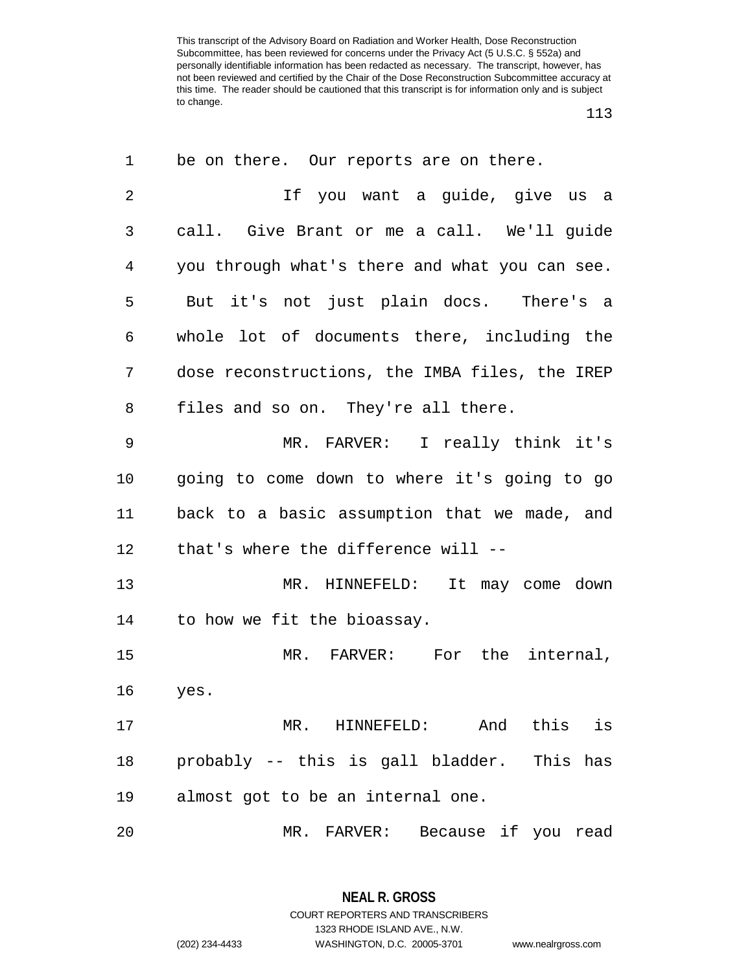| 1  | be on there. Our reports are on there.         |
|----|------------------------------------------------|
| 2  | If you want a quide, give us a                 |
| 3  | call. Give Brant or me a call. We'll guide     |
| 4  | you through what's there and what you can see. |
| 5  | But it's not just plain docs. There's a        |
| 6  | whole lot of documents there, including the    |
| 7  | dose reconstructions, the IMBA files, the IREP |
| 8  | files and so on. They're all there.            |
| 9  | MR. FARVER: I really think it's                |
| 10 | going to come down to where it's going to go   |
| 11 | back to a basic assumption that we made, and   |
| 12 | that's where the difference will --            |
| 13 | MR. HINNEFELD: It may come down                |
| 14 | to how we fit the bioassay.                    |
| 15 | MR. FARVER: For the internal,                  |
| 16 | yes.                                           |
| 17 | MR. HINNEFELD: And<br>this is                  |
| 18 | probably -- this is gall bladder. This has     |
| 19 | almost got to be an internal one.              |
| 20 | MR. FARVER: Because if you read                |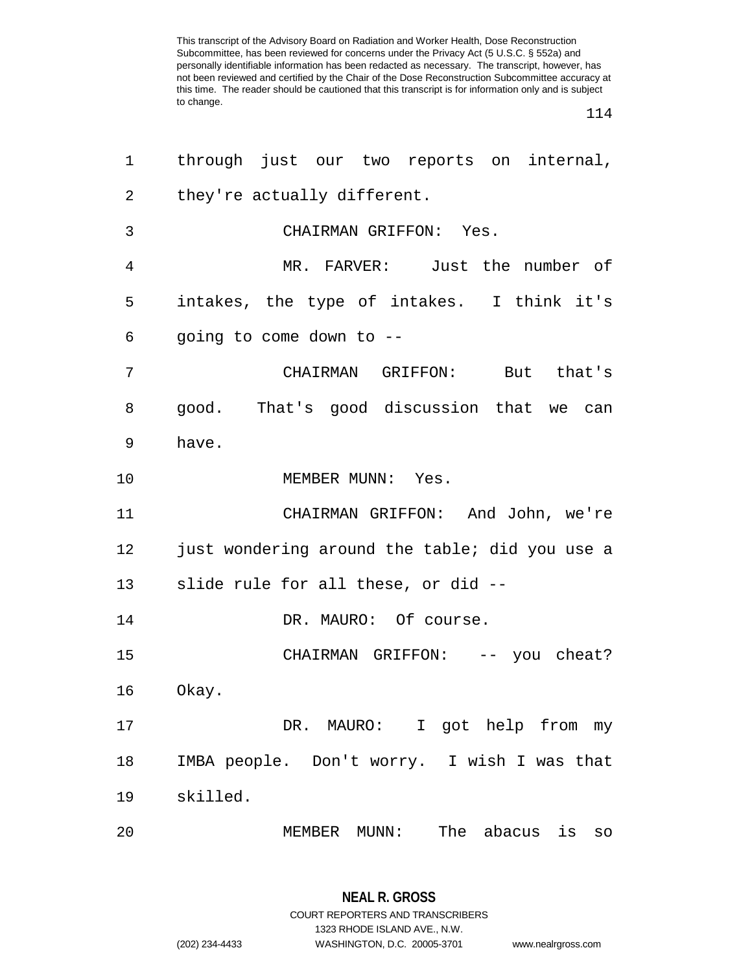| 1  | through just our two reports on internal,      |
|----|------------------------------------------------|
| 2  | they're actually different.                    |
| 3  | CHAIRMAN GRIFFON: Yes.                         |
| 4  | MR. FARVER: Just the number of                 |
| 5  | intakes, the type of intakes. I think it's     |
| 6  | going to come down to --                       |
| 7  | CHAIRMAN GRIFFON: But that's                   |
| 8  | good. That's good discussion that we can       |
| 9  | have.                                          |
| 10 | MEMBER MUNN: Yes.                              |
| 11 | CHAIRMAN GRIFFON: And John, we're              |
| 12 | just wondering around the table; did you use a |
|    | 13 slide rule for all these, or did --         |
| 14 | DR. MAURO: Of course.                          |
| 15 | CHAIRMAN GRIFFON: -- you cheat?                |
| 16 | Okay.                                          |
| 17 | DR. MAURO: I got help from my                  |
| 18 | IMBA people. Don't worry. I wish I was that    |
| 19 | skilled.                                       |
| 20 | MEMBER MUNN: The abacus is so                  |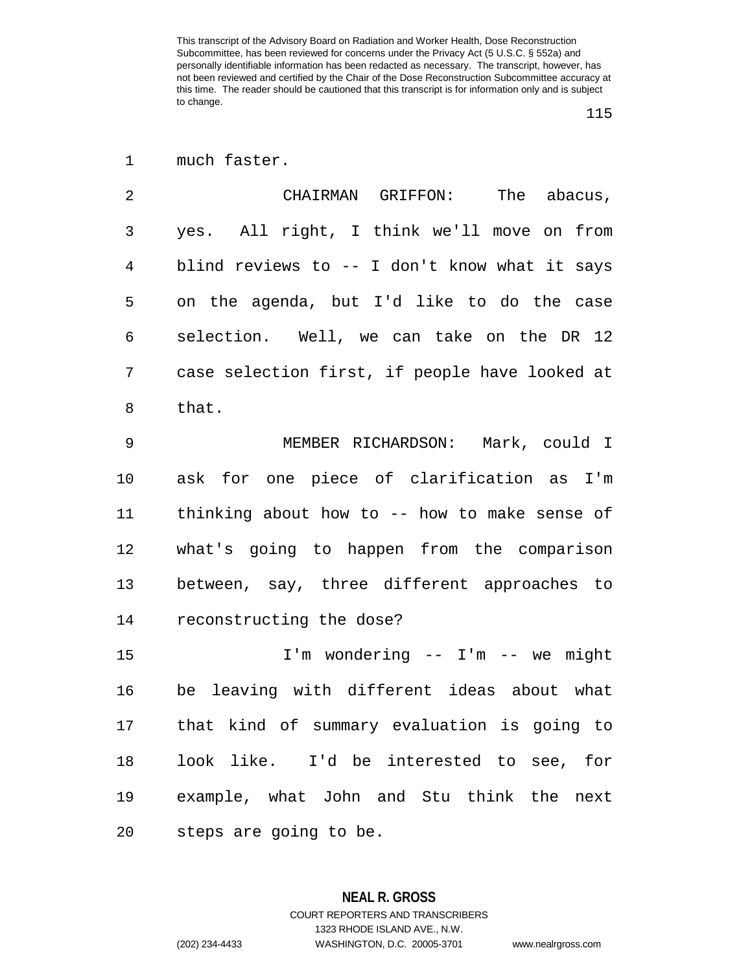## much faster.

| $\mathfrak{D}$ | CHAIRMAN GRIFFON: The abacus,                  |
|----------------|------------------------------------------------|
| 3              | yes. All right, I think we'll move on from     |
| 4              | blind reviews to -- I don't know what it says  |
| 5              | on the agenda, but I'd like to do the case     |
| 6              | selection. Well, we can take on the DR 12      |
| 7              | case selection first, if people have looked at |
| 8              | that.                                          |
|                |                                                |

 MEMBER RICHARDSON: Mark, could I ask for one piece of clarification as I'm thinking about how to -- how to make sense of what's going to happen from the comparison between, say, three different approaches to reconstructing the dose?

 I'm wondering -- I'm -- we might be leaving with different ideas about what that kind of summary evaluation is going to look like. I'd be interested to see, for example, what John and Stu think the next steps are going to be.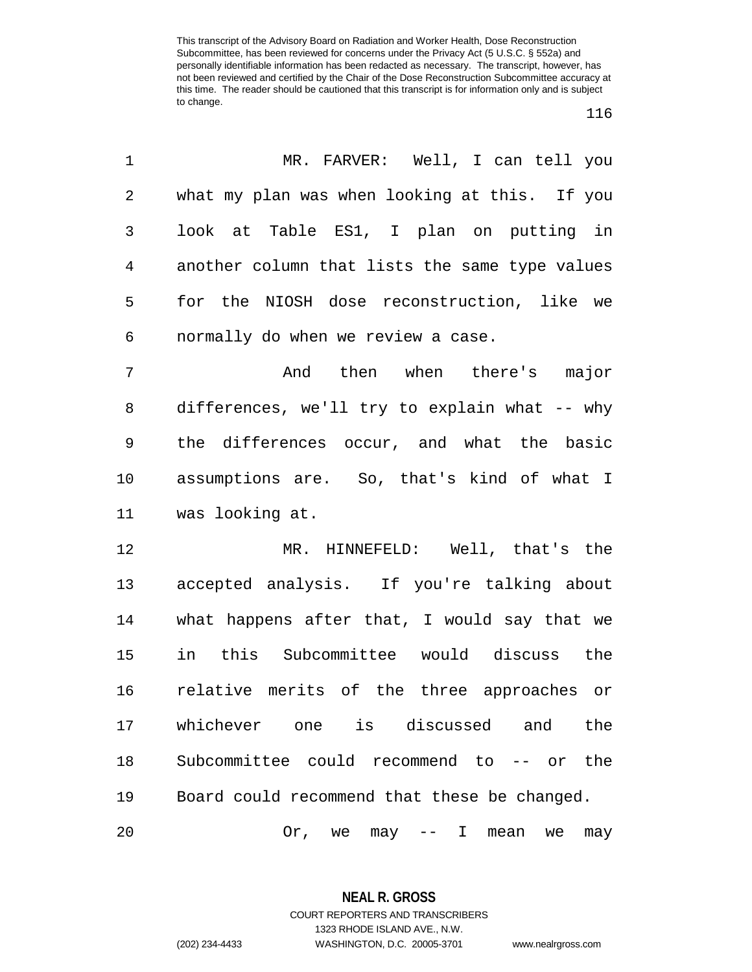| 1              | MR. FARVER: Well, I can tell you               |
|----------------|------------------------------------------------|
| $\overline{2}$ | what my plan was when looking at this. If you  |
| 3              | look at Table ES1, I plan on putting in        |
| 4              | another column that lists the same type values |
| 5              | for the NIOSH dose reconstruction, like we     |
| 6              | normally do when we review a case.             |
| 7              | And then when there's major                    |
| 8              | differences, we'll try to explain what -- why  |
| 9              | the differences occur, and what the basic      |
| 10             | assumptions are. So, that's kind of what I     |
| 11             | was looking at.                                |
| 12             | MR. HINNEFELD: Well, that's the                |
| 13             | accepted analysis. If you're talking about     |
| 14             | what happens after that, I would say that we   |
| 15             | in this Subcommittee would discuss the         |
| 16             | relative merits of the three approaches or     |
| 17             | whichever one is discussed and<br>the          |
| 18             | Subcommittee could recommend to -- or the      |
| 19             | Board could recommend that these be changed.   |
| 20             | Or, we may $--$ I mean<br>we<br>may            |

**NEAL R. GROSS** COURT REPORTERS AND TRANSCRIBERS 1323 RHODE ISLAND AVE., N.W. (202) 234-4433 WASHINGTON, D.C. 20005-3701 www.nealrgross.com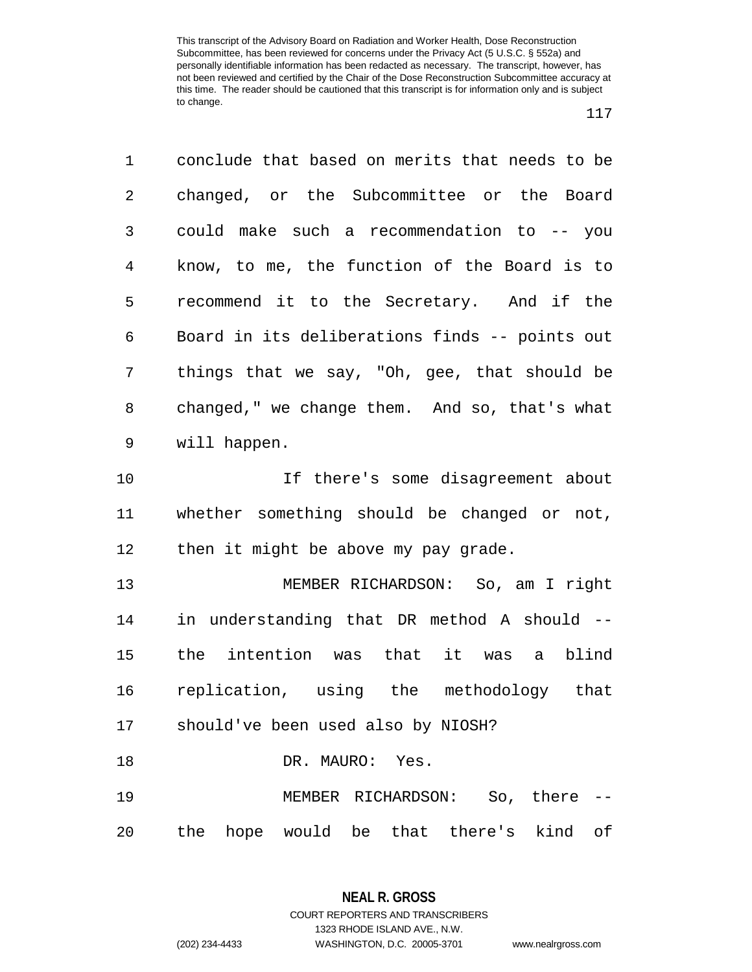| 1              | conclude that based on merits that needs to be |
|----------------|------------------------------------------------|
| $\overline{a}$ | changed, or the Subcommittee or the Board      |
| 3              | could make such a recommendation to -- you     |
| $\overline{4}$ | know, to me, the function of the Board is to   |
| 5              | recommend it to the Secretary. And if the      |
| 6              | Board in its deliberations finds -- points out |
| 7              | things that we say, "Oh, gee, that should be   |
| 8              | changed," we change them. And so, that's what  |
| 9              | will happen.                                   |
| 10             | If there's some disagreement about             |
| 11             | whether something should be changed or not,    |
| 12             | then it might be above my pay grade.           |
| 13             | MEMBER RICHARDSON: So, am I right              |
| 14             | in understanding that DR method A should --    |
| 15             | the intention was that it was a blind          |
|                |                                                |
| 16             | replication, using the methodology that        |
|                | 17 should've been used also by NIOSH?          |
| 18             | DR. MAURO: Yes.                                |
| 19             | MEMBER RICHARDSON: So, there                   |

**NEAL R. GROSS** COURT REPORTERS AND TRANSCRIBERS

1323 RHODE ISLAND AVE., N.W.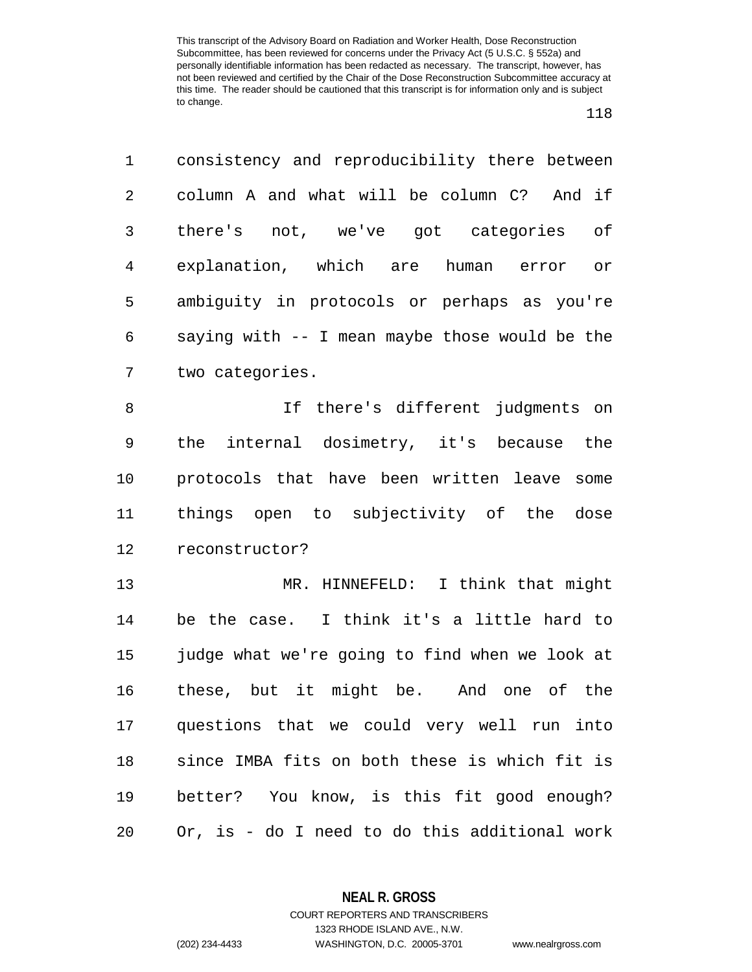| 1              | consistency and reproducibility there between  |
|----------------|------------------------------------------------|
| $\overline{2}$ | column A and what will be column C? And if     |
| 3              | there's not, we've got categories<br>оf        |
| 4              | explanation, which are human error<br>or       |
| 5              | ambiguity in protocols or perhaps as you're    |
| 6              | saying with -- I mean maybe those would be the |
| 7              | two categories.                                |
| 8              | If there's different judgments on              |
| 9              | the internal dosimetry, it's because the       |
| 10             | protocols that have been written leave some    |
| 11             | things open to subjectivity of the dose        |
| 12             | reconstructor?                                 |
| 13             | MR. HINNEFELD: I think that might              |
| 14             | be the case. I think it's a little hard to     |
| 15             | judge what we're going to find when we look at |
| 16             | these, but it might be. And one of the         |
| 17             | questions that we could very well run into     |
| 18             | since IMBA fits on both these is which fit is  |
| 19             | better? You know, is this fit good enough?     |
| 20             | Or, is - do I need to do this additional work  |

**NEAL R. GROSS** COURT REPORTERS AND TRANSCRIBERS

1323 RHODE ISLAND AVE., N.W.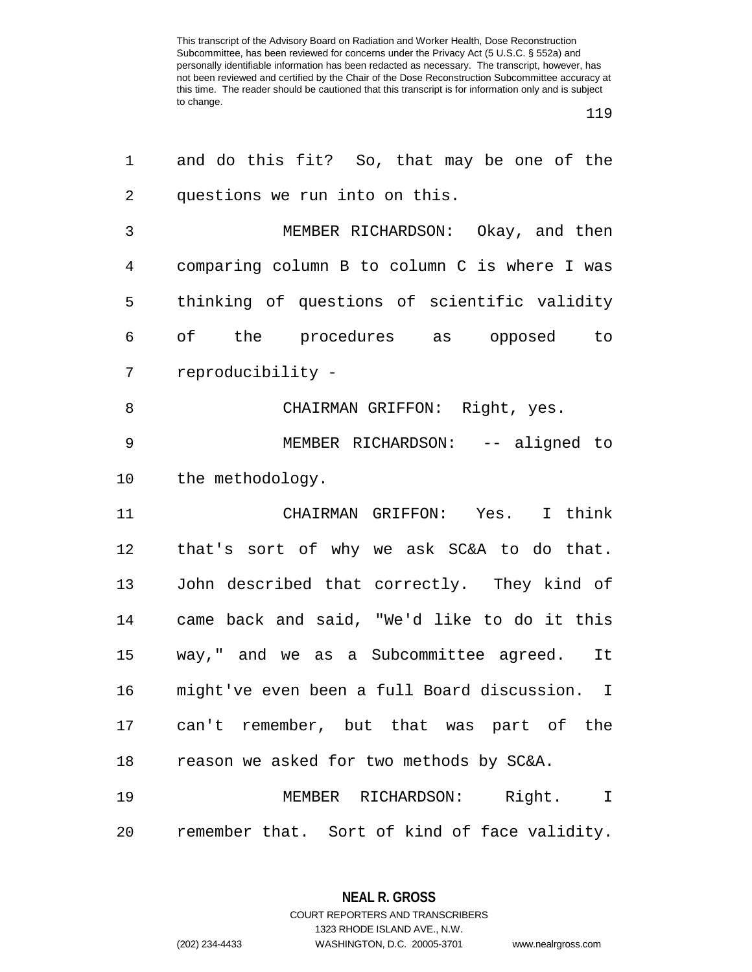| 1            | and do this fit? So, that may be one of the   |
|--------------|-----------------------------------------------|
| 2            | questions we run into on this.                |
| $\mathsf{3}$ | MEMBER RICHARDSON: Okay, and then             |
| 4            | comparing column B to column C is where I was |
| 5            | thinking of questions of scientific validity  |
| 6            | of the procedures as opposed to               |
| 7            | reproducibility -                             |
| 8            | CHAIRMAN GRIFFON: Right, yes.                 |
| 9            | MEMBER RICHARDSON: -- aligned to              |
| 10           | the methodology.                              |
| 11           | CHAIRMAN GRIFFON: Yes. I think                |
| 12           | that's sort of why we ask SC&A to do that.    |
| 13           | John described that correctly. They kind of   |
| 14           | came back and said, "We'd like to do it this  |
| 15           | way," and we as a Subcommittee agreed. It     |
| 16           | might've even been a full Board discussion. I |
|              | 17 can't remember, but that was part of the   |
| 18           | reason we asked for two methods by SC&A.      |
| 19           | MEMBER RICHARDSON: Right. I                   |
| 20           | remember that. Sort of kind of face validity. |

**NEAL R. GROSS**

COURT REPORTERS AND TRANSCRIBERS 1323 RHODE ISLAND AVE., N.W. (202) 234-4433 WASHINGTON, D.C. 20005-3701 www.nealrgross.com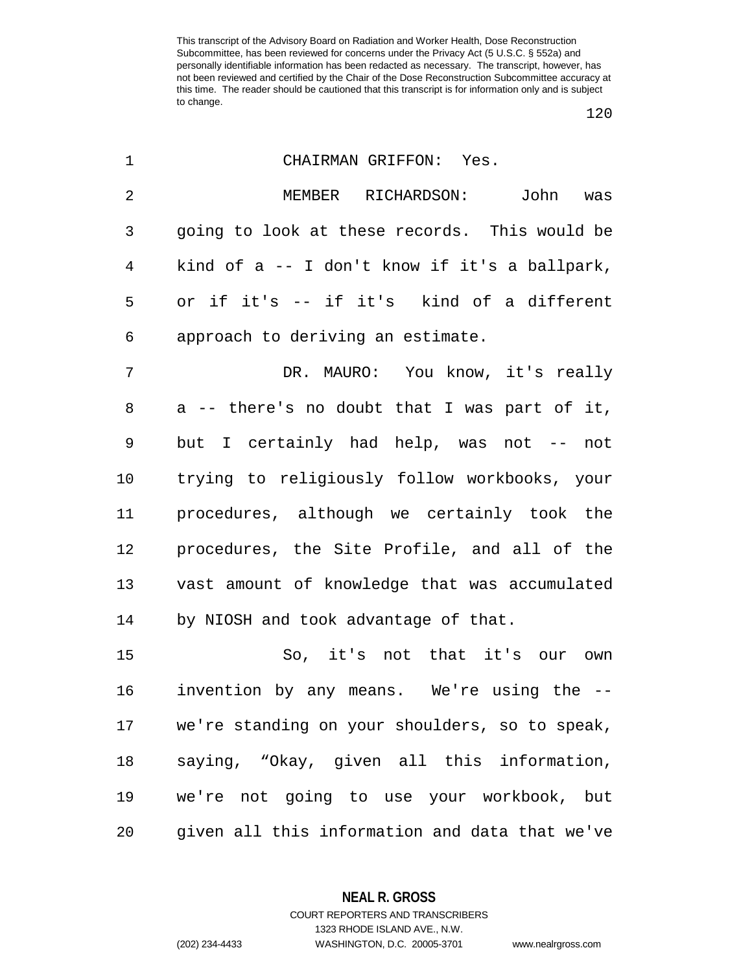| 1              | CHAIRMAN GRIFFON: Yes.                         |
|----------------|------------------------------------------------|
| $\overline{2}$ | MEMBER RICHARDSON:<br>John<br>was              |
| 3              | going to look at these records. This would be  |
| $\overline{4}$ | kind of a -- I don't know if it's a ballpark,  |
| 5              | or if it's -- if it's kind of a different      |
| 6              | approach to deriving an estimate.              |
| 7              | DR. MAURO: You know, it's really               |
| 8              | a -- there's no doubt that I was part of it,   |
| 9              | but I certainly had help, was not -- not       |
| $10 \,$        | trying to religiously follow workbooks, your   |
| 11             | procedures, although we certainly took the     |
| 12             | procedures, the Site Profile, and all of the   |
| 13             | vast amount of knowledge that was accumulated  |
| 14             | by NIOSH and took advantage of that.           |
| 15             | So, it's not that it's our<br>own              |
| 16             | invention by any means. We're using the --     |
| 17             | we're standing on your shoulders, so to speak, |
| 18             | saying, "Okay, given all this information,     |
| 19             | we're not going to use your workbook, but      |
| 20             | given all this information and data that we've |

**NEAL R. GROSS** COURT REPORTERS AND TRANSCRIBERS

1323 RHODE ISLAND AVE., N.W. (202) 234-4433 WASHINGTON, D.C. 20005-3701 www.nealrgross.com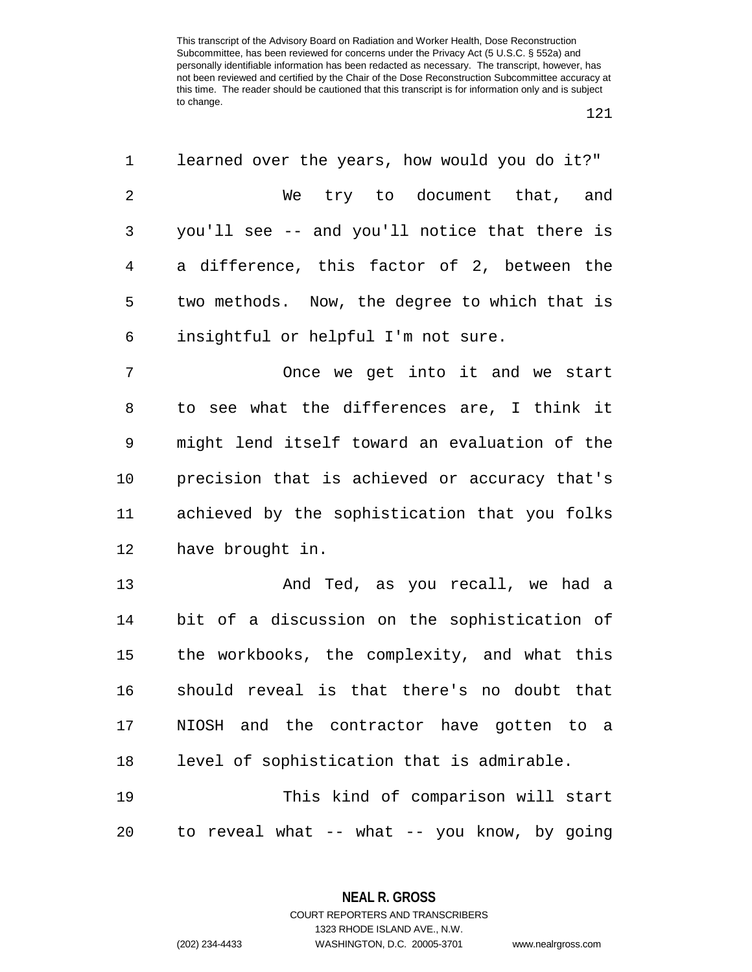| 1       | learned over the years, how would you do it?" |
|---------|-----------------------------------------------|
| 2       | We try to document that, and                  |
| 3       | you'll see -- and you'll notice that there is |
| 4       | a difference, this factor of 2, between the   |
| 5       | two methods. Now, the degree to which that is |
| 6       | insightful or helpful I'm not sure.           |
| 7       | Once we get into it and we start              |
| 8       | to see what the differences are, I think it   |
| 9       | might lend itself toward an evaluation of the |
| $10 \,$ | precision that is achieved or accuracy that's |
| 11      | achieved by the sophistication that you folks |
| 12      | have brought in.                              |
| 13      | And Ted, as you recall, we had a              |
| 14      | bit of a discussion on the sophistication of  |
| 15      | the workbooks, the complexity, and what this  |
| 16      | should reveal is that there's no doubt that   |
| 17      | NIOSH and the contractor have gotten to a     |
| 18      | level of sophistication that is admirable.    |
| 19      | This kind of comparison will start            |
| 20      | to reveal what -- what -- you know, by going  |

**NEAL R. GROSS** COURT REPORTERS AND TRANSCRIBERS

1323 RHODE ISLAND AVE., N.W.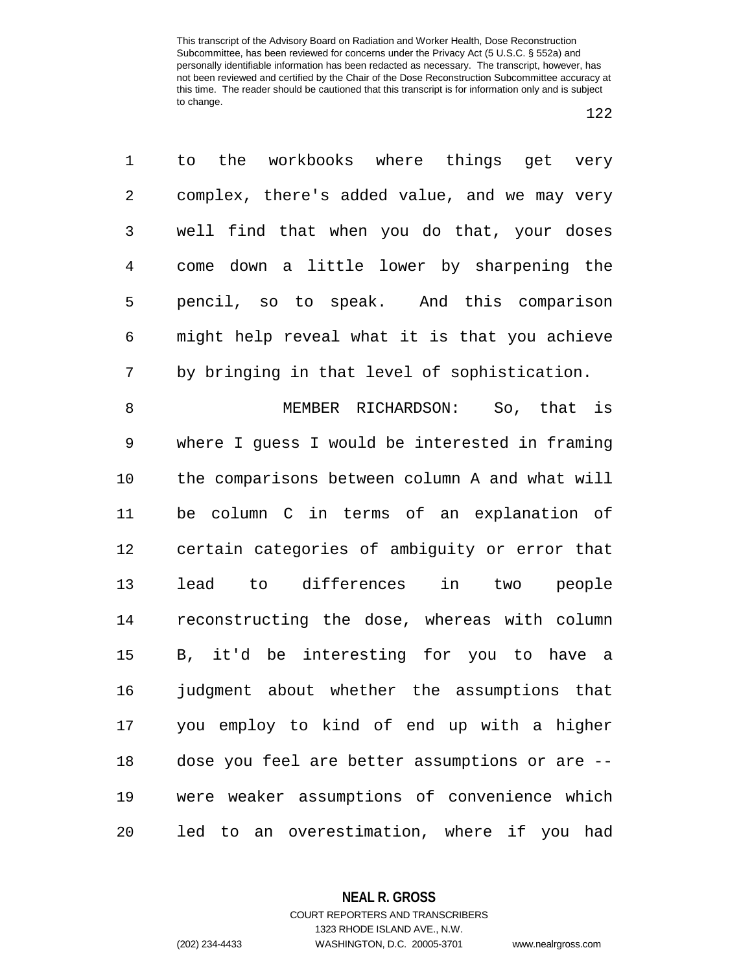to the workbooks where things get very complex, there's added value, and we may very well find that when you do that, your doses come down a little lower by sharpening the pencil, so to speak. And this comparison might help reveal what it is that you achieve by bringing in that level of sophistication.

 MEMBER RICHARDSON: So, that is where I guess I would be interested in framing the comparisons between column A and what will be column C in terms of an explanation of certain categories of ambiguity or error that lead to differences in two people reconstructing the dose, whereas with column B, it'd be interesting for you to have a judgment about whether the assumptions that you employ to kind of end up with a higher dose you feel are better assumptions or are -- were weaker assumptions of convenience which led to an overestimation, where if you had

**NEAL R. GROSS**

COURT REPORTERS AND TRANSCRIBERS 1323 RHODE ISLAND AVE., N.W. (202) 234-4433 WASHINGTON, D.C. 20005-3701 www.nealrgross.com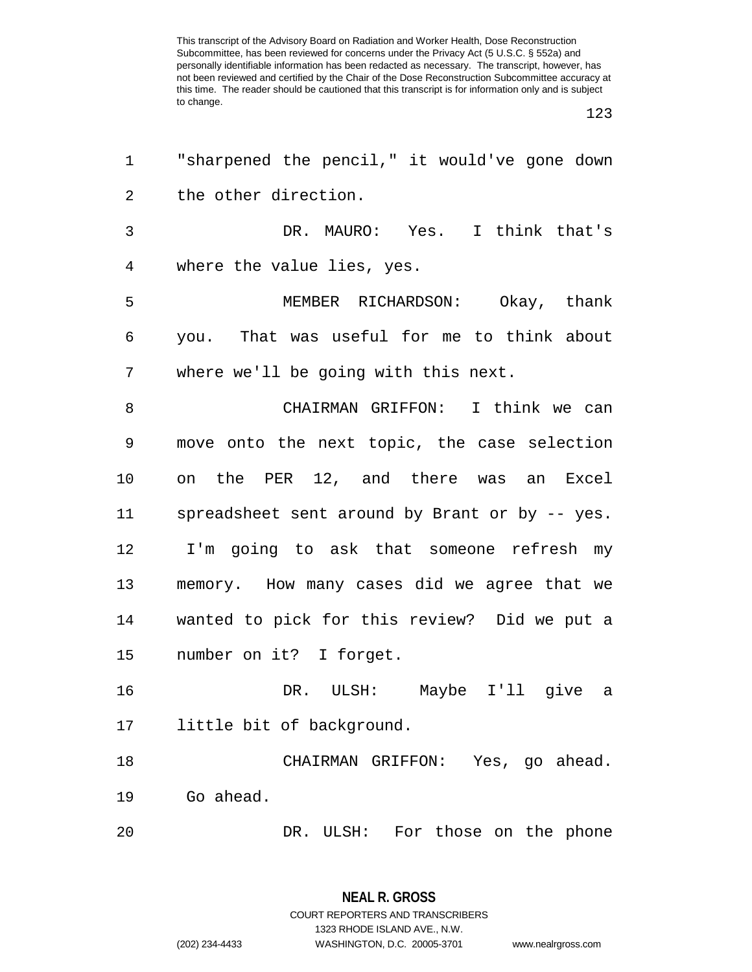| 1              | "sharpened the pencil," it would've gone down  |
|----------------|------------------------------------------------|
| $\overline{2}$ | the other direction.                           |
| 3              | DR. MAURO: Yes. I think that's                 |
| $\overline{4}$ | where the value lies, yes.                     |
| 5              | MEMBER RICHARDSON: Okay, thank                 |
| 6              | you. That was useful for me to think about     |
| 7              | where we'll be going with this next.           |
| 8              | CHAIRMAN GRIFFON: I think we can               |
| 9              | move onto the next topic, the case selection   |
| 10             | on the PER 12, and there was an Excel          |
| 11             | spreadsheet sent around by Brant or by -- yes. |
| 12             | I'm going to ask that someone refresh my       |
| 13             | memory. How many cases did we agree that we    |
| 14             | wanted to pick for this review? Did we put a   |
| 15             | number on it? I forget.                        |
| 16             | DR. ULSH: Maybe I'll give a                    |
| 17             | little bit of background.                      |
| 18             | CHAIRMAN GRIFFON: Yes, go ahead.               |
| 19             | Go ahead.                                      |
| 20             | DR. ULSH: For those on the phone               |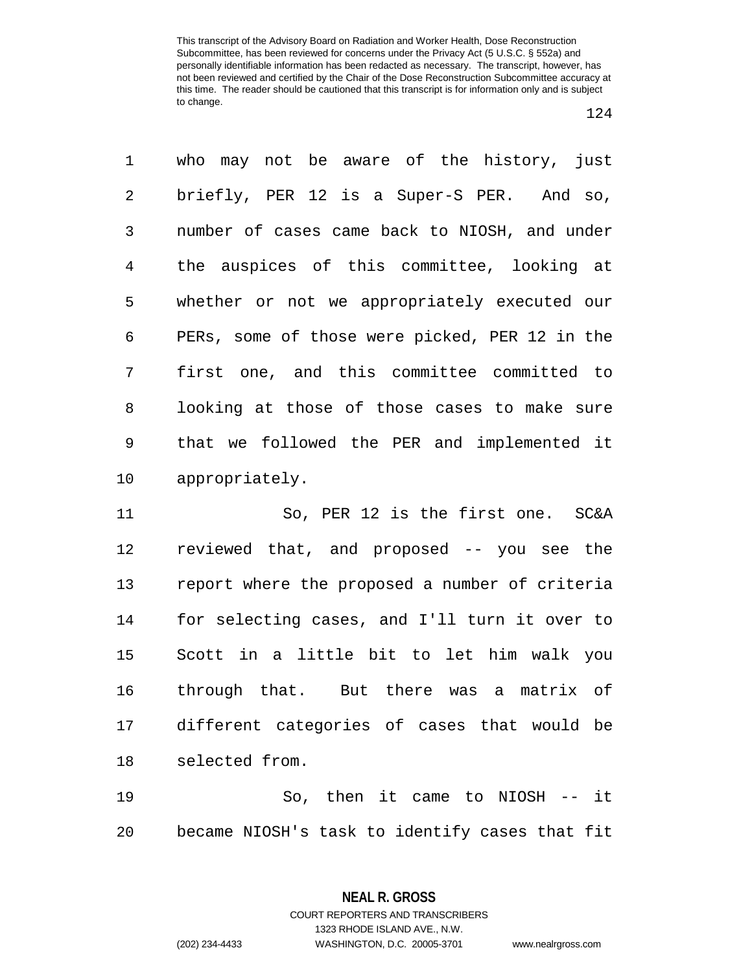who may not be aware of the history, just briefly, PER 12 is a Super-S PER. And so, number of cases came back to NIOSH, and under the auspices of this committee, looking at whether or not we appropriately executed our PERs, some of those were picked, PER 12 in the first one, and this committee committed to looking at those of those cases to make sure that we followed the PER and implemented it appropriately. So, PER 12 is the first one. SC&A

 reviewed that, and proposed -- you see the report where the proposed a number of criteria for selecting cases, and I'll turn it over to Scott in a little bit to let him walk you through that. But there was a matrix of different categories of cases that would be selected from.

 So, then it came to NIOSH -- it became NIOSH's task to identify cases that fit

1323 RHODE ISLAND AVE., N.W.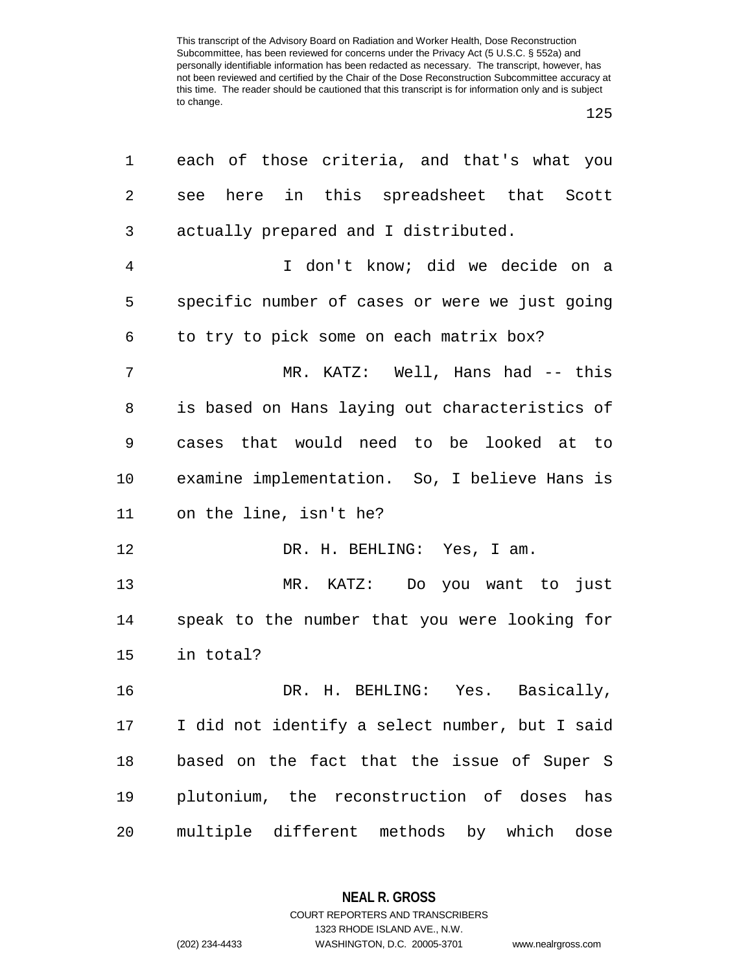| 1              | each of those criteria, and that's what you    |
|----------------|------------------------------------------------|
| 2              | here in this spreadsheet that Scott<br>see     |
| 3              | actually prepared and I distributed.           |
| $\overline{4}$ | I don't know; did we decide on a               |
| 5              | specific number of cases or were we just going |
| 6              | to try to pick some on each matrix box?        |
| 7              | MR. KATZ: Well, Hans had -- this               |
| 8              | is based on Hans laying out characteristics of |
| 9              | cases that would need to be looked at to       |
| 10             | examine implementation. So, I believe Hans is  |
| 11             | on the line, isn't he?                         |
| 12             | DR. H. BEHLING: Yes, I am.                     |
| 13             | MR. KATZ: Do you want to just                  |
| 14             | speak to the number that you were looking for  |
| 15             | in total?                                      |
| 16             | DR. H. BEHLING: Yes. Basically,                |
| 17             | I did not identify a select number, but I said |
| 18             | based on the fact that the issue of Super S    |
| 19             | plutonium, the reconstruction of doses<br>has  |
| 20             | multiple different methods by which dose       |

**NEAL R. GROSS** COURT REPORTERS AND TRANSCRIBERS

1323 RHODE ISLAND AVE., N.W. (202) 234-4433 WASHINGTON, D.C. 20005-3701 www.nealrgross.com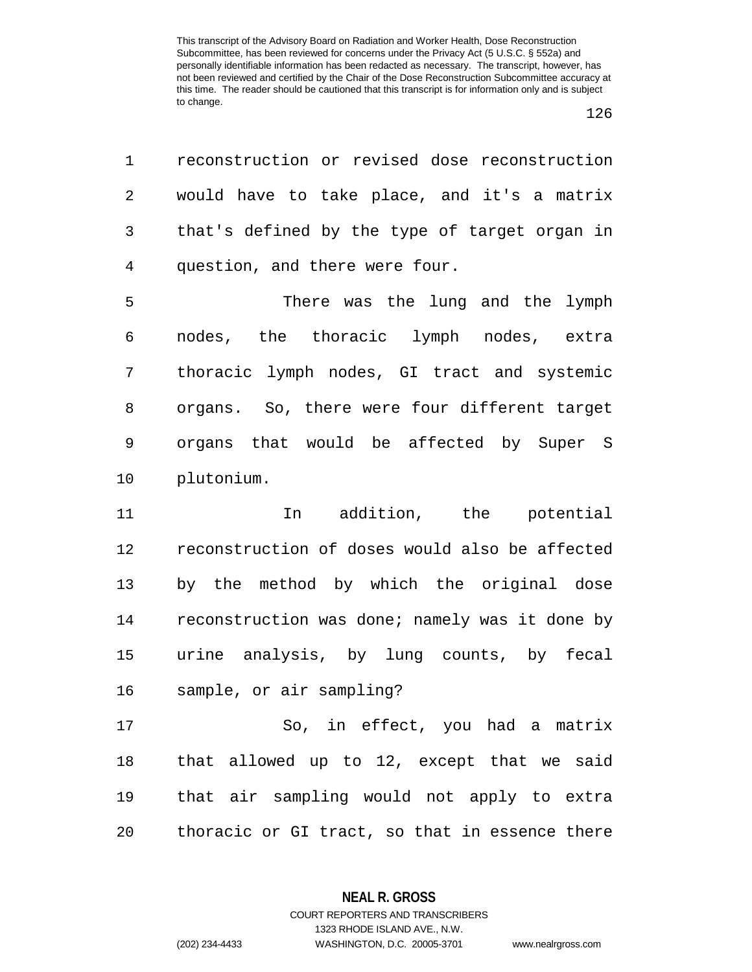| $\mathbf 1$ | reconstruction or revised dose reconstruction  |
|-------------|------------------------------------------------|
| 2           | would have to take place, and it's a matrix    |
| 3           | that's defined by the type of target organ in  |
| 4           | question, and there were four.                 |
| 5           | There was the lung and the lymph               |
| 6           | nodes, the thoracic lymph nodes, extra         |
| 7           | thoracic lymph nodes, GI tract and systemic    |
| 8           | organs. So, there were four different target   |
| 9           | organs that would be affected by Super S       |
| 10          | plutonium.                                     |
| 11          | addition, the potential<br>In                  |
| 12          | reconstruction of doses would also be affected |
| 13          | by the method by which the original dose       |
| 14          | reconstruction was done; namely was it done by |
| 15          | urine analysis, by lung counts, by fecal       |
| 16          | sample, or air sampling?                       |
| 17          | So, in effect, you had a matrix                |
| 18          | that allowed up to 12, except that we said     |
| 19          |                                                |
|             | that air sampling would not apply to extra     |

**NEAL R. GROSS** COURT REPORTERS AND TRANSCRIBERS

1323 RHODE ISLAND AVE., N.W.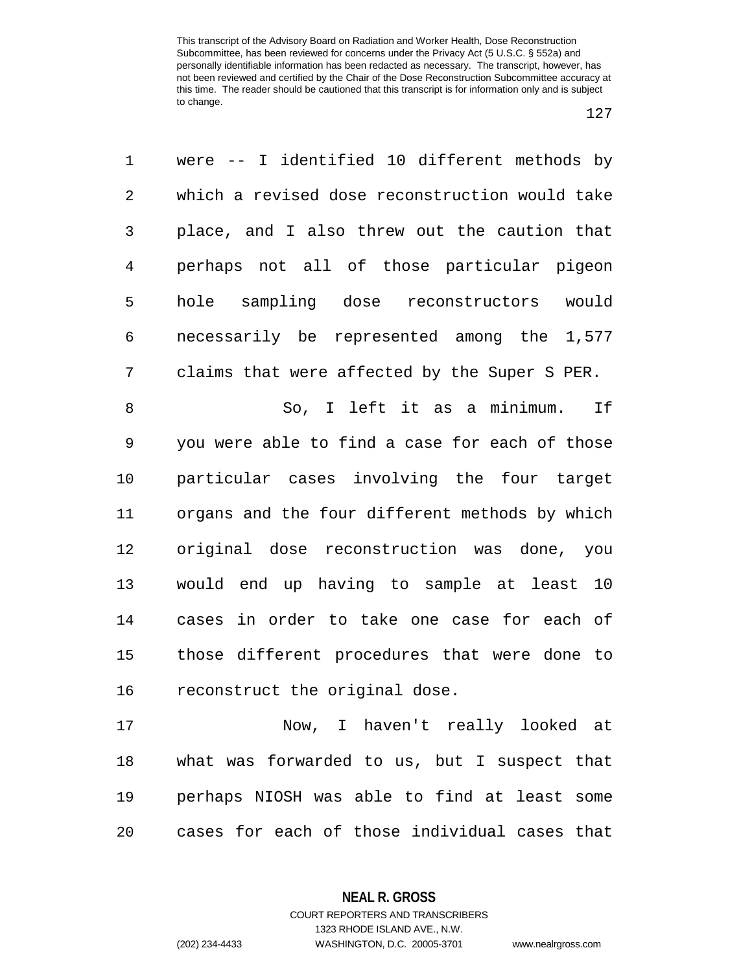| 1              | were -- I identified 10 different methods by   |
|----------------|------------------------------------------------|
| 2              | which a revised dose reconstruction would take |
| 3              | place, and I also threw out the caution that   |
| $\overline{4}$ | perhaps not all of those particular pigeon     |
| 5              | hole sampling dose reconstructors<br>would     |
| 6              | necessarily be represented among the 1,577     |
| 7              | claims that were affected by the Super S PER.  |
| 8              | So, I left it as a minimum.<br>If              |
| 9              | you were able to find a case for each of those |
| 10             | particular cases involving the four target     |
| 11             | organs and the four different methods by which |
| 12             | original dose reconstruction was done, you     |
| 13             | would end up having to sample at least<br>10   |
| 14             | cases in order to take one case for each of    |
| 15             | those different procedures that were done to   |
| 16             | reconstruct the original dose.                 |
| 17             | Now, I haven't really looked at                |
| 18             | what was forwarded to us, but I suspect that   |
| 19             | perhaps NIOSH was able to find at least some   |
| 20             | cases for each of those individual cases that  |

**NEAL R. GROSS**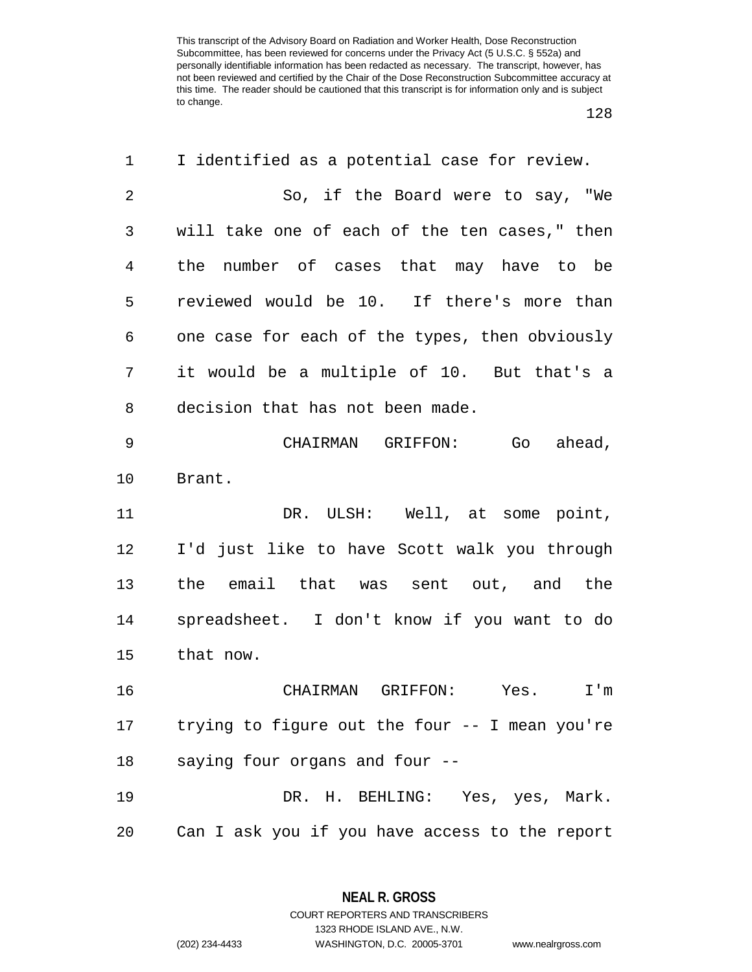| 1           | I identified as a potential case for review.   |
|-------------|------------------------------------------------|
| 2           | So, if the Board were to say, "We              |
| 3           | will take one of each of the ten cases," then  |
| 4           | the number of cases that may have to be        |
| 5           | reviewed would be 10. If there's more than     |
| 6           | one case for each of the types, then obviously |
| 7           | it would be a multiple of 10. But that's a     |
| 8           | decision that has not been made.               |
| $\mathsf 9$ | CHAIRMAN GRIFFON:<br>Go<br>ahead,              |
| 10          | Brant.                                         |
| 11          | DR. ULSH: Well, at some point,                 |
| 12          | I'd just like to have Scott walk you through   |
| 13          | the email that was sent out, and the           |
| 14          | spreadsheet. I don't know if you want to do    |
| 15          | that now.                                      |
| 16          | CHAIRMAN GRIFFON:<br>Yes.<br>I'm               |
| 17          | trying to figure out the four -- I mean you're |
| 18          | saying four organs and four --                 |
| 19          | DR. H. BEHLING: Yes, yes, Mark.                |
|             |                                                |

**NEAL R. GROSS** COURT REPORTERS AND TRANSCRIBERS

1323 RHODE ISLAND AVE., N.W.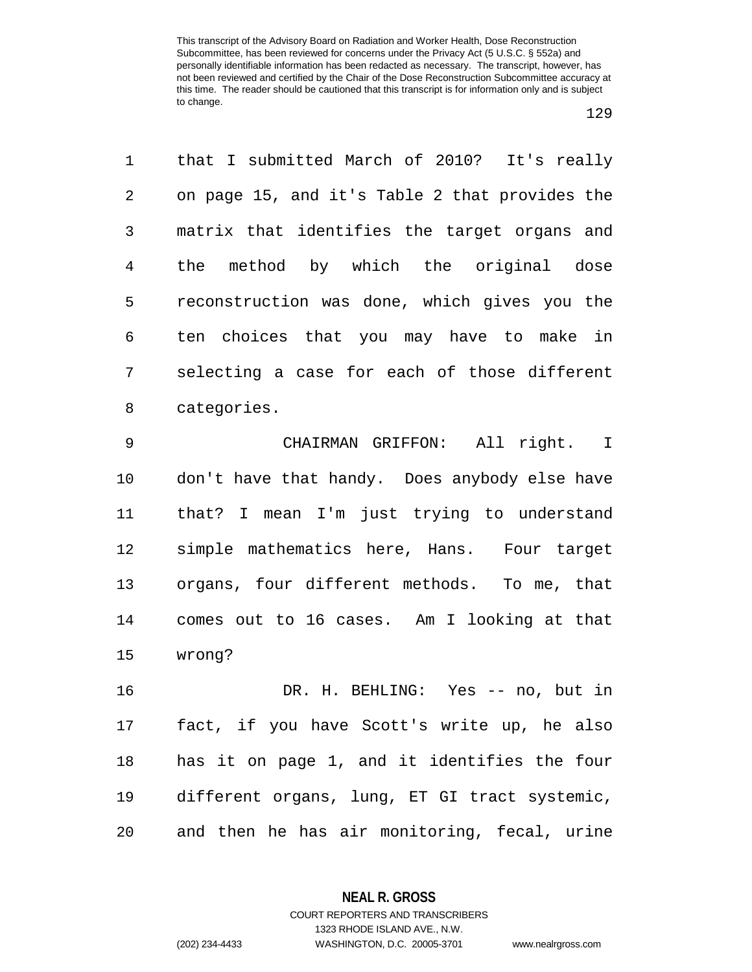that I submitted March of 2010? It's really on page 15, and it's Table 2 that provides the matrix that identifies the target organs and the method by which the original dose reconstruction was done, which gives you the ten choices that you may have to make in selecting a case for each of those different categories.

 CHAIRMAN GRIFFON: All right. I don't have that handy. Does anybody else have that? I mean I'm just trying to understand simple mathematics here, Hans. Four target organs, four different methods. To me, that comes out to 16 cases. Am I looking at that wrong?

 DR. H. BEHLING: Yes -- no, but in fact, if you have Scott's write up, he also has it on page 1, and it identifies the four different organs, lung, ET GI tract systemic, and then he has air monitoring, fecal, urine

> **NEAL R. GROSS** COURT REPORTERS AND TRANSCRIBERS

1323 RHODE ISLAND AVE., N.W. (202) 234-4433 WASHINGTON, D.C. 20005-3701 www.nealrgross.com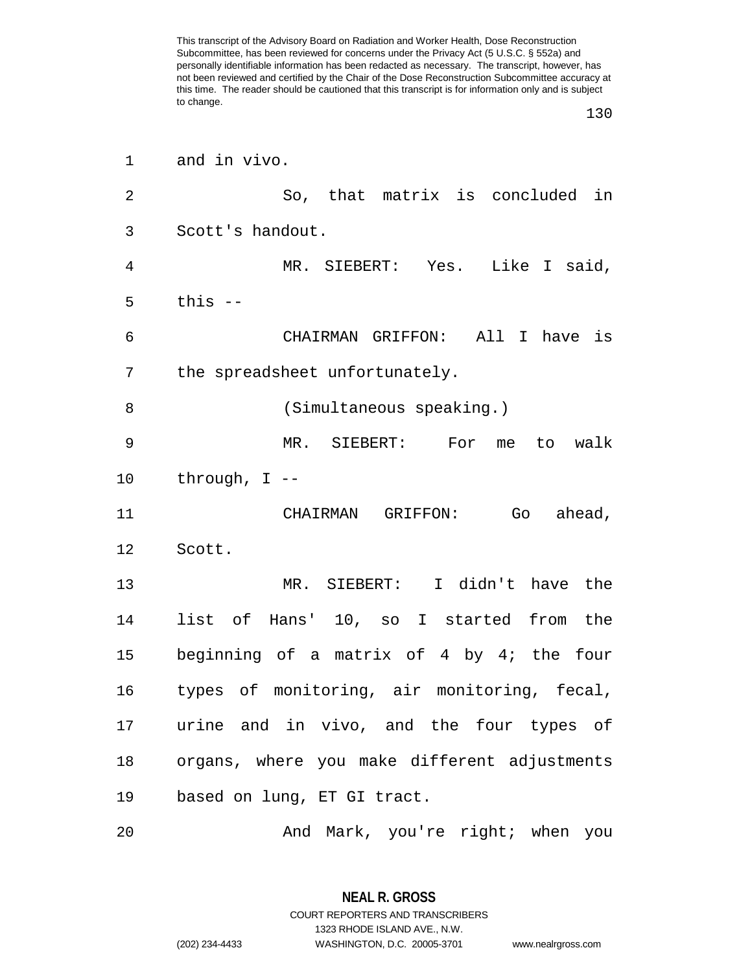| 1              | and in vivo.                                 |
|----------------|----------------------------------------------|
| $\overline{2}$ | So, that matrix is concluded in              |
| 3              | Scott's handout.                             |
| 4              | MR. SIEBERT: Yes. Like I said,               |
| 5              | this $-$                                     |
| 6              | CHAIRMAN GRIFFON: All I have is              |
| 7              | the spreadsheet unfortunately.               |
| 8              | (Simultaneous speaking.)                     |
| 9              | $MR$ .<br>SIEBERT: For<br>walk<br>me<br>to   |
| 10             | through, $I$ --                              |
| 11             | GRIFFON:<br>ahead,<br>CHAIRMAN<br>Go         |
| 12             | Scott.                                       |
| 13             | MR. SIEBERT: I didn't have the               |
| 14             | list of Hans' 10, so I started from the      |
| 15             | beginning of a matrix of 4 by 4; the four    |
| 16             | types of monitoring, air monitoring, fecal,  |
| 17             | urine and in vivo, and the four types of     |
| 18             | organs, where you make different adjustments |
| 19             | based on lung, ET GI tract.                  |
| 20             | And Mark, you're right; when you             |

**NEAL R. GROSS** COURT REPORTERS AND TRANSCRIBERS 1323 RHODE ISLAND AVE., N.W. (202) 234-4433 WASHINGTON, D.C. 20005-3701 www.nealrgross.com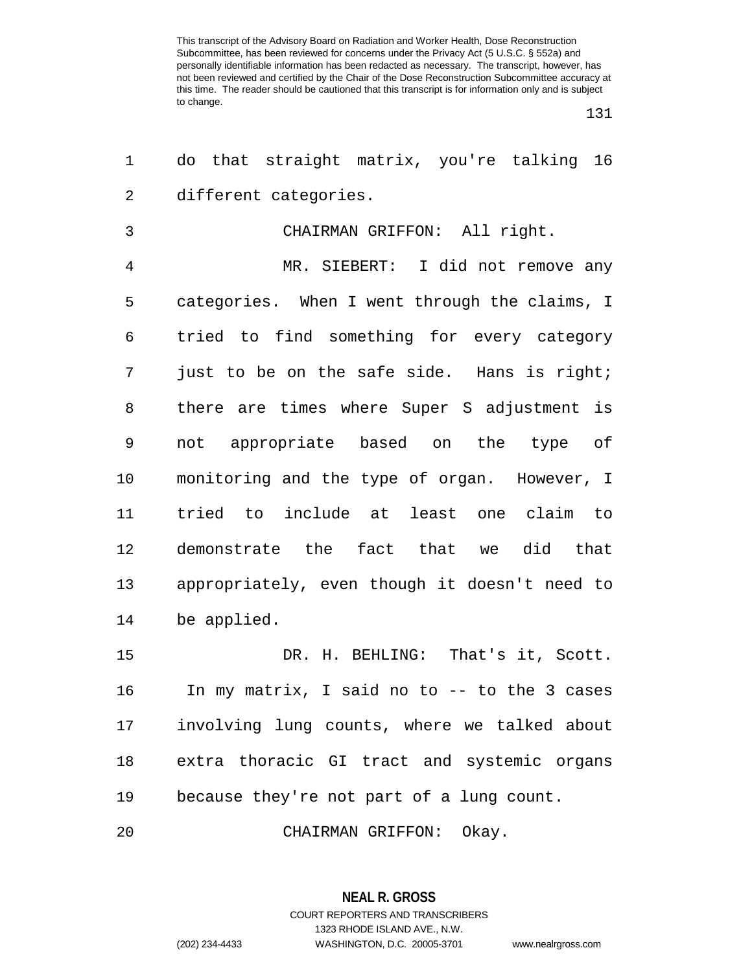| 1  | do that straight matrix, you're talking 16    |
|----|-----------------------------------------------|
| 2  | different categories.                         |
| 3  | CHAIRMAN GRIFFON: All right.                  |
| 4  | MR. SIEBERT: I did not remove any             |
| 5  | categories. When I went through the claims, I |
| 6  | tried to find something for every category    |
| 7  | just to be on the safe side. Hans is right;   |
| 8  | there are times where Super S adjustment is   |
| 9  | not appropriate based on the type of          |
| 10 | monitoring and the type of organ. However, I  |
| 11 | tried to include at least one claim to        |
| 12 | demonstrate the fact that we did that         |
| 13 | appropriately, even though it doesn't need to |
| 14 | be applied.                                   |
| 15 | DR. H. BEHLING: That's it, Scott.             |
| 16 | In my matrix, I said no to -- to the 3 cases  |
| 17 | involving lung counts, where we talked about  |
| 18 | extra thoracic GI tract and systemic organs   |
| 19 | because they're not part of a lung count.     |
| 20 | CHAIRMAN GRIFFON: Okay.                       |

**NEAL R. GROSS** COURT REPORTERS AND TRANSCRIBERS 1323 RHODE ISLAND AVE., N.W. (202) 234-4433 WASHINGTON, D.C. 20005-3701 www.nealrgross.com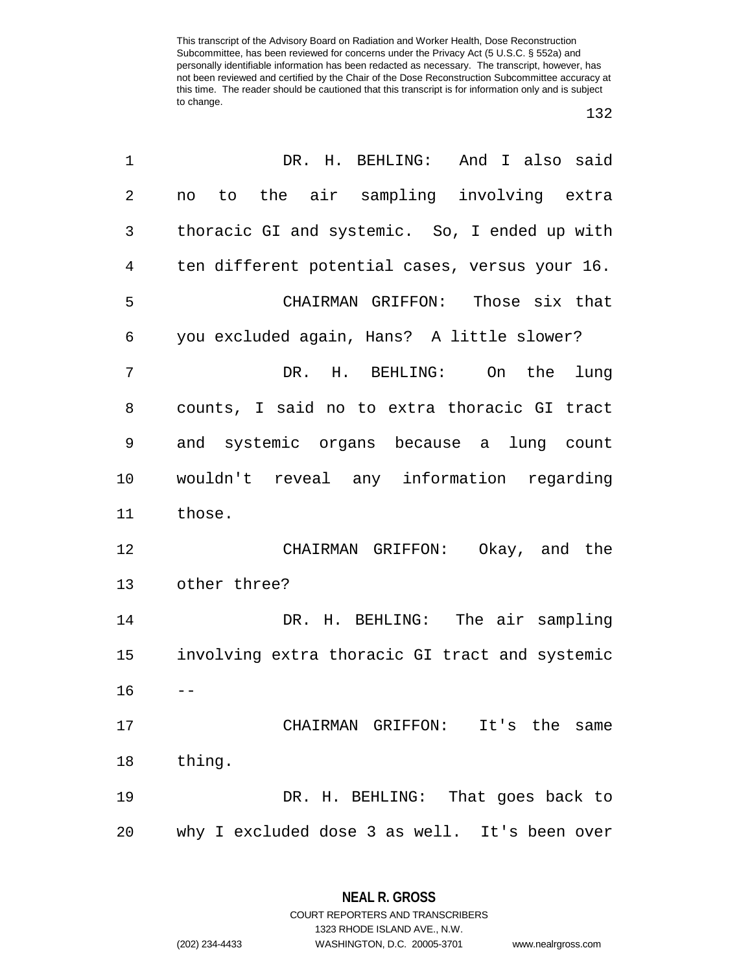| $\mathbf 1$    | DR. H. BEHLING: And I also said                |
|----------------|------------------------------------------------|
| $\overline{2}$ | no to the air sampling involving extra         |
| 3              | thoracic GI and systemic. So, I ended up with  |
| 4              | ten different potential cases, versus your 16. |
| 5              | CHAIRMAN GRIFFON: Those six that               |
| 6              | you excluded again, Hans? A little slower?     |
| 7              | DR. H. BEHLING: On the<br>lung                 |
| 8              | counts, I said no to extra thoracic GI tract   |
| 9              | and systemic organs because a lung count       |
| 10             | wouldn't reveal any information regarding      |
| 11             | those.                                         |
| 12             | CHAIRMAN GRIFFON: Okay, and the                |
| 13             | other three?                                   |
| 14             | DR. H. BEHLING: The air sampling               |
| 15             | involving extra thoracic GI tract and systemic |
| 16             |                                                |
| 17             | CHAIRMAN GRIFFON: It's the same                |
| 18             | thing.                                         |
| 19             | DR. H. BEHLING: That goes back to              |
| 20             | why I excluded dose 3 as well. It's been over  |

**NEAL R. GROSS** COURT REPORTERS AND TRANSCRIBERS

1323 RHODE ISLAND AVE., N.W.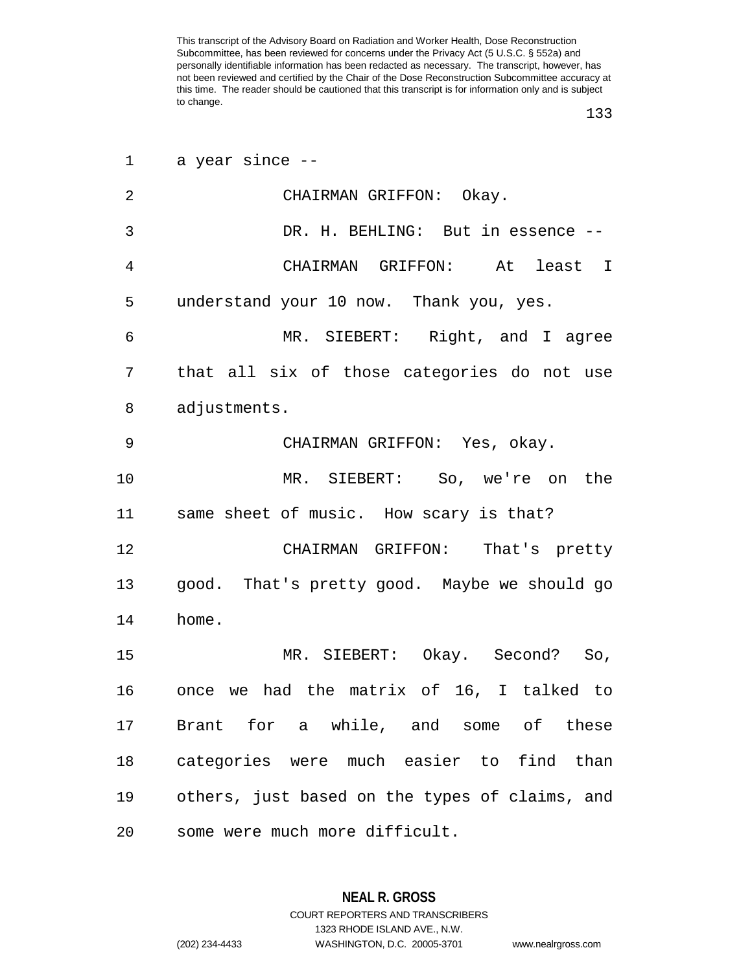| 1  | a year since --                                |
|----|------------------------------------------------|
| 2  | CHAIRMAN GRIFFON: Okay.                        |
| 3  | DR. H. BEHLING: But in essence --              |
| 4  | CHAIRMAN GRIFFON:<br>At least I                |
| 5  | understand your 10 now. Thank you, yes.        |
| 6  | MR. SIEBERT: Right, and I agree                |
| 7  | that all six of those categories do not use    |
| 8  | adjustments.                                   |
| 9  | CHAIRMAN GRIFFON: Yes, okay.                   |
| 10 | MR. SIEBERT: So, we're on the                  |
| 11 | same sheet of music. How scary is that?        |
| 12 | CHAIRMAN GRIFFON: That's pretty                |
| 13 | good. That's pretty good. Maybe we should go   |
| 14 | home.                                          |
| 15 | MR. SIEBERT: Okay. Second? So,                 |
| 16 | once we had the matrix of 16, I talked to      |
| 17 | Brant for a while, and some of these           |
| 18 | categories were much easier to find than       |
| 19 | others, just based on the types of claims, and |
| 20 | some were much more difficult.                 |

**NEAL R. GROSS** COURT REPORTERS AND TRANSCRIBERS 1323 RHODE ISLAND AVE., N.W. (202) 234-4433 WASHINGTON, D.C. 20005-3701 www.nealrgross.com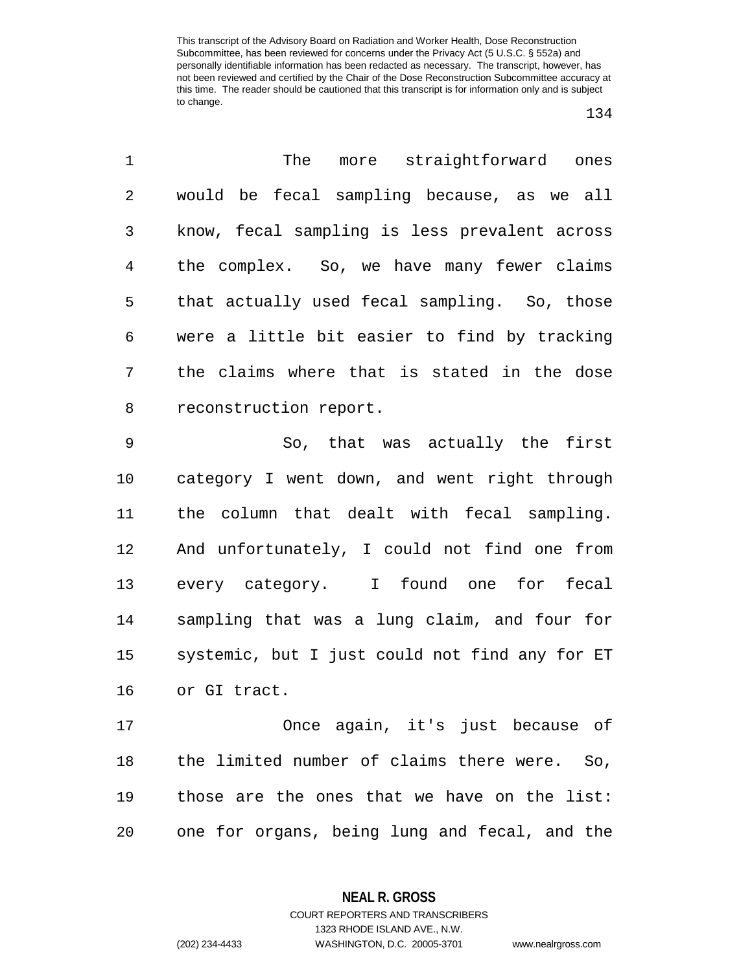| $\mathbf{1}$   | The more straightforward ones                 |
|----------------|-----------------------------------------------|
| $\overline{2}$ | would be fecal sampling because, as we all    |
| 3              | know, fecal sampling is less prevalent across |
| 4              | the complex. So, we have many fewer claims    |
| 5              | that actually used fecal sampling. So, those  |
| 6              | were a little bit easier to find by tracking  |
| 7              | the claims where that is stated in the dose   |
| 8              | reconstruction report.                        |
| 9              | So, that was actually the first               |
|                |                                               |

 category I went down, and went right through the column that dealt with fecal sampling. And unfortunately, I could not find one from every category. I found one for fecal sampling that was a lung claim, and four for systemic, but I just could not find any for ET or GI tract.

 Once again, it's just because of the limited number of claims there were. So, those are the ones that we have on the list: one for organs, being lung and fecal, and the

**NEAL R. GROSS**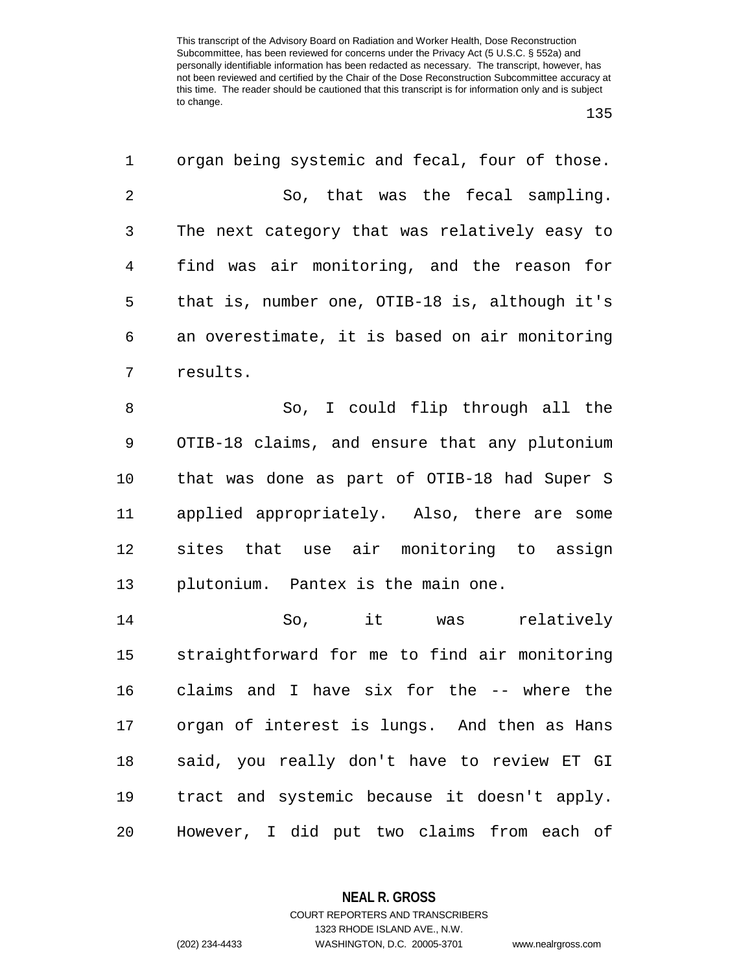| 1              | organ being systemic and fecal, four of those. |
|----------------|------------------------------------------------|
| $\overline{2}$ | So, that was the fecal sampling.               |
| 3              | The next category that was relatively easy to  |
| 4              | find was air monitoring, and the reason for    |
| 5              | that is, number one, OTIB-18 is, although it's |
| 6              | an overestimate, it is based on air monitoring |
| 7              | results.                                       |
| 8              | So, I could flip through all the               |
| 9              | OTIB-18 claims, and ensure that any plutonium  |
| 10             | that was done as part of OTIB-18 had Super S   |
| 11             | applied appropriately. Also, there are some    |
| 12             | sites that use air monitoring to assign        |
| 13             | plutonium. Pantex is the main one.             |
| 14             | it was<br>relatively<br>So,                    |
| 15             | straightforward for me to find air monitoring  |
| 16             | claims and I have six for the -- where the     |
| 17             | organ of interest is lungs. And then as Hans   |
| 18             | said, you really don't have to review ET GI    |
| 19             | tract and systemic because it doesn't apply.   |
| 20             | However, I did put two claims from each of     |

**NEAL R. GROSS** COURT REPORTERS AND TRANSCRIBERS

1323 RHODE ISLAND AVE., N.W.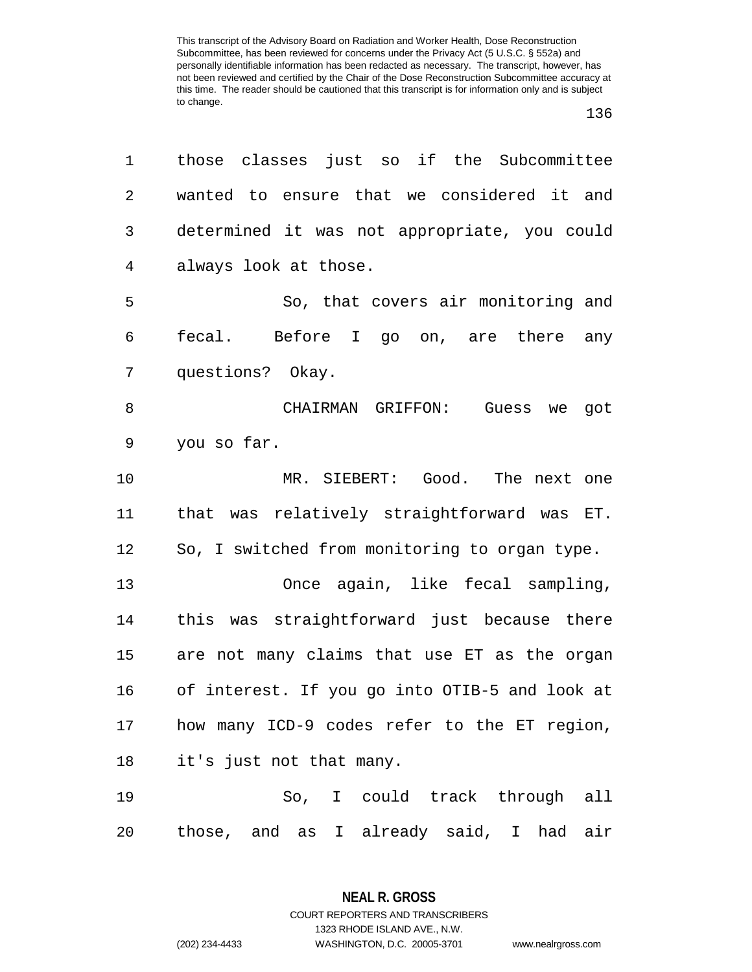| 1              | those classes just so if the Subcommittee      |
|----------------|------------------------------------------------|
| $\overline{2}$ | wanted to ensure that we considered it and     |
| 3              | determined it was not appropriate, you could   |
| 4              | always look at those.                          |
| 5              | So, that covers air monitoring and             |
| 6              | fecal. Before I go on, are there<br>any        |
| 7              | questions? Okay.                               |
| 8              | CHAIRMAN GRIFFON:<br>Guess<br>got<br>we        |
| 9              | you so far.                                    |
| 10             | MR. SIEBERT: Good. The next one                |
| 11             | that was relatively straightforward was ET.    |
| 12             | So, I switched from monitoring to organ type.  |
| 13             | Once again, like fecal sampling,               |
| 14             | this was straightforward just because there    |
| 15             | are not many claims that use ET as the organ   |
| 16             | of interest. If you go into OTIB-5 and look at |
| 17             | how many ICD-9 codes refer to the ET region,   |
| 18             | it's just not that many.                       |
| 19             | So, I could track through all                  |
| 20             | those, and as I already said, I had air        |

**NEAL R. GROSS** COURT REPORTERS AND TRANSCRIBERS 1323 RHODE ISLAND AVE., N.W.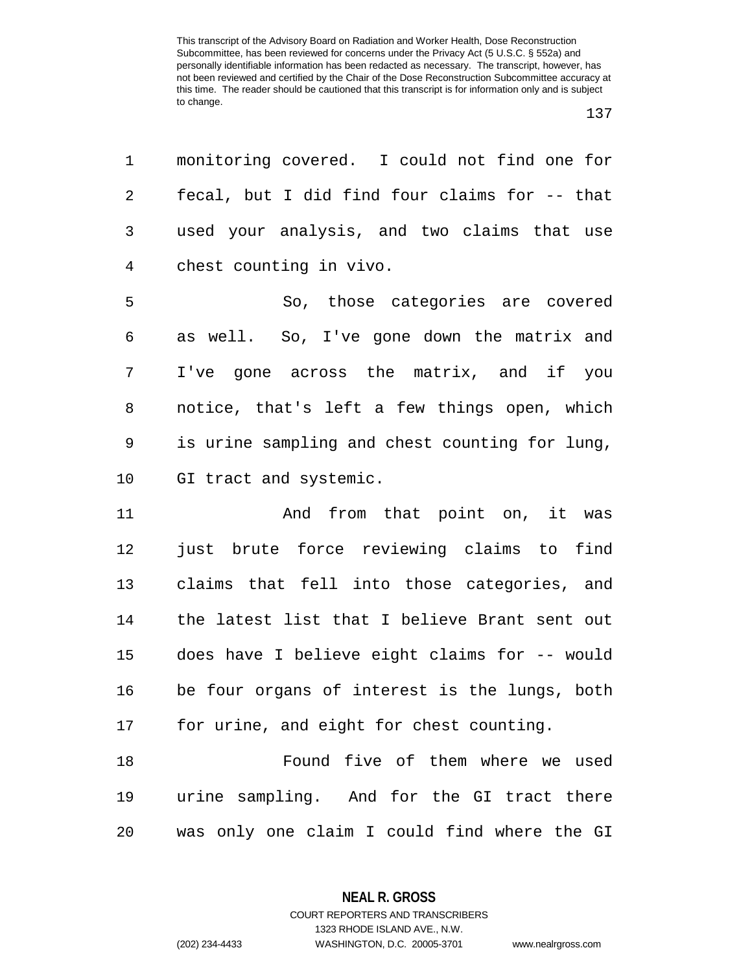| 1              | monitoring covered. I could not find one for   |
|----------------|------------------------------------------------|
| $\overline{2}$ | fecal, but I did find four claims for -- that  |
| 3              | used your analysis, and two claims that use    |
| 4              | chest counting in vivo.                        |
| 5              | So, those categories are covered               |
| 6              | as well. So, I've gone down the matrix and     |
| 7              | I've gone across the matrix, and if you        |
| 8              | notice, that's left a few things open, which   |
| 9              | is urine sampling and chest counting for lung, |
| 10             | GI tract and systemic.                         |
| 11             | And from that point on, it was                 |
| 12             | just brute force reviewing claims to find      |
| 13             | claims that fell into those categories, and    |
| 14             | the latest list that I believe Brant sent out  |
| 15             | does have I believe eight claims for -- would  |
| 16             | be four organs of interest is the lungs, both  |
| 17             | for urine, and eight for chest counting.       |
| 18             | Found five of them where we used               |
| 19             | urine sampling. And for the GI tract there     |
| 20             | was only one claim I could find where the GI   |

**NEAL R. GROSS** COURT REPORTERS AND TRANSCRIBERS

1323 RHODE ISLAND AVE., N.W.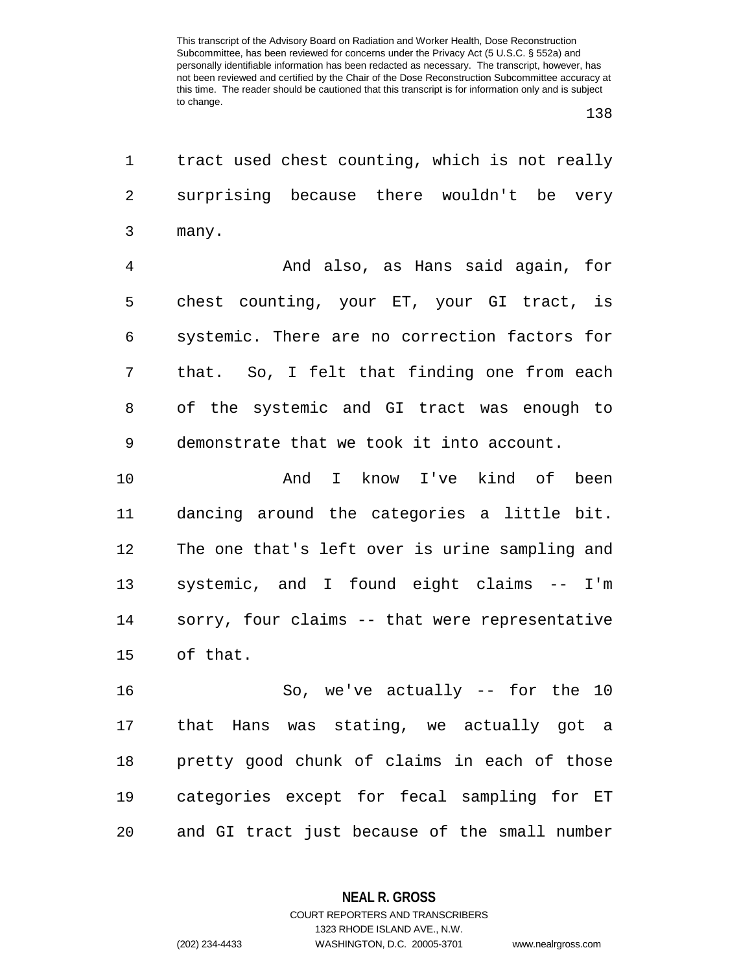| 1              | tract used chest counting, which is not really |
|----------------|------------------------------------------------|
| 2              | surprising because there wouldn't be very      |
| 3              | many.                                          |
| $\overline{4}$ | And also, as Hans said again, for              |
| 5              | chest counting, your ET, your GI tract, is     |
| 6              | systemic. There are no correction factors for  |
| 7              | that. So, I felt that finding one from each    |
| 8              | of the systemic and GI tract was enough to     |
| 9              | demonstrate that we took it into account.      |
| 10             | And I know I've kind of been                   |
| 11             | dancing around the categories a little bit.    |
| 12             | The one that's left over is urine sampling and |
| 13             | systemic, and I found eight claims -- I'm      |
| 14             | sorry, four claims -- that were representative |
| 15             | of that.                                       |
| 16             | So, we've actually $--$ for the 10             |
| 17             | that Hans was stating, we actually got a       |
| 18             | pretty good chunk of claims in each of those   |
| 19             | categories except for fecal sampling for ET    |
| 20             | and GI tract just because of the small number  |

**NEAL R. GROSS** COURT REPORTERS AND TRANSCRIBERS

1323 RHODE ISLAND AVE., N.W. (202) 234-4433 WASHINGTON, D.C. 20005-3701 www.nealrgross.com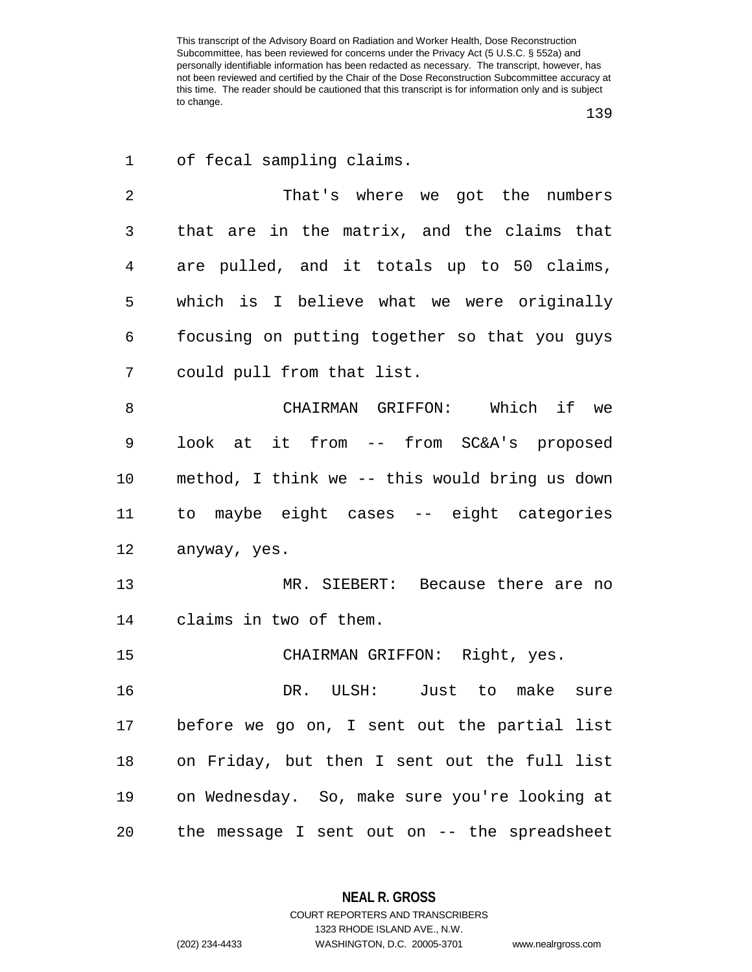| $\mathbf 1$ | of fecal sampling claims.                      |
|-------------|------------------------------------------------|
| 2           | That's where we got the numbers                |
| 3           | that are in the matrix, and the claims that    |
| 4           | are pulled, and it totals up to 50 claims,     |
| 5           | which is I believe what we were originally     |
| 6           | focusing on putting together so that you guys  |
| 7           | could pull from that list.                     |
| 8           | CHAIRMAN GRIFFON: Which if we                  |
| 9           | look at it from -- from SC&A's proposed        |
| 10          | method, I think we -- this would bring us down |
| 11          | to maybe eight cases -- eight categories       |
| 12          | anyway, yes.                                   |
| 13          | MR. SIEBERT: Because there are no              |
| 14          | claims in two of them.                         |
| 15          | CHAIRMAN GRIFFON: Right, yes.                  |
| 16          | DR. ULSH: Just to make<br>sure                 |
| 17          | before we go on, I sent out the partial list   |
| 18          | on Friday, but then I sent out the full list   |
| 19          | on Wednesday. So, make sure you're looking at  |
| 20          | the message I sent out on -- the spreadsheet   |

**NEAL R. GROSS**

COURT REPORTERS AND TRANSCRIBERS 1323 RHODE ISLAND AVE., N.W. (202) 234-4433 WASHINGTON, D.C. 20005-3701 www.nealrgross.com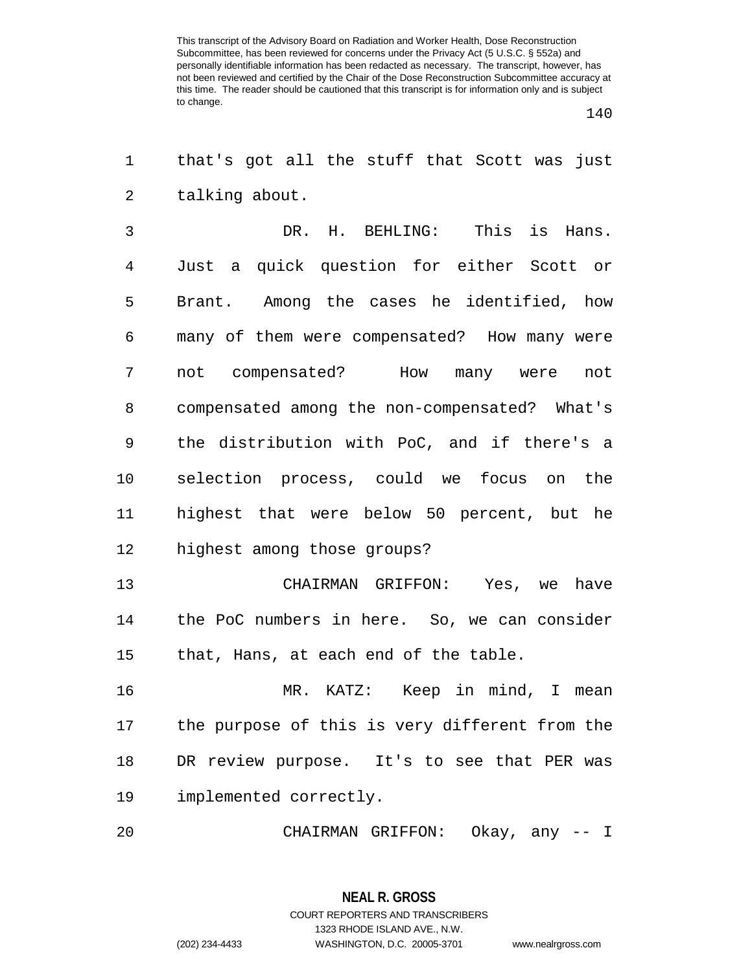$\overline{a}$ 

| 1              | that's got all the stuff that Scott was just   |
|----------------|------------------------------------------------|
| $\overline{2}$ | talking about.                                 |
| 3              | DR. H. BEHLING: This is Hans.                  |
| 4              | Just a quick question for either Scott or      |
| 5              | Brant. Among the cases he identified, how      |
| 6              | many of them were compensated? How many were   |
| 7              | not compensated? How many were<br>not          |
| 8              | compensated among the non-compensated? What's  |
| 9              | the distribution with PoC, and if there's a    |
| 10             | selection process, could we focus on the       |
| 11             | highest that were below 50 percent, but he     |
| 12             | highest among those groups?                    |
| 13             | CHAIRMAN GRIFFON: Yes, we have                 |
| 14             | the PoC numbers in here. So, we can consider   |
| 15             | that, Hans, at each end of the table.          |
| 16             | MR. KATZ: Keep in mind, I mean                 |
| 17             | the purpose of this is very different from the |
| 18             | DR review purpose. It's to see that PER was    |
| 19             | implemented correctly.                         |
| 20             | CHAIRMAN GRIFFON: Okay, any -- I               |

**NEAL R. GROSS** COURT REPORTERS AND TRANSCRIBERS 1323 RHODE ISLAND AVE., N.W. (202) 234-4433 WASHINGTON, D.C. 20005-3701 www.nealrgross.com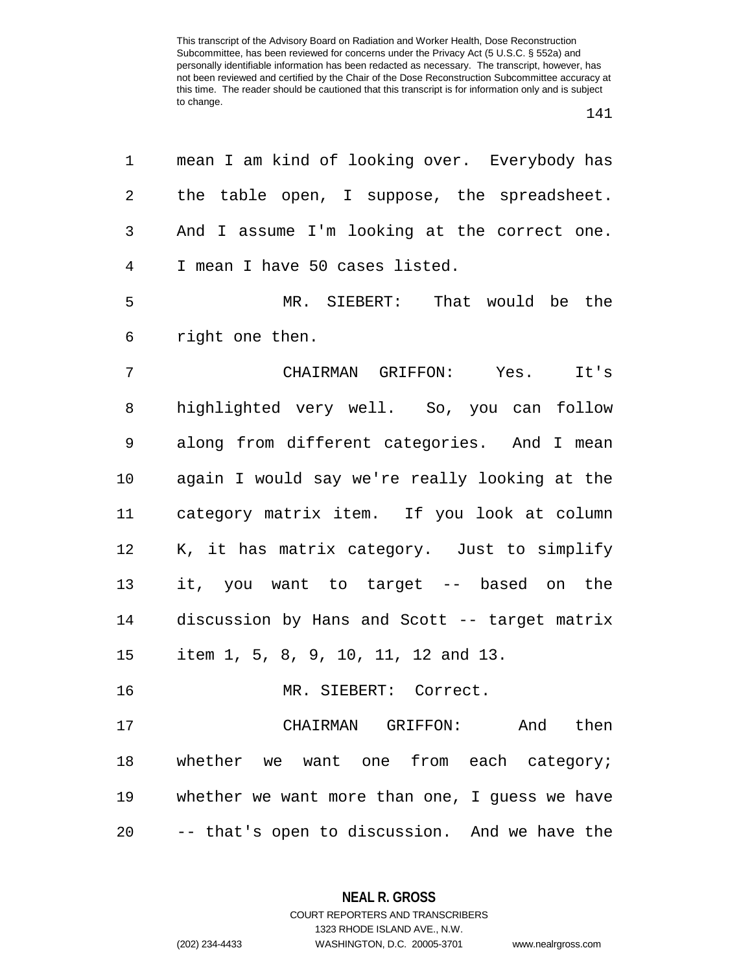| 1              | mean I am kind of looking over. Everybody has  |
|----------------|------------------------------------------------|
| 2              | the table open, I suppose, the spreadsheet.    |
| 3              | And I assume I'm looking at the correct one.   |
| $\overline{4}$ | I mean I have 50 cases listed.                 |
| 5              | MR. SIEBERT: That would be the                 |
| 6              | right one then.                                |
| $\overline{7}$ | CHAIRMAN GRIFFON: Yes. It's                    |
| 8              | highlighted very well. So, you can follow      |
| 9              | along from different categories. And I mean    |
| 10             | again I would say we're really looking at the  |
| 11             | category matrix item. If you look at column    |
| 12             | K, it has matrix category. Just to simplify    |
| 13             | it, you want to target -- based on the         |
| 14             | discussion by Hans and Scott -- target matrix  |
| 15             | item 1, 5, 8, 9, 10, 11, 12 and 13.            |
| 16             | MR. SIEBERT: Correct.                          |
| 17             | CHAIRMAN GRIFFON: And then                     |
| 18             | whether we want one from each category;        |
| 19             | whether we want more than one, I guess we have |
| 20             | -- that's open to discussion. And we have the  |

**NEAL R. GROSS** COURT REPORTERS AND TRANSCRIBERS

1323 RHODE ISLAND AVE., N.W.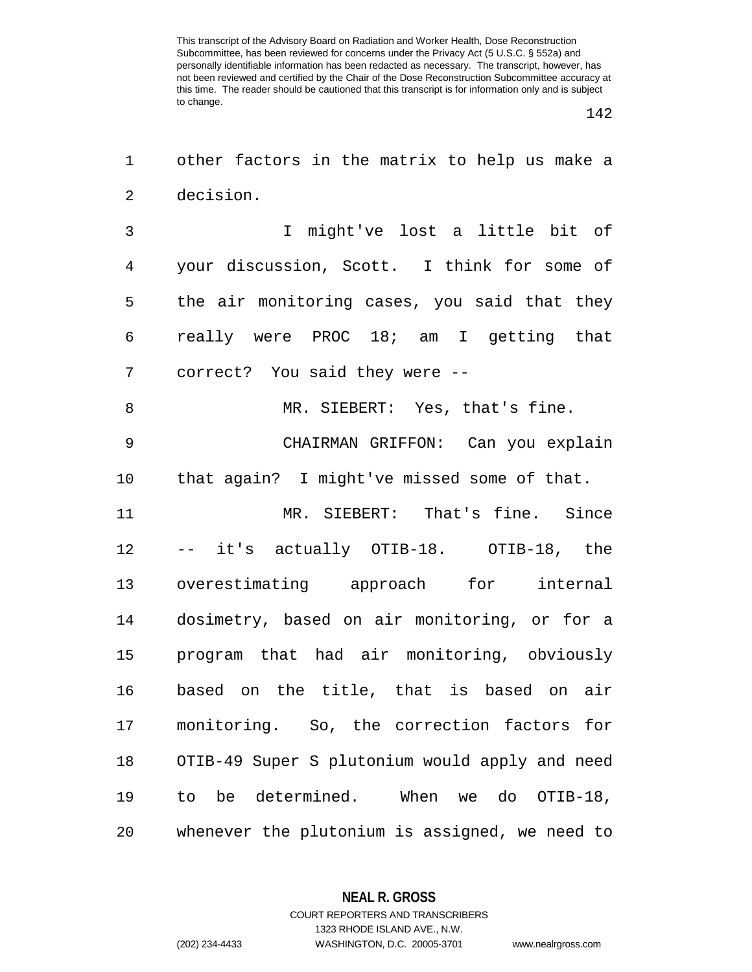| 1              | other factors in the matrix to help us make a  |
|----------------|------------------------------------------------|
| $\overline{a}$ | decision.                                      |
| 3              | I might've lost a little bit of                |
| $\overline{4}$ | your discussion, Scott. I think for some of    |
| 5              | the air monitoring cases, you said that they   |
| 6              | really were PROC 18; am I getting that         |
| 7              | correct? You said they were --                 |
| 8              | MR. SIEBERT: Yes, that's fine.                 |
| $\mathsf 9$    | CHAIRMAN GRIFFON: Can you explain              |
| 10             | that again? I might've missed some of that.    |
| 11             | MR. SIEBERT: That's fine. Since                |
| 12             | -- it's actually OTIB-18. OTIB-18, the         |
| 13             | overestimating approach for internal           |
| 14             | dosimetry, based on air monitoring, or for a   |
| 15             | program that had air monitoring, obviously     |
| 16             | based on the title, that is based on air       |
| 17             | monitoring. So, the correction factors<br>for  |
| 18             | OTIB-49 Super S plutonium would apply and need |
| 19             | be determined. When we do OTIB-18,<br>to       |
| 20             | whenever the plutonium is assigned, we need to |

**NEAL R. GROSS**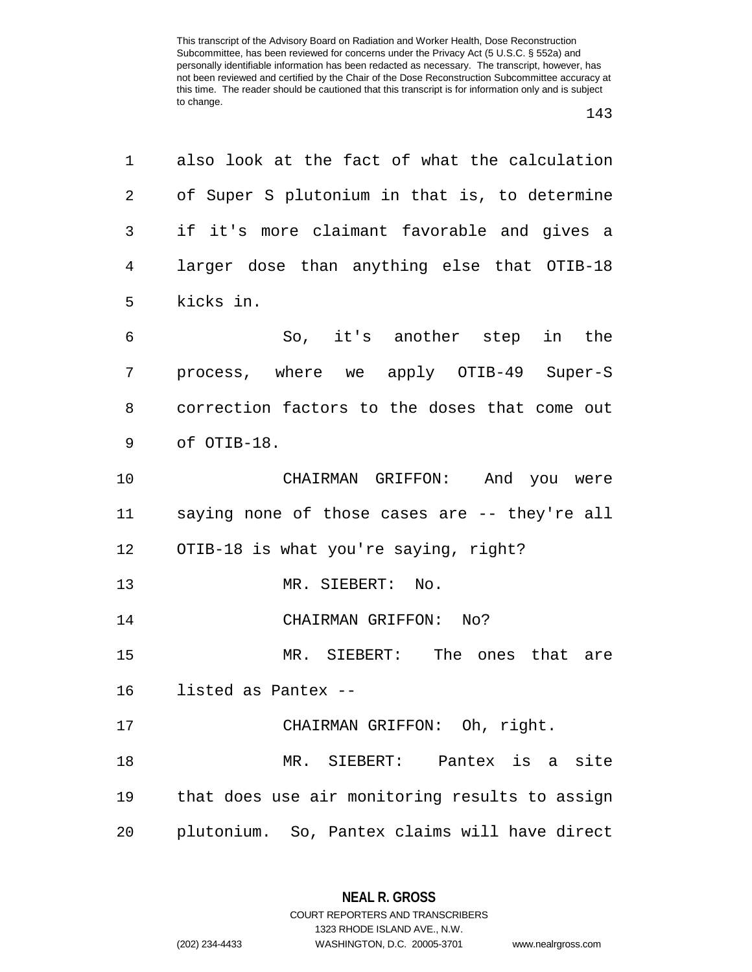| 1  | also look at the fact of what the calculation  |
|----|------------------------------------------------|
| 2  | of Super S plutonium in that is, to determine  |
| 3  | if it's more claimant favorable and gives a    |
| 4  | larger dose than anything else that OTIB-18    |
| 5  | kicks in.                                      |
| 6  | So, it's another step in the                   |
| 7  | process, where we apply OTIB-49 Super-S        |
| 8  | correction factors to the doses that come out  |
| 9  | of OTIB-18.                                    |
| 10 | CHAIRMAN GRIFFON: And you were                 |
| 11 | saying none of those cases are -- they're all  |
| 12 | OTIB-18 is what you're saying, right?          |
| 13 | MR. SIEBERT:<br>No.                            |
| 14 | CHAIRMAN GRIFFON: No?                          |
| 15 | MR. SIEBERT: The ones that are                 |
| 16 | listed as Pantex --                            |
| 17 | CHAIRMAN GRIFFON: Oh, right.                   |
| 18 | MR. SIEBERT: Pantex is a site                  |
| 19 | that does use air monitoring results to assign |
| 20 | plutonium. So, Pantex claims will have direct  |

**NEAL R. GROSS**

COURT REPORTERS AND TRANSCRIBERS 1323 RHODE ISLAND AVE., N.W. (202) 234-4433 WASHINGTON, D.C. 20005-3701 www.nealrgross.com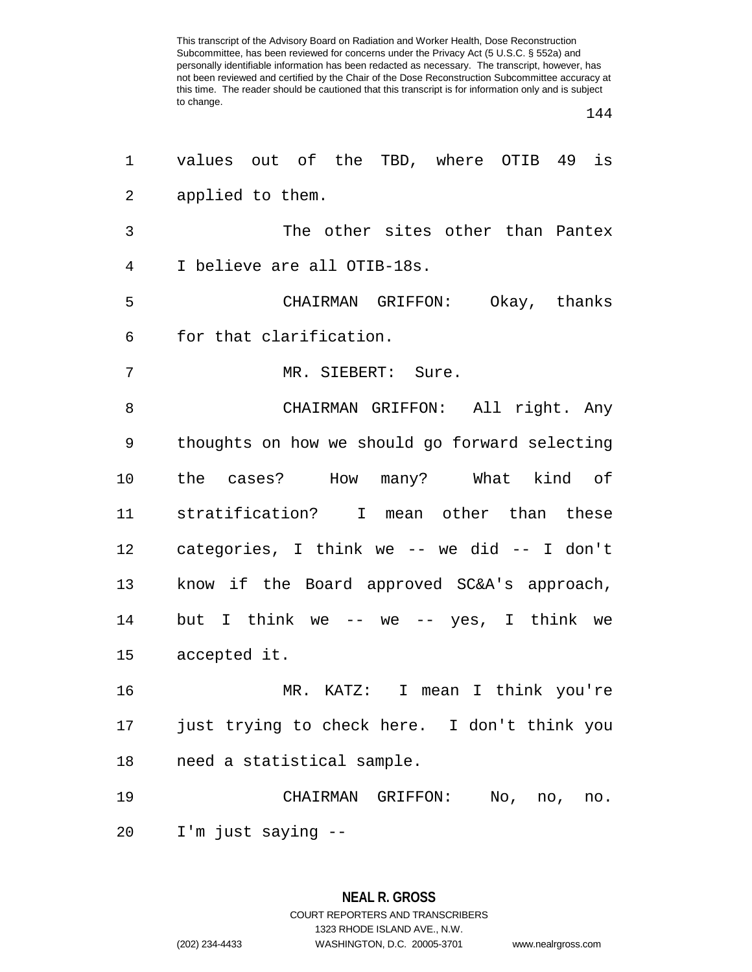| 1              | values out of the TBD, where OTIB 49 is        |
|----------------|------------------------------------------------|
| $\overline{2}$ | applied to them.                               |
| 3              | The other sites other than Pantex              |
| $\overline{4}$ | I believe are all OTIB-18s.                    |
| 5              | CHAIRMAN GRIFFON: Okay, thanks                 |
| 6              | for that clarification.                        |
| 7              | MR. SIEBERT: Sure.                             |
| 8              | CHAIRMAN GRIFFON: All right. Any               |
| 9              | thoughts on how we should go forward selecting |
| 10             | the cases? How many? What kind of              |
| 11             | stratification? I mean other than these        |
| 12             | categories, I think we -- we did -- I don't    |
| 13             | know if the Board approved SC&A's approach,    |
| 14             | but I think we -- we -- yes, I think we        |
| 15             | accepted it.                                   |
| 16             | MR. KATZ: I mean I think you're                |
| 17             | just trying to check here. I don't think you   |
| 18             | need a statistical sample.                     |
| 19             | CHAIRMAN GRIFFON: No, no, no.                  |
| 20             | I'm just saying --                             |

**NEAL R. GROSS** COURT REPORTERS AND TRANSCRIBERS 1323 RHODE ISLAND AVE., N.W. (202) 234-4433 WASHINGTON, D.C. 20005-3701 www.nealrgross.com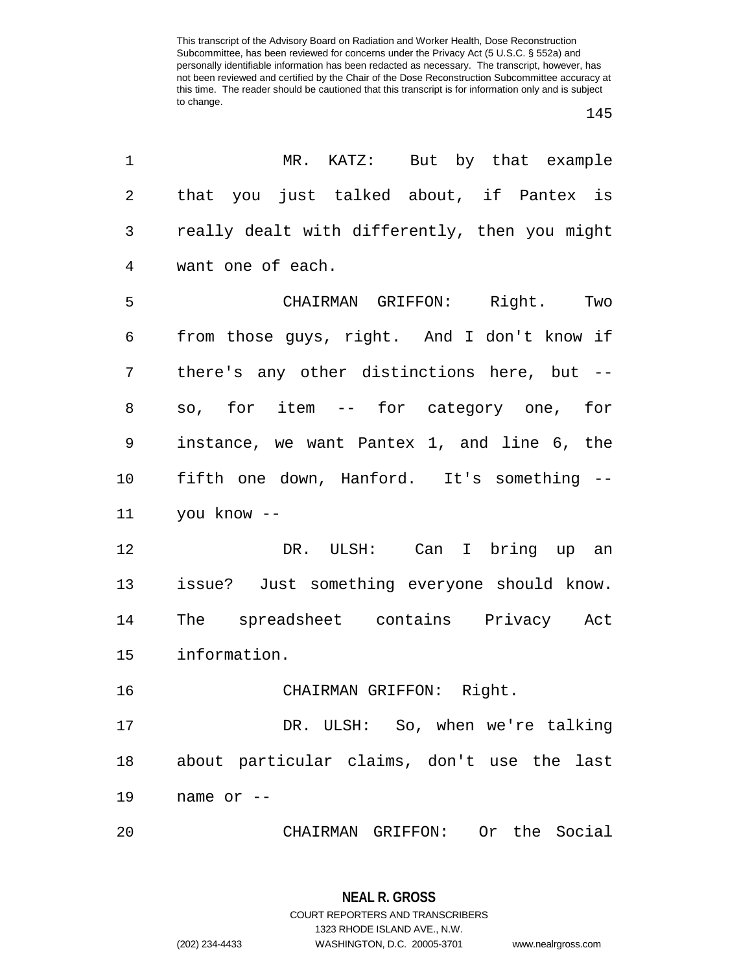## 

| 1              | MR. KATZ: But by that example                 |
|----------------|-----------------------------------------------|
| $\overline{2}$ | that you just talked about, if Pantex is      |
| 3              | really dealt with differently, then you might |
| 4              | want one of each.                             |
| 5              | CHAIRMAN GRIFFON: Right. Two                  |
| 6              | from those guys, right. And I don't know if   |
| 7              | there's any other distinctions here, but --   |
| 8              | so, for item -- for category one, for         |
| 9              | instance, we want Pantex 1, and line 6, the   |
| 10             | fifth one down, Hanford. It's something --    |
| 11             | you know --                                   |
| 12             | DR. ULSH: Can I bring up an                   |
| 13             | issue? Just something everyone should know.   |
| 14             | The spreadsheet contains Privacy Act          |
| 15             | information.                                  |
| 16             | CHAIRMAN GRIFFON: Right.                      |
| 17             | DR. ULSH: So, when we're talking              |
| 18             | about particular claims, don't use the last   |
| 19             | name or --                                    |
| 20             | CHAIRMAN GRIFFON: Or the Social               |

**NEAL R. GROSS** COURT REPORTERS AND TRANSCRIBERS 1323 RHODE ISLAND AVE., N.W. (202) 234-4433 WASHINGTON, D.C. 20005-3701 www.nealrgross.com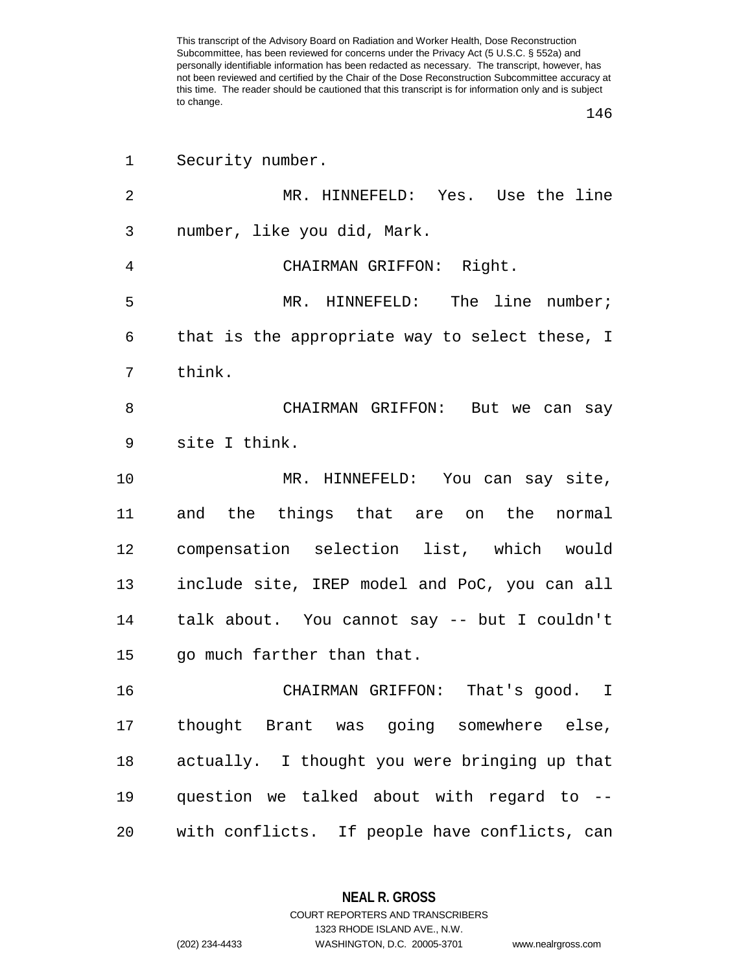| 1  | Security number.                               |
|----|------------------------------------------------|
| 2  | MR. HINNEFELD: Yes. Use the line               |
| 3  | number, like you did, Mark.                    |
| 4  | CHAIRMAN GRIFFON: Right.                       |
| 5  | MR. HINNEFELD: The line number;                |
| 6  | that is the appropriate way to select these, I |
| 7  | think.                                         |
| 8  | CHAIRMAN GRIFFON: But we can say               |
| 9  | site I think.                                  |
| 10 | MR. HINNEFELD: You can say site,               |
| 11 | and the things that are on the normal          |
| 12 | compensation selection list, which would       |
| 13 | include site, IREP model and PoC, you can all  |
| 14 | talk about. You cannot say -- but I couldn't   |
| 15 | go much farther than that.                     |
| 16 | CHAIRMAN GRIFFON: That's good. I               |
| 17 | thought Brant was going somewhere else,        |
| 18 | actually. I thought you were bringing up that  |
| 19 | question we talked about with regard to --     |
| 20 | with conflicts. If people have conflicts, can  |

**NEAL R. GROSS** COURT REPORTERS AND TRANSCRIBERS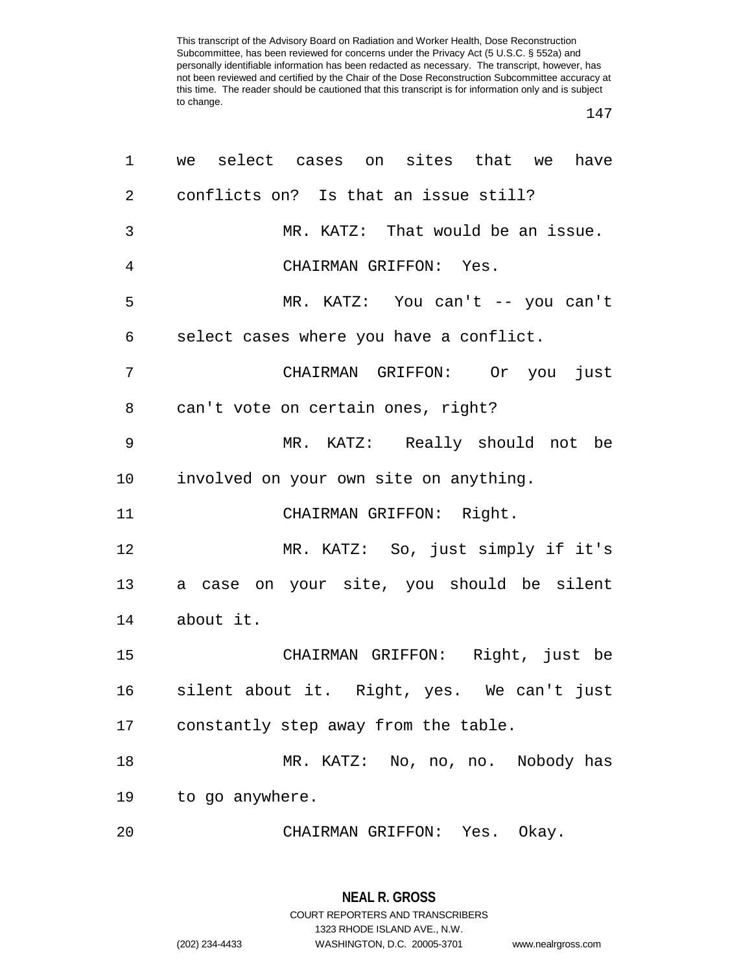| 1              | we select cases on sites that we<br>have     |
|----------------|----------------------------------------------|
| $\overline{2}$ | conflicts on? Is that an issue still?        |
| 3              | MR. KATZ: That would be an issue.            |
| $\overline{4}$ | CHAIRMAN GRIFFON: Yes.                       |
| 5              | MR. KATZ: You can't -- you can't             |
| 6              | select cases where you have a conflict.      |
| 7              | CHAIRMAN GRIFFON: Or you just                |
| 8              | can't vote on certain ones, right?           |
| 9              | MR. KATZ: Really should not be               |
| 10             | involved on your own site on anything.       |
| 11             | CHAIRMAN GRIFFON: Right.                     |
| 12             | MR. KATZ: So, just simply if it's            |
| 13             | a case on your site, you should be silent    |
| 14             | about it.                                    |
| 15             | CHAIRMAN GRIFFON: Right, just be             |
| 16             | silent about it.  Right, yes.  We can't just |
| 17             | constantly step away from the table.         |
| 18             | MR. KATZ: No, no, no. Nobody has             |
| 19             | to go anywhere.                              |
| 20             | CHAIRMAN GRIFFON: Yes. Okay.                 |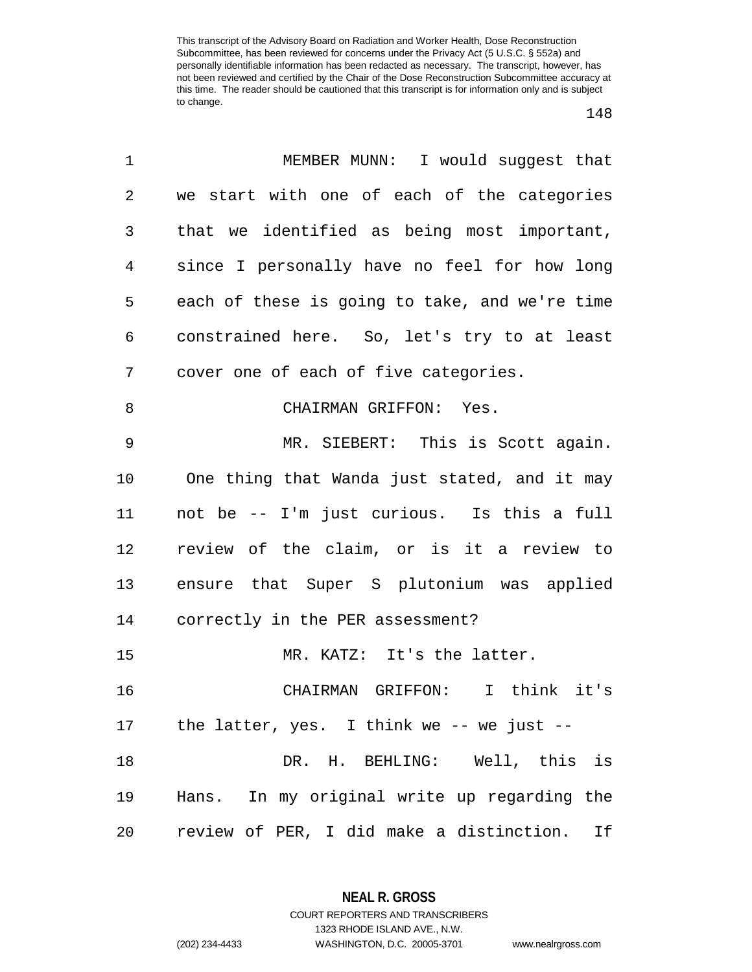| 1  | MEMBER MUNN: I would suggest that              |
|----|------------------------------------------------|
| 2  | we start with one of each of the categories    |
| 3  | that we identified as being most important,    |
| 4  | since I personally have no feel for how long   |
| 5  | each of these is going to take, and we're time |
| 6  | constrained here. So, let's try to at least    |
| 7  | cover one of each of five categories.          |
| 8  | CHAIRMAN GRIFFON: Yes.                         |
| 9  | MR. SIEBERT: This is Scott again.              |
| 10 | One thing that Wanda just stated, and it may   |
| 11 | not be -- I'm just curious. Is this a full     |
| 12 | review of the claim, or is it a review to      |
| 13 | ensure that Super S plutonium was applied      |
| 14 | correctly in the PER assessment?               |
| 15 | MR. KATZ: It's the latter.                     |
| 16 | CHAIRMAN GRIFFON: I think it's                 |
| 17 | the latter, yes. I think we $-$ - we just $-$  |
| 18 | DR. H. BEHLING: Well, this is                  |
| 19 | Hans. In my original write up regarding the    |
| 20 | review of PER, I did make a distinction.<br>If |

**NEAL R. GROSS**

COURT REPORTERS AND TRANSCRIBERS 1323 RHODE ISLAND AVE., N.W. (202) 234-4433 WASHINGTON, D.C. 20005-3701 www.nealrgross.com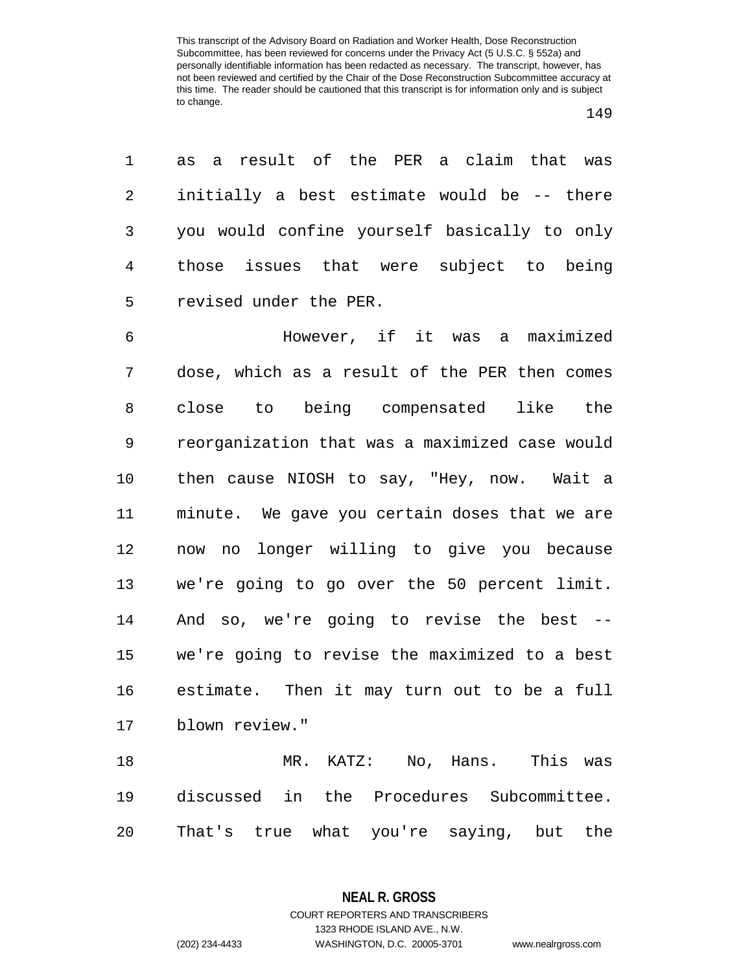as a result of the PER a claim that was initially a best estimate would be -- there you would confine yourself basically to only those issues that were subject to being revised under the PER.

 However, if it was a maximized dose, which as a result of the PER then comes close to being compensated like the reorganization that was a maximized case would then cause NIOSH to say, "Hey, now. Wait a minute. We gave you certain doses that we are now no longer willing to give you because we're going to go over the 50 percent limit. And so, we're going to revise the best -- we're going to revise the maximized to a best estimate. Then it may turn out to be a full blown review."

 MR. KATZ: No, Hans. This was discussed in the Procedures Subcommittee. That's true what you're saying, but the

> **NEAL R. GROSS** COURT REPORTERS AND TRANSCRIBERS 1323 RHODE ISLAND AVE., N.W. (202) 234-4433 WASHINGTON, D.C. 20005-3701 www.nealrgross.com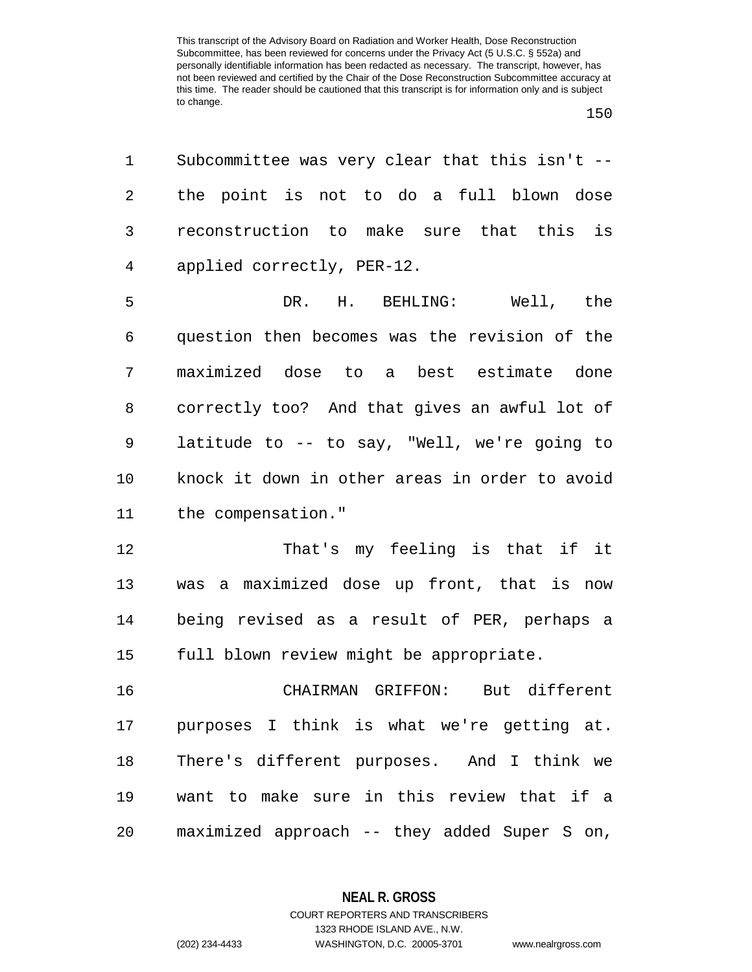| 1       | Subcommittee was very clear that this isn't -- |
|---------|------------------------------------------------|
| 2       | the point is not to do a full blown dose       |
| 3       | reconstruction to make sure that this is       |
| 4       | applied correctly, PER-12.                     |
| 5       | DR. H. BEHLING:<br>Well, the                   |
| 6       | question then becomes was the revision of the  |
| 7       | maximized dose to a best estimate done         |
| 8       | correctly too? And that gives an awful lot of  |
| 9       | latitude to -- to say, "Well, we're going to   |
| $10 \,$ | knock it down in other areas in order to avoid |
| 11      | the compensation."                             |
| 12      | That's my feeling is that if it                |
| 13      | was a maximized dose up front, that is now     |
| 14      | being revised as a result of PER, perhaps a    |
| 15      | full blown review might be appropriate.        |
| 16      | CHAIRMAN GRIFFON:<br>But different             |
| 17      | purposes I think is what we're getting at.     |
| 18      | There's different purposes. And I think we     |
| 19      | want to make sure in this review that if a     |
| 20      | maximized approach -- they added Super S on,   |

**NEAL R. GROSS** COURT REPORTERS AND TRANSCRIBERS

1323 RHODE ISLAND AVE., N.W. (202) 234-4433 WASHINGTON, D.C. 20005-3701 www.nealrgross.com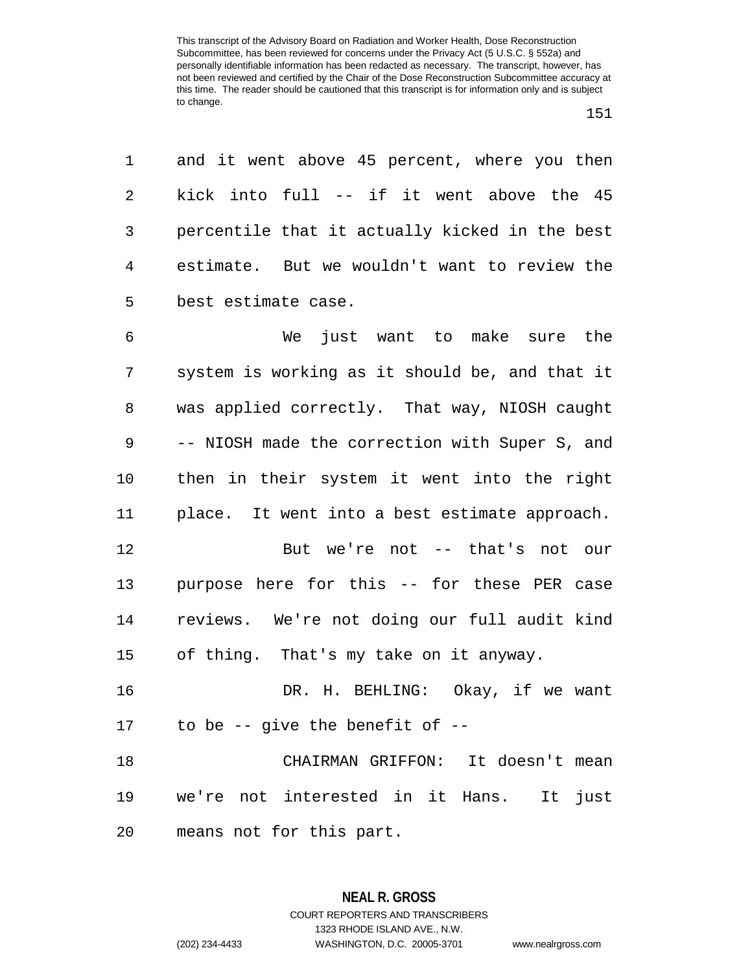and it went above 45 percent, where you then kick into full -- if it went above the 45 percentile that it actually kicked in the best estimate. But we wouldn't want to review the best estimate case.

 We just want to make sure the system is working as it should be, and that it was applied correctly. That way, NIOSH caught -- NIOSH made the correction with Super S, and then in their system it went into the right place. It went into a best estimate approach.

 But we're not -- that's not our purpose here for this -- for these PER case reviews. We're not doing our full audit kind of thing. That's my take on it anyway.

 DR. H. BEHLING: Okay, if we want to be -- give the benefit of --

 CHAIRMAN GRIFFON: It doesn't mean we're not interested in it Hans. It just means not for this part.

1323 RHODE ISLAND AVE., N.W.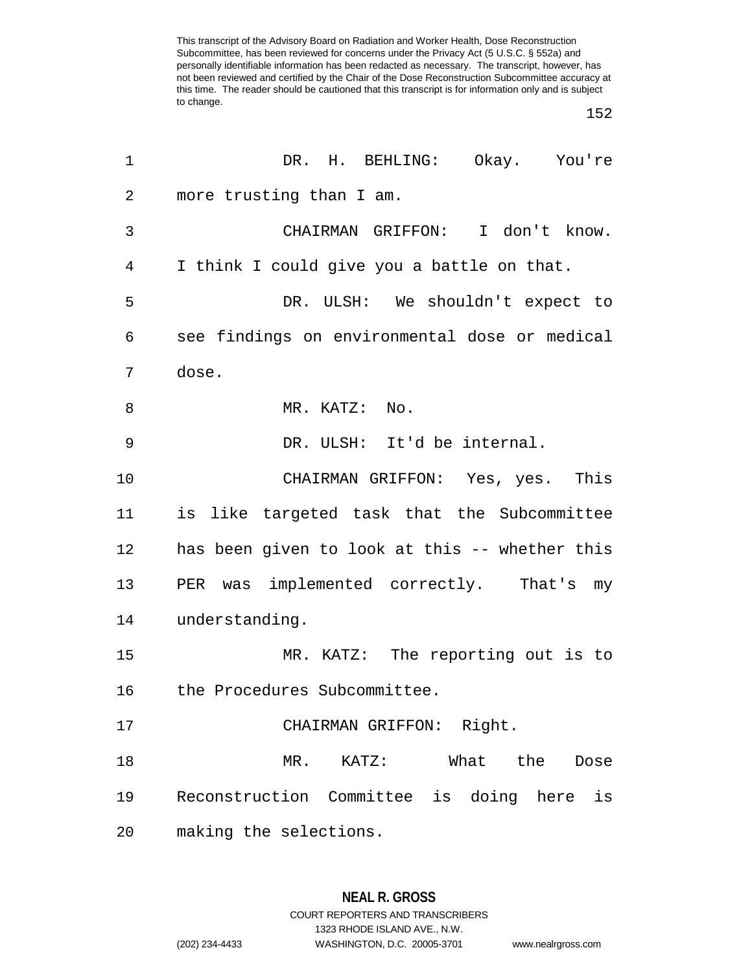| 1  | DR. H. BEHLING: Okay. You're                   |
|----|------------------------------------------------|
| 2  | more trusting than I am.                       |
| 3  | CHAIRMAN GRIFFON: I don't know.                |
| 4  | I think I could give you a battle on that.     |
| 5  | DR. ULSH: We shouldn't expect to               |
| 6  | see findings on environmental dose or medical  |
| 7  | dose.                                          |
| 8  | MR. KATZ: No.                                  |
| 9  | DR. ULSH: It'd be internal.                    |
| 10 | CHAIRMAN GRIFFON: Yes, yes. This               |
| 11 | is like targeted task that the Subcommittee    |
| 12 | has been given to look at this -- whether this |
| 13 | PER was implemented correctly. That's my       |
| 14 | understanding.                                 |
| 15 | MR. KATZ: The reporting out is to              |
| 16 | the Procedures Subcommittee.                   |
| 17 | CHAIRMAN GRIFFON: Right.                       |
| 18 | What the<br>MR. KATZ:<br>Dose                  |
| 19 | Reconstruction Committee is doing here<br>is   |
| 20 | making the selections.                         |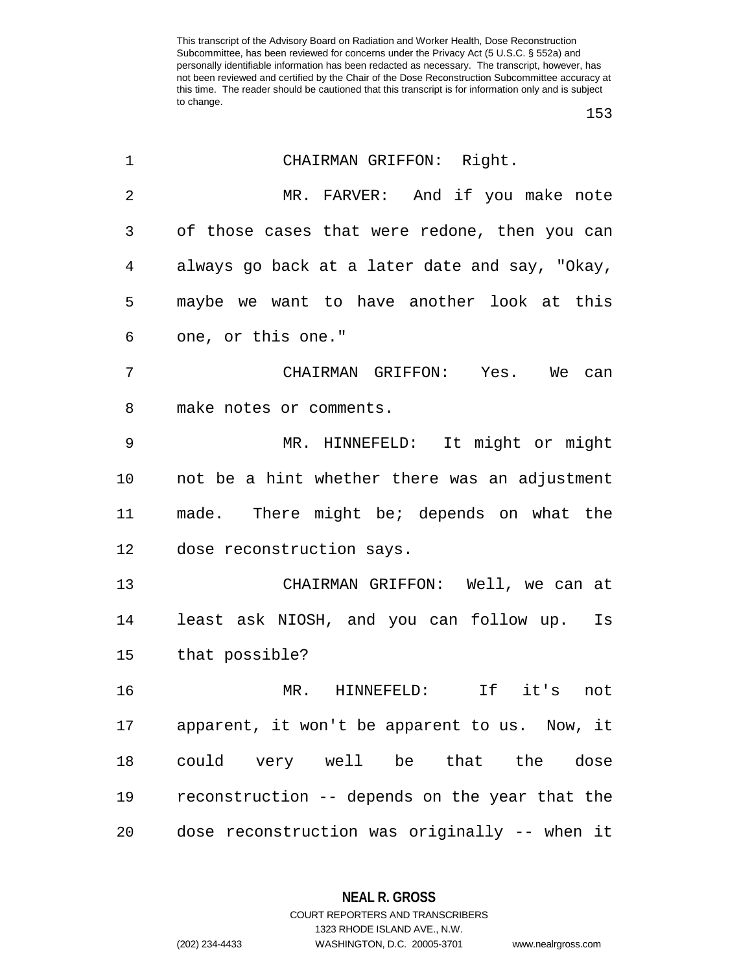| 1              | CHAIRMAN GRIFFON: Right.                       |
|----------------|------------------------------------------------|
| $\overline{2}$ | MR. FARVER: And if you make note               |
| 3              | of those cases that were redone, then you can  |
| 4              | always go back at a later date and say, "Okay, |
| 5              | maybe we want to have another look at this     |
| 6              | one, or this one."                             |
| 7              | CHAIRMAN GRIFFON: Yes. We can                  |
| 8              | make notes or comments.                        |
| 9              | MR. HINNEFELD: It might or might               |
| $10 \,$        | not be a hint whether there was an adjustment  |
| 11             | made. There might be; depends on what the      |
| 12             | dose reconstruction says.                      |
| 13             | CHAIRMAN GRIFFON: Well, we can at              |
| 14             | least ask NIOSH, and you can follow up. Is     |
| 15             | that possible?                                 |
| 16             | MR. HINNEFELD:<br>If it's not                  |
| 17             | apparent, it won't be apparent to us. Now, it  |
| 18             | could very well be that the dose               |
| 19             | reconstruction -- depends on the year that the |
| 20             | dose reconstruction was originally -- when it  |

**NEAL R. GROSS**

COURT REPORTERS AND TRANSCRIBERS 1323 RHODE ISLAND AVE., N.W. (202) 234-4433 WASHINGTON, D.C. 20005-3701 www.nealrgross.com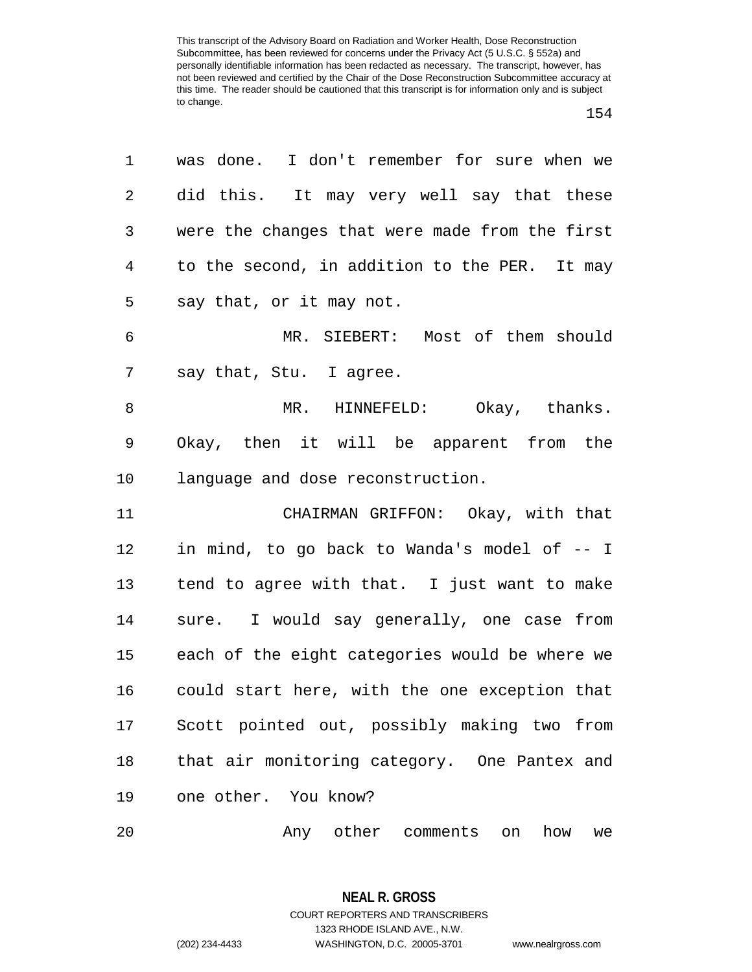| 1              | was done. I don't remember for sure when we    |
|----------------|------------------------------------------------|
| 2              | did this. It may very well say that these      |
| 3              | were the changes that were made from the first |
| $\overline{4}$ | to the second, in addition to the PER. It may  |
| 5              | say that, or it may not.                       |
| 6              | MR. SIEBERT: Most of them should               |
| 7              | say that, Stu. I agree.                        |
| $\, 8$         | MR. HINNEFELD: Okay, thanks.                   |
| 9              | Okay, then it will be apparent from the        |
| 10             | language and dose reconstruction.              |
| 11             | CHAIRMAN GRIFFON: Okay, with that              |
| 12             | in mind, to go back to Wanda's model of -- I   |
| 13             | tend to agree with that. I just want to make   |
| 14             | sure. I would say generally, one case from     |
| 15             | each of the eight categories would be where we |
| 16             | could start here, with the one exception that  |
| 17             | Scott pointed out, possibly making two from    |
| 18             | that air monitoring category. One Pantex and   |
| 19             | one other. You know?                           |
| 20             | Any other comments on how we                   |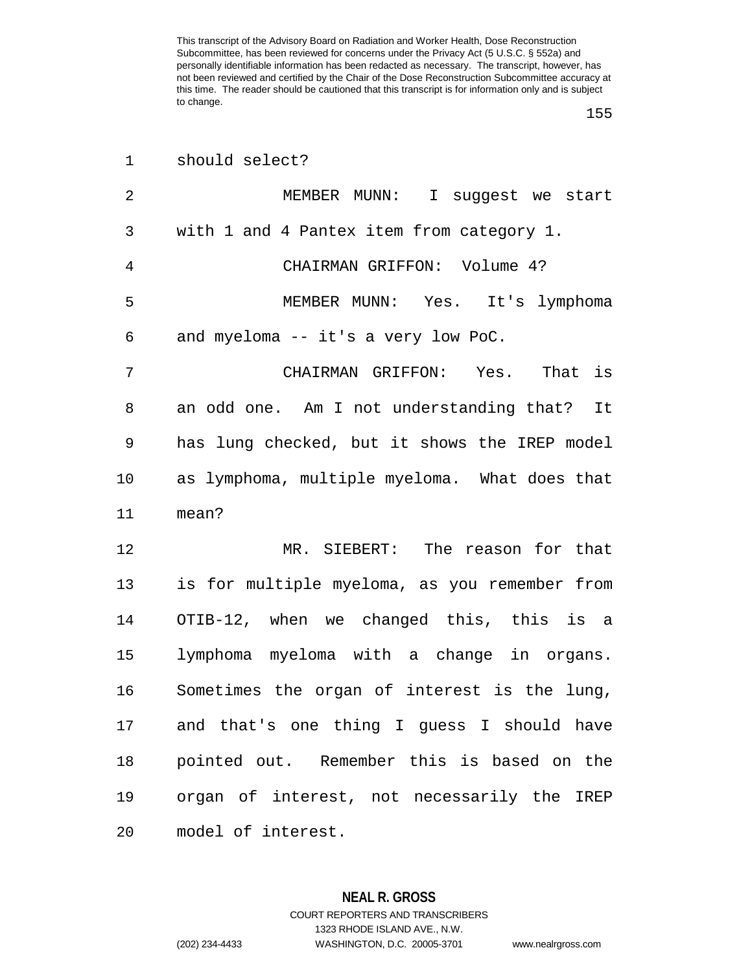|  | should select? |
|--|----------------|
|  |                |

| 2  | MEMBER MUNN: I suggest we start               |
|----|-----------------------------------------------|
| 3  | with 1 and 4 Pantex item from category 1.     |
| 4  | CHAIRMAN GRIFFON: Volume 4?                   |
| 5  | MEMBER MUNN: Yes. It's lymphoma               |
| 6  | and myeloma -- it's a very low PoC.           |
| 7  | CHAIRMAN GRIFFON: Yes. That is                |
| 8  | an odd one. Am I not understanding that? It   |
| 9  | has lung checked, but it shows the IREP model |
| 10 | as lymphoma, multiple myeloma. What does that |
| 11 | mean?                                         |
| 12 | MR. SIEBERT: The reason for that              |
| 13 | is for multiple myeloma, as you remember from |
| 14 | OTIB-12, when we changed this, this is a      |
| 15 | lymphoma myeloma with a change in organs.     |
| 16 | Sometimes the organ of interest is the lung,  |
| 17 | and that's one thing I guess I should have    |
| 18 | pointed out. Remember this is based on the    |
| 19 | organ of interest, not necessarily the IREP   |
| 20 | model of interest.                            |

**NEAL R. GROSS** COURT REPORTERS AND TRANSCRIBERS 1323 RHODE ISLAND AVE., N.W. (202) 234-4433 WASHINGTON, D.C. 20005-3701 www.nealrgross.com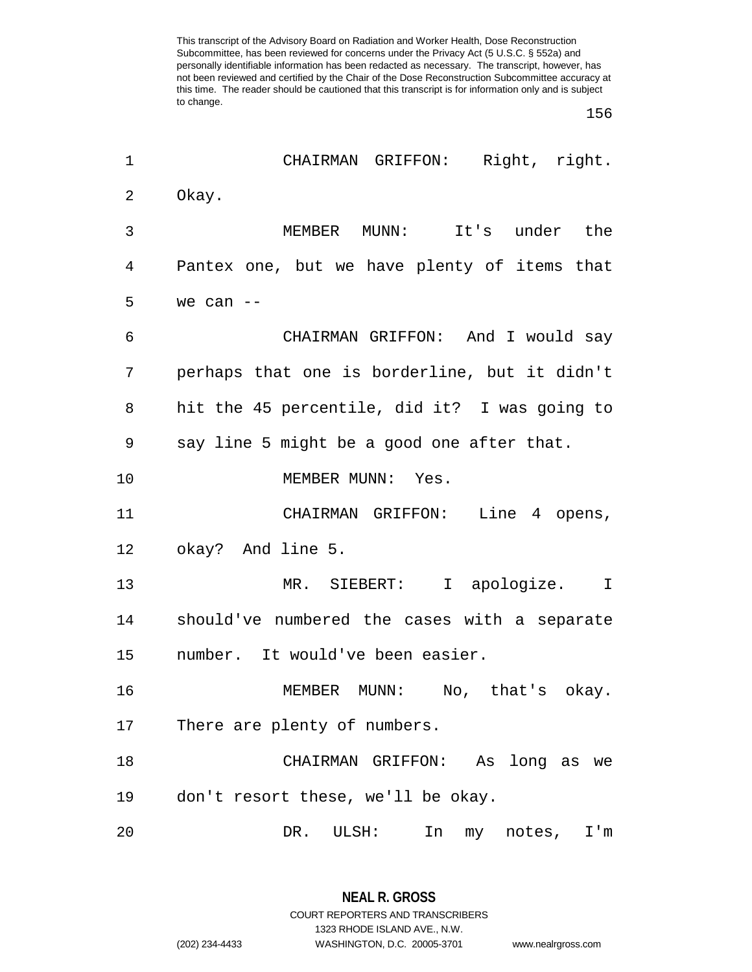| 1  | CHAIRMAN GRIFFON: Right, right.               |
|----|-----------------------------------------------|
| 2  | Okay.                                         |
| 3  | MUNN:<br>It's under the<br>MEMBER             |
| 4  | Pantex one, but we have plenty of items that  |
| 5  | we can $--$                                   |
| 6  | CHAIRMAN GRIFFON: And I would say             |
| 7  | perhaps that one is borderline, but it didn't |
| 8  | hit the 45 percentile, did it? I was going to |
| 9  | say line 5 might be a good one after that.    |
| 10 | MEMBER MUNN: Yes.                             |
| 11 | CHAIRMAN GRIFFON: Line 4 opens,               |
| 12 | okay? And line 5.                             |
| 13 | MR. SIEBERT: I apologize. I                   |
| 14 | should've numbered the cases with a separate  |
| 15 | number. It would've been easier.              |
| 16 | MEMBER MUNN: No, that's okay.                 |
| 17 | There are plenty of numbers.                  |
| 18 | CHAIRMAN GRIFFON: As long as we               |
| 19 | don't resort these, we'll be okay.            |
| 20 | DR.<br>ULSH:<br>In<br>notes,<br>I'm<br>my     |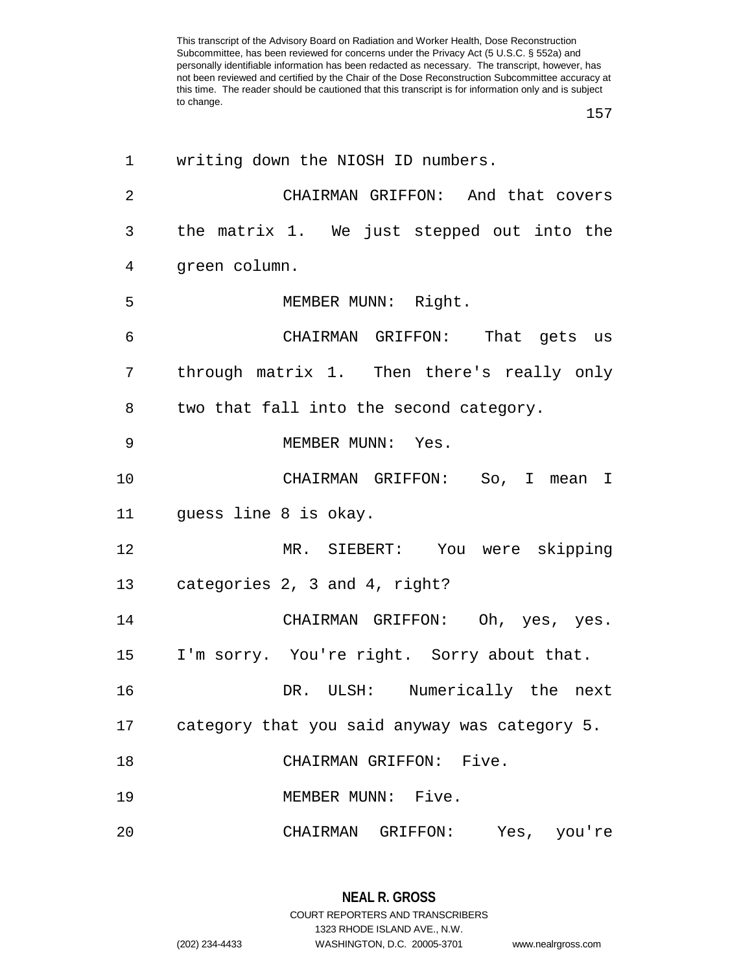| 1              | writing down the NIOSH ID numbers.            |
|----------------|-----------------------------------------------|
| $\overline{2}$ | CHAIRMAN GRIFFON: And that covers             |
| 3              | the matrix 1. We just stepped out into the    |
| 4              | green column.                                 |
| 5              | MEMBER MUNN: Right.                           |
| 6              | CHAIRMAN GRIFFON: That gets us                |
| 7              | through matrix 1. Then there's really only    |
| 8              | two that fall into the second category.       |
| 9              | MEMBER MUNN: Yes.                             |
| 10             | CHAIRMAN GRIFFON: So, I mean I                |
| 11             | guess line 8 is okay.                         |
| 12             | MR. SIEBERT: You were skipping                |
| 13             | categories 2, 3 and 4, right?                 |
| 14             | CHAIRMAN GRIFFON: Oh, yes, yes.               |
| 15             | I'm sorry. You're right. Sorry about that.    |
| 16             | DR. ULSH: Numerically the next                |
| 17             | category that you said anyway was category 5. |
| 18             | CHAIRMAN GRIFFON: Five.                       |
| 19             | MEMBER MUNN: Five.                            |
| 20             | CHAIRMAN GRIFFON:<br>Yes, you're              |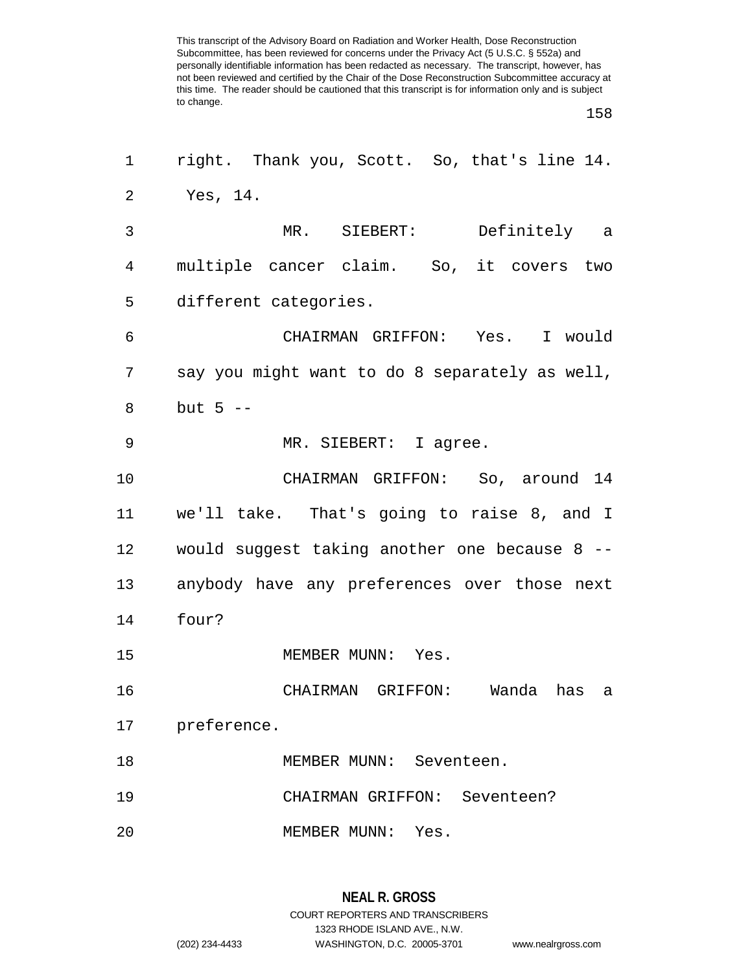| $\mathbf 1$ | right. Thank you, Scott. So, that's line 14.   |
|-------------|------------------------------------------------|
| 2           | Yes, 14.                                       |
| 3           | MR. SIEBERT: Definitely a                      |
| 4           | multiple cancer claim. So, it covers two       |
| 5           | different categories.                          |
| 6           | CHAIRMAN GRIFFON: Yes. I would                 |
| 7           | say you might want to do 8 separately as well, |
| 8           | but $5$ $-$                                    |
| 9           | MR. SIEBERT: I agree.                          |
| 10          | CHAIRMAN GRIFFON: So, around 14                |
| 11          | we'll take. That's going to raise 8, and I     |
| 12          | would suggest taking another one because 8 --  |
| 13          | anybody have any preferences over those next   |
| 14          | four?                                          |
| 15          | MEMBER MUNN: Yes.                              |
| 16          | CHAIRMAN GRIFFON: Wanda has<br>- a             |
| 17          | preference.                                    |
| 18          | MEMBER MUNN: Seventeen.                        |
| 19          | CHAIRMAN GRIFFON: Seventeen?                   |
| 20          | MEMBER MUNN:<br>Yes.                           |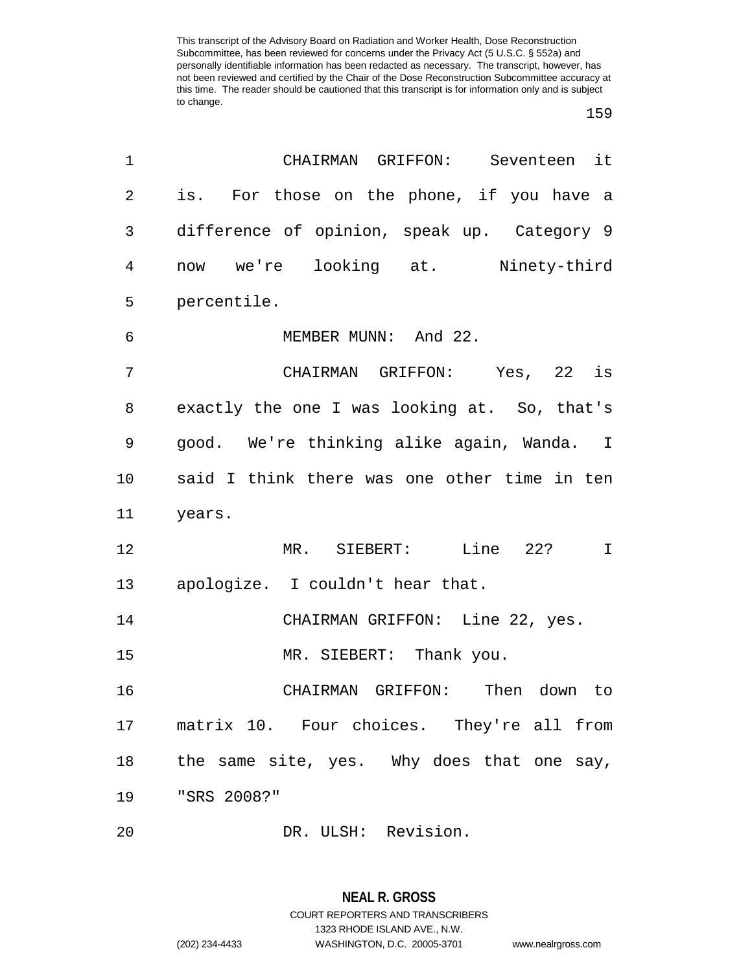## 

| 1  | CHAIRMAN GRIFFON: Seventeen it               |
|----|----------------------------------------------|
| 2  | is. For those on the phone, if you have a    |
| 3  | difference of opinion, speak up. Category 9  |
| 4  | now we're looking at. Ninety-third           |
| 5  | percentile.                                  |
| 6  | MEMBER MUNN: And 22.                         |
| 7  | CHAIRMAN GRIFFON: Yes, 22 is                 |
| 8  | exactly the one I was looking at. So, that's |
| 9  | good. We're thinking alike again, Wanda. I   |
| 10 | said I think there was one other time in ten |
| 11 | years.                                       |
| 12 | MR. SIEBERT: Line 22?<br>$\mathbf I$         |
| 13 | apologize. I couldn't hear that.             |
| 14 | CHAIRMAN GRIFFON: Line 22, yes.              |
| 15 | MR. SIEBERT: Thank you.                      |
| 16 | CHAIRMAN GRIFFON: Then down to               |
| 17 | matrix 10. Four choices. They're all from    |
| 18 | the same site, yes. Why does that one say,   |
| 19 | "SRS 2008?"                                  |
| 20 | DR. ULSH: Revision.                          |

(202) 234-4433 WASHINGTON, D.C. 20005-3701 www.nealrgross.com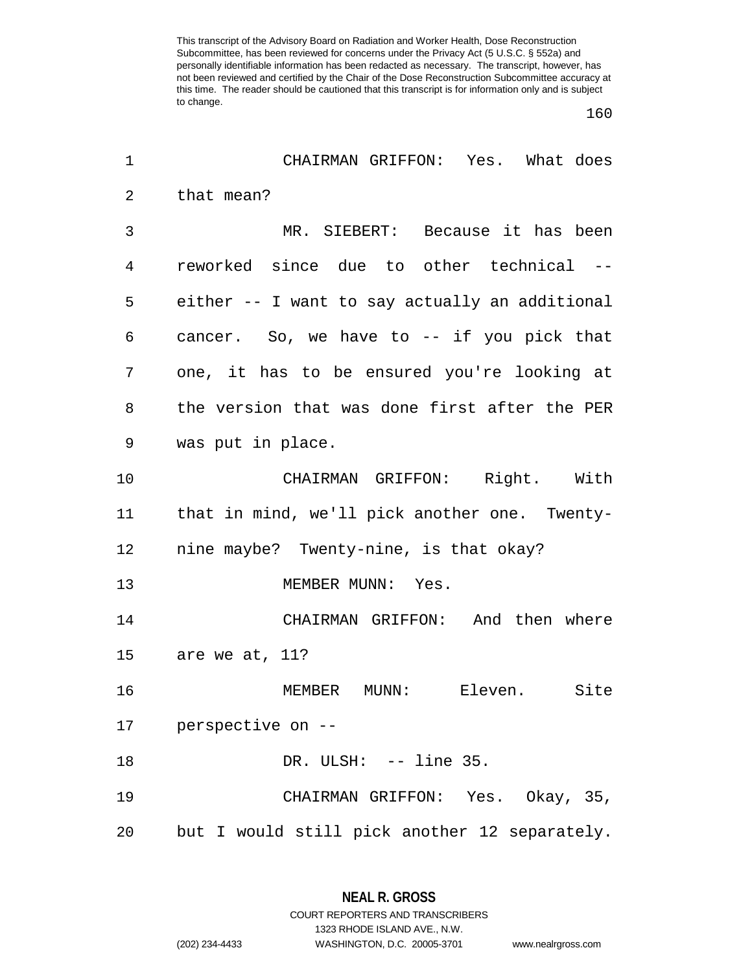| 1  | CHAIRMAN GRIFFON: Yes. What does               |
|----|------------------------------------------------|
| 2  | that mean?                                     |
| 3  | MR. SIEBERT: Because it has been               |
| 4  | reworked since due to other technical --       |
| 5  | either -- I want to say actually an additional |
| 6  | cancer. So, we have to -- if you pick that     |
| 7  | one, it has to be ensured you're looking at    |
| 8  | the version that was done first after the PER  |
| 9  | was put in place.                              |
| 10 | CHAIRMAN GRIFFON: Right. With                  |
| 11 | that in mind, we'll pick another one. Twenty-  |
| 12 | nine maybe? Twenty-nine, is that okay?         |
| 13 | MEMBER MUNN: Yes.                              |
| 14 | CHAIRMAN GRIFFON: And then where               |
| 15 | are we at, 11?                                 |
| 16 | MEMBER MUNN:<br>Eleven.<br>Site                |
| 17 | perspective on --                              |
| 18 | DR. ULSH: -- line 35.                          |
| 19 | CHAIRMAN GRIFFON: Yes. Okay, 35,               |
| 20 | but I would still pick another 12 separately.  |

1323 RHODE ISLAND AVE., N.W.

(202) 234-4433 WASHINGTON, D.C. 20005-3701 www.nealrgross.com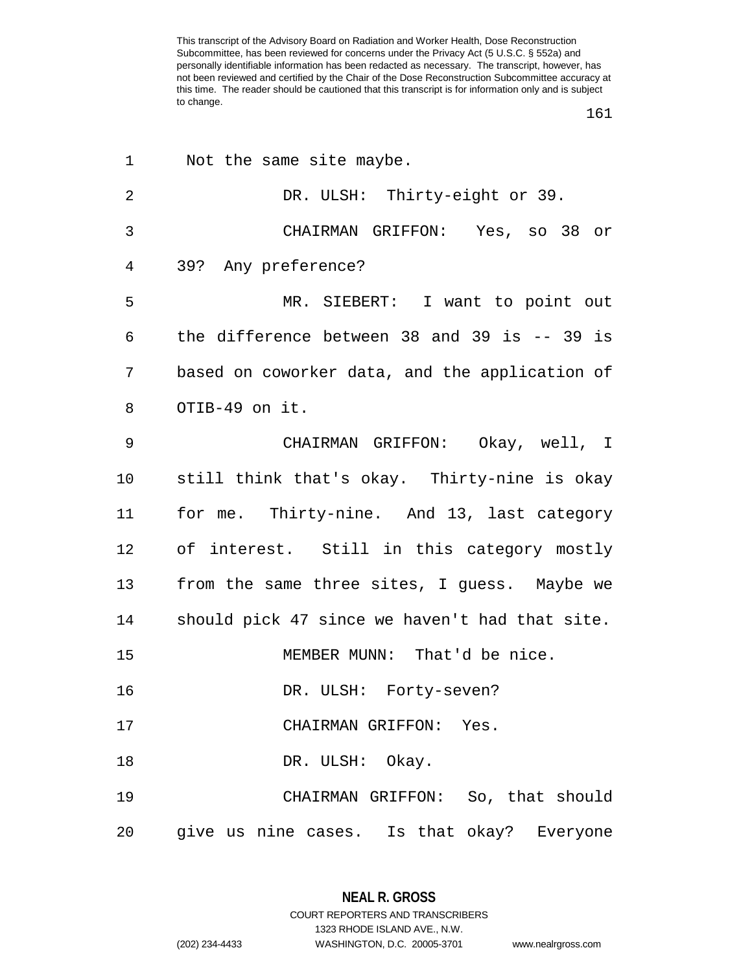| 1              | Not the same site maybe.                        |
|----------------|-------------------------------------------------|
| $\overline{2}$ | DR. ULSH: Thirty-eight or 39.                   |
| 3              | CHAIRMAN GRIFFON: Yes, so 38 or                 |
| 4              | 39? Any preference?                             |
| 5              | MR. SIEBERT: I want to point out                |
| 6              | the difference between 38 and 39 is $-$ - 39 is |
| 7              | based on coworker data, and the application of  |
| 8              | OTIB-49 on it.                                  |
| 9              | CHAIRMAN GRIFFON: Okay, well, I                 |
| 10             | still think that's okay. Thirty-nine is okay    |
| 11             | for me. Thirty-nine. And 13, last category      |
| 12             | of interest. Still in this category mostly      |
| 13             | from the same three sites, I guess. Maybe we    |
| 14             | should pick 47 since we haven't had that site.  |
| 15             | MEMBER MUNN: That'd be nice.                    |
| 16             | DR. ULSH: Forty-seven?                          |
| 17             | CHAIRMAN GRIFFON: Yes.                          |
| 18             | DR. ULSH: Okay.                                 |
| 19             | CHAIRMAN GRIFFON: So, that should               |
| 20             | give us nine cases. Is that okay? Everyone      |

**NEAL R. GROSS** COURT REPORTERS AND TRANSCRIBERS 1323 RHODE ISLAND AVE., N.W. (202) 234-4433 WASHINGTON, D.C. 20005-3701 www.nealrgross.com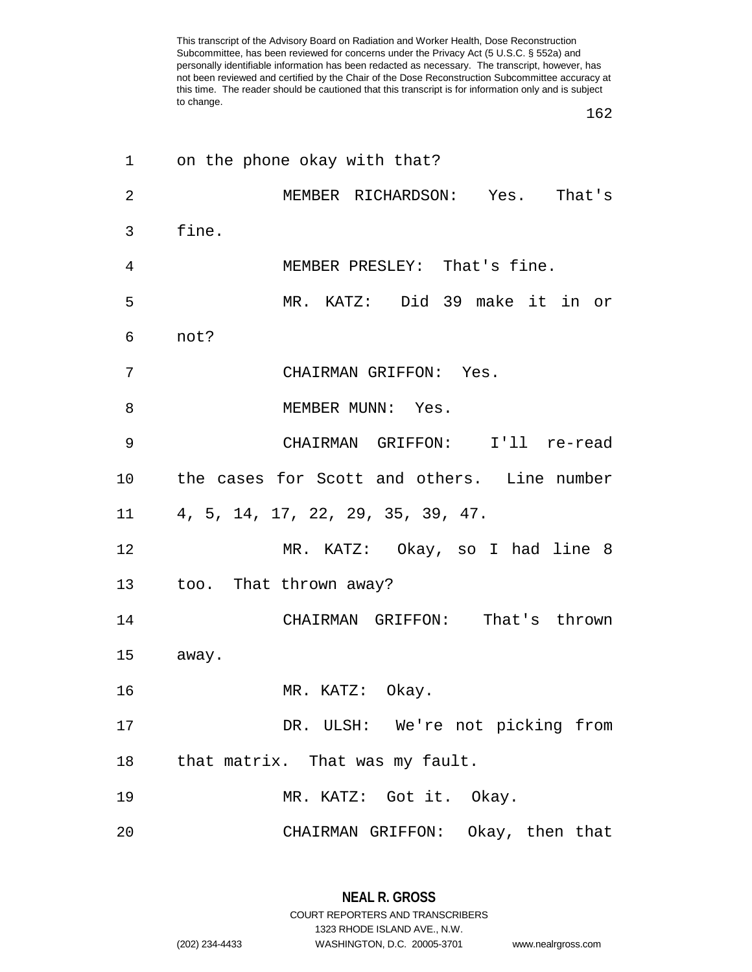| on the phone okay with that?                |
|---------------------------------------------|
| MEMBER RICHARDSON: Yes. That's              |
| fine.                                       |
| MEMBER PRESLEY: That's fine.                |
| MR. KATZ: Did 39 make it in or              |
| not?                                        |
| CHAIRMAN GRIFFON: Yes.                      |
| MEMBER MUNN: Yes.                           |
| CHAIRMAN GRIFFON: I'll re-read              |
| the cases for Scott and others. Line number |
| 4, 5, 14, 17, 22, 29, 35, 39, 47.           |
| MR. KATZ: Okay, so I had line 8             |
| too. That thrown away?                      |
| CHAIRMAN GRIFFON: That's thrown             |
| away.                                       |
| MR. KATZ: Okay.                             |
| DR. ULSH: We're not picking from            |
| that matrix. That was my fault.             |
| MR. KATZ: Got it. Okay.                     |
| CHAIRMAN GRIFFON: Okay, then that           |
|                                             |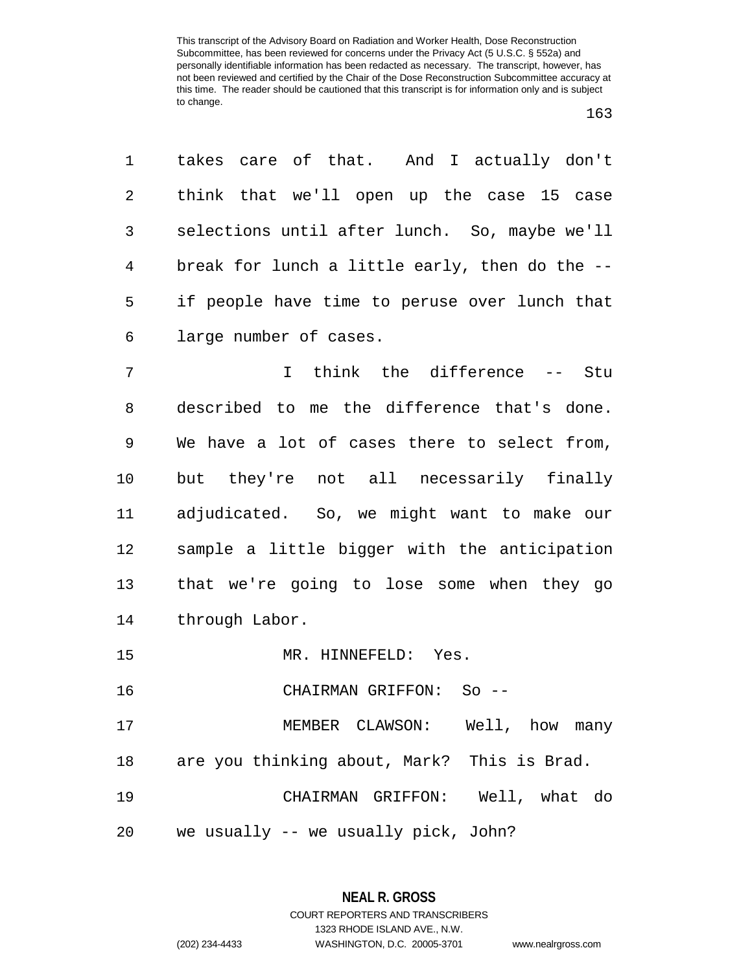| 1  | takes care of that. And I actually don't       |
|----|------------------------------------------------|
| 2  | think that we'll open up the case 15 case      |
| 3  | selections until after lunch. So, maybe we'll  |
| 4  | break for lunch a little early, then do the -- |
| 5  | if people have time to peruse over lunch that  |
| 6  | large number of cases.                         |
| 7  | I think the difference -- Stu                  |
| 8  | described to me the difference that's done.    |
| 9  | We have a lot of cases there to select from,   |
| 10 | but they're not all necessarily finally        |

 adjudicated. So, we might want to make our sample a little bigger with the anticipation that we're going to lose some when they go through Labor.

15 MR. HINNEFELD: Yes.

CHAIRMAN GRIFFON: So --

 MEMBER CLAWSON: Well, how many are you thinking about, Mark? This is Brad. CHAIRMAN GRIFFON: Well, what do

we usually -- we usually pick, John?

1323 RHODE ISLAND AVE., N.W.

(202) 234-4433 WASHINGTON, D.C. 20005-3701 www.nealrgross.com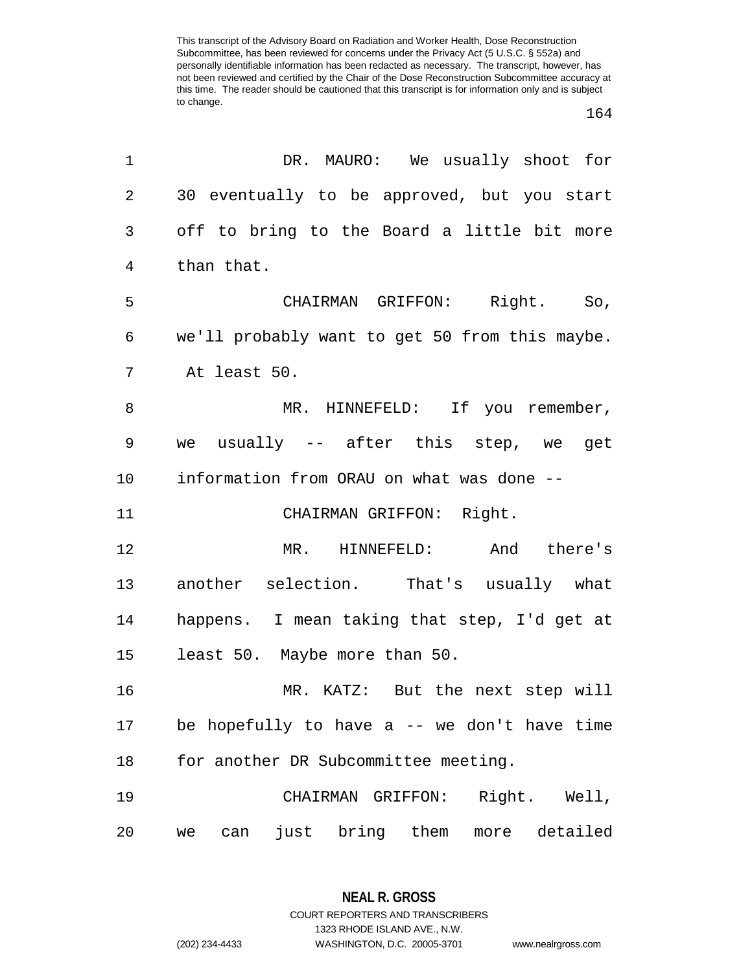| 1  | DR. MAURO: We usually shoot for                |
|----|------------------------------------------------|
| 2  | 30 eventually to be approved, but you start    |
| 3  | off to bring to the Board a little bit more    |
| 4  | than that.                                     |
| 5  | CHAIRMAN GRIFFON: Right. So,                   |
| 6  | we'll probably want to get 50 from this maybe. |
| 7  | At least 50.                                   |
| 8  | MR. HINNEFELD: If you remember,                |
| 9  | we usually -- after this step, we get          |
| 10 | information from ORAU on what was done --      |
| 11 | CHAIRMAN GRIFFON: Right.                       |
| 12 | MR. HINNEFELD: And there's                     |
| 13 | another selection. That's usually what         |
| 14 | happens. I mean taking that step, I'd get at   |
| 15 | least 50. Maybe more than 50.                  |
| 16 | MR. KATZ: But the next step will               |
| 17 | be hopefully to have $a$ -- we don't have time |
| 18 | for another DR Subcommittee meeting.           |
| 19 | Right. Well,<br>CHAIRMAN GRIFFON:              |
| 20 | more detailed<br>just bring them<br>can<br>we  |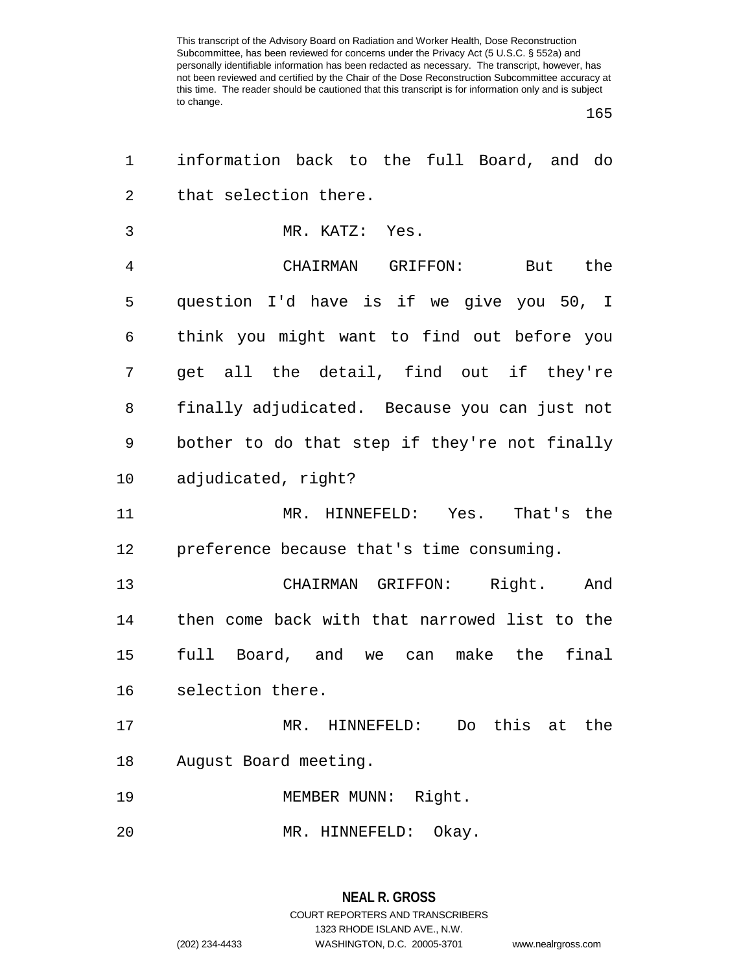| 1  | information back to the full Board, and do    |
|----|-----------------------------------------------|
| 2  | that selection there.                         |
| 3  | MR. KATZ: Yes.                                |
| 4  | CHAIRMAN GRIFFON: But the                     |
| 5  | question I'd have is if we give you 50, I     |
| 6  | think you might want to find out before you   |
| 7  | get all the detail, find out if they're       |
| 8  | finally adjudicated. Because you can just not |
| 9  | bother to do that step if they're not finally |
| 10 | adjudicated, right?                           |
| 11 | MR. HINNEFELD: Yes. That's the                |
| 12 | preference because that's time consuming.     |
| 13 | CHAIRMAN GRIFFON: Right.<br>And               |
| 14 | then come back with that narrowed list to the |
| 15 | full Board, and we can make the final         |
| 16 | selection there.                              |
| 17 | HINNEFELD: Do this<br>the<br>MR.<br>at        |
| 18 | August Board meeting.                         |
| 19 | Right.<br>MEMBER MUNN:                        |
| 20 | Okay.<br>MR. HINNEFELD:                       |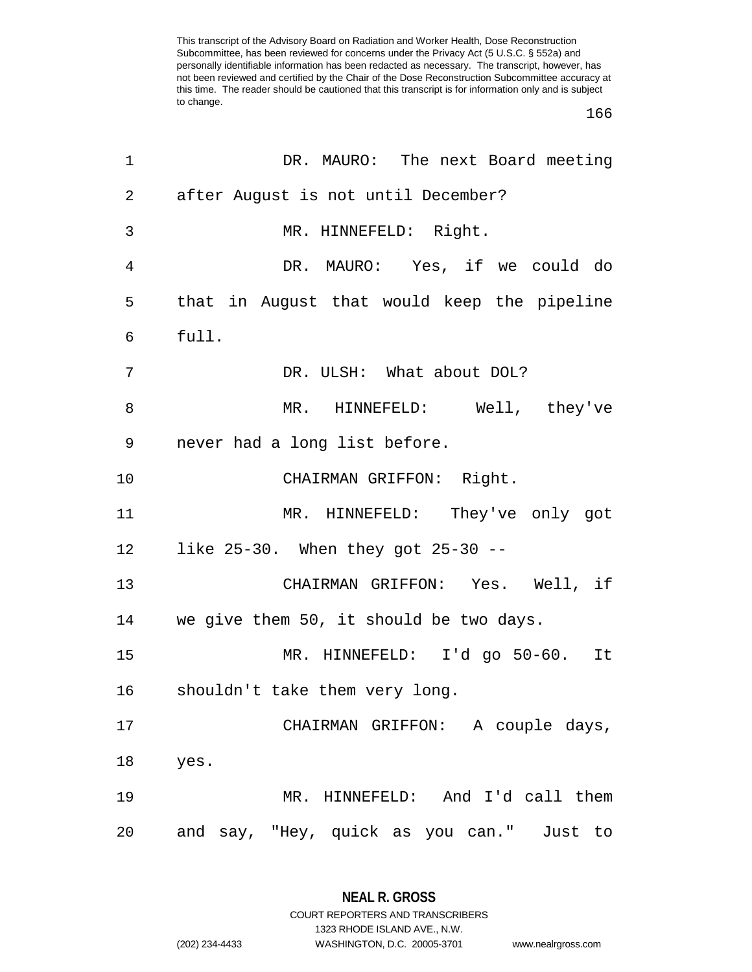| 1              | DR. MAURO: The next Board meeting           |
|----------------|---------------------------------------------|
| $\overline{2}$ | after August is not until December?         |
| 3              | MR. HINNEFELD: Right.                       |
| 4              | DR. MAURO: Yes, if we could do              |
| 5              | that in August that would keep the pipeline |
| 6              | full.                                       |
| 7              | DR. ULSH: What about DOL?                   |
| 8              | MR. HINNEFELD: Well, they've                |
| 9              | never had a long list before.               |
| 10             | CHAIRMAN GRIFFON: Right.                    |
| 11             | MR. HINNEFELD: They've only got             |
| 12             | like 25-30. When they got 25-30 --          |
| 13             | CHAIRMAN GRIFFON: Yes. Well, if             |
| 14             | we give them 50, it should be two days.     |
| 15             | MR. HINNEFELD: I'd go 50-60. It             |
| 16             | shouldn't take them very long.              |
| 17             | CHAIRMAN GRIFFON: A couple days,            |
| 18             | yes.                                        |
| 19             | MR. HINNEFELD: And I'd call them            |
| 20             | and say, "Hey, quick as you can." Just to   |

**NEAL R. GROSS** COURT REPORTERS AND TRANSCRIBERS

1323 RHODE ISLAND AVE., N.W. (202) 234-4433 WASHINGTON, D.C. 20005-3701 www.nealrgross.com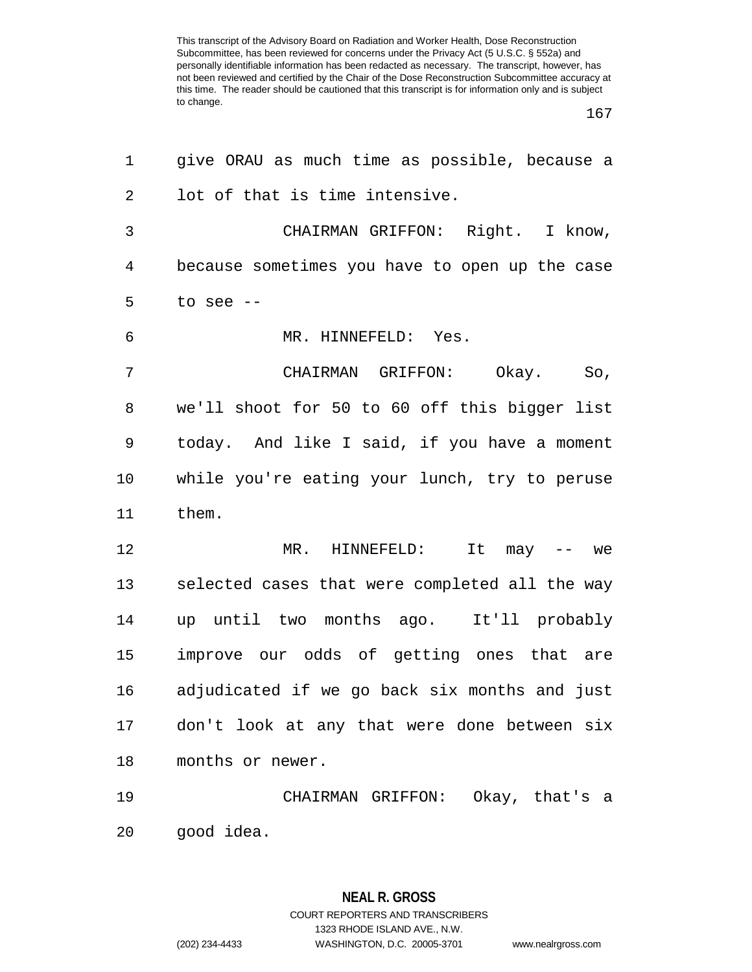| 1              | give ORAU as much time as possible, because a  |
|----------------|------------------------------------------------|
| $\overline{2}$ | lot of that is time intensive.                 |
| 3              | CHAIRMAN GRIFFON: Right. I know,               |
| 4              | because sometimes you have to open up the case |
| 5              | to see --                                      |
| 6              | MR. HINNEFELD: Yes.                            |
| 7              | CHAIRMAN GRIFFON: Okay. So,                    |
| 8              | we'll shoot for 50 to 60 off this bigger list  |
| 9              | today. And like I said, if you have a moment   |
| 10             | while you're eating your lunch, try to peruse  |
| 11             | them.                                          |
| 12             | MR. HINNEFELD: It may -- we                    |
| 13             | selected cases that were completed all the way |
| 14             | up until two months ago. It'll probably        |
| 15             | improve our odds of getting ones that are      |
| 16             | adjudicated if we go back six months and just  |
| 17             | don't look at any that were done between six   |
| 18             | months or newer.                               |
| 19             | CHAIRMAN GRIFFON: Okay, that's a               |
| 20             | good idea.                                     |

**NEAL R. GROSS** COURT REPORTERS AND TRANSCRIBERS 1323 RHODE ISLAND AVE., N.W. (202) 234-4433 WASHINGTON, D.C. 20005-3701 www.nealrgross.com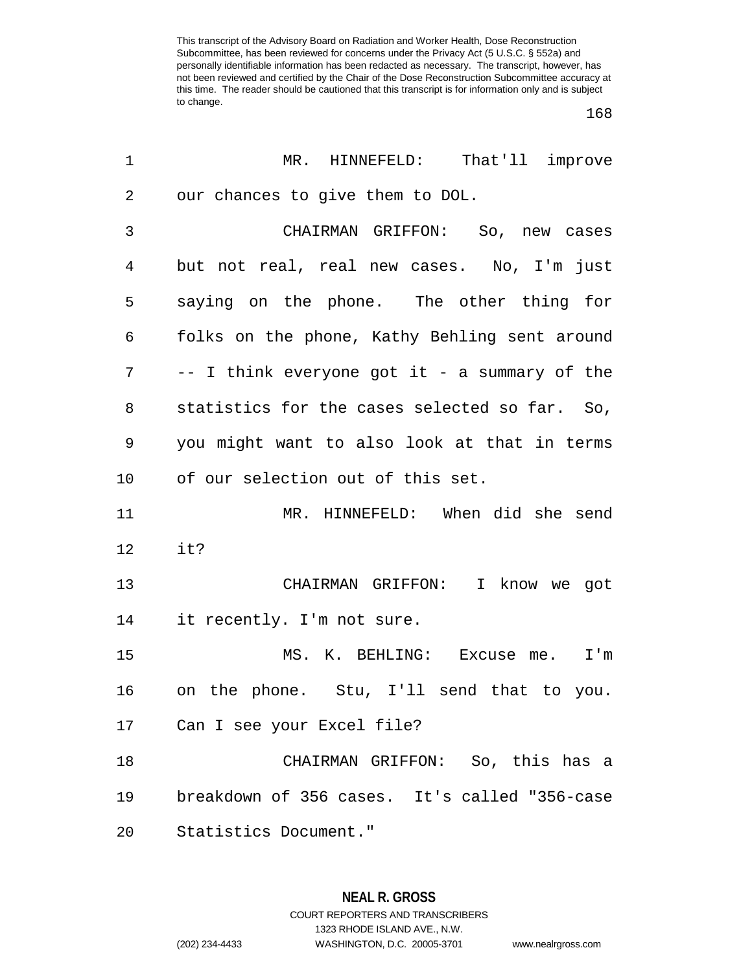$\overline{a}$ 

| 1              | MR. HINNEFELD: That'll improve                |
|----------------|-----------------------------------------------|
| $\overline{2}$ | our chances to give them to DOL.              |
| 3              | CHAIRMAN GRIFFON: So, new cases               |
| $\overline{4}$ | but not real, real new cases. No, I'm just    |
| 5              | saying on the phone. The other thing for      |
| 6              | folks on the phone, Kathy Behling sent around |
| 7              | -- I think everyone got it - a summary of the |
| 8              | statistics for the cases selected so far. So, |
| 9              | you might want to also look at that in terms  |
| 10             | of our selection out of this set.             |
| 11             | MR. HINNEFELD: When did she send              |
| 12             | it?                                           |
| 13             | CHAIRMAN GRIFFON: I know we got               |
| 14             | it recently. I'm not sure.                    |
| 15             | MS. K. BEHLING: Excuse me. I'm                |
| 16             | on the phone. Stu, I'll send that to you.     |
| 17             | Can I see your Excel file?                    |
| 18             | CHAIRMAN GRIFFON: So, this has a              |
| 19             | breakdown of 356 cases. It's called "356-case |
| 20             | Statistics Document."                         |

**NEAL R. GROSS** COURT REPORTERS AND TRANSCRIBERS 1323 RHODE ISLAND AVE., N.W. (202) 234-4433 WASHINGTON, D.C. 20005-3701 www.nealrgross.com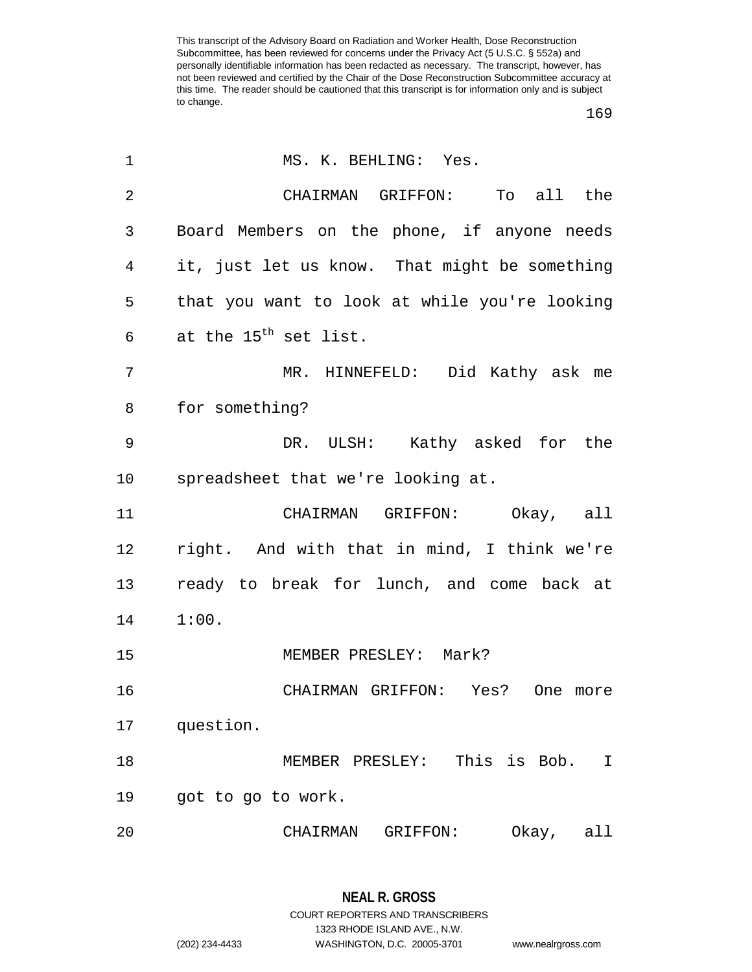| 1              | MS. K. BEHLING: Yes.                          |
|----------------|-----------------------------------------------|
| $\overline{2}$ | CHAIRMAN GRIFFON: To all the                  |
| 3              | Board Members on the phone, if anyone needs   |
| 4              | it, just let us know. That might be something |
| 5              | that you want to look at while you're looking |
| 6              | at the 15 <sup>th</sup> set list.             |
| 7              | MR. HINNEFELD: Did Kathy ask me               |
| 8              | for something?                                |
| 9              | DR. ULSH: Kathy asked for the                 |
| 10             | spreadsheet that we're looking at.            |
| 11             | CHAIRMAN GRIFFON: Okay, all                   |
| 12             | right. And with that in mind, I think we're   |
| 13             | ready to break for lunch, and come back at    |
| 14             | 1:00.                                         |
| 15             | MEMBER PRESLEY: Mark?                         |
| 16             | CHAIRMAN GRIFFON: Yes?<br>One more            |
| 17             | question.                                     |
| 18             | This is Bob.<br>MEMBER PRESLEY:<br>I          |
| 19             | got to go to work.                            |
| 20             | Okay,<br>CHAIRMAN<br>GRIFFON:<br>all          |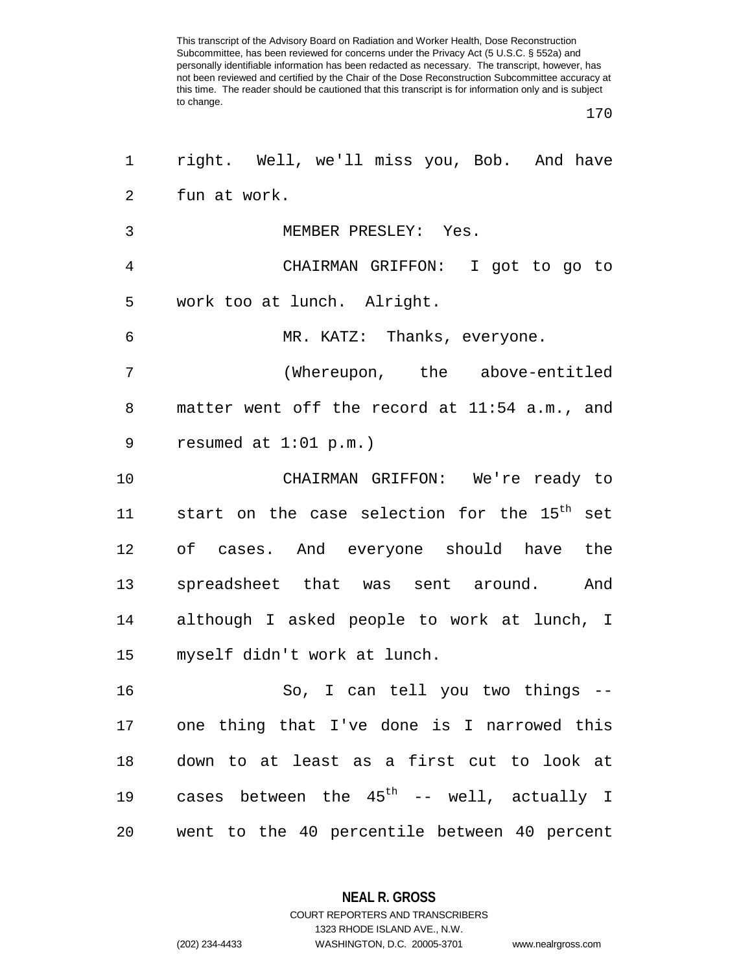| 1              | right. Well, we'll miss you, Bob. And have               |
|----------------|----------------------------------------------------------|
| $\overline{2}$ | fun at work.                                             |
| 3              | MEMBER PRESLEY: Yes.                                     |
| 4              | CHAIRMAN GRIFFON: I got to go to                         |
| 5              | work too at lunch. Alright.                              |
| 6              | MR. KATZ: Thanks, everyone.                              |
| 7              | (Whereupon, the above-entitled                           |
| 8              | matter went off the record at 11:54 a.m., and            |
| 9              | resumed at $1:01$ p.m.)                                  |
| 10             | CHAIRMAN GRIFFON: We're ready to                         |
| 11             | start on the case selection for the 15 <sup>th</sup> set |
| 12             | of cases. And everyone should have the                   |
| 13             | spreadsheet that was sent around. And                    |
| 14             | although I asked people to work at lunch, I              |
| 15             | myself didn't work at lunch.                             |
| 16             | So, I can tell you two things --                         |
| 17             | one thing that I've done is I narrowed this              |
| 18             | down to at least as a first cut to look at               |
| 19             | cases between the $45^{\text{th}}$ -- well, actually I   |
| 20             | went to the 40 percentile between 40 percent             |

**NEAL R. GROSS** COURT REPORTERS AND TRANSCRIBERS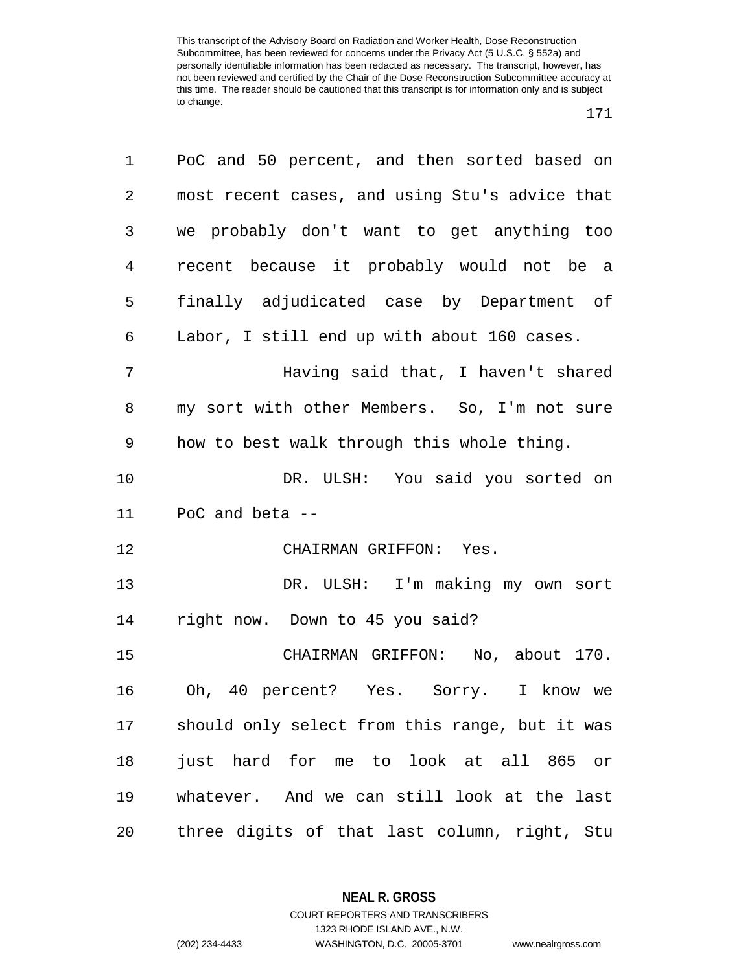| 1              | PoC and 50 percent, and then sorted based on   |
|----------------|------------------------------------------------|
| $\overline{2}$ | most recent cases, and using Stu's advice that |
| 3              | we probably don't want to get anything too     |
| 4              | recent because it probably would not be a      |
| 5              | finally adjudicated case by Department of      |
| 6              | Labor, I still end up with about 160 cases.    |
| 7              | Having said that, I haven't shared             |
| 8              | my sort with other Members. So, I'm not sure   |
| 9              | how to best walk through this whole thing.     |
| 10             | DR. ULSH: You said you sorted on               |
| 11             | PoC and beta --                                |
| 12             | CHAIRMAN GRIFFON: Yes.                         |
| 13             | DR. ULSH: I'm making my own sort               |
| 14             | right now. Down to 45 you said?                |
| 15             | CHAIRMAN GRIFFON: No, about 170.               |
| 16             | Oh, 40 percent? Yes. Sorry. I know we          |
| 17             | should only select from this range, but it was |
| 18             | just hard for me to look at all 865 or         |
| 19             | whatever. And we can still look at the last    |
| 20             | three digits of that last column, right, Stu   |

**NEAL R. GROSS**

COURT REPORTERS AND TRANSCRIBERS 1323 RHODE ISLAND AVE., N.W. (202) 234-4433 WASHINGTON, D.C. 20005-3701 www.nealrgross.com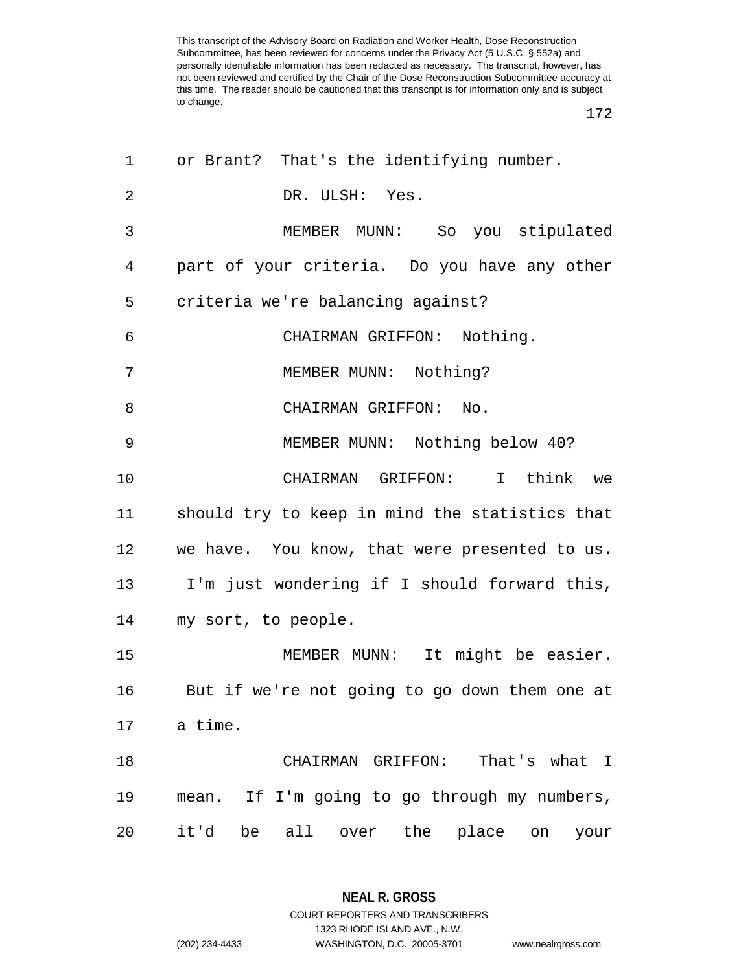172

| 1  | or Brant? That's the identifying number.          |
|----|---------------------------------------------------|
| 2  | DR. ULSH: Yes.                                    |
| 3  | MEMBER MUNN: So you stipulated                    |
| 4  | part of your criteria. Do you have any other      |
| 5  | criteria we're balancing against?                 |
| 6  | CHAIRMAN GRIFFON: Nothing.                        |
| 7  | MEMBER MUNN: Nothing?                             |
| 8  | CHAIRMAN GRIFFON: No.                             |
| 9  | MEMBER MUNN: Nothing below 40?                    |
| 10 | CHAIRMAN GRIFFON: I think<br>we                   |
| 11 | should try to keep in mind the statistics that    |
| 12 | we have. You know, that were presented to us.     |
| 13 | I'm just wondering if I should forward this,      |
| 14 | my sort, to people.                               |
| 15 | MEMBER MUNN: It might be easier.                  |
| 16 | But if we're not going to go down them one at     |
| 17 | a time.                                           |
| 18 | CHAIRMAN GRIFFON:<br>That's what I                |
| 19 | mean. If I'm going to go through my numbers,      |
| 20 | it'd<br>be all over<br>the<br>place<br>on<br>your |

**NEAL R. GROSS** COURT REPORTERS AND TRANSCRIBERS

1323 RHODE ISLAND AVE., N.W.

(202) 234-4433 WASHINGTON, D.C. 20005-3701 www.nealrgross.com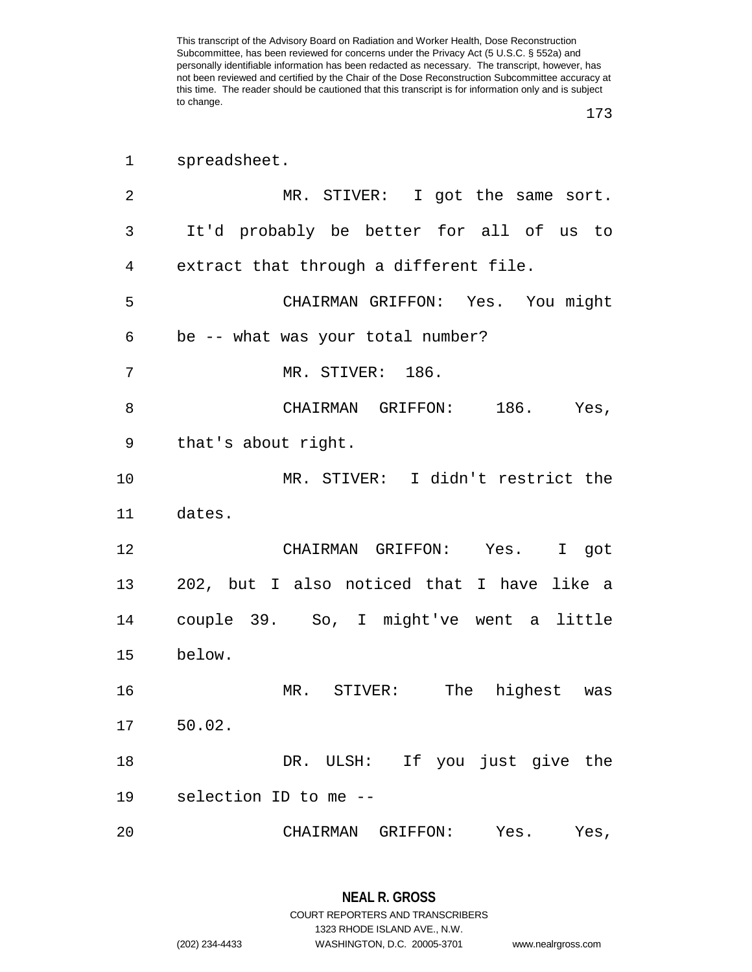| $\mathbf 1$    | spreadsheet.                                     |
|----------------|--------------------------------------------------|
| $\overline{2}$ | MR. STIVER: I got the same sort.                 |
| 3              | It'd probably be better for all of us to         |
| 4              | extract that through a different file.           |
| 5              | CHAIRMAN GRIFFON: Yes. You might                 |
| 6              | be -- what was your total number?                |
| 7              | MR. STIVER: 186.                                 |
| 8              | CHAIRMAN GRIFFON: 186. Yes,                      |
| 9              | that's about right.                              |
| 10             | MR. STIVER: I didn't restrict the                |
| 11             | dates.                                           |
| 12             | CHAIRMAN GRIFFON: Yes. I got                     |
| 13             | 202, but I also noticed that I have like a       |
| 14             | couple 39. So, I might've went a little          |
| 15             | below.                                           |
| 16             | The<br>MR.<br>$\mathtt{STIVER}$ :<br>highest was |
| 17             | $50.02$ .                                        |
| 18             | DR. ULSH: If you just give the                   |
| 19             | selection ID to me --                            |
| 20             | CHAIRMAN GRIFFON: Yes.<br>Yes,                   |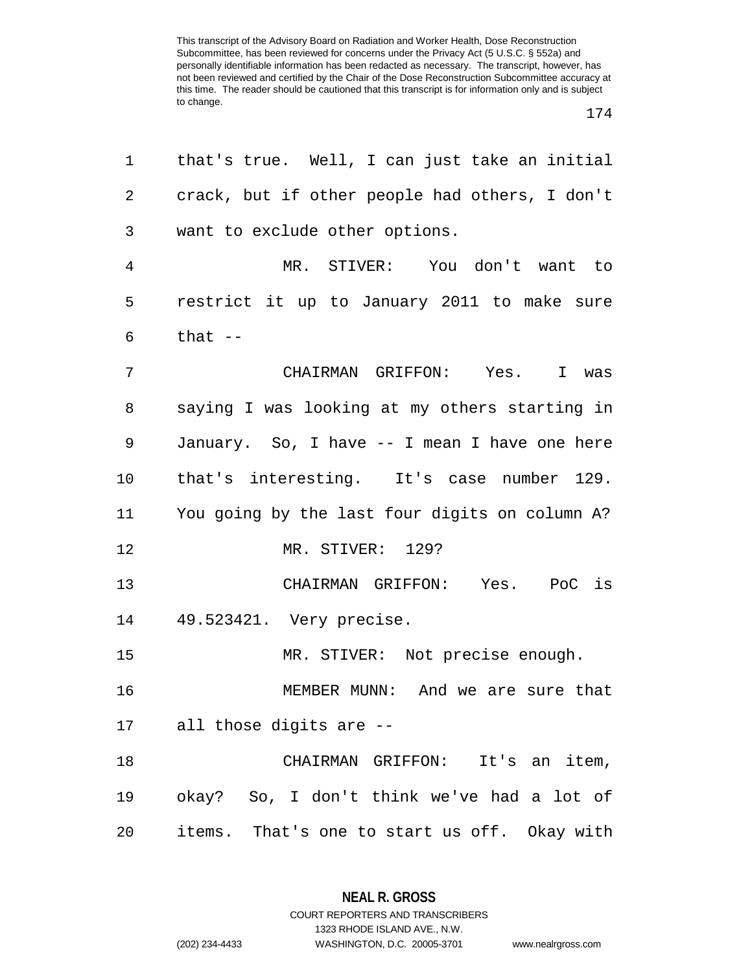| $\mathbf 1$ | that's true. Well, I can just take an initial  |
|-------------|------------------------------------------------|
| 2           | crack, but if other people had others, I don't |
| 3           | want to exclude other options.                 |
| 4           | MR. STIVER: You don't want to                  |
| 5           | restrict it up to January 2011 to make sure    |
| 6           | that --                                        |
| 7           | CHAIRMAN GRIFFON: Yes. I was                   |
| 8           | saying I was looking at my others starting in  |
| 9           | January. So, I have -- I mean I have one here  |
| 10          | that's interesting. It's case number 129.      |
| 11          | You going by the last four digits on column A? |
| 12          | MR. STIVER: 129?                               |
| 13          | CHAIRMAN GRIFFON: Yes. PoC is                  |
| 14          | 49.523421. Very precise.                       |
| 15          | MR. STIVER: Not precise enough.                |
| 16          | MEMBER MUNN: And we are sure that              |
|             | 17 all those digits are --                     |
| 18          | CHAIRMAN GRIFFON: It's an item,                |
| 19          | okay? So, I don't think we've had a lot of     |
| 20          | items. That's one to start us off. Okay with   |

**NEAL R. GROSS**

COURT REPORTERS AND TRANSCRIBERS 1323 RHODE ISLAND AVE., N.W. (202) 234-4433 WASHINGTON, D.C. 20005-3701 www.nealrgross.com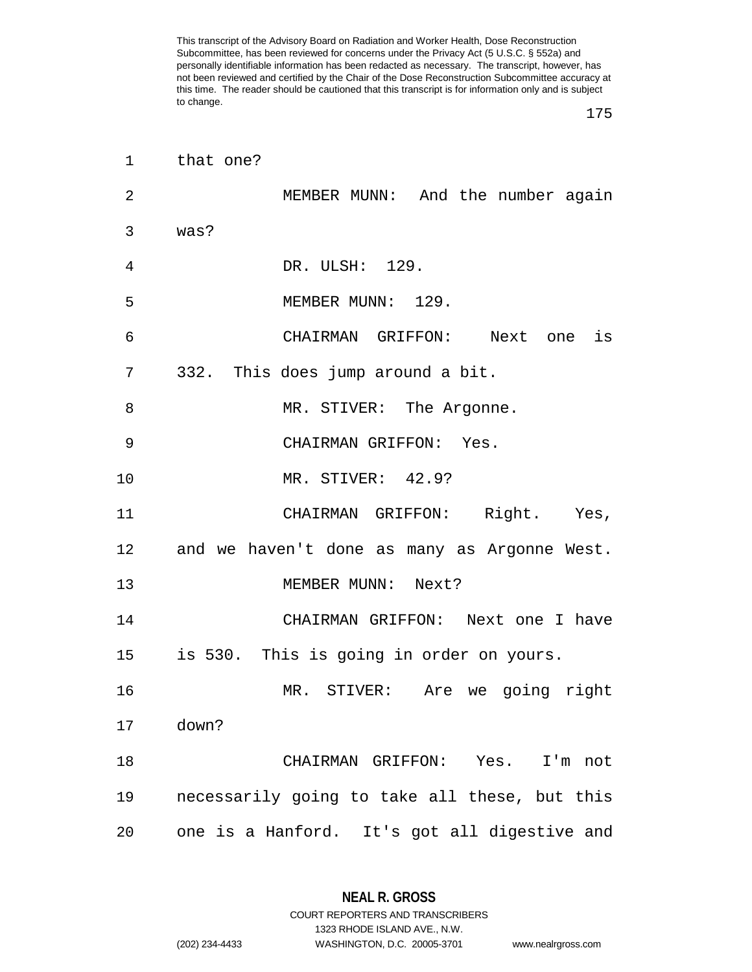175

| $\mathbf 1$ | that one?                                       |
|-------------|-------------------------------------------------|
| 2           | MEMBER MUNN: And the number again               |
| 3           | was?                                            |
| 4           | DR. ULSH: 129.                                  |
| 5           | MEMBER MUNN: 129.                               |
| 6           | CHAIRMAN GRIFFON: Next one is                   |
| 7           | 332. This does jump around a bit.               |
| 8           | MR. STIVER: The Argonne.                        |
| 9           | CHAIRMAN GRIFFON: Yes.                          |
| 10          | MR. STIVER: 42.9?                               |
| 11          | CHAIRMAN GRIFFON: Right. Yes,                   |
|             | 12 and we haven't done as many as Argonne West. |
| 13          | MEMBER MUNN: Next?                              |
| 14          | CHAIRMAN GRIFFON: Next one I have               |
| 15          | is 530. This is going in order on yours.        |
| 16          | MR. STIVER: Are we going right                  |
| 17          | down?                                           |
| 18          | CHAIRMAN GRIFFON: Yes. I'm not                  |
| 19          | necessarily going to take all these, but this   |
| 20          | one is a Hanford. It's got all digestive and    |

**NEAL R. GROSS** COURT REPORTERS AND TRANSCRIBERS

1323 RHODE ISLAND AVE., N.W.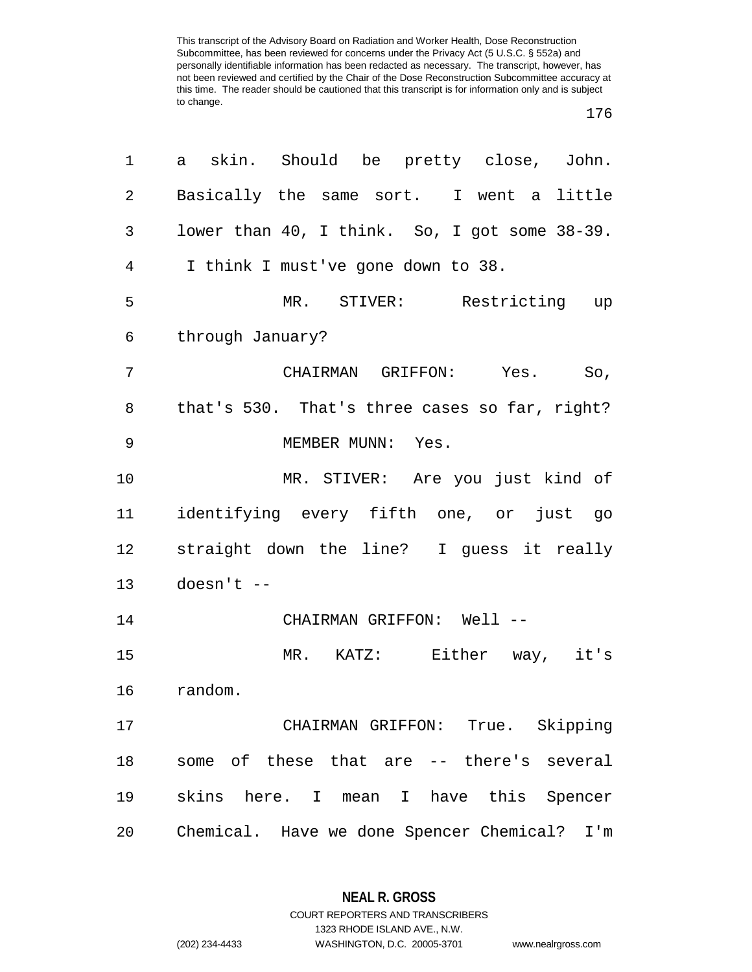| 1  | skin. Should be pretty close, John.<br>a      |
|----|-----------------------------------------------|
| 2  | Basically the same sort. I went a little      |
| 3  | lower than 40, I think. So, I got some 38-39. |
| 4  | I think I must've gone down to 38.            |
| 5  | MR. STIVER: Restricting up                    |
| 6  | through January?                              |
| 7  | CHAIRMAN GRIFFON: Yes. So,                    |
| 8  | that's 530. That's three cases so far, right? |
| 9  | MEMBER MUNN: Yes.                             |
| 10 | MR. STIVER: Are you just kind of              |
| 11 | identifying every fifth one, or just go       |
| 12 | straight down the line? I guess it really     |
| 13 | $doesn't --$                                  |
| 14 | CHAIRMAN GRIFFON: Well --                     |
| 15 | MR. KATZ: Either way, it's                    |
| 16 | random.                                       |
| 17 | CHAIRMAN GRIFFON: True. Skipping              |
| 18 | some of these that are -- there's several     |
| 19 | skins here. I mean I have this Spencer        |
| 20 | Chemical. Have we done Spencer Chemical? I'm  |

**NEAL R. GROSS** COURT REPORTERS AND TRANSCRIBERS

1323 RHODE ISLAND AVE., N.W.

(202) 234-4433 WASHINGTON, D.C. 20005-3701 www.nealrgross.com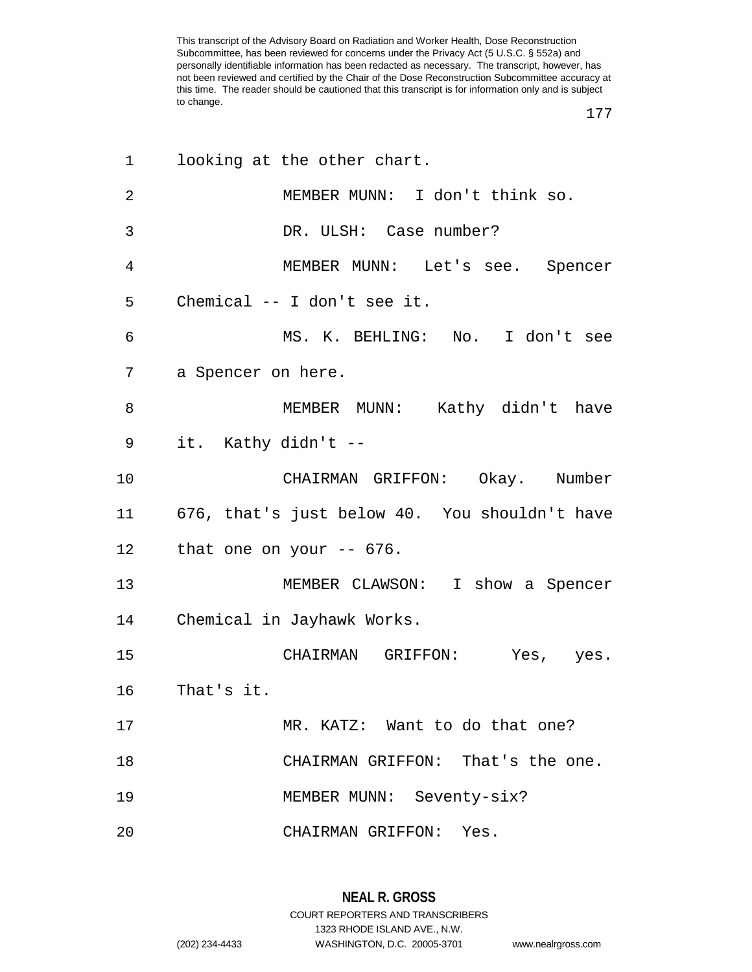| 1              | looking at the other chart.                   |
|----------------|-----------------------------------------------|
| $\overline{2}$ | MEMBER MUNN: I don't think so.                |
| 3              | DR. ULSH: Case number?                        |
| 4              | MEMBER MUNN: Let's see. Spencer               |
| 5              | Chemical -- I don't see it.                   |
| 6              | MS. K. BEHLING: No. I don't see               |
| 7              | a Spencer on here.                            |
| 8              | MEMBER MUNN: Kathy didn't have                |
| 9              | it. Kathy didn't --                           |
| 10             | CHAIRMAN GRIFFON: Okay. Number                |
| 11             | 676, that's just below 40. You shouldn't have |
| 12             | that one on your $-$ 676.                     |
| 13             | MEMBER CLAWSON: I show a Spencer              |
| 14             | Chemical in Jayhawk Works.                    |
| 15             | CHAIRMAN GRIFFON: Yes, yes.                   |
| 16             | That's it.                                    |
| 17             | MR. KATZ: Want to do that one?                |
| 18             | CHAIRMAN GRIFFON: That's the one.             |
| 19             | MEMBER MUNN: Seventy-six?                     |
| 20             | CHAIRMAN GRIFFON: Yes.                        |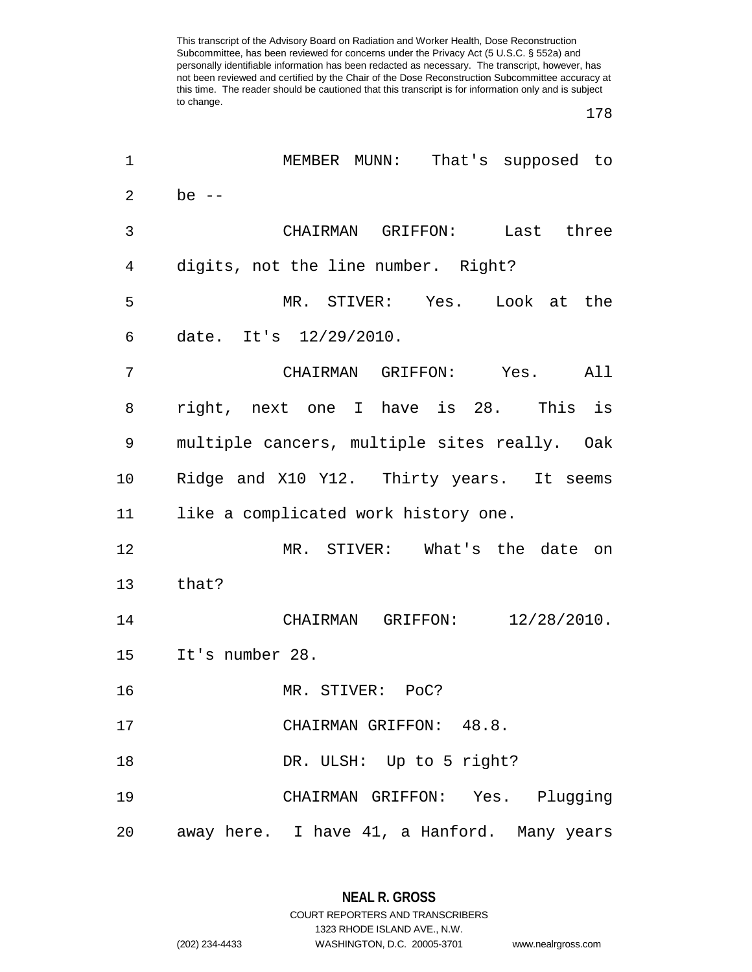| 1              | That's supposed to<br>MEMBER MUNN:           |
|----------------|----------------------------------------------|
| $\overline{a}$ | be $--$                                      |
| 3              | CHAIRMAN GRIFFON:<br>Last three              |
| 4              | digits, not the line number. Right?          |
| 5              | MR. STIVER: Yes. Look at the                 |
| 6              | date. It's 12/29/2010.                       |
| 7              | CHAIRMAN GRIFFON: Yes.<br>All                |
| 8              | right, next one I have is 28. This is        |
| 9              | multiple cancers, multiple sites really. Oak |
| 10             | Ridge and X10 Y12. Thirty years. It seems    |
| 11             | like a complicated work history one.         |
| 12             | MR. STIVER: What's the date on               |
| 13             | that?                                        |
| 14             | $12/28/2010$ .<br>CHAIRMAN GRIFFON:          |
| 15             | It's number 28.                              |
| 16             | MR. STIVER: POC?                             |
| 17             | CHAIRMAN GRIFFON: 48.8.                      |
| 18             | DR. ULSH: Up to 5 right?                     |
| 19             | CHAIRMAN GRIFFON: Yes. Plugging              |
| 20             | away here. I have 41, a Hanford. Many years  |

1323 RHODE ISLAND AVE., N.W.

(202) 234-4433 WASHINGTON, D.C. 20005-3701 www.nealrgross.com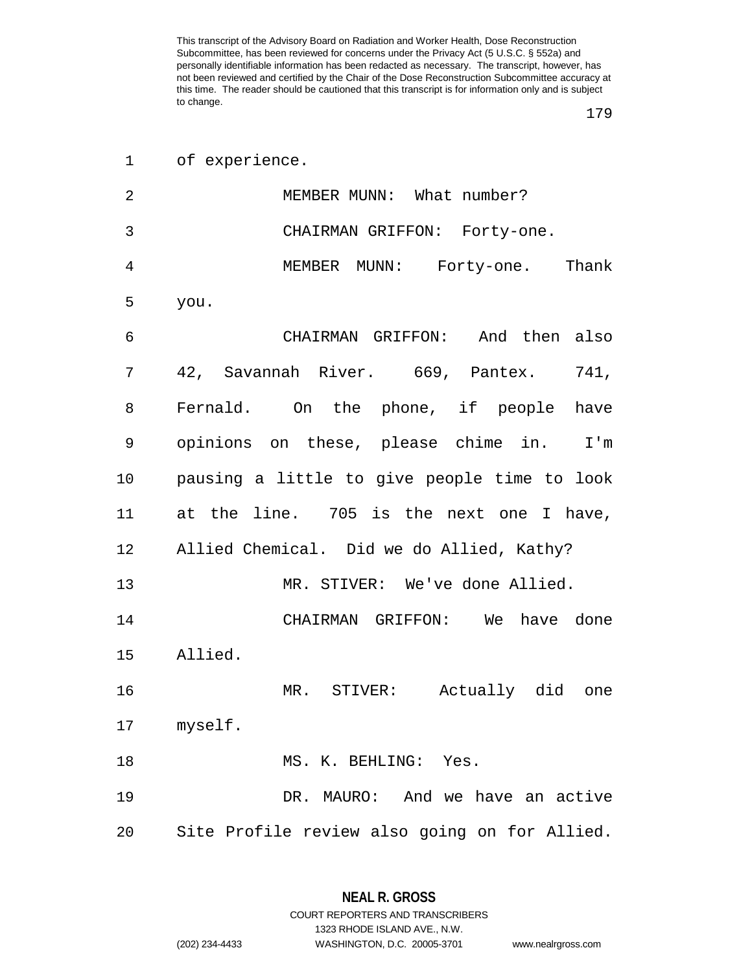|    | 1 of experience.                              |
|----|-----------------------------------------------|
| 2  | MEMBER MUNN: What number?                     |
| 3  | CHAIRMAN GRIFFON: Forty-one.                  |
| 4  | MEMBER MUNN: Forty-one. Thank                 |
| 5  | you.                                          |
| 6  | CHAIRMAN GRIFFON: And then also               |
| 7  | 42, Savannah River. 669, Pantex. 741,         |
| 8  | Fernald. On the phone, if people have         |
| 9  | opinions on these, please chime in. I'm       |
| 10 | pausing a little to give people time to look  |
| 11 | at the line. 705 is the next one I have,      |
| 12 | Allied Chemical. Did we do Allied, Kathy?     |
| 13 | MR. STIVER: We've done Allied.                |
| 14 | CHAIRMAN GRIFFON: We have done                |
| 15 | Allied.                                       |
| 16 | MR. STIVER: Actually did one                  |
|    | 17 myself.                                    |
| 18 | MS. K. BEHLING: Yes.                          |
| 19 | DR. MAURO: And we have an active              |
| 20 | Site Profile review also going on for Allied. |

**NEAL R. GROSS** COURT REPORTERS AND TRANSCRIBERS

1323 RHODE ISLAND AVE., N.W.

(202) 234-4433 WASHINGTON, D.C. 20005-3701 www.nealrgross.com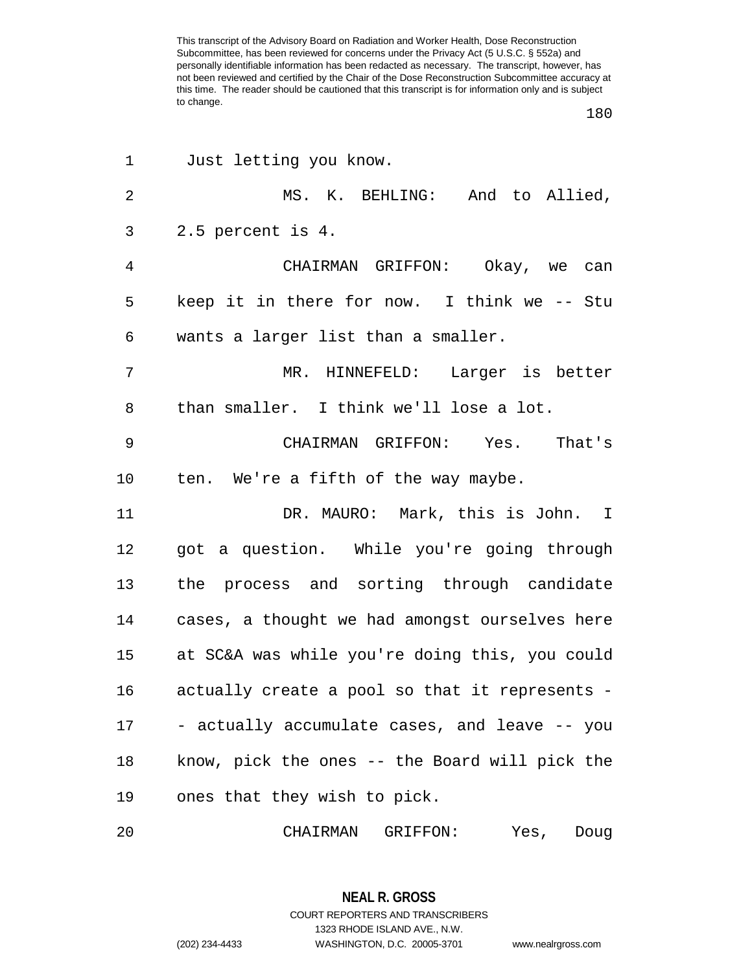| 1              | Just letting you know.                         |
|----------------|------------------------------------------------|
| $\overline{2}$ | MS. K. BEHLING: And to Allied,                 |
| 3              | 2.5 percent is 4.                              |
| $\overline{4}$ | CHAIRMAN GRIFFON: Okay, we can                 |
| 5              | keep it in there for now. I think we -- Stu    |
| 6              | wants a larger list than a smaller.            |
| 7              | MR. HINNEFELD: Larger is better                |
| 8              | than smaller. I think we'll lose a lot.        |
| 9              | CHAIRMAN GRIFFON: Yes. That's                  |
| 10             | ten. We're a fifth of the way maybe.           |
| 11             | DR. MAURO: Mark, this is John. I               |
| 12             | got a question. While you're going through     |
| 13             | the process and sorting through candidate      |
| 14             | cases, a thought we had amongst ourselves here |
| 15             | at SC&A was while you're doing this, you could |
| 16             | actually create a pool so that it represents - |
| 17             | - actually accumulate cases, and leave -- you  |
| 18             | know, pick the ones -- the Board will pick the |
| 19             | ones that they wish to pick.                   |
| 20             | CHAIRMAN GRIFFON: Yes, Doug                    |

**NEAL R. GROSS** COURT REPORTERS AND TRANSCRIBERS 1323 RHODE ISLAND AVE., N.W. (202) 234-4433 WASHINGTON, D.C. 20005-3701 www.nealrgross.com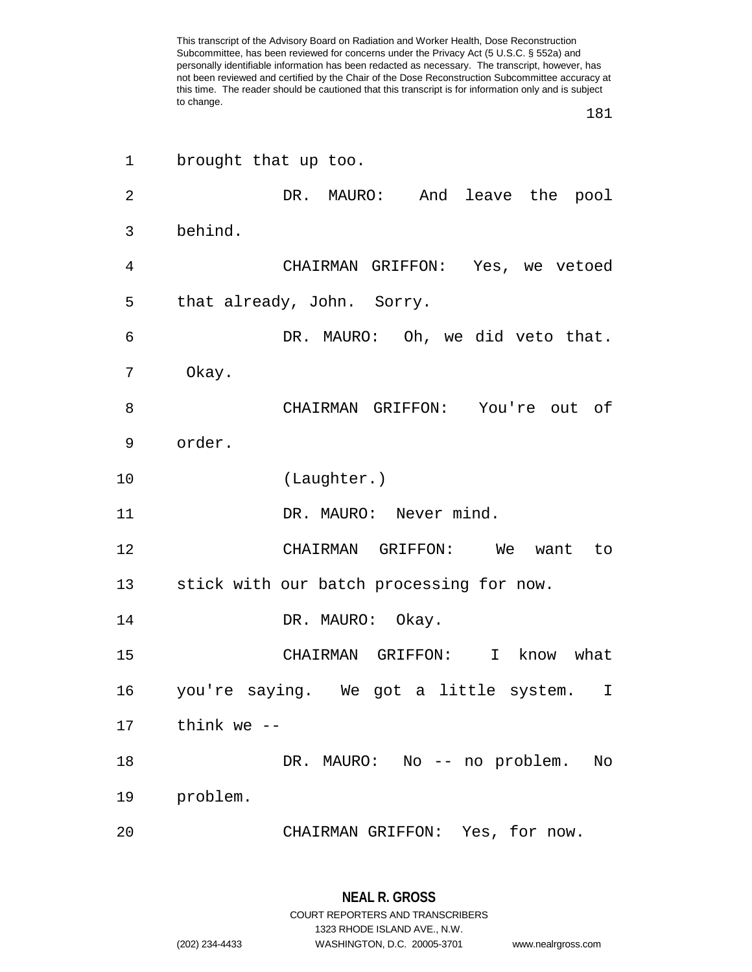| 1  | brought that up too.                     |
|----|------------------------------------------|
| 2  | DR. MAURO: And leave the pool            |
| 3  | behind.                                  |
| 4  | CHAIRMAN GRIFFON: Yes, we vetoed         |
| 5  | that already, John. Sorry.               |
| 6  | DR. MAURO: Oh, we did veto that.         |
| 7  | Okay.                                    |
| 8  | CHAIRMAN GRIFFON: You're out of          |
| 9  | order.                                   |
| 10 | (Laughter.)                              |
| 11 | DR. MAURO: Never mind.                   |
| 12 | CHAIRMAN GRIFFON: We<br>to<br>want       |
| 13 | stick with our batch processing for now. |
| 14 | DR. MAURO: Okay.                         |
| 15 | CHAIRMAN GRIFFON: I know what            |
| 16 | you're saying. We got a little system. I |
| 17 | think we --                              |
| 18 | DR. MAURO: No -- no problem.<br>No       |
| 19 | problem.                                 |
| 20 | CHAIRMAN GRIFFON: Yes, for now.          |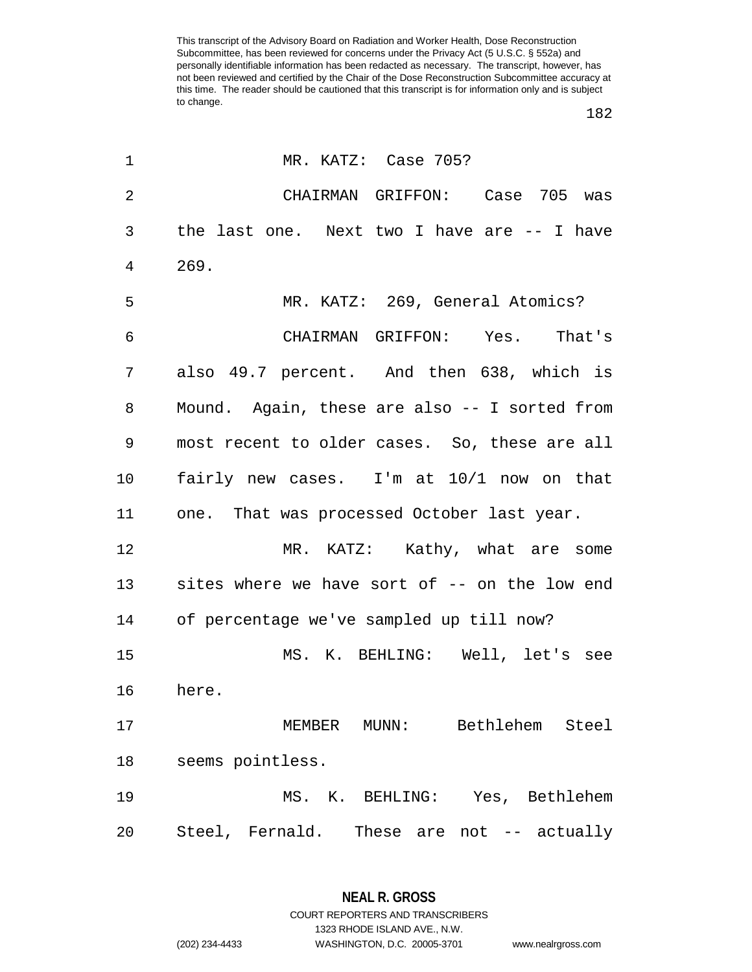| 1              | MR. KATZ: Case 705?                              |
|----------------|--------------------------------------------------|
| $\overline{2}$ | CHAIRMAN GRIFFON: Case 705 was                   |
| 3              | the last one. Next two I have are -- I have      |
| 4              | 269.                                             |
| 5              | MR. KATZ: 269, General Atomics?                  |
| 6              | CHAIRMAN GRIFFON: Yes. That's                    |
| 7              | also 49.7 percent. And then 638, which is        |
| 8              | Mound. Again, these are also -- I sorted from    |
| 9              | most recent to older cases. So, these are all    |
| 10             | fairly new cases. I'm at 10/1 now on that        |
| 11             | one. That was processed October last year.       |
| 12             | MR. KATZ: Kathy, what are some                   |
| 13             | sites where we have sort of -- on the low end    |
| 14             | of percentage we've sampled up till now?         |
| 15             | MS. K. BEHLING: Well, let's see                  |
| 16             | here.                                            |
| 17             | Bethlehem<br>Steel<br>MEMBER<br>$\texttt{MUNN}:$ |
| 18             | seems pointless.                                 |
| 19             | MS. K. BEHLING: Yes, Bethlehem                   |
| 20             | Steel, Fernald. These are not -- actually        |

**NEAL R. GROSS** COURT REPORTERS AND TRANSCRIBERS

1323 RHODE ISLAND AVE., N.W.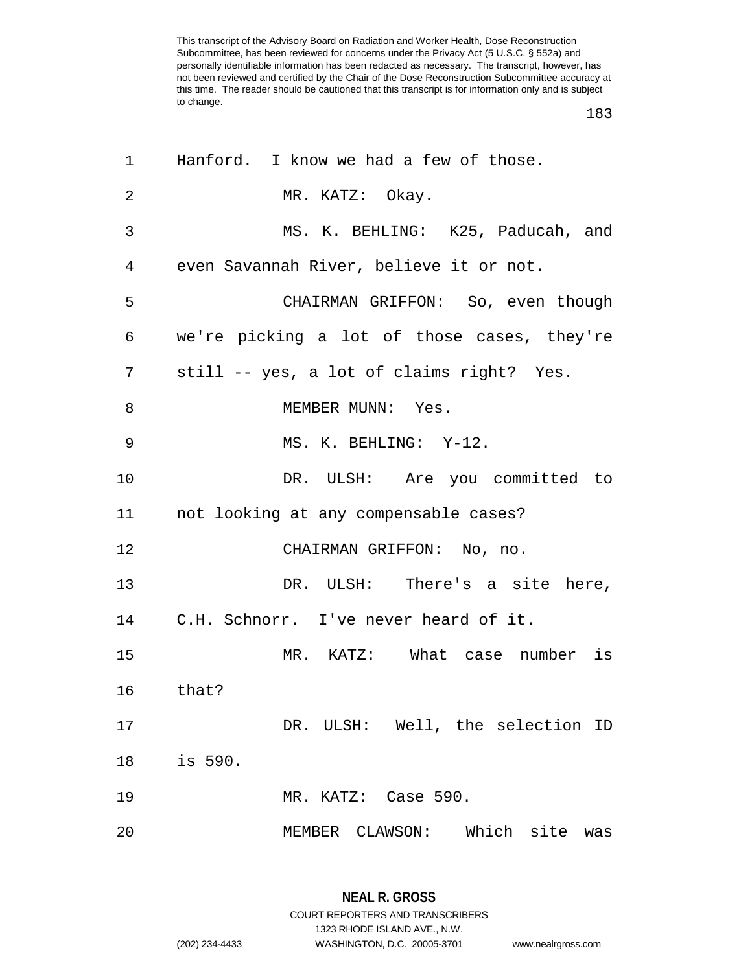| 1  | Hanford. I know we had a few of those.      |
|----|---------------------------------------------|
| 2  | MR. KATZ: Okay.                             |
| 3  | MS. K. BEHLING: K25, Paducah, and           |
| 4  | even Savannah River, believe it or not.     |
| 5  | CHAIRMAN GRIFFON: So, even though           |
| 6  | we're picking a lot of those cases, they're |
| 7  | still -- yes, a lot of claims right? Yes.   |
| 8  | MEMBER MUNN: Yes.                           |
| 9  | MS. K. BEHLING: Y-12.                       |
| 10 | DR. ULSH: Are you committed to              |
| 11 | not looking at any compensable cases?       |
| 12 | CHAIRMAN GRIFFON: No, no.                   |
| 13 | DR. ULSH: There's a site here,              |
| 14 | C.H. Schnorr. I've never heard of it.       |
| 15 | MR. KATZ: What case number is               |
| 16 | that?                                       |
| 17 | DR. ULSH: Well, the selection ID            |
| 18 | is 590.                                     |
| 19 | MR. KATZ: Case 590.                         |
| 20 | MEMBER CLAWSON: Which site was              |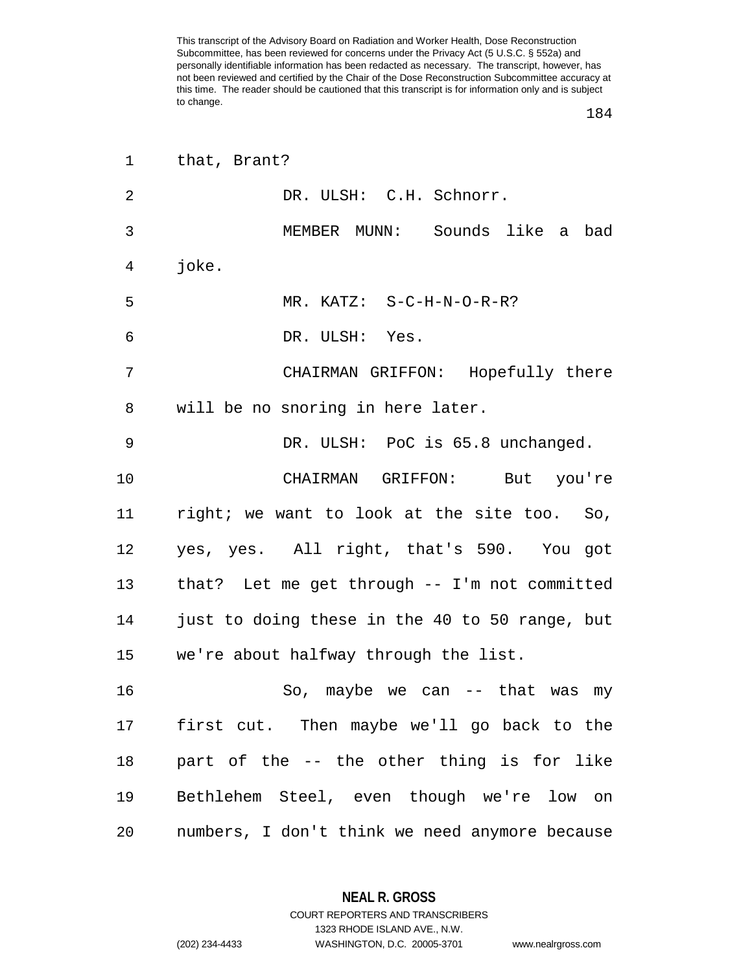| $\mathbf{1}$ | that, Brant?                                   |
|--------------|------------------------------------------------|
| 2            | DR. ULSH: C.H. Schnorr.                        |
| 3            | MEMBER MUNN: Sounds like a bad                 |
| 4            | joke.                                          |
| 5            | MR. KATZ: S-C-H-N-O-R-R?                       |
| 6            | DR. ULSH: Yes.                                 |
| 7            | CHAIRMAN GRIFFON: Hopefully there              |
| 8            | will be no snoring in here later.              |
| 9            | DR. ULSH: PoC is 65.8 unchanged.               |
| 10           | CHAIRMAN GRIFFON: But you're                   |
| 11           | right; we want to look at the site too. So,    |
| 12           | yes, yes. All right, that's 590. You got       |
| 13           | that? Let me get through -- I'm not committed  |
| 14           | just to doing these in the 40 to 50 range, but |
| 15           | we're about halfway through the list.          |
| 16           | So, maybe we can -- that was<br>my             |
| 17           | first cut. Then maybe we'll go back to the     |
| 18           | part of the -- the other thing is for like     |
| 19           | Bethlehem Steel, even though we're low on      |
| 20           | numbers, I don't think we need anymore because |

**NEAL R. GROSS** COURT REPORTERS AND TRANSCRIBERS

1323 RHODE ISLAND AVE., N.W. (202) 234-4433 WASHINGTON, D.C. 20005-3701 www.nealrgross.com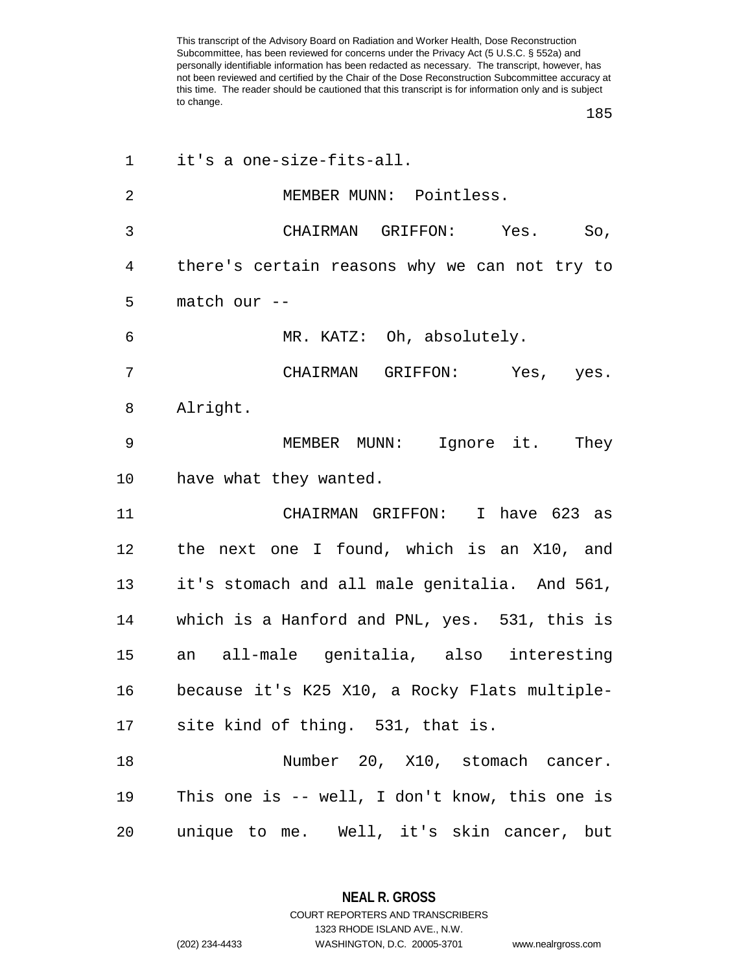| 1              | it's a one-size-fits-all.                      |
|----------------|------------------------------------------------|
| $\overline{2}$ | MEMBER MUNN: Pointless.                        |
| 3              | CHAIRMAN GRIFFON: Yes.<br>So,                  |
| 4              | there's certain reasons why we can not try to  |
| 5              | match our --                                   |
| 6              | MR. KATZ: Oh, absolutely.                      |
| 7              | CHAIRMAN GRIFFON: Yes, yes.                    |
| 8              | Alright.                                       |
| 9              | Ignore it.<br>MEMBER MUNN:<br>They             |
| 10             | have what they wanted.                         |
| 11             | CHAIRMAN GRIFFON: I have 623 as                |
| 12             | the next one I found, which is an X10, and     |
| 13             | it's stomach and all male genitalia. And 561,  |
| 14             | which is a Hanford and PNL, yes. 531, this is  |
| 15             | an all-male genitalia, also interesting        |
| 16             | because it's K25 X10, a Rocky Flats multiple-  |
|                | 17 site kind of thing. 531, that is.           |
| 18             | Number 20, X10, stomach cancer.                |
| 19             | This one is -- well, I don't know, this one is |
| 20             | unique to me. Well, it's skin cancer, but      |

**NEAL R. GROSS** COURT REPORTERS AND TRANSCRIBERS

1323 RHODE ISLAND AVE., N.W. (202) 234-4433 WASHINGTON, D.C. 20005-3701 www.nealrgross.com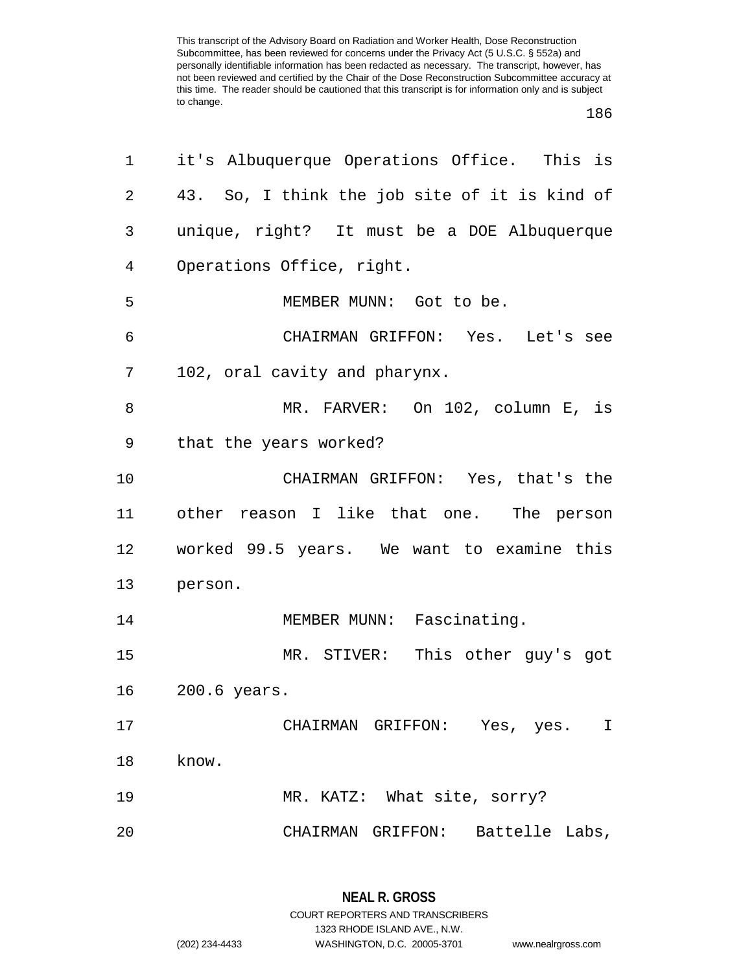| 1              | it's Albuquerque Operations Office. This is   |
|----------------|-----------------------------------------------|
| $\overline{2}$ | 43. So, I think the job site of it is kind of |
| 3              | unique, right? It must be a DOE Albuquerque   |
| $\overline{4}$ | Operations Office, right.                     |
| 5              | MEMBER MUNN: Got to be.                       |
| 6              | CHAIRMAN GRIFFON: Yes. Let's see              |
| 7              | 102, oral cavity and pharynx.                 |
| 8              | MR. FARVER: On 102, column E, is              |
| 9              | that the years worked?                        |
| 10             | CHAIRMAN GRIFFON: Yes, that's the             |
| 11             | other reason I like that one. The person      |
| 12             | worked 99.5 years. We want to examine this    |
| 13             | person.                                       |
| 14             | MEMBER MUNN: Fascinating.                     |
| 15             | MR. STIVER: This other guy's got              |
| 16             | 200.6 years.                                  |
| 17             | CHAIRMAN GRIFFON: Yes, yes.<br>I.             |
| 18             | know.                                         |
| 19             | MR. KATZ: What site, sorry?                   |
| 20             | CHAIRMAN GRIFFON: Battelle Labs,              |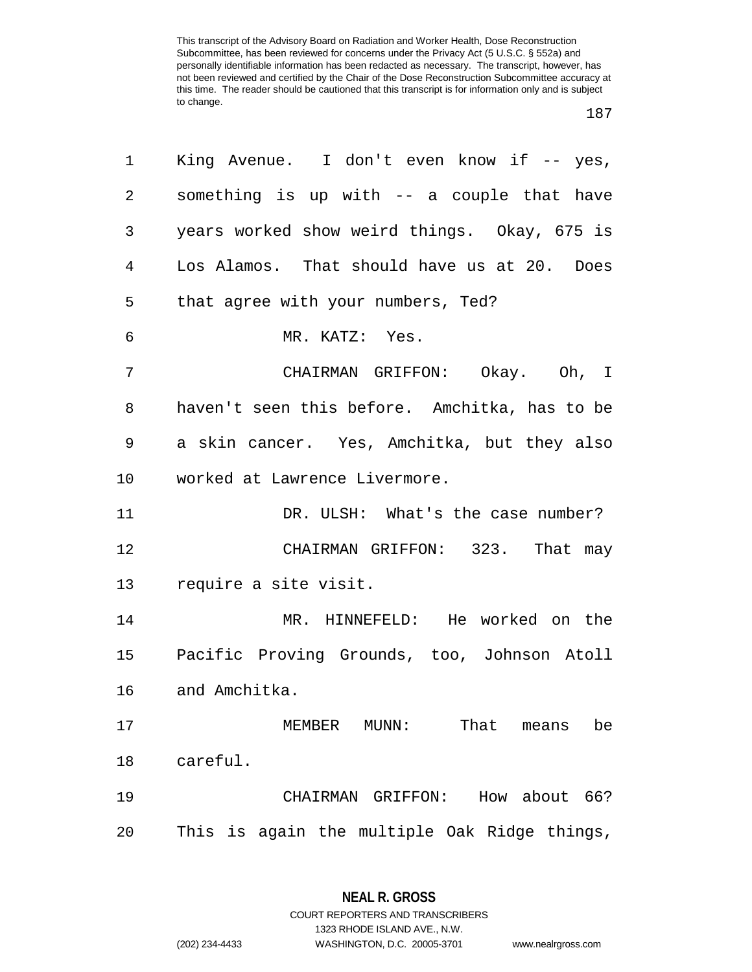| 1              | King Avenue. I don't even know if -- yes,     |
|----------------|-----------------------------------------------|
| $\overline{a}$ | something is up with -- a couple that have    |
| 3              | years worked show weird things. Okay, 675 is  |
| 4              | Los Alamos. That should have us at 20. Does   |
| 5              | that agree with your numbers, Ted?            |
| 6              | MR. KATZ: Yes.                                |
| 7              | CHAIRMAN GRIFFON: Okay. Oh, I                 |
| 8              | haven't seen this before. Amchitka, has to be |
| 9              | a skin cancer. Yes, Amchitka, but they also   |
| 10             | worked at Lawrence Livermore.                 |
| 11             | DR. ULSH: What's the case number?             |
| 12             | CHAIRMAN GRIFFON: 323. That may               |
|                | 13 require a site visit.                      |
| 14             | MR. HINNEFELD: He worked on the               |
| 15             | Pacific Proving Grounds, too, Johnson Atoll   |
| 16             | and Amchitka.                                 |
| 17             | MEMBER MUNN:<br>That<br>be<br>means           |
| 18             | careful.                                      |
| 19             | How about 66?<br>CHAIRMAN GRIFFON:            |
| 20             | This is again the multiple Oak Ridge things,  |

**NEAL R. GROSS** COURT REPORTERS AND TRANSCRIBERS

1323 RHODE ISLAND AVE., N.W.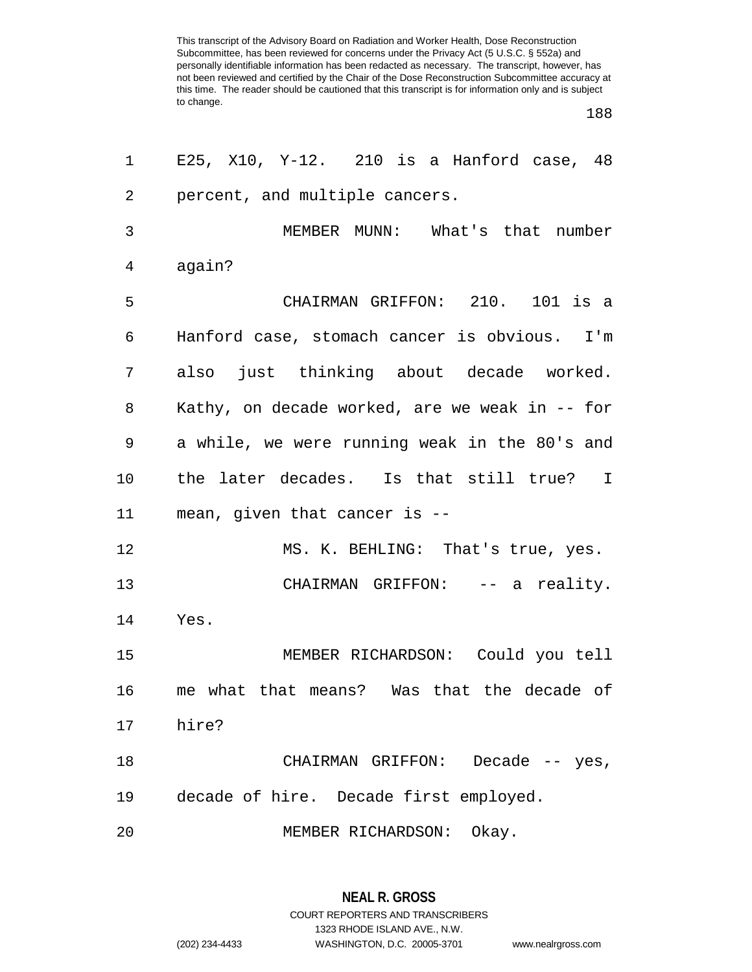| 1              | E25, X10, Y-12. $\,$ 210 is a Hanford case, 48 |
|----------------|------------------------------------------------|
| 2              | percent, and multiple cancers.                 |
| 3              | MEMBER MUNN: What's that number                |
| $\overline{4}$ | again?                                         |
| 5              | CHAIRMAN GRIFFON: 210. 101 is a                |
| 6              | Hanford case, stomach cancer is obvious. I'm   |
| 7              | also just thinking about decade worked.        |
| 8              | Kathy, on decade worked, are we weak in -- for |
| 9              | a while, we were running weak in the 80's and  |
| 10             | the later decades. Is that still true? I       |
| 11             | mean, given that cancer is --                  |
| 12             | MS. K. BEHLING: That's true, yes.              |
| 13             | CHAIRMAN GRIFFON: -- a reality.                |
| 14             | Yes.                                           |
| 15             | MEMBER RICHARDSON: Could you tell              |
| 16             | me what that means? Was that the decade of     |
| 17             | hire?                                          |
| 18             | CHAIRMAN GRIFFON:<br>Decade $--$ yes,          |
| 19             | decade of hire. Decade first employed.         |
| 20             | Okay.<br>MEMBER RICHARDSON:                    |

**NEAL R. GROSS** COURT REPORTERS AND TRANSCRIBERS 1323 RHODE ISLAND AVE., N.W. (202) 234-4433 WASHINGTON, D.C. 20005-3701 www.nealrgross.com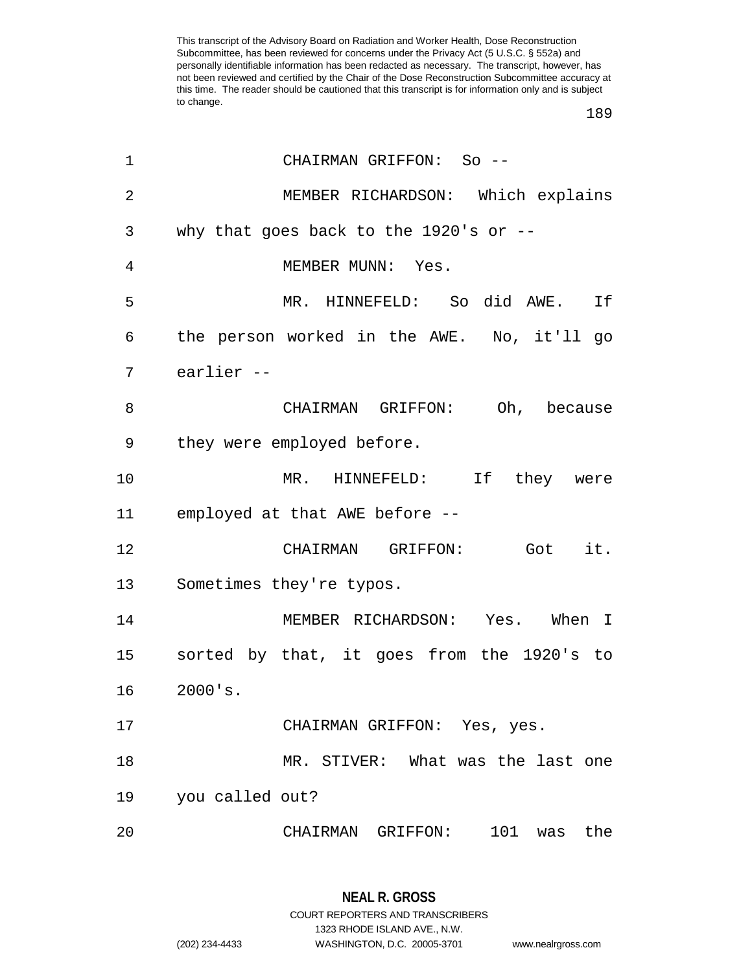| $\mathbf 1$    | CHAIRMAN GRIFFON: So --                    |
|----------------|--------------------------------------------|
| $\overline{2}$ | MEMBER RICHARDSON: Which explains          |
| 3              | why that goes back to the 1920's or $-$ -  |
| 4              | MEMBER MUNN: Yes.                          |
| 5              | MR. HINNEFELD: So did AWE. If              |
| 6              | the person worked in the AWE. No, it'll go |
| 7              | earlier --                                 |
| 8              | CHAIRMAN GRIFFON: Oh, because              |
| 9              | they were employed before.                 |
| 10             | MR. HINNEFELD: If they were                |
| 11             | employed at that AWE before --             |
| 12             | CHAIRMAN GRIFFON: Got it.                  |
| 13             | Sometimes they're typos.                   |
| 14             | MEMBER RICHARDSON: Yes. When I             |
| 15             | sorted by that, it goes from the 1920's to |
| 16             | $2000$ 's.                                 |
| 17             | CHAIRMAN GRIFFON: Yes, yes.                |
| 18             | MR. STIVER: What was the last one          |
| 19             | you called out?                            |
| 20             | CHAIRMAN GRIFFON: 101 was<br>the           |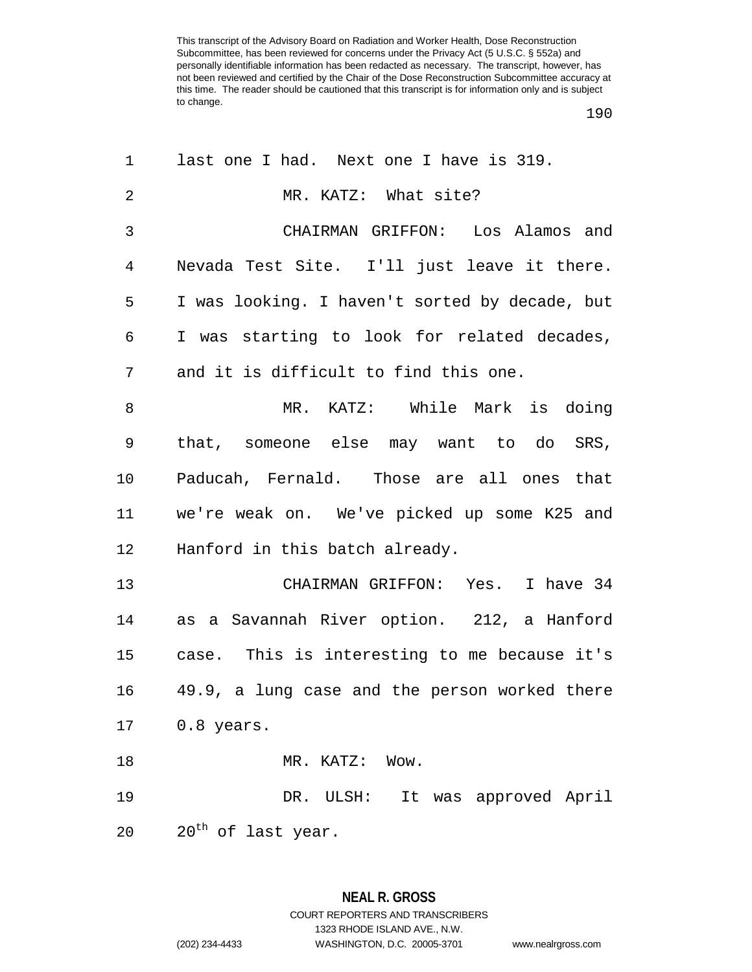| 1              | last one I had. Next one I have is 319.        |
|----------------|------------------------------------------------|
| $\overline{2}$ | MR. KATZ: What site?                           |
| 3              | CHAIRMAN GRIFFON: Los Alamos and               |
| $\overline{4}$ | Nevada Test Site. I'll just leave it there.    |
| 5              | I was looking. I haven't sorted by decade, but |
| 6              | I was starting to look for related decades,    |
| 7              | and it is difficult to find this one.          |
| 8              | MR. KATZ: While Mark is doing                  |
| 9              | that, someone else may want to do SRS,         |
| 10             | Paducah, Fernald. Those are all ones that      |
| 11             | we're weak on. We've picked up some K25 and    |
| 12             | Hanford in this batch already.                 |
| 13             | CHAIRMAN GRIFFON: Yes. I have 34               |
| 14             | as a Savannah River option. 212, a Hanford     |
| 15             | case. This is interesting to me because it's   |
| 16             | 49.9, a lung case and the person worked there  |
| 17             | 0.8 years.                                     |
| 18             | MR. KATZ: Wow.                                 |
| 19             | It was approved April<br>DR. ULSH:             |
| 20             | 20 <sup>th</sup> of last year.                 |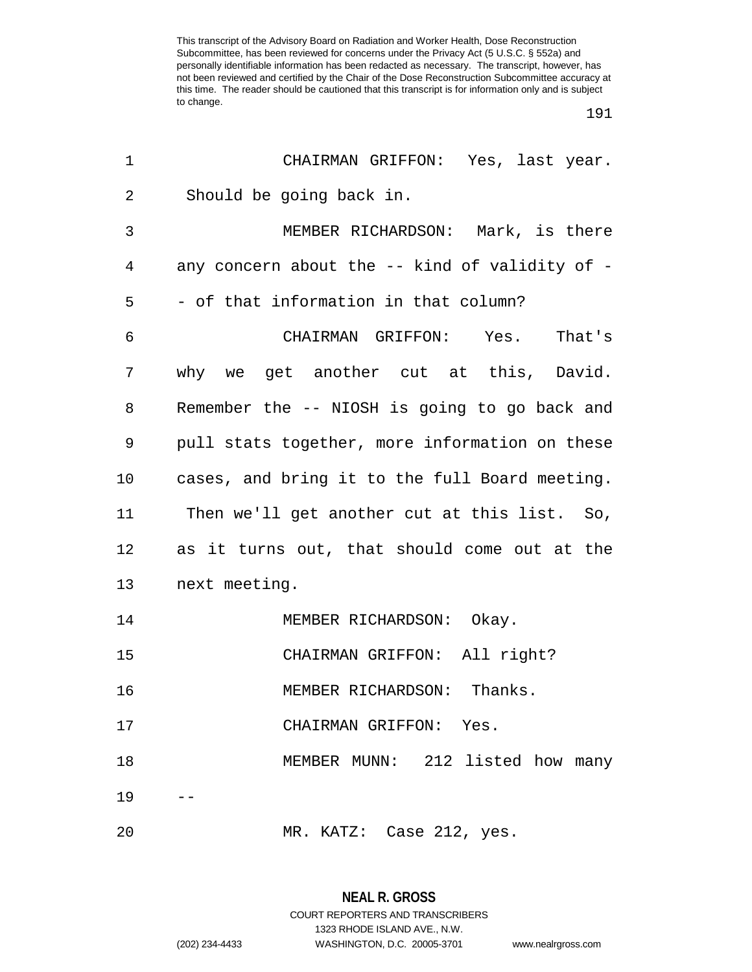| 1       | CHAIRMAN GRIFFON: Yes, last year.              |
|---------|------------------------------------------------|
| 2       | Should be going back in.                       |
| 3       | MEMBER RICHARDSON: Mark, is there              |
| 4       | any concern about the -- kind of validity of - |
| 5       | - of that information in that column?          |
| 6       | CHAIRMAN GRIFFON: Yes. That's                  |
| 7       | why we get another cut at this, David.         |
| 8       | Remember the -- NIOSH is going to go back and  |
| 9       | pull stats together, more information on these |
| $10 \,$ | cases, and bring it to the full Board meeting. |
| 11      | Then we'll get another cut at this list. So,   |
| 12      | as it turns out, that should come out at the   |
| 13      | next meeting.                                  |
| 14      | MEMBER RICHARDSON: Okay.                       |
| 15      | CHAIRMAN GRIFFON: All right?                   |
| 16      | MEMBER RICHARDSON: Thanks.                     |
| 17      | CHAIRMAN GRIFFON: Yes.                         |
| 18      | MEMBER MUNN: 212 listed how many               |
| 19      |                                                |
| 20      | MR. KATZ: Case 212, yes.                       |

**NEAL R. GROSS** COURT REPORTERS AND TRANSCRIBERS 1323 RHODE ISLAND AVE., N.W. (202) 234-4433 WASHINGTON, D.C. 20005-3701 www.nealrgross.com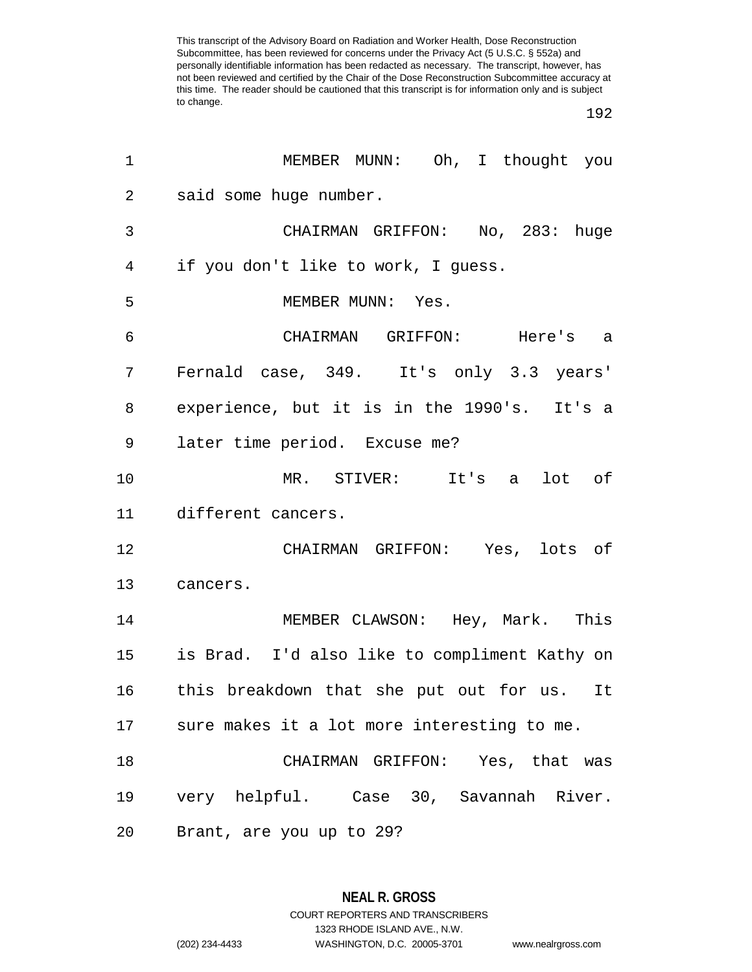| 1              | MEMBER MUNN: Oh, I thought you                |
|----------------|-----------------------------------------------|
| $\overline{2}$ | said some huge number.                        |
| 3              | CHAIRMAN GRIFFON: No, 283: huge               |
| $\overline{4}$ | if you don't like to work, I guess.           |
| 5              | MEMBER MUNN: Yes.                             |
| 6              | CHAIRMAN GRIFFON: Here's a                    |
| 7              | Fernald case, 349. It's only 3.3 years'       |
| 8              | experience, but it is in the 1990's. It's a   |
| 9              | later time period. Excuse me?                 |
| 10             | MR. STIVER: It's a<br>lot of                  |
| 11             | different cancers.                            |
| 12             | CHAIRMAN GRIFFON: Yes, lots of                |
| 13             | cancers.                                      |
| 14             | MEMBER CLAWSON: Hey, Mark. This               |
| 15             | is Brad. I'd also like to compliment Kathy on |
| 16             | this breakdown that she put out for us. It    |
| 17             | sure makes it a lot more interesting to me.   |
| 18             | CHAIRMAN GRIFFON: Yes, that was               |
| 19             | very helpful. Case 30, Savannah River.        |
| 20             | Brant, are you up to 29?                      |

**NEAL R. GROSS** COURT REPORTERS AND TRANSCRIBERS 1323 RHODE ISLAND AVE., N.W. (202) 234-4433 WASHINGTON, D.C. 20005-3701 www.nealrgross.com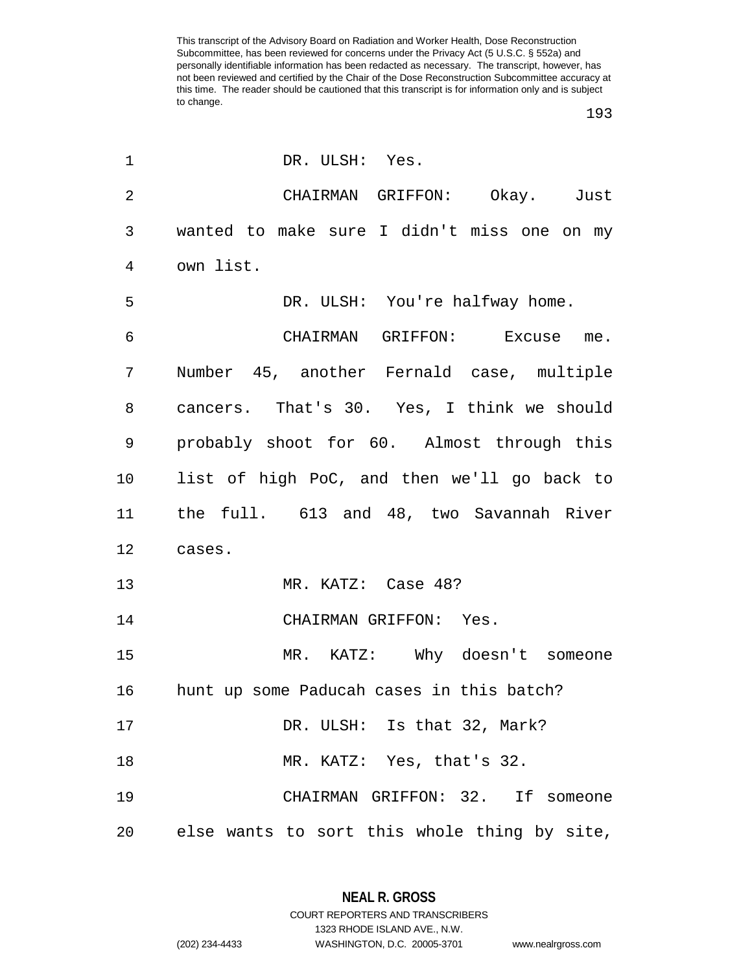| 1              | DR. ULSH: Yes.                               |
|----------------|----------------------------------------------|
| $\overline{2}$ | CHAIRMAN GRIFFON: Okay. Just                 |
| 3              | wanted to make sure I didn't miss one on my  |
| $\overline{4}$ | own list.                                    |
| 5              | DR. ULSH: You're halfway home.               |
| 6              | CHAIRMAN GRIFFON: Excuse me.                 |
| 7              | Number 45, another Fernald case, multiple    |
| 8              | cancers. That's 30. Yes, I think we should   |
| 9              | probably shoot for 60. Almost through this   |
| $10 \,$        | list of high PoC, and then we'll go back to  |
| 11             | the full. 613 and 48, two Savannah River     |
| 12             | cases.                                       |
| 13             | MR. KATZ: Case 48?                           |
| 14             | CHAIRMAN GRIFFON: Yes.                       |
| 15             | MR. KATZ: Why doesn't someone                |
| 16             | hunt up some Paducah cases in this batch?    |
| 17             | DR. ULSH: Is that 32, Mark?                  |
| 18             | MR. KATZ: Yes, that's 32.                    |
| 19             | CHAIRMAN GRIFFON: 32. If someone             |
| 20             | else wants to sort this whole thing by site, |

**NEAL R. GROSS** COURT REPORTERS AND TRANSCRIBERS

1323 RHODE ISLAND AVE., N.W.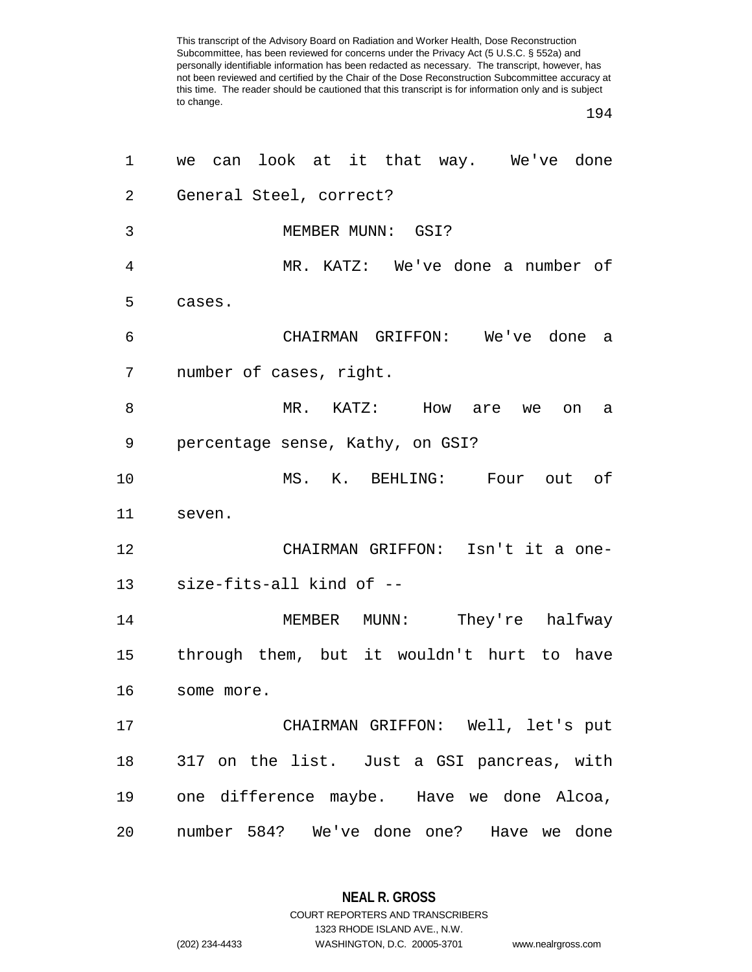| 1  | we can look at it that way. We've done     |
|----|--------------------------------------------|
| 2  | General Steel, correct?                    |
| 3  | MEMBER MUNN: GSI?                          |
| 4  | MR. KATZ: We've done a number of           |
| 5  | cases.                                     |
| 6  | CHAIRMAN GRIFFON: We've done a             |
| 7  | number of cases, right.                    |
| 8  | MR. KATZ: How are we<br>on<br>а            |
| 9  | percentage sense, Kathy, on GSI?           |
| 10 | MS. K. BEHLING: Four out of                |
| 11 | seven.                                     |
| 12 | CHAIRMAN GRIFFON: Isn't it a one-          |
| 13 | size-fits-all kind of --                   |
| 14 | MEMBER MUNN: They're halfway               |
| 15 | through them, but it wouldn't hurt to have |
| 16 | some more.                                 |
| 17 | CHAIRMAN GRIFFON: Well, let's put          |
| 18 | 317 on the list. Just a GSI pancreas, with |
| 19 | one difference maybe. Have we done Alcoa,  |
| 20 | number 584? We've done one? Have we done   |

**NEAL R. GROSS** COURT REPORTERS AND TRANSCRIBERS

1323 RHODE ISLAND AVE., N.W.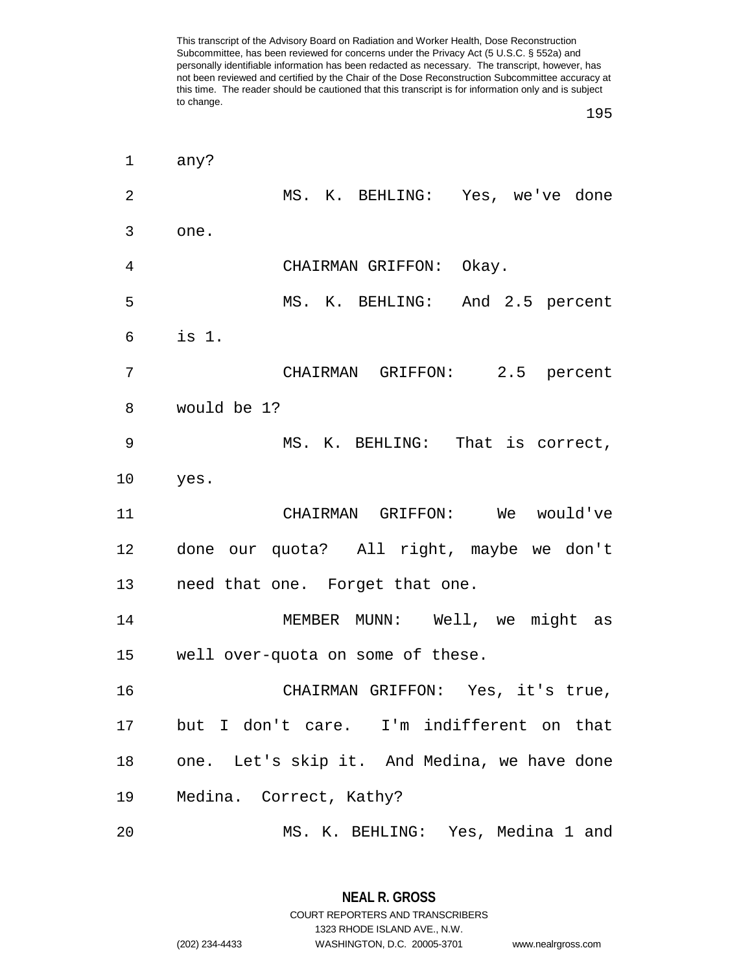any? MS. K. BEHLING: Yes, we've done one. CHAIRMAN GRIFFON: Okay. MS. K. BEHLING: And 2.5 percent is 1. CHAIRMAN GRIFFON: 2.5 percent would be 1? MS. K. BEHLING: That is correct, yes. CHAIRMAN GRIFFON: We would've done our quota? All right, maybe we don't need that one. Forget that one. MEMBER MUNN: Well, we might as well over-quota on some of these. CHAIRMAN GRIFFON: Yes, it's true, but I don't care. I'm indifferent on that one. Let's skip it. And Medina, we have done Medina. Correct, Kathy? MS. K. BEHLING: Yes, Medina 1 and

> **NEAL R. GROSS** COURT REPORTERS AND TRANSCRIBERS 1323 RHODE ISLAND AVE., N.W. (202) 234-4433 WASHINGTON, D.C. 20005-3701 www.nealrgross.com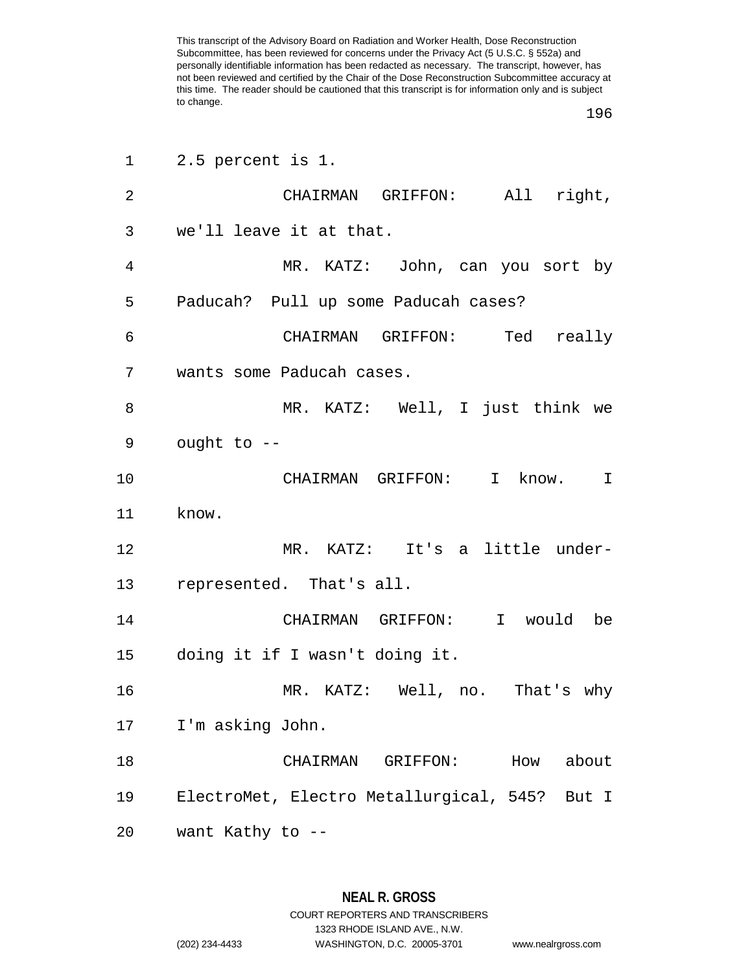| 1  | 2.5 percent is 1.                                |
|----|--------------------------------------------------|
| 2  | CHAIRMAN GRIFFON: All right,                     |
| 3  | we'll leave it at that.                          |
| 4  | MR. KATZ: John, can you sort by                  |
| 5  | Paducah? Pull up some Paducah cases?             |
| 6  | CHAIRMAN GRIFFON: Ted really                     |
| 7  | wants some Paducah cases.                        |
| 8  | MR. KATZ: Well, I just think we                  |
| 9  | ought to --                                      |
| 10 | CHAIRMAN GRIFFON: I know.<br>$\mathbf I$         |
| 11 | know.                                            |
| 12 | MR. KATZ: It's a little under-                   |
| 13 | represented. That's all.                         |
| 14 | CHAIRMAN GRIFFON: I would be                     |
|    | 15 doing it if I wasn't doing it.                |
| 16 | MR. KATZ: Well, no. That's why                   |
| 17 | I'm asking John.                                 |
| 18 | How<br>about<br>CHAIRMAN<br>GRIFFON:             |
| 19 | ElectroMet, Electro Metallurgical, 545?<br>But I |
| 20 | want Kathy to --                                 |

**NEAL R. GROSS** COURT REPORTERS AND TRANSCRIBERS 1323 RHODE ISLAND AVE., N.W.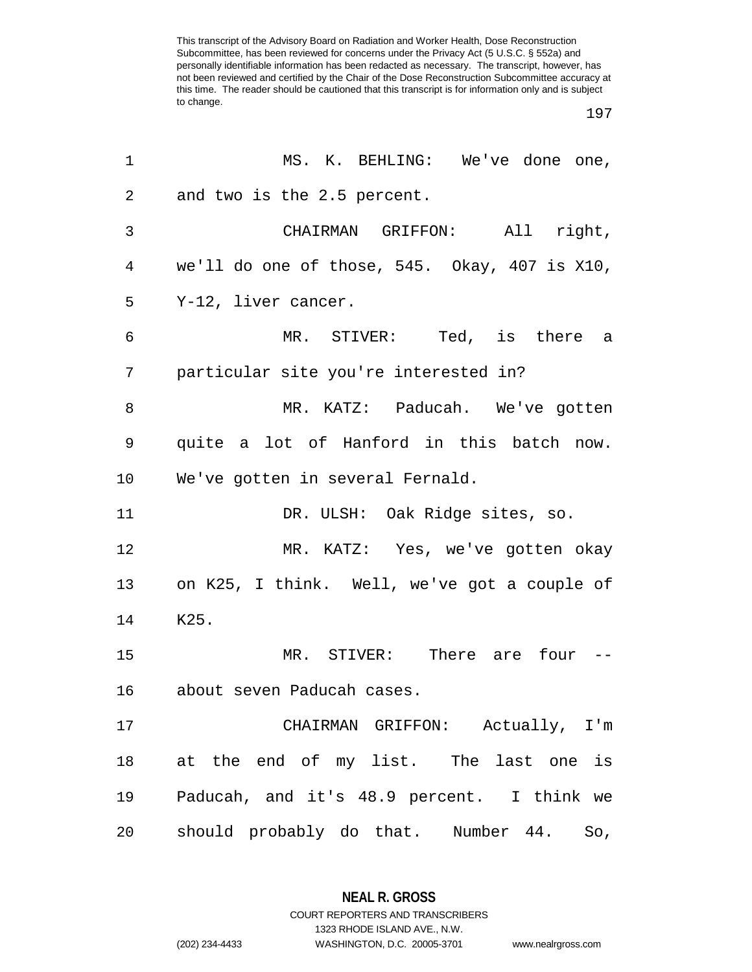| 1              | MS. K. BEHLING: We've done one,               |
|----------------|-----------------------------------------------|
| $\overline{2}$ | and two is the 2.5 percent.                   |
| $\mathfrak{Z}$ | CHAIRMAN GRIFFON: All right,                  |
| 4              | we'll do one of those, 545. Okay, 407 is X10, |
| 5              | Y-12, liver cancer.                           |
| 6              | MR. STIVER: Ted, is there a                   |
| 7              | particular site you're interested in?         |
| 8              | MR. KATZ: Paducah. We've gotten               |
| 9              | quite a lot of Hanford in this batch now.     |
| 10             | We've gotten in several Fernald.              |
| 11             | DR. ULSH: Oak Ridge sites, so.                |
| 12             | MR. KATZ: Yes, we've gotten okay              |
| 13             | on K25, I think. Well, we've got a couple of  |
| 14             | K25.                                          |
| 15             | MR. STIVER: There are four --                 |
| 16             | about seven Paducah cases.                    |
| 17             | CHAIRMAN GRIFFON: Actually, I'm               |
| 18             | at the end of my list. The last one is        |
| 19             | Paducah, and it's 48.9 percent. I think we    |
| 20             | should probably do that. Number 44.<br>So,    |

**NEAL R. GROSS** COURT REPORTERS AND TRANSCRIBERS

1323 RHODE ISLAND AVE., N.W.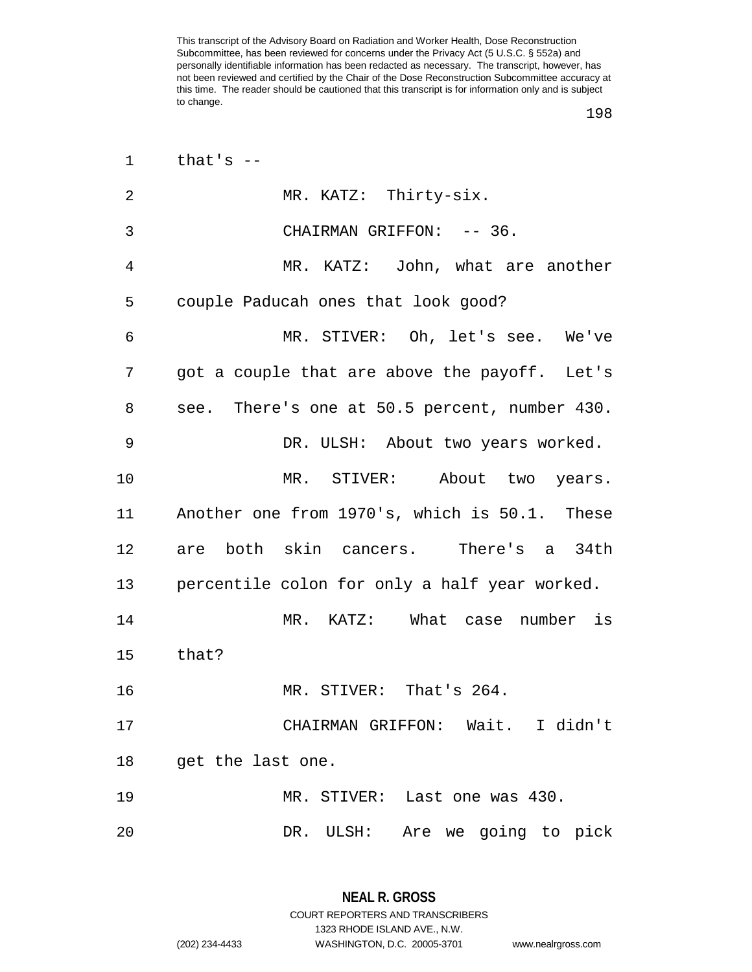| 1              | that's $-$                                    |
|----------------|-----------------------------------------------|
| $\overline{2}$ | MR. KATZ: Thirty-six.                         |
| 3              | CHAIRMAN GRIFFON: -- 36.                      |
| 4              | MR. KATZ: John, what are another              |
| 5              | couple Paducah ones that look good?           |
| 6              | MR. STIVER: Oh, let's see. We've              |
| 7              | got a couple that are above the payoff. Let's |
| 8              | see. There's one at 50.5 percent, number 430. |
| 9              | DR. ULSH: About two years worked.             |
| 10             | MR. STIVER: About two years.                  |
| 11             | Another one from 1970's, which is 50.1. These |
| 12             | are both skin cancers. There's a 34th         |
| 13             | percentile colon for only a half year worked. |
| 14             | MR. KATZ: What case number is                 |
| 15             | that?                                         |
| 16             | MR. STIVER: That's 264.                       |
| 17             | CHAIRMAN GRIFFON: Wait. I didn't              |
| 18             | get the last one.                             |
| 19             | MR. STIVER: Last one was 430.                 |
| 20             | DR. ULSH: Are we going to pick                |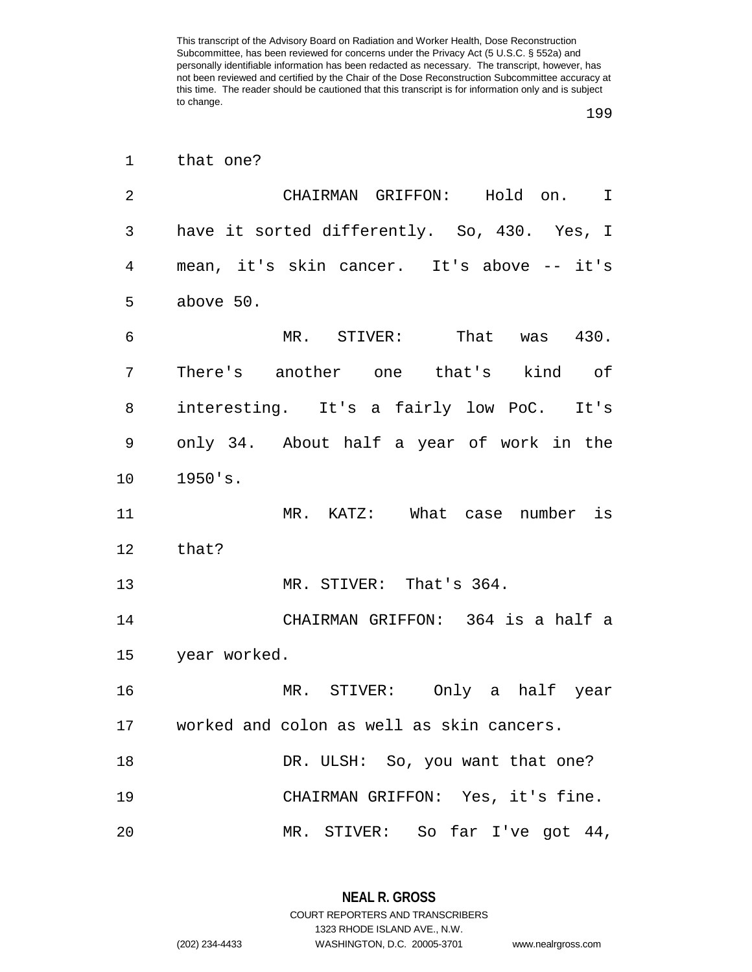| 1               | that one?                                    |
|-----------------|----------------------------------------------|
| 2               | CHAIRMAN GRIFFON: Hold on. I                 |
| 3               | have it sorted differently. So, 430. Yes, I  |
| 4               | mean, it's skin cancer. It's above -- it's   |
| 5               | above 50.                                    |
| 6               | MR. STIVER: That was 430.                    |
| 7               | There's another one that's kind of           |
| 8               | interesting. It's a fairly low PoC. It's     |
| 9               | only 34. About half a year of work in the    |
| 10              | 1950's.                                      |
| 11              | MR. KATZ: What case number is                |
| 12 <sub>2</sub> | that?                                        |
| 13              | MR. STIVER: That's 364.                      |
| 14              | CHAIRMAN GRIFFON: 364 is a half a            |
|                 | 15 year worked.                              |
| 16              | MR. STIVER: Only a half year                 |
|                 | 17 worked and colon as well as skin cancers. |
| 18              | DR. ULSH: So, you want that one?             |
| 19              | CHAIRMAN GRIFFON: Yes, it's fine.            |
| 20              | MR. STIVER: So far I've got 44,              |

**NEAL R. GROSS** COURT REPORTERS AND TRANSCRIBERS 1323 RHODE ISLAND AVE., N.W.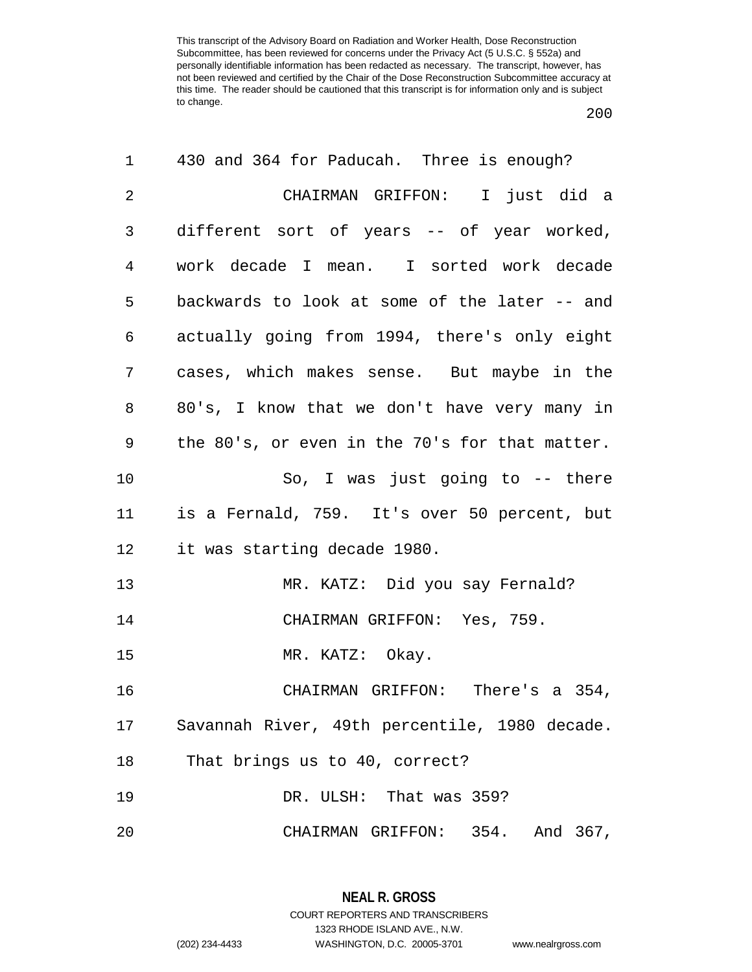| 1              | 430 and 364 for Paducah. Three is enough?      |
|----------------|------------------------------------------------|
| $\overline{2}$ | CHAIRMAN GRIFFON: I just did a                 |
| 3              | different sort of years -- of year worked,     |
| $\overline{4}$ | work decade I mean. I sorted work decade       |
| 5              | backwards to look at some of the later -- and  |
| 6              | actually going from 1994, there's only eight   |
| 7              | cases, which makes sense. But maybe in the     |
| 8              | 80's, I know that we don't have very many in   |
| 9              | the 80's, or even in the 70's for that matter. |
| 10             | So, I was just going to $-$ there              |
| 11             | is a Fernald, 759. It's over 50 percent, but   |
| 12             | it was starting decade 1980.                   |
| 13             | MR. KATZ: Did you say Fernald?                 |
| 14             | CHAIRMAN GRIFFON: Yes, 759.                    |
| 15             | MR. KATZ: Okay.                                |
| 16             | CHAIRMAN GRIFFON: There's a 354,               |
| 17             | Savannah River, 49th percentile, 1980 decade.  |
| 18             | That brings us to 40, correct?                 |
| 19             | DR. ULSH: That was 359?                        |
| 20             | CHAIRMAN GRIFFON: 354. And 367,                |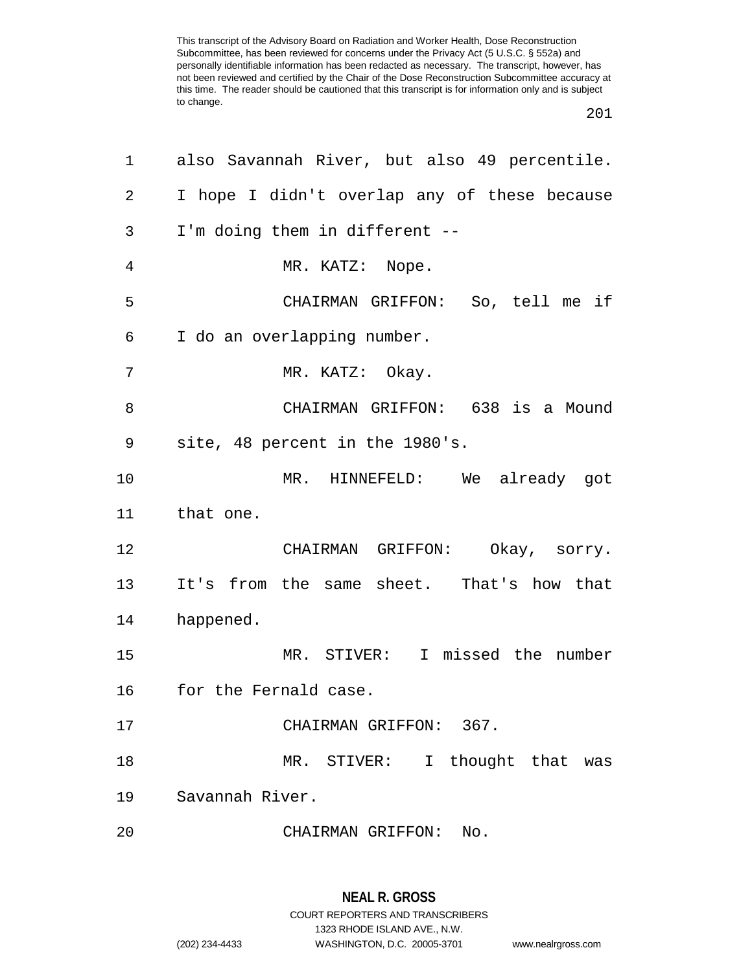| 1  | also Savannah River, but also 49 percentile. |
|----|----------------------------------------------|
| 2  | I hope I didn't overlap any of these because |
| 3  | I'm doing them in different --               |
| 4  | MR. KATZ: Nope.                              |
| 5  | CHAIRMAN GRIFFON: So, tell me if             |
| 6  | I do an overlapping number.                  |
| 7  | MR. KATZ: Okay.                              |
| 8  | CHAIRMAN GRIFFON: 638 is a Mound             |
| 9  | site, 48 percent in the 1980's.              |
| 10 | MR. HINNEFELD: We already got                |
| 11 | that one.                                    |
| 12 | CHAIRMAN GRIFFON: Okay, sorry.               |
| 13 | It's from the same sheet. That's how that    |
| 14 | happened.                                    |
| 15 | MR. STIVER: I missed the number              |
| 16 | for the Fernald case.                        |
| 17 | CHAIRMAN GRIFFON: 367.                       |
| 18 | MR. STIVER: I thought that was               |
| 19 | Savannah River.                              |
| 20 | CHAIRMAN GRIFFON:<br>No.                     |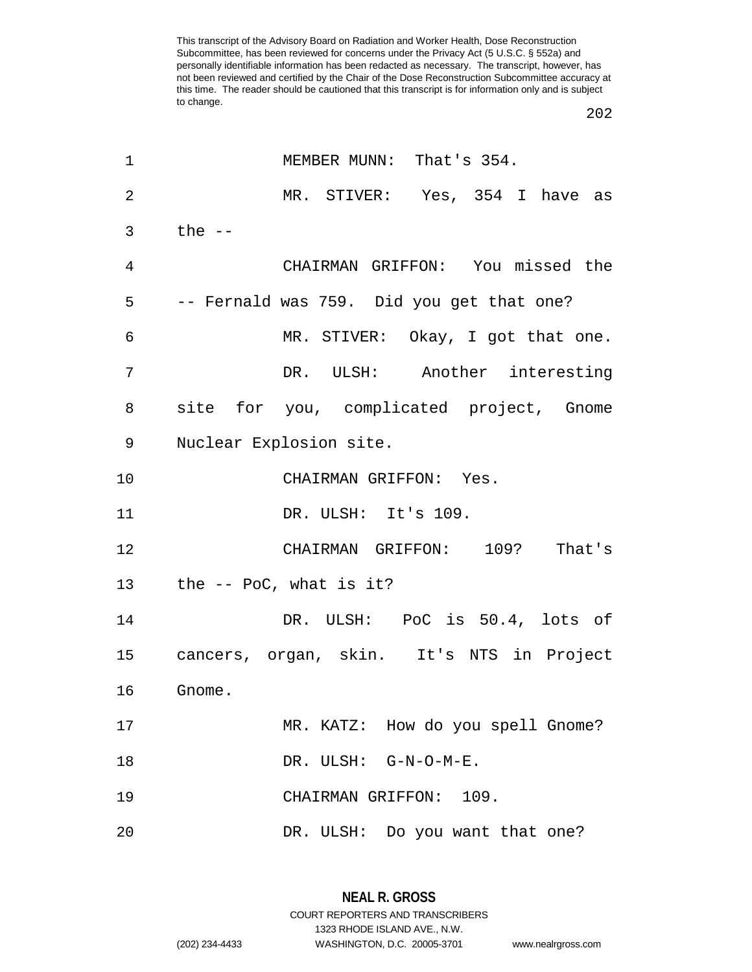| 1  | MEMBER MUNN: That's 354.                  |
|----|-------------------------------------------|
| 2  | MR. STIVER: Yes, 354 I have as            |
| 3  | the $--$                                  |
| 4  | CHAIRMAN GRIFFON: You missed the          |
| 5  | -- Fernald was 759. Did you get that one? |
| 6  | MR. STIVER: Okay, I got that one.         |
| 7  | DR. ULSH: Another interesting             |
| 8  | site for you, complicated project, Gnome  |
| 9  | Nuclear Explosion site.                   |
| 10 | CHAIRMAN GRIFFON: Yes.                    |
| 11 | DR. ULSH: It's 109.                       |
| 12 | CHAIRMAN GRIFFON: 109? That's             |
| 13 | the -- PoC, what is it?                   |
| 14 | DR. ULSH: PoC is 50.4, lots of            |
| 15 | cancers, organ, skin. It's NTS in Project |
| 16 | Gnome.                                    |
| 17 | MR. KATZ: How do you spell Gnome?         |
| 18 | DR. ULSH: G-N-O-M-E.                      |
| 19 | CHAIRMAN GRIFFON: 109.                    |
| 20 | DR. ULSH: Do you want that one?           |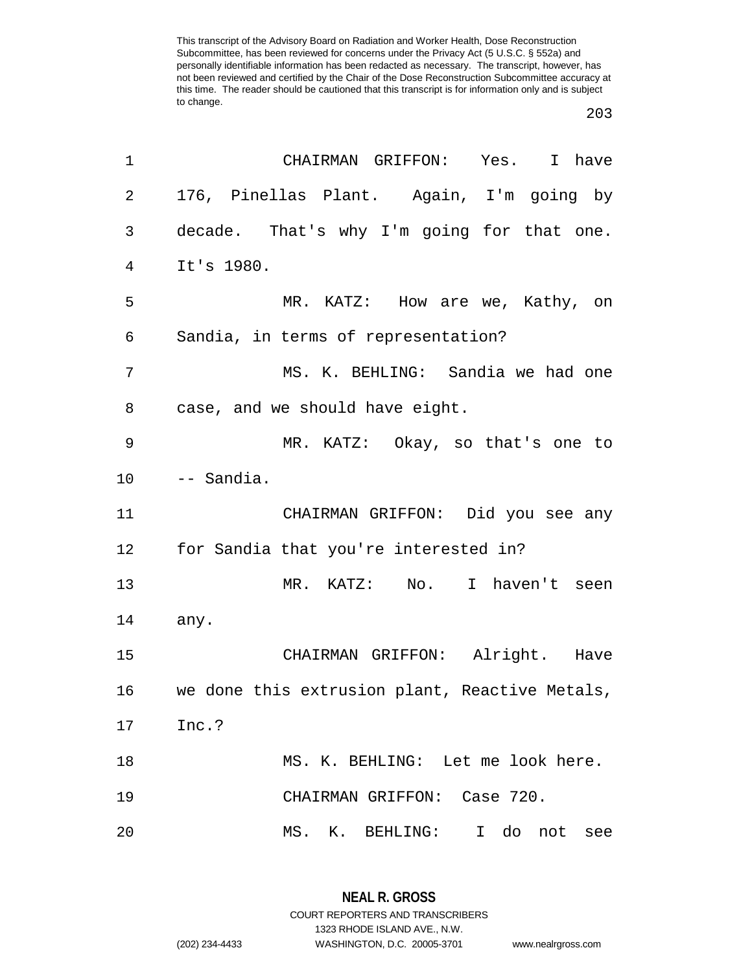## 

| 1  | CHAIRMAN GRIFFON: Yes. I have                  |
|----|------------------------------------------------|
| 2  | 176, Pinellas Plant. Again, I'm going by       |
| 3  | decade. That's why I'm going for that one.     |
| 4  | It's 1980.                                     |
| 5  | MR. KATZ: How are we, Kathy, on                |
| 6  | Sandia, in terms of representation?            |
| 7  | MS. K. BEHLING: Sandia we had one              |
| 8  | case, and we should have eight.                |
| 9  | MR. KATZ: Okay, so that's one to               |
| 10 | -- Sandia.                                     |
| 11 | CHAIRMAN GRIFFON: Did you see any              |
| 12 | for Sandia that you're interested in?          |
| 13 | MR. KATZ: No. I haven't seen                   |
| 14 | any.                                           |
| 15 | CHAIRMAN GRIFFON: Alright. Have                |
| 16 | we done this extrusion plant, Reactive Metals, |
| 17 | Inc.?                                          |
| 18 | MS. K. BEHLING: Let me look here.              |
| 19 | CHAIRMAN GRIFFON: Case 720.                    |
| 20 | MS. K. BEHLING:<br>I do not<br>see             |

**NEAL R. GROSS** COURT REPORTERS AND TRANSCRIBERS 1323 RHODE ISLAND AVE., N.W. (202) 234-4433 WASHINGTON, D.C. 20005-3701 www.nealrgross.com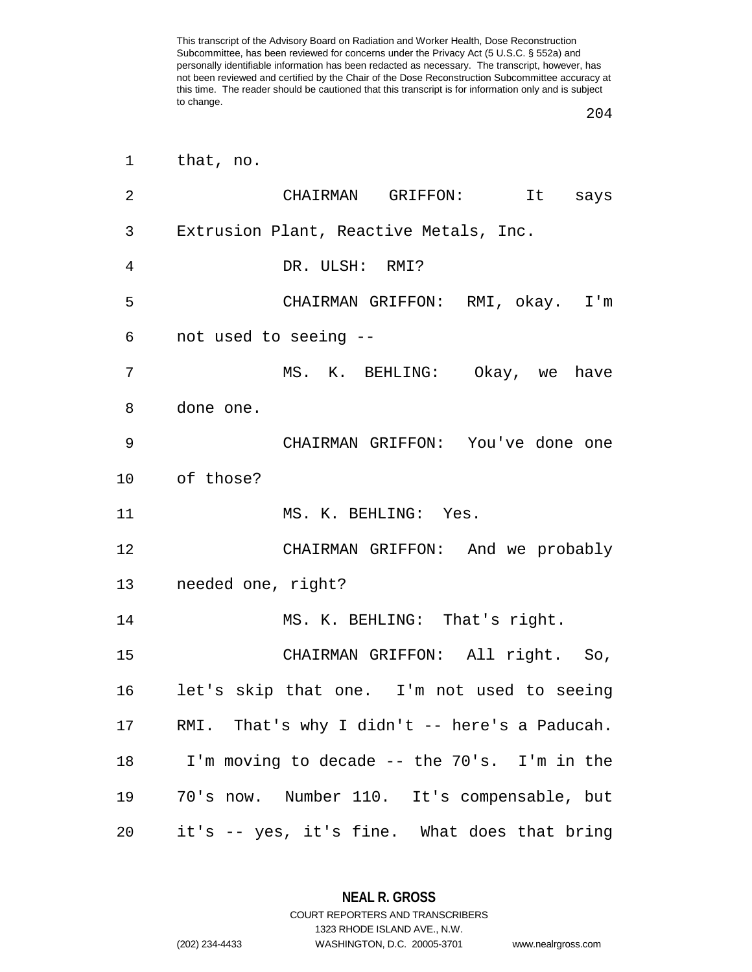| $\overline{2}$ | CHAIRMAN GRIFFON: It says                     |
|----------------|-----------------------------------------------|
| 3              | Extrusion Plant, Reactive Metals, Inc.        |
| 4              | DR. ULSH: RMI?                                |
| 5              | CHAIRMAN GRIFFON: RMI, okay. I'm              |
| 6              | not used to seeing --                         |
| 7              | MS. K. BEHLING: Okay, we have                 |
| 8              | done one.                                     |
| 9              | CHAIRMAN GRIFFON: You've done one             |
|                | 10 of those?                                  |
| 11             | MS. K. BEHLING: Yes.                          |
| 12             | CHAIRMAN GRIFFON: And we probably             |
|                | 13 needed one, right?                         |
| 14             | MS. K. BEHLING: That's right.                 |
| 15             | CHAIRMAN GRIFFON: All right. So,              |
| 16             | let's skip that one. I'm not used to seeing   |
| 17             | RMI. That's why I didn't -- here's a Paducah. |
| 18             | I'm moving to decade -- the 70's. I'm in the  |
| 19             | 70's now. Number 110. It's compensable, but   |
| 20             | it's -- yes, it's fine. What does that bring  |

**NEAL R. GROSS** COURT REPORTERS AND TRANSCRIBERS

1323 RHODE ISLAND AVE., N.W.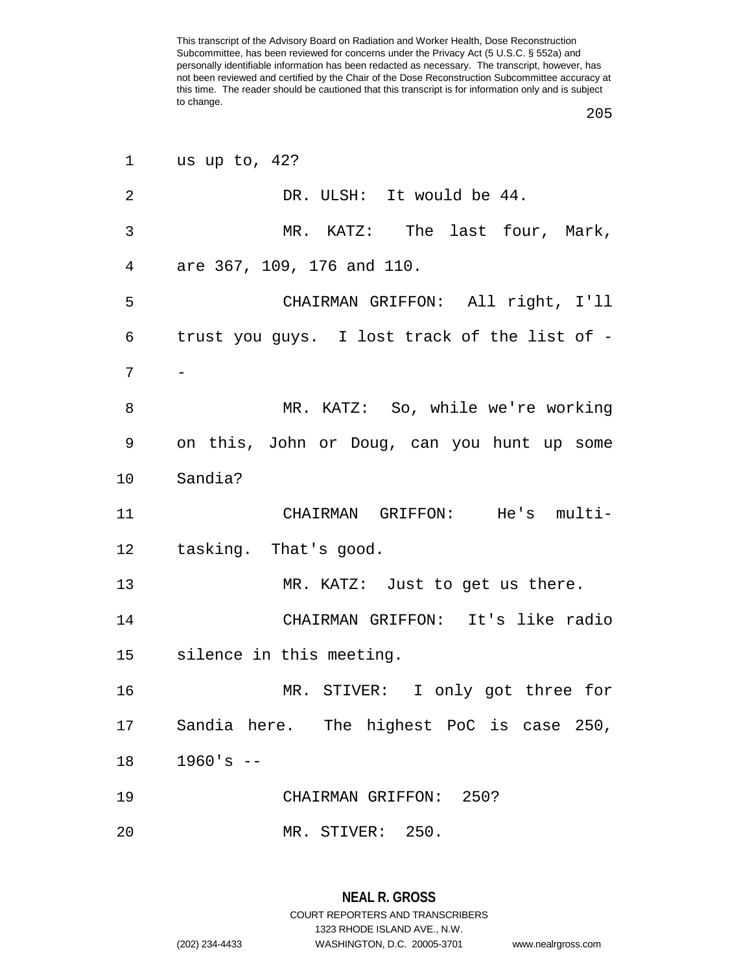| 1              | us up to, 42?                                 |
|----------------|-----------------------------------------------|
| $\overline{2}$ | DR. ULSH: It would be 44.                     |
| 3              | MR. KATZ: The last four, Mark,                |
| $\overline{4}$ | are 367, 109, 176 and 110.                    |
| 5              | CHAIRMAN GRIFFON: All right, I'll             |
| 6              | trust you guys. I lost track of the list of - |
| 7              |                                               |
| 8              | MR. KATZ: So, while we're working             |
| 9              | on this, John or Doug, can you hunt up some   |
| 10             | Sandia?                                       |
| 11             | CHAIRMAN GRIFFON: He's multi-                 |
| 12             | tasking. That's good.                         |
| 13             | MR. KATZ: Just to get us there.               |
| 14             | CHAIRMAN GRIFFON: It's like radio             |
|                | 15 silence in this meeting.                   |
| 16             | MR. STIVER: I only got three for              |
| 17             | Sandia here. The highest PoC is case 250,     |
| 18             | $1960's - -$                                  |
| 19             | CHAIRMAN GRIFFON: 250?                        |
| 20             | MR. STIVER: 250.                              |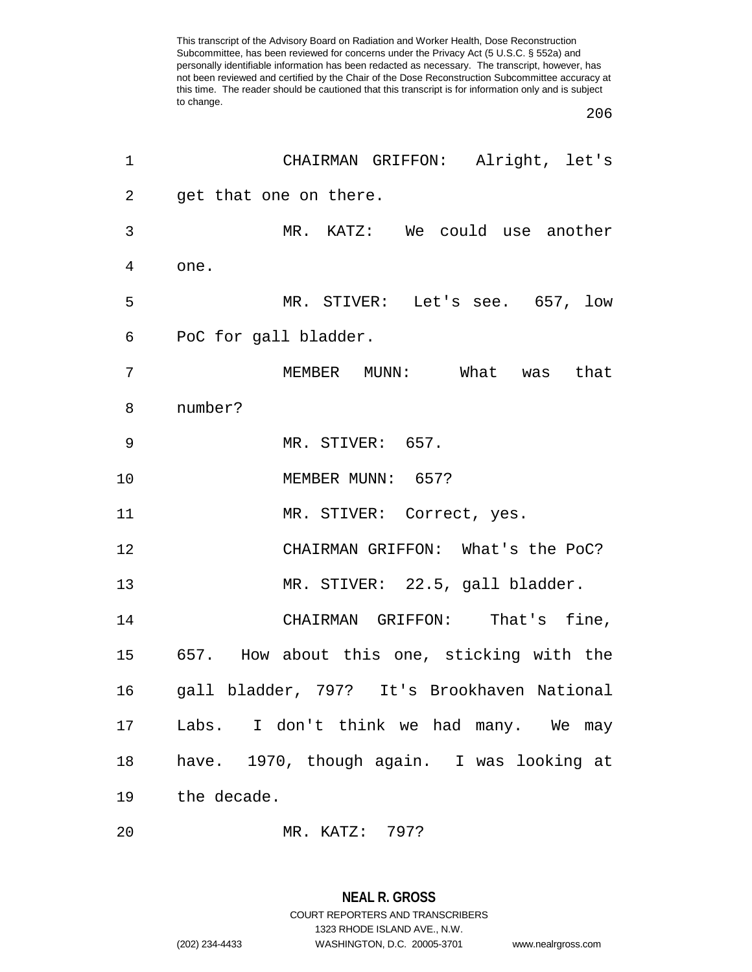| $\mathbf 1$ | CHAIRMAN GRIFFON: Alright, let's            |
|-------------|---------------------------------------------|
| 2           | get that one on there.                      |
| 3           | MR. KATZ: We could use another              |
| 4           | one.                                        |
| 5           | MR. STIVER: Let's see. 657, low             |
| 6           | PoC for gall bladder.                       |
| 7           | MEMBER MUNN: What was that                  |
| 8           | number?                                     |
| 9           | MR. STIVER: 657.                            |
| 10          | MEMBER MUNN: 657?                           |
| 11          | MR. STIVER: Correct, yes.                   |
| 12          | CHAIRMAN GRIFFON: What's the PoC?           |
| 13          | MR. STIVER: 22.5, gall bladder.             |
| 14          | CHAIRMAN GRIFFON: That's fine,              |
| 15          | 657. How about this one, sticking with the  |
| 16          | gall bladder, 797? It's Brookhaven National |
| 17          | Labs. I don't think we had many. We may     |
| 18          | have. 1970, though again. I was looking at  |
| 19          | the decade.                                 |
|             |                                             |

MR. KATZ: 797?

## **NEAL R. GROSS**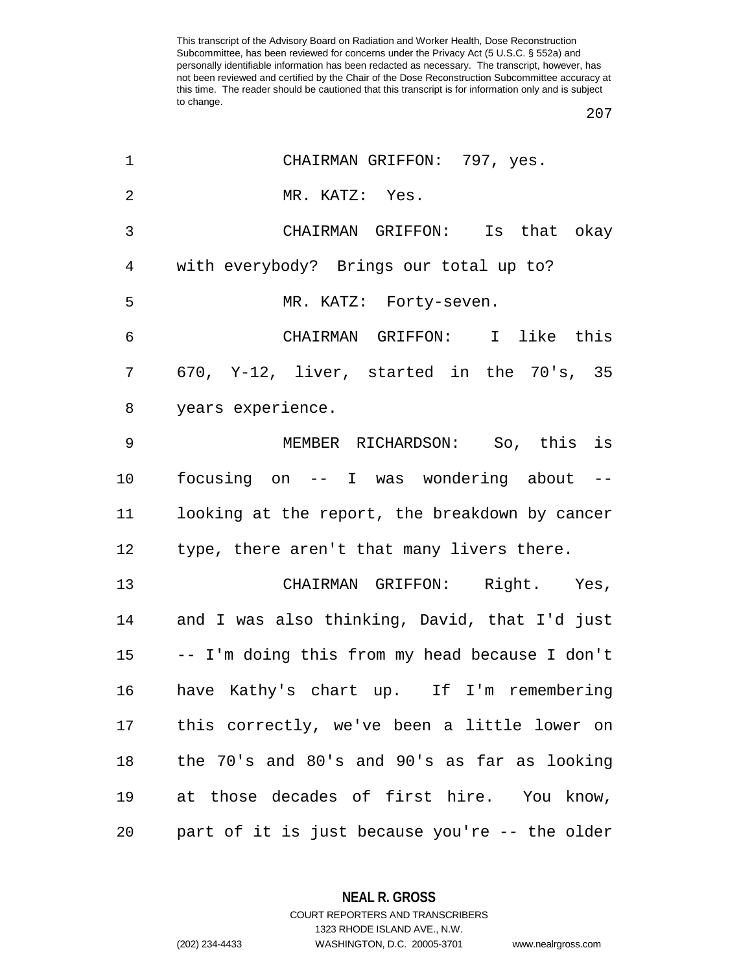| 1               | CHAIRMAN GRIFFON: 797, yes.                    |
|-----------------|------------------------------------------------|
| $\overline{2}$  | MR. KATZ: Yes.                                 |
| $\mathfrak{Z}$  | CHAIRMAN GRIFFON: Is that okay                 |
| $\overline{4}$  | with everybody? Brings our total up to?        |
| 5               | MR. KATZ: Forty-seven.                         |
| 6               | CHAIRMAN GRIFFON: I like this                  |
| 7               | 670, Y-12, liver, started in the 70's, 35      |
| 8               | years experience.                              |
| 9               | MEMBER RICHARDSON: So, this is                 |
| 10              | focusing on -- I was wondering about --        |
| 11              | looking at the report, the breakdown by cancer |
| 12              | type, there aren't that many livers there.     |
| 13              | CHAIRMAN GRIFFON: Right. Yes,                  |
| 14              | and I was also thinking, David, that I'd just  |
| 15 <sub>1</sub> | -- I'm doing this from my head because I don't |
| 16              | have Kathy's chart up. If I'm remembering      |
| 17              | this correctly, we've been a little lower on   |
| 18              | the 70's and 80's and 90's as far as looking   |
| 19              | at those decades of first hire. You know,      |
| 20              | part of it is just because you're -- the older |

**NEAL R. GROSS**

COURT REPORTERS AND TRANSCRIBERS 1323 RHODE ISLAND AVE., N.W. (202) 234-4433 WASHINGTON, D.C. 20005-3701 www.nealrgross.com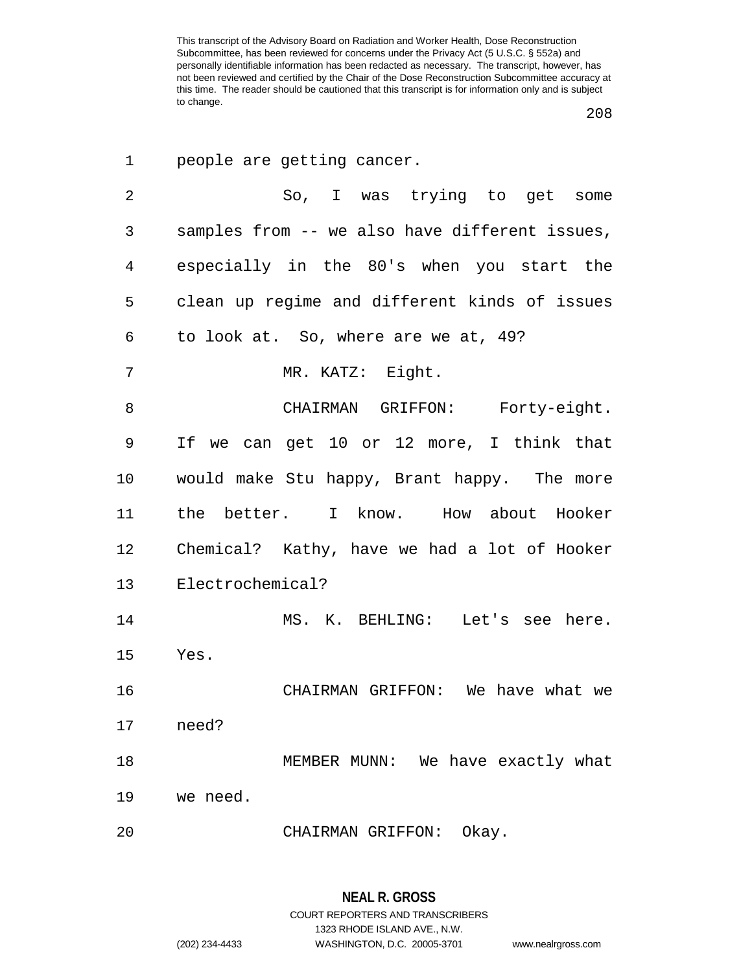| 1              | people are getting cancer.                     |
|----------------|------------------------------------------------|
| $\overline{2}$ | So, I was trying to get some                   |
| 3              | samples from -- we also have different issues, |
| $\overline{4}$ | especially in the 80's when you start the      |
| 5              | clean up regime and different kinds of issues  |
| 6              | to look at. So, where are we at, 49?           |
| 7              | MR. KATZ: Eight.                               |
| 8              | CHAIRMAN GRIFFON: Forty-eight.                 |
| 9              | If we can get 10 or 12 more, I think that      |
| 10             | would make Stu happy, Brant happy. The more    |
| 11             | the better. I know. How about Hooker           |
| 12             | Chemical? Kathy, have we had a lot of Hooker   |
| 13             | Electrochemical?                               |
| 14             | MS. K. BEHLING: Let's see here.                |
| 15             | Yes.                                           |
| 16             | CHAIRMAN GRIFFON: We have what we              |
| 17             | need?                                          |
| 18             | MEMBER MUNN: We have exactly what              |
| 19             | we need.                                       |
| 20             | CHAIRMAN GRIFFON: Okay.                        |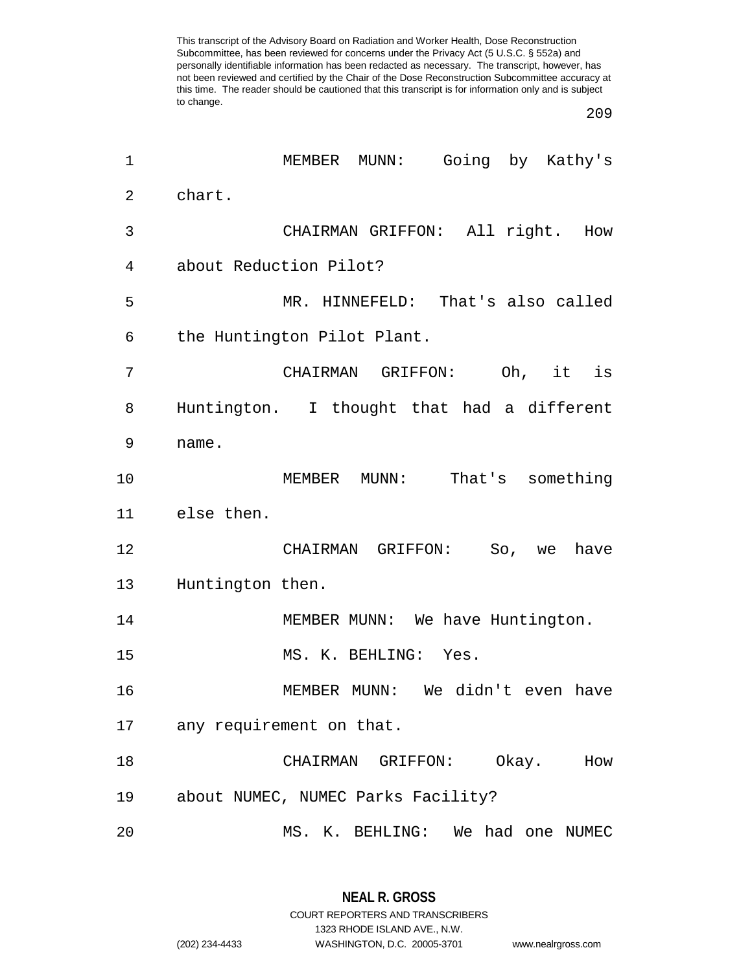| $\mathbf 1$ | Going by Kathy's<br>MEMBER MUNN:           |
|-------------|--------------------------------------------|
| 2           | chart.                                     |
| 3           | CHAIRMAN GRIFFON: All right. How           |
| 4           | about Reduction Pilot?                     |
| 5           | MR. HINNEFELD: That's also called          |
| 6           | the Huntington Pilot Plant.                |
| 7           | CHAIRMAN GRIFFON: Oh, it is                |
| 8           | Huntington. I thought that had a different |
| 9           | name.                                      |
| 10          | MUNN: That's something<br>MEMBER           |
| 11          | else then.                                 |
| 12          | CHAIRMAN GRIFFON:<br>So, we<br>have        |
| 13          | Huntington then.                           |
| 14          | MEMBER MUNN: We have Huntington.           |
| 15          | MS. K. BEHLING: Yes.                       |
| 16          | MEMBER MUNN: We didn't even have           |
| 17          | any requirement on that.                   |
| 18          | Okay.<br>CHAIRMAN GRIFFON:<br>How          |
| 19          | about NUMEC, NUMEC Parks Facility?         |
| 20          | We had one NUMEC<br>MS. K. BEHLING:        |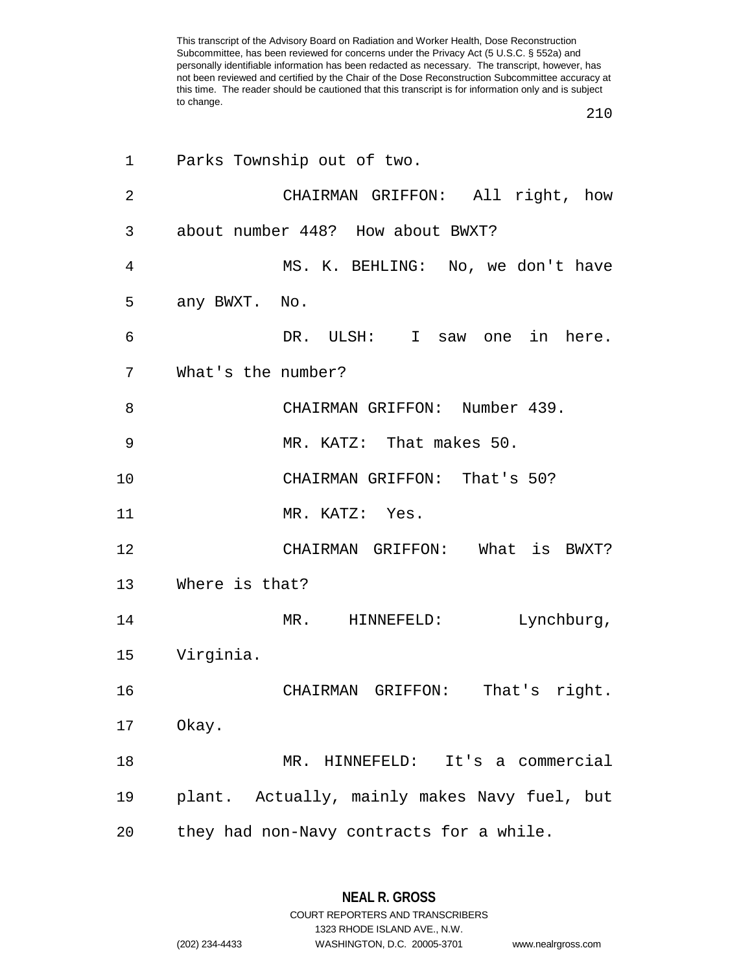| 1              | Parks Township out of two.                   |
|----------------|----------------------------------------------|
| $\overline{2}$ | CHAIRMAN GRIFFON: All right, how             |
| 3              | about number 448? How about BWXT?            |
| 4              | MS. K. BEHLING: No, we don't have            |
| 5              | any BWXT. No.                                |
| 6              | DR. ULSH: I<br>saw one in here.              |
| 7              | What's the number?                           |
| 8              | CHAIRMAN GRIFFON: Number 439.                |
| 9              | MR. KATZ: That makes 50.                     |
| 10             | CHAIRMAN GRIFFON: That's 50?                 |
| 11             | MR. KATZ: Yes.                               |
| 12             | CHAIRMAN GRIFFON: What<br>is BWXT?           |
| 13             | Where is that?                               |
| 14             | Lynchburg,<br>MR.<br>HINNEFELD:              |
| 15             | Virginia.                                    |
| 16             | CHAIRMAN GRIFFON:<br>That's right.           |
| 17             | Okay.                                        |
| 18             | MR. HINNEFELD: It's a commercial             |
| 19             | plant. Actually, mainly makes Navy fuel, but |
| 20             | they had non-Navy contracts for a while.     |

**NEAL R. GROSS** COURT REPORTERS AND TRANSCRIBERS

1323 RHODE ISLAND AVE., N.W.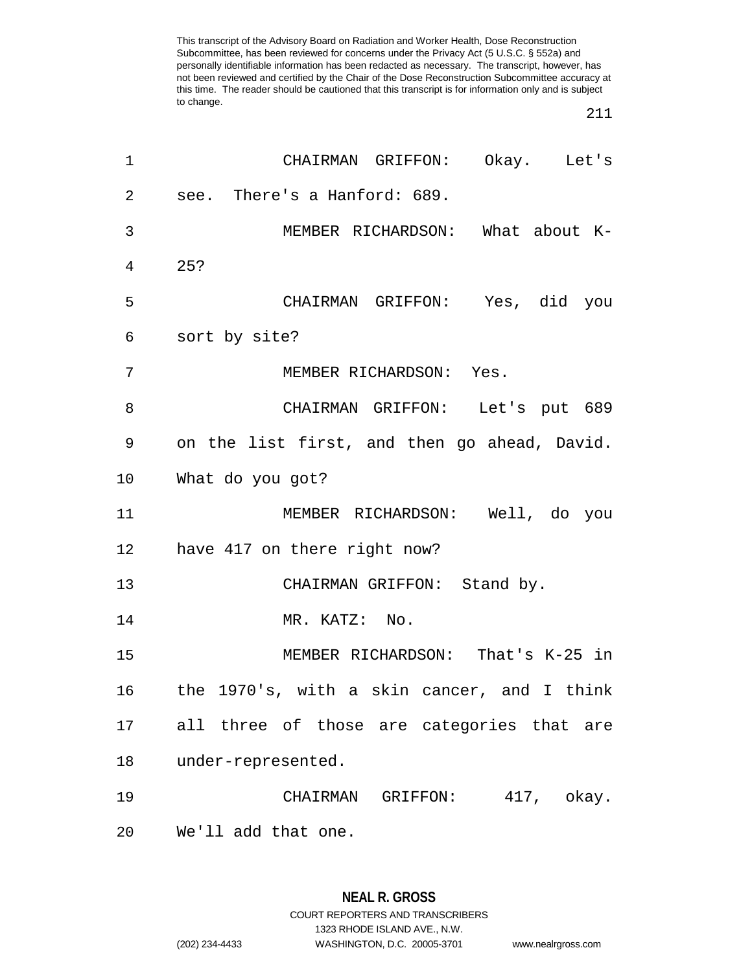| $\mathbf 1$    | CHAIRMAN GRIFFON: Okay. Let's                |
|----------------|----------------------------------------------|
| $\overline{2}$ | see. There's a Hanford: 689.                 |
| 3              | MEMBER RICHARDSON: What about K-             |
| 4              | 25?                                          |
| 5              | CHAIRMAN GRIFFON: Yes, did you               |
| 6              | sort by site?                                |
| 7              | MEMBER RICHARDSON: Yes.                      |
| 8              | CHAIRMAN GRIFFON: Let's put 689              |
| 9              | on the list first, and then go ahead, David. |
| 10             | What do you got?                             |
| 11             | MEMBER RICHARDSON: Well, do you              |
|                | 12 have 417 on there right now?              |
| 13             | CHAIRMAN GRIFFON: Stand by.                  |
| 14             | MR. KATZ: No.                                |
| 15             | MEMBER RICHARDSON: That's K-25 in            |
| 16             | the 1970's, with a skin cancer, and I think  |
| 17             | all three of those are categories that are   |
| 18             | under-represented.                           |
| 19             | CHAIRMAN GRIFFON: 417, okay.                 |
| 20             | We'll add that one.                          |

**NEAL R. GROSS** COURT REPORTERS AND TRANSCRIBERS 1323 RHODE ISLAND AVE., N.W. (202) 234-4433 WASHINGTON, D.C. 20005-3701 www.nealrgross.com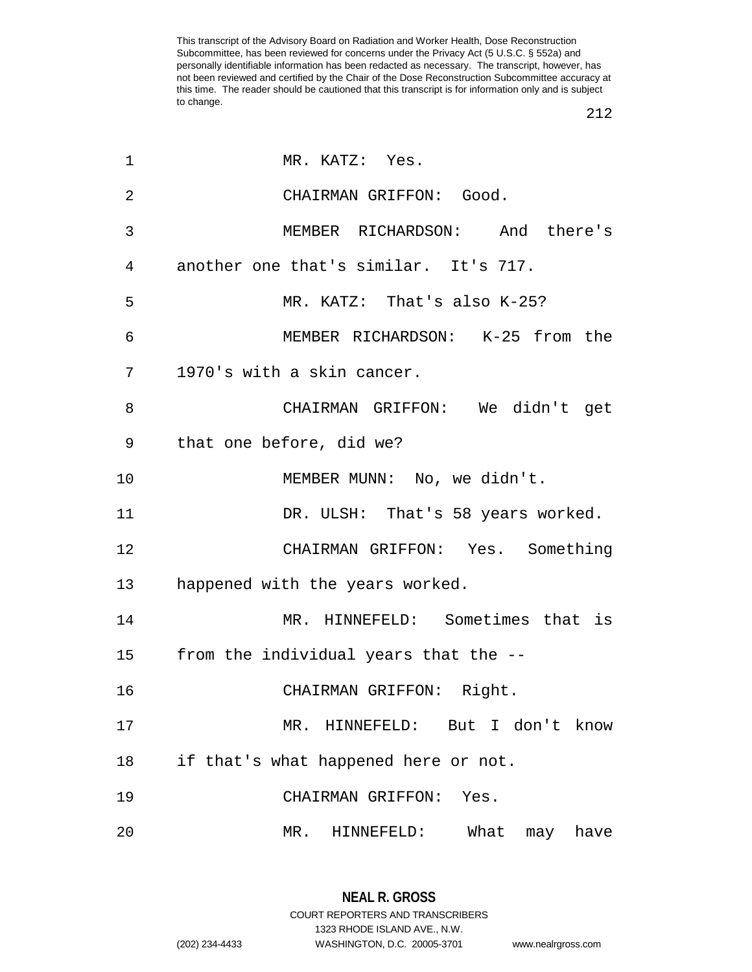| 1              | MR. KATZ: Yes.                        |
|----------------|---------------------------------------|
| $\overline{2}$ | CHAIRMAN GRIFFON: Good.               |
| 3              | MEMBER RICHARDSON: And there's        |
| 4              | another one that's similar. It's 717. |
| 5              | MR. KATZ: That's also K-25?           |
| 6              | MEMBER RICHARDSON: K-25 from the      |
| 7              | 1970's with a skin cancer.            |
| 8              | CHAIRMAN GRIFFON: We didn't get       |
| 9              | that one before, did we?              |
| 10             | MEMBER MUNN: No, we didn't.           |
| 11             | DR. ULSH: That's 58 years worked.     |
| 12             | CHAIRMAN GRIFFON: Yes. Something      |
| 13             | happened with the years worked.       |
| 14             | MR. HINNEFELD: Sometimes that is      |
| 15             | from the individual years that the -- |
| 16             | CHAIRMAN GRIFFON: Right.              |
| 17             | MR. HINNEFELD: But I don't know       |
| 18             | if that's what happened here or not.  |
| 19             | CHAIRMAN GRIFFON: Yes.                |
| 20             | HINNEFELD: What may have<br>MR.       |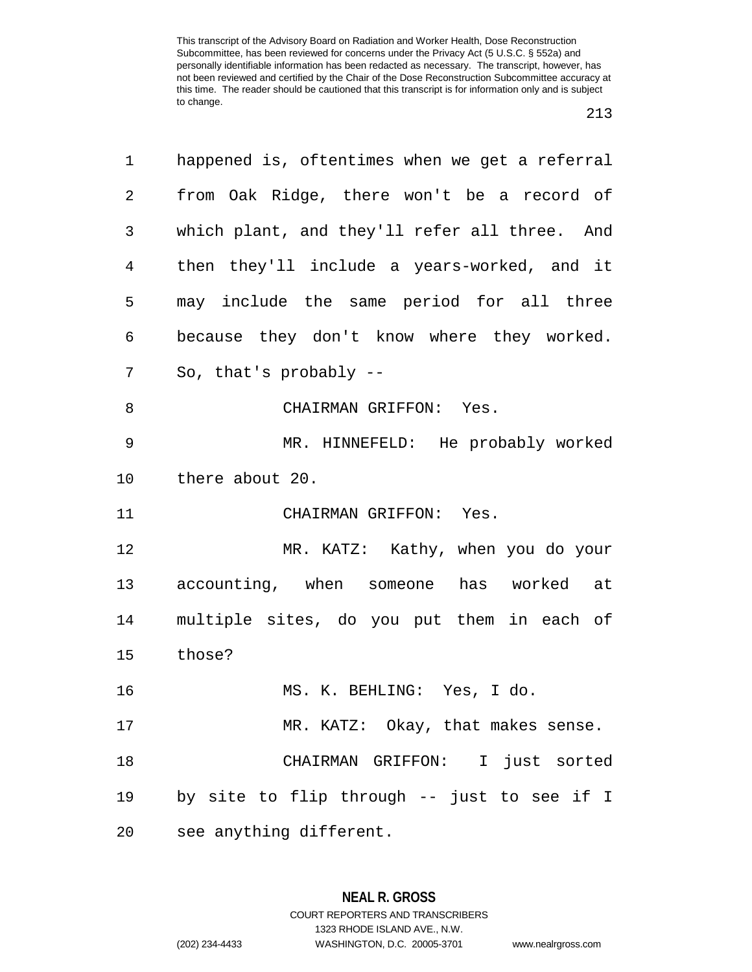| 1  | happened is, oftentimes when we get a referral |
|----|------------------------------------------------|
| 2  | from Oak Ridge, there won't be a record of     |
| 3  | which plant, and they'll refer all three. And  |
| 4  | then they'll include a years-worked, and it    |
| 5  | may include the same period for all three      |
| 6  | because they don't know where they worked.     |
| 7  | So, that's probably --                         |
| 8  | CHAIRMAN GRIFFON: Yes.                         |
| 9  | MR. HINNEFELD: He probably worked              |
| 10 | there about 20.                                |
| 11 | CHAIRMAN GRIFFON: Yes.                         |
| 12 | MR. KATZ: Kathy, when you do your              |
| 13 | accounting, when someone has worked at         |
| 14 | multiple sites, do you put them in each of     |
| 15 | those?                                         |
| 16 | MS. K. BEHLING: Yes, I do.                     |
| 17 | MR. KATZ: Okay, that makes sense.              |
| 18 | CHAIRMAN GRIFFON: I just sorted                |
| 19 | by site to flip through -- just to see if I    |
| 20 | see anything different.                        |

**NEAL R. GROSS** COURT REPORTERS AND TRANSCRIBERS

1323 RHODE ISLAND AVE., N.W.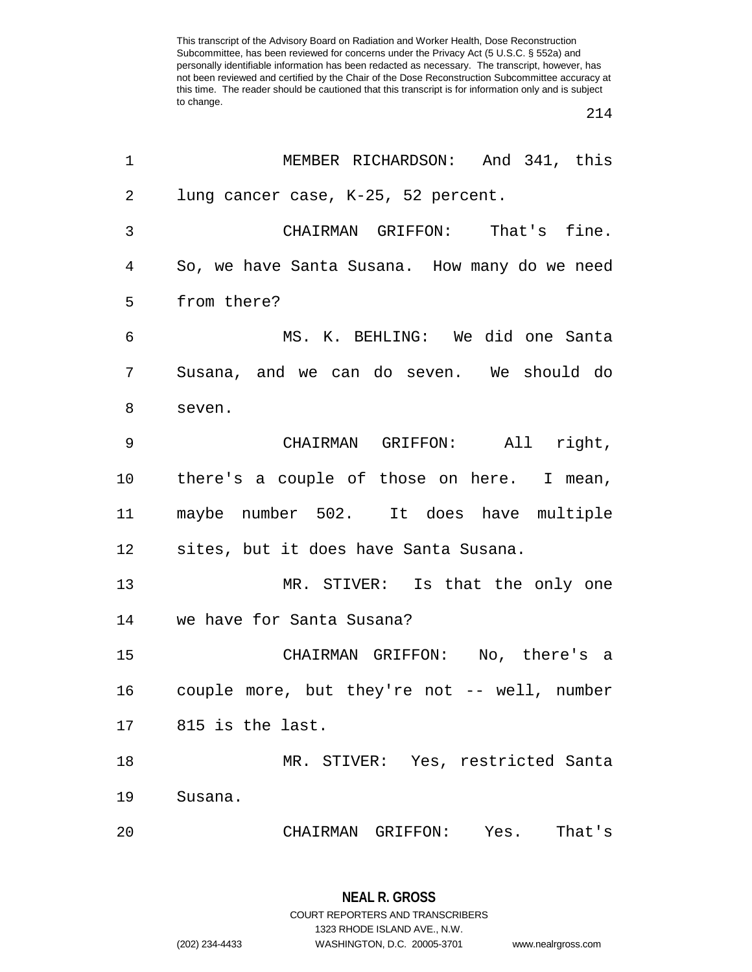$\overline{a}$ 

| 1              | MEMBER RICHARDSON: And 341, this              |
|----------------|-----------------------------------------------|
| $\overline{2}$ | lung cancer case, K-25, 52 percent.           |
| 3              | CHAIRMAN GRIFFON: That's fine.                |
| 4              | So, we have Santa Susana. How many do we need |
| 5              | from there?                                   |
| 6              | MS. K. BEHLING: We did one Santa              |
| 7              | Susana, and we can do seven. We should do     |
| 8              | seven.                                        |
| $\mathsf 9$    | CHAIRMAN GRIFFON: All right,                  |
| 10             | there's a couple of those on here. I mean,    |
| 11             | maybe number 502. It does have multiple       |
| 12             | sites, but it does have Santa Susana.         |
| 13             | MR. STIVER: Is that the only one              |
| 14             | we have for Santa Susana?                     |
| 15             | CHAIRMAN GRIFFON: No, there's a               |
| 16             | couple more, but they're not -- well, number  |
| 17             | 815 is the last.                              |
| 18             | MR. STIVER: Yes, restricted Santa             |
| 19             | Susana.                                       |
| 20             | That's<br>CHAIRMAN GRIFFON: Yes.              |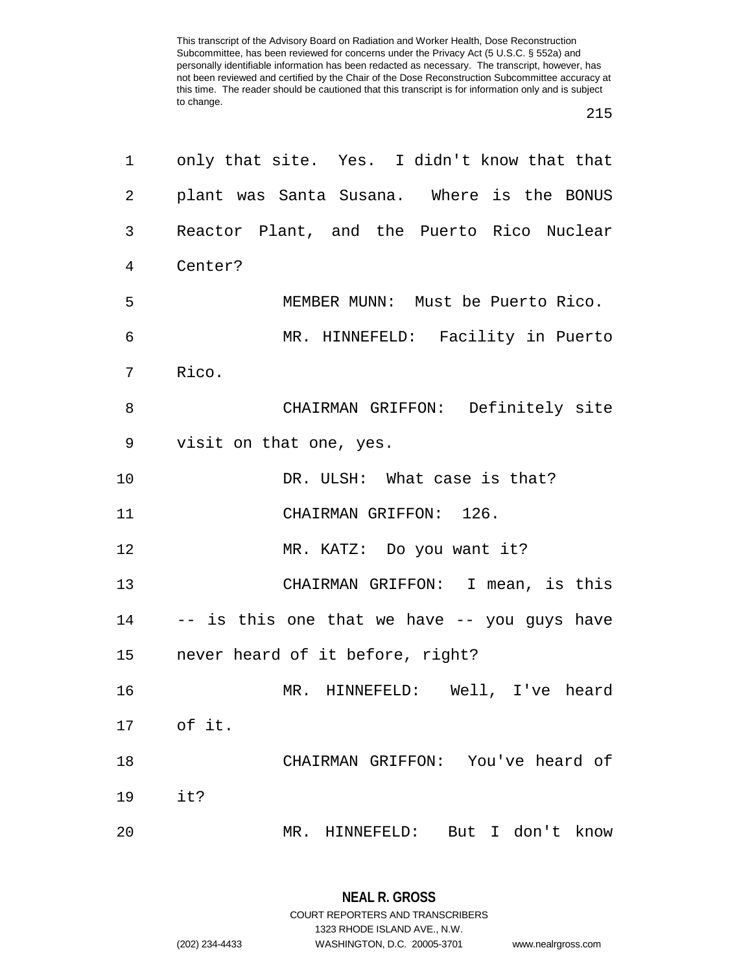| 1  | only that site. Yes. I didn't know that that |
|----|----------------------------------------------|
| 2  | plant was Santa Susana. Where is the BONUS   |
| 3  | Reactor Plant, and the Puerto Rico Nuclear   |
| 4  | Center?                                      |
| 5  | MEMBER MUNN: Must be Puerto Rico.            |
| 6  | MR. HINNEFELD: Facility in Puerto            |
| 7  | Rico.                                        |
| 8  | CHAIRMAN GRIFFON: Definitely site            |
| 9  | visit on that one, yes.                      |
| 10 | DR. ULSH: What case is that?                 |
| 11 | CHAIRMAN GRIFFON: 126.                       |
| 12 | MR. KATZ: Do you want it?                    |
| 13 | CHAIRMAN GRIFFON: I mean, is this            |
| 14 | -- is this one that we have -- you guys have |
| 15 | never heard of it before, right?             |
| 16 | MR. HINNEFELD: Well, I've heard              |
| 17 | of it.                                       |
| 18 | CHAIRMAN GRIFFON: You've heard of            |
| 19 | it?                                          |
| 20 | But I don't<br>know<br>MR. HINNEFELD:        |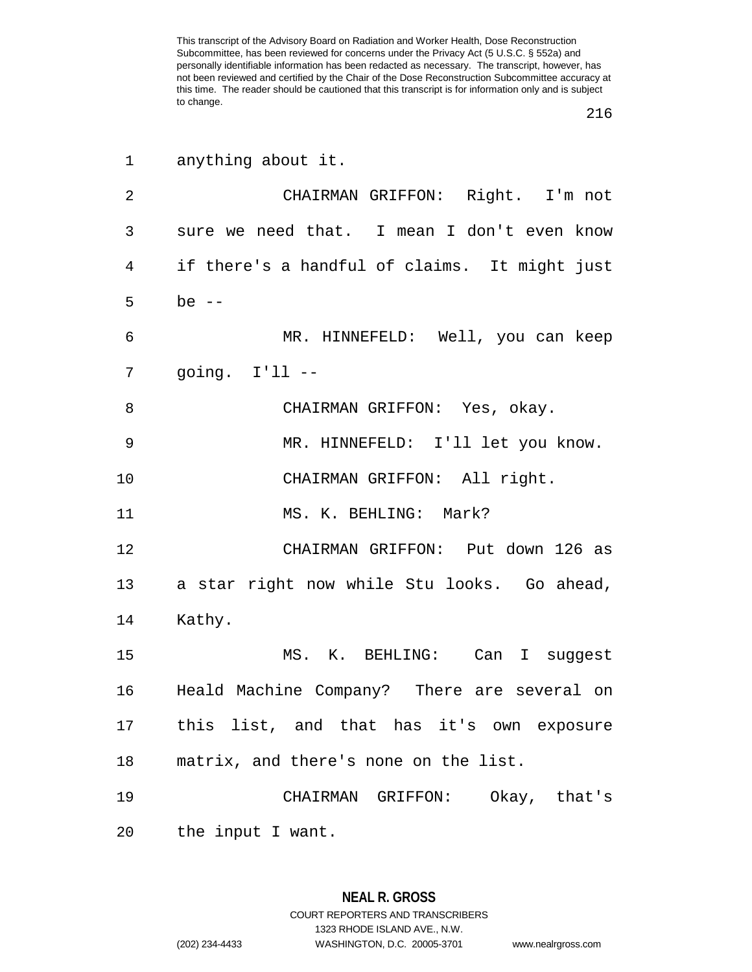| 1  | anything about it.                             |
|----|------------------------------------------------|
| 2  | CHAIRMAN GRIFFON: Right. I'm not               |
| 3  | sure we need that. I mean I don't even know    |
| 4  | if there's a handful of claims. It might just  |
| 5  | be $--$                                        |
| 6  | MR. HINNEFELD: Well, you can keep              |
| 7  | going. $I'11$ --                               |
| 8  | CHAIRMAN GRIFFON: Yes, okay.                   |
| 9  | MR. HINNEFELD: I'll let you know.              |
| 10 | CHAIRMAN GRIFFON: All right.                   |
| 11 | MS. K. BEHLING: Mark?                          |
| 12 | CHAIRMAN GRIFFON: Put down 126 as              |
| 13 | a star right now while Stu looks. Go ahead,    |
| 14 | Kathy.                                         |
| 15 | MS. K. BEHLING: Can I suggest                  |
|    | 16 Heald Machine Company? There are several on |
|    | 17 this list, and that has it's own exposure   |
| 18 | matrix, and there's none on the list.          |
| 19 | CHAIRMAN GRIFFON: Okay, that's                 |
| 20 | the input I want.                              |

**NEAL R. GROSS** COURT REPORTERS AND TRANSCRIBERS 1323 RHODE ISLAND AVE., N.W. (202) 234-4433 WASHINGTON, D.C. 20005-3701 www.nealrgross.com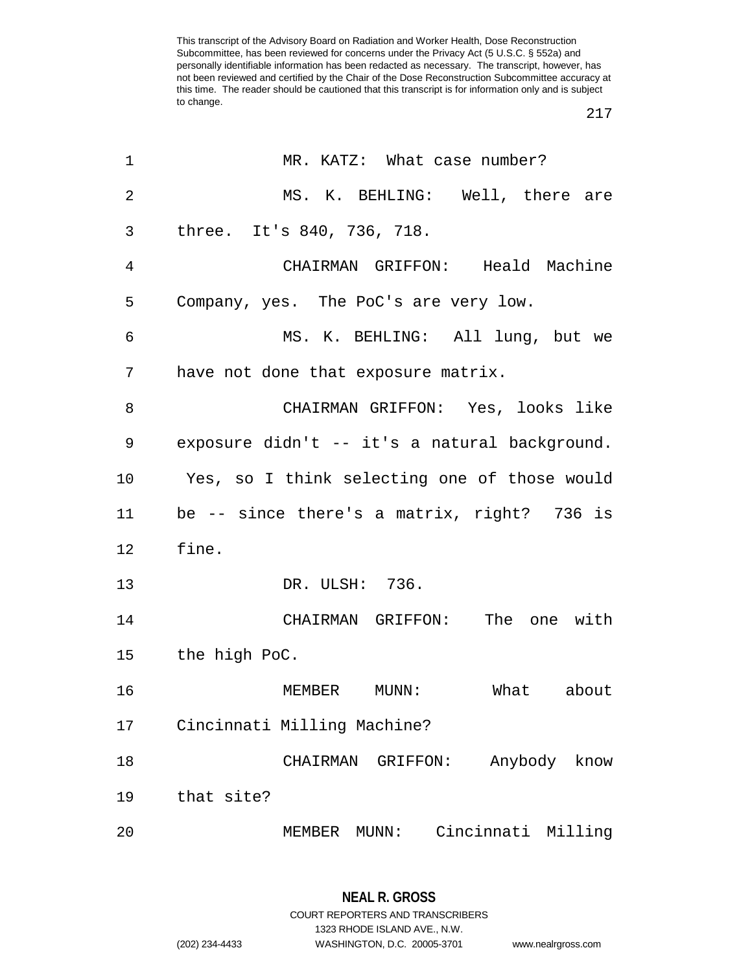| 1              | MR. KATZ: What case number?                   |  |  |  |
|----------------|-----------------------------------------------|--|--|--|
| $\overline{2}$ | MS. K. BEHLING: Well, there are               |  |  |  |
| 3              | three. It's 840, 736, 718.                    |  |  |  |
| 4              | CHAIRMAN GRIFFON: Heald Machine               |  |  |  |
| 5              | Company, yes. The PoC's are very low.         |  |  |  |
| 6              | MS. K. BEHLING: All lung, but we              |  |  |  |
| 7              | have not done that exposure matrix.           |  |  |  |
| 8              | CHAIRMAN GRIFFON: Yes, looks like             |  |  |  |
| 9              | exposure didn't -- it's a natural background. |  |  |  |
| 10             | Yes, so I think selecting one of those would  |  |  |  |
| 11             | be -- since there's a matrix, right? 736 is   |  |  |  |
| 12             | fine.                                         |  |  |  |
| 13             | DR. ULSH: 736.                                |  |  |  |
| 14             | CHAIRMAN GRIFFON: The one with                |  |  |  |
|                | 15 the high PoC.                              |  |  |  |
| 16             | MUNN: What about<br>MEMBER                    |  |  |  |
| 17             | Cincinnati Milling Machine?                   |  |  |  |
| 18             | Anybody know<br>CHAIRMAN<br>GRIFFON:          |  |  |  |
| 19             | that site?                                    |  |  |  |
| 20             | Cincinnati Milling<br>MEMBER<br>MUNN:         |  |  |  |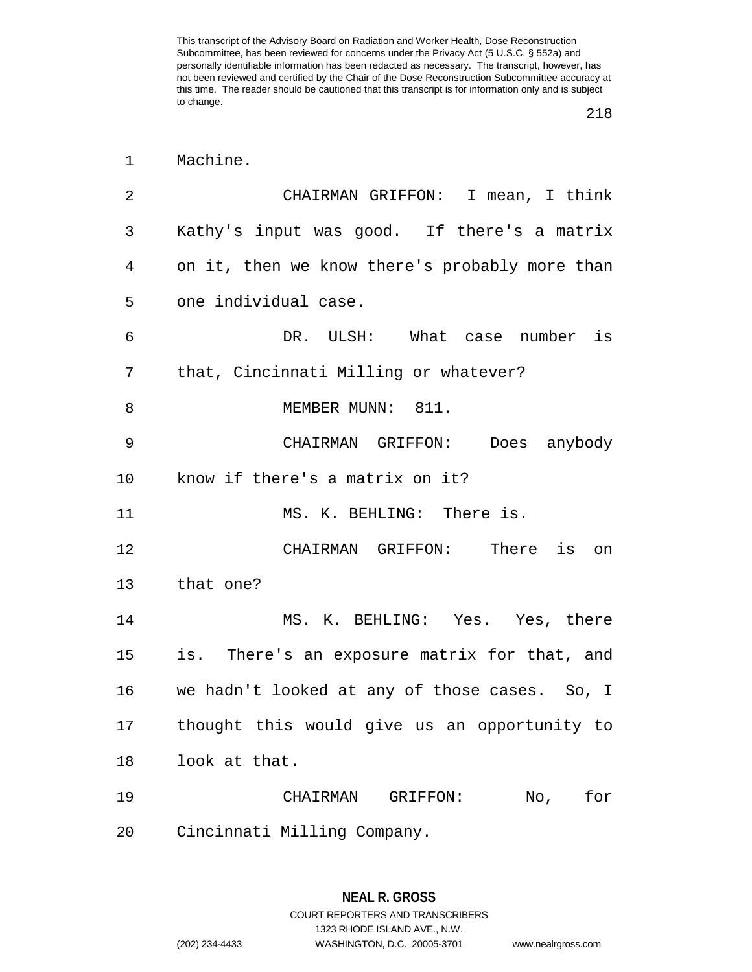| $\mathbf 1$ | Machine.                                       |  |  |  |
|-------------|------------------------------------------------|--|--|--|
| 2           | CHAIRMAN GRIFFON: I mean, I think              |  |  |  |
| 3           | Kathy's input was good. If there's a matrix    |  |  |  |
| 4           | on it, then we know there's probably more than |  |  |  |
| 5           | one individual case.                           |  |  |  |
| 6           | DR. ULSH: What case number is                  |  |  |  |
| 7           | that, Cincinnati Milling or whatever?          |  |  |  |
| 8           | MEMBER MUNN: 811.                              |  |  |  |
| 9           | CHAIRMAN GRIFFON: Does anybody                 |  |  |  |
| 10          | know if there's a matrix on it?                |  |  |  |
| 11          | MS. K. BEHLING: There is.                      |  |  |  |
| 12          | CHAIRMAN GRIFFON: There is on                  |  |  |  |
| 13          | that one?                                      |  |  |  |
| 14          | MS. K. BEHLING: Yes. Yes, there                |  |  |  |
| 15          | is. There's an exposure matrix for that, and   |  |  |  |
| 16          | we hadn't looked at any of those cases. So, I  |  |  |  |
| 17          | thought this would give us an opportunity to   |  |  |  |
| 18          | look at that.                                  |  |  |  |
| 19          | No,<br>for<br>CHAIRMAN GRIFFON:                |  |  |  |
| 20          | Cincinnati Milling Company.                    |  |  |  |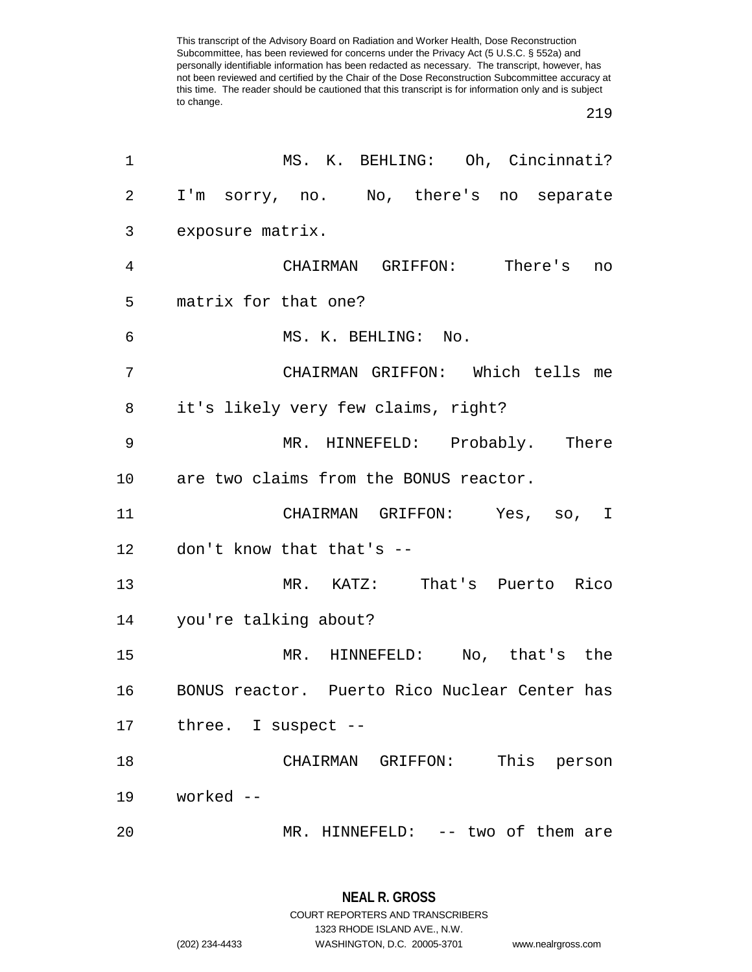| 1              | MS. K. BEHLING: Oh, Cincinnati?               |
|----------------|-----------------------------------------------|
| $\overline{a}$ | I'm sorry, no. No, there's no separate        |
| 3              | exposure matrix.                              |
| 4              | CHAIRMAN GRIFFON: There's no                  |
| 5              | matrix for that one?                          |
| 6              | MS. K. BEHLING: No.                           |
| 7              | CHAIRMAN GRIFFON: Which tells me              |
| 8              | it's likely very few claims, right?           |
| 9              | MR. HINNEFELD: Probably. There                |
|                | 10 are two claims from the BONUS reactor.     |
| 11             | CHAIRMAN GRIFFON: Yes, so, I                  |
|                | 12 don't know that that's --                  |
| 13             | MR. KATZ: That's Puerto Rico                  |
|                | 14 you're talking about?                      |
| 15             | MR. HINNEFELD: No, that's the                 |
| 16             | BONUS reactor. Puerto Rico Nuclear Center has |
| 17             | three. I suspect --                           |
| 18             | This person<br>CHAIRMAN GRIFFON:              |
| 19             | worked --                                     |
| 20             | MR. HINNEFELD: -- two of them are             |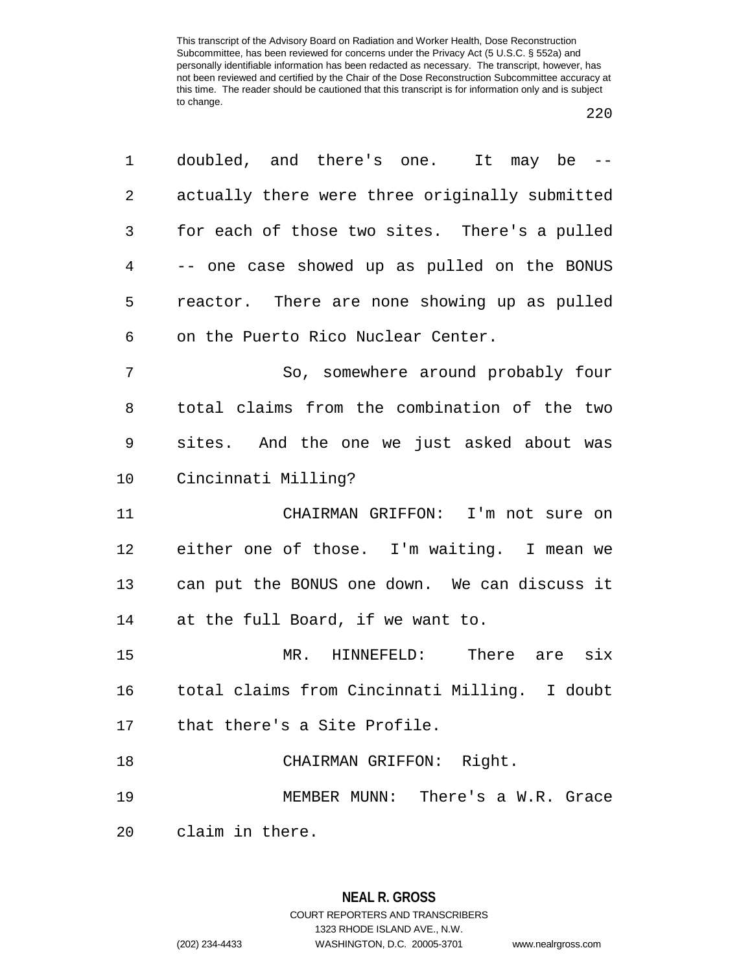| 1  | doubled, and there's one. It may be --         |
|----|------------------------------------------------|
| 2  | actually there were three originally submitted |
| 3  | for each of those two sites. There's a pulled  |
| 4  | -- one case showed up as pulled on the BONUS   |
| 5  | reactor. There are none showing up as pulled   |
| 6  | on the Puerto Rico Nuclear Center.             |
| 7  | So, somewhere around probably four             |
| 8  | total claims from the combination of the two   |
| 9  | sites. And the one we just asked about was     |
| 10 | Cincinnati Milling?                            |
| 11 | CHAIRMAN GRIFFON: I'm not sure on              |
| 12 | either one of those. I'm waiting. I mean we    |
| 13 | can put the BONUS one down. We can discuss it  |
| 14 | at the full Board, if we want to.              |
| 15 | MR. HINNEFELD: There are six                   |
| 16 | total claims from Cincinnati Milling. I doubt  |
|    | 17 that there's a Site Profile.                |
| 18 | CHAIRMAN GRIFFON: Right.                       |
| 19 | MEMBER MUNN: There's a W.R. Grace              |
| 20 | claim in there.                                |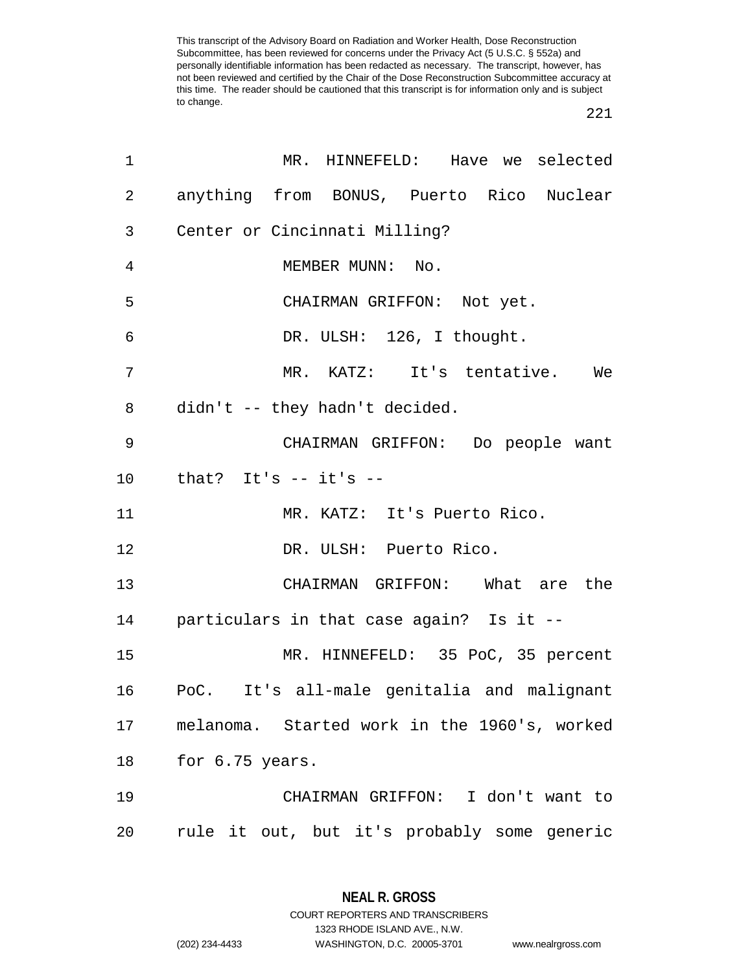| 1              | MR. HINNEFELD: Have we selected              |
|----------------|----------------------------------------------|
| 2              | anything from BONUS, Puerto Rico Nuclear     |
| 3              | Center or Cincinnati Milling?                |
| $\overline{4}$ | MEMBER MUNN: No.                             |
| 5              | CHAIRMAN GRIFFON: Not yet.                   |
| 6              | DR. ULSH: 126, I thought.                    |
| 7              | MR. KATZ: It's tentative. We                 |
| 8              | didn't -- they hadn't decided.               |
| 9              | CHAIRMAN GRIFFON: Do people want             |
| 10             | that? It's -- it's --                        |
| 11             | MR. KATZ: It's Puerto Rico.                  |
| 12             | DR. ULSH: Puerto Rico.                       |
| 13             | CHAIRMAN GRIFFON: What are the               |
| 14             | particulars in that case again? Is it --     |
| 15             | MR. HINNEFELD: 35 PoC, 35 percent            |
| 16             | PoC. It's all-male genitalia and malignant   |
| 17             | melanoma. Started work in the 1960's, worked |
| 18             | for 6.75 years.                              |
| 19             | CHAIRMAN GRIFFON: I don't want to            |
| 20             | rule it out, but it's probably some generic  |

**NEAL R. GROSS** COURT REPORTERS AND TRANSCRIBERS

1323 RHODE ISLAND AVE., N.W.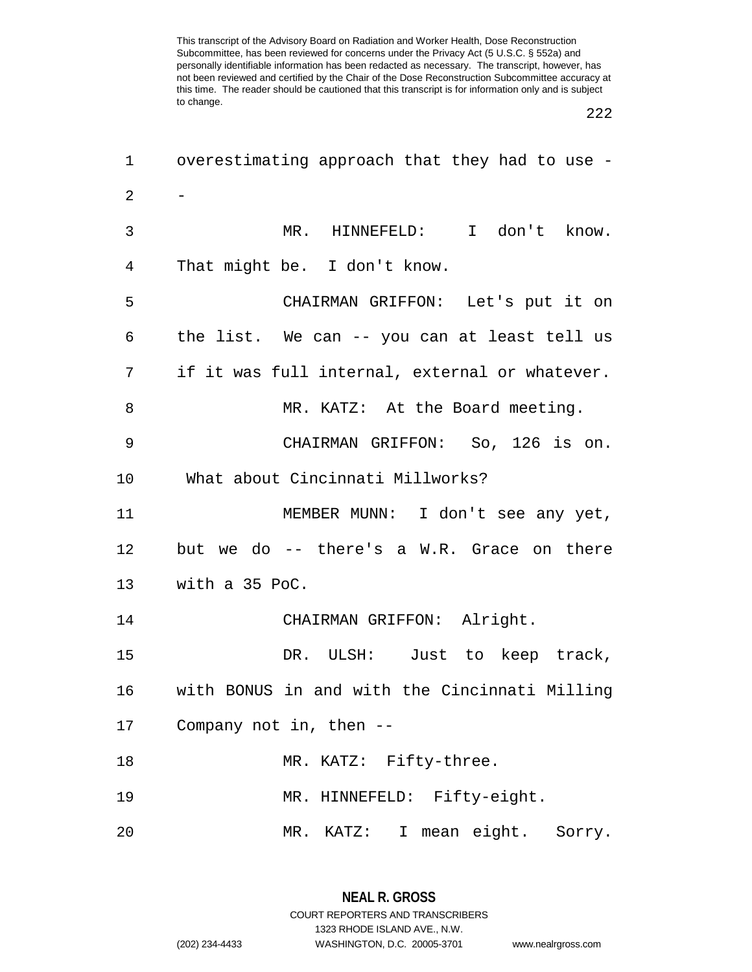| 1              | overestimating approach that they had to use - |  |
|----------------|------------------------------------------------|--|
| $\overline{2}$ |                                                |  |
| 3              | MR. HINNEFELD: I don't know.                   |  |
| 4              | That might be. I don't know.                   |  |
| 5              | CHAIRMAN GRIFFON: Let's put it on              |  |
| 6              | the list. We can -- you can at least tell us   |  |
| 7              | if it was full internal, external or whatever. |  |
| 8              | MR. KATZ: At the Board meeting.                |  |
| 9              | CHAIRMAN GRIFFON: So, 126 is on.               |  |
| 10             | What about Cincinnati Millworks?               |  |
| 11             | MEMBER MUNN: I don't see any yet,              |  |
| 12             | but we do -- there's a W.R. Grace on there     |  |
| 13             | with a 35 PoC.                                 |  |
| 14             | CHAIRMAN GRIFFON: Alright.                     |  |
| 15             | DR. ULSH: Just to keep track,                  |  |
| 16             | with BONUS in and with the Cincinnati Milling  |  |
| 17             | Company not in, then --                        |  |
| 18             | MR. KATZ: Fifty-three.                         |  |
| 19             | MR. HINNEFELD: Fifty-eight.                    |  |
| 20             | I mean eight. Sorry.<br>$MR$ .<br>KATZ:        |  |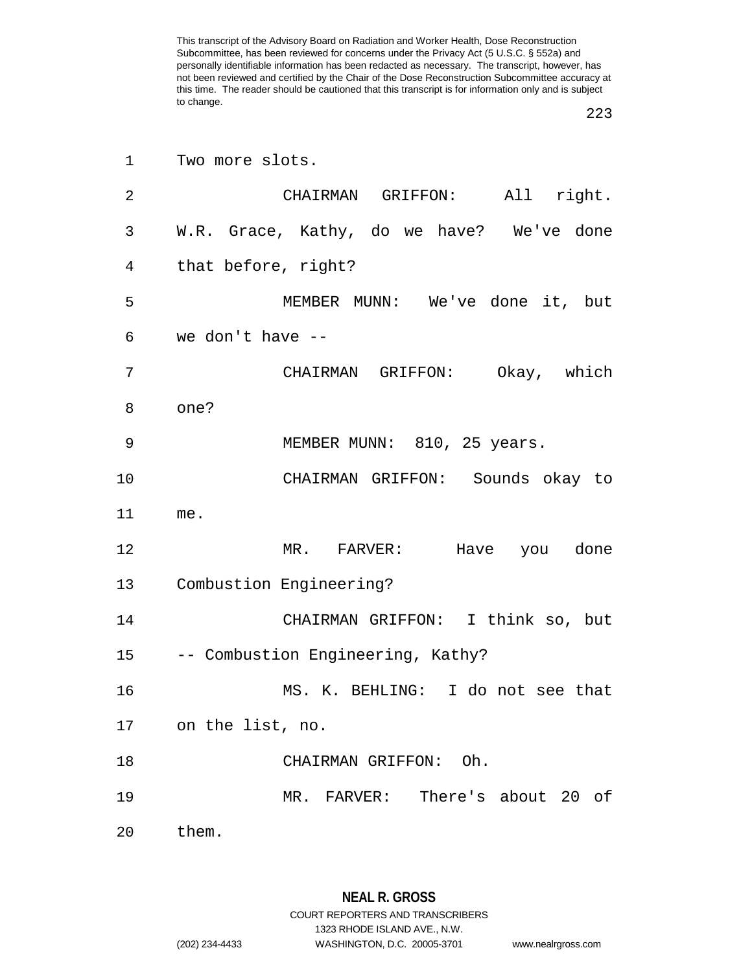| $\mathbf 1$ | Two more slots.                           |  |  |  |
|-------------|-------------------------------------------|--|--|--|
| 2           | CHAIRMAN GRIFFON: All right.              |  |  |  |
| 3           | W.R. Grace, Kathy, do we have? We've done |  |  |  |
| 4           | that before, right?                       |  |  |  |
| 5           | MEMBER MUNN: We've done it, but           |  |  |  |
| 6           | we don't have --                          |  |  |  |
| 7           | CHAIRMAN GRIFFON: Okay, which             |  |  |  |
| 8           | one?                                      |  |  |  |
| 9           | MEMBER MUNN: 810, 25 years.               |  |  |  |
| 10          | CHAIRMAN GRIFFON: Sounds okay to          |  |  |  |
| 11          | me.                                       |  |  |  |
| 12          | MR. FARVER: Have you done                 |  |  |  |
| 13          | Combustion Engineering?                   |  |  |  |
| 14          | CHAIRMAN GRIFFON: I think so, but         |  |  |  |
|             | 15 -- Combustion Engineering, Kathy?      |  |  |  |
| 16          | MS. K. BEHLING: I do not see that         |  |  |  |
|             | 17 on the list, no.                       |  |  |  |
| 18          | CHAIRMAN GRIFFON: Oh.                     |  |  |  |
| 19          | MR. FARVER: There's about 20 of           |  |  |  |
|             | 20 them.                                  |  |  |  |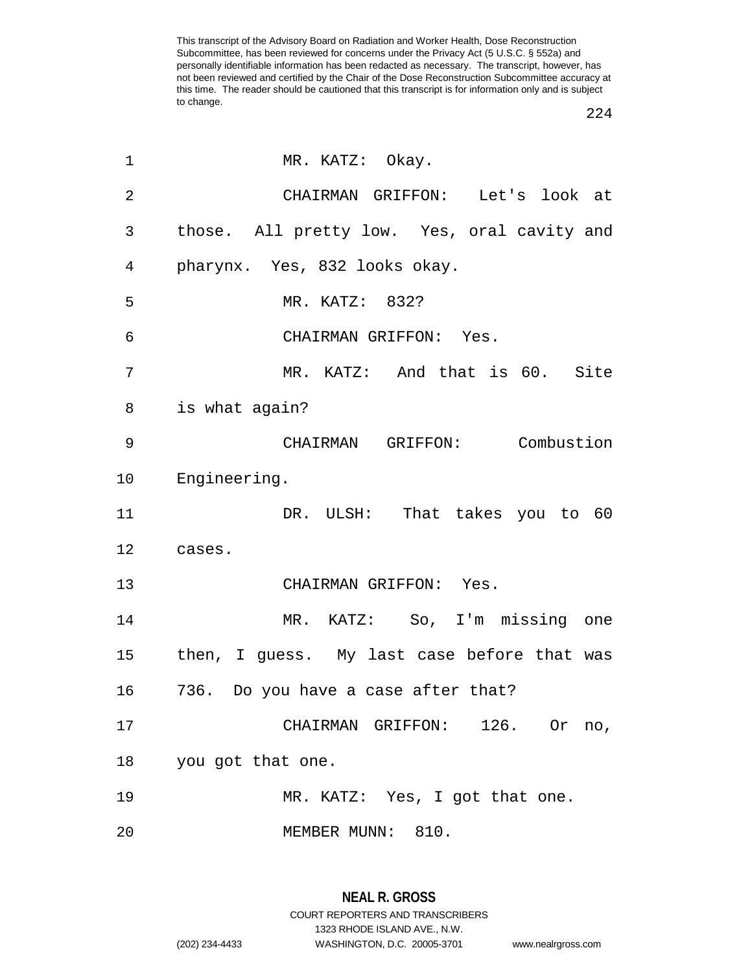| 1              | MR. KATZ: Okay.                             |  |  |
|----------------|---------------------------------------------|--|--|
| $\overline{2}$ | CHAIRMAN GRIFFON: Let's look at             |  |  |
| 3              | those. All pretty low. Yes, oral cavity and |  |  |
| 4              | pharynx. Yes, 832 looks okay.               |  |  |
| 5              | MR. KATZ: 832?                              |  |  |
| 6              | CHAIRMAN GRIFFON: Yes.                      |  |  |
| 7              | MR. KATZ: And that is 60. Site              |  |  |
| 8              | is what again?                              |  |  |
| 9              | CHAIRMAN GRIFFON: Combustion                |  |  |
| 10             | Engineering.                                |  |  |
| 11             | DR. ULSH: That takes you to 60              |  |  |
| 12             | cases.                                      |  |  |
| 13             | CHAIRMAN GRIFFON: Yes.                      |  |  |
| 14             | MR. KATZ: So, I'm missing one               |  |  |
| 15             | then, I guess. My last case before that was |  |  |
| 16             | 736. Do you have a case after that?         |  |  |
| 17             | CHAIRMAN GRIFFON: 126. Or no,               |  |  |
| 18             | you got that one.                           |  |  |
| 19             | MR. KATZ: Yes, I got that one.              |  |  |
| 20             | MEMBER MUNN: 810.                           |  |  |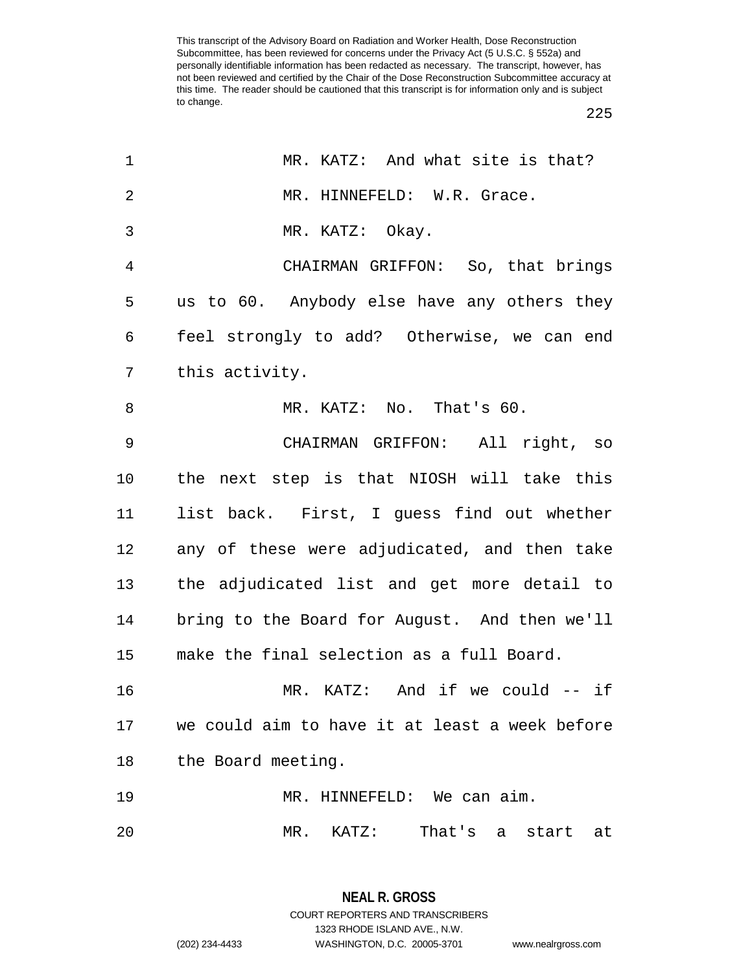225

| 1              | MR. KATZ: And what site is that?               |
|----------------|------------------------------------------------|
| $\overline{2}$ | MR. HINNEFELD: W.R. Grace.                     |
| 3              | MR. KATZ: Okay.                                |
| $\overline{4}$ | CHAIRMAN GRIFFON: So, that brings              |
| 5              | us to 60. Anybody else have any others they    |
| 6              | feel strongly to add? Otherwise, we can end    |
| 7              | this activity.                                 |
| 8              | MR. KATZ: No. That's 60.                       |
| 9              | CHAIRMAN GRIFFON: All right, so                |
| 10             | the next step is that NIOSH will take this     |
| 11             | list back. First, I guess find out whether     |
| 12             | any of these were adjudicated, and then take   |
| 13             | the adjudicated list and get more detail to    |
| 14             | bring to the Board for August. And then we'll  |
| 15             | make the final selection as a full Board.      |
| 16             | MR. KATZ: And if we could -- if                |
| 17             | we could aim to have it at least a week before |
| 18             | the Board meeting.                             |
| 19             | MR. HINNEFELD: We can aim.                     |
| 20             | That's a<br>MR. KATZ:<br>start<br>at           |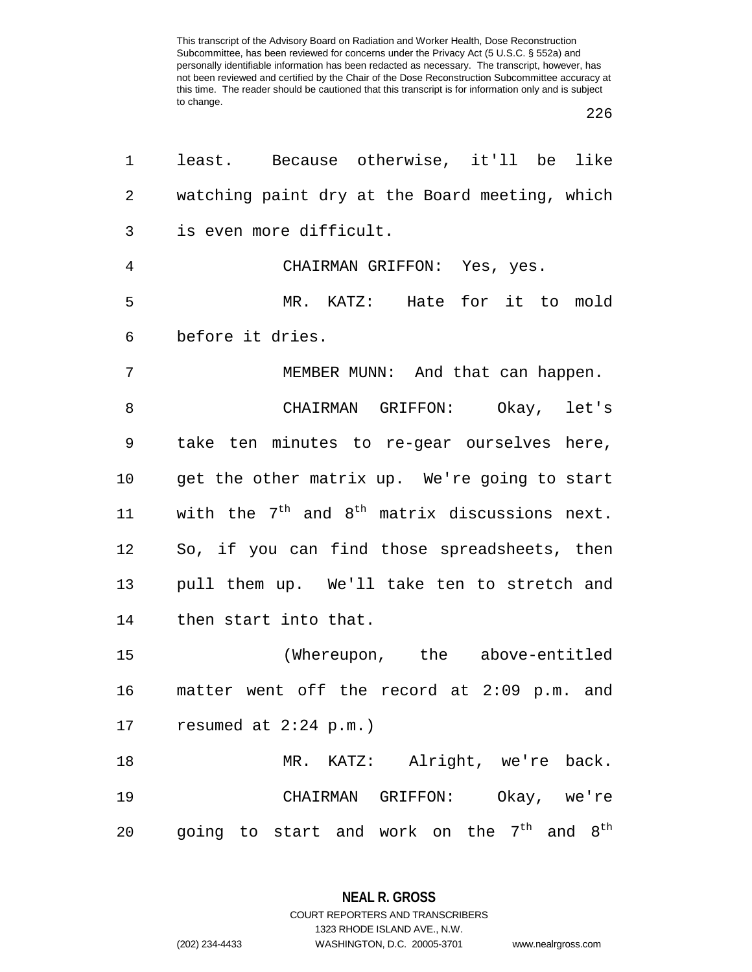226

| 1              | least. Because otherwise, it'll be like                               |  |  |  |
|----------------|-----------------------------------------------------------------------|--|--|--|
| 2              | watching paint dry at the Board meeting, which                        |  |  |  |
| 3              | is even more difficult.                                               |  |  |  |
| $\overline{4}$ | CHAIRMAN GRIFFON: Yes, yes.                                           |  |  |  |
| 5              | MR. KATZ: Hate for it to mold                                         |  |  |  |
| 6              | before it dries.                                                      |  |  |  |
| 7              | MEMBER MUNN: And that can happen.                                     |  |  |  |
| 8              | CHAIRMAN GRIFFON: Okay, let's                                         |  |  |  |
| 9              | take ten minutes to re-gear ourselves here,                           |  |  |  |
| $10 \,$        | get the other matrix up. We're going to start                         |  |  |  |
| 11             | with the $7th$ and $8th$ matrix discussions next.                     |  |  |  |
| 12             | So, if you can find those spreadsheets, then                          |  |  |  |
| 13             | pull them up. We'll take ten to stretch and                           |  |  |  |
| 14             | then start into that.                                                 |  |  |  |
| 15             | (Whereupon, the above-entitled                                        |  |  |  |
| 16             | matter went off the record at 2:09 p.m. and                           |  |  |  |
| 17             | resumed at $2:24$ p.m.)                                               |  |  |  |
| 18             | MR. KATZ: Alright, we're back.                                        |  |  |  |
| 19             | CHAIRMAN GRIFFON: Okay, we're                                         |  |  |  |
| 20             | going to start and work on the 7 <sup>th</sup><br>and $8^{\text{th}}$ |  |  |  |

**NEAL R. GROSS** COURT REPORTERS AND TRANSCRIBERS

1323 RHODE ISLAND AVE., N.W. (202) 234-4433 WASHINGTON, D.C. 20005-3701 www.nealrgross.com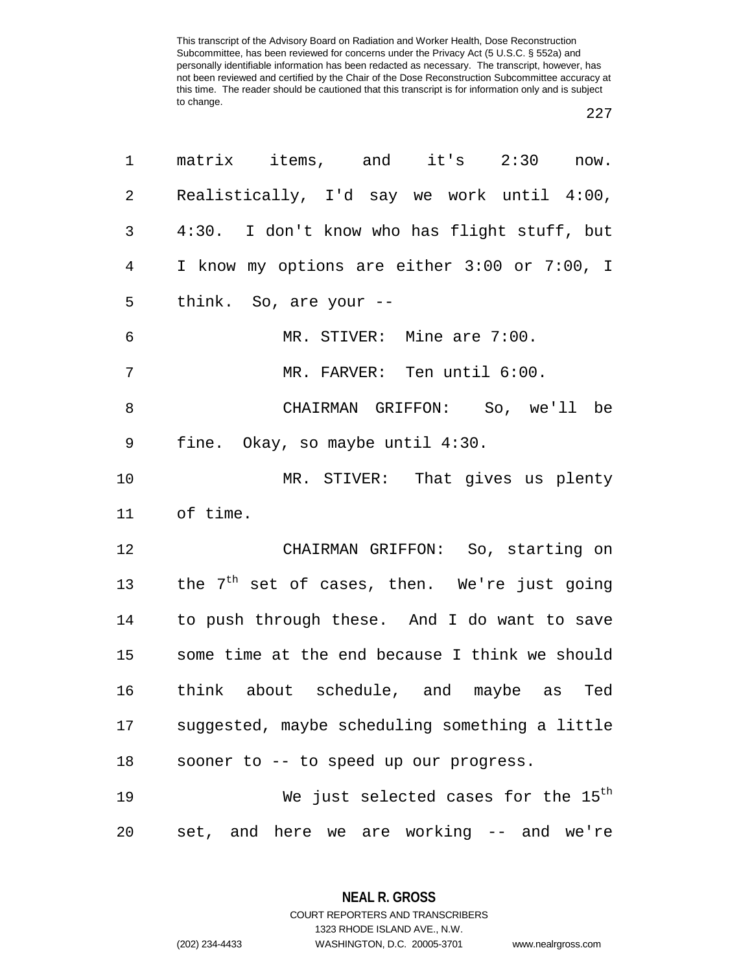## 

| 1              | matrix items, and it's 2:30 now.                         |  |  |  |
|----------------|----------------------------------------------------------|--|--|--|
| $\overline{a}$ | Realistically, I'd say we work until 4:00,               |  |  |  |
| 3              | 4:30. I don't know who has flight stuff, but             |  |  |  |
| 4              | I know my options are either 3:00 or 7:00, I             |  |  |  |
| 5              | think. So, are your --                                   |  |  |  |
| 6              | MR. STIVER: Mine are 7:00.                               |  |  |  |
| $\overline{7}$ | MR. FARVER: Ten until 6:00.                              |  |  |  |
| 8              | CHAIRMAN GRIFFON: So, we'll be                           |  |  |  |
| 9              | fine. Okay, so maybe until 4:30.                         |  |  |  |
| 10             | MR. STIVER: That gives us plenty                         |  |  |  |
| 11             | of time.                                                 |  |  |  |
| 12             | CHAIRMAN GRIFFON: So, starting on                        |  |  |  |
| 13             | the 7 <sup>th</sup> set of cases, then. We're just going |  |  |  |
| 14             | to push through these. And I do want to save             |  |  |  |
| $15\,$         | some time at the end because I think we should           |  |  |  |
| 16             | think about schedule, and maybe as Ted                   |  |  |  |
| 17             | suggested, maybe scheduling something a little           |  |  |  |
| 18             | sooner to -- to speed up our progress.                   |  |  |  |
| 19             | We just selected cases for the 15 <sup>th</sup>          |  |  |  |
| 20             | set, and here we are working -- and we're                |  |  |  |

**NEAL R. GROSS**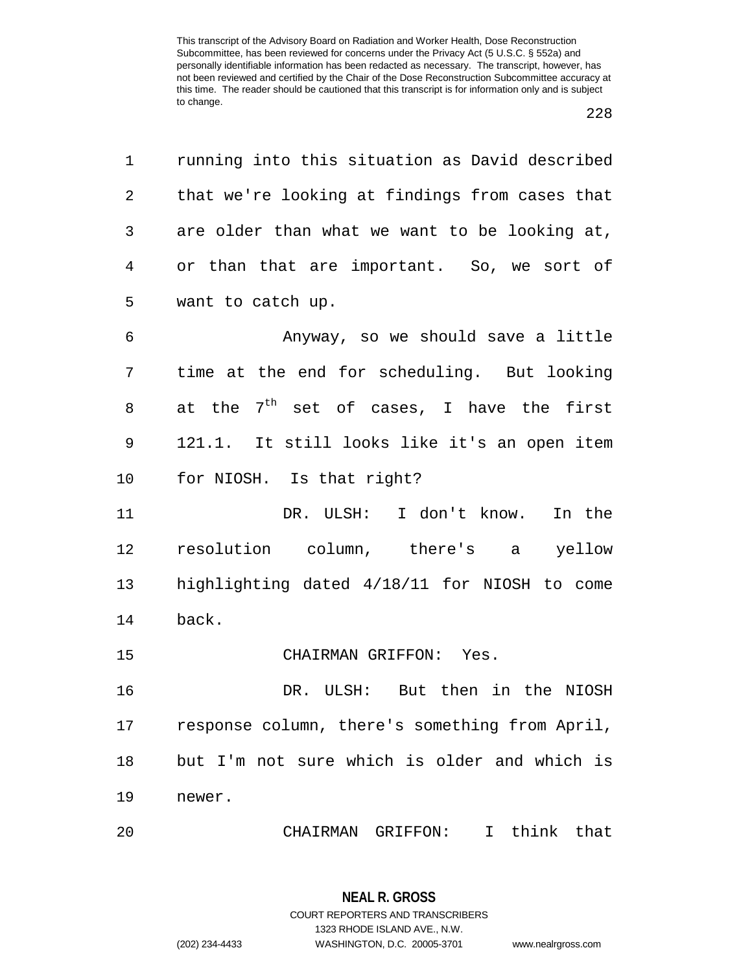|  | × |
|--|---|
|  |   |

| $\mathbf{1}$ | running into this situation as David described |
|--------------|------------------------------------------------|
| 2            | that we're looking at findings from cases that |
| 3            | are older than what we want to be looking at,  |
| 4            | or than that are important. So, we sort of     |
| 5            | want to catch up.                              |
| 6            | Anyway, so we should save a little             |
| 7            | time at the end for scheduling. But looking    |
| 8            | at the $7^{th}$ set of cases, I have the first |
| 9            | 121.1. It still looks like it's an open item   |
| 10           | for NIOSH. Is that right?                      |
|              |                                                |
| 11           | DR. ULSH: I don't know. In the                 |
| 12           | resolution column, there's a yellow            |
| 13           | highlighting dated 4/18/11 for NIOSH to come   |
| 14           | back.                                          |
| 15           | CHAIRMAN GRIFFON: Yes.                         |
| 16           | DR. ULSH: But then in the NIOSH                |
| 17           | response column, there's something from April, |
| 18           | but I'm not sure which is older and which is   |
| 19           | newer.                                         |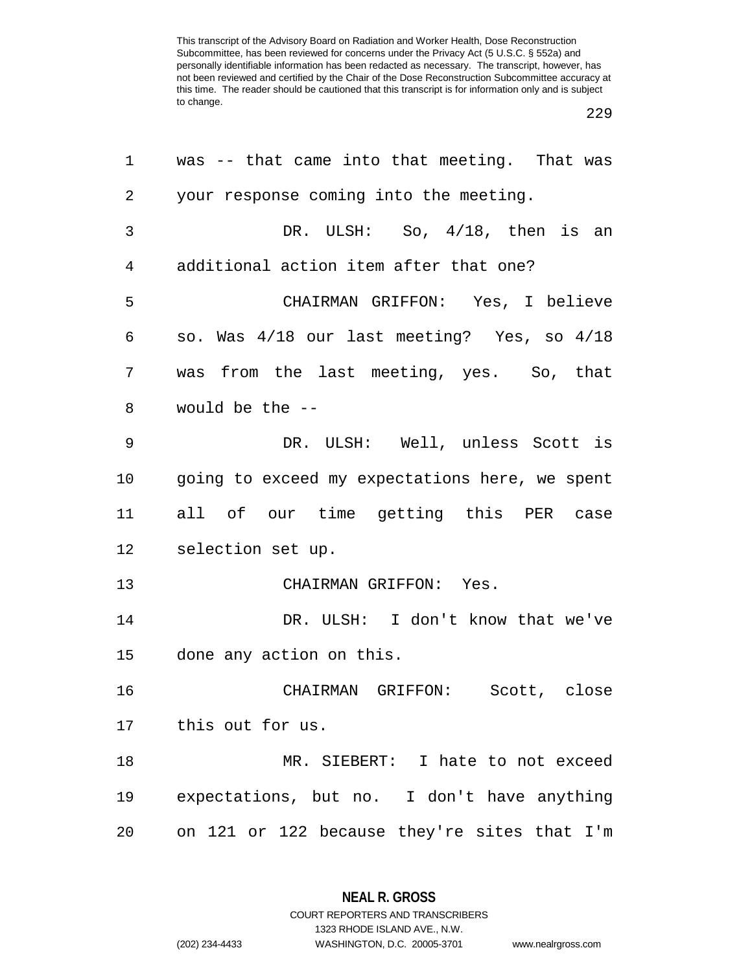| 1  | was -- that came into that meeting. That was   |
|----|------------------------------------------------|
| 2  | your response coming into the meeting.         |
| 3  | DR. ULSH: So, $4/18$ , then is an              |
| 4  | additional action item after that one?         |
| 5  | CHAIRMAN GRIFFON: Yes, I believe               |
| 6  | so. Was 4/18 our last meeting? Yes, so 4/18    |
| 7  | was from the last meeting, yes. So, that       |
| 8  | would be the --                                |
| 9  | DR. ULSH: Well, unless Scott is                |
| 10 | going to exceed my expectations here, we spent |
| 11 | all of our time getting this PER case          |
| 12 | selection set up.                              |
| 13 | CHAIRMAN GRIFFON: Yes.                         |
| 14 | DR. ULSH: I don't know that we've              |
| 15 | done any action on this.                       |
| 16 | CHAIRMAN GRIFFON: Scott, close                 |
|    | 17 this out for us.                            |
| 18 | MR. SIEBERT: I hate to not exceed              |
| 19 | expectations, but no. I don't have anything    |
| 20 | on 121 or 122 because they're sites that I'm   |

**NEAL R. GROSS** COURT REPORTERS AND TRANSCRIBERS

1323 RHODE ISLAND AVE., N.W.

(202) 234-4433 WASHINGTON, D.C. 20005-3701 www.nealrgross.com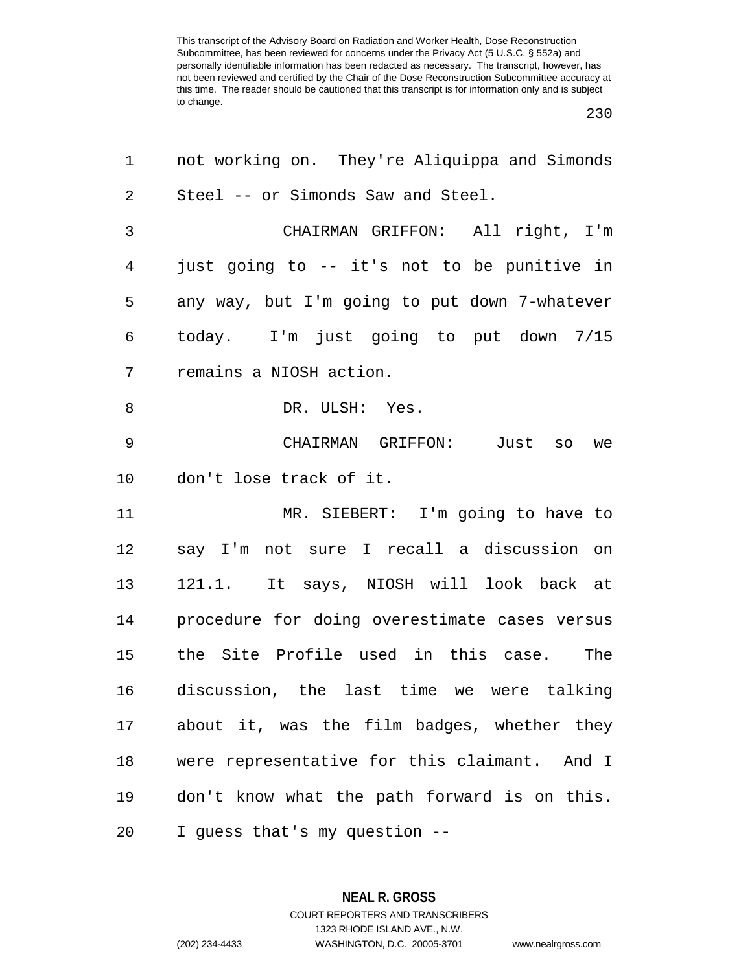| 1       | not working on. They're Aliquippa and Simonds   |
|---------|-------------------------------------------------|
| 2       | Steel -- or Simonds Saw and Steel.              |
| 3       | CHAIRMAN GRIFFON: All right, I'm                |
| 4       | just going to -- it's not to be punitive in     |
| 5       | any way, but I'm going to put down 7-whatever   |
| 6       | today. I'm just going to put down 7/15          |
| 7       | remains a NIOSH action.                         |
| 8       | DR. ULSH: Yes.                                  |
| 9       | CHAIRMAN GRIFFON:<br>Just so<br>we              |
| $10 \,$ | don't lose track of it.                         |
| 11      | MR. SIEBERT: I'm going to have to               |
| 12      | say I'm not sure I recall a discussion on       |
| 13      | 121.1. It says, NIOSH will look back at         |
| 14      | procedure for doing overestimate cases versus   |
| 15      | the Site Profile used in this case.<br>The      |
| 16      | discussion, the last time we were talking       |
| 17      | about it, was the film badges, whether they     |
| 18      | were representative for this claimant.<br>And I |
| 19      | don't know what the path forward is on this.    |
| 20      | I guess that's my question --                   |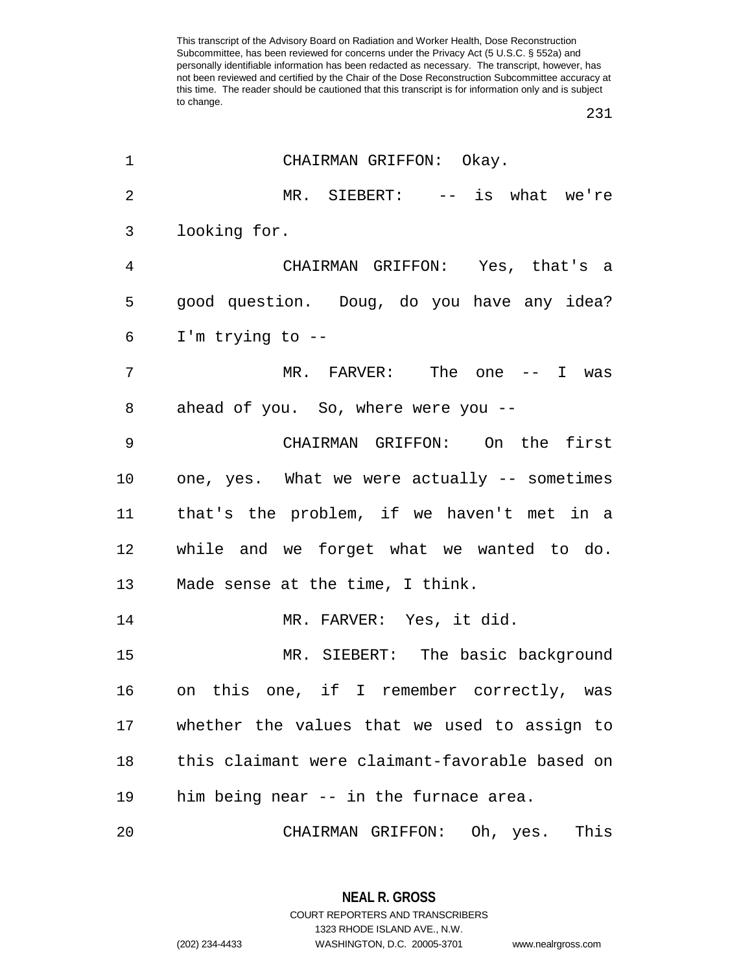| 1              | CHAIRMAN GRIFFON: Okay.                        |
|----------------|------------------------------------------------|
| $\overline{2}$ | MR. SIEBERT: -- is what we're                  |
| 3              | looking for.                                   |
| $\overline{4}$ | CHAIRMAN GRIFFON: Yes, that's a                |
| 5              | good question. Doug, do you have any idea?     |
| 6              | I'm trying to $-$ -                            |
| 7              | MR. FARVER: The one -- I was                   |
| 8              | ahead of you. So, where were you --            |
| 9              | CHAIRMAN GRIFFON: On the first                 |
| 10             | one, yes. What we were actually -- sometimes   |
| 11             | that's the problem, if we haven't met in a     |
| 12             | while and we forget what we wanted to do.      |
| 13             | Made sense at the time, I think.               |
| 14             | MR. FARVER: Yes, it did.                       |
| 15             | MR. SIEBERT: The basic background              |
| 16             | on this one, if I remember correctly, was      |
| 17             | whether the values that we used to assign to   |
| 18             | this claimant were claimant-favorable based on |
| 19             | him being near -- in the furnace area.         |
| 20             | This<br>CHAIRMAN GRIFFON: Oh, yes.             |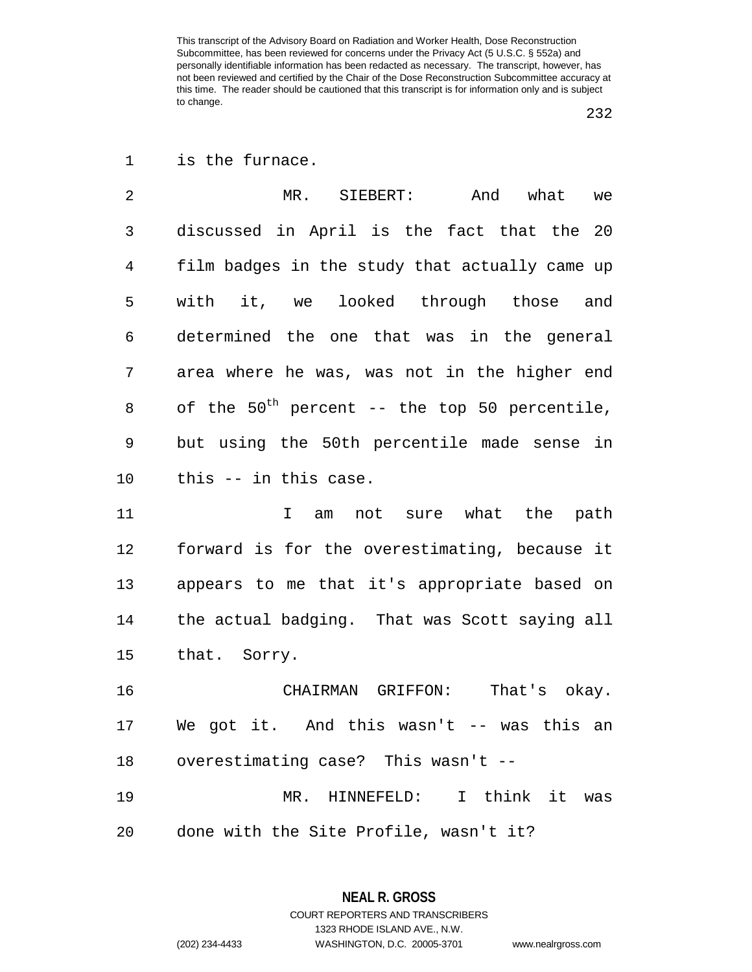is the furnace.

 MR. SIEBERT: And what we discussed in April is the fact that the 20 film badges in the study that actually came up with it, we looked through those and determined the one that was in the general area where he was, was not in the higher end of the  $50^{th}$  percent -- the top 50 percentile, but using the 50th percentile made sense in this -- in this case.

11 I am not sure what the path forward is for the overestimating, because it appears to me that it's appropriate based on the actual badging. That was Scott saying all that. Sorry.

 CHAIRMAN GRIFFON: That's okay. We got it. And this wasn't -- was this an overestimating case? This wasn't --

 MR. HINNEFELD: I think it was done with the Site Profile, wasn't it?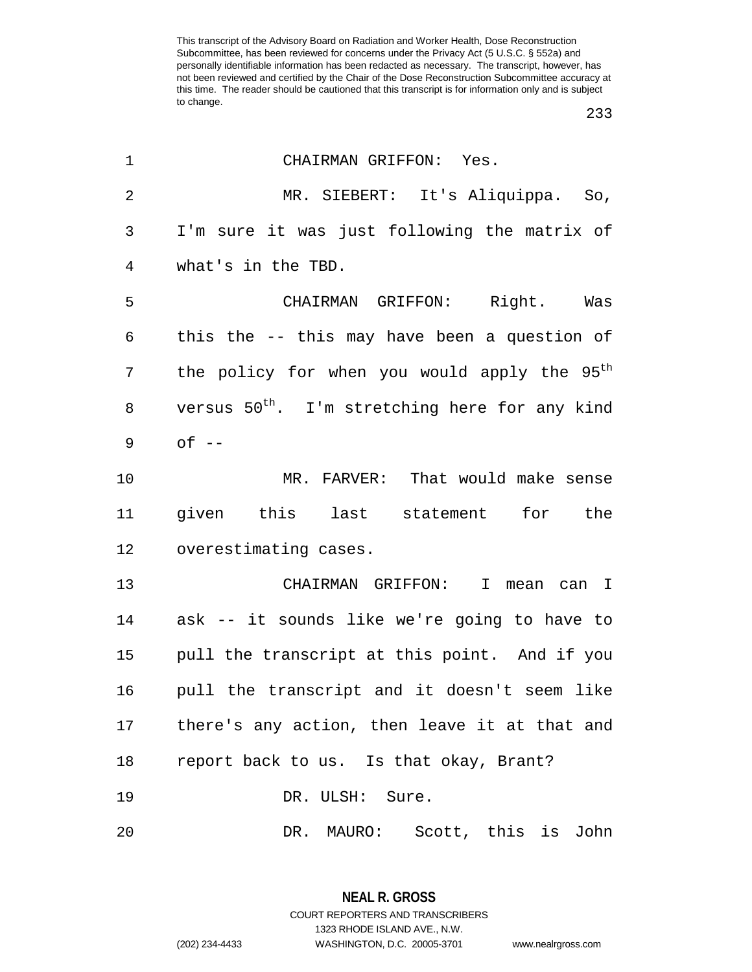| 1              | CHAIRMAN GRIFFON: Yes.                                     |
|----------------|------------------------------------------------------------|
| $\overline{2}$ | MR. SIEBERT: It's Aliquippa. So,                           |
| 3              | I'm sure it was just following the matrix of               |
| 4              | what's in the TBD.                                         |
| 5              | CHAIRMAN GRIFFON: Right. Was                               |
| 6              | this the -- this may have been a question of               |
| 7              | the policy for when you would apply the 95 <sup>th</sup>   |
| 8              | versus 50 <sup>th</sup> . I'm stretching here for any kind |
| 9              | $of --$                                                    |
| 10             | MR. FARVER: That would make sense                          |
| 11             | given this last statement for the                          |
| 12             | overestimating cases.                                      |
| 13             | CHAIRMAN GRIFFON: I<br>mean can I                          |
| 14             | ask -- it sounds like we're going to have to               |
| 15             | pull the transcript at this point. And if you              |
| 16             | pull the transcript and it doesn't seem like               |
| 17             | there's any action, then leave it at that and              |
| 18             | report back to us. Is that okay, Brant?                    |
| 19             | DR. ULSH: Sure.                                            |
| 20             | DR. MAURO: Scott, this is John                             |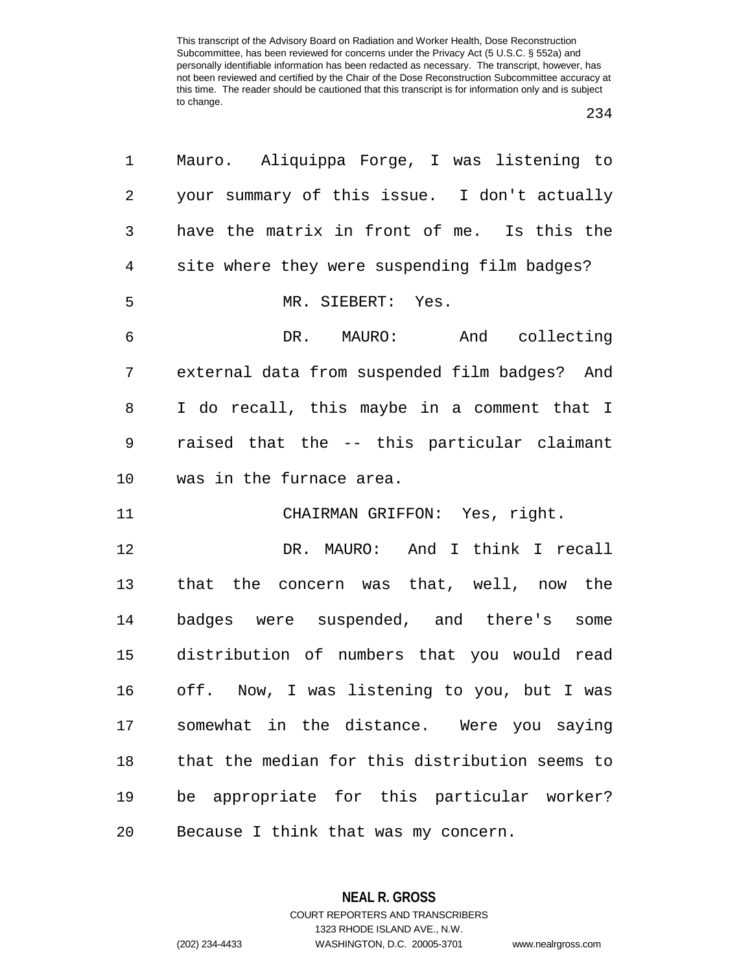| 1              | Mauro. Aliquippa Forge, I was listening to     |
|----------------|------------------------------------------------|
| $\sqrt{2}$     | your summary of this issue. I don't actually   |
| $\mathfrak{Z}$ | have the matrix in front of me. Is this the    |
| 4              | site where they were suspending film badges?   |
| 5              | MR. SIEBERT: Yes.                              |
| 6              | DR. MAURO: And collecting                      |
| 7              | external data from suspended film badges? And  |
| 8              | I do recall, this maybe in a comment that I    |
| 9              | raised that the -- this particular claimant    |
| 10             | was in the furnace area.                       |
| 11             | CHAIRMAN GRIFFON: Yes, right.                  |
| 12             | DR. MAURO: And I think I recall                |
| 13             | that the concern was that, well, now the       |
| 14             | badges were suspended, and there's<br>some     |
| 15             | distribution of numbers that you would read    |
| 16             | off. Now, I was listening to you, but I was    |
| 17             | somewhat in the distance. Were you saying      |
| 18             | that the median for this distribution seems to |
| 19             | be appropriate for this particular worker?     |
| 20             | Because I think that was my concern.           |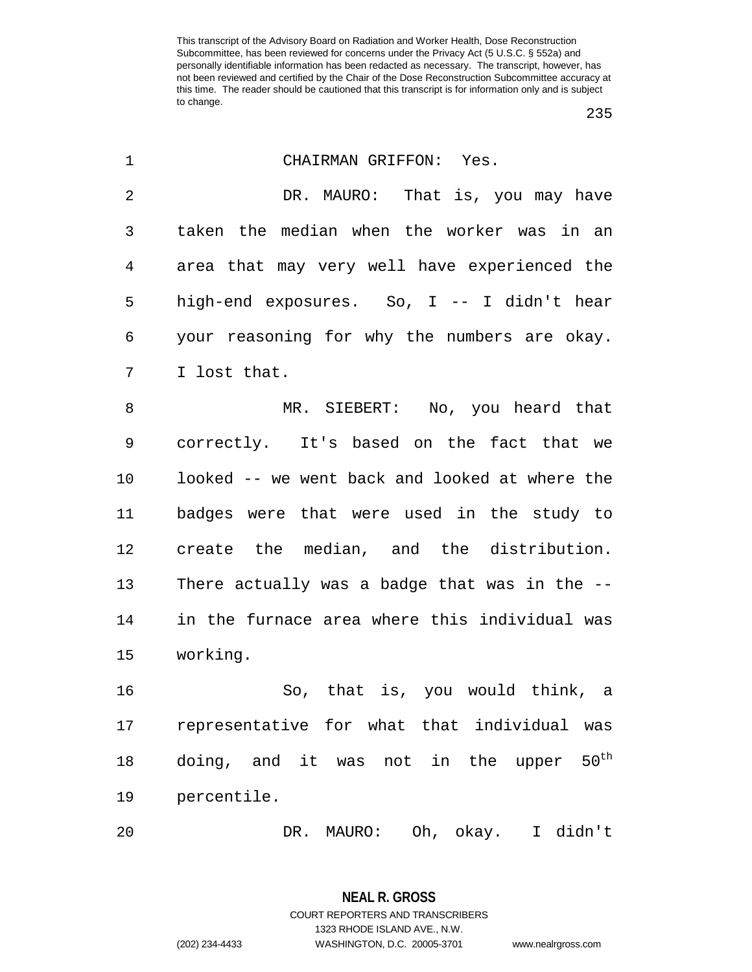| 1  | CHAIRMAN GRIFFON: Yes.                                 |
|----|--------------------------------------------------------|
| 2  | DR. MAURO: That is, you may have                       |
| 3  | taken the median when the worker was in an             |
| 4  | area that may very well have experienced the           |
| 5  | high-end exposures. So, I -- I didn't hear             |
| 6  | your reasoning for why the numbers are okay.           |
| 7  | I lost that.                                           |
| 8  | MR. SIEBERT: No, you heard that                        |
| 9  | correctly. It's based on the fact that we              |
| 10 | looked -- we went back and looked at where the         |
| 11 | badges were that were used in the study to             |
| 12 | create the median, and the distribution.               |
| 13 | There actually was a badge that was in the --          |
| 14 | in the furnace area where this individual was          |
| 15 | working.                                               |
| 16 | So, that is, you would think, a                        |
| 17 | representative for what that individual was            |
| 18 | $50^{\text{th}}$<br>doing, and it was not in the upper |
| 19 | percentile.                                            |
| 20 | Oh, okay.<br>I didn't<br>DR. MAURO:                    |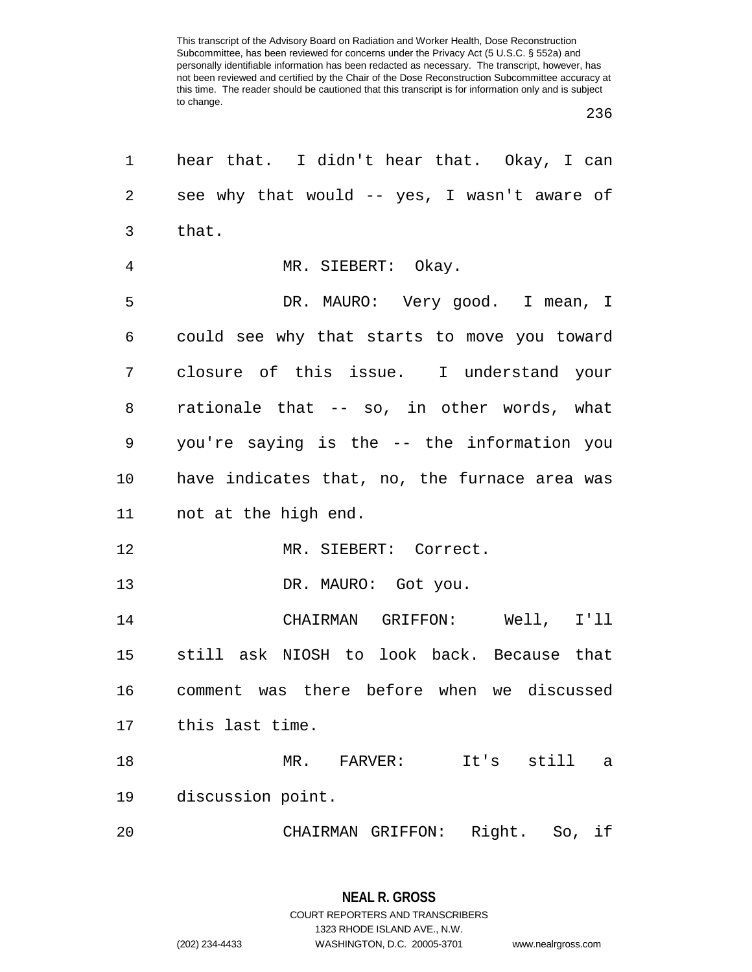| 1              | hear that. I didn't hear that. Okay, I can    |
|----------------|-----------------------------------------------|
| $\overline{a}$ | see why that would -- yes, I wasn't aware of  |
| 3              | that.                                         |
| $\overline{4}$ | MR. SIEBERT: Okay.                            |
| 5              | DR. MAURO: Very good. I mean, I               |
| 6              | could see why that starts to move you toward  |
| 7              | closure of this issue. I understand your      |
| 8              | rationale that -- so, in other words, what    |
| 9              | you're saying is the -- the information you   |
| 10             | have indicates that, no, the furnace area was |
| 11             | not at the high end.                          |
| 12             | MR. SIEBERT: Correct.                         |
| 13             | DR. MAURO: Got you.                           |
| 14             | CHAIRMAN GRIFFON: Well, I'll                  |
| 15             | still ask NIOSH to look back. Because that    |
| 16             | comment was there before when we discussed    |
| 17             | this last time.                               |
| 18             | $MR$ .<br>FARVER:<br>It's still<br>a          |
| 19             | discussion point.                             |
| 20             | Right. So, if<br>CHAIRMAN GRIFFON:            |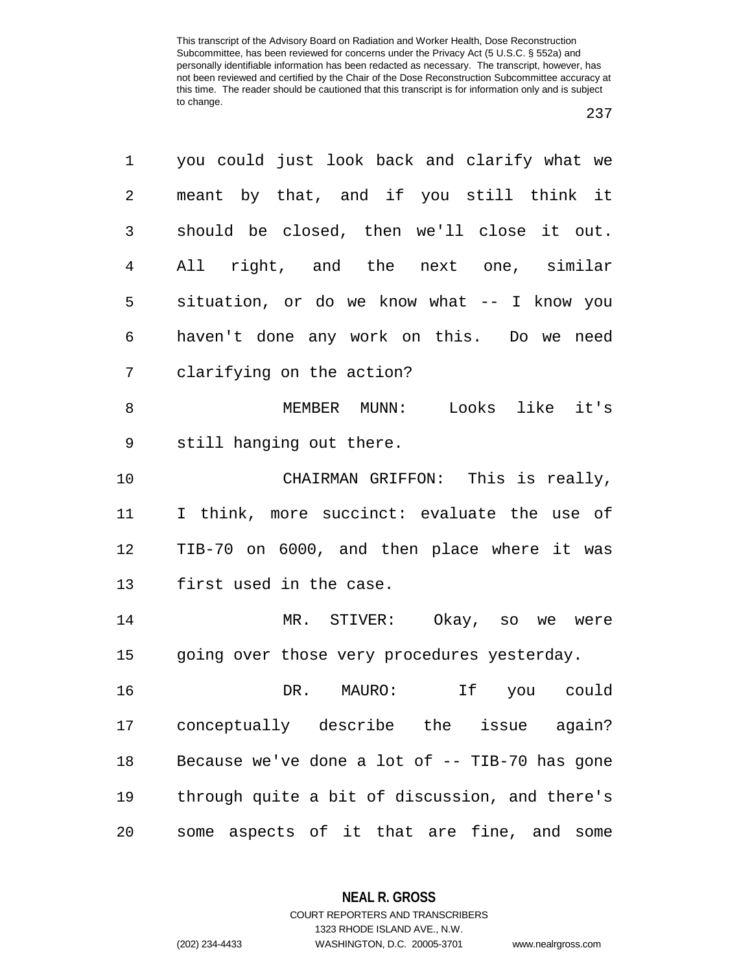| 1  | you could just look back and clarify what we   |
|----|------------------------------------------------|
| 2  | meant by that, and if you still think it       |
| 3  | should be closed, then we'll close it out.     |
| 4  | All right, and the next one, similar           |
| 5  | situation, or do we know what -- I know you    |
| 6  | haven't done any work on this. Do we need      |
| 7  | clarifying on the action?                      |
| 8  | MEMBER MUNN: Looks like it's                   |
| 9  | still hanging out there.                       |
| 10 | CHAIRMAN GRIFFON: This is really,              |
| 11 | I think, more succinct: evaluate the use of    |
| 12 | TIB-70 on 6000, and then place where it was    |
| 13 | first used in the case.                        |
| 14 | MR. STIVER: Okay, so we were                   |
| 15 | going over those very procedures yesterday.    |
| 16 | If<br>DR. MAURO:<br>you could                  |
| 17 | conceptually describe the issue again?         |
| 18 | Because we've done a lot of -- TIB-70 has gone |
| 19 | through quite a bit of discussion, and there's |
| 20 | some aspects of it that are fine, and some     |

**NEAL R. GROSS** COURT REPORTERS AND TRANSCRIBERS

1323 RHODE ISLAND AVE., N.W.

(202) 234-4433 WASHINGTON, D.C. 20005-3701 www.nealrgross.com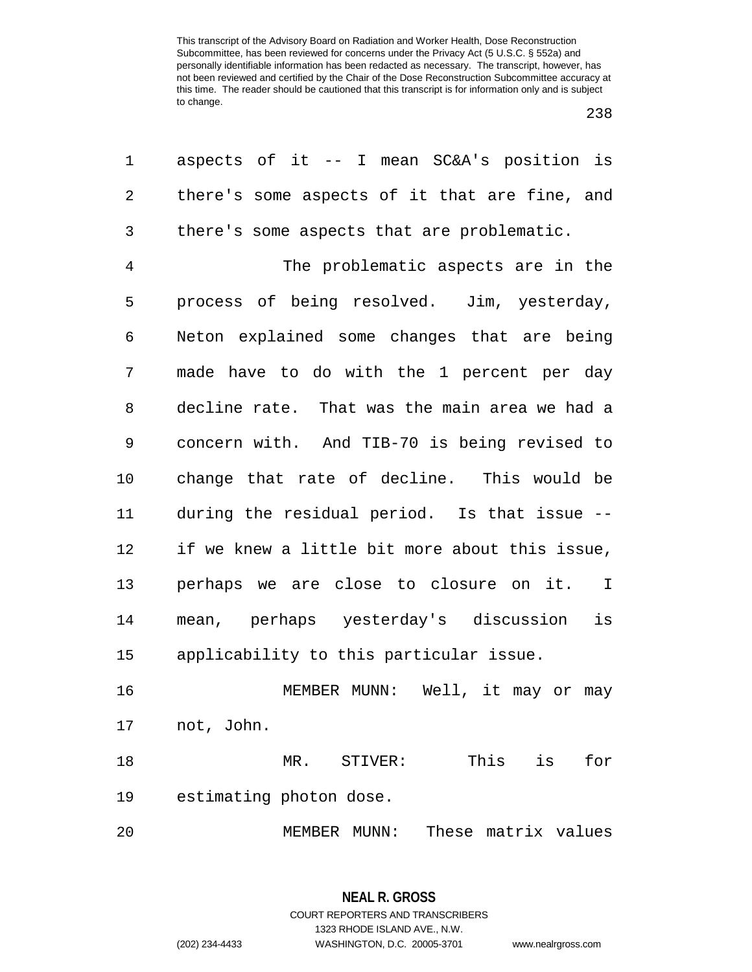| 1              | aspects of it $-$ I mean SC&A's position is     |
|----------------|-------------------------------------------------|
| $\overline{2}$ | there's some aspects of it that are fine, and   |
| 3              | there's some aspects that are problematic.      |
| $\overline{4}$ | The problematic aspects are in the              |
| 5              | process of being resolved. Jim, yesterday,      |
| 6              | Neton explained some changes that are being     |
| 7              | made have to do with the 1 percent per day      |
| 8              | decline rate. That was the main area we had a   |
| 9              | concern with. And TIB-70 is being revised to    |
| $10 \,$        | change that rate of decline. This would be      |
| 11             | during the residual period. Is that issue --    |
| 12             | if we knew a little bit more about this issue,  |
| 13             | perhaps we are close to closure on it. I        |
| 14             | mean, perhaps yesterday's discussion<br>is      |
| 15             | applicability to this particular issue.         |
| 16             | MEMBER MUNN: Well, it may or may                |
| 17             | not, John.                                      |
| 18             | This<br>is<br>for<br>$\mathtt{STIVER}$ :<br>MR. |
| 19             | estimating photon dose.                         |
| 20             | These matrix values<br>MEMBER MUNN:             |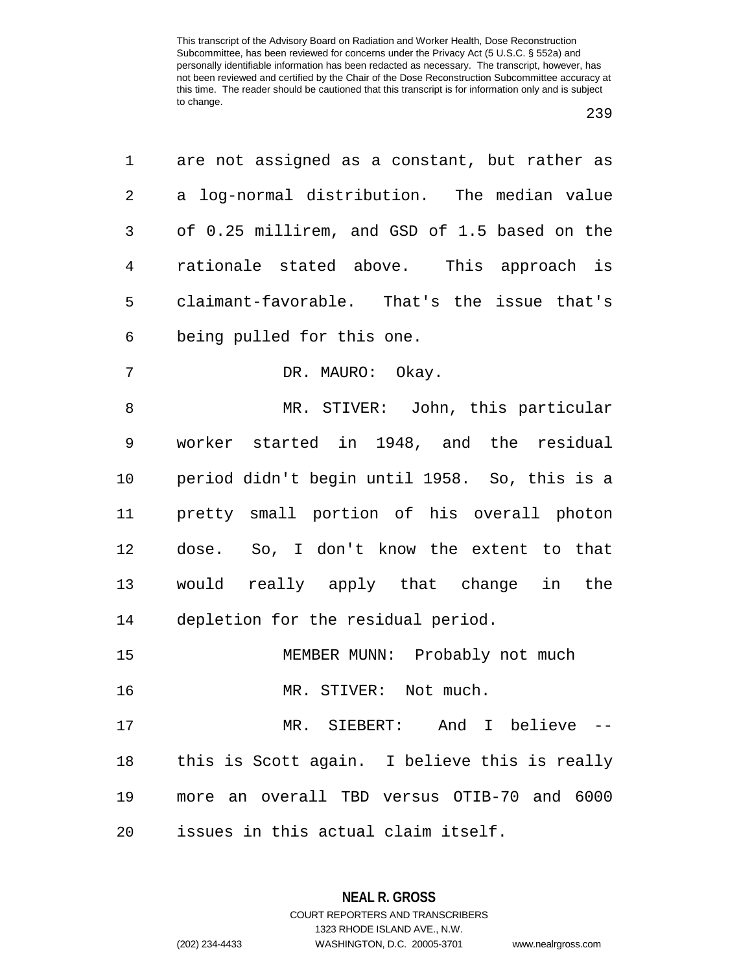|  | v<br>× | i |
|--|--------|---|
|--|--------|---|

| 1  | are not assigned as a constant, but rather as |
|----|-----------------------------------------------|
| 2  | a log-normal distribution. The median value   |
| 3  | of 0.25 millirem, and GSD of 1.5 based on the |
| 4  | rationale stated above. This approach is      |
| 5  | claimant-favorable. That's the issue that's   |
| 6  | being pulled for this one.                    |
| 7  | DR. MAURO: Okay.                              |
| 8  | MR. STIVER: John, this particular             |
| 9  | worker started in 1948, and the residual      |
| 10 | period didn't begin until 1958. So, this is a |
| 11 | pretty small portion of his overall photon    |
| 12 | dose. So, I don't know the extent to that     |
| 13 | would really apply that change in the         |
| 14 | depletion for the residual period.            |
| 15 | MEMBER MUNN: Probably not much                |
| 16 | MR. STIVER: Not much.                         |
| 17 | MR. SIEBERT: And I believe --                 |
| 18 | this is Scott again. I believe this is really |
| 19 | more an overall TBD versus OTIB-70 and 6000   |
| 20 | issues in this actual claim itself.           |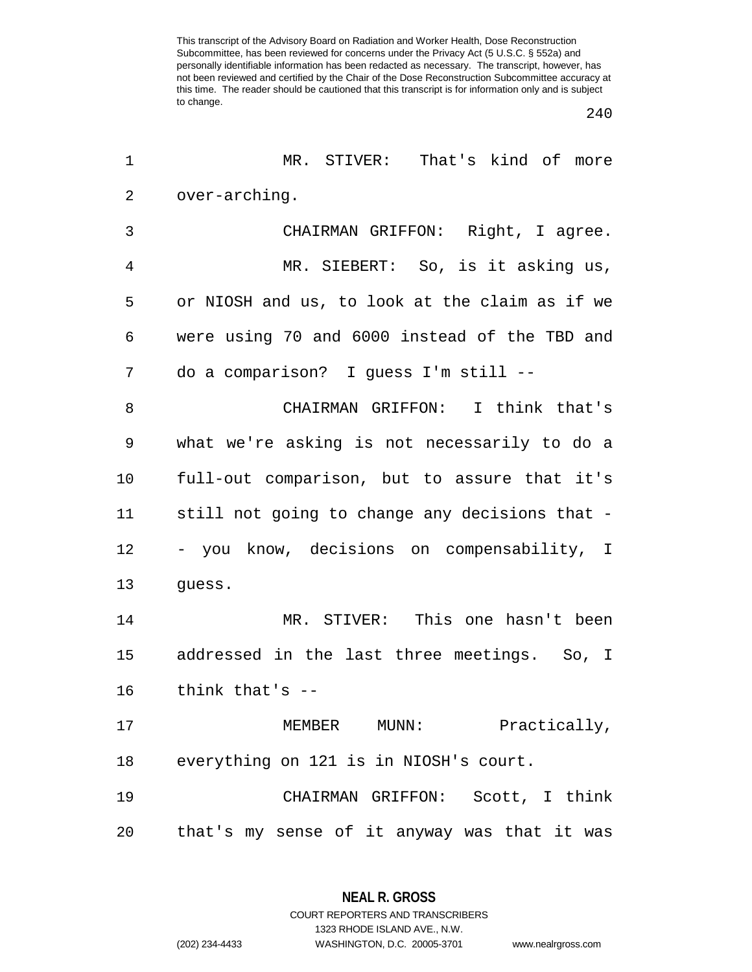| 1  | MR. STIVER: That's kind of more                |  |  |  |  |
|----|------------------------------------------------|--|--|--|--|
| 2  | over-arching.                                  |  |  |  |  |
| 3  | CHAIRMAN GRIFFON: Right, I agree.              |  |  |  |  |
| 4  | MR. SIEBERT: So, is it asking us,              |  |  |  |  |
| 5  | or NIOSH and us, to look at the claim as if we |  |  |  |  |
| 6  | were using 70 and 6000 instead of the TBD and  |  |  |  |  |
| 7  | do a comparison? I guess I'm still --          |  |  |  |  |
| 8  | CHAIRMAN GRIFFON: I think that's               |  |  |  |  |
| 9  | what we're asking is not necessarily to do a   |  |  |  |  |
| 10 | full-out comparison, but to assure that it's   |  |  |  |  |
| 11 | still not going to change any decisions that - |  |  |  |  |
| 12 | - you know, decisions on compensability, I     |  |  |  |  |
| 13 | guess.                                         |  |  |  |  |
| 14 | MR. STIVER: This one hasn't been               |  |  |  |  |
| 15 | addressed in the last three meetings. So, I    |  |  |  |  |
| 16 | think that's --                                |  |  |  |  |
| 17 | MEMBER MUNN: Practically,                      |  |  |  |  |
| 18 | everything on 121 is in NIOSH's court.         |  |  |  |  |
| 19 | CHAIRMAN GRIFFON: Scott, I think               |  |  |  |  |
| 20 | that's my sense of it anyway was that it was   |  |  |  |  |

**NEAL R. GROSS** COURT REPORTERS AND TRANSCRIBERS

1323 RHODE ISLAND AVE., N.W.

(202) 234-4433 WASHINGTON, D.C. 20005-3701 www.nealrgross.com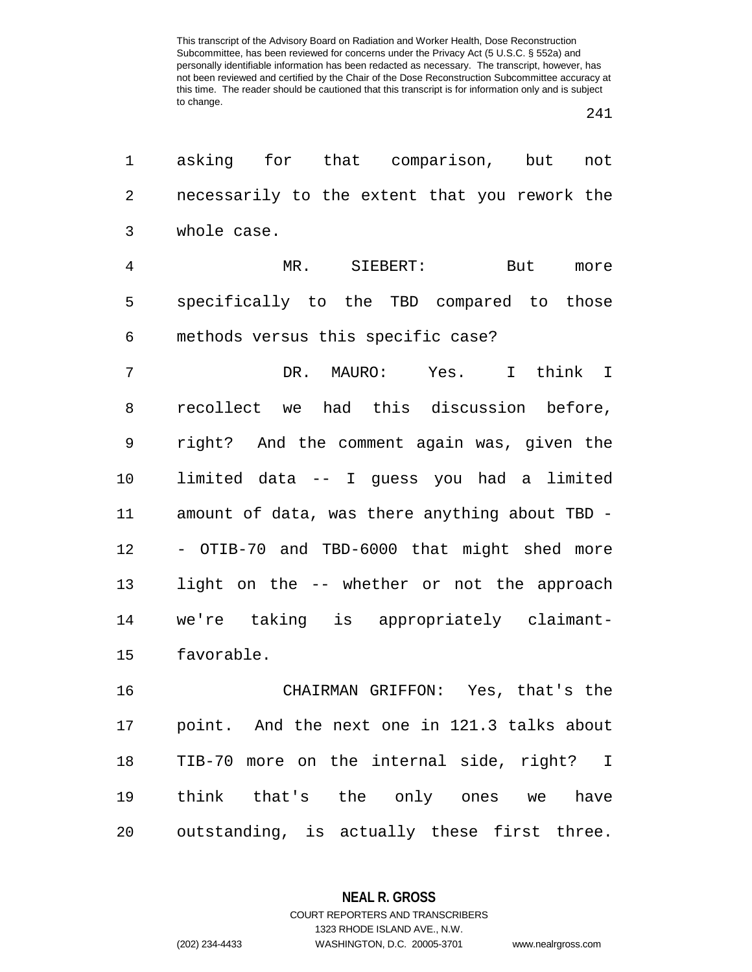| $\mathbf 1$    | asking for that comparison, but<br>not         |
|----------------|------------------------------------------------|
| $\overline{2}$ | necessarily to the extent that you rework the  |
| 3              | whole case.                                    |
| $\overline{4}$ | But more<br>MR.<br>$\texttt{SIEBERT:}$         |
| 5              | specifically to the TBD compared to those      |
| 6              | methods versus this specific case?             |
| 7              | DR. MAURO: Yes. I think I                      |
| 8              | recollect we had this discussion before,       |
| 9              | right? And the comment again was, given the    |
| 10             | limited data -- I guess you had a limited      |
| 11             | amount of data, was there anything about TBD - |
| 12             | - OTIB-70 and TBD-6000 that might shed more    |
| 13             | light on the -- whether or not the approach    |
| 14             | we're taking is appropriately claimant-        |
| 15             | favorable.                                     |
| 16             | CHAIRMAN GRIFFON: Yes, that's the              |
| 17             | point. And the next one in 121.3 talks about   |
| 18             | TIB-70 more on the internal side, right? I     |
| 19             | think that's the only ones we have             |
| 20             | outstanding, is actually these first three.    |
|                |                                                |

**NEAL R. GROSS** COURT REPORTERS AND TRANSCRIBERS

1323 RHODE ISLAND AVE., N.W. (202) 234-4433 WASHINGTON, D.C. 20005-3701 www.nealrgross.com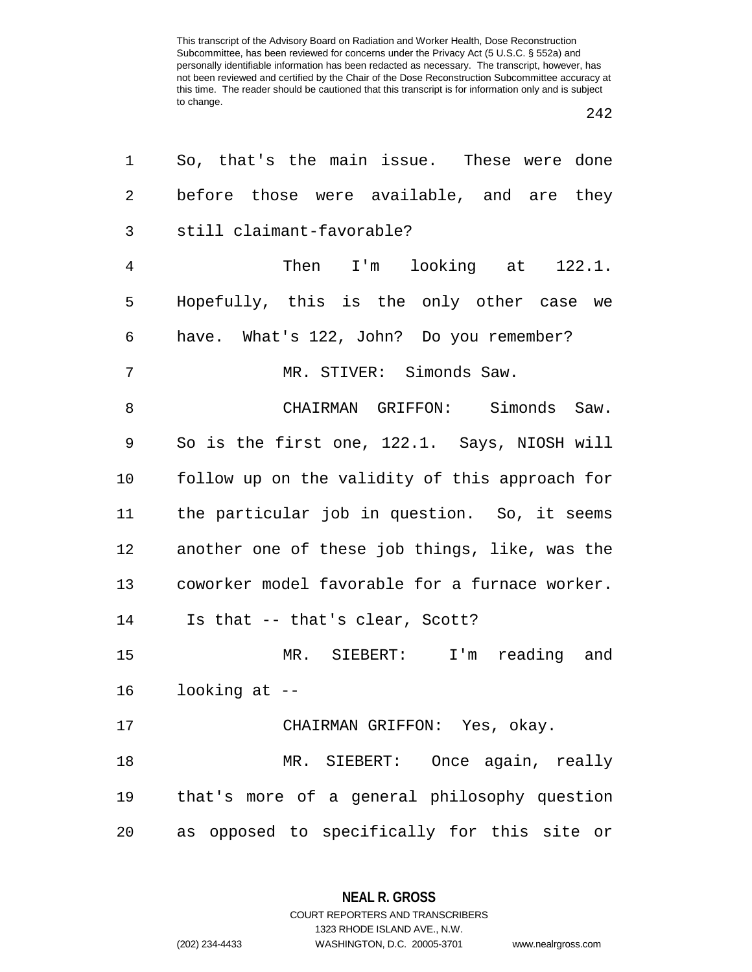| 1              | So, that's the main issue. These were done     |
|----------------|------------------------------------------------|
| $\overline{2}$ | before those were available, and are they      |
| 3              | still claimant-favorable?                      |
| $\overline{4}$ | Then I'm looking at 122.1.                     |
| 5              | Hopefully, this is the only other case we      |
| 6              | have. What's 122, John? Do you remember?       |
| 7              | MR. STIVER: Simonds Saw.                       |
| 8              | CHAIRMAN GRIFFON: Simonds Saw.                 |
| 9              | So is the first one, 122.1. Says, NIOSH will   |
| $10 \,$        | follow up on the validity of this approach for |
| 11             | the particular job in question. So, it seems   |
| 12             | another one of these job things, like, was the |
| 13             | coworker model favorable for a furnace worker. |
| 14             | Is that -- that's clear, Scott?                |
| 15             | MR. SIEBERT: I'm reading and                   |
| 16             | looking at $-$                                 |
| 17             | CHAIRMAN GRIFFON: Yes, okay.                   |
| 18             | MR. SIEBERT: Once again, really                |
| 19             | that's more of a general philosophy question   |
| 20             | as opposed to specifically for this site or    |

**NEAL R. GROSS** COURT REPORTERS AND TRANSCRIBERS

1323 RHODE ISLAND AVE., N.W.

(202) 234-4433 WASHINGTON, D.C. 20005-3701 www.nealrgross.com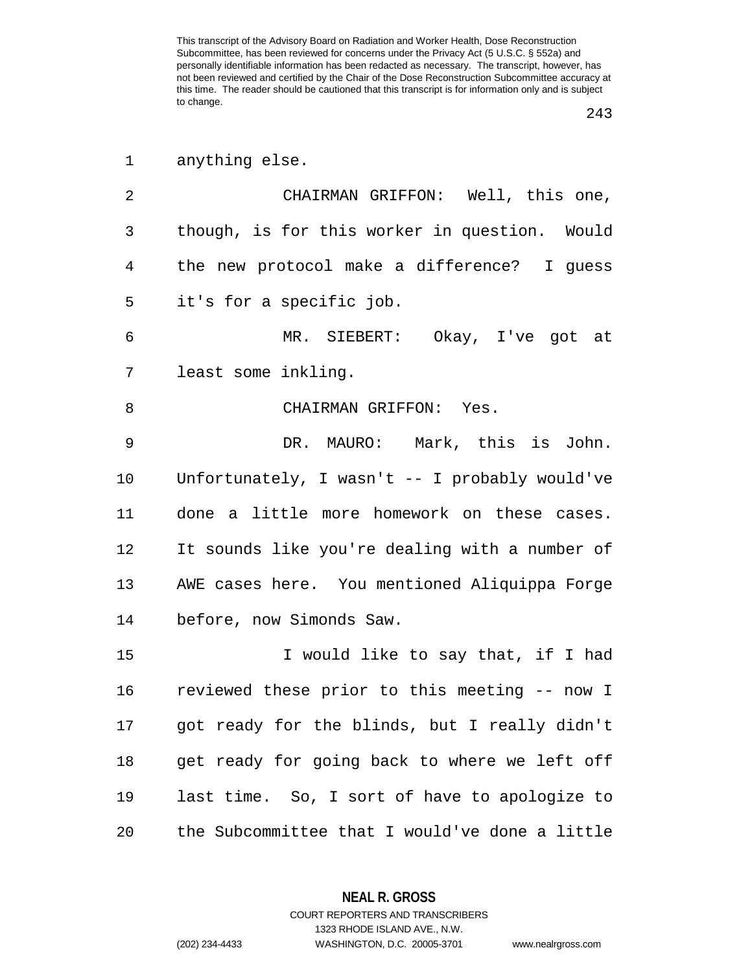| $\mathbf 1$ | anything else.                                 |
|-------------|------------------------------------------------|
| 2           | CHAIRMAN GRIFFON: Well, this one,              |
| 3           | though, is for this worker in question. Would  |
| 4           | the new protocol make a difference? I guess    |
| 5           | it's for a specific job.                       |
| 6           | MR. SIEBERT: Okay, I've got at                 |
| 7           | least some inkling.                            |
| 8           | CHAIRMAN GRIFFON: Yes.                         |
| 9           | DR. MAURO: Mark, this is John.                 |
| 10          | Unfortunately, I wasn't -- I probably would've |
| 11          | done a little more homework on these cases.    |
| 12          | It sounds like you're dealing with a number of |
| 13          | AWE cases here. You mentioned Aliquippa Forge  |
| 14          | before, now Simonds Saw.                       |
| 15          | I would like to say that, if I had             |
| 16          | reviewed these prior to this meeting -- now I  |
| 17          | got ready for the blinds, but I really didn't  |
| 18          | get ready for going back to where we left off  |
| 19          | last time. So, I sort of have to apologize to  |
| 20          | the Subcommittee that I would've done a little |

**NEAL R. GROSS** COURT REPORTERS AND TRANSCRIBERS

1323 RHODE ISLAND AVE., N.W.

(202) 234-4433 WASHINGTON, D.C. 20005-3701 www.nealrgross.com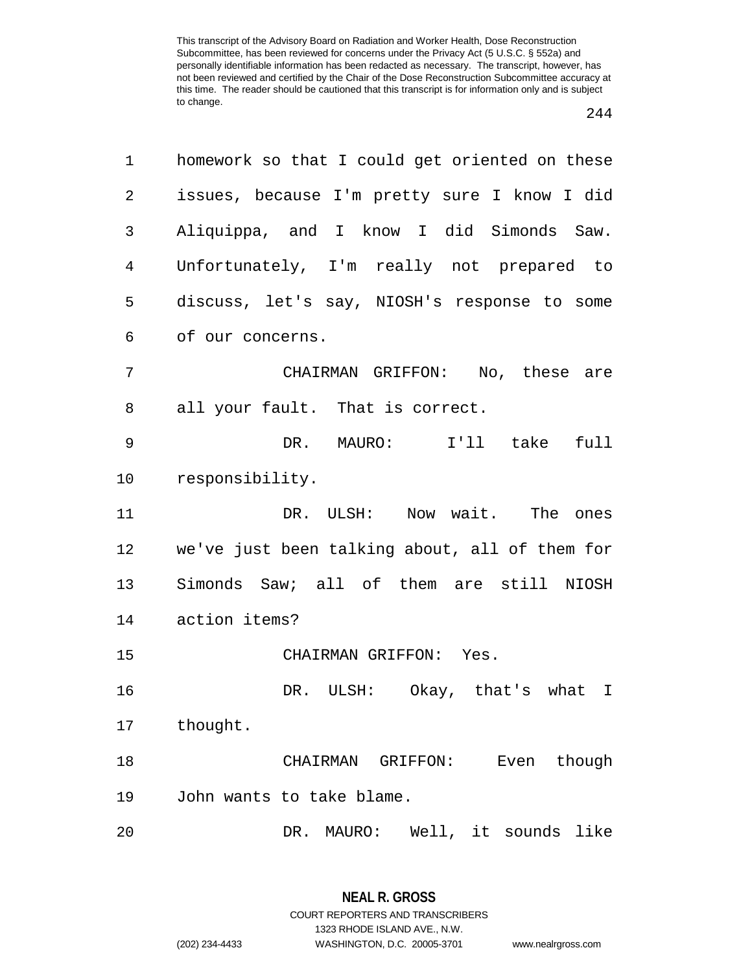| 1  | homework so that I could get oriented on these |  |  |  |
|----|------------------------------------------------|--|--|--|
| 2  | issues, because I'm pretty sure I know I did   |  |  |  |
| 3  | Aliquippa, and I know I did Simonds Saw.       |  |  |  |
| 4  | Unfortunately, I'm really not prepared to      |  |  |  |
| 5  | discuss, let's say, NIOSH's response to some   |  |  |  |
| 6  | of our concerns.                               |  |  |  |
| 7  | CHAIRMAN GRIFFON: No, these are                |  |  |  |
| 8  | all your fault. That is correct.               |  |  |  |
| 9  | DR. MAURO: I'll take full                      |  |  |  |
| 10 | responsibility.                                |  |  |  |
| 11 | DR. ULSH: Now wait. The ones                   |  |  |  |
| 12 | we've just been talking about, all of them for |  |  |  |
| 13 | Simonds Saw; all of them are still NIOSH       |  |  |  |
| 14 | action items?                                  |  |  |  |
| 15 | CHAIRMAN GRIFFON: Yes.                         |  |  |  |
| 16 | DR. ULSH: Okay, that's what I                  |  |  |  |
| 17 | thought.                                       |  |  |  |
| 18 | Even though<br>CHAIRMAN GRIFFON:               |  |  |  |
| 19 | John wants to take blame.                      |  |  |  |
| 20 | MAURO: Well, it sounds like<br>DR.             |  |  |  |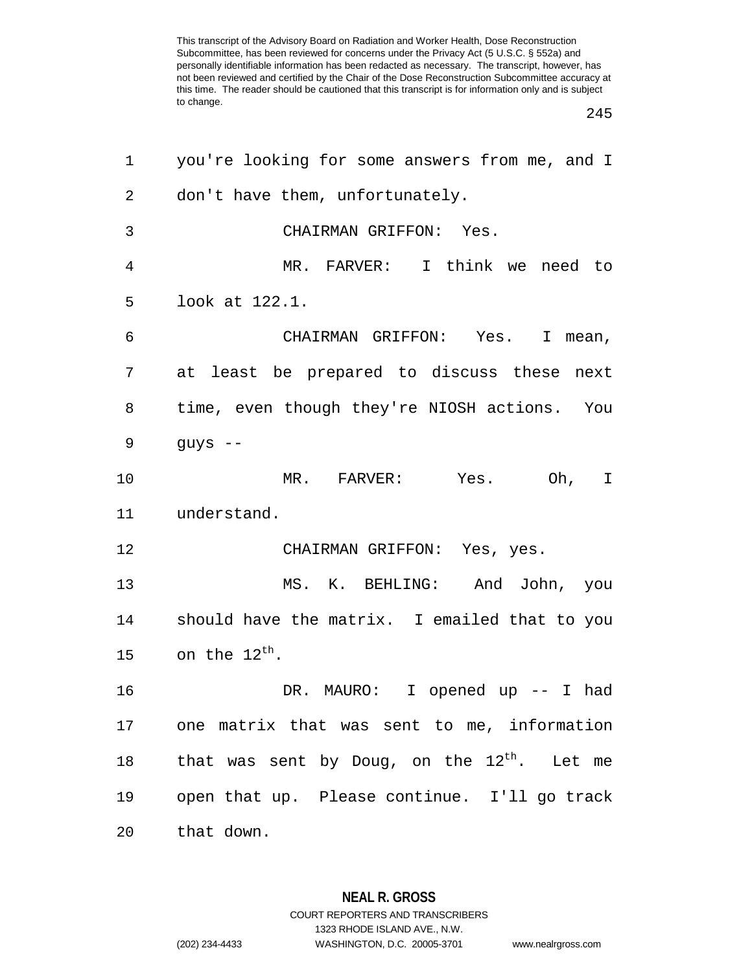| 1               | you're looking for some answers from me, and I        |  |  |  |
|-----------------|-------------------------------------------------------|--|--|--|
| $\overline{2}$  | don't have them, unfortunately.                       |  |  |  |
| 3               | CHAIRMAN GRIFFON: Yes.                                |  |  |  |
| 4               | MR. FARVER: I think we need to                        |  |  |  |
| 5               | look at 122.1.                                        |  |  |  |
| 6               | CHAIRMAN GRIFFON: Yes. I mean,                        |  |  |  |
| 7               | at least be prepared to discuss these next            |  |  |  |
| 8               | time, even though they're NIOSH actions. You          |  |  |  |
| 9               | guys --                                               |  |  |  |
| 10              | MR. FARVER: Yes. Oh, I                                |  |  |  |
| 11              | understand.                                           |  |  |  |
| 12              | CHAIRMAN GRIFFON: Yes, yes.                           |  |  |  |
| 13              | MS. K. BEHLING: And John, you                         |  |  |  |
| 14              | should have the matrix. I emailed that to you         |  |  |  |
| 15              | on the $12^{\text{th}}$ .                             |  |  |  |
| 16              | DR. MAURO: I opened up -- I had                       |  |  |  |
|                 | 17 one matrix that was sent to me, information        |  |  |  |
| 18              | that was sent by Doug, on the $12^\text{th}$ . Let me |  |  |  |
| 19              | open that up. Please continue. I'll go track          |  |  |  |
| 20 <sub>o</sub> | that down.                                            |  |  |  |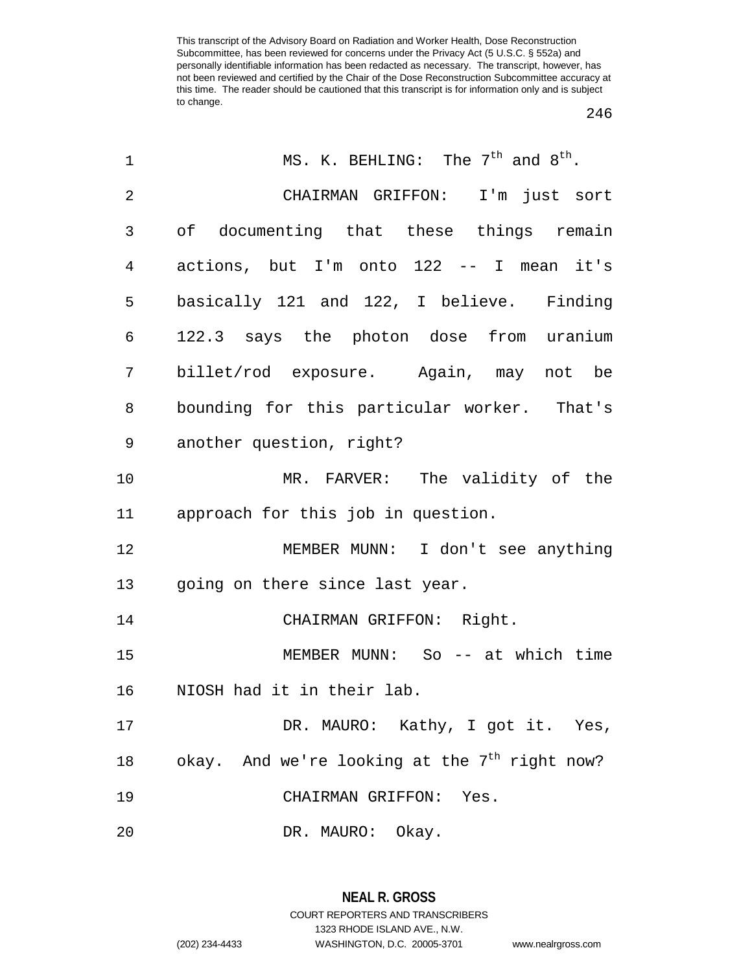| 1  | MS. K. BEHLING: The $7th$ and $8th$ .                     |
|----|-----------------------------------------------------------|
| 2  | CHAIRMAN GRIFFON: I'm just sort                           |
| 3  | of documenting that these things remain                   |
| 4  | actions, but I'm onto 122 -- I mean it's                  |
| 5  | basically 121 and 122, I believe. Finding                 |
| 6  | 122.3 says the photon dose from uranium                   |
| 7  | billet/rod exposure. Again, may not be                    |
| 8  | bounding for this particular worker. That's               |
| 9  | another question, right?                                  |
| 10 | MR. FARVER: The validity of the                           |
| 11 | approach for this job in question.                        |
| 12 | MEMBER MUNN: I don't see anything                         |
| 13 | going on there since last year.                           |
| 14 | CHAIRMAN GRIFFON: Right.                                  |
| 15 | MEMBER MUNN: So $-$ at which time                         |
| 16 | NIOSH had it in their lab.                                |
| 17 | DR. MAURO: Kathy, I got it. Yes,                          |
| 18 | okay. And we're looking at the $7^{\text{th}}$ right now? |
| 19 | CHAIRMAN GRIFFON: Yes.                                    |
| 20 | DR. MAURO: Okay.                                          |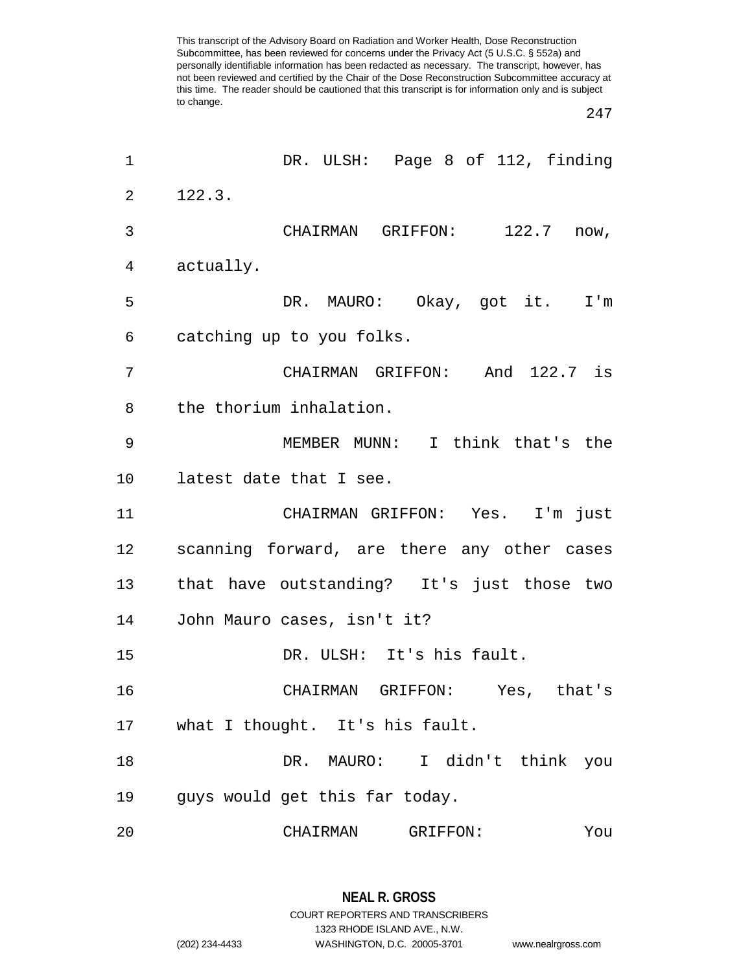| 1  | DR. ULSH: Page 8 of 112, finding            |
|----|---------------------------------------------|
| 2  | 122.3.                                      |
| 3  | CHAIRMAN GRIFFON: 122.7 now,                |
| 4  | actually.                                   |
| 5  | DR. MAURO: Okay, got it. I'm                |
| 6  | catching up to you folks.                   |
| 7  | CHAIRMAN GRIFFON: And 122.7 is              |
| 8  | the thorium inhalation.                     |
| 9  | MEMBER MUNN: I think that's the             |
| 10 | latest date that I see.                     |
| 11 | CHAIRMAN GRIFFON: Yes. I'm just             |
| 12 | scanning forward, are there any other cases |
| 13 | that have outstanding? It's just those two  |
| 14 | John Mauro cases, isn't it?                 |
| 15 | DR. ULSH: It's his fault.                   |
| 16 | CHAIRMAN GRIFFON: Yes, that's               |
| 17 | what I thought. It's his fault.             |
| 18 | DR. MAURO: I didn't think you               |
| 19 | guys would get this far today.              |
| 20 | CHAIRMAN<br>GRIFFON:<br>You                 |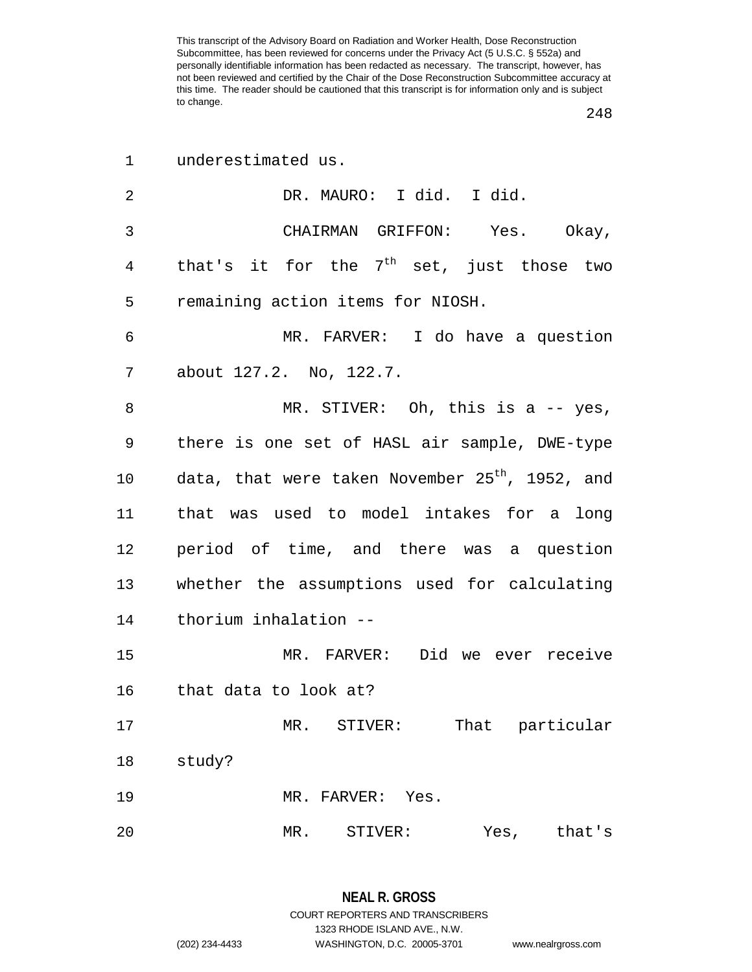| $\mathbf 1$ | underestimated us.                                          |
|-------------|-------------------------------------------------------------|
| 2           | DR. MAURO: I did. I did.                                    |
| 3           | CHAIRMAN GRIFFON: Yes. Okay,                                |
| 4           | that's it for the $7th$ set, just those two                 |
| 5           | remaining action items for NIOSH.                           |
| 6           | MR. FARVER: I do have a question                            |
| 7           | about 127.2. No, 122.7.                                     |
| 8           | MR. STIVER: Oh, this is a $-$ - yes,                        |
| 9           | there is one set of HASL air sample, DWE-type               |
| 10          | data, that were taken November 25 <sup>th</sup> , 1952, and |
| 11          | that was used to model intakes for a long                   |
| 12          | period of time, and there was a question                    |
| 13          | whether the assumptions used for calculating                |
| 14          | thorium inhalation --                                       |
| 15          | MR. FARVER: Did we ever receive                             |
| 16          | that data to look at?                                       |
| 17          | That particular<br>MR. STIVER:                              |
| 18          | study?                                                      |
| 19          | MR. FARVER: Yes.                                            |
| 20          | MR.<br>Yes,<br>STIVER:<br>that's                            |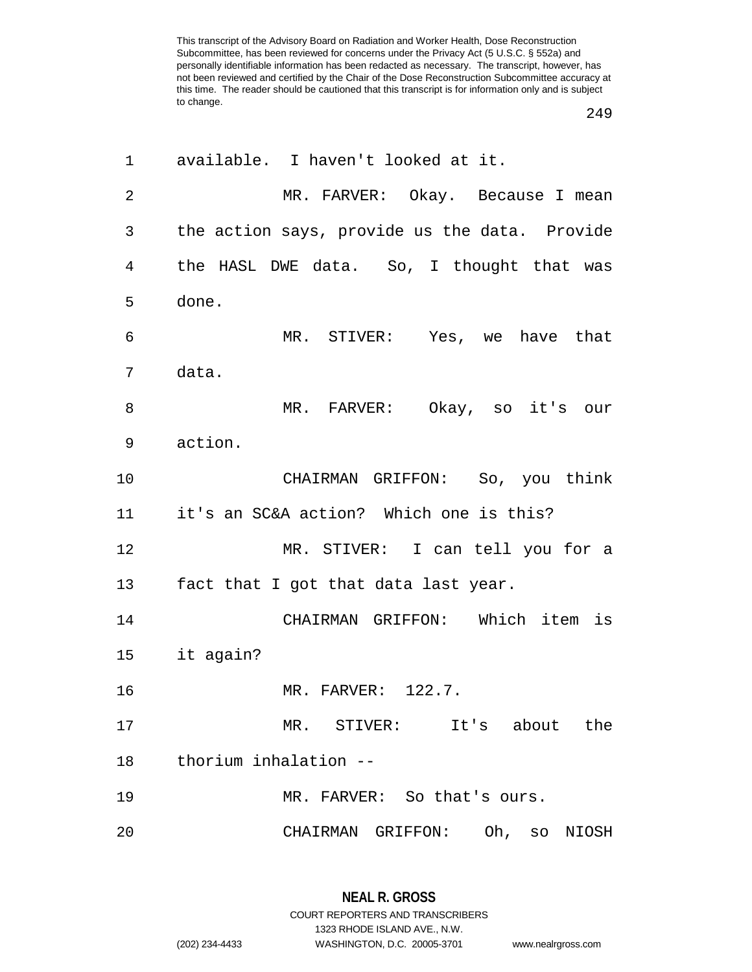| 1              | available. I haven't looked at it.            |  |  |  |
|----------------|-----------------------------------------------|--|--|--|
| $\overline{2}$ | MR. FARVER: Okay. Because I mean              |  |  |  |
| 3              | the action says, provide us the data. Provide |  |  |  |
| 4              | the HASL DWE data. So, I thought that was     |  |  |  |
| 5              | done.                                         |  |  |  |
| 6              | MR. STIVER: Yes, we have that                 |  |  |  |
| 7              | data.                                         |  |  |  |
| 8              | MR. FARVER: Okay, so it's our                 |  |  |  |
| 9              | action.                                       |  |  |  |
| 10             | CHAIRMAN GRIFFON: So, you think               |  |  |  |
| 11             | it's an SC&A action? Which one is this?       |  |  |  |
| 12             | MR. STIVER: I can tell you for a              |  |  |  |
| 13             | fact that I got that data last year.          |  |  |  |
| 14             | CHAIRMAN GRIFFON: Which item is               |  |  |  |
| 15             | it again?                                     |  |  |  |
| 16             | MR. FARVER: 122.7.                            |  |  |  |
| 17             | MR. STIVER: It's about the                    |  |  |  |
| 18             | thorium inhalation --                         |  |  |  |
| 19             | MR. FARVER: So that's ours.                   |  |  |  |
| 20             | CHAIRMAN GRIFFON: Oh, so NIOSH                |  |  |  |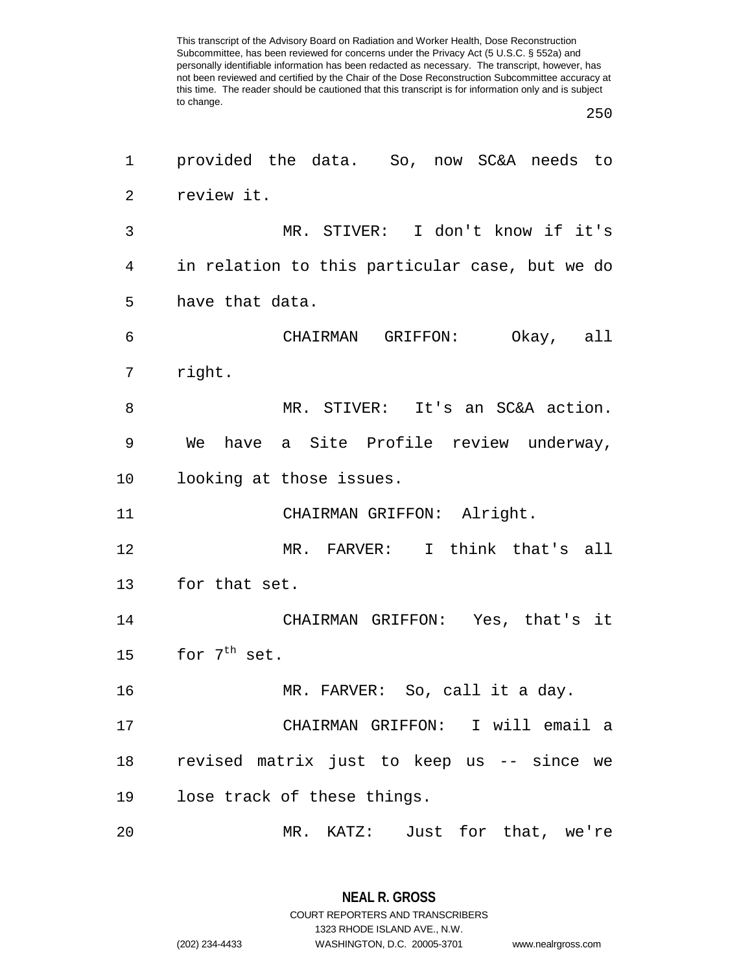| 1  | provided the data. So, now SC&A needs to       |  |  |  |
|----|------------------------------------------------|--|--|--|
| 2  | review it.                                     |  |  |  |
| 3  | MR. STIVER: I don't know if it's               |  |  |  |
| 4  | in relation to this particular case, but we do |  |  |  |
| 5  | have that data.                                |  |  |  |
| 6  | CHAIRMAN GRIFFON: Okay, all                    |  |  |  |
| 7  | right.                                         |  |  |  |
| 8  | MR. STIVER: It's an SC&A action.               |  |  |  |
| 9  | We have a Site Profile review underway,        |  |  |  |
| 10 | looking at those issues.                       |  |  |  |
| 11 | CHAIRMAN GRIFFON: Alright.                     |  |  |  |
| 12 | MR. FARVER: I think that's all                 |  |  |  |
| 13 | for that set.                                  |  |  |  |
| 14 | CHAIRMAN GRIFFON: Yes, that's it               |  |  |  |
| 15 | for $7th$ set.                                 |  |  |  |
| 16 | MR. FARVER: So, call it a day.                 |  |  |  |
| 17 | CHAIRMAN GRIFFON: I will email a               |  |  |  |
| 18 | revised matrix just to keep us -- since we     |  |  |  |
| 19 | lose track of these things.                    |  |  |  |
| 20 | MR. KATZ: Just for that, we're                 |  |  |  |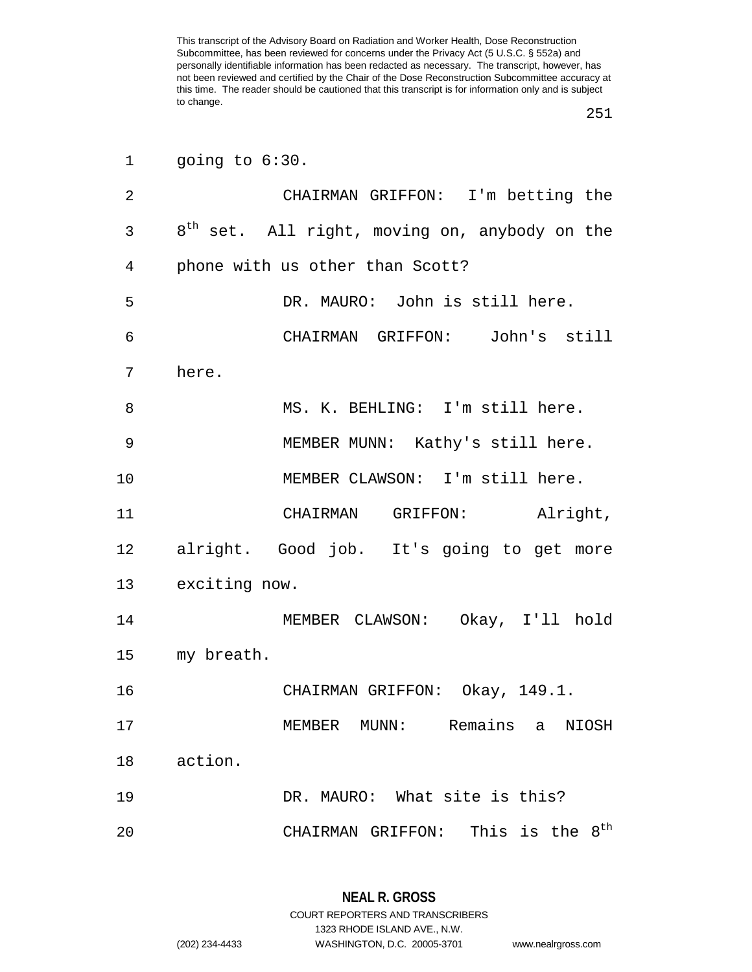|    | 1 going to $6:30$ .             |                                                           |                             |  |
|----|---------------------------------|-----------------------------------------------------------|-----------------------------|--|
| 2  |                                 | CHAIRMAN GRIFFON: I'm betting the                         |                             |  |
| 3  |                                 | 8 <sup>th</sup> set. All right, moving on, anybody on the |                             |  |
| 4  | phone with us other than Scott? |                                                           |                             |  |
| 5  |                                 | DR. MAURO: John is still here.                            |                             |  |
| 6  |                                 | CHAIRMAN GRIFFON: John's still                            |                             |  |
| 7  | here.                           |                                                           |                             |  |
| 8  |                                 | MS. K. BEHLING: I'm still here.                           |                             |  |
| 9  |                                 | MEMBER MUNN: Kathy's still here.                          |                             |  |
| 10 |                                 | MEMBER CLAWSON: I'm still here.                           |                             |  |
| 11 |                                 | CHAIRMAN GRIFFON: Alright,                                |                             |  |
| 12 |                                 | alright. Good job. It's going to get more                 |                             |  |
|    | 13 exciting now.                |                                                           |                             |  |
| 14 |                                 | MEMBER CLAWSON: Okay, I'll hold                           |                             |  |
| 15 | my breath.                      |                                                           |                             |  |
| 16 |                                 | CHAIRMAN GRIFFON: Okay, 149.1.                            |                             |  |
| 17 |                                 | MEMBER MUNN: Remains a NIOSH                              |                             |  |
| 18 | action.                         |                                                           |                             |  |
| 19 |                                 | DR. MAURO: What site is this?                             |                             |  |
| 20 |                                 | CHAIRMAN GRIFFON:                                         | This is the 8 <sup>th</sup> |  |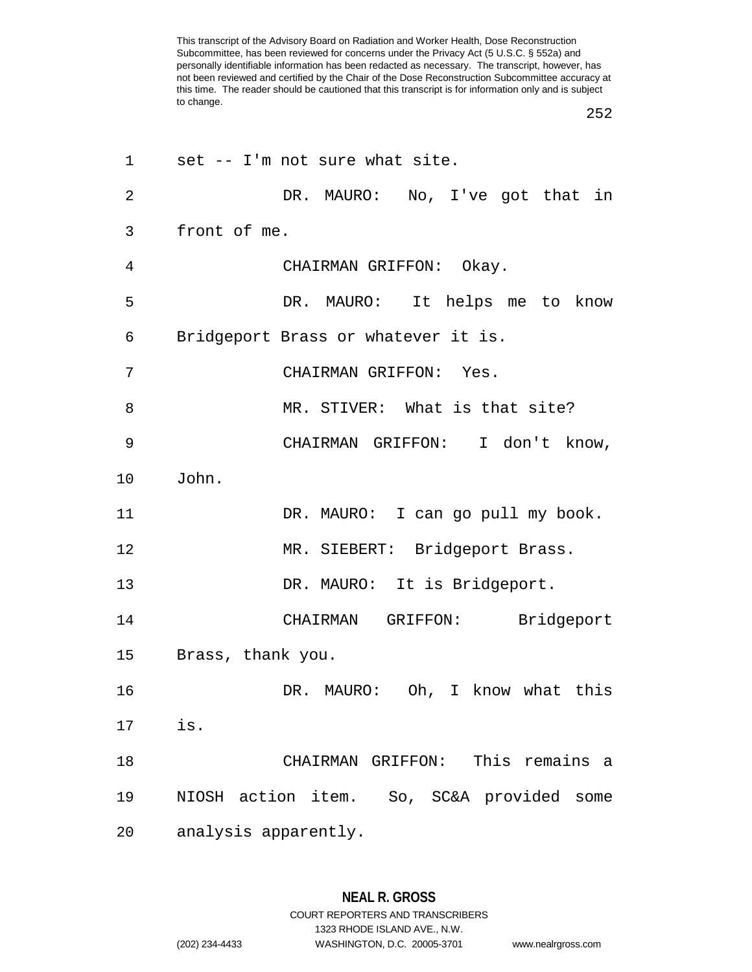| 1              | set -- I'm not sure what site.            |
|----------------|-------------------------------------------|
| $\overline{2}$ | DR. MAURO: No, I've got that in           |
| 3              | front of me.                              |
| 4              | CHAIRMAN GRIFFON: Okay.                   |
| 5              | DR. MAURO: It helps me to know            |
| 6              | Bridgeport Brass or whatever it is.       |
| 7              | CHAIRMAN GRIFFON: Yes.                    |
| 8              | MR. STIVER: What is that site?            |
| 9              | CHAIRMAN GRIFFON: I don't know,           |
| 10             | John.                                     |
| 11             | DR. MAURO: I can go pull my book.         |
| 12             | MR. SIEBERT: Bridgeport Brass.            |
| 13             | DR. MAURO: It is Bridgeport.              |
| 14             | CHAIRMAN GRIFFON: Bridgeport              |
| 15             | Brass, thank you.                         |
| 16             | DR. MAURO: Oh, I know what this           |
| 17             | is.                                       |
| 18             | CHAIRMAN GRIFFON: This remains a          |
| 19             | NIOSH action item. So, SC&A provided some |
| 20             | analysis apparently.                      |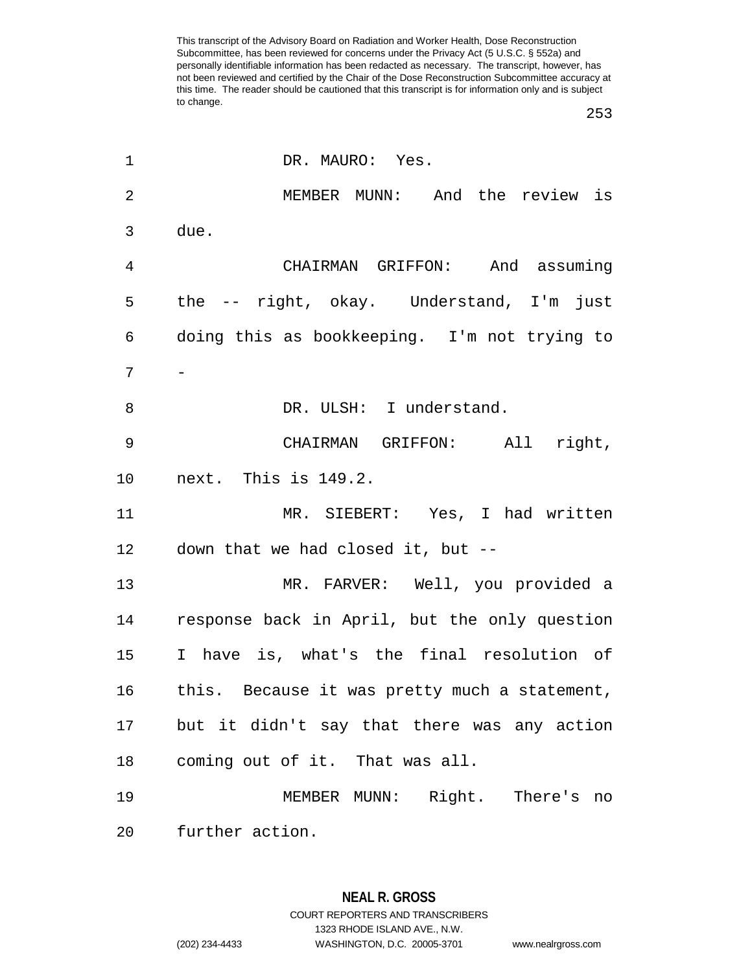| 1  | DR. MAURO: Yes.                                |
|----|------------------------------------------------|
| 2  | MEMBER MUNN: And the review is                 |
| 3  | due.                                           |
| 4  | CHAIRMAN GRIFFON: And assuming                 |
| 5  | the -- right, okay. Understand, I'm just       |
| 6  | doing this as bookkeeping. I'm not trying to   |
| 7  |                                                |
| 8  | DR. ULSH: I understand.                        |
| 9  | CHAIRMAN GRIFFON: All right,                   |
| 10 | next. This is 149.2.                           |
| 11 | MR. SIEBERT: Yes, I had written                |
| 12 | down that we had closed it, but --             |
| 13 | MR. FARVER: Well, you provided a               |
| 14 | response back in April, but the only question  |
| 15 | I have is, what's the final resolution of      |
| 16 | this. Because it was pretty much a statement,  |
|    | 17 but it didn't say that there was any action |
| 18 | coming out of it. That was all.                |
| 19 | MEMBER MUNN: Right. There's no                 |
| 20 | further action.                                |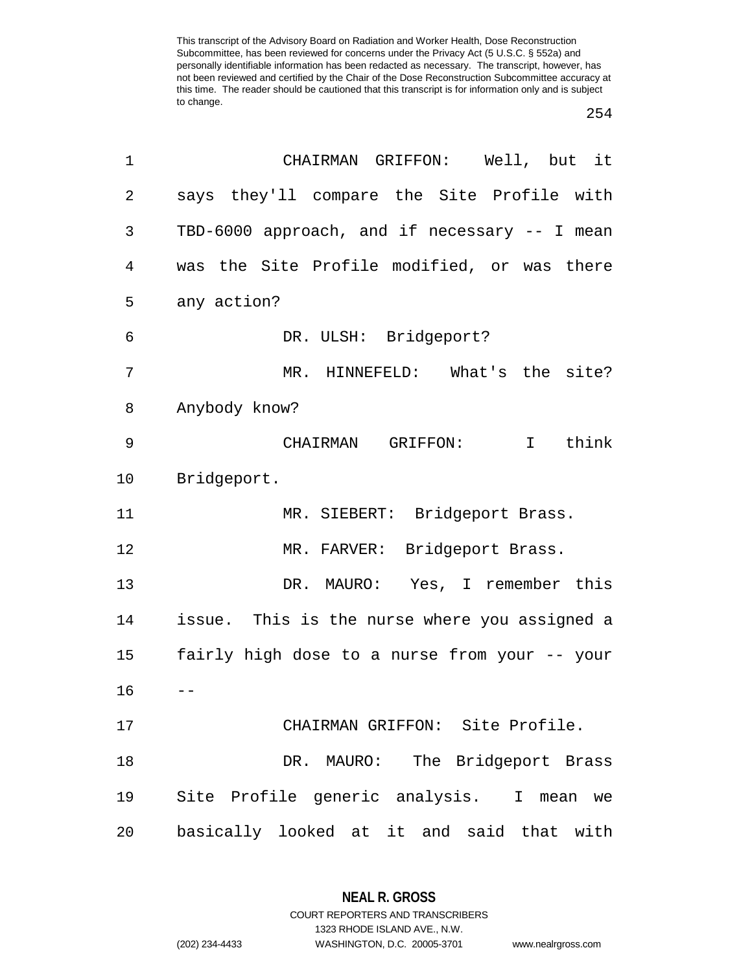## 

| 1              | CHAIRMAN GRIFFON: Well, but it                |
|----------------|-----------------------------------------------|
| $\overline{2}$ | says they'll compare the Site Profile with    |
| 3              | TBD-6000 approach, and if necessary -- I mean |
| 4              | was the Site Profile modified, or was there   |
| 5              | any action?                                   |
| 6              | DR. ULSH: Bridgeport?                         |
| 7              | MR. HINNEFELD: What's the site?               |
| 8              | Anybody know?                                 |
| 9              | CHAIRMAN GRIFFON:<br>I think                  |
| 10             | Bridgeport.                                   |
| 11             | MR. SIEBERT: Bridgeport Brass.                |
| 12             | MR. FARVER: Bridgeport Brass.                 |
| 13             | DR. MAURO: Yes, I remember this               |
| 14             | issue. This is the nurse where you assigned a |
| 15             | fairly high dose to a nurse from your -- your |
| 16             |                                               |
| 17             | CHAIRMAN GRIFFON: Site Profile.               |
| 18             | DR. MAURO: The Bridgeport Brass               |
| 19             | Site Profile generic analysis. I mean we      |
| 20             | basically looked at it and said that with     |

**NEAL R. GROSS** COURT REPORTERS AND TRANSCRIBERS

1323 RHODE ISLAND AVE., N.W.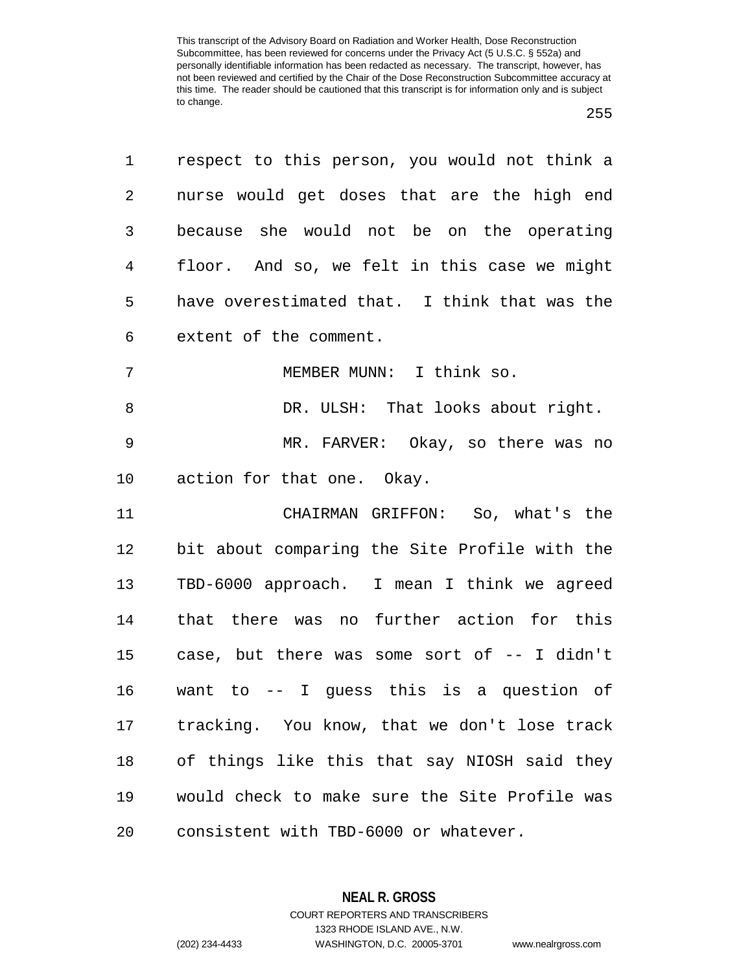| 1              | respect to this person, you would not think a |
|----------------|-----------------------------------------------|
| $\overline{a}$ | nurse would get doses that are the high end   |
| 3              | because she would not be on the operating     |
| $\overline{4}$ | floor. And so, we felt in this case we might  |
| 5              | have overestimated that. I think that was the |
| 6              | extent of the comment.                        |
| 7              | MEMBER MUNN: I think so.                      |
| 8              | DR. ULSH: That looks about right.             |
| 9              | MR. FARVER: Okay, so there was no             |
| $10 \,$        | action for that one. Okay.                    |
| 11             | CHAIRMAN GRIFFON: So, what's the              |
| 12             | bit about comparing the Site Profile with the |
| 13             | TBD-6000 approach. I mean I think we agreed   |
| 14             | that there was no further action for this     |
| 15             | case, but there was some sort of -- I didn't  |
| 16             | want to $-$ I guess this is a question of     |
| 17             | tracking. You know, that we don't lose track  |
| 18             | of things like this that say NIOSH said they  |
| 19             | would check to make sure the Site Profile was |
| 20             | consistent with TBD-6000 or whatever.         |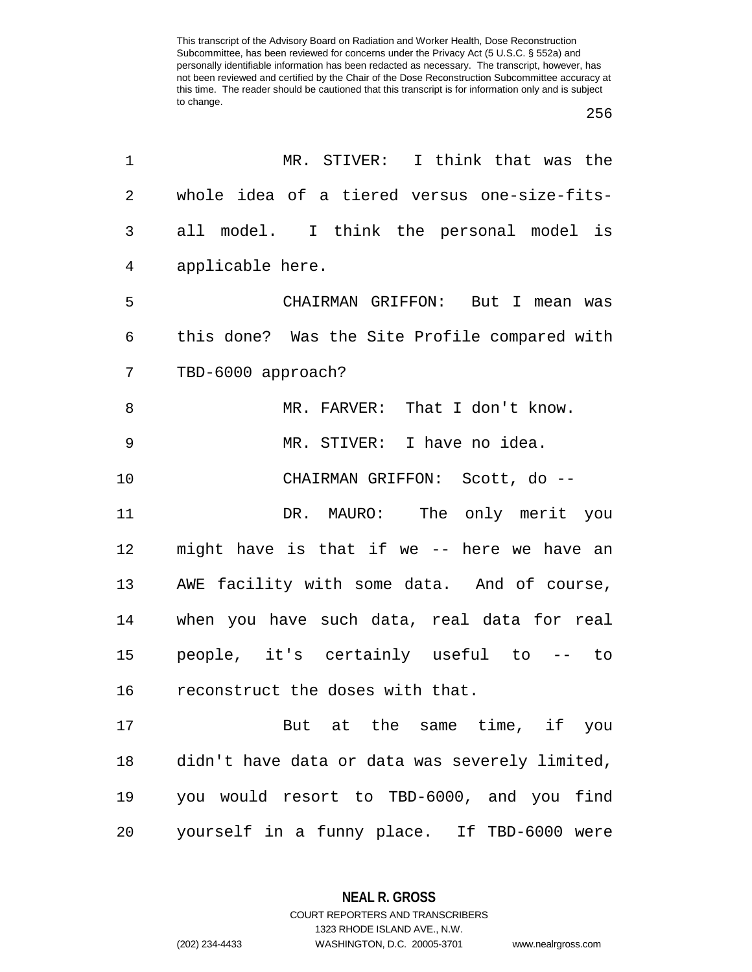## 

| MR. STIVER: I think that was the               |
|------------------------------------------------|
| whole idea of a tiered versus one-size-fits-   |
| all model. I think the personal model is       |
| applicable here.                               |
| CHAIRMAN GRIFFON: But I mean was               |
| this done? Was the Site Profile compared with  |
| TBD-6000 approach?                             |
| MR. FARVER: That I don't know.                 |
| MR. STIVER: I have no idea.                    |
| CHAIRMAN GRIFFON: Scott, do --                 |
| DR. MAURO: The only merit you                  |
| might have is that if we -- here we have an    |
| AWE facility with some data. And of course,    |
| when you have such data, real data for real    |
| people, it's certainly useful to -- to         |
| reconstruct the doses with that.               |
| But at the same time, if you                   |
| didn't have data or data was severely limited, |
| you would resort to TBD-6000, and you find     |
| yourself in a funny place. If TBD-6000 were    |
|                                                |

**NEAL R. GROSS** COURT REPORTERS AND TRANSCRIBERS

1323 RHODE ISLAND AVE., N.W.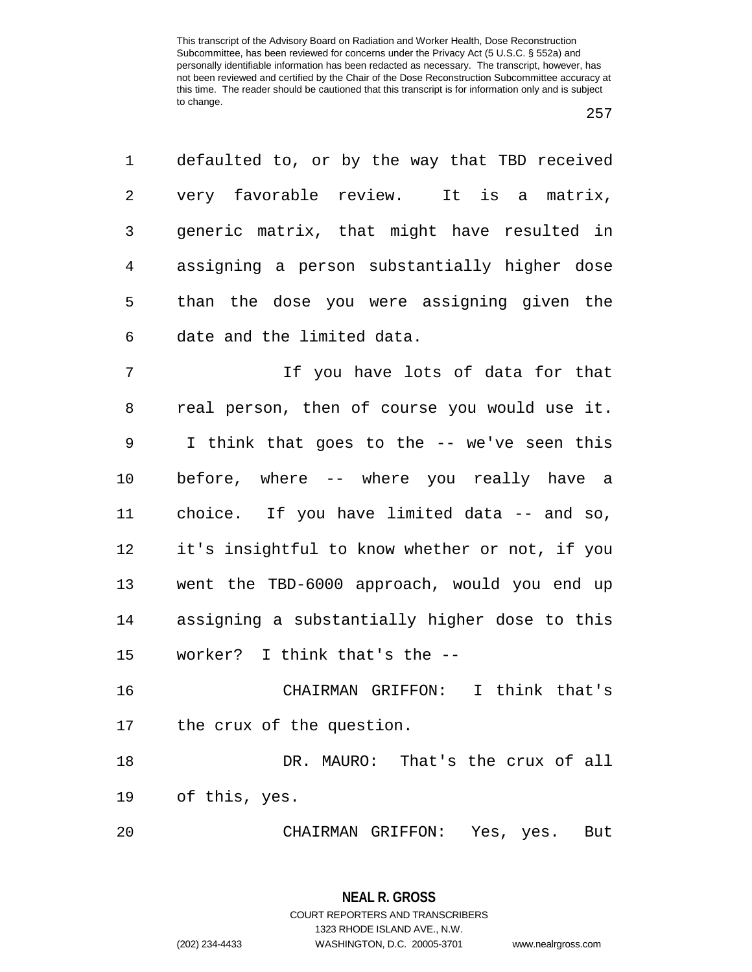| 1       | defaulted to, or by the way that TBD received  |
|---------|------------------------------------------------|
| 2       | very favorable review. It is a matrix,         |
| 3       | generic matrix, that might have resulted in    |
| 4       | assigning a person substantially higher dose   |
| 5       | than the dose you were assigning given the     |
| 6       | date and the limited data.                     |
| 7       | If you have lots of data for that              |
| 8       | real person, then of course you would use it.  |
| 9       | I think that goes to the -- we've seen this    |
| $10 \,$ | before, where -- where you really have a       |
| 11      | choice. If you have limited data -- and so,    |
| 12      | it's insightful to know whether or not, if you |
| 13      | went the TBD-6000 approach, would you end up   |
| 14      | assigning a substantially higher dose to this  |
| 15      | worker? I think that's the --                  |
| 16      | CHAIRMAN GRIFFON: I think that's               |
| 17      | the crux of the question.                      |
| 18      | DR. MAURO: That's the crux of all              |
| 19      | of this, yes.                                  |
| 20      | CHAIRMAN GRIFFON:<br>Yes, yes.<br>But          |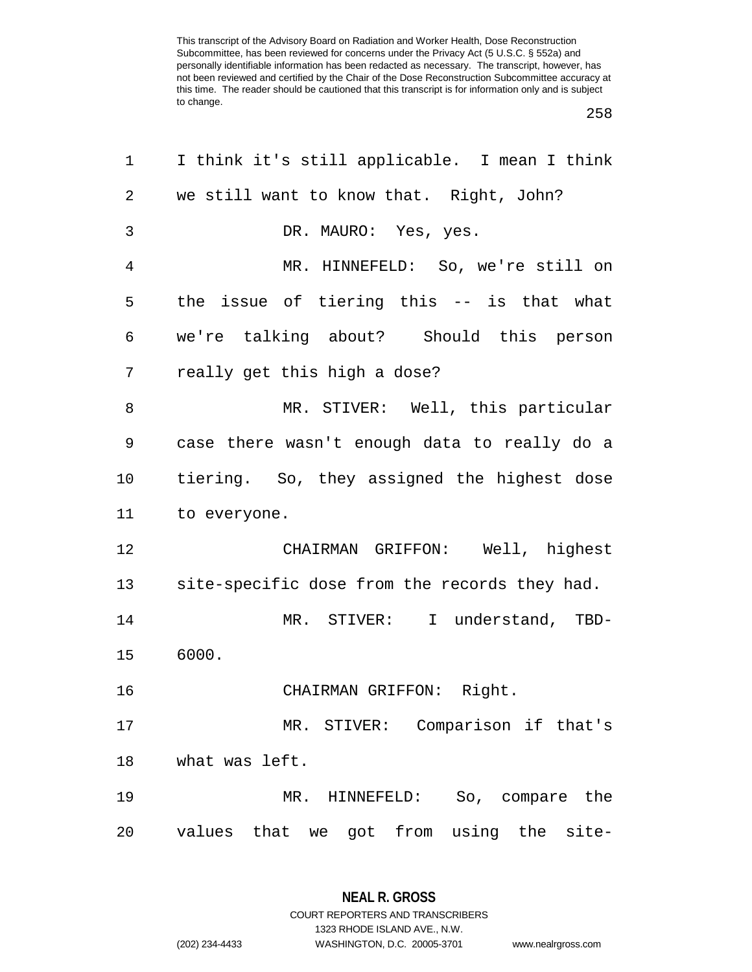| 1              | I think it's still applicable. I mean I think |
|----------------|-----------------------------------------------|
| 2              | we still want to know that. Right, John?      |
| 3              | DR. MAURO: Yes, yes.                          |
| $\overline{4}$ | MR. HINNEFELD: So, we're still on             |
| 5              | the issue of tiering this -- is that what     |
| 6              | we're talking about? Should this person       |
| 7              | really get this high a dose?                  |
| 8              | MR. STIVER: Well, this particular             |
| 9              | case there wasn't enough data to really do a  |
| $10 \,$        | tiering. So, they assigned the highest dose   |
| 11             | to everyone.                                  |
| 12             | CHAIRMAN GRIFFON: Well, highest               |
| 13             | site-specific dose from the records they had. |
| 14             | MR. STIVER: I understand, TBD-                |
| 15             | 6000.                                         |
| 16             | CHAIRMAN GRIFFON: Right.                      |
| 17             | MR. STIVER: Comparison if that's              |
| 18             | what was left.                                |
| 19             | MR. HINNEFELD: So, compare the                |
| 20             | values that we got from using the site-       |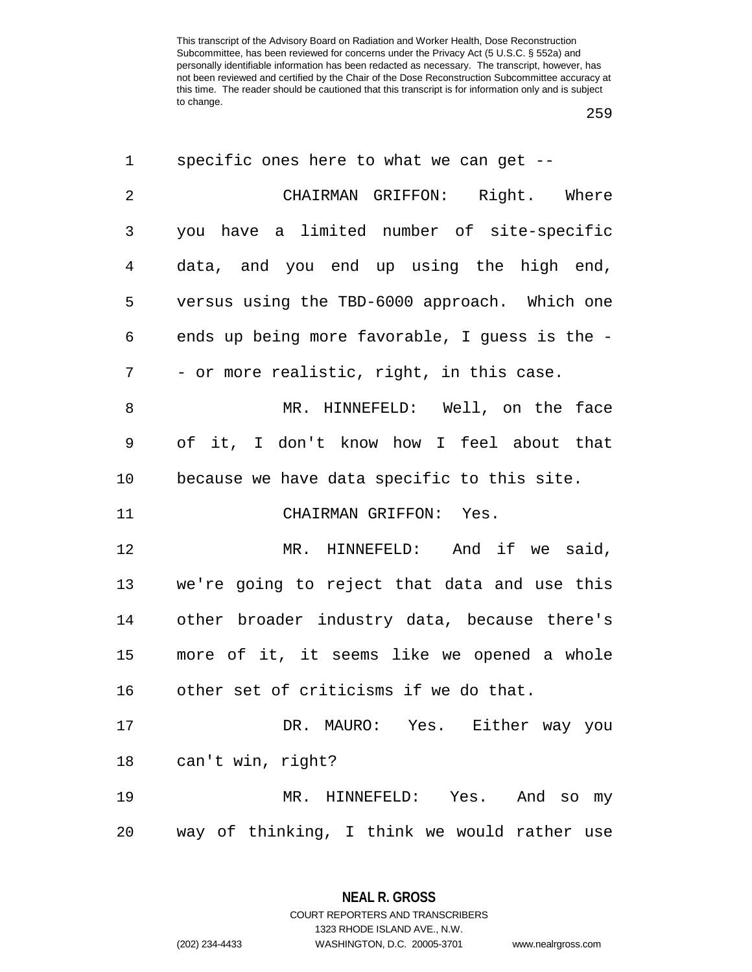| 1              | specific ones here to what we can get $-$ -    |
|----------------|------------------------------------------------|
| $\overline{2}$ | CHAIRMAN GRIFFON: Right. Where                 |
| 3              | you have a limited number of site-specific     |
| 4              | data, and you end up using the high end,       |
| 5              | versus using the TBD-6000 approach. Which one  |
| 6              | ends up being more favorable, I guess is the - |
| 7              | - or more realistic, right, in this case.      |
| 8              | MR. HINNEFELD: Well, on the face               |
| 9              | of it, I don't know how I feel about that      |
| 10             | because we have data specific to this site.    |
| 11             | CHAIRMAN GRIFFON: Yes.                         |
| 12             | MR. HINNEFELD: And if we said,                 |
| 13             | we're going to reject that data and use this   |
| 14             | other broader industry data, because there's   |
| 15             | more of it, it seems like we opened a whole    |
| 16             | other set of criticisms if we do that.         |
| 17             | DR. MAURO: Yes. Either way you                 |
| 18             | can't win, right?                              |
|                |                                                |
| 19             | MR. HINNEFELD: Yes. And so my                  |

**NEAL R. GROSS** COURT REPORTERS AND TRANSCRIBERS

1323 RHODE ISLAND AVE., N.W.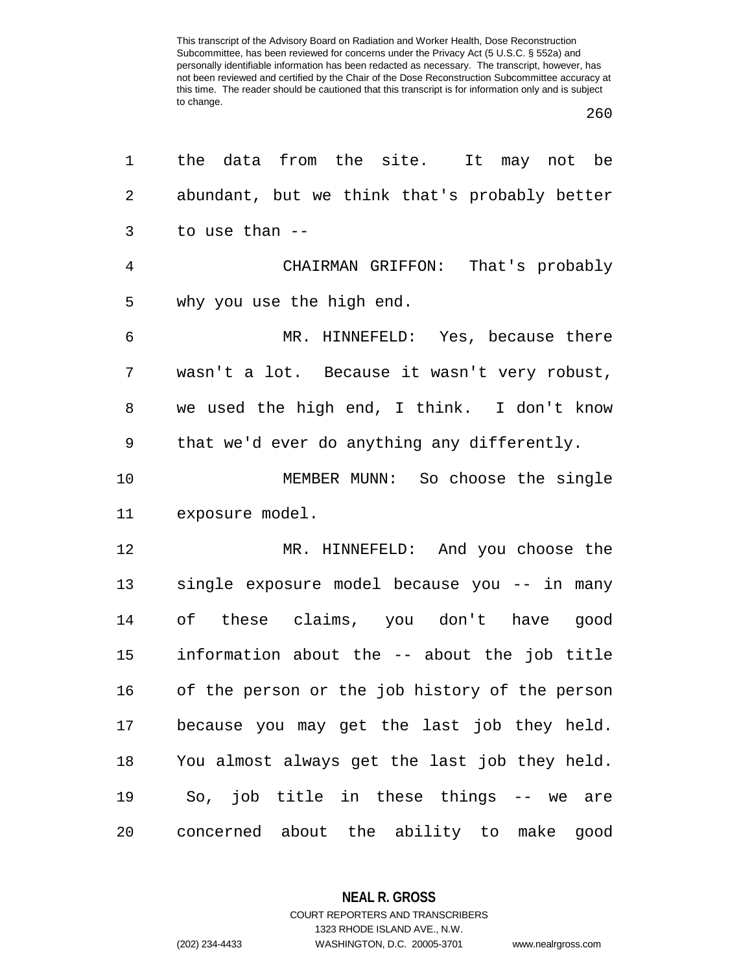| 1              | the data from the site. It may not be          |
|----------------|------------------------------------------------|
| 2              | abundant, but we think that's probably better  |
| 3              | to use than --                                 |
| $\overline{4}$ | CHAIRMAN GRIFFON: That's probably              |
| 5              | why you use the high end.                      |
| 6              | MR. HINNEFELD: Yes, because there              |
| 7              | wasn't a lot. Because it wasn't very robust,   |
| 8              | we used the high end, I think. I don't know    |
| 9              | that we'd ever do anything any differently.    |
| 10             | MEMBER MUNN: So choose the single              |
| 11             | exposure model.                                |
| 12             | MR. HINNEFELD: And you choose the              |
| 13             | single exposure model because you -- in many   |
| 14             | of these claims, you don't have good           |
| 15             | information about the -- about the job title   |
| 16             | of the person or the job history of the person |
| 17             | because you may get the last job they held.    |
| 18             | You almost always get the last job they held.  |
| 19             | So, job title in these things -- we are        |
| 20             | concerned about the ability to make good       |

**NEAL R. GROSS**

COURT REPORTERS AND TRANSCRIBERS 1323 RHODE ISLAND AVE., N.W. (202) 234-4433 WASHINGTON, D.C. 20005-3701 www.nealrgross.com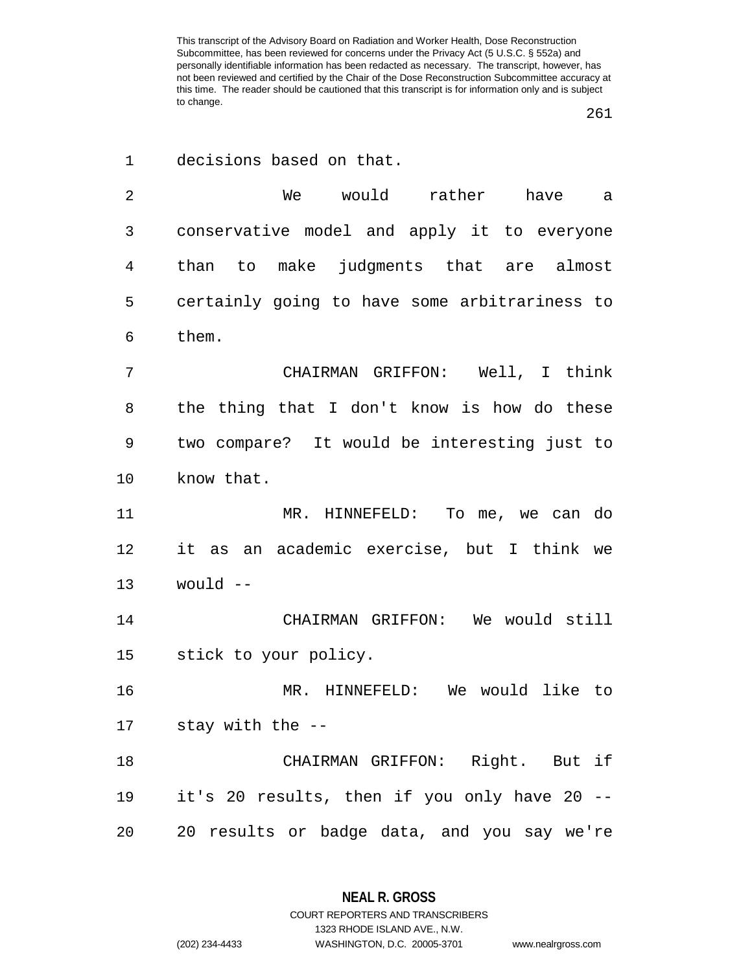decisions based on that.

 We would rather have a conservative model and apply it to everyone than to make judgments that are almost certainly going to have some arbitrariness to them.

 CHAIRMAN GRIFFON: Well, I think the thing that I don't know is how do these two compare? It would be interesting just to know that.

 MR. HINNEFELD: To me, we can do it as an academic exercise, but I think we would  $-$ 

 CHAIRMAN GRIFFON: We would still stick to your policy.

 MR. HINNEFELD: We would like to stay with the --

 CHAIRMAN GRIFFON: Right. But if it's 20 results, then if you only have 20 -- 20 results or badge data, and you say we're

1323 RHODE ISLAND AVE., N.W.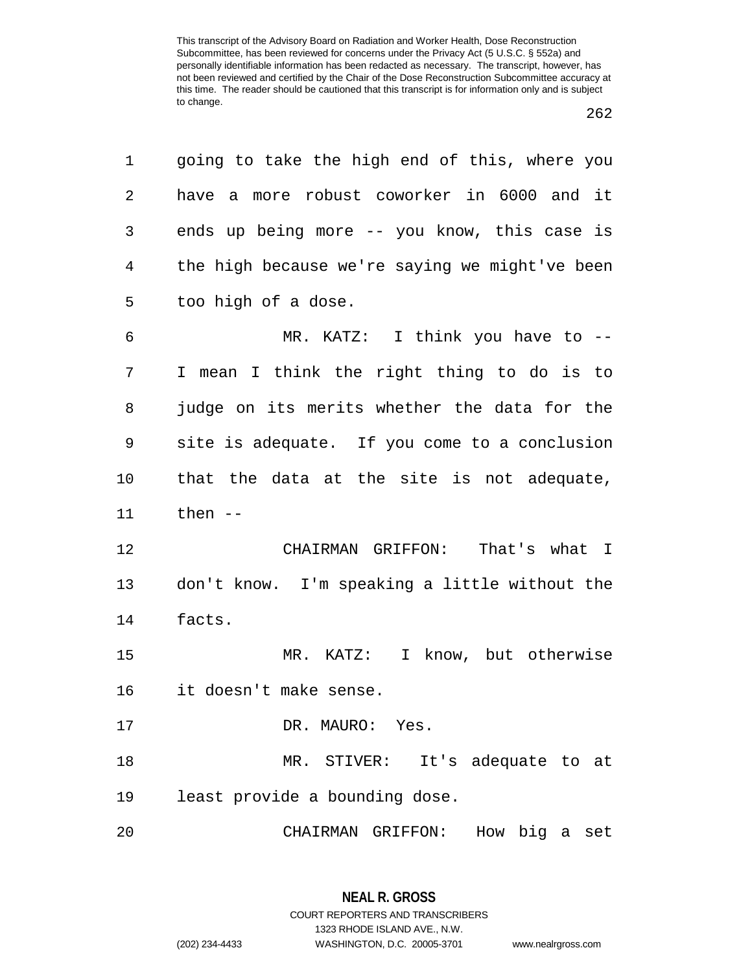| 1  | going to take the high end of this, where you  |
|----|------------------------------------------------|
| 2  | have a more robust coworker in 6000 and it     |
| 3  | ends up being more -- you know, this case is   |
| 4  | the high because we're saying we might've been |
| 5  | too high of a dose.                            |
| 6  | MR. KATZ: I think you have to --               |
| 7  | I mean I think the right thing to do is to     |
| 8  | judge on its merits whether the data for the   |
| 9  | site is adequate. If you come to a conclusion  |
| 10 | that the data at the site is not adequate,     |
| 11 | then $--$                                      |
| 12 | That's what I<br>CHAIRMAN GRIFFON:             |
| 13 | don't know. I'm speaking a little without the  |
| 14 | facts.                                         |
| 15 | I know, but otherwise<br>MR. KATZ:             |
| 16 | it doesn't make sense.                         |
| 17 | DR. MAURO: Yes.                                |
| 18 | MR. STIVER: It's adequate to at                |
| 19 | least provide a bounding dose.                 |
| 20 | How big a<br>CHAIRMAN GRIFFON:<br>set          |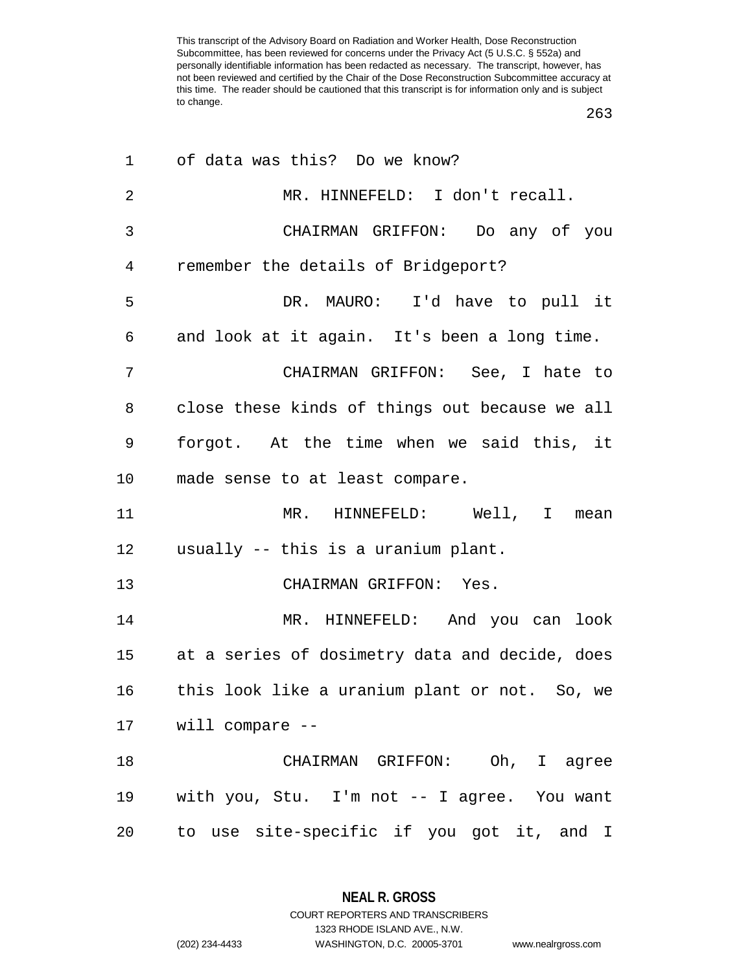| 1              | of data was this? Do we know?                     |
|----------------|---------------------------------------------------|
| $\overline{2}$ | MR. HINNEFELD: I don't recall.                    |
| 3              | CHAIRMAN GRIFFON: Do any of you                   |
| 4              | remember the details of Bridgeport?               |
| 5              | DR. MAURO: I'd have to pull it                    |
| 6              | and look at it again. It's been a long time.      |
| 7              | CHAIRMAN GRIFFON: See, I hate to                  |
| 8              | close these kinds of things out because we all    |
| 9              | forgot. At the time when we said this, it         |
| 10             | made sense to at least compare.                   |
| 11             | MR. HINNEFELD: Well, I mean                       |
| 12             | usually -- this is a uranium plant.               |
| 13             | CHAIRMAN GRIFFON: Yes.                            |
| 14             | MR. HINNEFELD: And you can look                   |
|                | 15 at a series of dosimetry data and decide, does |
| 16             | this look like a uranium plant or not. So, we     |
|                | 17 will compare --                                |
| 18             | CHAIRMAN GRIFFON: Oh, I agree                     |
| 19             | with you, Stu. I'm not -- I agree. You want       |
| 20             | to use site-specific if you got it, and I         |

**NEAL R. GROSS** COURT REPORTERS AND TRANSCRIBERS

1323 RHODE ISLAND AVE., N.W.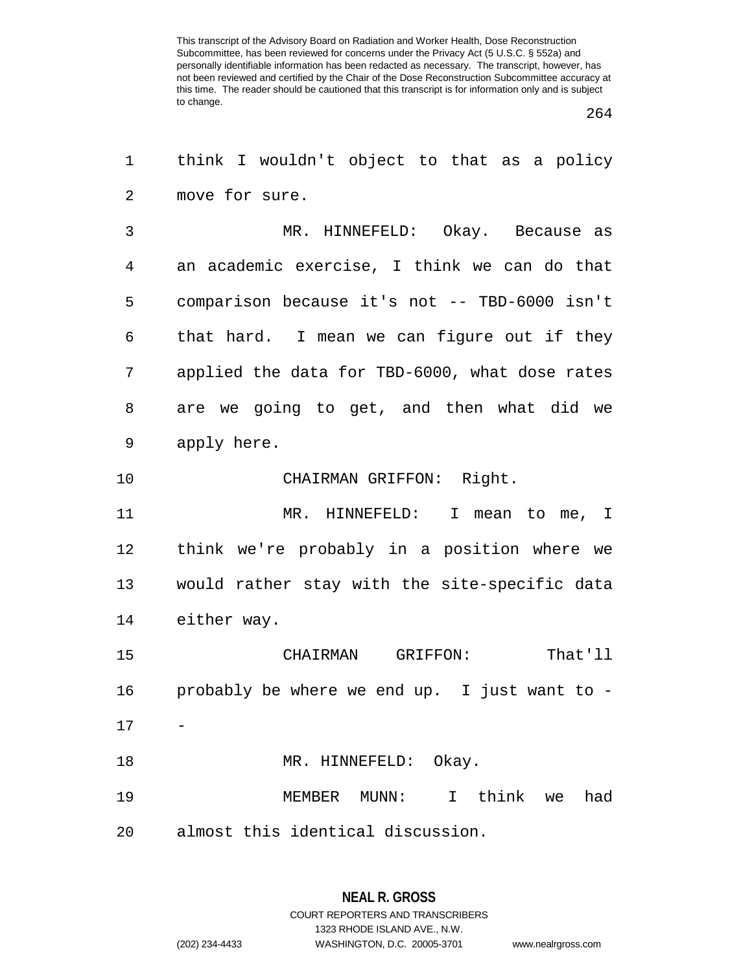| $\mathbf 1$ | think I wouldn't object to that as a policy          |
|-------------|------------------------------------------------------|
| 2           | move for sure.                                       |
| 3           | MR. HINNEFELD: Okay. Because as                      |
| 4           | an academic exercise, I think we can do that         |
| 5           | comparison because it's not -- TBD-6000 isn't        |
| 6           | that hard. I mean we can figure out if they          |
| 7           | applied the data for TBD-6000, what dose rates       |
| 8           | are we going to get, and then what did we            |
| 9           | apply here.                                          |
| 10          | CHAIRMAN GRIFFON: Right.                             |
| 11          | MR. HINNEFELD: I mean to me, I                       |
| 12          | think we're probably in a position where we          |
| 13          | would rather stay with the site-specific data        |
| 14          | either way.                                          |
| 15          | That'll<br>CHAIRMAN GRIFFON:                         |
| 16          | probably be where we end up. I just want to -        |
| 17          |                                                      |
| 18          | MR. HINNEFELD: Okay.                                 |
| 19          | $\mathbf I$<br>think<br>MEMBER<br>MUNN:<br>had<br>we |
| 20          | almost this identical discussion.                    |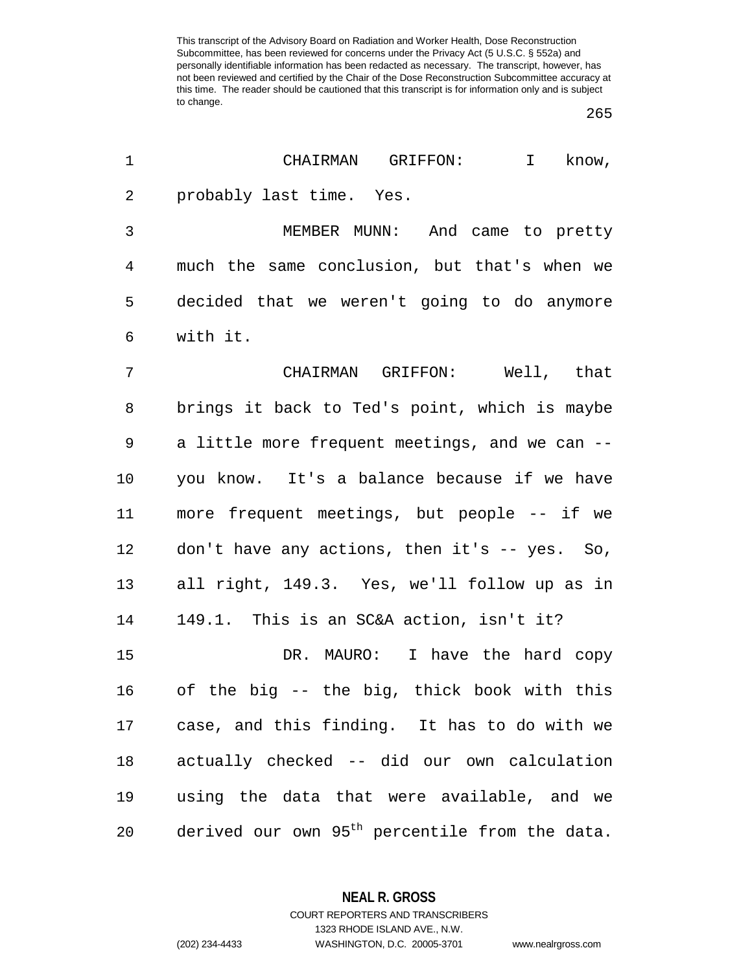| 1  | CHAIRMAN GRIFFON:<br>$\mathbf{I}$<br>know,                 |
|----|------------------------------------------------------------|
| 2  | probably last time. Yes.                                   |
| 3  | MEMBER MUNN: And came to pretty                            |
| 4  | much the same conclusion, but that's when we               |
| 5  | decided that we weren't going to do anymore                |
| 6  | with it.                                                   |
| 7  | CHAIRMAN GRIFFON: Well, that                               |
| 8  | brings it back to Ted's point, which is maybe              |
| 9  | a little more frequent meetings, and we can --             |
| 10 | you know. It's a balance because if we have                |
| 11 | more frequent meetings, but people -- if we                |
| 12 | don't have any actions, then it's -- yes. So,              |
| 13 | all right, 149.3. Yes, we'll follow up as in               |
| 14 | 149.1. This is an SC&A action, isn't it?                   |
| 15 | DR. MAURO: I have the hard copy                            |
| 16 | of the big -- the big, thick book with this                |
| 17 | case, and this finding. It has to do with we               |
| 18 | actually checked -- did our own calculation                |
| 19 | using the data that were available, and we                 |
| 20 | derived our own 95 <sup>th</sup> percentile from the data. |

**NEAL R. GROSS**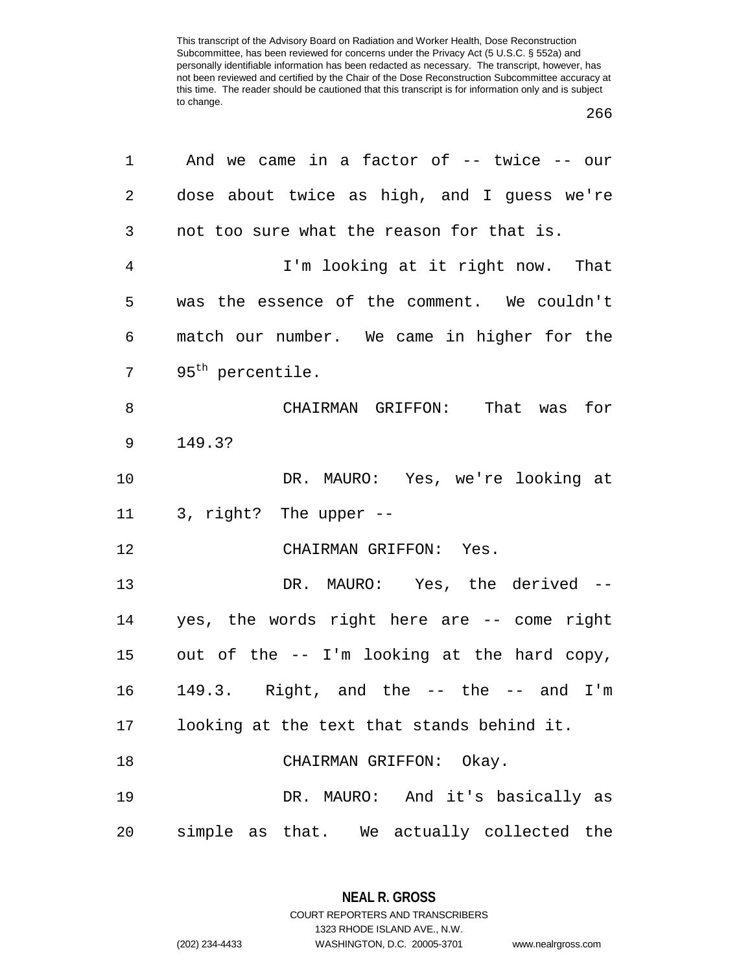| 1              | And we came in a factor of $-$ twice $-$ our |
|----------------|----------------------------------------------|
| $\overline{a}$ | dose about twice as high, and I guess we're  |
| 3              | not too sure what the reason for that is.    |
| $\overline{4}$ | I'm looking at it right now. That            |
| 5              | was the essence of the comment. We couldn't  |
| 6              | match our number. We came in higher for the  |
| 7              | 95 <sup>th</sup> percentile.                 |
| 8              | CHAIRMAN GRIFFON: That was for               |
| $\mathsf 9$    | 149.3?                                       |
| 10             | DR. MAURO: Yes, we're looking at             |
| 11             | 3, right? The upper --                       |
| 12             | CHAIRMAN GRIFFON: Yes.                       |
| 13             | DR. MAURO: Yes, the derived --               |
| 14             | yes, the words right here are -- come right  |
| 15             | out of the -- I'm looking at the hard copy,  |
| 16             | 149.3. Right, and the $--$ the $--$ and I'm  |
| 17             | looking at the text that stands behind it.   |
| 18             | CHAIRMAN GRIFFON: Okay.                      |
| 19             | DR. MAURO: And it's basically as             |
| 20             | simple as that. We actually collected the    |

**NEAL R. GROSS** COURT REPORTERS AND TRANSCRIBERS

1323 RHODE ISLAND AVE., N.W.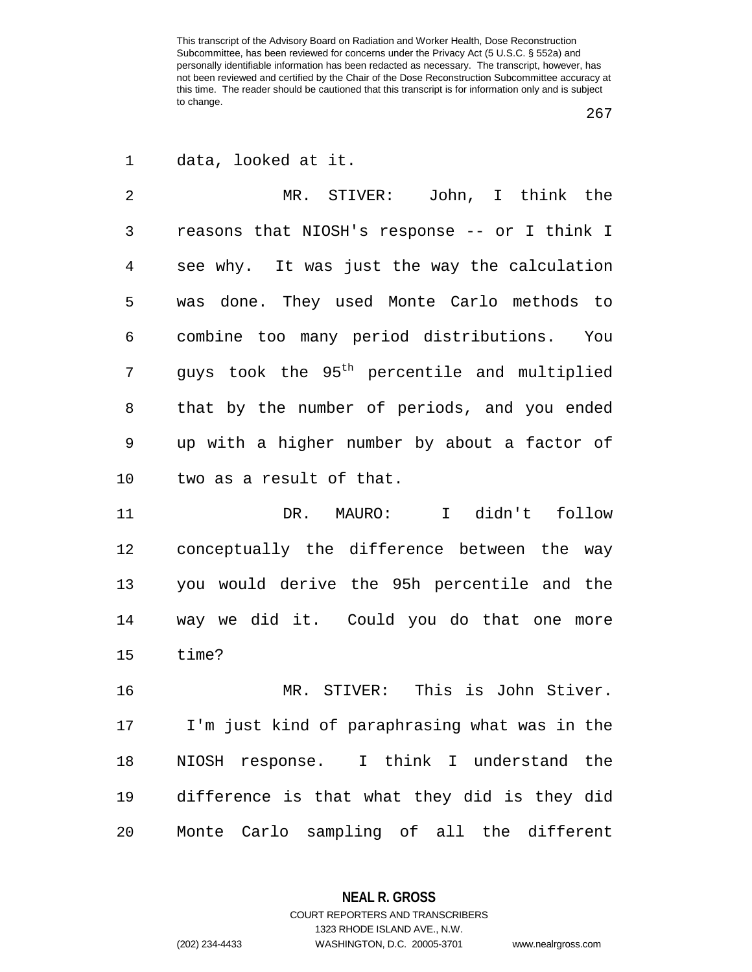data, looked at it.

 MR. STIVER: John, I think the reasons that NIOSH's response -- or I think I see why. It was just the way the calculation was done. They used Monte Carlo methods to combine too many period distributions. You guys took the  $95<sup>th</sup>$  percentile and multiplied that by the number of periods, and you ended up with a higher number by about a factor of two as a result of that.

 DR. MAURO: I didn't follow conceptually the difference between the way you would derive the 95h percentile and the way we did it. Could you do that one more time?

 MR. STIVER: This is John Stiver. I'm just kind of paraphrasing what was in the NIOSH response. I think I understand the difference is that what they did is they did Monte Carlo sampling of all the different

> **NEAL R. GROSS** COURT REPORTERS AND TRANSCRIBERS

> > 1323 RHODE ISLAND AVE., N.W.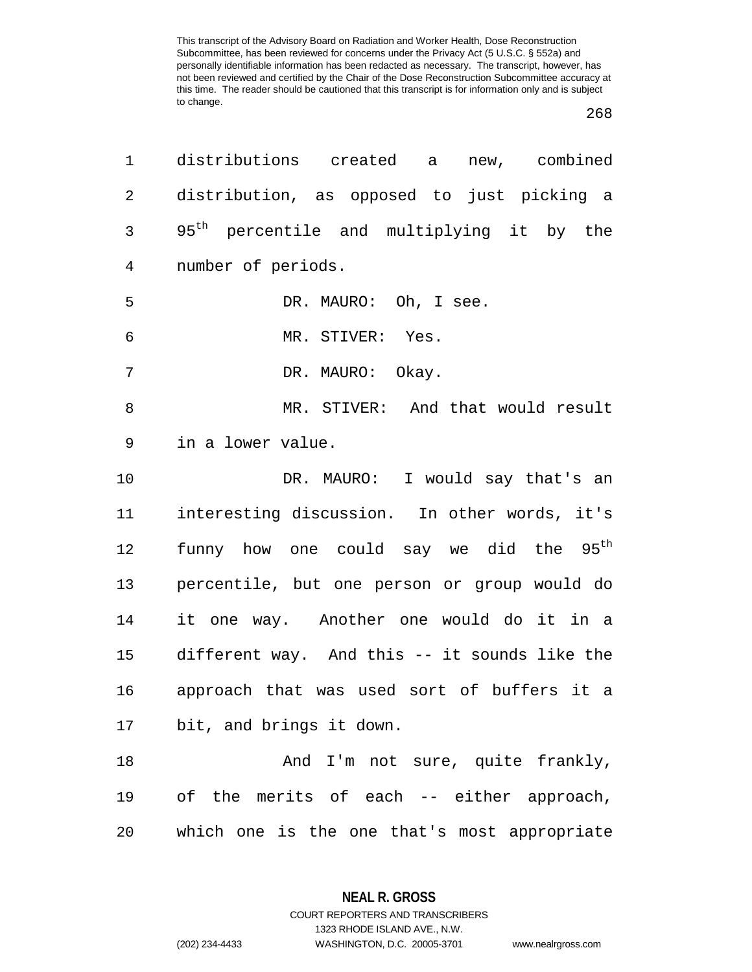| 1              | distributions created a<br>new, combined              |
|----------------|-------------------------------------------------------|
| $\overline{2}$ | distribution, as opposed to just picking a            |
| 3              | 95 <sup>th</sup> percentile and multiplying it by the |
| 4              | number of periods.                                    |
| 5              | DR. MAURO: Oh, I see.                                 |
| 6              | MR. STIVER: Yes.                                      |
| 7              | DR. MAURO: Okay.                                      |
| 8              | MR. STIVER: And that would result                     |
| 9              | in a lower value.                                     |
| 10             | DR. MAURO: I would say that's an                      |
| 11             | interesting discussion. In other words, it's          |
| 12             | funny how one could say we did the 95 <sup>th</sup>   |
| 13             | percentile, but one person or group would do          |
| 14             | it one way. Another one would do it in a              |
| 15             | different way. And this -- it sounds like the         |
| 16             | approach that was used sort of buffers it a           |
| 17             | bit, and brings it down.                              |
| 18             | And I'm not sure, quite frankly,                      |
| 19             | of the merits of each -- either approach,             |
| 20             | which one is the one that's most appropriate          |

**NEAL R. GROSS** COURT REPORTERS AND TRANSCRIBERS

1323 RHODE ISLAND AVE., N.W. (202) 234-4433 WASHINGTON, D.C. 20005-3701 www.nealrgross.com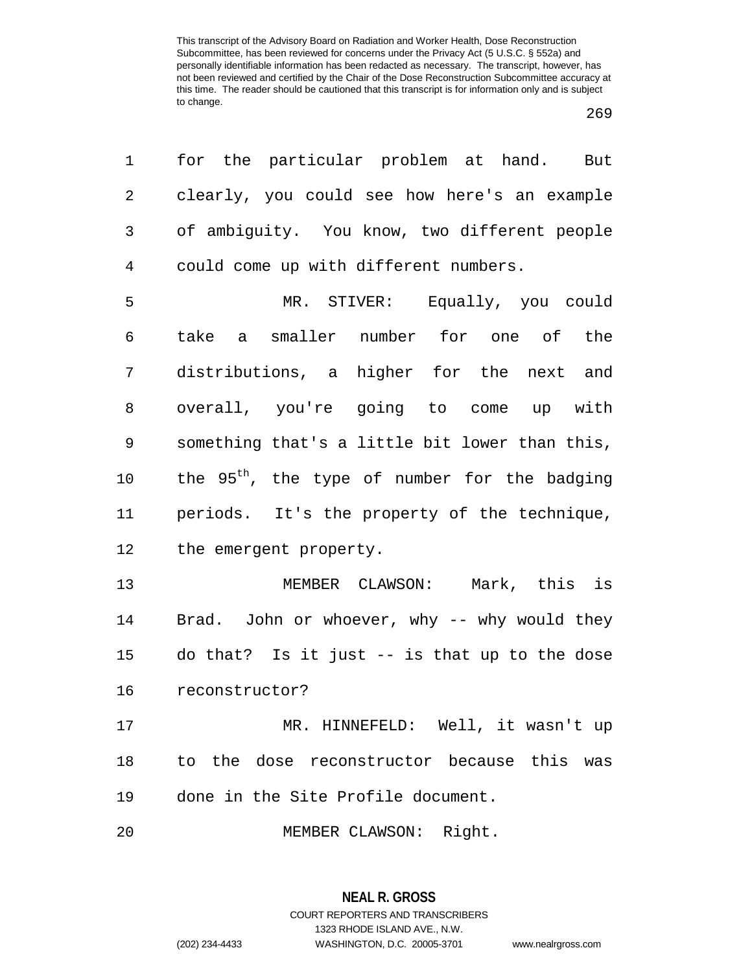| 1              | for the particular problem at hand. But                   |
|----------------|-----------------------------------------------------------|
| 2              | clearly, you could see how here's an example              |
| 3              | of ambiguity. You know, two different people              |
| $\overline{4}$ | could come up with different numbers.                     |
| 5              | MR. STIVER: Equally, you could                            |
| 6              | take a smaller number for one of the                      |
| 7              | distributions, a higher for the next and                  |
| 8              | overall, you're going to come up with                     |
| 9              | something that's a little bit lower than this,            |
| 10             | the 95 <sup>th</sup> , the type of number for the badging |
| 11             | periods. It's the property of the technique,              |
| 12             | the emergent property.                                    |
| 13             | MEMBER CLAWSON: Mark, this is                             |
| 14             | Brad. John or whoever, why -- why would they              |
| 15             | do that? Is it just -- is that up to the dose             |
| 16             | reconstructor?                                            |
| 17             | MR. HINNEFELD: Well, it wasn't up                         |
| 18             | to the dose reconstructor because this was                |
| 19             | done in the Site Profile document.                        |
| 20             | MEMBER CLAWSON: Right.                                    |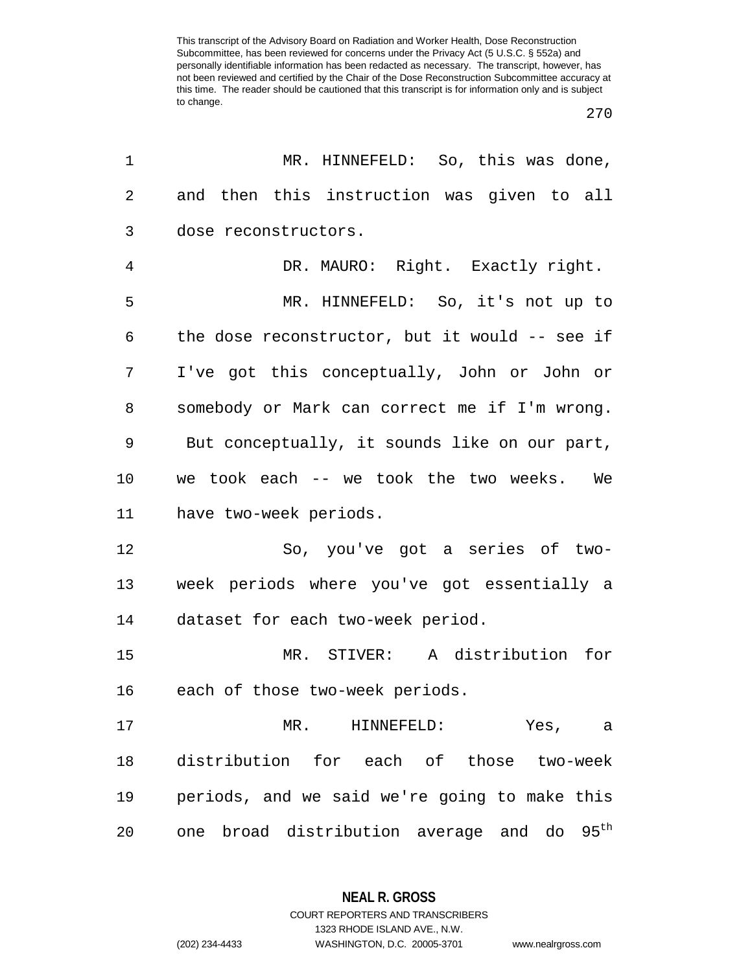| 1       | MR. HINNEFELD: So, this was done,                         |
|---------|-----------------------------------------------------------|
| 2       | and then this instruction was given to all                |
| 3       | dose reconstructors.                                      |
| 4       | DR. MAURO: Right. Exactly right.                          |
| 5       | MR. HINNEFELD: So, it's not up to                         |
| 6       | the dose reconstructor, but it would -- see if            |
| 7       | I've got this conceptually, John or John or               |
| 8       | somebody or Mark can correct me if I'm wrong.             |
| 9       | But conceptually, it sounds like on our part,             |
| $10 \,$ | we took each -- we took the two weeks. We                 |
| 11      | have two-week periods.                                    |
| 12      | So, you've got a series of two-                           |
| 13      | week periods where you've got essentially a               |
| 14      | dataset for each two-week period.                         |
| 15      | MR. STIVER: A distribution for                            |
| 16      | each of those two-week periods.                           |
| 17      | MR. HINNEFELD:<br>Yes,<br>a                               |
| 18      | distribution for each of those two-week                   |
| 19      | periods, and we said we're going to make this             |
| 20      | broad distribution average and do 95 <sup>th</sup><br>one |

**NEAL R. GROSS** COURT REPORTERS AND TRANSCRIBERS

1323 RHODE ISLAND AVE., N.W.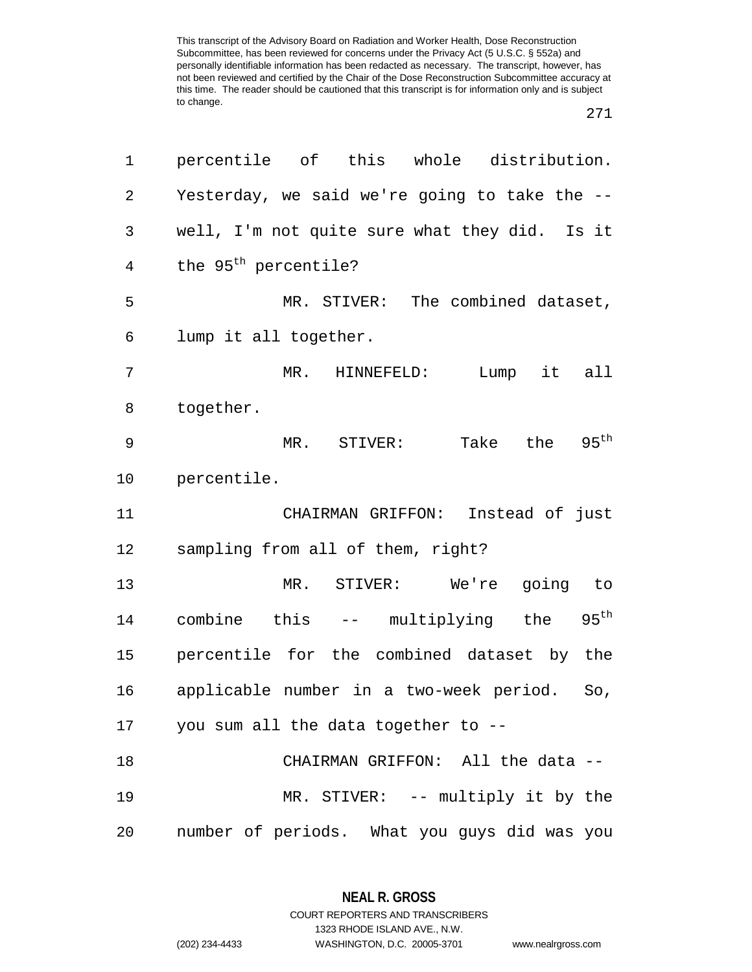271

| 1              | percentile of this whole distribution.           |
|----------------|--------------------------------------------------|
| $\overline{2}$ | Yesterday, we said we're going to take the --    |
| 3              | well, I'm not quite sure what they did. Is it    |
| 4              | the 95 <sup>th</sup> percentile?                 |
| 5              | MR. STIVER: The combined dataset,                |
| 6              | lump it all together.                            |
| 7              | MR. HINNEFELD:<br>Lump it all                    |
| 8              | together.                                        |
| 9              | MR. STIVER: Take the $95th$                      |
| 10             | percentile.                                      |
| 11             | CHAIRMAN GRIFFON: Instead of just                |
| 12             | sampling from all of them, right?                |
| 13             | MR. STIVER: We're going to                       |
| 14             | combine this -- multiplying the $95^{\text{th}}$ |
| 15             | percentile for the combined dataset by the       |
| 16             | applicable number in a two-week period. So,      |
| 17             | you sum all the data together to --              |
| 18             | CHAIRMAN GRIFFON: All the data --                |
| 19             | MR. STIVER: -- multiply it by the                |
| 20             | number of periods. What you guys did was you     |

**NEAL R. GROSS** COURT REPORTERS AND TRANSCRIBERS

1323 RHODE ISLAND AVE., N.W. (202) 234-4433 WASHINGTON, D.C. 20005-3701 www.nealrgross.com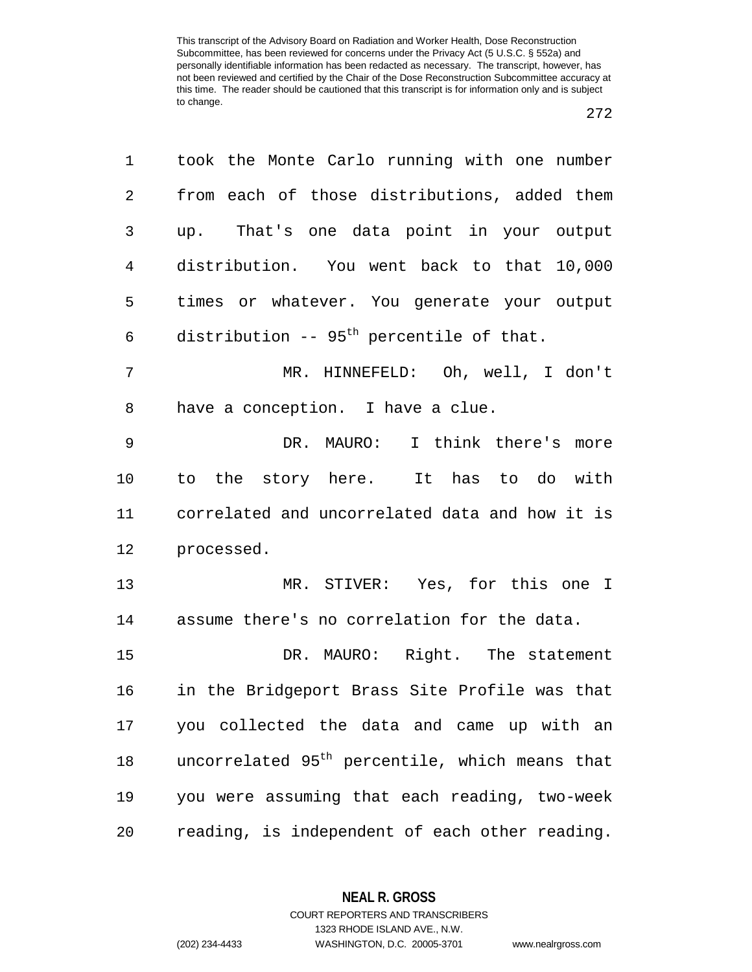| 1              | took the Monte Carlo running with one number               |
|----------------|------------------------------------------------------------|
| 2              | from each of those distributions, added them               |
| 3              | up. That's one data point in your output                   |
| $\overline{4}$ | distribution. You went back to that 10,000                 |
| 5              | times or whatever. You generate your output                |
| 6              | distribution -- 95 <sup>th</sup> percentile of that.       |
| 7              | MR. HINNEFELD: Oh, well, I don't                           |
| 8              | have a conception. I have a clue.                          |
| $\mathsf 9$    | DR. MAURO: I think there's more                            |
| 10             | to the story here. It has to do with                       |
| 11             | correlated and uncorrelated data and how it is             |
| 12             | processed.                                                 |
| 13             | MR. STIVER: Yes, for this one I                            |
| 14             | assume there's no correlation for the data.                |
| 15             | DR. MAURO: Right. The statement                            |
| 16             | in the Bridgeport Brass Site Profile was that              |
| 17             | you collected the data and came up with an                 |
| 18             | uncorrelated 95 <sup>th</sup> percentile, which means that |
| 19             | you were assuming that each reading, two-week              |
| 20             | reading, is independent of each other reading.             |

**NEAL R. GROSS**

COURT REPORTERS AND TRANSCRIBERS 1323 RHODE ISLAND AVE., N.W. (202) 234-4433 WASHINGTON, D.C. 20005-3701 www.nealrgross.com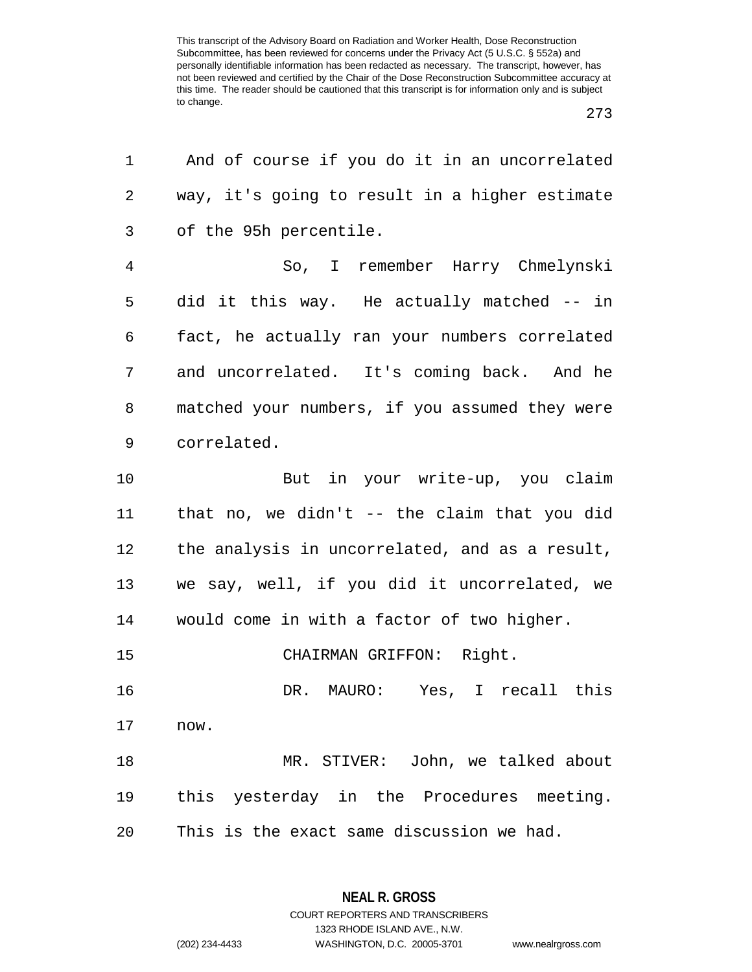| 1              | And of course if you do it in an uncorrelated  |
|----------------|------------------------------------------------|
| 2              | way, it's going to result in a higher estimate |
| 3              | of the 95h percentile.                         |
| $\overline{4}$ | So, I remember Harry Chmelynski                |
| 5              | did it this way. He actually matched -- in     |
| 6              | fact, he actually ran your numbers correlated  |
| 7              | and uncorrelated. It's coming back. And he     |
| 8              | matched your numbers, if you assumed they were |
| 9              | correlated.                                    |
| 10             | But in your write-up, you claim                |
| 11             | that no, we didn't -- the claim that you did   |
| 12             | the analysis in uncorrelated, and as a result, |
| 13             | we say, well, if you did it uncorrelated, we   |
| 14             | would come in with a factor of two higher.     |
| 15             | CHAIRMAN GRIFFON: Right.                       |
| 16             | DR. MAURO: Yes, I recall this                  |
| 17             | now.                                           |
| 18             | MR. STIVER: John, we talked about              |
| 19             | this yesterday in the Procedures meeting.      |
| 20             | This is the exact same discussion we had.      |

**NEAL R. GROSS** COURT REPORTERS AND TRANSCRIBERS

1323 RHODE ISLAND AVE., N.W.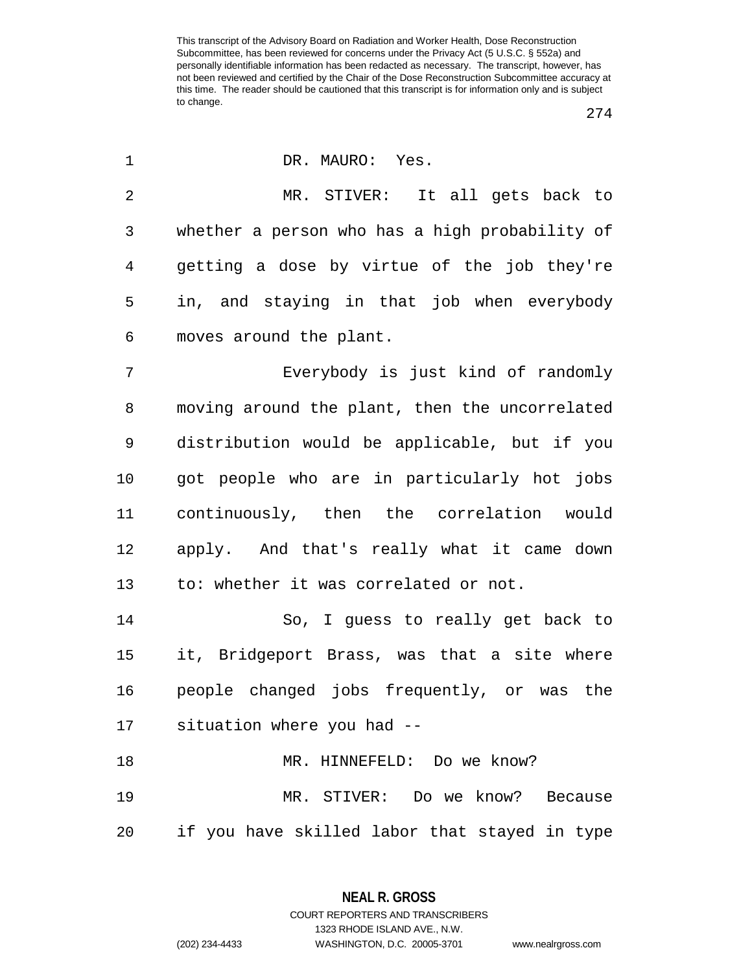| 1           | DR. MAURO: Yes.                                |
|-------------|------------------------------------------------|
| 2           | MR. STIVER: It all gets back to                |
| 3           | whether a person who has a high probability of |
| 4           | getting a dose by virtue of the job they're    |
| 5           | in, and staying in that job when everybody     |
| 6           | moves around the plant.                        |
| 7           | Everybody is just kind of randomly             |
| 8           | moving around the plant, then the uncorrelated |
| $\mathsf 9$ | distribution would be applicable, but if you   |
| 10          | got people who are in particularly hot jobs    |
| 11          | continuously, then the correlation would       |
| 12          | apply. And that's really what it came down     |
| 13          | to: whether it was correlated or not.          |
| 14          | So, I guess to really get back to              |
| 15          | it, Bridgeport Brass, was that a site where    |
| 16          | people changed jobs frequently, or was the     |
| 17          | situation where you had --                     |
| 18          | MR. HINNEFELD: Do we know?                     |
| 19          | MR. STIVER: Do we know? Because                |
| 20          | if you have skilled labor that stayed in type  |

**NEAL R. GROSS** COURT REPORTERS AND TRANSCRIBERS

1323 RHODE ISLAND AVE., N.W.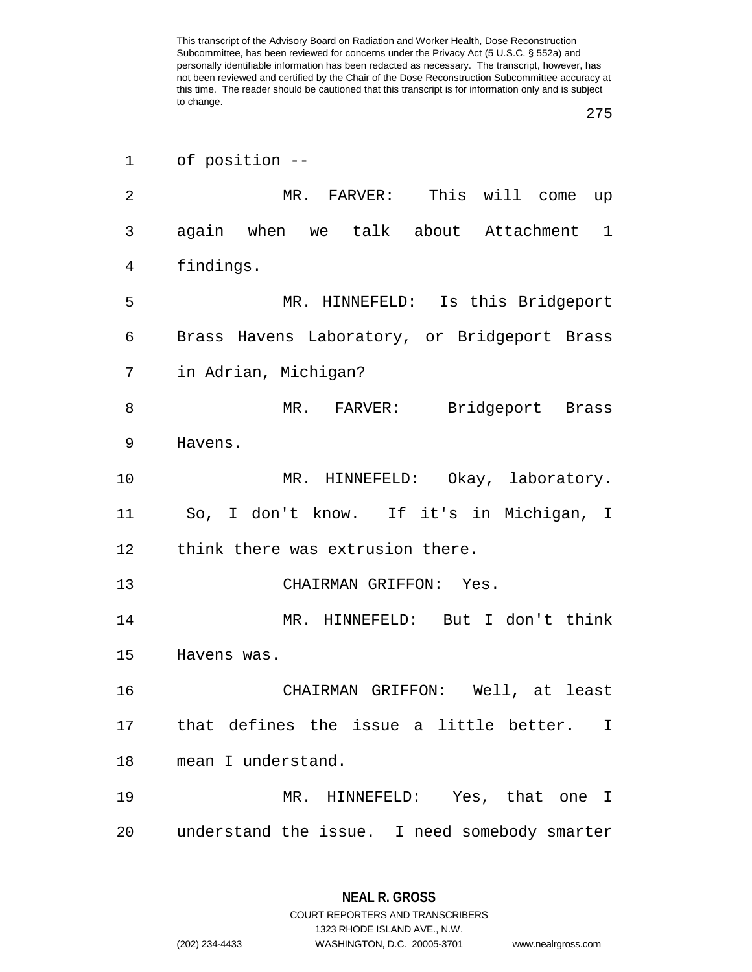| 1  | of position --                                         |
|----|--------------------------------------------------------|
| 2  | MR. FARVER: This will come up                          |
| 3  | again when we talk about Attachment<br>$\mathbf 1$     |
| 4  | findings.                                              |
| 5  | MR. HINNEFELD: Is this Bridgeport                      |
| 6  | Brass Havens Laboratory, or Bridgeport Brass           |
| 7  | in Adrian, Michigan?                                   |
| 8  | MR. FARVER: Bridgeport Brass                           |
| 9  | Havens.                                                |
| 10 | MR. HINNEFELD: Okay, laboratory.                       |
| 11 | So, I don't know. If it's in Michigan, I               |
| 12 | think there was extrusion there.                       |
| 13 | CHAIRMAN GRIFFON: Yes.                                 |
| 14 | MR. HINNEFELD: But I don't think                       |
| 15 | Havens was.                                            |
| 16 | CHAIRMAN GRIFFON: Well, at least                       |
| 17 | that defines the issue a little better.<br>$\mathbf I$ |
| 18 | mean I understand.                                     |
| 19 | MR. HINNEFELD: Yes, that one I                         |
| 20 | understand the issue. I need somebody smarter          |

**NEAL R. GROSS** COURT REPORTERS AND TRANSCRIBERS

1323 RHODE ISLAND AVE., N.W.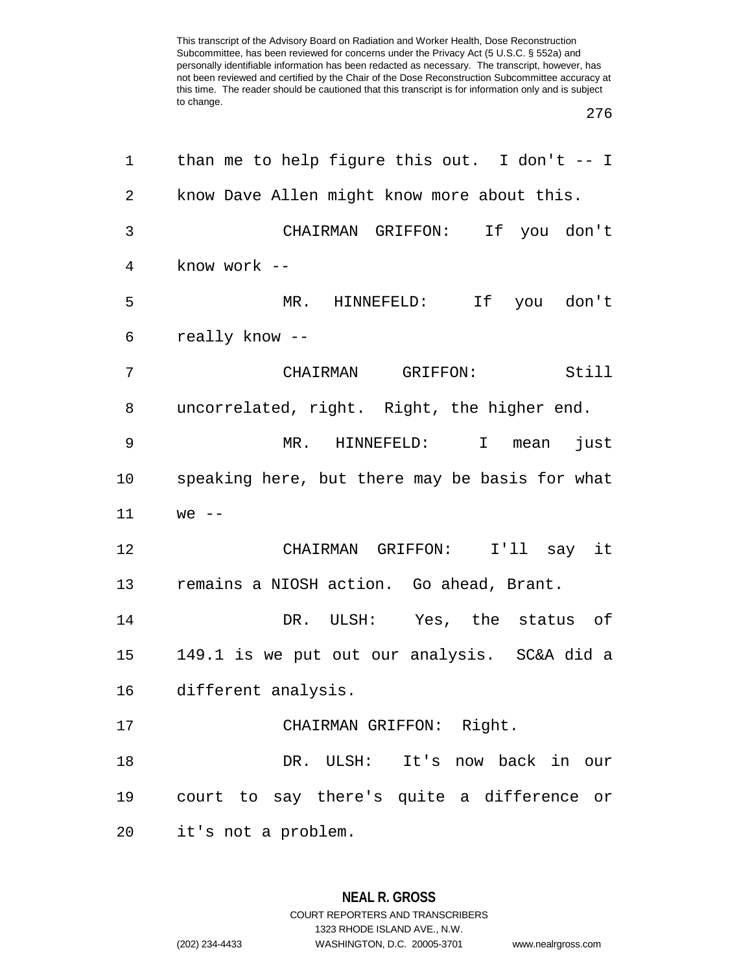| 1              | than me to help figure this out. I don't -- I  |
|----------------|------------------------------------------------|
| $\overline{2}$ | know Dave Allen might know more about this.    |
| 3              | CHAIRMAN GRIFFON: If you don't                 |
| 4              | know work --                                   |
| 5              | HINNEFELD: If you don't<br>MR.                 |
| 6              | really know --                                 |
| 7              | CHAIRMAN GRIFFON: Still                        |
| 8              | uncorrelated, right. Right, the higher end.    |
| 9              | MR. HINNEFELD: I mean just                     |
| 10             | speaking here, but there may be basis for what |
| 11             | $we$ --                                        |
| 12             | CHAIRMAN GRIFFON: I'll say it                  |
| 13             | remains a NIOSH action. Go ahead, Brant.       |
| 14             | DR. ULSH: Yes, the status of                   |
| 15             | 149.1 is we put out our analysis. SC&A did a   |
| 16             | different analysis.                            |
| 17             | CHAIRMAN GRIFFON: Right.                       |
| 18             | DR. ULSH: It's now back in our                 |
| 19             | court to say there's quite a difference or     |
| 20             | it's not a problem.                            |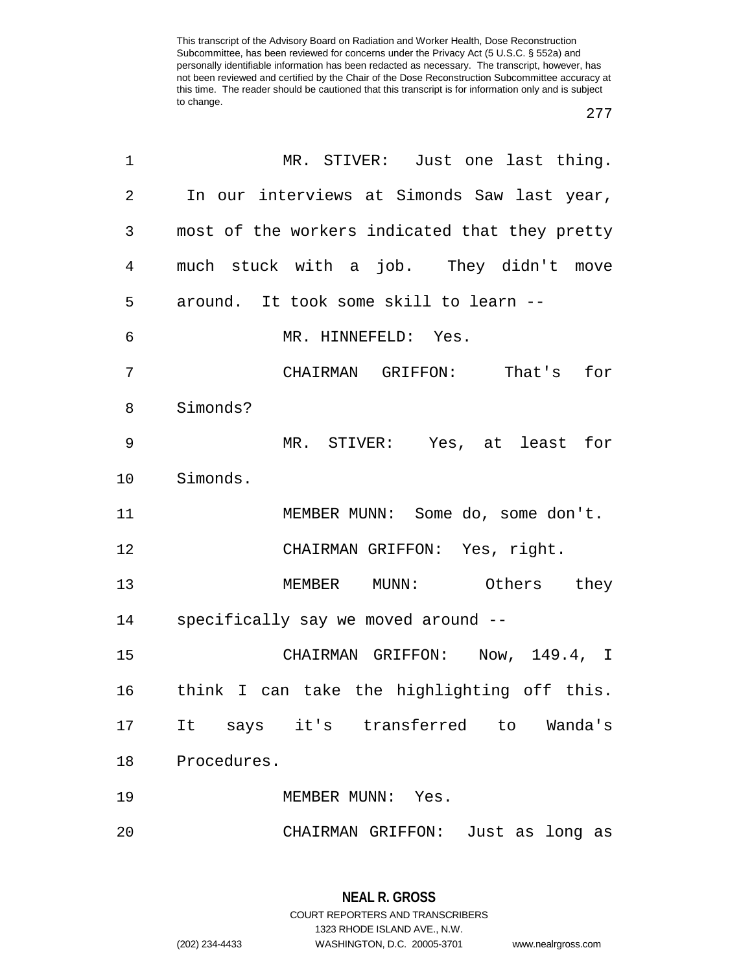| $\mathbf 1$ | MR. STIVER: Just one last thing.               |
|-------------|------------------------------------------------|
| 2           | In our interviews at Simonds Saw last year,    |
| 3           | most of the workers indicated that they pretty |
| 4           | much stuck with a job. They didn't move        |
| 5           | around. It took some skill to learn --         |
| 6           | MR. HINNEFELD: Yes.                            |
| 7           | CHAIRMAN GRIFFON: That's for                   |
| 8           | Simonds?                                       |
| 9           | MR. STIVER: Yes, at least for                  |
| 10          | Simonds.                                       |
| 11          | MEMBER MUNN: Some do, some don't.              |
| 12          | CHAIRMAN GRIFFON: Yes, right.                  |
| 13          | MEMBER MUNN: Others they                       |
| 14          | specifically say we moved around --            |
| 15          | CHAIRMAN GRIFFON: Now, 149.4, I                |
| 16          | think I can take the highlighting off this.    |
| 17          | It says it's transferred to Wanda's            |
| 18          | Procedures.                                    |
| 19          | MEMBER MUNN:<br>Yes.                           |
| 20          | CHAIRMAN GRIFFON:<br>Just as long as           |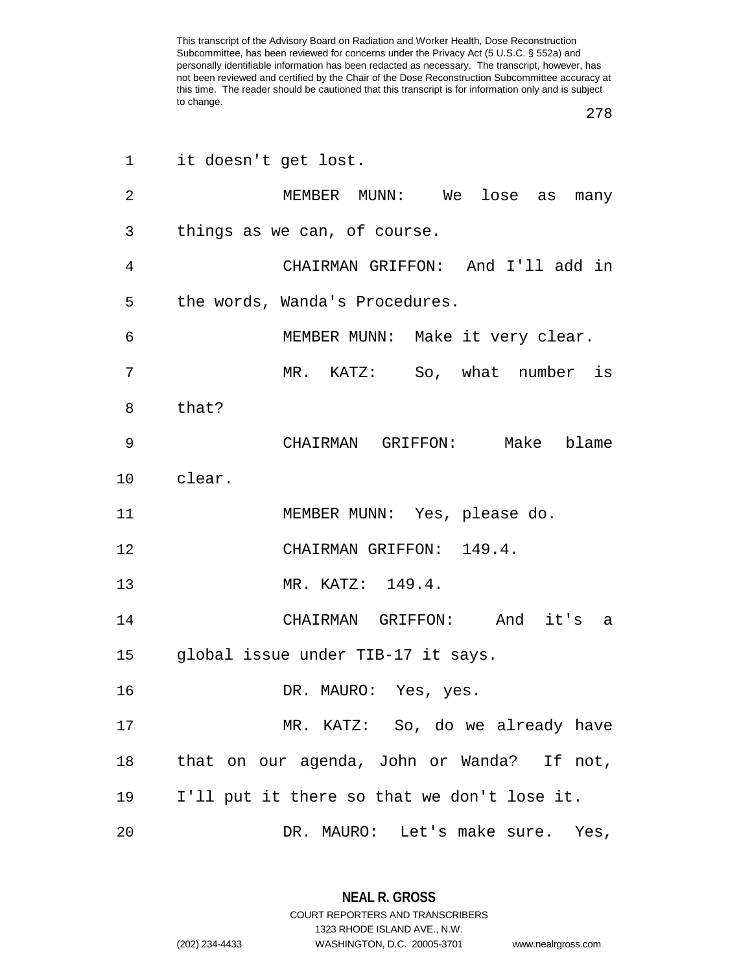| 1               | it doesn't get lost.                        |
|-----------------|---------------------------------------------|
| $\overline{2}$  | MEMBER MUNN: We lose as many                |
| 3               | things as we can, of course.                |
| 4               | CHAIRMAN GRIFFON: And I'll add in           |
| 5               | the words, Wanda's Procedures.              |
| 6               | MEMBER MUNN: Make it very clear.            |
| 7               | MR. KATZ: So, what number is                |
| 8               | that?                                       |
| 9               | CHAIRMAN GRIFFON: Make blame                |
| 10 <sub>1</sub> | clear.                                      |
| 11              | MEMBER MUNN: Yes, please do.                |
| 12              | CHAIRMAN GRIFFON: 149.4.                    |
| 13              | MR. KATZ: 149.4.                            |
| 14              | CHAIRMAN GRIFFON: And it's a                |
| 15              | global issue under TIB-17 it says.          |
| 16              | DR. MAURO: Yes, yes.                        |
| 17              | MR. KATZ: So, do we already have            |
| 18              | that on our agenda, John or Wanda? If not,  |
| 19              | I'll put it there so that we don't lose it. |
| 20              | DR. MAURO: Let's make sure. Yes,            |

**NEAL R. GROSS** COURT REPORTERS AND TRANSCRIBERS

1323 RHODE ISLAND AVE., N.W.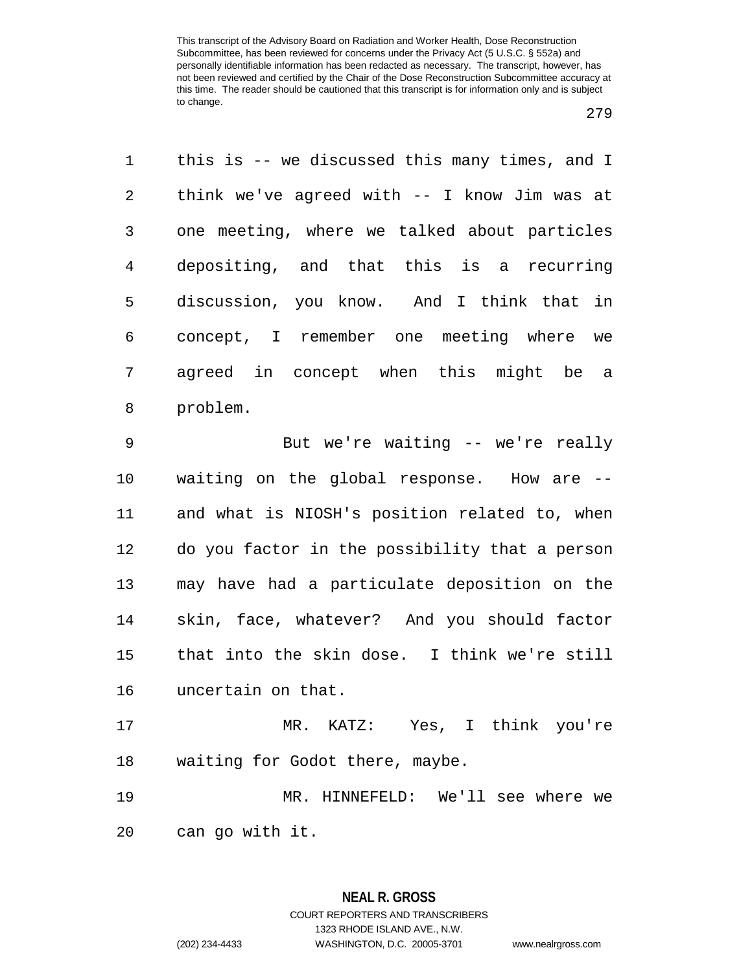| 1              | this is -- we discussed this many times, and I |
|----------------|------------------------------------------------|
| $\overline{2}$ | think we've agreed with -- I know Jim was at   |
| 3              | one meeting, where we talked about particles   |
| $\overline{4}$ | depositing, and that this is a recurring       |
| 5              | discussion, you know. And I think that in      |
| 6              | concept, I remember one meeting where we       |
| 7              | agreed in concept when this might be a         |
| 8              | problem.                                       |
|                |                                                |
| 9              | But we're waiting -- we're really              |
| 10             | waiting on the global response. How are --     |
| 11             | and what is NIOSH's position related to, when  |
| 12             | do you factor in the possibility that a person |
| 13             | may have had a particulate deposition on the   |
| 14             | skin, face, whatever? And you should factor    |
| 15             | that into the skin dose. I think we're still   |

 MR. KATZ: Yes, I think you're waiting for Godot there, maybe.

 MR. HINNEFELD: We'll see where we can go with it.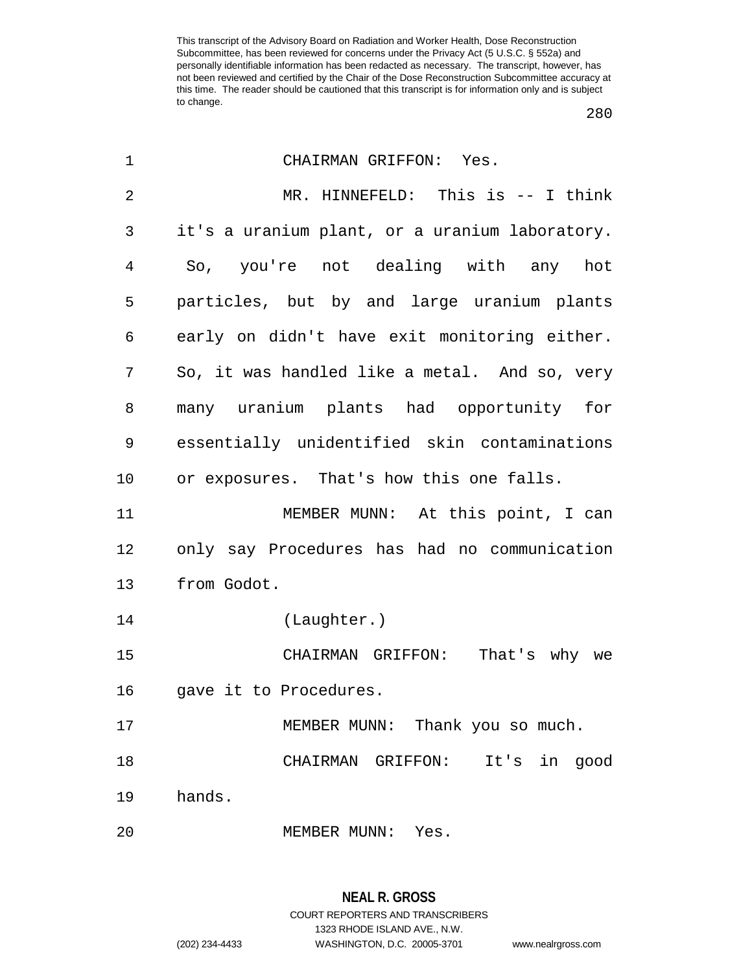| 1              | CHAIRMAN GRIFFON: Yes.                         |
|----------------|------------------------------------------------|
| $\overline{2}$ | MR. HINNEFELD: This is -- I think              |
| 3              | it's a uranium plant, or a uranium laboratory. |
| 4              | So, you're not dealing with any hot            |
| 5              | particles, but by and large uranium plants     |
| 6              | early on didn't have exit monitoring either.   |
| 7              | So, it was handled like a metal. And so, very  |
| 8              | many uranium plants had opportunity for        |
| 9              | essentially unidentified skin contaminations   |
| 10             | or exposures. That's how this one falls.       |
| 11             | MEMBER MUNN: At this point, I can              |
| 12             | only say Procedures has had no communication   |
| 13             | from Godot.                                    |
| 14             | (Laughter.)                                    |
| 15             | That's why we<br>CHAIRMAN GRIFFON:             |
| 16             | gave it to Procedures.                         |
| 17             | MEMBER MUNN: Thank you so much.                |
| 18             | CHAIRMAN GRIFFON: It's<br>in good              |
| 19             | hands.                                         |
| 20             | MEMBER MUNN: Yes.                              |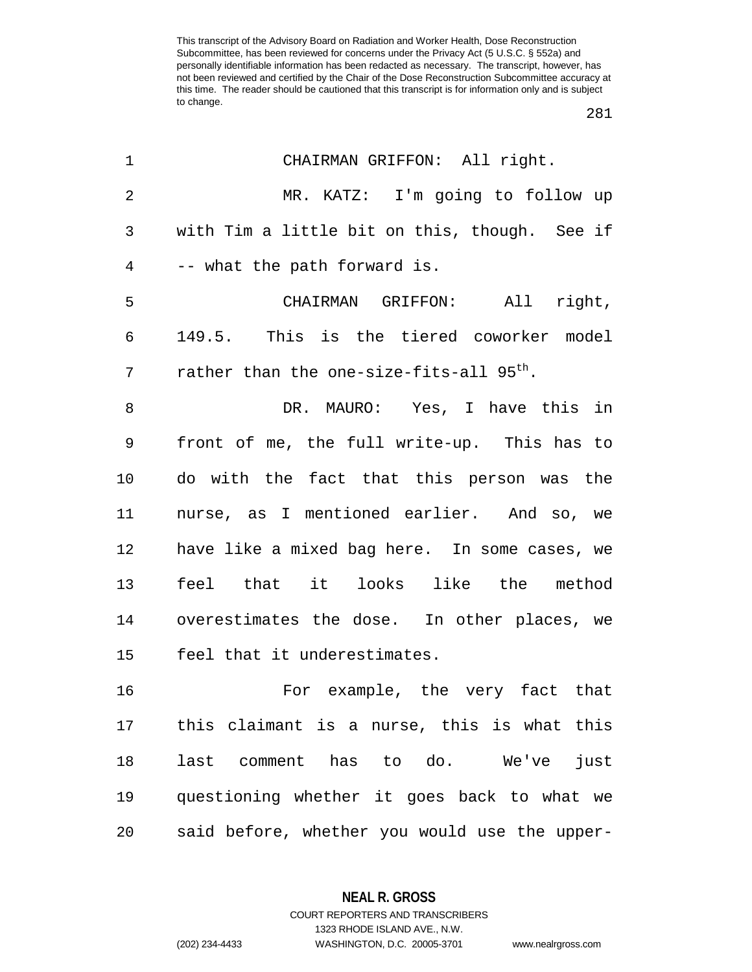| 1              | CHAIRMAN GRIFFON: All right.                         |
|----------------|------------------------------------------------------|
| $\overline{2}$ | MR. KATZ: I'm going to follow up                     |
| 3              | with Tim a little bit on this, though. See if        |
| $\overline{4}$ | -- what the path forward is.                         |
| 5              | CHAIRMAN GRIFFON: All right,                         |
| 6              | 149.5. This is the tiered coworker model             |
| 7              | rather than the one-size-fits-all 95 <sup>th</sup> . |
| 8              | DR. MAURO: Yes, I have this in                       |
| $\mathsf 9$    | front of me, the full write-up. This has to          |
| 10             | do with the fact that this person was the            |
| 11             | nurse, as I mentioned earlier. And so, we            |
| 12             | have like a mixed bag here. In some cases, we        |
| 13             | feel that it looks like the method                   |
| 14             | overestimates the dose. In other places, we          |
| 15             | feel that it underestimates.                         |
| 16             | For example, the very fact that                      |
| 17             | this claimant is a nurse, this is what this          |
| 18             | last comment has to do. We've<br>just                |
| 19             | questioning whether it goes back to what we          |
| 20             | said before, whether you would use the upper-        |

**NEAL R. GROSS** COURT REPORTERS AND TRANSCRIBERS

1323 RHODE ISLAND AVE., N.W.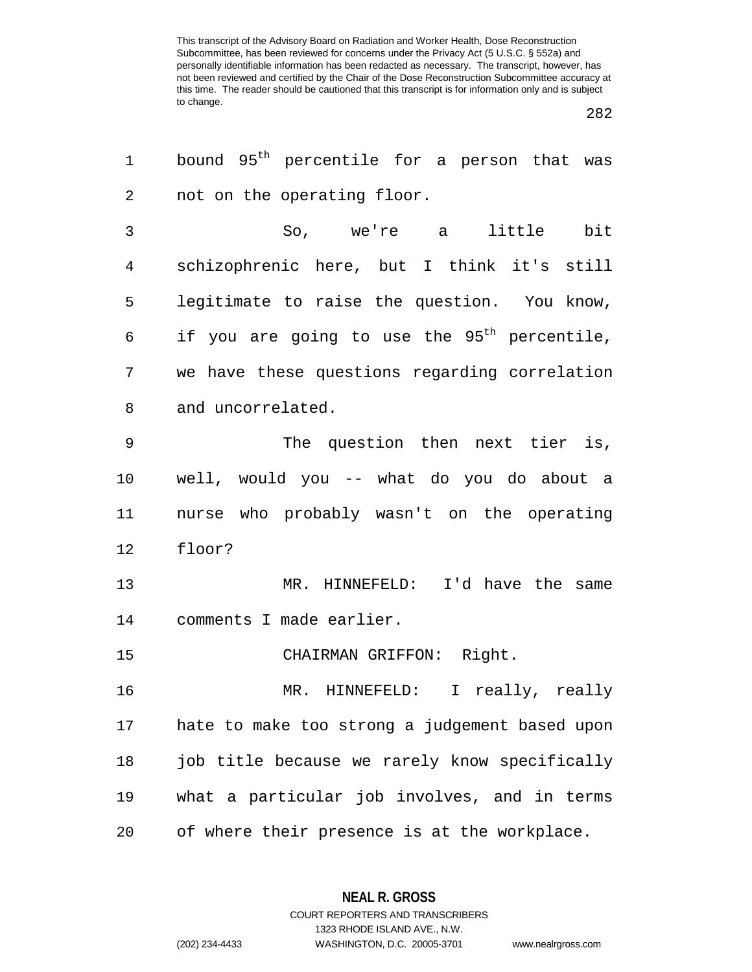| 1  | bound 95 <sup>th</sup> percentile for a person that was  |
|----|----------------------------------------------------------|
| 2  | not on the operating floor.                              |
| 3  | So, we're a little<br>bit                                |
| 4  | schizophrenic here, but I think it's still               |
| 5  | legitimate to raise the question. You know,              |
| 6  | if you are going to use the 95 <sup>th</sup> percentile, |
| 7  | we have these questions regarding correlation            |
| 8  | and uncorrelated.                                        |
| 9  | The question then next tier is,                          |
| 10 | well, would you -- what do you do about a                |
| 11 | nurse who probably wasn't on the operating               |
| 12 | floor?                                                   |
| 13 | MR. HINNEFELD: I'd have the same                         |
| 14 | comments I made earlier.                                 |
| 15 | CHAIRMAN GRIFFON: Right.                                 |
| 16 | MR. HINNEFELD: I really, really                          |
| 17 | hate to make too strong a judgement based upon           |
| 18 | job title because we rarely know specifically            |
| 19 | what a particular job involves, and in terms             |
| 20 | of where their presence is at the workplace.             |

**NEAL R. GROSS** COURT REPORTERS AND TRANSCRIBERS

1323 RHODE ISLAND AVE., N.W.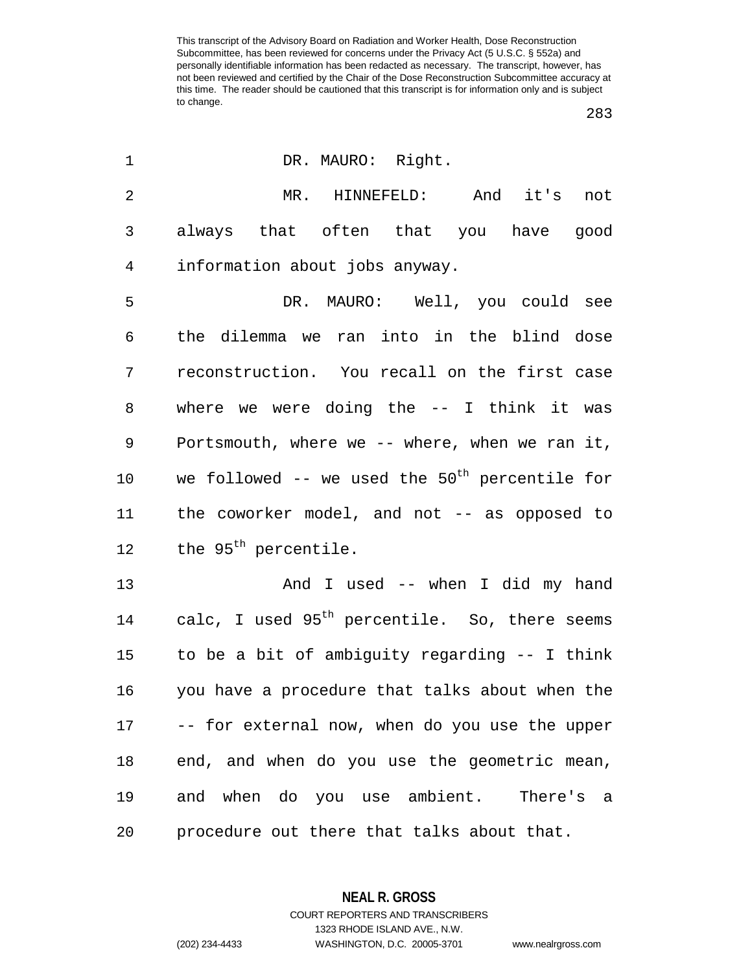| 1              | DR. MAURO: Right.                                         |
|----------------|-----------------------------------------------------------|
| $\overline{2}$ | MR. HINNEFELD: And it's not                               |
| 3              | always that often that you have good                      |
| 4              | information about jobs anyway.                            |
| 5              | DR. MAURO: Well, you could see                            |
| 6              | the dilemma we ran into in the blind dose                 |
| 7              | reconstruction. You recall on the first case              |
| 8              | where we were doing the $--$ I think it was               |
| 9              | Portsmouth, where we -- where, when we ran it,            |
| $10 \,$        | we followed -- we used the $50th$ percentile for          |
| 11             | the coworker model, and not -- as opposed to              |
| 12             | the 95 <sup>th</sup> percentile.                          |
| 13             | And I used -- when I did my hand                          |
| 14             | calc, I used 95 <sup>th</sup> percentile. So, there seems |
| 15             | to be a bit of ambiguity regarding -- I think             |
| 16             | you have a procedure that talks about when the            |
| 17             | -- for external now, when do you use the upper            |
| 18             | end, and when do you use the geometric mean,              |
| 19             | and when do you use ambient. There's a                    |
| 20             | procedure out there that talks about that.                |

**NEAL R. GROSS** COURT REPORTERS AND TRANSCRIBERS

1323 RHODE ISLAND AVE., N.W.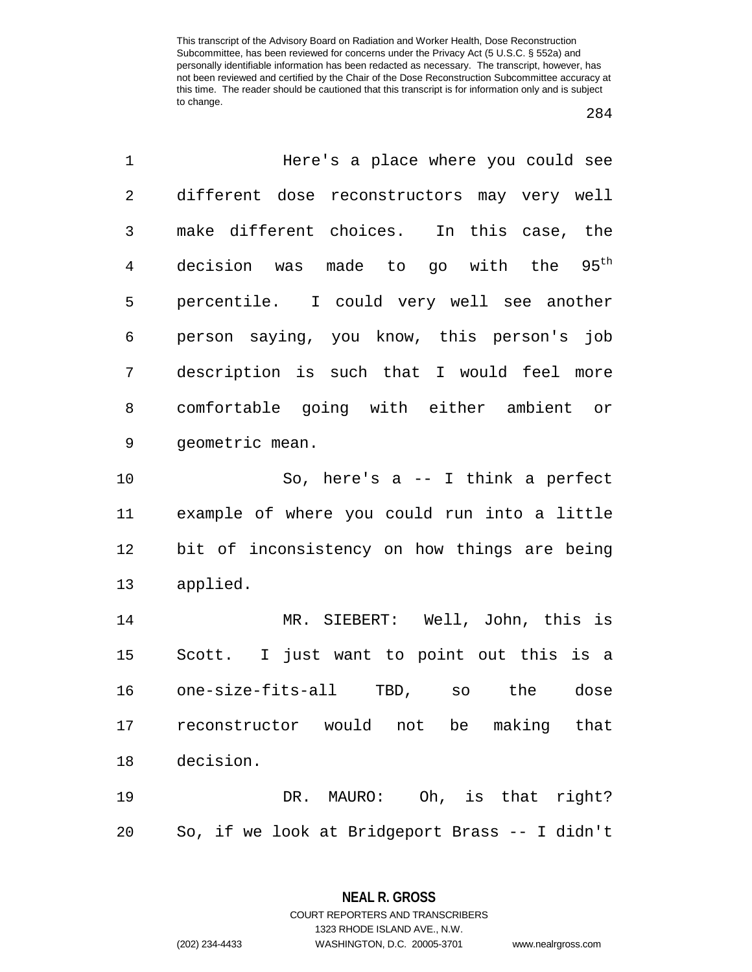| 1              | Here's a place where you could see                   |
|----------------|------------------------------------------------------|
| $\overline{2}$ | different dose reconstructors may very well          |
| 3              | make different choices. In this case, the            |
| 4              | $95^{\text{th}}$<br>decision was made to go with the |
| 5              | percentile. I could very well see another            |
| 6              | person saying, you know, this person's job           |
| 7              | description is such that I would feel more           |
| 8              | comfortable going with either ambient or             |
| $\mathsf 9$    | geometric mean.                                      |
| 10             | So, here's $a$ -- I think a perfect                  |
| 11             | example of where you could run into a little         |
| 12             | bit of inconsistency on how things are being         |
| 13             | applied.                                             |
| 14             | MR. SIEBERT: Well, John, this is                     |
| 15             | Scott. I just want to point out this is a            |
| 16             | one-size-fits-all TBD,<br>the<br>dose<br>SO          |
| 17             | reconstructor would not be<br>making that            |
| 18             | decision.                                            |
| 19             | DR. MAURO: Oh, is that right?                        |
| 20             | So, if we look at Bridgeport Brass -- I didn't       |

**NEAL R. GROSS** COURT REPORTERS AND TRANSCRIBERS

1323 RHODE ISLAND AVE., N.W.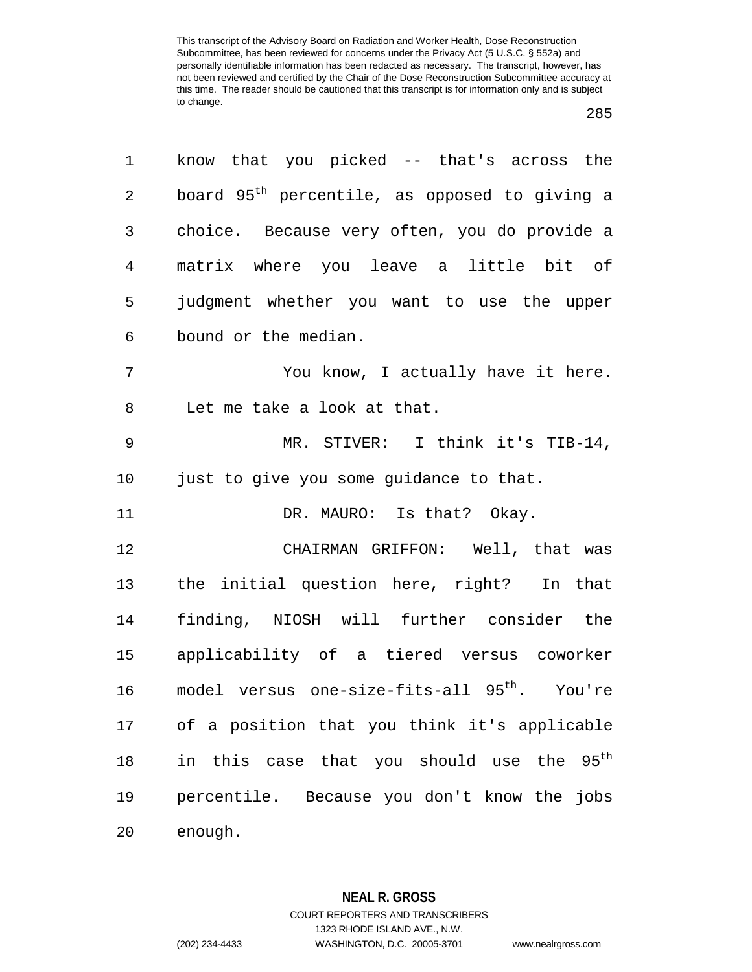| 1              | know that you picked -- that's across the                 |
|----------------|-----------------------------------------------------------|
| 2              | board 95 <sup>th</sup> percentile, as opposed to giving a |
| 3              | choice. Because very often, you do provide a              |
| $\overline{4}$ | matrix where you leave a little bit of                    |
| 5              | judgment whether you want to use the upper                |
| 6              | bound or the median.                                      |
| 7              | You know, I actually have it here.                        |
| 8              | Let me take a look at that.                               |
| 9              | MR. STIVER: I think it's TIB-14,                          |
| 10             | just to give you some guidance to that.                   |
| 11             | DR. MAURO: Is that? Okay.                                 |
| 12             | CHAIRMAN GRIFFON: Well, that was                          |
| 13             | the initial question here, right? In that                 |
| 14             | finding, NIOSH will further consider the                  |
| 15             | applicability of a tiered versus coworker                 |
| 16             | model versus one-size-fits-all 95 <sup>th</sup> . You're  |
| 17             | of a position that you think it's applicable              |
| 18             | in this case that you should use the 95 <sup>th</sup>     |
| 19             | percentile. Because you don't know the jobs               |
| 20             | enough.                                                   |

**NEAL R. GROSS** COURT REPORTERS AND TRANSCRIBERS 1323 RHODE ISLAND AVE., N.W.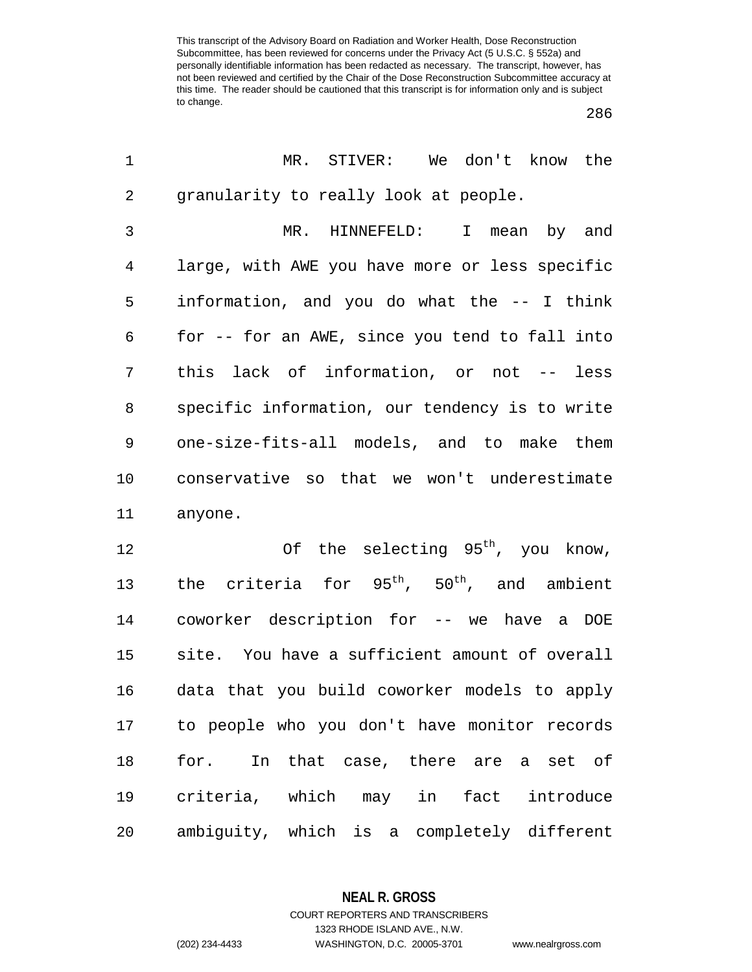| 1              | MR. STIVER: We don't know the                  |
|----------------|------------------------------------------------|
| $\overline{2}$ | granularity to really look at people.          |
| 3              | HINNEFELD: I mean by and<br>$MR$ .             |
| 4              | large, with AWE you have more or less specific |
| 5              | information, and you do what the -- I think    |
| 6              | for -- for an AWE, since you tend to fall into |
| 7              | this lack of information, or not -- less       |
| 8              | specific information, our tendency is to write |
| 9              | one-size-fits-all models, and to make them     |
| 10             | conservative so that we won't underestimate    |
| 11             | anyone.                                        |
| 12             | Of the selecting 95 <sup>th</sup> , you know,  |
| 13             | the criteria for $95th$ , $50th$ , and ambient |
| 14             | coworker description for -- we have a DOE      |
| 15             | site. You have a sufficient amount of overall  |
| 16             | data that you build coworker models to apply   |
| 17             | to people who you don't have monitor records   |
| 18             | In that case, there are a set of<br>for.       |
| 19             | criteria, which may in fact introduce          |
| 20             | ambiguity, which is a completely different     |

**NEAL R. GROSS**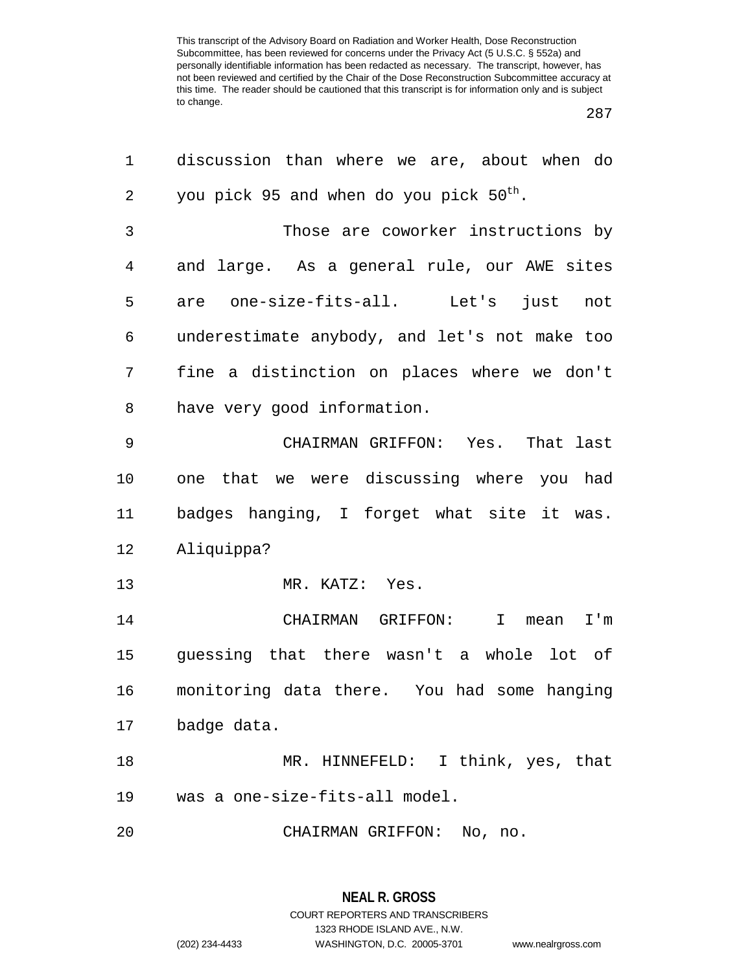| 1  | discussion than where we are, about when do         |
|----|-----------------------------------------------------|
| 2  | you pick 95 and when do you pick 50 <sup>th</sup> . |
| 3  | Those are coworker instructions by                  |
| 4  | and large. As a general rule, our AWE sites         |
| 5  | are one-size-fits-all. Let's<br>just not            |
| 6  | underestimate anybody, and let's not make too       |
| 7  | fine a distinction on places where we don't         |
| 8  | have very good information.                         |
| 9  | CHAIRMAN GRIFFON: Yes. That last                    |
| 10 | one that we were discussing where you had           |
| 11 | badges hanging, I forget what site it was.          |
| 12 | Aliquippa?                                          |
| 13 | MR. KATZ: Yes.                                      |
| 14 | CHAIRMAN GRIFFON:<br>$\mathbf{I}$<br>I'm<br>mean    |
| 15 | guessing that there wasn't a whole lot of           |
| 16 | monitoring data there. You had some hanging         |
| 17 | badge data.                                         |
| 18 | MR. HINNEFELD: I think, yes, that                   |
| 19 | was a one-size-fits-all model.                      |
| 20 | CHAIRMAN GRIFFON: No, no.                           |

**NEAL R. GROSS** COURT REPORTERS AND TRANSCRIBERS 1323 RHODE ISLAND AVE., N.W. (202) 234-4433 WASHINGTON, D.C. 20005-3701 www.nealrgross.com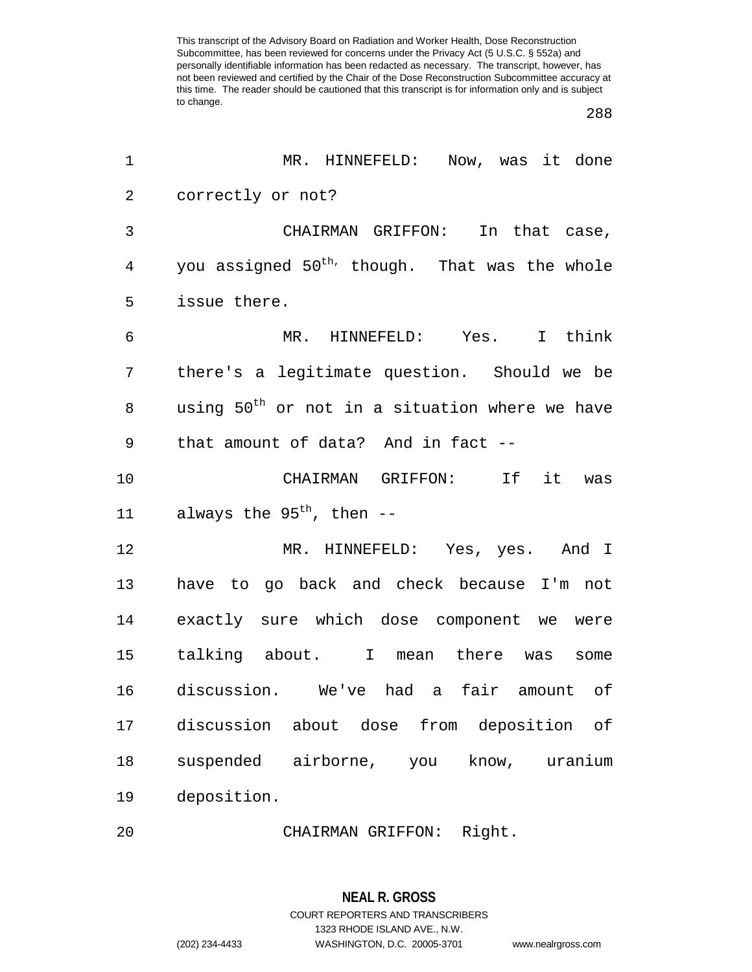| 1              | MR. HINNEFELD: Now, was it done                            |
|----------------|------------------------------------------------------------|
| $\overline{2}$ | correctly or not?                                          |
| 3              | CHAIRMAN GRIFFON: In that case,                            |
| $\overline{4}$ | you assigned 50 <sup>th,</sup> though. That was the whole  |
| 5              | issue there.                                               |
| $\epsilon$     | MR. HINNEFELD: Yes. I think                                |
| 7              | there's a legitimate question. Should we be                |
| 8              | using 50 <sup>th</sup> or not in a situation where we have |
| 9              | that amount of data? And in fact --                        |
| 10             | CHAIRMAN GRIFFON: If it was                                |
| 11             | always the 95 <sup>th</sup> , then --                      |
| 12             | MR. HINNEFELD: Yes, yes. And I                             |
| 13             | have to go back and check because I'm not                  |
| 14             | exactly sure which dose component we were                  |
| 15             | talking about. I mean there was<br>some                    |
| 16             | discussion. We've had a fair amount of                     |
| 17             | discussion about dose from deposition of                   |
| 18             | airborne, you<br>suspended<br>know,<br>uranium             |
| 19             | deposition.                                                |
| 20             | CHAIRMAN GRIFFON: Right.                                   |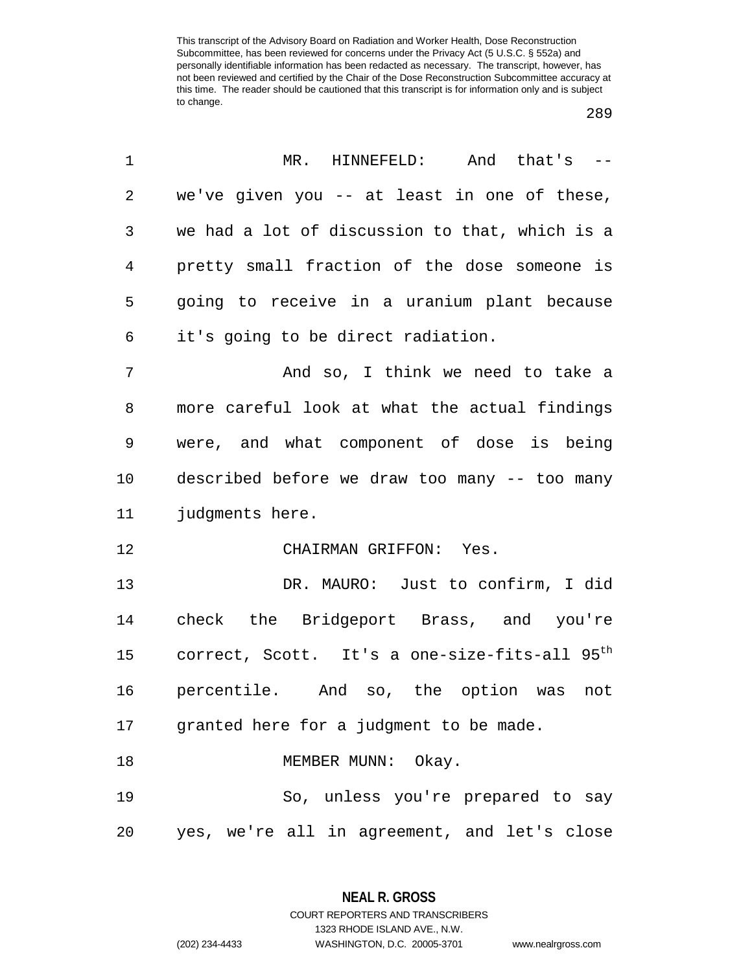| 1              | MR. HINNEFELD: And that's --                                 |
|----------------|--------------------------------------------------------------|
| $\overline{2}$ | we've given you -- at least in one of these,                 |
| $\mathfrak{Z}$ | we had a lot of discussion to that, which is a               |
| $\overline{4}$ | pretty small fraction of the dose someone is                 |
| 5              | going to receive in a uranium plant because                  |
| 6              | it's going to be direct radiation.                           |
| 7              | And so, I think we need to take a                            |
| 8              | more careful look at what the actual findings                |
| 9              | were, and what component of dose is being                    |
| 10             | described before we draw too many -- too many                |
| 11             | judgments here.                                              |
| 12             | CHAIRMAN GRIFFON: Yes.                                       |
| 13             | DR. MAURO: Just to confirm, I did                            |
| 14             | check the Bridgeport Brass, and you're                       |
|                | 15 correct, Scott. It's a one-size-fits-all 95 <sup>th</sup> |
| 16             | percentile. And so, the option was<br>not                    |
| 17             | granted here for a judgment to be made.                      |
| 18             | MEMBER MUNN: Okay.                                           |
| 19             | So, unless you're prepared to say                            |
| 20             | yes, we're all in agreement, and let's close                 |

**NEAL R. GROSS** COURT REPORTERS AND TRANSCRIBERS

1323 RHODE ISLAND AVE., N.W.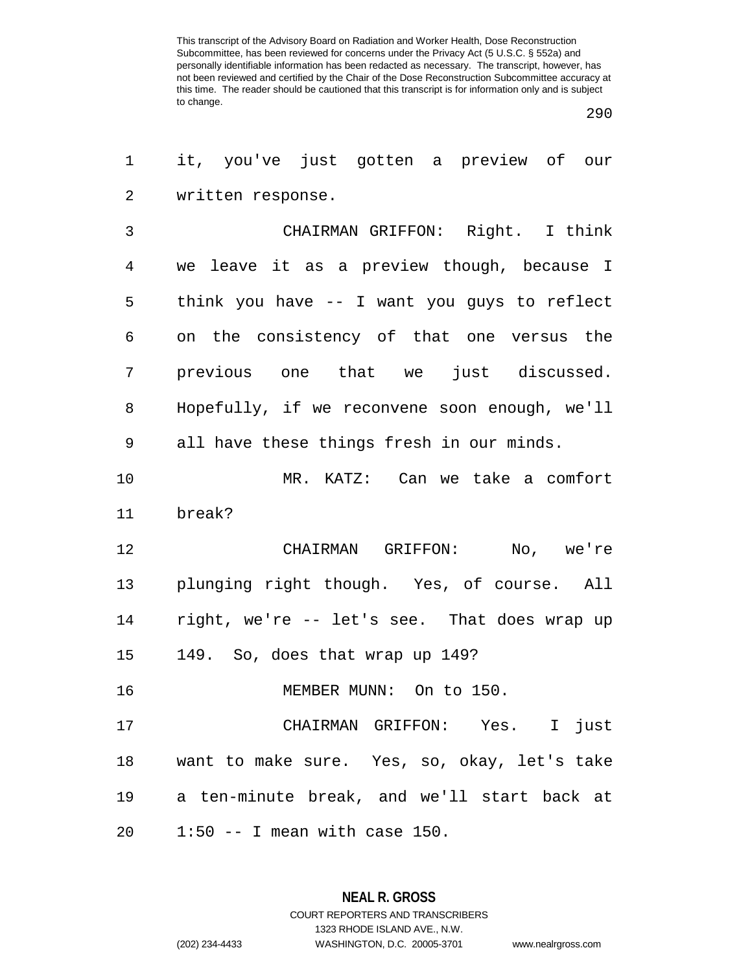| 1              | it, you've just gotten a preview of our       |
|----------------|-----------------------------------------------|
| $\overline{2}$ | written response.                             |
| 3              | CHAIRMAN GRIFFON: Right. I think              |
| 4              | we leave it as a preview though, because I    |
| 5              | think you have -- I want you guys to reflect  |
| 6              | on the consistency of that one versus the     |
| 7              | previous one that we just discussed.          |
| 8              | Hopefully, if we reconvene soon enough, we'll |
| 9              | all have these things fresh in our minds.     |
| 10             | MR. KATZ: Can we take a comfort               |
| 11             | break?                                        |
| 12             | CHAIRMAN GRIFFON: No, we're                   |
| 13             | plunging right though. Yes, of course. All    |
| 14             | right, we're -- let's see. That does wrap up  |
| 15             | 149. So, does that wrap up 149?               |
| 16             | MEMBER MUNN: On to 150.                       |
| 17             | CHAIRMAN GRIFFON: Yes. I just                 |
| 18             | want to make sure. Yes, so, okay, let's take  |
| 19             | a ten-minute break, and we'll start back at   |
| 20             | $1:50$ -- I mean with case 150.               |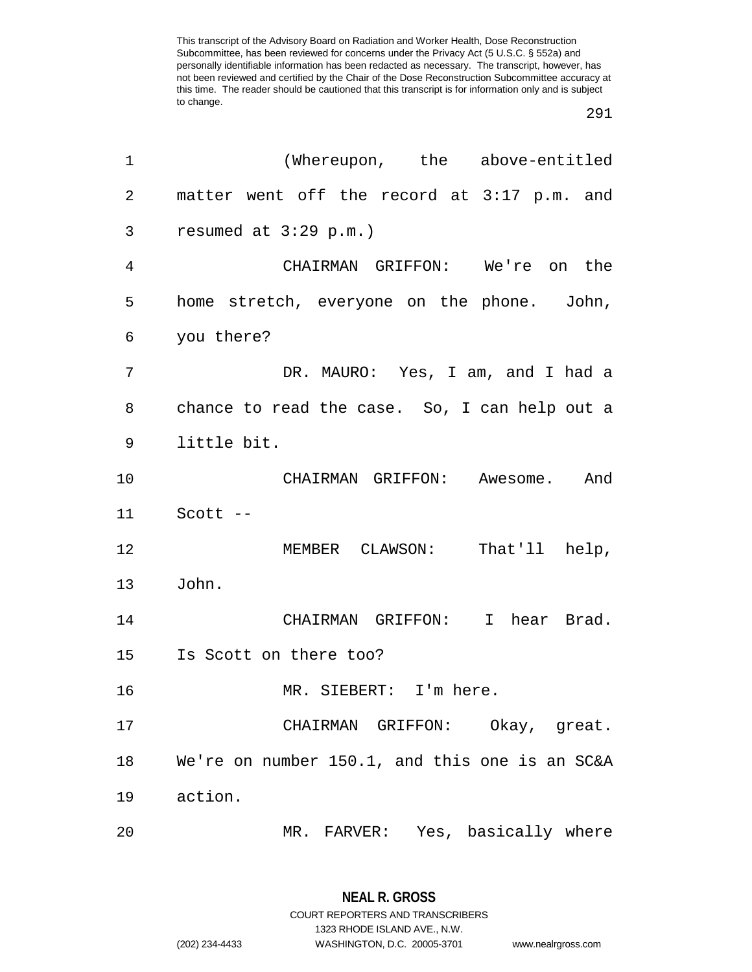| 1  | (Whereupon, the above-entitled                 |
|----|------------------------------------------------|
| 2  | matter went off the record at 3:17 p.m. and    |
| 3  | resumed at $3:29$ p.m.)                        |
| 4  | CHAIRMAN GRIFFON: We're on the                 |
| 5  | home stretch, everyone on the phone. John,     |
| 6  | you there?                                     |
| 7  | DR. MAURO: Yes, I am, and I had a              |
| 8  | chance to read the case. So, I can help out a  |
| 9  | little bit.                                    |
| 10 | CHAIRMAN GRIFFON: Awesome. And                 |
| 11 | Scott --                                       |
| 12 | MEMBER CLAWSON: That'll help,                  |
| 13 | John.                                          |
| 14 | CHAIRMAN GRIFFON: I hear Brad.                 |
| 15 | Is Scott on there too?                         |
| 16 | MR. SIEBERT: I'm here.                         |
| 17 | CHAIRMAN GRIFFON: Okay, great.                 |
| 18 | We're on number 150.1, and this one is an SC&A |
| 19 | action.                                        |
| 20 | MR. FARVER: Yes, basically where               |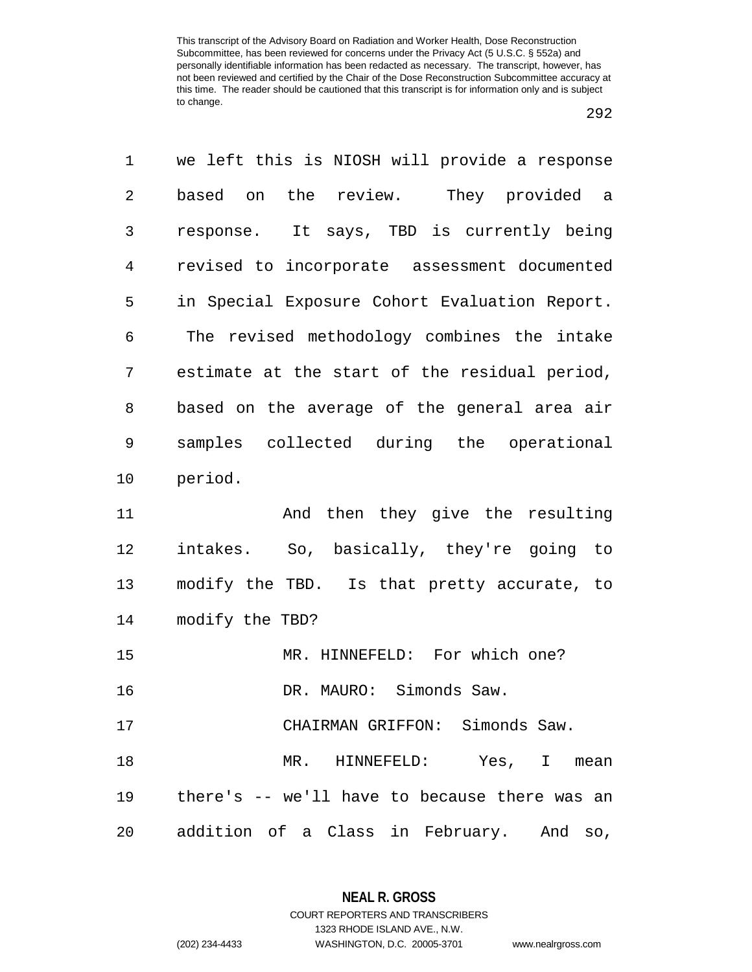| 1              | we left this is NIOSH will provide a response |
|----------------|-----------------------------------------------|
| $\overline{2}$ | based on the review. They provided a          |
| 3              | response. It says, TBD is currently being     |
| $\overline{4}$ | revised to incorporate assessment documented  |
| 5              | in Special Exposure Cohort Evaluation Report. |
| 6              | The revised methodology combines the intake   |
| 7              | estimate at the start of the residual period, |
| 8              | based on the average of the general area air  |
| 9              | samples collected during the operational      |
| 10             | period.                                       |
| 11             | And then they give the resulting              |
| 12             | intakes. So, basically, they're going to      |
| 13             | modify the TBD. Is that pretty accurate, to   |
| 14             | modify the TBD?                               |
| 15             | MR. HINNEFELD: For which one?                 |
| 16             | DR. MAURO: Simonds Saw.                       |
| 17             | CHAIRMAN GRIFFON: Simonds Saw.                |
| 18             | HINNEFELD: Yes, I<br>$MR$ .<br>mean           |
| 19             | there's -- we'll have to because there was an |
| 20             | addition of a Class in February. And<br>SO,   |

**NEAL R. GROSS** COURT REPORTERS AND TRANSCRIBERS

1323 RHODE ISLAND AVE., N.W.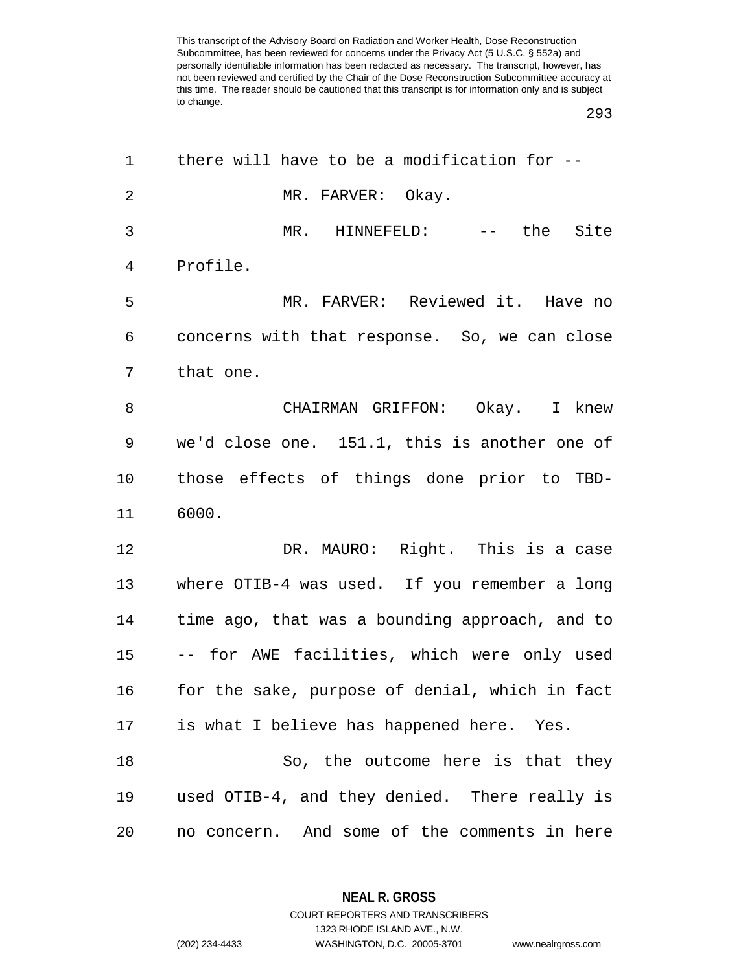| 1              | there will have to be a modification for $-$ - |
|----------------|------------------------------------------------|
| $\overline{2}$ | MR. FARVER: Okay.                              |
| 3              | MR. HINNEFELD: -- the Site                     |
| $\overline{4}$ | Profile.                                       |
| 5              | MR. FARVER: Reviewed it. Have no               |
| 6              | concerns with that response. So, we can close  |
| 7              | that one.                                      |
| 8              | CHAIRMAN GRIFFON: Okay. I knew                 |
| 9              | we'd close one. 151.1, this is another one of  |
| 10             | those effects of things done prior to TBD-     |
| 11             | 6000.                                          |
| 12             | DR. MAURO: Right. This is a case               |
| 13             | where OTIB-4 was used. If you remember a long  |
| 14             | time ago, that was a bounding approach, and to |
| 15             | -- for AWE facilities, which were only used    |
| 16             | for the sake, purpose of denial, which in fact |
| 17             | is what I believe has happened here. Yes.      |
| 18             | So, the outcome here is that they              |
| 19             | used OTIB-4, and they denied. There really is  |
| 20             | no concern. And some of the comments in here   |

**NEAL R. GROSS**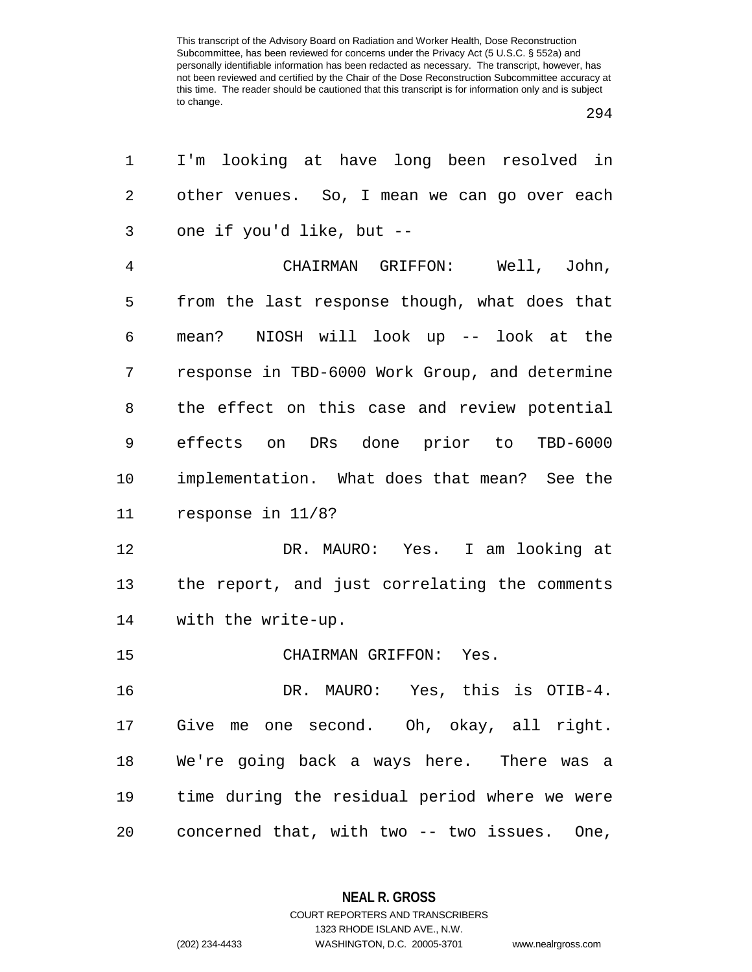| 1       | I'm looking at have long been resolved in      |
|---------|------------------------------------------------|
| 2       | other venues. So, I mean we can go over each   |
| 3       | one if you'd like, but --                      |
| 4       | CHAIRMAN GRIFFON: Well, John,                  |
| 5       | from the last response though, what does that  |
| 6       | mean? NIOSH will look up -- look at the        |
| 7       | response in TBD-6000 Work Group, and determine |
| 8       | the effect on this case and review potential   |
| 9       | effects on DRs done prior to TBD-6000          |
| $10 \,$ | implementation. What does that mean? See the   |
| 11      | response in 11/8?                              |
| 12      | DR. MAURO: Yes. I am looking at                |
| 13      | the report, and just correlating the comments  |
| 14      | with the write-up.                             |
| 15      | CHAIRMAN GRIFFON: Yes.                         |
| 16      | DR. MAURO: Yes, this is OTIB-4.                |
| 17      | Give me one second. Oh, okay, all right.       |
| 18      | We're going back a ways here. There was a      |
| 19      | time during the residual period where we were  |
| 20      | concerned that, with two -- two issues. One,   |

**NEAL R. GROSS** COURT REPORTERS AND TRANSCRIBERS

1323 RHODE ISLAND AVE., N.W. (202) 234-4433 WASHINGTON, D.C. 20005-3701 www.nealrgross.com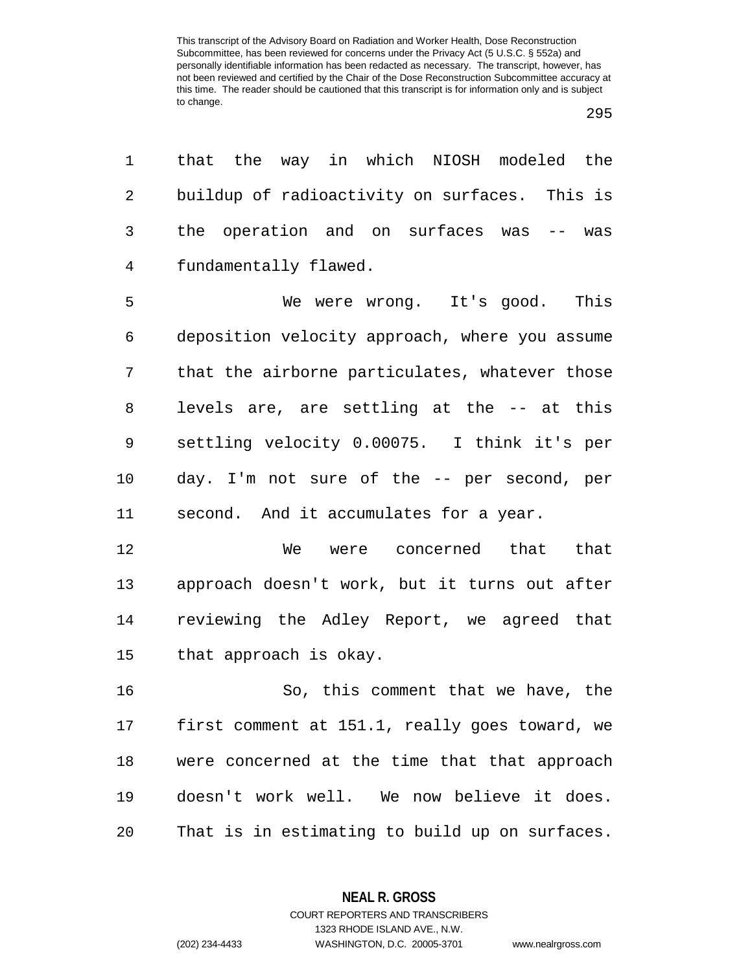| that the way in which NIOSH modeled the        |
|------------------------------------------------|
| buildup of radioactivity on surfaces. This is  |
| the operation and on surfaces was<br>$--$ was  |
| fundamentally flawed.                          |
| We were wrong. It's good. This                 |
| deposition velocity approach, where you assume |
| that the airborne particulates, whatever those |
| levels are, are settling at the -- at this     |
| settling velocity 0.00075. I think it's per    |
| day. I'm not sure of the -- per second, per    |
| second. And it accumulates for a year.         |
| We were concerned that that                    |
| approach doesn't work, but it turns out after  |
| reviewing the Adley Report, we agreed that     |
| that approach is okay.                         |
| So, this comment that we have, the             |
| first comment at 151.1, really goes toward, we |
| were concerned at the time that that approach  |
| doesn't work well. We now believe it does.     |
|                                                |
|                                                |

**NEAL R. GROSS** COURT REPORTERS AND TRANSCRIBERS

1323 RHODE ISLAND AVE., N.W.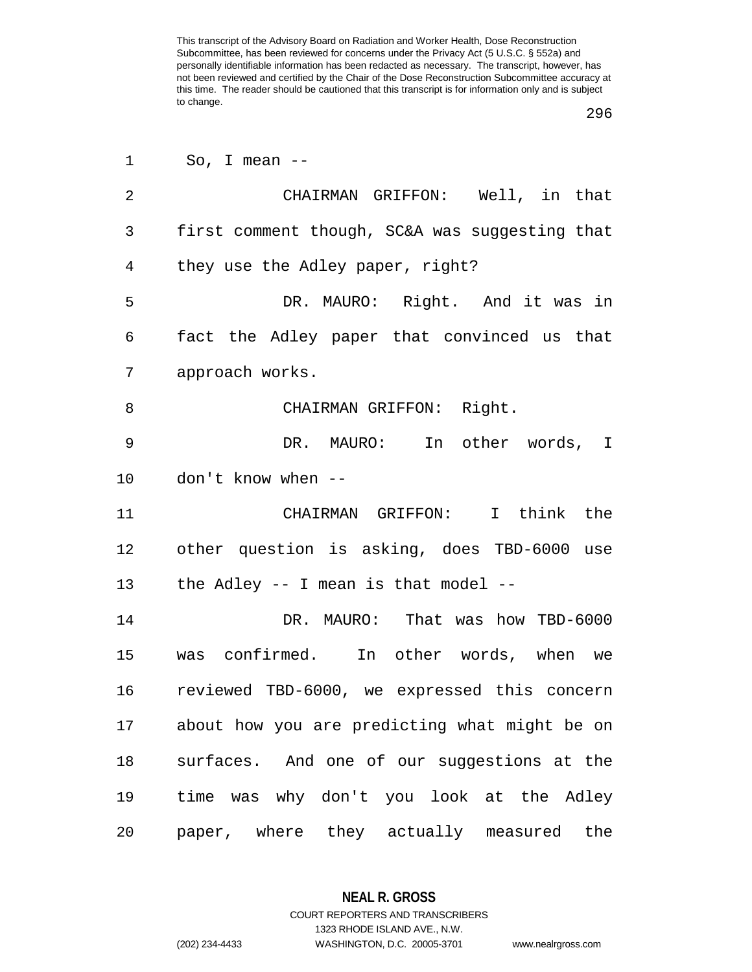| 1              | So, I mean $--$                                |
|----------------|------------------------------------------------|
| $\overline{2}$ | CHAIRMAN GRIFFON: Well, in that                |
| $\mathbf{3}$   | first comment though, SC&A was suggesting that |
| $\overline{4}$ | they use the Adley paper, right?               |
| 5              | DR. MAURO: Right. And it was in                |
| 6              | fact the Adley paper that convinced us that    |
| 7              | approach works.                                |
| 8              | CHAIRMAN GRIFFON: Right.                       |
| 9              | DR. MAURO: In other words, I                   |
| 10             | don't know when --                             |
| 11             | CHAIRMAN GRIFFON: I think the                  |
| 12             | other question is asking, does TBD-6000 use    |
|                | 13 the Adley -- I mean is that model --        |
| 14             | DR. MAURO: That was how TBD-6000               |
| 15             | was confirmed. In other words, when we         |
| 16             | reviewed TBD-6000, we expressed this concern   |
| 17             | about how you are predicting what might be on  |
| 18             | surfaces. And one of our suggestions at the    |
| 19             | time was why don't you look at the Adley       |
| 20             | paper, where they actually measured the        |

**NEAL R. GROSS**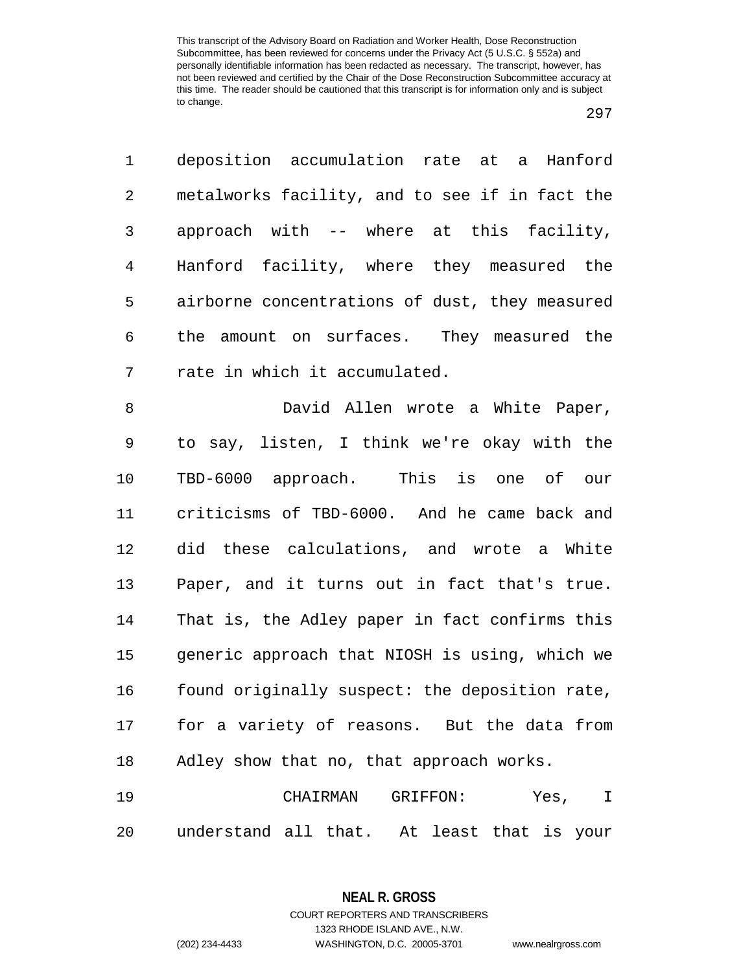deposition accumulation rate at a Hanford metalworks facility, and to see if in fact the approach with -- where at this facility, Hanford facility, where they measured the airborne concentrations of dust, they measured the amount on surfaces. They measured the rate in which it accumulated.

 David Allen wrote a White Paper, to say, listen, I think we're okay with the TBD-6000 approach. This is one of our criticisms of TBD-6000. And he came back and did these calculations, and wrote a White Paper, and it turns out in fact that's true. That is, the Adley paper in fact confirms this generic approach that NIOSH is using, which we 16 found originally suspect: the deposition rate, for a variety of reasons. But the data from Adley show that no, that approach works.

 CHAIRMAN GRIFFON: Yes, I understand all that. At least that is your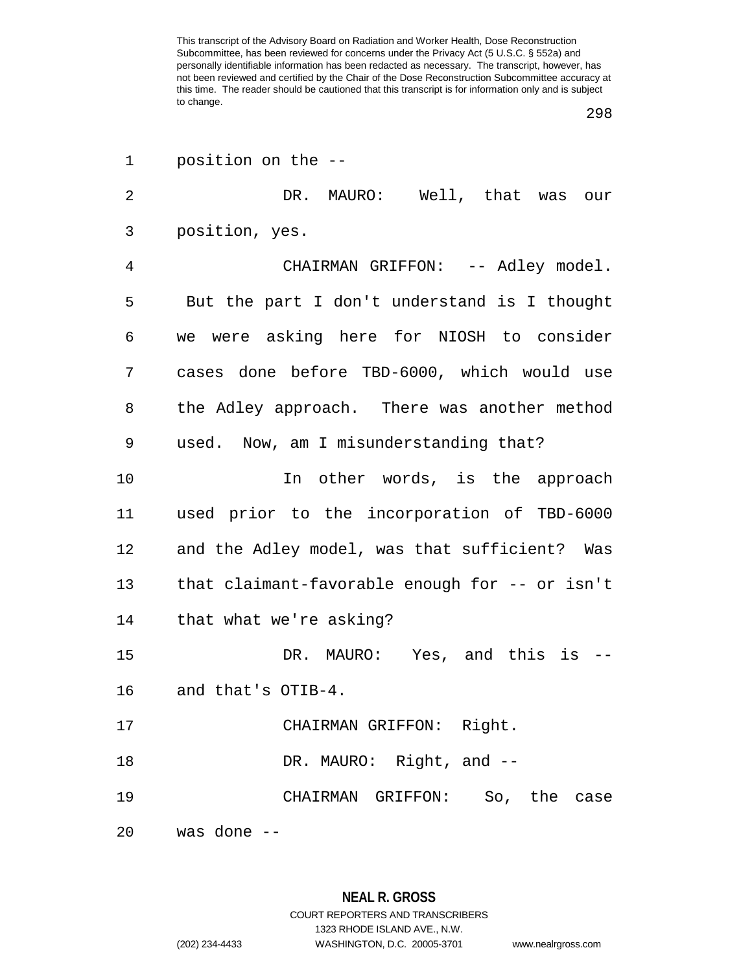| 1  | position on the --                             |
|----|------------------------------------------------|
| 2  | DR. MAURO: Well, that was our                  |
| 3  | position, yes.                                 |
| 4  | CHAIRMAN GRIFFON: -- Adley model.              |
| 5  | But the part I don't understand is I thought   |
| 6  | we were asking here for NIOSH to consider      |
| 7  | cases done before TBD-6000, which would use    |
| 8  | the Adley approach. There was another method   |
| 9  | used. Now, am I misunderstanding that?         |
| 10 | In other words, is the approach                |
| 11 | used prior to the incorporation of TBD-6000    |
| 12 | and the Adley model, was that sufficient? Was  |
| 13 | that claimant-favorable enough for -- or isn't |
| 14 | that what we're asking?                        |
| 15 | DR. MAURO: Yes, and this is                    |
| 16 | and that's OTIB-4.                             |
| 17 | CHAIRMAN GRIFFON: Right.                       |
| 18 | DR. MAURO: Right, and --                       |
| 19 | CHAIRMAN GRIFFON: So, the case                 |
| 20 | was done --                                    |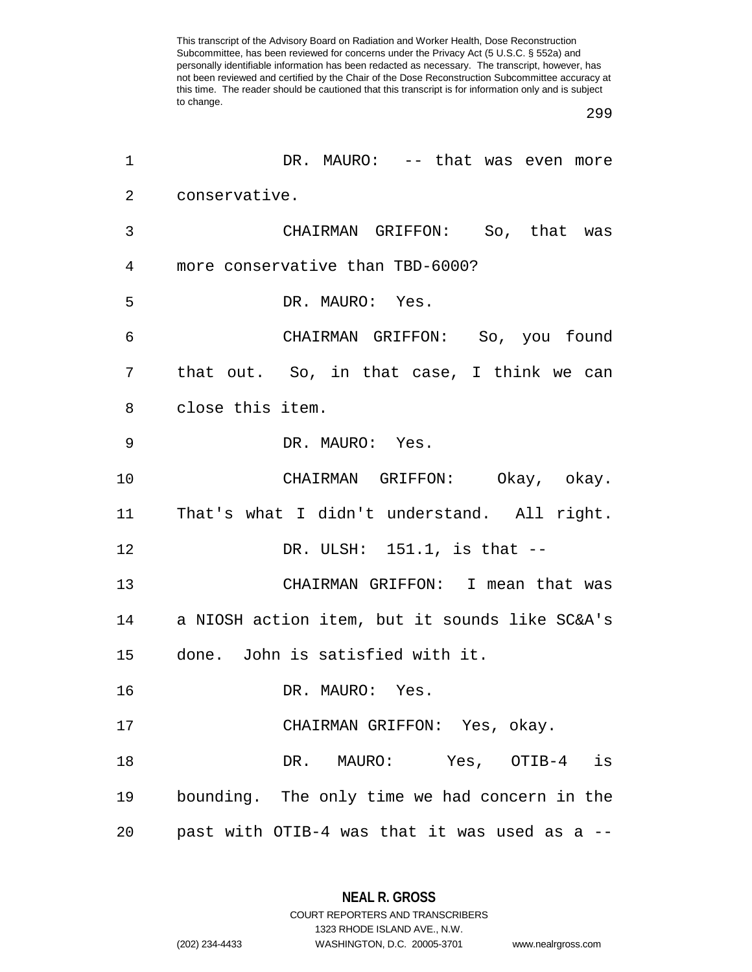| 1              | DR. MAURO: -- that was even more                       |
|----------------|--------------------------------------------------------|
| $\overline{2}$ | conservative.                                          |
| 3              | CHAIRMAN GRIFFON: So, that was                         |
| $\overline{4}$ | more conservative than TBD-6000?                       |
| 5              | DR. MAURO: Yes.                                        |
| 6              | CHAIRMAN GRIFFON: So, you found                        |
| 7              | that out. So, in that case, I think we can             |
| 8              | close this item.                                       |
| 9              | DR. MAURO: Yes.                                        |
| 10             | CHAIRMAN GRIFFON: Okay, okay.                          |
| 11             | That's what I didn't understand. All right.            |
| 12             | DR. ULSH: $151.1$ , is that $-$                        |
| 13             | CHAIRMAN GRIFFON: I mean that was                      |
|                | 14      a NIOSH action item, but it sounds like SC&A's |
| 15             | done. John is satisfied with it.                       |
| 16             | DR. MAURO: Yes.                                        |
| 17             | CHAIRMAN GRIFFON: Yes, okay.                           |
| 18             | DR. MAURO: Yes, OTIB-4 is                              |
| 19             | bounding. The only time we had concern in the          |
| 20             | past with OTIB-4 was that it was used as a --          |

**NEAL R. GROSS** COURT REPORTERS AND TRANSCRIBERS

1323 RHODE ISLAND AVE., N.W. (202) 234-4433 WASHINGTON, D.C. 20005-3701 www.nealrgross.com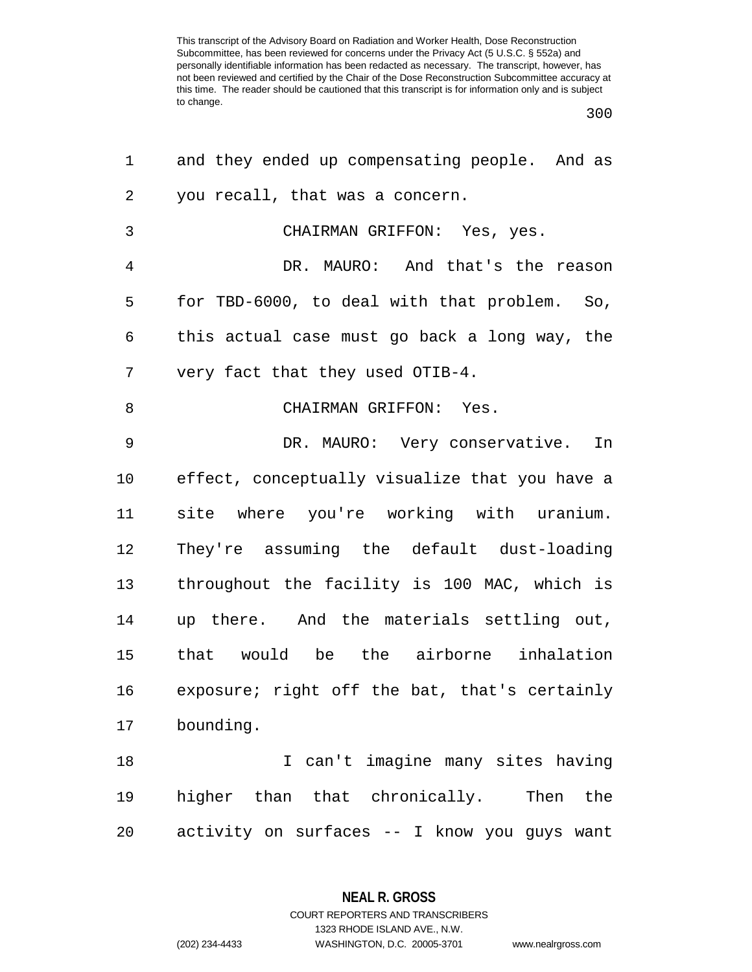| 1              | and they ended up compensating people. And as  |
|----------------|------------------------------------------------|
| 2              | you recall, that was a concern.                |
| $\mathsf{3}$   | CHAIRMAN GRIFFON: Yes, yes.                    |
| $\overline{4}$ | DR. MAURO: And that's the reason               |
| 5              | for TBD-6000, to deal with that problem. So,   |
| 6              | this actual case must go back a long way, the  |
| 7              | very fact that they used OTIB-4.               |
| 8              | CHAIRMAN GRIFFON: Yes.                         |
| 9              | DR. MAURO: Very conservative. In               |
| 10             | effect, conceptually visualize that you have a |
| 11             | site where you're working with uranium.        |
| 12             | They're assuming the default dust-loading      |
| 13             | throughout the facility is 100 MAC, which is   |
| 14             | up there. And the materials settling out,      |
| 15             | that would be the airborne inhalation          |
| 16             | exposure; right off the bat, that's certainly  |
| 17             | bounding.                                      |
| 18             | I can't imagine many sites having              |
| 19             | higher than that chronically. Then<br>the      |
| 20             | activity on surfaces -- I know you guys want   |

**NEAL R. GROSS** COURT REPORTERS AND TRANSCRIBERS

1323 RHODE ISLAND AVE., N.W. (202) 234-4433 WASHINGTON, D.C. 20005-3701 www.nealrgross.com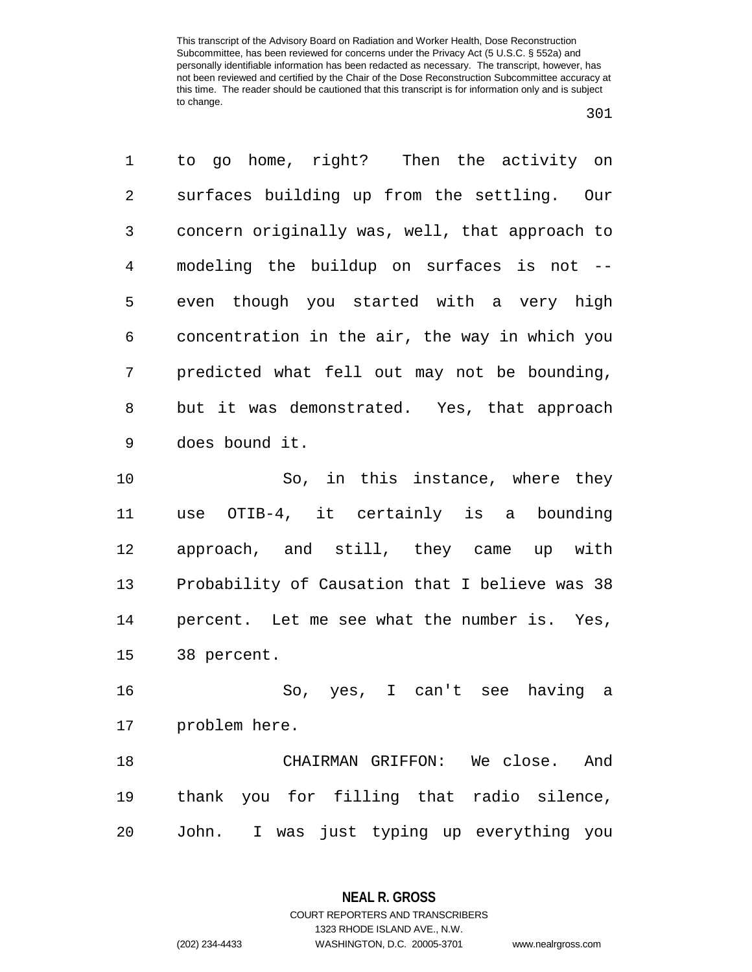to go home, right? Then the activity on surfaces building up from the settling. Our concern originally was, well, that approach to modeling the buildup on surfaces is not -- even though you started with a very high concentration in the air, the way in which you predicted what fell out may not be bounding, but it was demonstrated. Yes, that approach does bound it. So, in this instance, where they use OTIB-4, it certainly is a bounding approach, and still, they came up with Probability of Causation that I believe was 38

 percent. Let me see what the number is. Yes, 38 percent.

 So, yes, I can't see having a problem here.

 CHAIRMAN GRIFFON: We close. And thank you for filling that radio silence, John. I was just typing up everything you

1323 RHODE ISLAND AVE., N.W.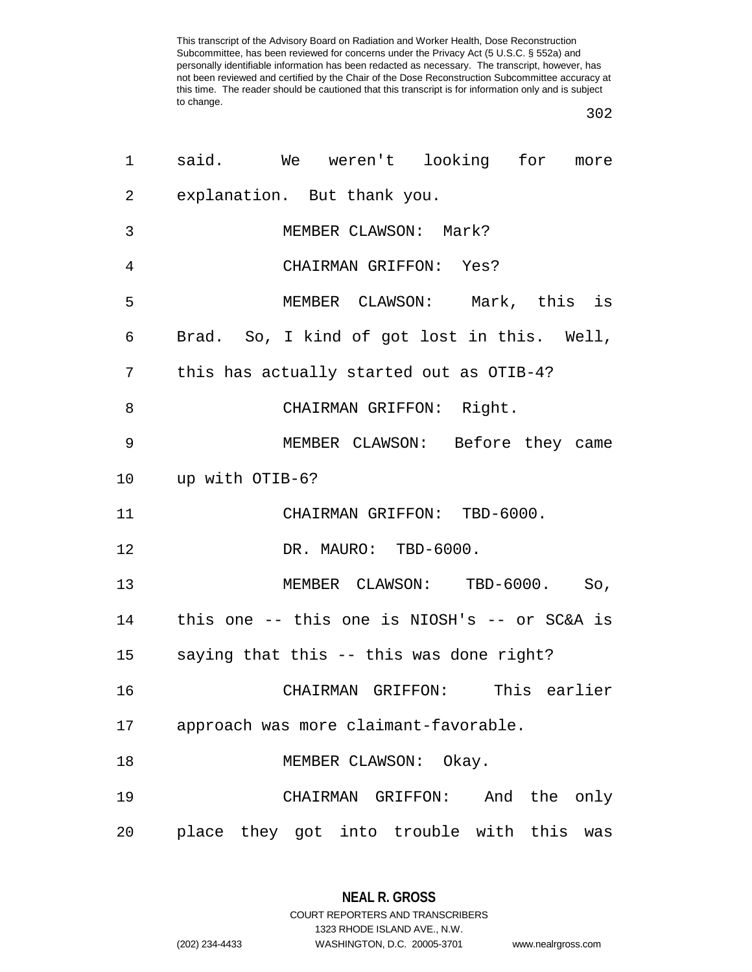| 1              | said. We weren't looking for more               |
|----------------|-------------------------------------------------|
| $\overline{2}$ | explanation. But thank you.                     |
| 3              | MEMBER CLAWSON: Mark?                           |
| 4              | CHAIRMAN GRIFFON: Yes?                          |
| 5              | MEMBER CLAWSON: Mark, this is                   |
| 6              | Brad. So, I kind of got lost in this. Well,     |
| 7              | this has actually started out as OTIB-4?        |
| 8              | CHAIRMAN GRIFFON: Right.                        |
| 9              | MEMBER CLAWSON: Before they came                |
|                | 10 up with OTIB-6?                              |
| 11             | CHAIRMAN GRIFFON: TBD-6000.                     |
| 12             | DR. MAURO: TBD-6000.                            |
| 13             | MEMBER CLAWSON: TBD-6000. So,                   |
| 14             | this one -- this one is NIOSH's -- or SC&A is   |
|                | 15     saying that this -- this was done right? |
| 16             | CHAIRMAN GRIFFON: This earlier                  |
| 17             | approach was more claimant-favorable.           |
| 18             | MEMBER CLAWSON: Okay.                           |
| 19             | CHAIRMAN GRIFFON: And the only                  |
| 20             | place they got into trouble with this was       |

1323 RHODE ISLAND AVE., N.W.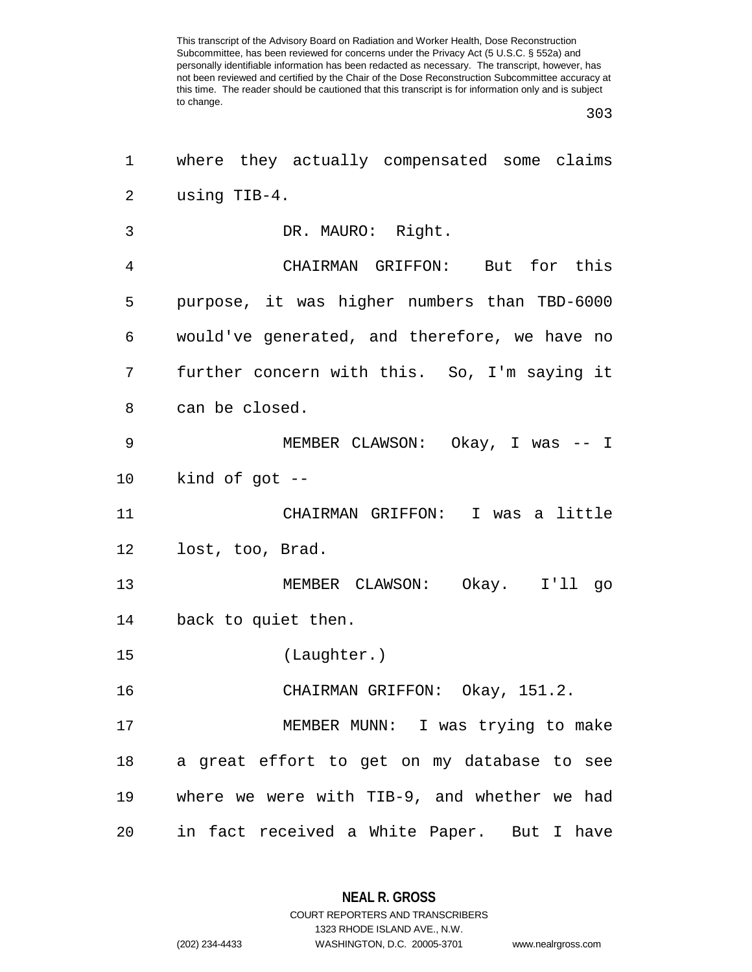| 1              | where they actually compensated some claims   |
|----------------|-----------------------------------------------|
| $\overline{2}$ | using TIB-4.                                  |
| 3              | DR. MAURO: Right.                             |
| 4              | CHAIRMAN GRIFFON: But for this                |
| 5              | purpose, it was higher numbers than TBD-6000  |
| 6              | would've generated, and therefore, we have no |
| 7              | further concern with this. So, I'm saying it  |
| 8              | can be closed.                                |
| 9              | MEMBER CLAWSON: Okay, I was -- I              |
| $10 \,$        | kind of got $-$                               |
| 11             | CHAIRMAN GRIFFON: I was a little              |
| 12             | lost, too, Brad.                              |
| 13             | MEMBER CLAWSON: Okay. I'll go                 |
| 14             | back to quiet then.                           |
| 15             | (Laughter.)                                   |
| 16             | CHAIRMAN GRIFFON: Okay, 151.2.                |
| 17             | MEMBER MUNN: I was trying to make             |
| 18             | a great effort to get on my database to see   |
| 19             | where we were with TIB-9, and whether we had  |
| 20             | in fact received a White Paper. But I have    |

1323 RHODE ISLAND AVE., N.W.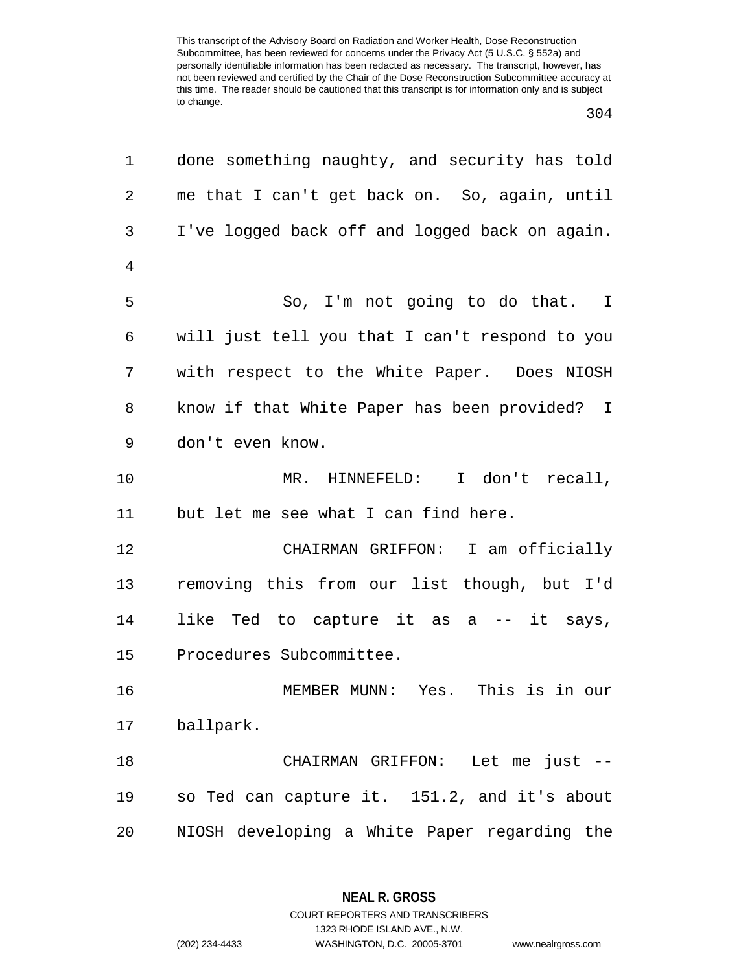| 1              | done something naughty, and security has told  |
|----------------|------------------------------------------------|
| $\overline{2}$ | me that I can't get back on. So, again, until  |
| 3              | I've logged back off and logged back on again. |
| 4              |                                                |
| 5              | So, I'm not going to do that. I                |
| 6              | will just tell you that I can't respond to you |
| 7              | with respect to the White Paper. Does NIOSH    |
| 8              | know if that White Paper has been provided? I  |
| 9              | don't even know.                               |
| 10             | MR. HINNEFELD: I don't recall,                 |
| 11             | but let me see what I can find here.           |
| 12             | CHAIRMAN GRIFFON: I am officially              |
| 13             | removing this from our list though, but I'd    |
| 14             | like Ted to capture it as a -- it says,        |
| 15             | Procedures Subcommittee.                       |
| 16             | MEMBER MUNN: Yes. This is in our               |
| 17             | ballpark.                                      |
| 18             | CHAIRMAN GRIFFON: Let me just --               |
| 19             | so Ted can capture it. 151.2, and it's about   |
| 20             | NIOSH developing a White Paper regarding the   |

**NEAL R. GROSS** COURT REPORTERS AND TRANSCRIBERS

1323 RHODE ISLAND AVE., N.W.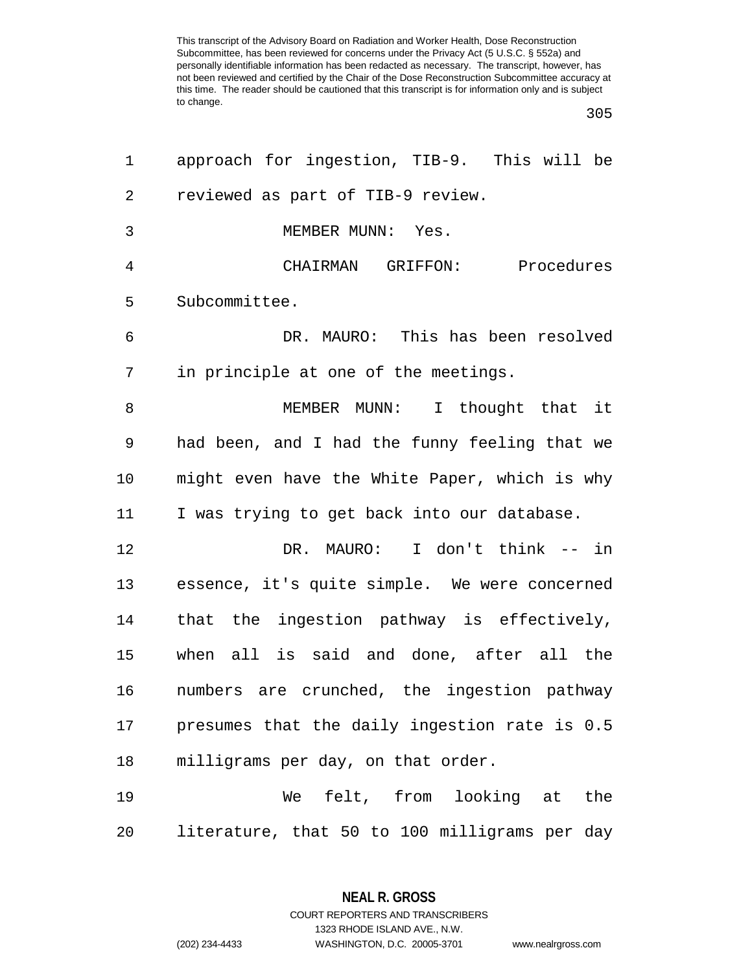| 1              | approach for ingestion, TIB-9. This will be   |
|----------------|-----------------------------------------------|
| $\overline{2}$ | reviewed as part of TIB-9 review.             |
| 3              | MEMBER MUNN: Yes.                             |
| $\overline{4}$ | CHAIRMAN GRIFFON: Procedures                  |
| 5              | Subcommittee.                                 |
| 6              | DR. MAURO: This has been resolved             |
| 7              | in principle at one of the meetings.          |
| 8              | MEMBER MUNN: I thought that it                |
| 9              | had been, and I had the funny feeling that we |
| 10             | might even have the White Paper, which is why |
| 11             | I was trying to get back into our database.   |
| 12             | DR. MAURO: I don't think -- in                |
| 13             | essence, it's quite simple. We were concerned |
| 14             | that the ingestion pathway is effectively,    |
| 15             | when all is said and done, after all the      |
| 16             | numbers are crunched, the ingestion pathway   |
| 17             | presumes that the daily ingestion rate is 0.5 |
| 18             | milligrams per day, on that order.            |
| 19             | We felt, from looking at the                  |
| 20             | literature, that 50 to 100 milligrams per day |

**NEAL R. GROSS** COURT REPORTERS AND TRANSCRIBERS

1323 RHODE ISLAND AVE., N.W.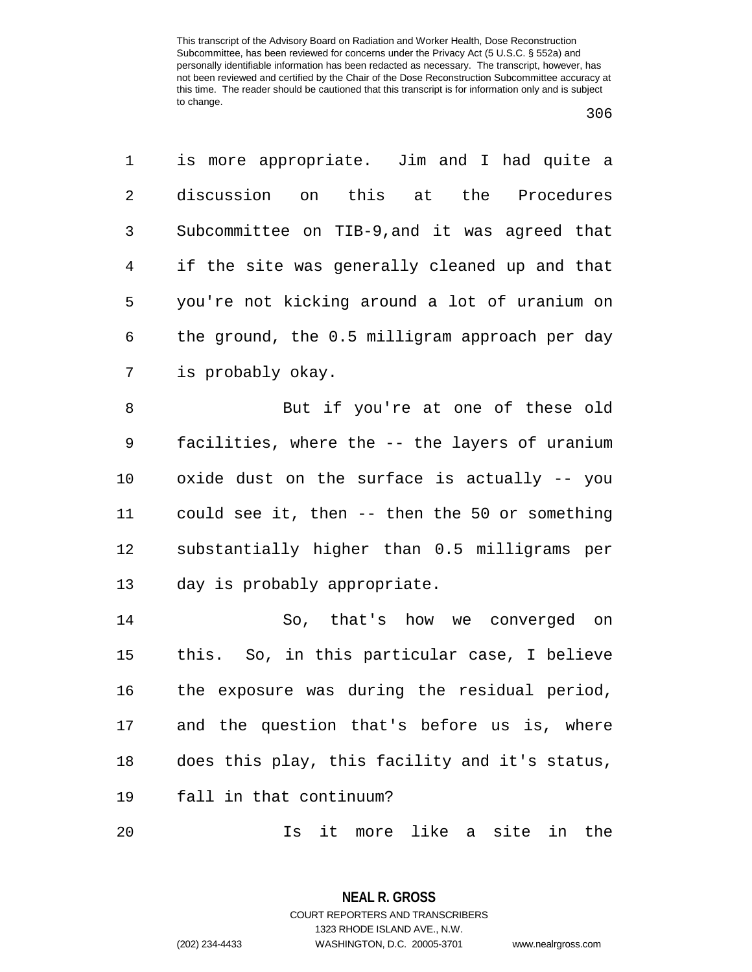| 1  | is more appropriate. Jim and I had quite a     |
|----|------------------------------------------------|
| 2  | discussion on this at the<br>Procedures        |
| 3  | Subcommittee on TIB-9, and it was agreed that  |
| 4  | if the site was generally cleaned up and that  |
| 5  | you're not kicking around a lot of uranium on  |
| 6  | the ground, the 0.5 milligram approach per day |
| 7  | is probably okay.                              |
| 8  | But if you're at one of these old              |
| 9  | facilities, where the -- the layers of uranium |
| 10 | oxide dust on the surface is actually -- you   |
| 11 | could see it, then -- then the 50 or something |
| 12 | substantially higher than 0.5 milligrams per   |
| 13 | day is probably appropriate.                   |
| 14 | So, that's how we converged on                 |
| 15 | this. So, in this particular case, I believe   |
| 16 | the exposure was during the residual period,   |
| 17 | and the question that's before us is, where    |
| 18 | does this play, this facility and it's status, |
| 19 | fall in that continuum?                        |
| 20 | Is it more like a site in the                  |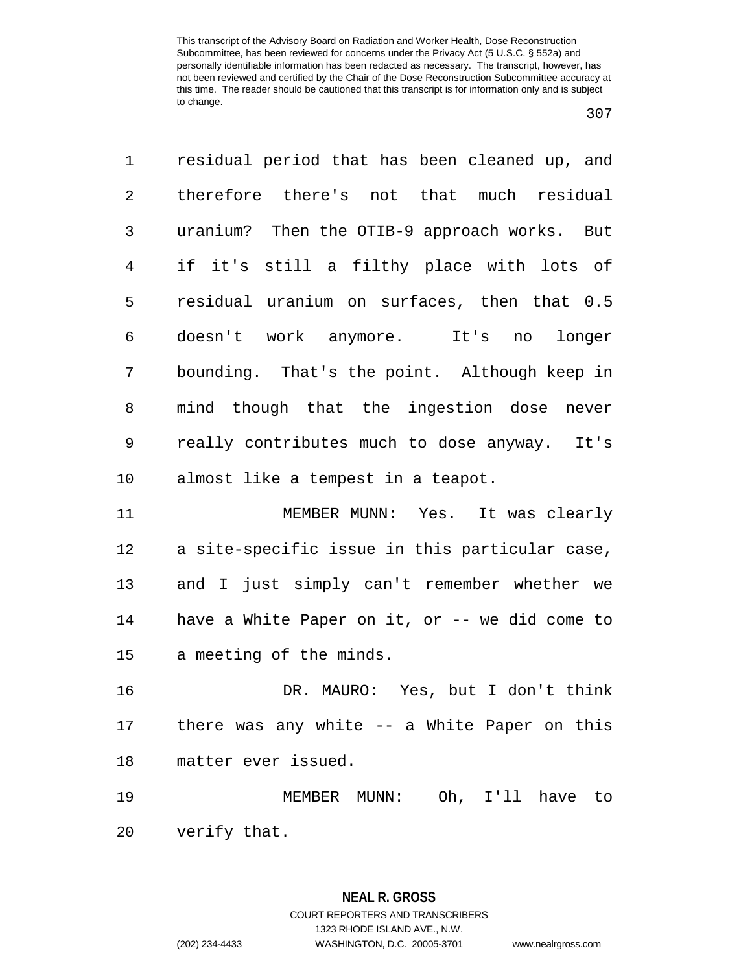| 1              | residual period that has been cleaned up, and  |
|----------------|------------------------------------------------|
| $\overline{2}$ | therefore there's not that much residual       |
| 3              | uranium? Then the OTIB-9 approach works. But   |
| 4              | if it's still a filthy place with lots of      |
| 5              | residual uranium on surfaces, then that 0.5    |
| 6              | doesn't work anymore. It's no longer           |
| 7              | bounding. That's the point. Although keep in   |
| 8              | mind though that the ingestion dose never      |
| 9              | really contributes much to dose anyway. It's   |
| 10             | almost like a tempest in a teapot.             |
| 11             | MEMBER MUNN: Yes. It was clearly               |
| 12             | a site-specific issue in this particular case, |
| 13             | and I just simply can't remember whether we    |
| 14             | have a White Paper on it, or -- we did come to |
| 15             | a meeting of the minds.                        |
| 16             | DR. MAURO: Yes, but I don't think              |
| 17             | there was any white -- a White Paper on this   |
| 18             | matter ever issued.                            |
| 19             | MEMBER MUNN: Oh, I'll have to                  |
| 20             | verify that.                                   |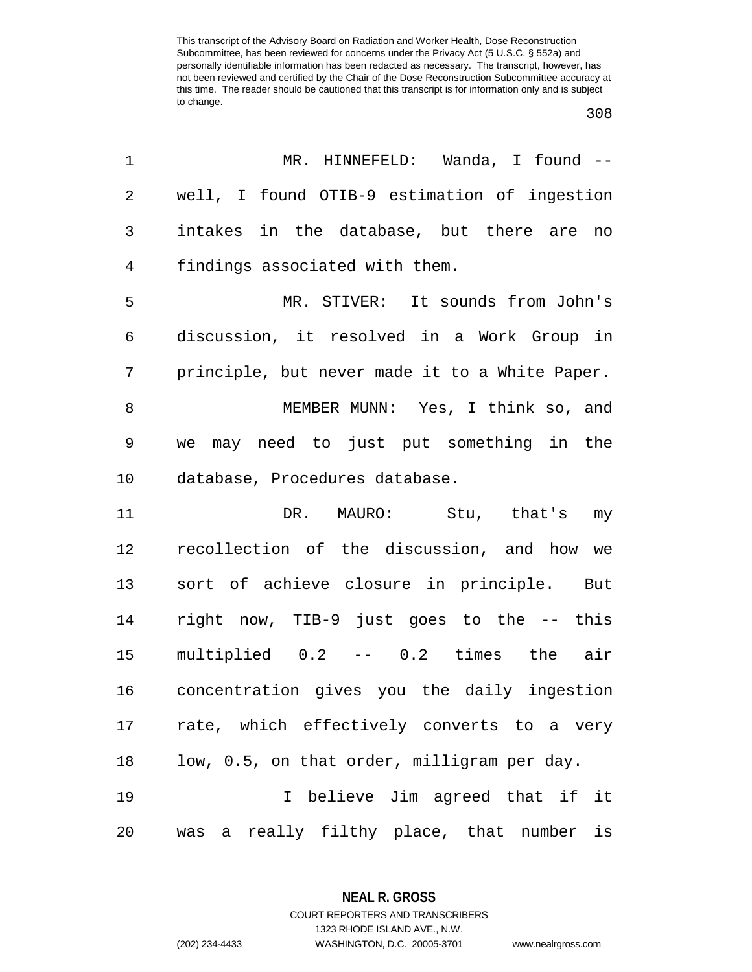| 1          | MR. HINNEFELD: Wanda, I found --               |
|------------|------------------------------------------------|
| $\sqrt{2}$ | well, I found OTIB-9 estimation of ingestion   |
| 3          | intakes in the database, but there are no      |
| 4          | findings associated with them.                 |
| 5          | MR. STIVER: It sounds from John's              |
| 6          | discussion, it resolved in a Work Group in     |
| 7          | principle, but never made it to a White Paper. |
| 8          | MEMBER MUNN: Yes, I think so, and              |
| 9          | we may need to just put something in the       |
| 10         | database, Procedures database.                 |
| 11         | DR. MAURO: Stu, that's my                      |
| 12         | recollection of the discussion, and how we     |
| 13         | sort of achieve closure in principle. But      |
| 14         | right now, TIB-9 just goes to the -- this      |
| 15         | multiplied 0.2 -- 0.2 times the air            |
| 16         | concentration gives you the daily ingestion    |
| 17         | rate, which effectively converts to a very     |
| 18         | low, 0.5, on that order, milligram per day.    |
| 19         | I believe Jim agreed that if it                |
| 20         | was a really filthy place, that number is      |

**NEAL R. GROSS** COURT REPORTERS AND TRANSCRIBERS

1323 RHODE ISLAND AVE., N.W.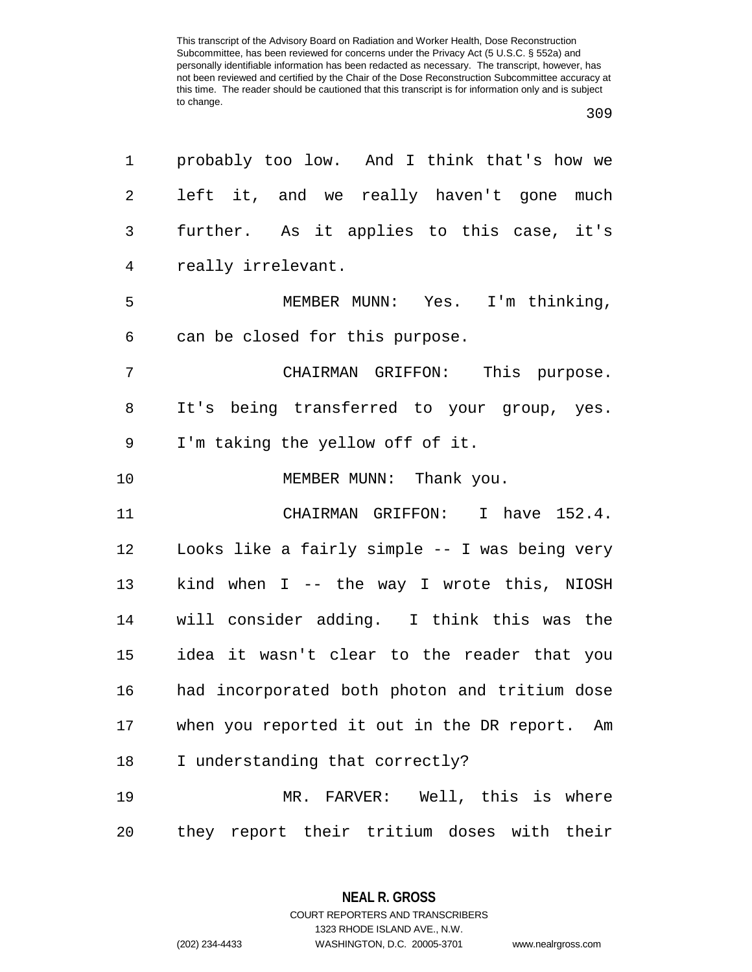| 1  | probably too low. And I think that's how we    |
|----|------------------------------------------------|
| 2  | left it, and we really haven't gone much       |
| 3  | further. As it applies to this case, it's      |
| 4  | really irrelevant.                             |
| 5  | MEMBER MUNN: Yes. I'm thinking,                |
| 6  | can be closed for this purpose.                |
| 7  | CHAIRMAN GRIFFON: This purpose.                |
| 8  | It's being transferred to your group, yes.     |
| 9  | I'm taking the yellow off of it.               |
| 10 | MEMBER MUNN: Thank you.                        |
| 11 | CHAIRMAN GRIFFON: I have 152.4.                |
| 12 | Looks like a fairly simple -- I was being very |
| 13 | kind when I -- the way I wrote this, NIOSH     |
| 14 | will consider adding. I think this was the     |
| 15 | idea it wasn't clear to the reader that you    |
| 16 | had incorporated both photon and tritium dose  |
| 17 | when you reported it out in the DR report. Am  |
| 18 | I understanding that correctly?                |
| 19 | MR. FARVER: Well, this is where                |
| 20 | they report their tritium doses with their     |

**NEAL R. GROSS** COURT REPORTERS AND TRANSCRIBERS

1323 RHODE ISLAND AVE., N.W.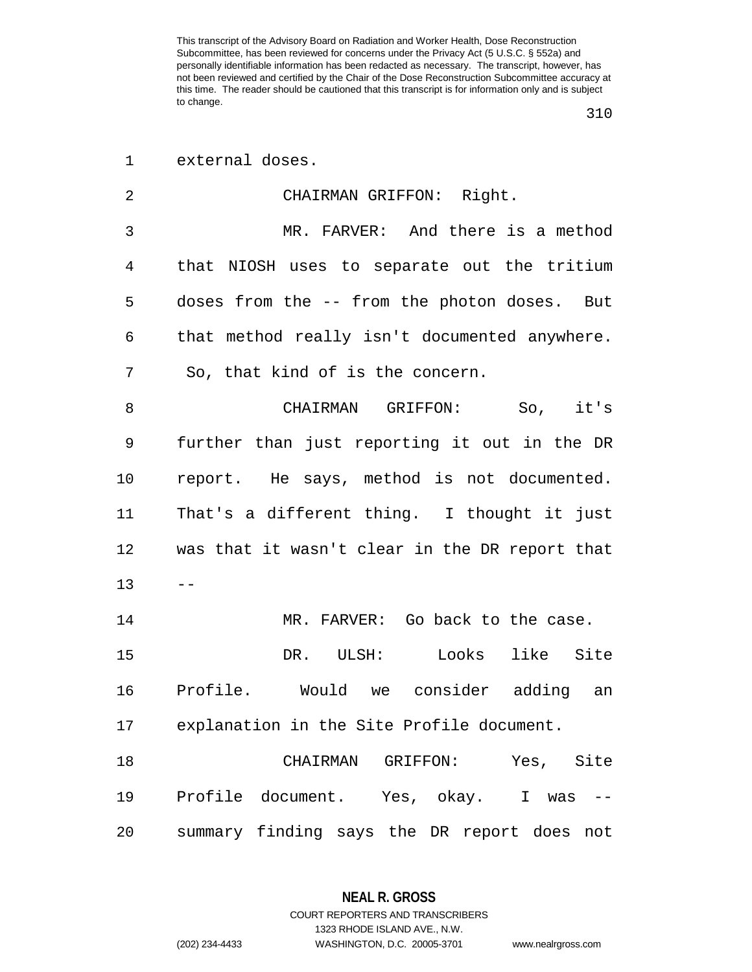| $\mathbf 1$ | external doses.                                |
|-------------|------------------------------------------------|
| 2           | CHAIRMAN GRIFFON: Right.                       |
| 3           | MR. FARVER: And there is a method              |
| 4           | that NIOSH uses to separate out the tritium    |
| 5           | doses from the -- from the photon doses. But   |
| 6           | that method really isn't documented anywhere.  |
| 7           | So, that kind of is the concern.               |
| 8           | CHAIRMAN GRIFFON: So, it's                     |
| 9           | further than just reporting it out in the DR   |
| 10          | report. He says, method is not documented.     |
| 11          | That's a different thing. I thought it just    |
| 12          | was that it wasn't clear in the DR report that |
| 13          |                                                |
| 14          | MR. FARVER: Go back to the case.               |
| 15          | DR. ULSH: Looks like Site                      |
| 16          | Profile. Would we consider adding<br>an        |
| 17          | explanation in the Site Profile document.      |
| 18          | CHAIRMAN GRIFFON: Yes, Site                    |
| 19          | Profile document. Yes, okay. I was             |
| 20          | summary finding says the DR report does<br>not |

**NEAL R. GROSS** COURT REPORTERS AND TRANSCRIBERS

1323 RHODE ISLAND AVE., N.W.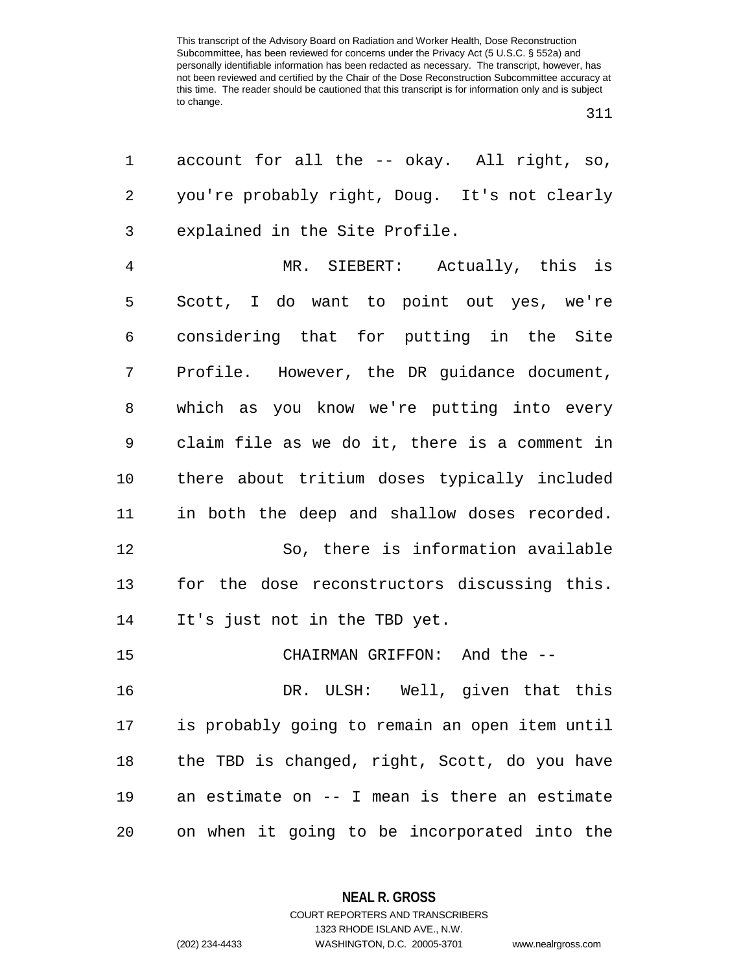| 1              | account for all the -- okay. All right, so,    |
|----------------|------------------------------------------------|
| 2              | you're probably right, Doug. It's not clearly  |
| 3              | explained in the Site Profile.                 |
| $\overline{4}$ | MR. SIEBERT: Actually, this is                 |
| 5              | Scott, I do want to point out yes, we're       |
| 6              | considering that for putting in the Site       |
| 7              | Profile. However, the DR guidance document,    |
| 8              | which as you know we're putting into every     |
| 9              | claim file as we do it, there is a comment in  |
| 10             | there about tritium doses typically included   |
| 11             | in both the deep and shallow doses recorded.   |
| 12             | So, there is information available             |
| 13             | for the dose reconstructors discussing this.   |
| 14             | It's just not in the TBD yet.                  |
| 15             | CHAIRMAN GRIFFON: And the --                   |
| 16             | DR. ULSH: Well, given that this                |
| 17             | is probably going to remain an open item until |
| 18             | the TBD is changed, right, Scott, do you have  |
| 19             | an estimate on -- I mean is there an estimate  |
| 20             | on when it going to be incorporated into the   |

**NEAL R. GROSS**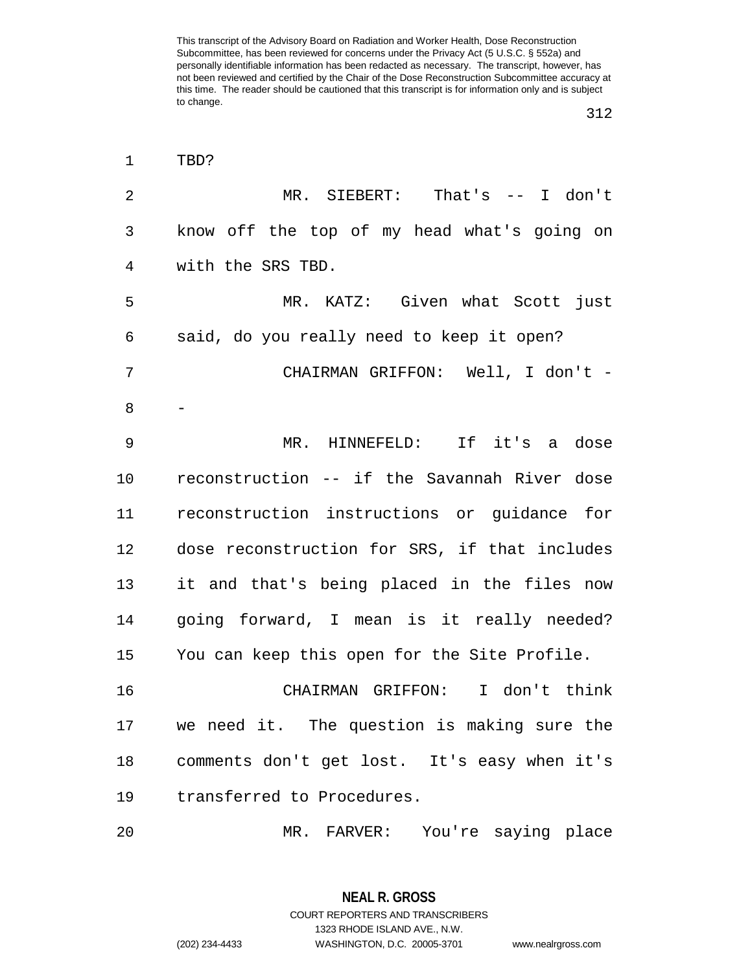| $\mathbf 1$    | TBD?                                          |
|----------------|-----------------------------------------------|
| $\overline{2}$ | MR. SIEBERT: That's -- I don't                |
| 3              | know off the top of my head what's going on   |
| 4              | with the SRS TBD.                             |
| 5              | MR. KATZ: Given what Scott just               |
| 6              | said, do you really need to keep it open?     |
| 7              | CHAIRMAN GRIFFON: Well, I don't -             |
| 8              |                                               |
| 9              | MR. HINNEFELD: If it's a dose                 |
| 10             | reconstruction -- if the Savannah River dose  |
| 11             | reconstruction instructions or guidance for   |
| 12             | dose reconstruction for SRS, if that includes |
| 13             | it and that's being placed in the files now   |
| 14             | going forward, I mean is it really needed?    |
| 15             | You can keep this open for the Site Profile.  |
| 16             | CHAIRMAN GRIFFON: I don't think               |
| 17             | we need it. The question is making sure the   |
| 18             | comments don't get lost. It's easy when it's  |
| 19             | transferred to Procedures.                    |
| 20             | You're saying place<br>MR. FARVER:            |

**NEAL R. GROSS** COURT REPORTERS AND TRANSCRIBERS

1323 RHODE ISLAND AVE., N.W. (202) 234-4433 WASHINGTON, D.C. 20005-3701 www.nealrgross.com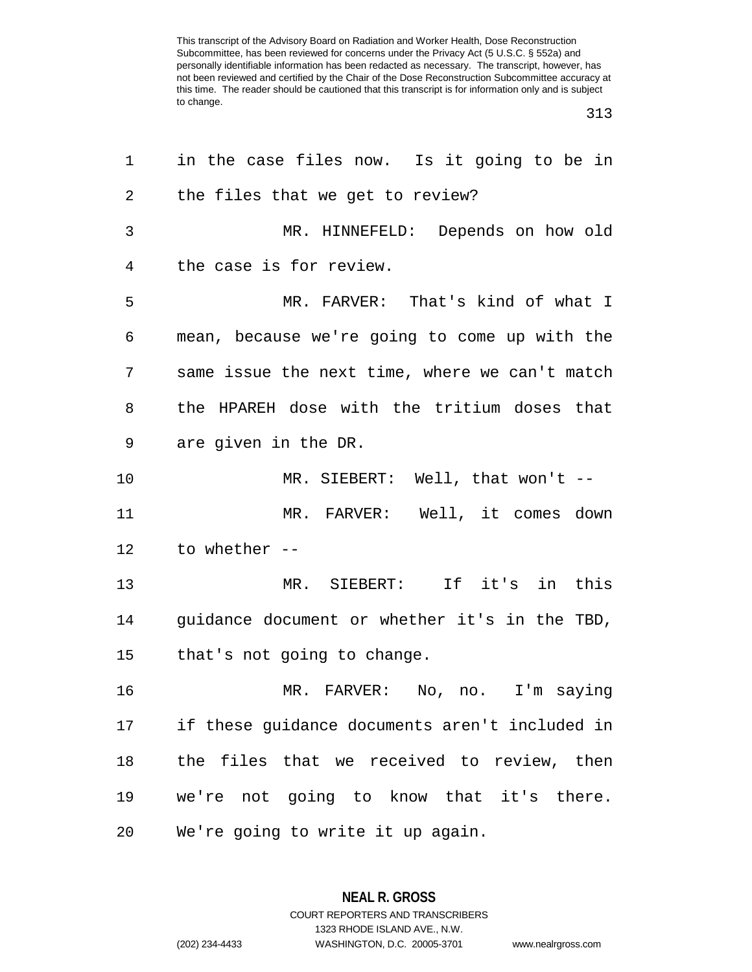## 

| 1              | in the case files now. Is it going to be in    |
|----------------|------------------------------------------------|
| $\overline{2}$ | the files that we get to review?               |
| 3              | MR. HINNEFELD: Depends on how old              |
| 4              | the case is for review.                        |
| 5              | MR. FARVER: That's kind of what I              |
| 6              | mean, because we're going to come up with the  |
| 7              | same issue the next time, where we can't match |
| 8              | the HPAREH dose with the tritium doses that    |
| 9              | are given in the DR.                           |
| $10 \,$        | MR. SIEBERT: Well, that won't $-$              |
| 11             | MR. FARVER: Well, it comes down                |
| 12             | to whether --                                  |
| 13             | MR. SIEBERT: If it's in this                   |
| 14             | guidance document or whether it's in the TBD,  |
| 15             | that's not going to change.                    |
| 16             | MR. FARVER: No, no. I'm saying                 |
| 17             | if these guidance documents aren't included in |
| 18             | the files that we received to review, then     |
| 19             | we're not going to know that it's there.       |
| 20             | We're going to write it up again.              |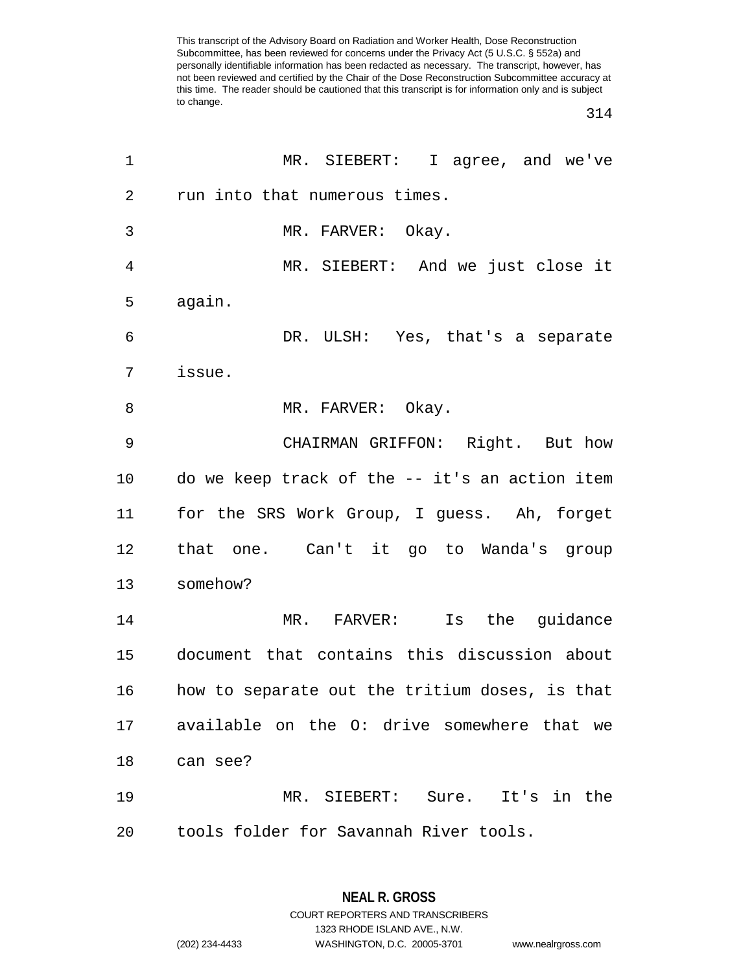| 1              | MR. SIEBERT: I agree, and we've                |
|----------------|------------------------------------------------|
| $\overline{2}$ | run into that numerous times.                  |
| 3              | MR. FARVER: Okay.                              |
| $\overline{4}$ | MR. SIEBERT: And we just close it              |
| 5              | again.                                         |
| 6              | DR. ULSH: Yes, that's a separate               |
| 7              | issue.                                         |
| 8              | MR. FARVER: Okay.                              |
| 9              | CHAIRMAN GRIFFON: Right. But how               |
| 10             | do we keep track of the -- it's an action item |
| 11             | for the SRS Work Group, I guess. Ah, forget    |
| 12             | that one. Can't it go to Wanda's group         |
| 13             | somehow?                                       |
| 14             | MR. FARVER: Is the guidance                    |
| 15             | document that contains this discussion about   |
| 16             | how to separate out the tritium doses, is that |
| 17             | available on the O: drive somewhere that we    |
| 18             | can see?                                       |
| 19             | MR. SIEBERT: Sure. It's in the                 |
| 20             | tools folder for Savannah River tools.         |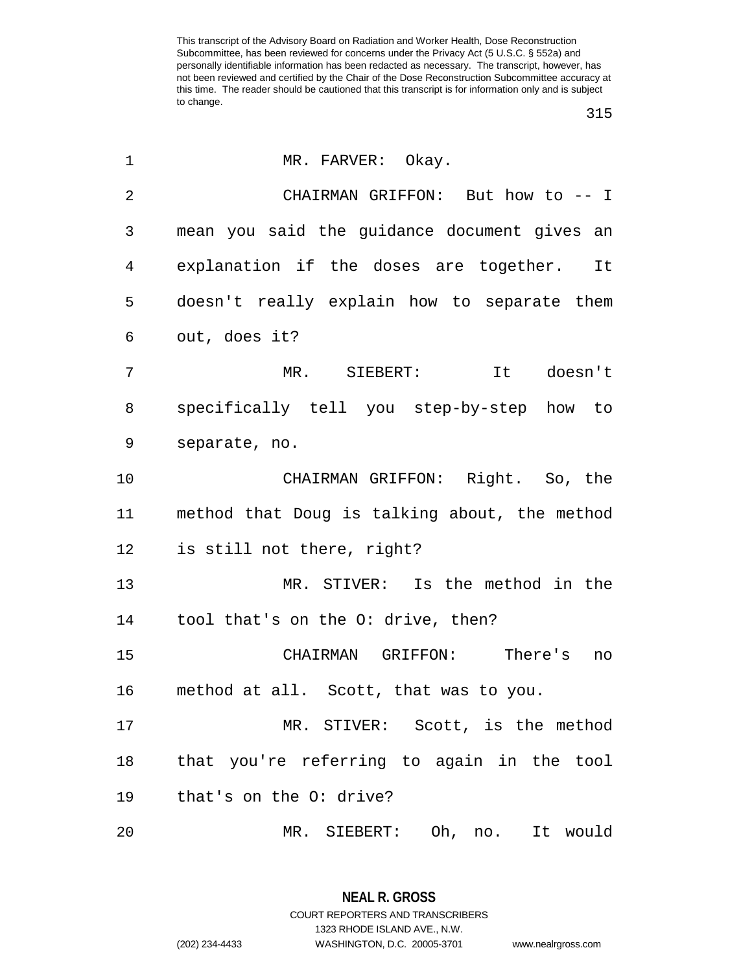| $\mathbf 1$    | MR. FARVER: Okay.                             |
|----------------|-----------------------------------------------|
| $\overline{2}$ | CHAIRMAN GRIFFON: But how to -- I             |
| 3              | mean you said the guidance document gives an  |
| 4              | explanation if the doses are together. It     |
| 5              | doesn't really explain how to separate them   |
| 6              | out, does it?                                 |
| 7              | MR. SIEBERT:<br>It doesn't                    |
| 8              | specifically tell you step-by-step how to     |
| 9              | separate, no.                                 |
| 10             | CHAIRMAN GRIFFON: Right. So, the              |
| 11             | method that Doug is talking about, the method |
| 12             | is still not there, right?                    |
| 13             | MR. STIVER: Is the method in the              |
| 14             | tool that's on the O: drive, then?            |
| 15             | CHAIRMAN GRIFFON: There's<br>no               |
| 16             | method at all. Scott, that was to you.        |
| 17             | MR. STIVER: Scott, is the method              |
| 18             | that you're referring to again in the tool    |
| 19             | that's on the O: drive?                       |
| 20             | MR. SIEBERT: Oh, no.<br>It would              |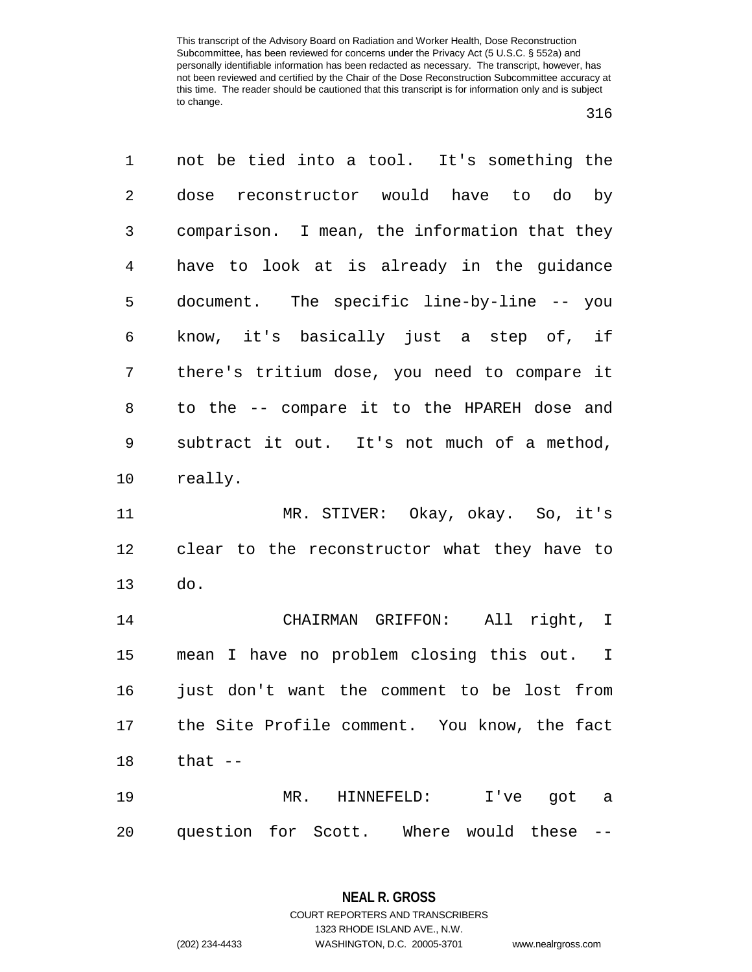| 1              | not be tied into a tool. It's something the   |
|----------------|-----------------------------------------------|
| $\overline{2}$ | dose reconstructor would have to do by        |
| 3              | comparison. I mean, the information that they |
| $\overline{4}$ | have to look at is already in the guidance    |
| 5              | document. The specific line-by-line -- you    |
| 6              | know, it's basically just a step of, if       |
| 7              | there's tritium dose, you need to compare it  |
| 8              | to the -- compare it to the HPAREH dose and   |
| 9              | subtract it out. It's not much of a method,   |
| 10             | really.                                       |
| 11             | MR. STIVER: Okay, okay. So, it's              |
| 12             | clear to the reconstructor what they have to  |
| 13             | do.                                           |
| 14             | CHAIRMAN GRIFFON: All right, I                |
| 15             | mean I have no problem closing this out. I    |
| 16             | just don't want the comment to be lost from   |
| 17             | the Site Profile comment. You know, the fact  |
| 18             | that --                                       |
| 19             | MR. HINNEFELD: I've got a                     |
| 20             |                                               |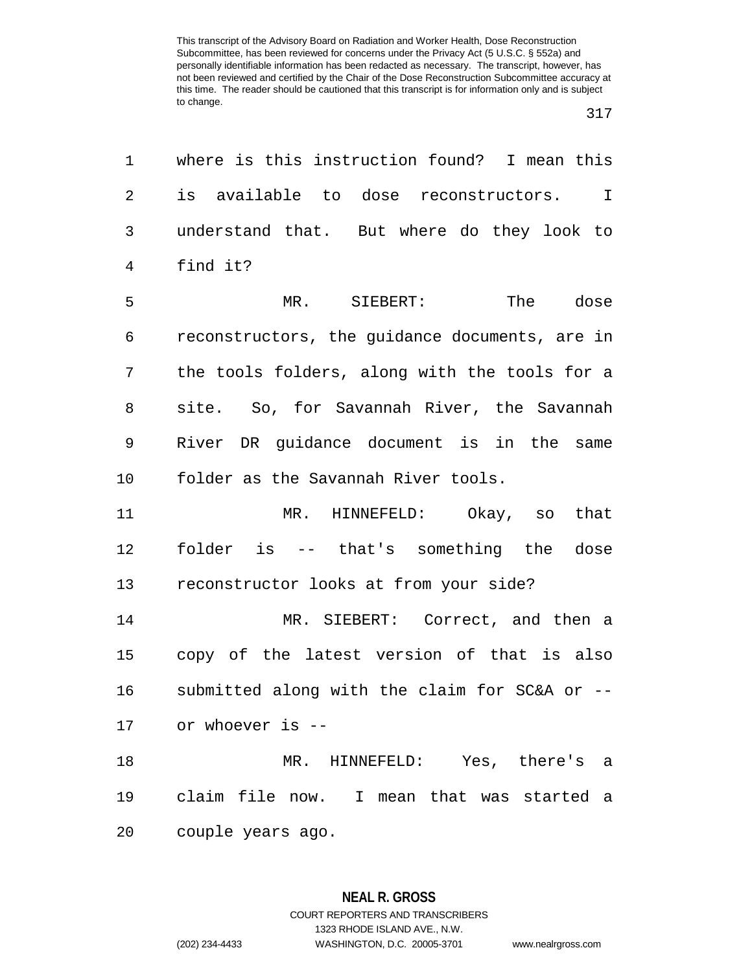| 1              | where is this instruction found? I mean this   |
|----------------|------------------------------------------------|
| 2              | is available to dose reconstructors. I         |
| 3              | understand that. But where do they look to     |
| $\overline{4}$ | find it?                                       |
| 5              | The dose<br>MR.<br>SIEBERT:                    |
| 6              | reconstructors, the guidance documents, are in |
| 7              | the tools folders, along with the tools for a  |
| 8              | site. So, for Savannah River, the Savannah     |
| 9              | River DR guidance document is in the same      |
| 10             | folder as the Savannah River tools.            |
| 11             | MR. HINNEFELD: Okay, so that                   |
| 12             | folder is -- that's something the dose         |
| 13             | reconstructor looks at from your side?         |
| 14             | MR. SIEBERT: Correct, and then a               |
| 15             | copy of the latest version of that is also     |
| 16             | submitted along with the claim for SC&A or --  |
|                | 17 or whoever is --                            |
| 18             | MR. HINNEFELD: Yes, there's a                  |
| 19             | claim file now. I mean that was started a      |
| 20             | couple years ago.                              |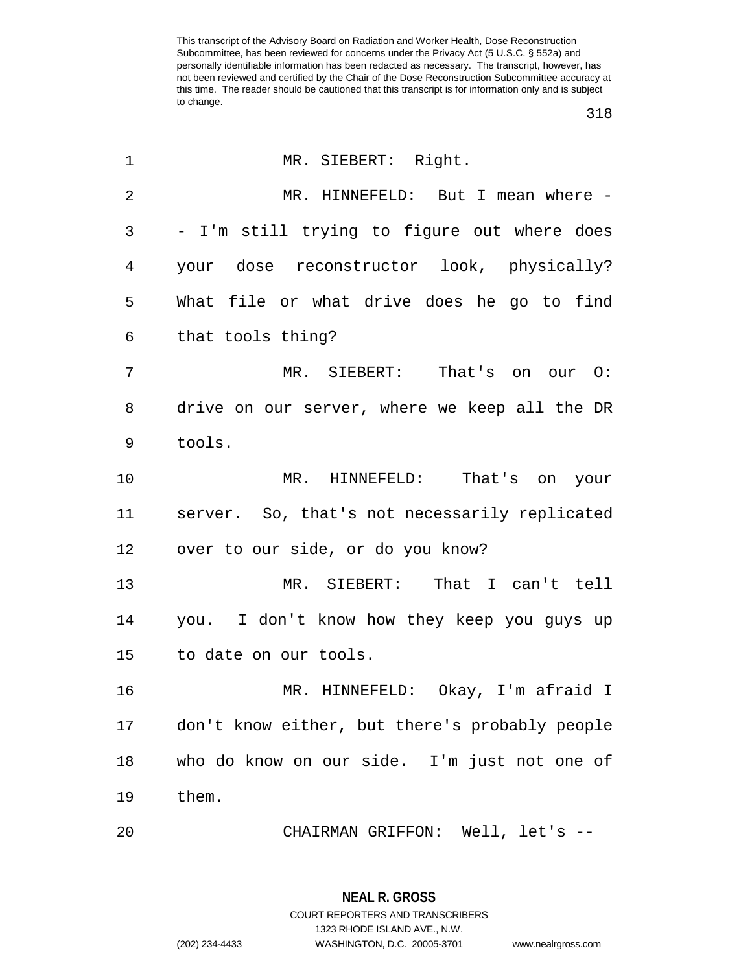| 1              | MR. SIEBERT: Right.                            |
|----------------|------------------------------------------------|
| $\overline{2}$ | MR. HINNEFELD: But I mean where -              |
| 3              | - I'm still trying to figure out where does    |
| 4              | your dose reconstructor look, physically?      |
| 5              | What file or what drive does he go to find     |
| 6              | that tools thing?                              |
| 7              | MR. SIEBERT: That's on our O:                  |
| 8              | drive on our server, where we keep all the DR  |
| 9              | tools.                                         |
| 10             | MR. HINNEFELD: That's on your                  |
| 11             | server. So, that's not necessarily replicated  |
| 12             | over to our side, or do you know?              |
| 13             | MR. SIEBERT: That I can't tell                 |
| 14             | you. I don't know how they keep you guys up    |
| 15             | to date on our tools.                          |
| 16             | MR. HINNEFELD: Okay, I'm afraid I              |
| 17             | don't know either, but there's probably people |
| 18             | who do know on our side. I'm just not one of   |
| 19             | them.                                          |
| 20             | CHAIRMAN GRIFFON: Well, let's --               |

**NEAL R. GROSS** COURT REPORTERS AND TRANSCRIBERS 1323 RHODE ISLAND AVE., N.W.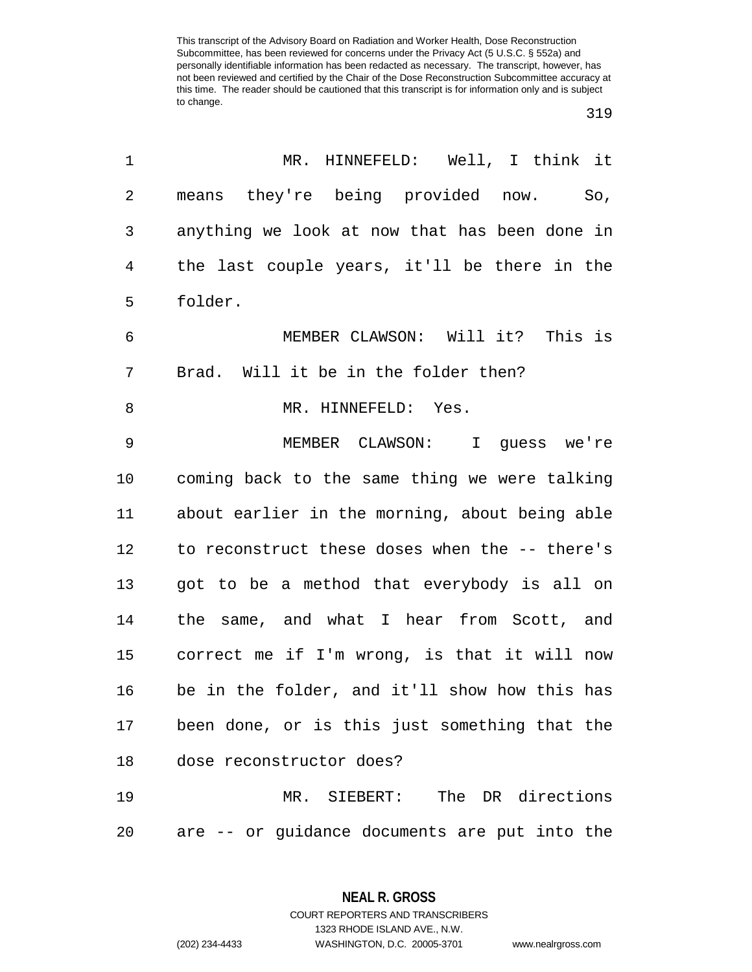## 

| 1              | MR. HINNEFELD: Well, I think it                |
|----------------|------------------------------------------------|
| $\overline{2}$ | means they're being provided now.<br>So,       |
| 3              | anything we look at now that has been done in  |
| 4              | the last couple years, it'll be there in the   |
| 5              | folder.                                        |
| 6              | MEMBER CLAWSON: Will it? This is               |
| 7              | Brad. Will it be in the folder then?           |
| 8              | MR. HINNEFELD: Yes.                            |
| $\mathsf 9$    | MEMBER CLAWSON: I guess we're                  |
| 10             | coming back to the same thing we were talking  |
| 11             | about earlier in the morning, about being able |
| 12             | to reconstruct these doses when the -- there's |
| 13             | got to be a method that everybody is all on    |
| 14             | the same, and what I hear from Scott, and      |
| 15             | correct me if I'm wrong, is that it will now   |
| 16             | be in the folder, and it'll show how this has  |
| 17             | been done, or is this just something that the  |
| 18             | dose reconstructor does?                       |
| 19             | MR. SIEBERT: The DR directions                 |
| 20             | are -- or guidance documents are put into the  |

**NEAL R. GROSS** COURT REPORTERS AND TRANSCRIBERS

1323 RHODE ISLAND AVE., N.W.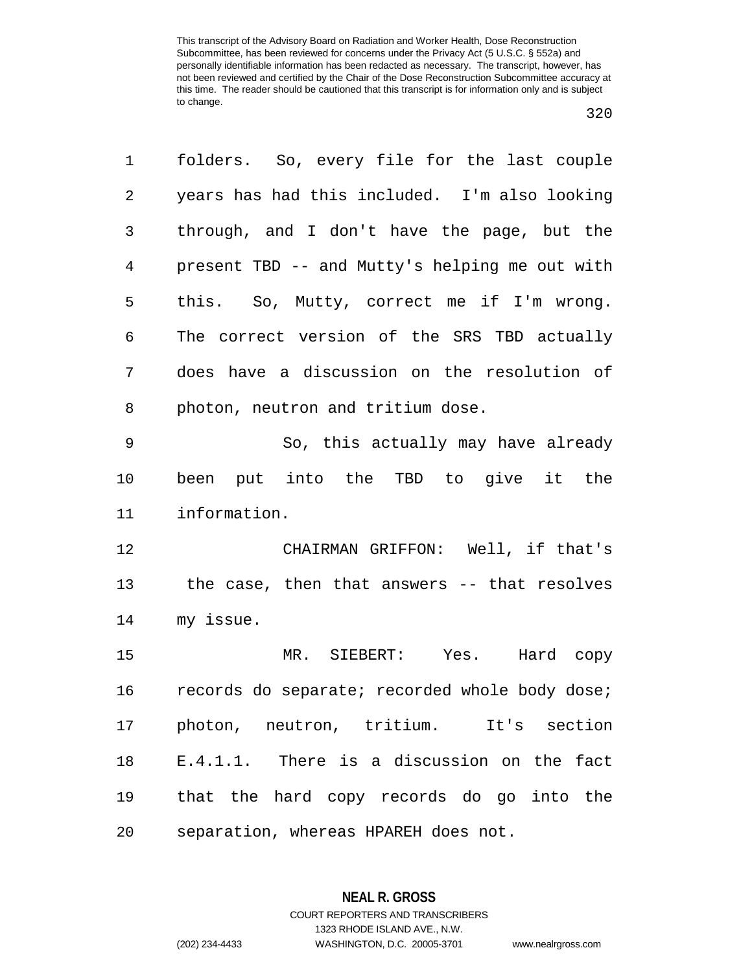| 1              | folders.  So, every file for the last couple   |
|----------------|------------------------------------------------|
| 2              | years has had this included. I'm also looking  |
| 3              | through, and I don't have the page, but the    |
| $\overline{4}$ | present TBD -- and Mutty's helping me out with |
| 5              | this. So, Mutty, correct me if I'm wrong.      |
| 6              | The correct version of the SRS TBD actually    |
| 7              | does have a discussion on the resolution of    |
| 8              | photon, neutron and tritium dose.              |
| $\mathsf 9$    | So, this actually may have already             |
| 10             | been put into the TBD to give it the           |
| 11             | information.                                   |
| 12             | CHAIRMAN GRIFFON: Well, if that's              |
| 13             | the case, then that answers -- that resolves   |
| 14             | my issue.                                      |
| 15             | MR. SIEBERT: Yes. Hard copy                    |
| 16             | records do separate; recorded whole body dose; |
| 17             | photon, neutron, tritium. It's section         |
| 18             | E.4.1.1. There is a discussion on the fact     |
| 19             | that the hard copy records do go into the      |
| 20             | separation, whereas HPAREH does not.           |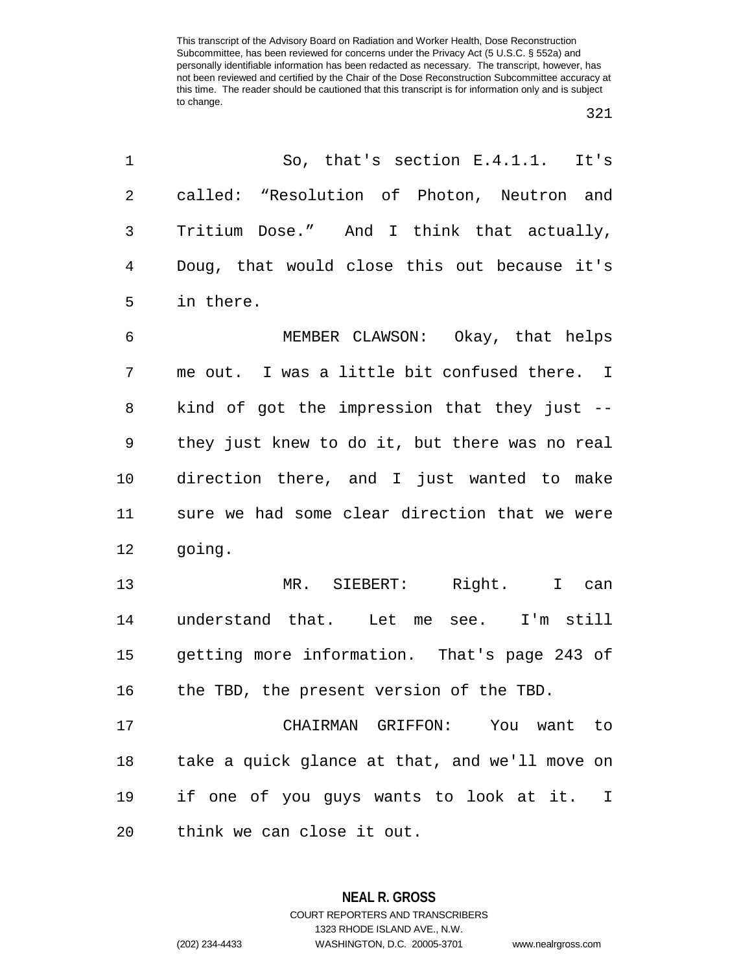| 1              | So, that's section $E.4.1.1.$ It's             |
|----------------|------------------------------------------------|
| $\overline{2}$ | called: "Resolution of Photon, Neutron and     |
| 3              | Tritium Dose." And I think that actually,      |
| $\overline{4}$ | Doug, that would close this out because it's   |
| 5              | in there.                                      |
| $\epsilon$     | MEMBER CLAWSON: Okay, that helps               |
| 7              | me out. I was a little bit confused there. I   |
| 8              | kind of got the impression that they just --   |
| 9              | they just knew to do it, but there was no real |
| 10             | direction there, and I just wanted to make     |
| 11             | sure we had some clear direction that we were  |
| 12             | going.                                         |
| 13             | MR. SIEBERT: Right. I can                      |
| 14             | understand that. Let me see. I'm still         |
| 15             | getting more information. That's page 243 of   |
| 16             | the TBD, the present version of the TBD.       |
| 17             | CHAIRMAN GRIFFON: You want to                  |
| 18             | take a quick glance at that, and we'll move on |
| 19             | if one of you guys wants to look at it. I      |
| 20             | think we can close it out.                     |

**NEAL R. GROSS** COURT REPORTERS AND TRANSCRIBERS 1323 RHODE ISLAND AVE., N.W.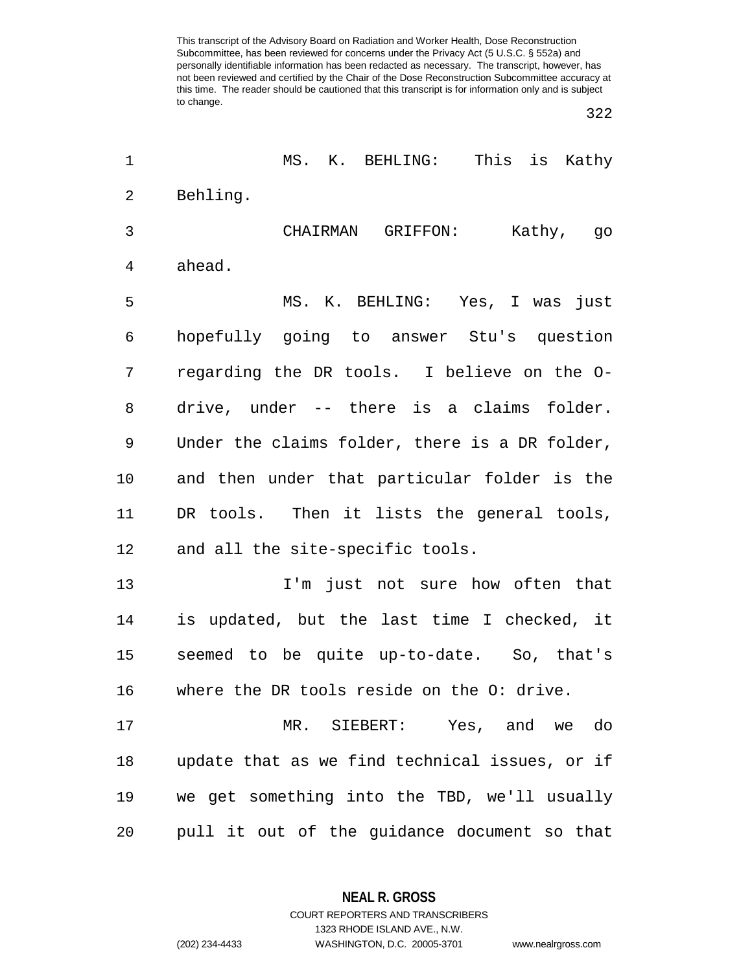| 1  | MS. K. BEHLING: This is Kathy                  |
|----|------------------------------------------------|
| 2  | Behling.                                       |
| 3  | CHAIRMAN GRIFFON:<br>Kathy, go                 |
| 4  | ahead.                                         |
| 5  | MS. K. BEHLING: Yes, I was just                |
| 6  | hopefully going to answer Stu's question       |
| 7  | regarding the DR tools. I believe on the O-    |
| 8  | drive, under -- there is a claims folder.      |
| 9  | Under the claims folder, there is a DR folder, |
| 10 | and then under that particular folder is the   |
| 11 | DR tools. Then it lists the general tools,     |
| 12 | and all the site-specific tools.               |
| 13 | I'm just not sure how often that               |
| 14 | is updated, but the last time I checked, it    |
| 15 | seemed to be quite up-to-date. So, that's      |
| 16 | where the DR tools reside on the O: drive.     |
| 17 | MR. SIEBERT: Yes, and we do                    |
| 18 | update that as we find technical issues, or if |
| 19 | we get something into the TBD, we'll usually   |
| 20 | pull it out of the guidance document so that   |

**NEAL R. GROSS**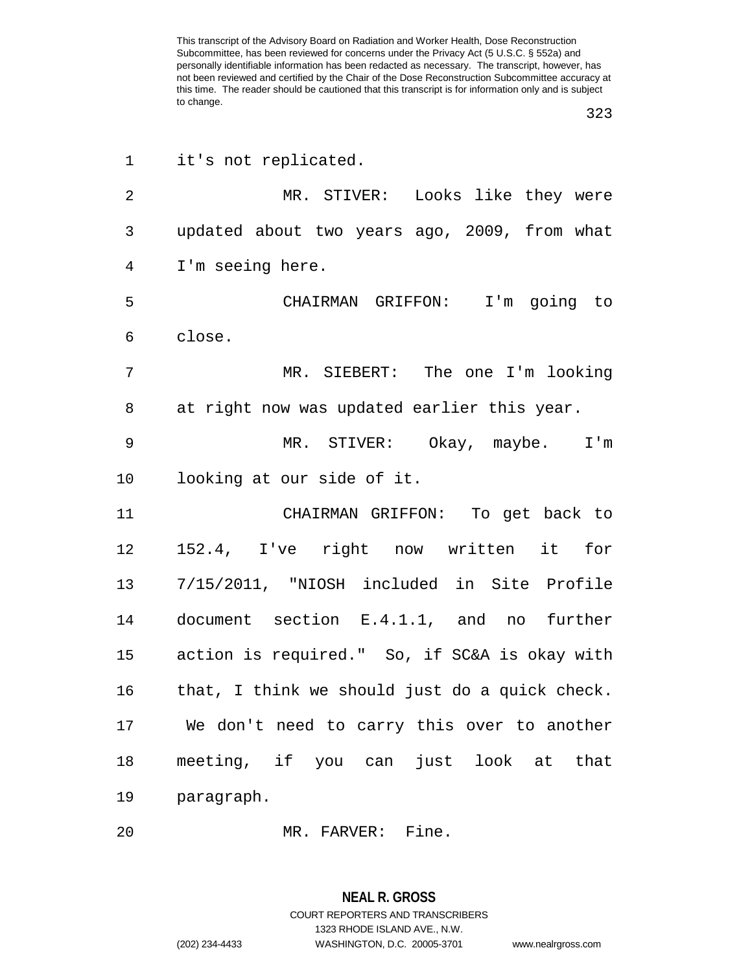| $\mathbf 1$    | it's not replicated.                           |
|----------------|------------------------------------------------|
| $\overline{2}$ | MR. STIVER: Looks like they were               |
| 3              | updated about two years ago, 2009, from what   |
| $\overline{4}$ | I'm seeing here.                               |
| 5              | CHAIRMAN GRIFFON: I'm going to                 |
| 6              | close.                                         |
| 7              | MR. SIEBERT: The one I'm looking               |
| 8              | at right now was updated earlier this year.    |
| 9              | MR. STIVER: Okay, maybe. I'm                   |
| 10             | looking at our side of it.                     |
| 11             | CHAIRMAN GRIFFON: To get back to               |
| 12             | 152.4, I've right now written it for           |
| 13             | 7/15/2011, "NIOSH included in Site Profile     |
| 14             | document section E.4.1.1, and no further       |
| 15             | action is required." So, if SC&A is okay with  |
| 16             | that, I think we should just do a quick check. |
| 17             | We don't need to carry this over to another    |
| 18             | meeting, if you can just look at that          |
| 19             | paragraph.                                     |
|                |                                                |

MR. FARVER: Fine.

## **NEAL R. GROSS** COURT REPORTERS AND TRANSCRIBERS

1323 RHODE ISLAND AVE., N.W.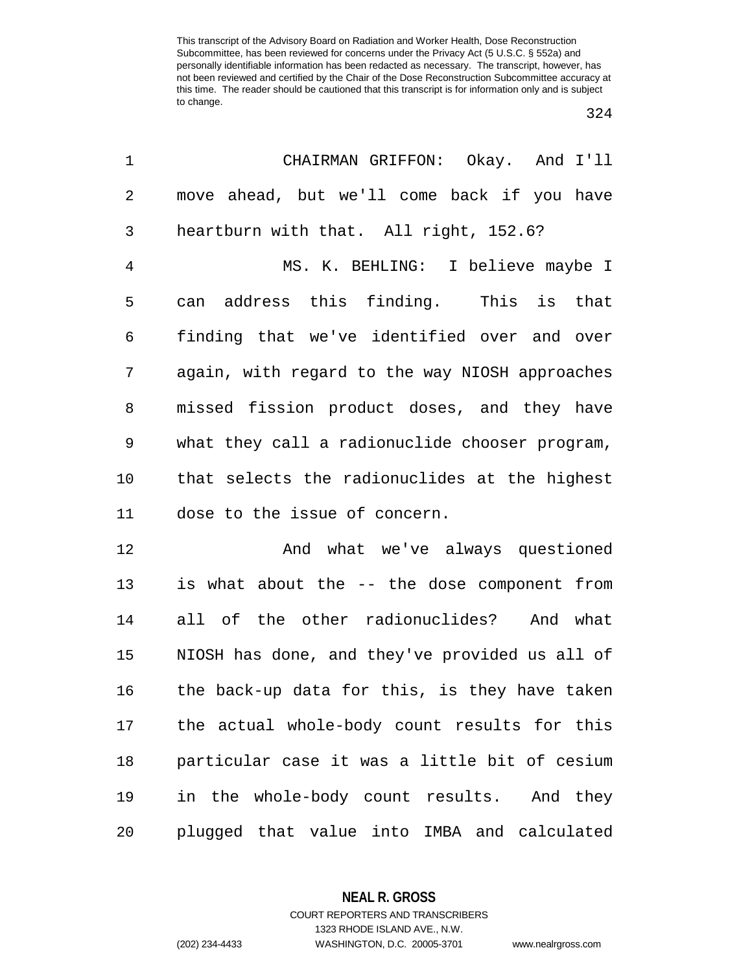| $\mathbf 1$    | CHAIRMAN GRIFFON: Okay. And I'll               |
|----------------|------------------------------------------------|
| $\overline{2}$ | move ahead, but we'll come back if you have    |
| 3              | heartburn with that. All right, 152.6?         |
| $\overline{4}$ | MS. K. BEHLING: I believe maybe I              |
| 5              | address this finding. This is that<br>can      |
| $\epsilon$     | finding that we've identified over and over    |
| 7              | again, with regard to the way NIOSH approaches |
| 8              | missed fission product doses, and they have    |
| $\mathsf 9$    | what they call a radionuclide chooser program, |
| 10             | that selects the radionuclides at the highest  |
| 11             | dose to the issue of concern.                  |
| 12             | And what we've always questioned               |
| 13             | is what about the -- the dose component from   |
| 14             | all of the other radionuclides? And what       |
| 15             | NIOSH has done, and they've provided us all of |
| 16             | the back-up data for this, is they have taken  |
| 17             | the actual whole-body count results for this   |
|                |                                                |

 particular case it was a little bit of cesium in the whole-body count results. And they plugged that value into IMBA and calculated

**NEAL R. GROSS**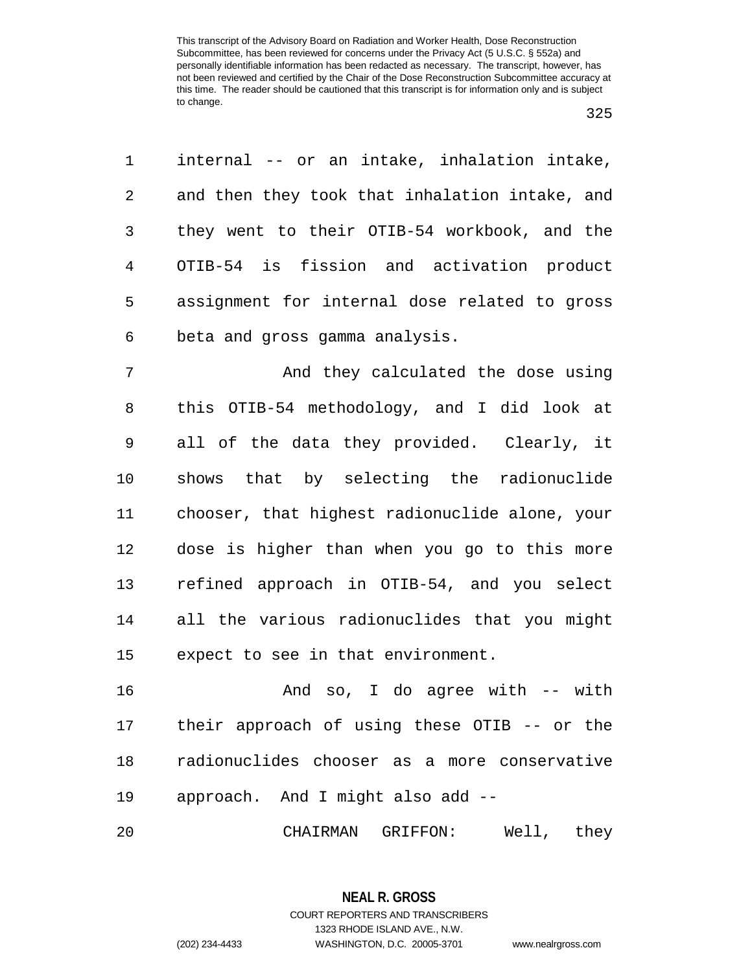| 1              | internal -- or an intake, inhalation intake,   |
|----------------|------------------------------------------------|
| $\overline{a}$ | and then they took that inhalation intake, and |
| 3 <sup>7</sup> | they went to their OTIB-54 workbook, and the   |
| 4              | OTIB-54 is fission and activation product      |
| 5              | assignment for internal dose related to gross  |
| 6              | beta and gross gamma analysis.                 |

7 And they calculated the dose using this OTIB-54 methodology, and I did look at all of the data they provided. Clearly, it shows that by selecting the radionuclide chooser, that highest radionuclide alone, your dose is higher than when you go to this more refined approach in OTIB-54, and you select all the various radionuclides that you might expect to see in that environment.

 And so, I do agree with -- with their approach of using these OTIB -- or the radionuclides chooser as a more conservative approach. And I might also add --

CHAIRMAN GRIFFON: Well, they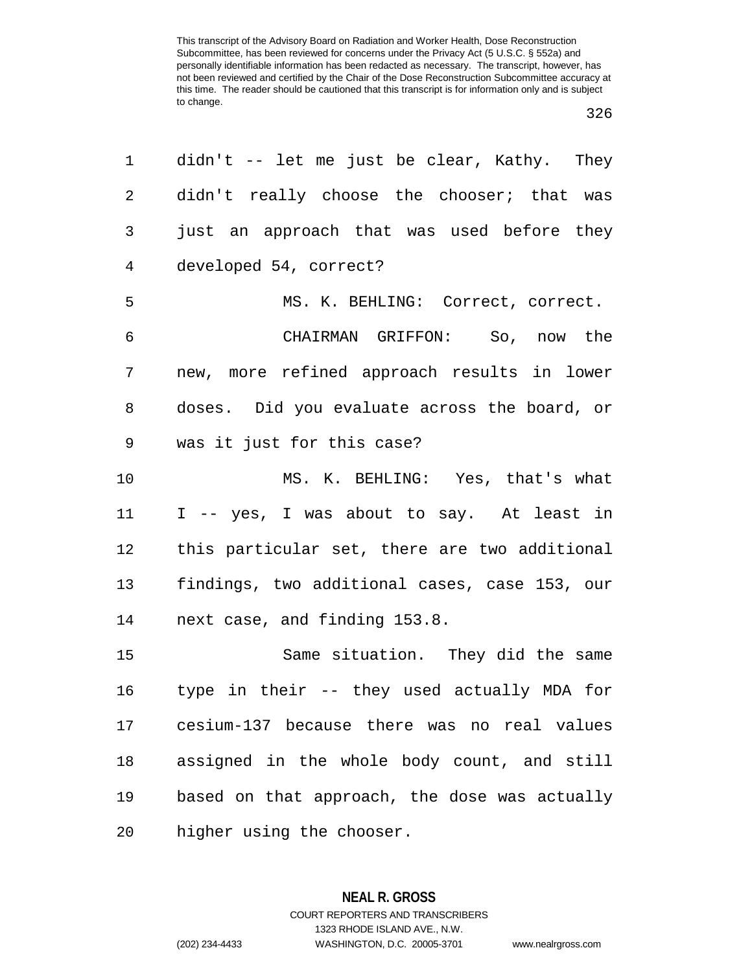| 1              | $\text{diam}$ 't -- let me just be clear, Kathy. They |
|----------------|-------------------------------------------------------|
| $\overline{a}$ | didn't really choose the chooser; that was            |
| 3              | just an approach that was used before they            |
| $\overline{4}$ | developed 54, correct?                                |
| 5              | MS. K. BEHLING: Correct, correct.                     |
| 6              | CHAIRMAN GRIFFON: So, now the                         |
| 7              | new, more refined approach results in lower           |
| 8              | doses. Did you evaluate across the board, or          |
| 9              | was it just for this case?                            |
| 10             | MS. K. BEHLING: Yes, that's what                      |
| 11             | I -- yes, I was about to say. At least in             |
| 12             | this particular set, there are two additional         |
| 13             | findings, two additional cases, case 153, our         |
| 14             | next case, and finding 153.8.                         |
| 15             | Same situation. They did the same                     |
| 16             | type in their -- they used actually MDA for           |
| 17             | cesium-137 because there was no real values           |
| 18             | assigned in the whole body count, and still           |
| 19             | based on that approach, the dose was actually         |
| 20             | higher using the chooser.                             |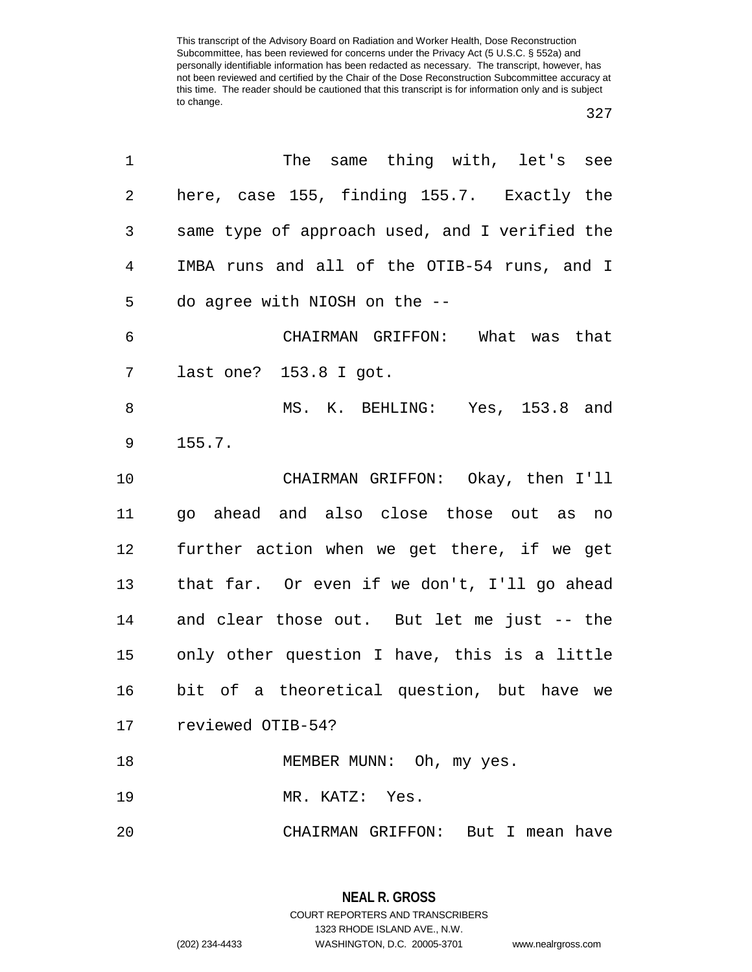| 1  | The same thing with, let's see                  |
|----|-------------------------------------------------|
| 2  | here, case 155, finding 155.7. Exactly the      |
| 3  | same type of approach used, and I verified the  |
| 4  | IMBA runs and all of the OTIB-54 runs, and I    |
| 5  | do agree with NIOSH on the --                   |
| 6  | CHAIRMAN GRIFFON: What was that                 |
| 7  | last one? 153.8 I got.                          |
| 8  | MS. K. BEHLING: Yes, 153.8 and                  |
| 9  | 155.7.                                          |
| 10 | CHAIRMAN GRIFFON: Okay, then I'll               |
| 11 | go ahead and also close those out as no         |
| 12 | further action when we get there, if we get     |
| 13 | that far. Or even if we don't, I'll go ahead    |
| 14 | and clear those out. But let me just -- the     |
|    | 15 only other question I have, this is a little |
| 16 | bit of a theoretical question, but have we      |
|    | 17 reviewed OTIB-54?                            |
| 18 | MEMBER MUNN: Oh, my yes.                        |
| 19 | MR. KATZ: Yes.                                  |
| 20 | CHAIRMAN GRIFFON: But I mean have               |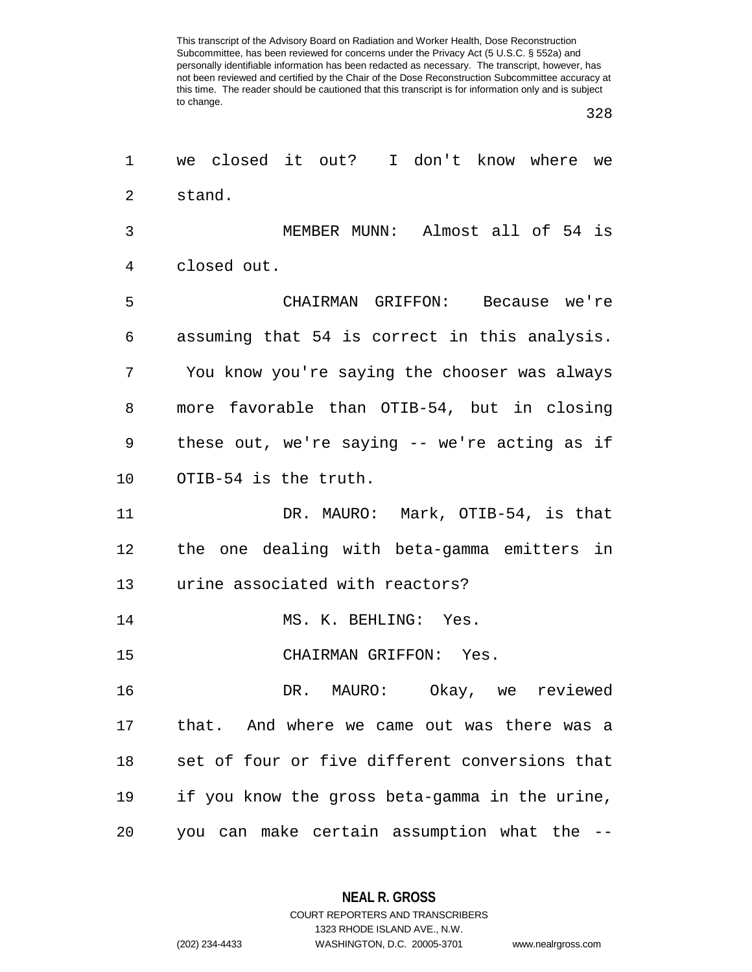| 1              | we closed it out? I don't know where we        |
|----------------|------------------------------------------------|
| $\overline{2}$ | stand.                                         |
| 3              | MEMBER MUNN: Almost all of 54 is               |
| 4              | closed out.                                    |
| 5              | CHAIRMAN GRIFFON: Because we're                |
| 6              | assuming that 54 is correct in this analysis.  |
| 7              | You know you're saying the chooser was always  |
| 8              | more favorable than OTIB-54, but in closing    |
| 9              | these out, we're saying -- we're acting as if  |
| 10             | OTIB-54 is the truth.                          |
| 11             | DR. MAURO: Mark, OTIB-54, is that              |
| 12             | the one dealing with beta-gamma emitters in    |
| 13             | urine associated with reactors?                |
| 14             | MS. K. BEHLING: Yes.                           |
| 15             | CHAIRMAN GRIFFON: Yes.                         |
| 16             | DR. MAURO: Okay, we reviewed                   |
| 17             | that. And where we came out was there was a    |
| 18             | set of four or five different conversions that |
| 19             | if you know the gross beta-gamma in the urine, |
| 20             | you can make certain assumption what the --    |

**NEAL R. GROSS** COURT REPORTERS AND TRANSCRIBERS

1323 RHODE ISLAND AVE., N.W.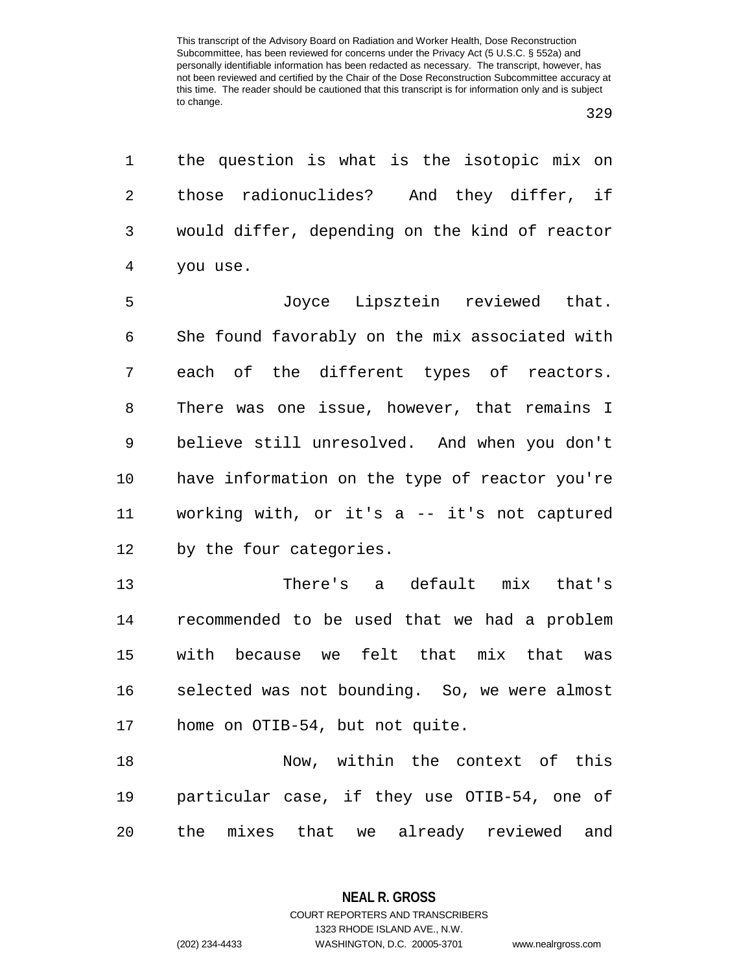the question is what is the isotopic mix on those radionuclides? And they differ, if would differ, depending on the kind of reactor you use.

 Joyce Lipsztein reviewed that. She found favorably on the mix associated with each of the different types of reactors. There was one issue, however, that remains I believe still unresolved. And when you don't have information on the type of reactor you're working with, or it's a -- it's not captured by the four categories.

 There's a default mix that's recommended to be used that we had a problem with because we felt that mix that was selected was not bounding. So, we were almost home on OTIB-54, but not quite.

 Now, within the context of this particular case, if they use OTIB-54, one of the mixes that we already reviewed and

1323 RHODE ISLAND AVE., N.W.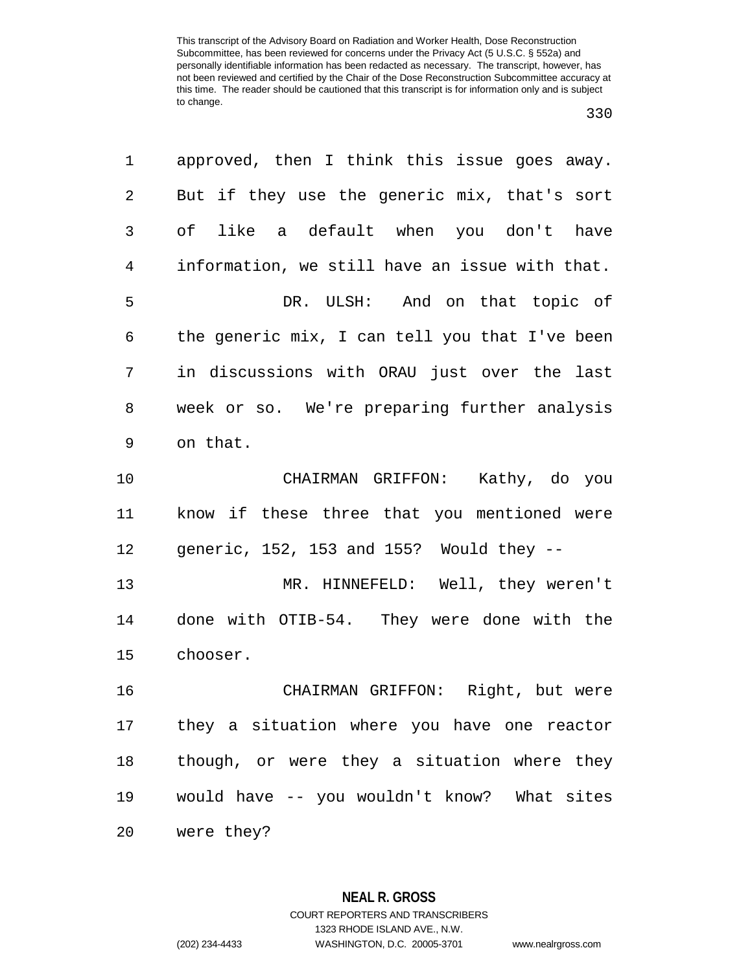| 1              | approved, then I think this issue goes away.      |
|----------------|---------------------------------------------------|
| $\overline{c}$ | But if they use the generic mix, that's sort      |
| 3              | of like a default when you don't have             |
| 4              | information, we still have an issue with that.    |
| 5              | DR. ULSH: And on that topic of                    |
| 6              | the generic mix, I can tell you that I've been    |
| 7              | in discussions with ORAU just over the last       |
| 8              | week or so. We're preparing further analysis      |
| 9              | on that.                                          |
| 10             | CHAIRMAN GRIFFON: Kathy, do you                   |
| 11             | know if these three that you mentioned were       |
| 12             | generic, $152$ , $153$ and $155$ ? Would they $-$ |
| 13             | MR. HINNEFELD: Well, they weren't                 |
| 14             | done with OTIB-54. They were done with the        |
| 15             | chooser.                                          |
| 16             | CHAIRMAN GRIFFON: Right, but were                 |
| 17             | they a situation where you have one reactor       |
| 18             | though, or were they a situation where they       |
| 19             | would have -- you wouldn't know? What sites       |
| 20             | were they?                                        |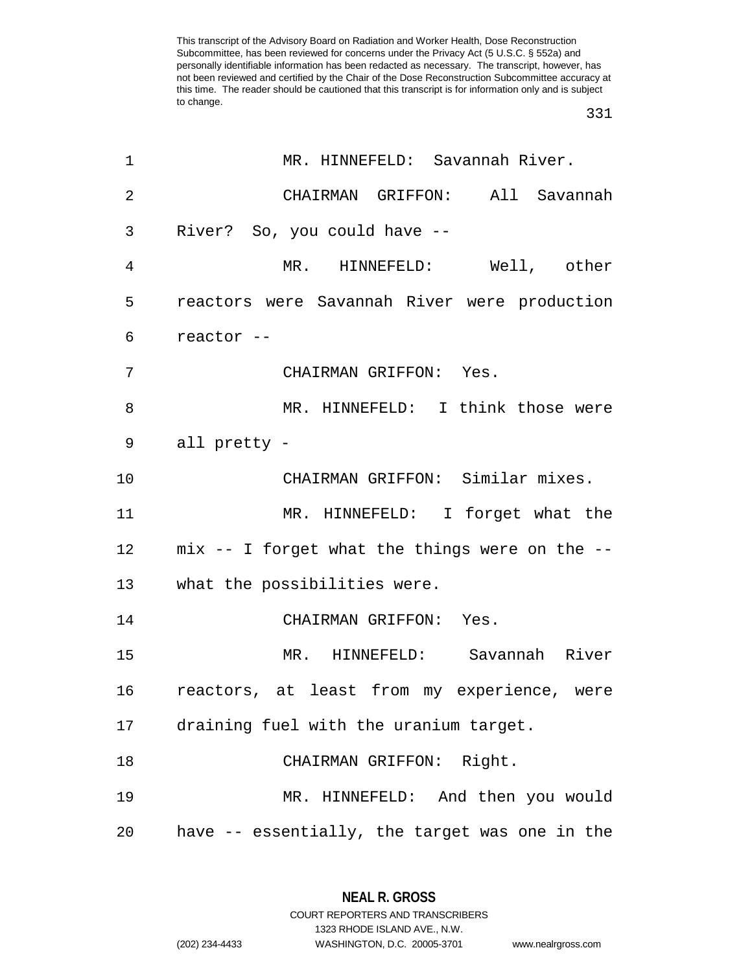| 1              | MR. HINNEFELD: Savannah River.                    |
|----------------|---------------------------------------------------|
| $\overline{2}$ | CHAIRMAN GRIFFON: All Savannah                    |
| 3              | River? So, you could have --                      |
| 4              | MR. HINNEFELD: Well, other                        |
| 5              | reactors were Savannah River were production      |
| 6              | reactor --                                        |
| 7              | CHAIRMAN GRIFFON: Yes.                            |
| 8              | MR. HINNEFELD: I think those were                 |
| 9              | all pretty -                                      |
| 10             | CHAIRMAN GRIFFON: Similar mixes.                  |
| 11             | MR. HINNEFELD: I forget what the                  |
|                | 12 mix -- I forget what the things were on the -- |
| 13             | what the possibilities were.                      |
| 14             | CHAIRMAN GRIFFON: Yes.                            |
| 15             | MR. HINNEFELD: Savannah River                     |
| 16             | reactors, at least from my experience, were       |
| 17             | draining fuel with the uranium target.            |
| 18             | CHAIRMAN GRIFFON: Right.                          |
| 19             | MR. HINNEFELD: And then you would                 |
| 20             | have -- essentially, the target was one in the    |

**NEAL R. GROSS** COURT REPORTERS AND TRANSCRIBERS

1323 RHODE ISLAND AVE., N.W.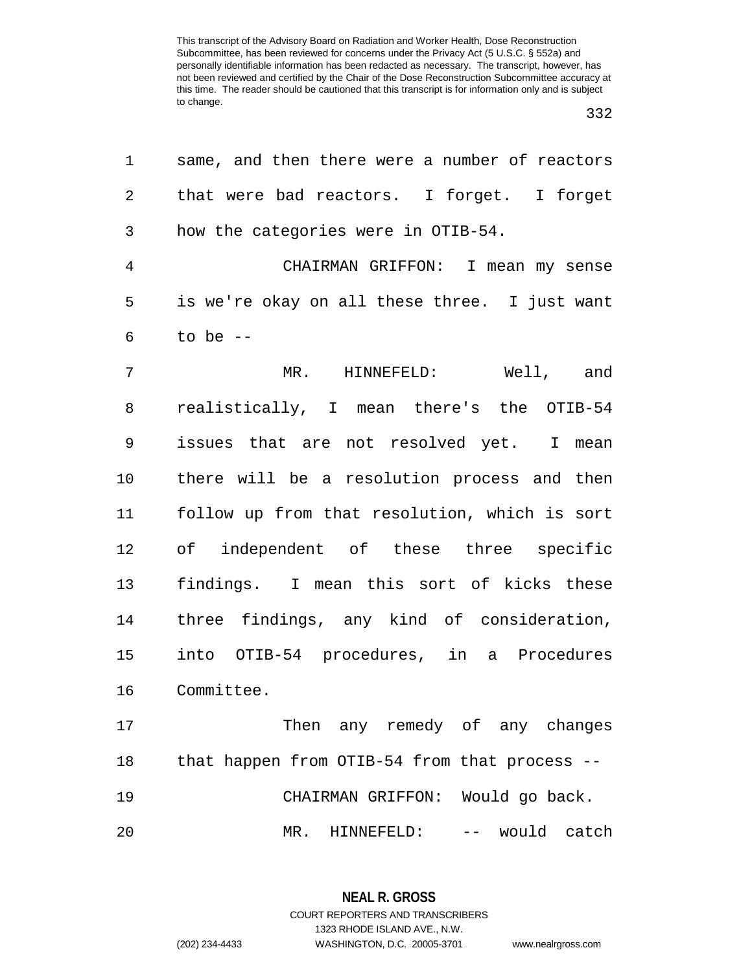| 1  | same, and then there were a number of reactors |
|----|------------------------------------------------|
| 2  | that were bad reactors. I forget. I forget     |
| 3  | how the categories were in OTIB-54.            |
| 4  | CHAIRMAN GRIFFON: I mean my sense              |
| 5  | is we're okay on all these three. I just want  |
| 6  | to be $-$                                      |
| 7  | MR. HINNEFELD: Well, and                       |
| 8  | realistically, I mean there's the OTIB-54      |
| 9  | issues that are not resolved yet. I mean       |
| 10 | there will be a resolution process and then    |
| 11 | follow up from that resolution, which is sort  |
| 12 | of independent of these three specific         |
| 13 | findings. I mean this sort of kicks these      |
| 14 | three findings, any kind of consideration,     |
| 15 | into OTIB-54 procedures, in a Procedures       |
| 16 | Committee.                                     |
| 17 | Then any remedy of any changes                 |
| 18 | that happen from OTIB-54 from that process --  |
| 19 | CHAIRMAN GRIFFON: Would go back.               |
| 20 | MR. HINNEFELD: -- would catch                  |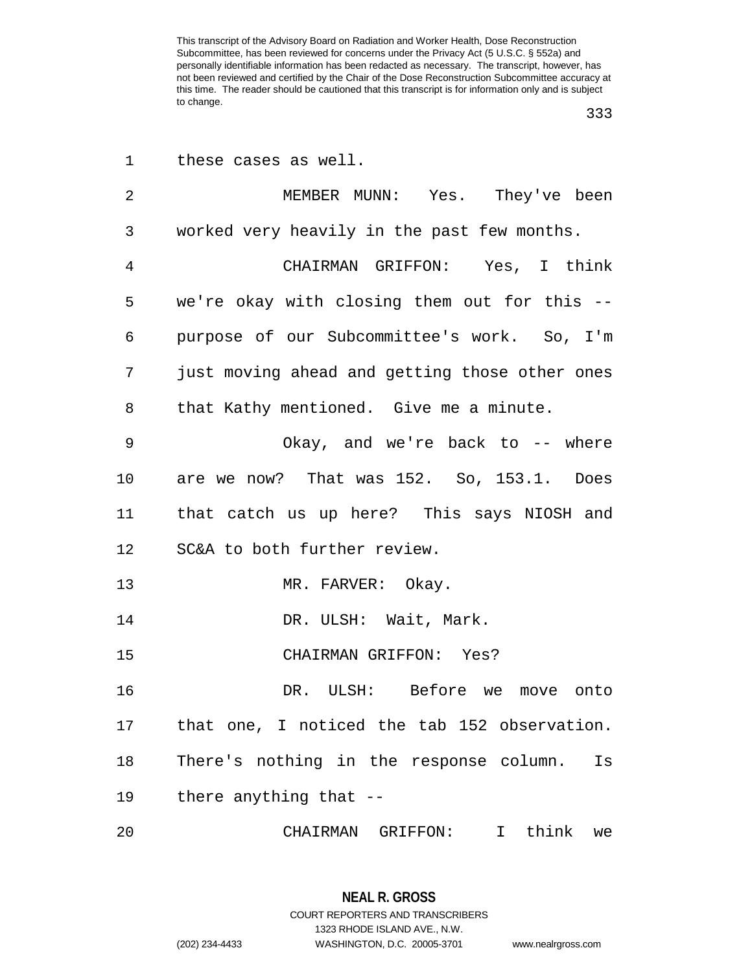| 1  | these cases as well.                           |
|----|------------------------------------------------|
| 2  | MEMBER MUNN: Yes. They've been                 |
| 3  | worked very heavily in the past few months.    |
| 4  | CHAIRMAN GRIFFON: Yes, I think                 |
| 5  | we're okay with closing them out for this --   |
| 6  | purpose of our Subcommittee's work. So, I'm    |
| 7  | just moving ahead and getting those other ones |
| 8  | that Kathy mentioned. Give me a minute.        |
| 9  | Okay, and we're back to -- where               |
| 10 | are we now? That was 152. So, 153.1. Does      |
| 11 | that catch us up here? This says NIOSH and     |
| 12 | SC&A to both further review.                   |
| 13 | MR. FARVER: Okay.                              |
| 14 | DR. ULSH: Wait, Mark.                          |
| 15 | CHAIRMAN GRIFFON: Yes?                         |
| 16 | DR. ULSH: Before we move onto                  |
| 17 | that one, I noticed the tab 152 observation.   |
| 18 | There's nothing in the response column.<br>Is  |
| 19 | there anything that --                         |
| 20 | CHAIRMAN GRIFFON: I think we                   |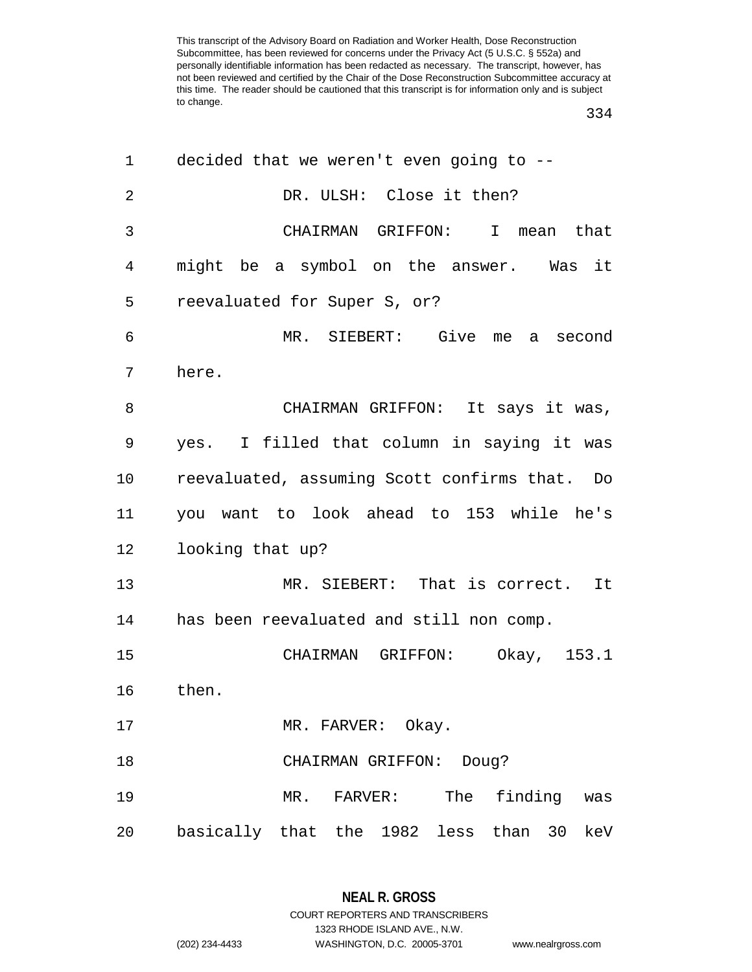| 1  | decided that we weren't even going to --          |
|----|---------------------------------------------------|
| 2  | DR. ULSH: Close it then?                          |
| 3  | CHAIRMAN GRIFFON: I mean that                     |
| 4  | might be a symbol on the answer. Was it           |
| 5  | reevaluated for Super S, or?                      |
| 6  | MR. SIEBERT: Give me a second                     |
| 7  | here.                                             |
| 8  | CHAIRMAN GRIFFON: It says it was,                 |
| 9  | yes. I filled that column in saying it was        |
| 10 | reevaluated, assuming Scott confirms that. Do     |
| 11 | you want to look ahead to 153 while he's          |
| 12 | looking that up?                                  |
| 13 | MR. SIEBERT: That is correct. It                  |
| 14 | has been reevaluated and still non comp.          |
| 15 | CHAIRMAN GRIFFON:<br>Okay, 153.1                  |
| 16 | then.                                             |
| 17 | MR. FARVER: Okay.                                 |
| 18 | CHAIRMAN GRIFFON:<br>Doug?                        |
| 19 | FARVER: The<br>finding<br>MR.<br>was              |
| 20 | basically that the 1982 less<br>than<br>30<br>keV |

**NEAL R. GROSS** COURT REPORTERS AND TRANSCRIBERS 1323 RHODE ISLAND AVE., N.W.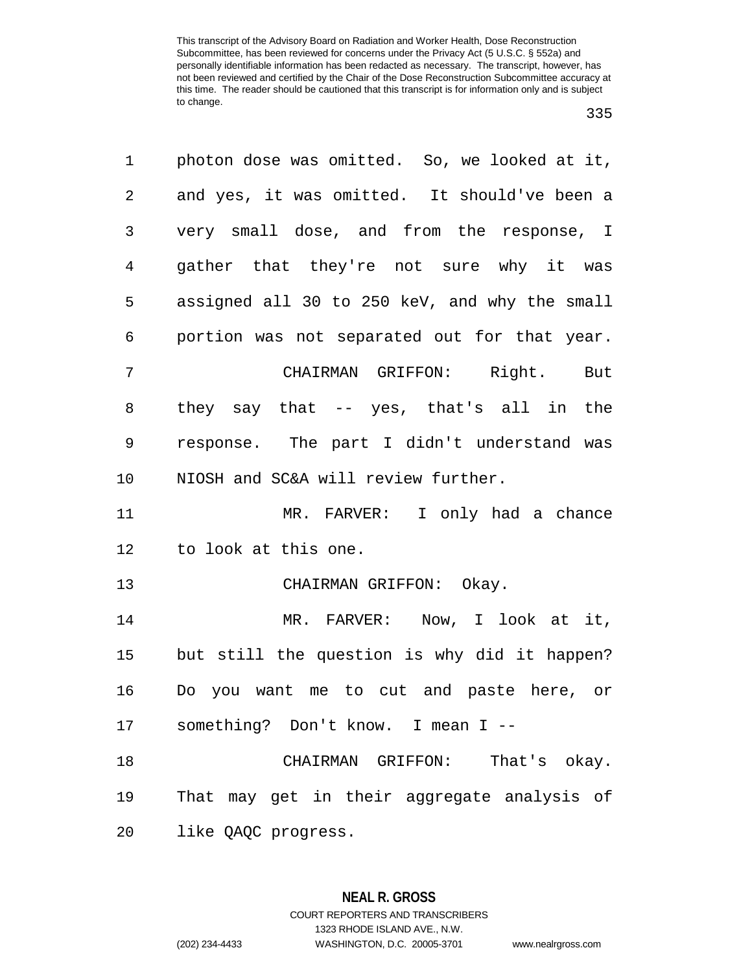| 1              | photon dose was omitted. So, we looked at it, |
|----------------|-----------------------------------------------|
| 2              | and yes, it was omitted. It should've been a  |
| 3              | very small dose, and from the response, I     |
| $\overline{4}$ | gather that they're not sure why it was       |
| 5              | assigned all 30 to 250 keV, and why the small |
| 6              | portion was not separated out for that year.  |
| 7              | CHAIRMAN GRIFFON: Right. But                  |
| 8              | they say that -- yes, that's all in the       |
| 9              | response. The part I didn't understand was    |
| 10             | NIOSH and SC&A will review further.           |
| 11             | MR. FARVER: I only had a chance               |
| 12             | to look at this one.                          |
| 13             | CHAIRMAN GRIFFON: Okay.                       |
| 14             | MR. FARVER: Now, I look at it,                |
| 15             | but still the question is why did it happen?  |
| 16             | Do you want me to cut and paste here, or      |
|                | 17 something? Don't know. I mean I --         |
| 18             | CHAIRMAN GRIFFON: That's okay.                |
| 19             | That may get in their aggregate analysis of   |
| 20             | like QAQC progress.                           |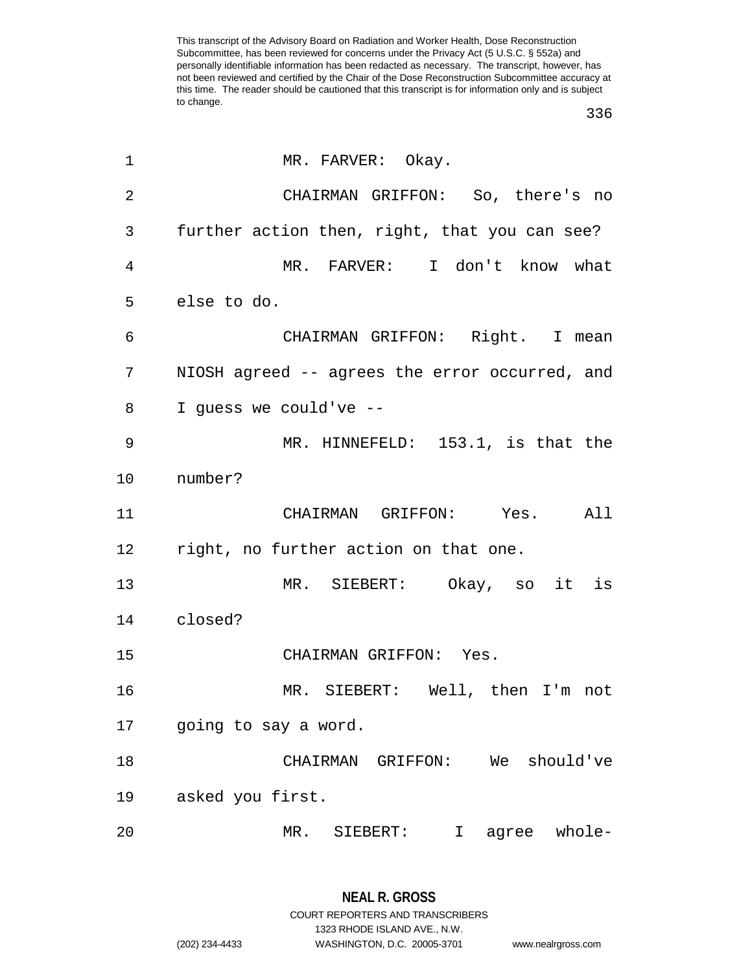| 1              | MR. FARVER: Okay.                              |
|----------------|------------------------------------------------|
| $\overline{2}$ | CHAIRMAN GRIFFON: So, there's no               |
| 3              | further action then, right, that you can see?  |
| 4              | MR. FARVER: I don't know what                  |
| 5              | else to do.                                    |
| 6              | CHAIRMAN GRIFFON: Right. I mean                |
| 7              | NIOSH agreed -- agrees the error occurred, and |
| 8              | I quess we could've --                         |
| 9              | MR. HINNEFELD: 153.1, is that the              |
| 10             | number?                                        |
| 11             | CHAIRMAN GRIFFON: Yes. All                     |
| 12             | right, no further action on that one.          |
| 13             | MR. SIEBERT: Okay, so it is                    |
| 14             | closed?                                        |
| 15             | CHAIRMAN GRIFFON: Yes.                         |
| 16             | MR. SIEBERT: Well, then I'm not                |
| 17             | going to say a word.                           |
| 18             | GRIFFON: We should've<br>CHAIRMAN              |
| 19             | asked you first.                               |
| 20             | MR.<br>whole-<br>SIEBERT:<br>I<br>agree        |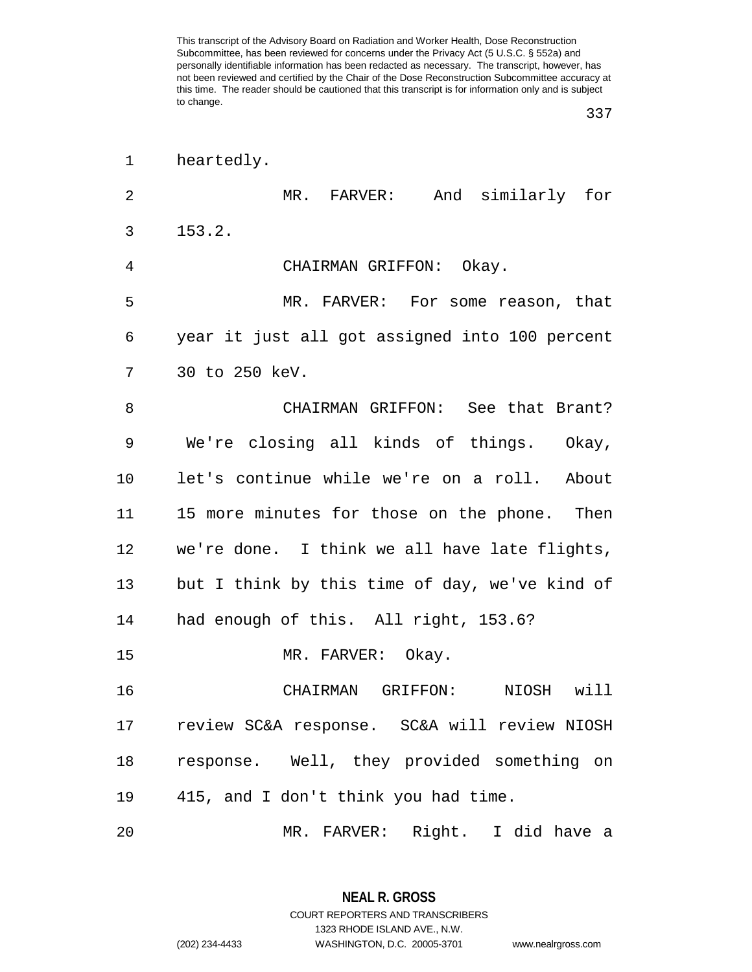| 1  | heartedly.                                     |
|----|------------------------------------------------|
| 2  | MR. FARVER: And similarly for                  |
| 3  | 153.2.                                         |
| 4  | CHAIRMAN GRIFFON: Okay.                        |
| 5  | MR. FARVER: For some reason, that              |
| 6  | year it just all got assigned into 100 percent |
| 7  | 30 to 250 keV.                                 |
| 8  | CHAIRMAN GRIFFON: See that Brant?              |
| 9  | We're closing all kinds of things. Okay,       |
| 10 | let's continue while we're on a roll. About    |
| 11 | 15 more minutes for those on the phone. Then   |
| 12 | we're done. I think we all have late flights,  |
| 13 | but I think by this time of day, we've kind of |
| 14 | had enough of this. All right, 153.6?          |
| 15 | MR. FARVER: Okay.                              |
| 16 | CHAIRMAN GRIFFON:<br>NIOSH<br>will             |
| 17 | review SC&A response. SC&A will review NIOSH   |
| 18 | response. Well, they provided something on     |
| 19 | 415, and I don't think you had time.           |
| 20 | MR. FARVER: Right. I did have a                |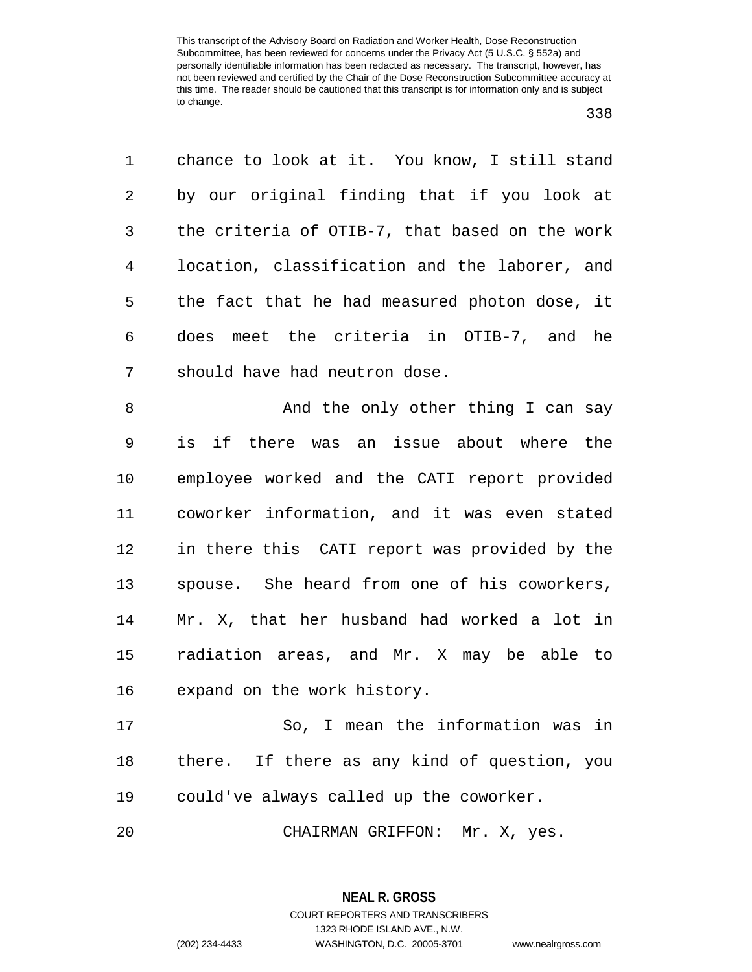chance to look at it. You know, I still stand by our original finding that if you look at the criteria of OTIB-7, that based on the work location, classification and the laborer, and the fact that he had measured photon dose, it does meet the criteria in OTIB-7, and he should have had neutron dose.

8 And the only other thing I can say is if there was an issue about where the employee worked and the CATI report provided coworker information, and it was even stated in there this CATI report was provided by the spouse. She heard from one of his coworkers, Mr. X, that her husband had worked a lot in radiation areas, and Mr. X may be able to expand on the work history.

 So, I mean the information was in there. If there as any kind of question, you could've always called up the coworker.

CHAIRMAN GRIFFON: Mr. X, yes.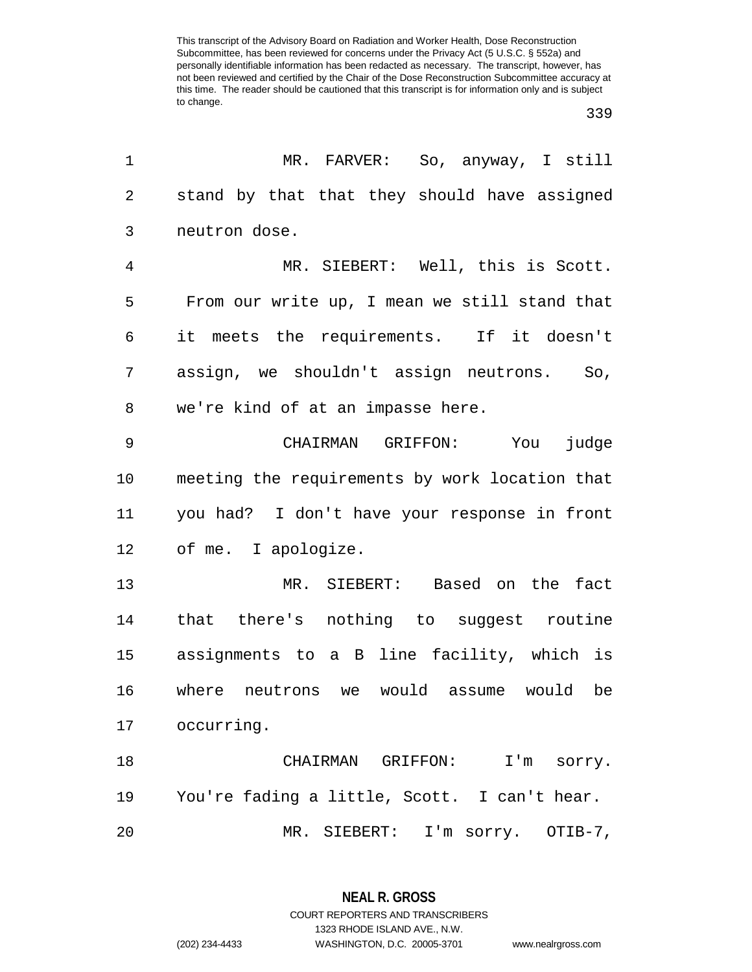| 1              | MR. FARVER: So, anyway, I still                |
|----------------|------------------------------------------------|
| $\overline{2}$ | stand by that that they should have assigned   |
| 3              | neutron dose.                                  |
| 4              | MR. SIEBERT: Well, this is Scott.              |
| 5              | From our write up, I mean we still stand that  |
| 6              | it meets the requirements. If it doesn't       |
| 7              | assign, we shouldn't assign neutrons.<br>So,   |
| 8              | we're kind of at an impasse here.              |
| $\mathsf 9$    | CHAIRMAN GRIFFON: You judge                    |
| 10             | meeting the requirements by work location that |
| 11             | you had? I don't have your response in front   |
| 12             | of me. I apologize.                            |
| 13             | MR. SIEBERT: Based on the fact                 |
| 14             | that there's nothing to suggest routine        |
| 15             | assignments to a B line facility, which is     |
| 16             | where neutrons we would assume would be        |
| 17             | occurring.                                     |
| 18             | CHAIRMAN GRIFFON:<br>I'm sorry.                |
| 19             | You're fading a little, Scott. I can't hear.   |
| 20             | SIEBERT: I'm sorry.<br>$MR$ .<br>OTIB-7,       |

**NEAL R. GROSS** COURT REPORTERS AND TRANSCRIBERS

1323 RHODE ISLAND AVE., N.W.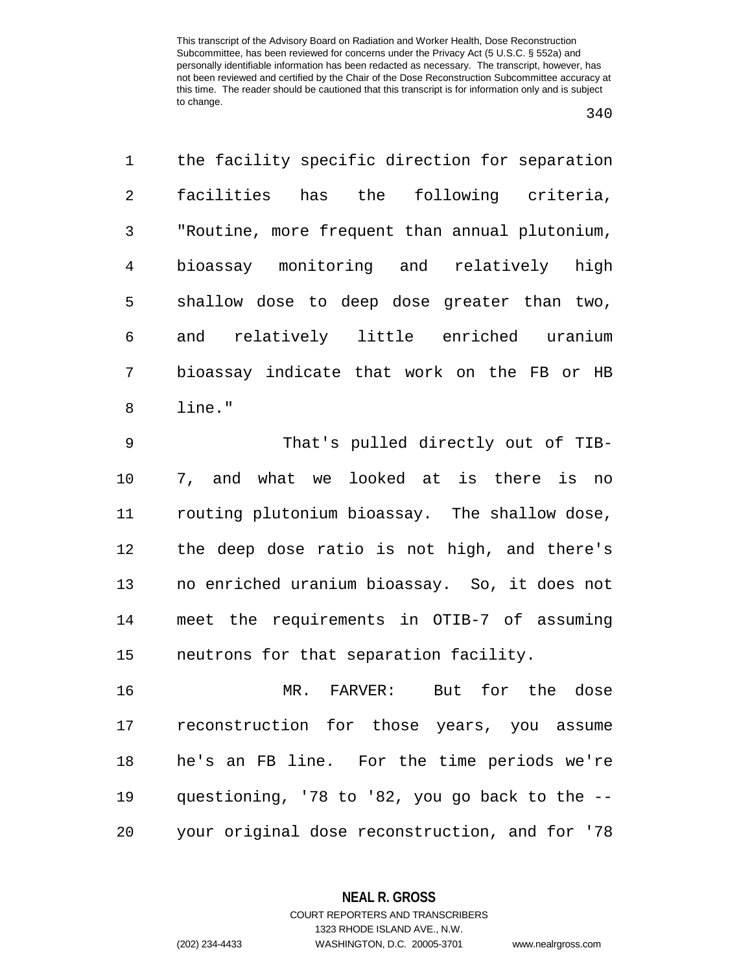| 1              | the facility specific direction for separation |
|----------------|------------------------------------------------|
| $\overline{a}$ | facilities has the following criteria,         |
| 3              | "Routine, more frequent than annual plutonium, |
| 4              | bioassay monitoring and relatively high        |
| 5              | shallow dose to deep dose greater than two,    |
| 6              | and relatively little enriched uranium         |
| 7              | bioassay indicate that work on the FB or HB    |
| $\,8\,$        | line."                                         |
| 9              | That's pulled directly out of TIB-             |
| 10             | 7, and what we looked at is there is no        |
| 11             | routing plutonium bioassay. The shallow dose,  |
| 12             | the deep dose ratio is not high, and there's   |
| 13             | no enriched uranium bioassay. So, it does not  |
|                |                                                |

neutrons for that separation facility.

 MR. FARVER: But for the dose reconstruction for those years, you assume he's an FB line. For the time periods we're questioning, '78 to '82, you go back to the -- your original dose reconstruction, and for '78

meet the requirements in OTIB-7 of assuming

**NEAL R. GROSS** COURT REPORTERS AND TRANSCRIBERS

1323 RHODE ISLAND AVE., N.W.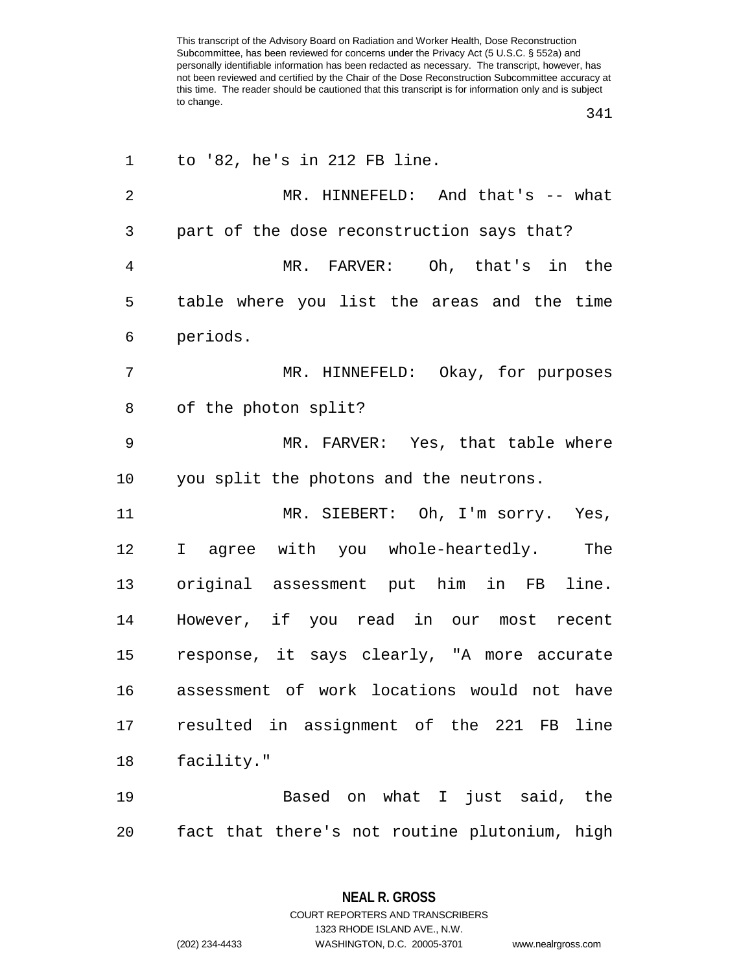| 1              | to '82, he's in 212 FB line.                  |
|----------------|-----------------------------------------------|
| $\overline{2}$ | MR. HINNEFELD: And that's -- what             |
| 3              | part of the dose reconstruction says that?    |
| $\overline{4}$ | MR. FARVER: Oh, that's in the                 |
| 5              | table where you list the areas and the time   |
| 6              | periods.                                      |
| 7              | MR. HINNEFELD: Okay, for purposes             |
| 8              | of the photon split?                          |
| 9              | MR. FARVER: Yes, that table where             |
| 10             | you split the photons and the neutrons.       |
| 11             | MR. SIEBERT: Oh, I'm sorry. Yes,              |
| 12             | I agree with you whole-heartedly. The         |
| 13             | original assessment put him in FB line.       |
| 14             | However, if you read in our most recent       |
| 15             | response, it says clearly, "A more accurate   |
| 16             | assessment of work locations would not have   |
| 17             | resulted in assignment of the 221 FB line     |
| 18             | facility."                                    |
| 19             | Based on what I just said, the                |
| 20             | fact that there's not routine plutonium, high |

**NEAL R. GROSS** COURT REPORTERS AND TRANSCRIBERS

1323 RHODE ISLAND AVE., N.W.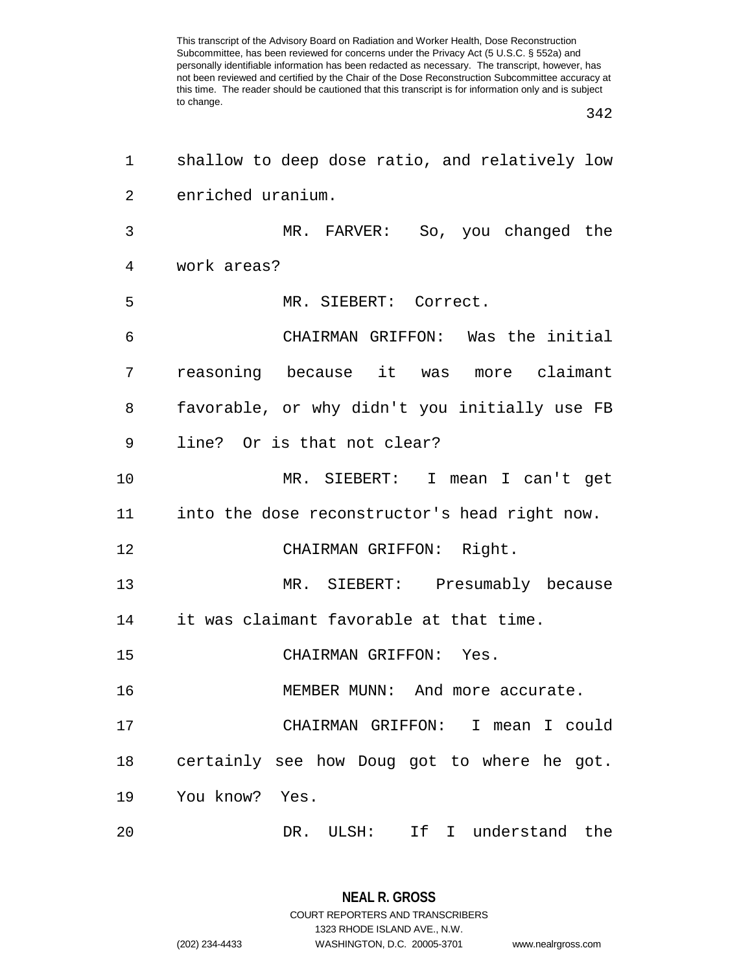| 1  | shallow to deep dose ratio, and relatively low |
|----|------------------------------------------------|
| 2  | enriched uranium.                              |
| 3  | MR. FARVER: So, you changed the                |
| 4  | work areas?                                    |
| 5  | MR. SIEBERT: Correct.                          |
| 6  | CHAIRMAN GRIFFON: Was the initial              |
| 7  | reasoning because it was more claimant         |
| 8  | favorable, or why didn't you initially use FB  |
| 9  | line? Or is that not clear?                    |
| 10 | MR. SIEBERT: I mean I can't get                |
| 11 | into the dose reconstructor's head right now.  |
| 12 | CHAIRMAN GRIFFON: Right.                       |
| 13 | MR. SIEBERT: Presumably because                |
| 14 | it was claimant favorable at that time.        |
| 15 | CHAIRMAN GRIFFON: Yes.                         |
| 16 | MEMBER MUNN: And more accurate.                |
| 17 | CHAIRMAN GRIFFON: I mean I could               |
| 18 | certainly see how Doug got to where he got.    |
| 19 | You know?<br>Yes.                              |
| 20 | If I understand the<br>DR. ULSH:               |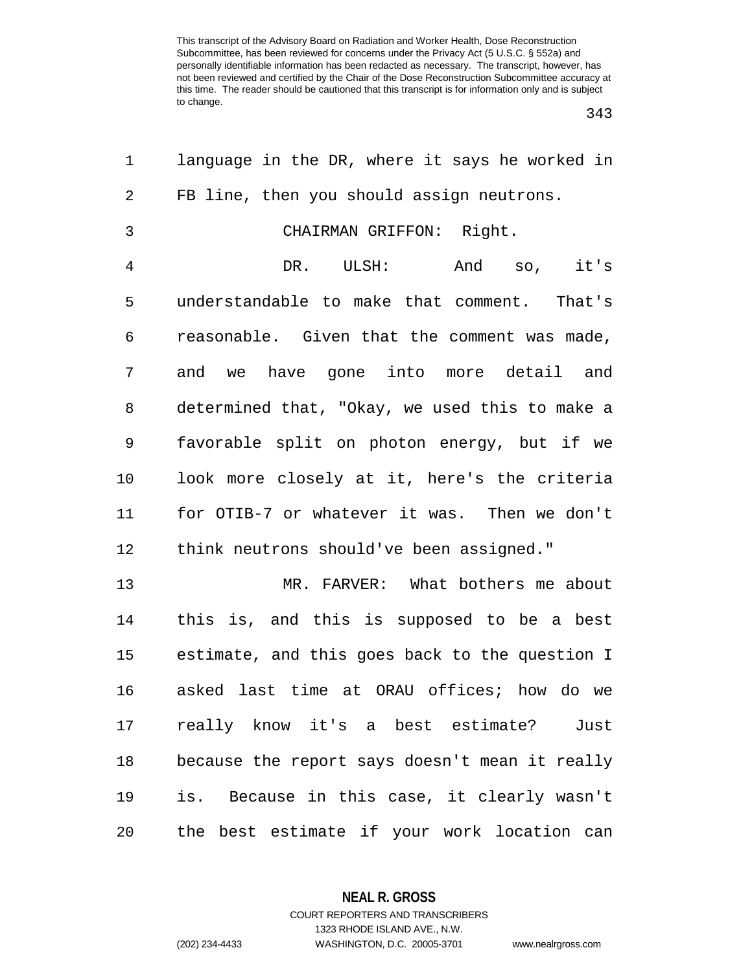| 1              | language in the DR, where it says he worked in |
|----------------|------------------------------------------------|
| 2              | FB line, then you should assign neutrons.      |
| 3              | CHAIRMAN GRIFFON: Right.                       |
| $\overline{4}$ | And so, it's<br>DR. ULSH:                      |
| 5              | understandable to make that comment. That's    |
| 6              | reasonable. Given that the comment was made,   |
| 7              | and we have gone into more detail and          |
| 8              | determined that, "Okay, we used this to make a |
| 9              | favorable split on photon energy, but if we    |
| 10             | look more closely at it, here's the criteria   |
| 11             | for OTIB-7 or whatever it was. Then we don't   |
| 12             | think neutrons should've been assigned."       |
| 13             | MR. FARVER: What bothers me about              |
| 14             | this is, and this is supposed to be a best     |
| 15             | estimate, and this goes back to the question I |
| 16             | asked last time at ORAU offices; how do we     |
| 17             | really know it's a best estimate? Just         |
| 18             | because the report says doesn't mean it really |
| 19             | is. Because in this case, it clearly wasn't    |
| 20             | the best estimate if your work location can    |

**NEAL R. GROSS**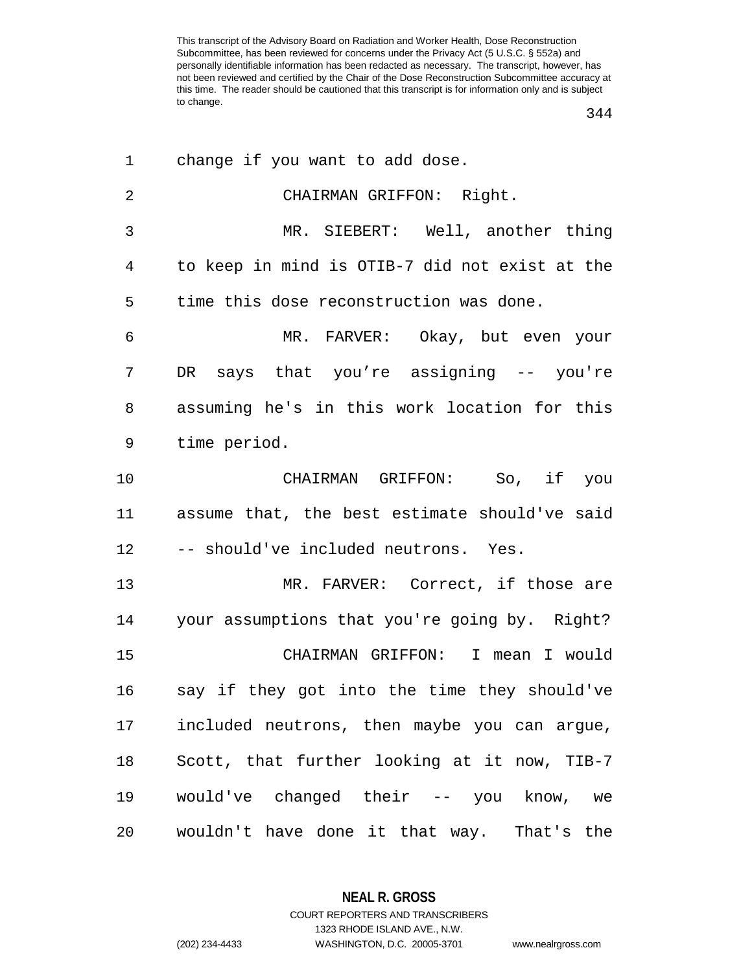| 1              | change if you want to add dose.                |
|----------------|------------------------------------------------|
| $\overline{2}$ | CHAIRMAN GRIFFON: Right.                       |
| 3              | MR. SIEBERT: Well, another thing               |
| 4              | to keep in mind is OTIB-7 did not exist at the |
| 5              | time this dose reconstruction was done.        |
| 6              | MR. FARVER: Okay, but even your                |
| 7              | DR says that you're assigning -- you're        |
| 8              | assuming he's in this work location for this   |
| 9              | time period.                                   |
| 10             | CHAIRMAN GRIFFON: So, if you                   |
| 11             | assume that, the best estimate should've said  |
| 12             | -- should've included neutrons. Yes.           |
| 13             | MR. FARVER: Correct, if those are              |
| 14             | your assumptions that you're going by. Right?  |
| 15             | CHAIRMAN GRIFFON: I mean I would               |
| 16             | say if they got into the time they should've   |
| 17             | included neutrons, then maybe you can argue,   |
| 18             | Scott, that further looking at it now, TIB-7   |
| 19             | would've changed their -- you know, we         |
| 20             | wouldn't have done it that way. That's the     |

**NEAL R. GROSS** COURT REPORTERS AND TRANSCRIBERS

1323 RHODE ISLAND AVE., N.W.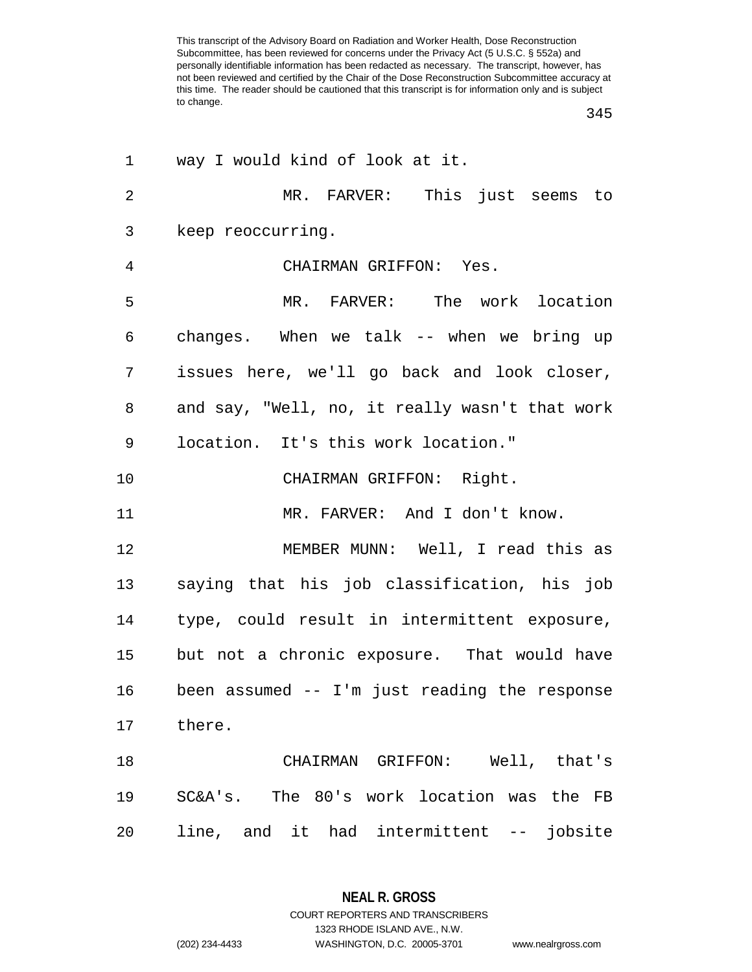| $\mathbf 1$    | way I would kind of look at it.                |
|----------------|------------------------------------------------|
| $\overline{2}$ | MR. FARVER: This just seems to                 |
| 3              | keep reoccurring.                              |
| 4              | CHAIRMAN GRIFFON: Yes.                         |
| 5              | MR. FARVER: The work location                  |
| 6              | changes. When we talk -- when we bring up      |
| 7              | issues here, we'll go back and look closer,    |
| 8              | and say, "Well, no, it really wasn't that work |
| 9              | location. It's this work location."            |
| 10             | CHAIRMAN GRIFFON: Right.                       |
| 11             | MR. FARVER: And I don't know.                  |
| 12             | MEMBER MUNN: Well, I read this as              |
| 13             | saying that his job classification, his job    |
| 14             | type, could result in intermittent exposure,   |
| 15             | but not a chronic exposure. That would have    |
| 16             | been assumed -- I'm just reading the response  |
|                |                                                |
| 17             | there.                                         |
| 18             | CHAIRMAN GRIFFON: Well, that's                 |
| 19             | SC&A's. The 80's work location was the FB      |

**NEAL R. GROSS**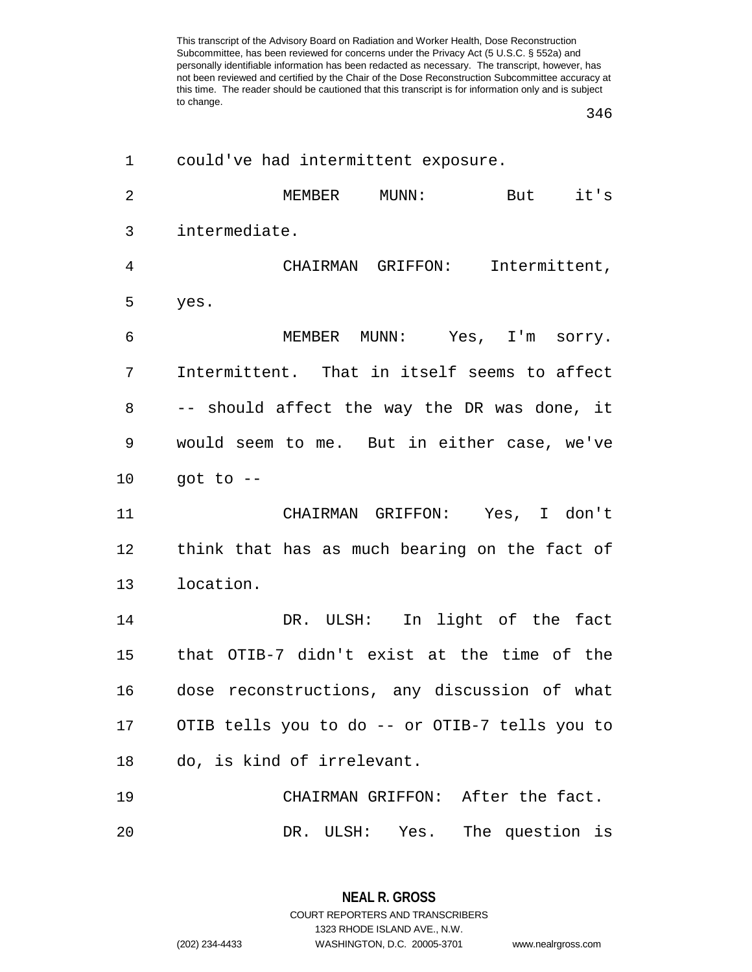| 1              | could've had intermittent exposure.            |
|----------------|------------------------------------------------|
| $\overline{2}$ | it's<br>MEMBER<br>MUNN:<br>But                 |
| 3              | intermediate.                                  |
| 4              | CHAIRMAN GRIFFON:<br>Intermittent,             |
| 5              | yes.                                           |
| 6              | MEMBER MUNN: Yes, I'm sorry.                   |
| 7              | Intermittent. That in itself seems to affect   |
| 8              | -- should affect the way the DR was done, it   |
| 9              | would seem to me. But in either case, we've    |
| $10 \,$        | got to $--$                                    |
| 11             | CHAIRMAN GRIFFON: Yes, I don't                 |
| 12             | think that has as much bearing on the fact of  |
| 13             | location.                                      |
| 14             | DR. ULSH: In light of the fact                 |
| 15             | that OTIB-7 didn't exist at the time of the    |
| 16             | dose reconstructions, any discussion of what   |
| 17             | OTIB tells you to do -- or OTIB-7 tells you to |
| 18             | do, is kind of irrelevant.                     |
| 19             | CHAIRMAN GRIFFON: After the fact.              |
| 20             | DR. ULSH: Yes.<br>The question is              |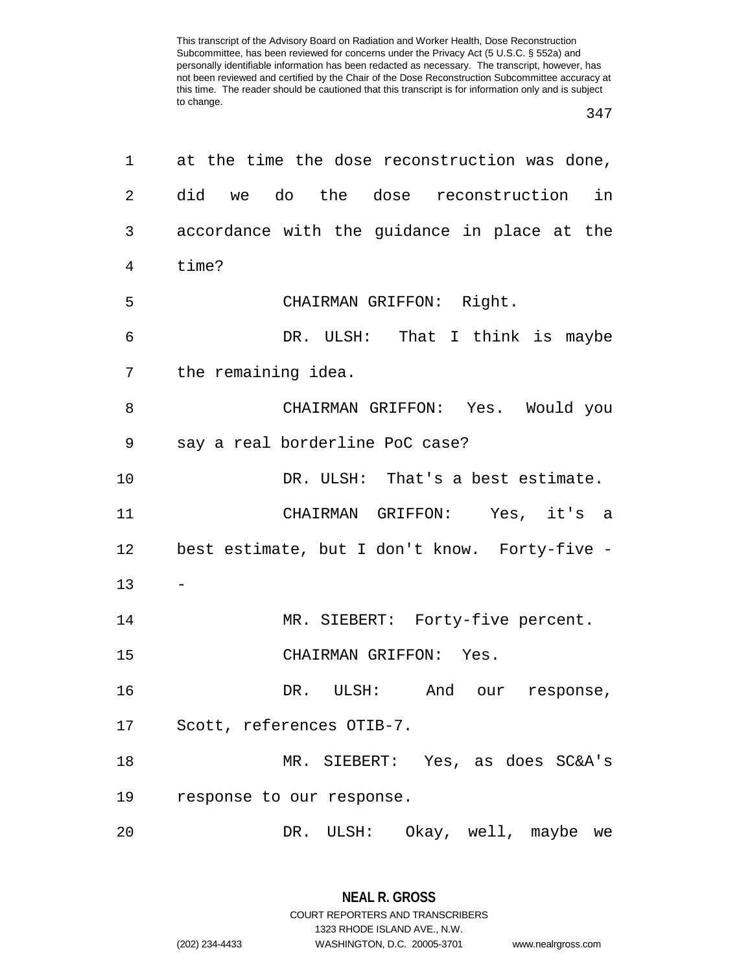| 1               | at the time the dose reconstruction was done, |
|-----------------|-----------------------------------------------|
| 2               | did we do the dose reconstruction in          |
| 3               | accordance with the guidance in place at the  |
| 4               | time?                                         |
| 5               | CHAIRMAN GRIFFON: Right.                      |
| 6               | DR. ULSH: That I think is maybe               |
| 7               | the remaining idea.                           |
| 8               | CHAIRMAN GRIFFON: Yes. Would you              |
| 9               | say a real borderline PoC case?               |
| 10              | DR. ULSH: That's a best estimate.             |
| 11              | CHAIRMAN GRIFFON: Yes, it's a                 |
| 12 <sub>1</sub> | best estimate, but I don't know. Forty-five - |
| 13              |                                               |
| 14              | MR. SIEBERT: Forty-five percent.              |
| 15              | CHAIRMAN GRIFFON: Yes.                        |
| 16              | DR. ULSH: And our response,                   |
| 17              | Scott, references OTIB-7.                     |
| 18              | MR. SIEBERT: Yes, as does SC&A's              |
| 19              | response to our response.                     |
| 20              | DR. ULSH:<br>Okay, well, maybe<br>we          |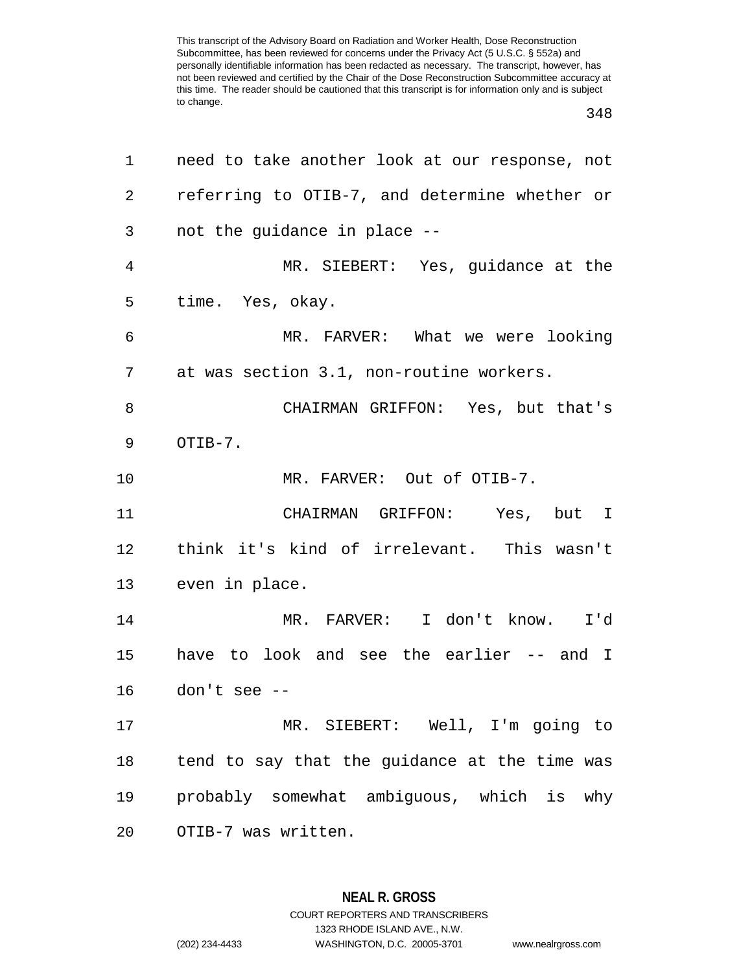## 

| 1              | need to take another look at our response, not |
|----------------|------------------------------------------------|
| $\overline{2}$ | referring to OTIB-7, and determine whether or  |
| 3              | not the guidance in place --                   |
| 4              | MR. SIEBERT: Yes, guidance at the              |
| 5              | time. Yes, okay.                               |
| 6              | MR. FARVER: What we were looking               |
| 7              | at was section 3.1, non-routine workers.       |
| 8              | CHAIRMAN GRIFFON: Yes, but that's              |
| 9              | OTIB-7.                                        |
| 10             | MR. FARVER: Out of OTIB-7.                     |
| 11             | CHAIRMAN GRIFFON: Yes, but I                   |
| 12             | think it's kind of irrelevant. This wasn't     |
| 13             | even in place.                                 |
| 14             | MR. FARVER: I don't know. I'd                  |
| 15             | have to look and see the earlier -- and I      |
| 16             | don't see --                                   |
| 17             | MR. SIEBERT: Well, I'm going to                |
| 18             | tend to say that the guidance at the time was  |
| 19             | probably somewhat ambiguous, which is why      |
| 20             | OTIB-7 was written.                            |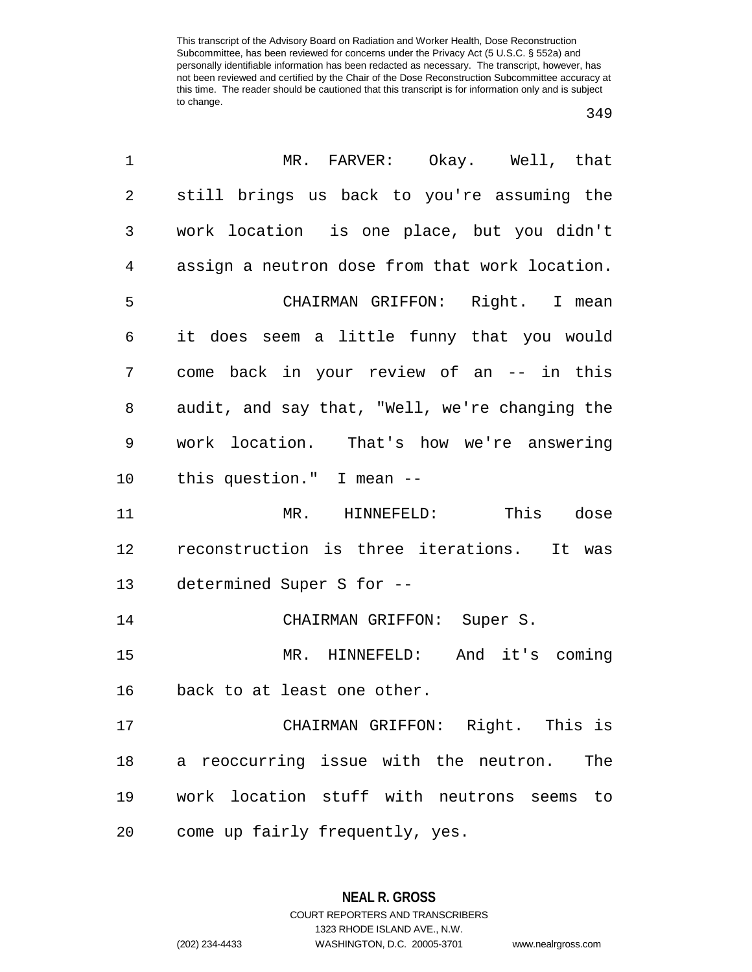| $\mathbf 1$    | MR. FARVER: Okay. Well, that                   |
|----------------|------------------------------------------------|
| $\overline{2}$ | still brings us back to you're assuming the    |
| 3              | work location is one place, but you didn't     |
| 4              | assign a neutron dose from that work location. |
| 5              | CHAIRMAN GRIFFON: Right. I mean                |
| 6              | it does seem a little funny that you would     |
| 7              | come back in your review of an -- in this      |
| 8              | audit, and say that, "Well, we're changing the |
| 9              | work location. That's how we're answering      |
| 10             | this question." I mean --                      |
| 11             | MR. HINNEFELD: This dose                       |
| 12             | reconstruction is three iterations. It was     |
| 13             | determined Super S for --                      |
| 14             | CHAIRMAN GRIFFON: Super S.                     |
| 15             | And it's coming<br>MR. HINNEFELD:              |
| 16             | back to at least one other.                    |
| 17             | CHAIRMAN GRIFFON: Right. This is               |
| 18             | a reoccurring issue with the neutron.<br>The   |
| 19             | work location stuff with neutrons seems<br>to  |
| 20             | come up fairly frequently, yes.                |

**NEAL R. GROSS** COURT REPORTERS AND TRANSCRIBERS

1323 RHODE ISLAND AVE., N.W.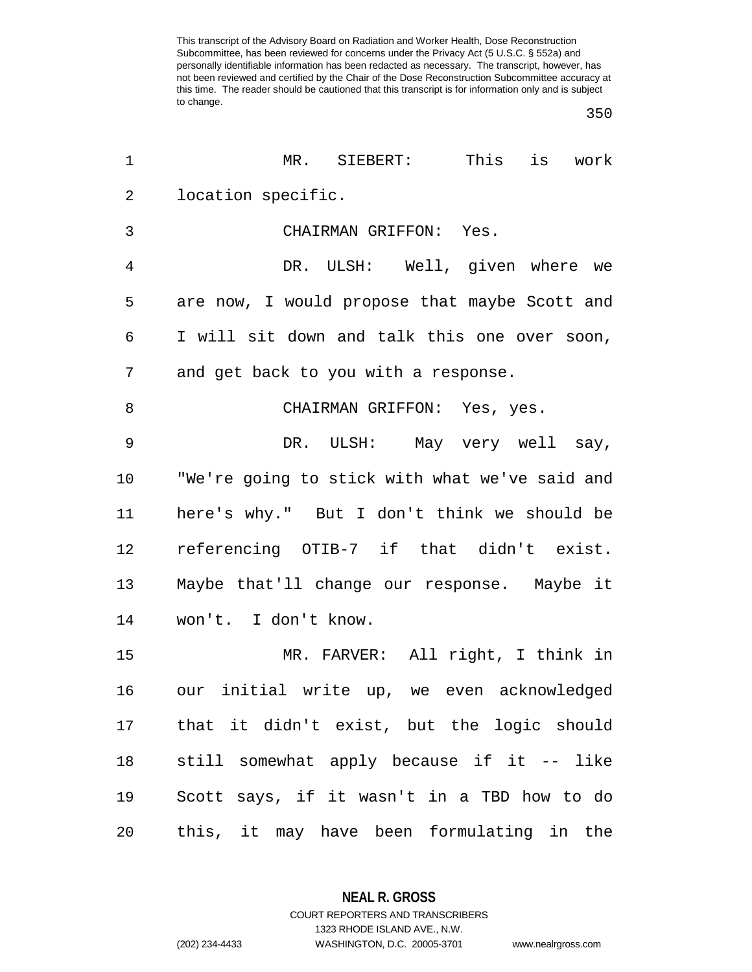| 1              | MR.<br>SIEBERT:<br>This<br>work<br>is          |
|----------------|------------------------------------------------|
| 2              | location specific.                             |
| 3              | CHAIRMAN GRIFFON: Yes.                         |
| $\overline{4}$ | DR. ULSH: Well, given where we                 |
| 5              | are now, I would propose that maybe Scott and  |
| 6              | I will sit down and talk this one over soon,   |
| 7              | and get back to you with a response.           |
| 8              | CHAIRMAN GRIFFON: Yes, yes.                    |
| $\mathsf 9$    | DR. ULSH: May very well say,                   |
| 10             | "We're going to stick with what we've said and |
| 11             | here's why." But I don't think we should be    |
| 12             | referencing OTIB-7 if that didn't exist.       |
| 13             | Maybe that'll change our response. Maybe it    |
| 14             | won't. I don't know.                           |
| 15             | MR. FARVER: All right, I think in              |
| 16             | our initial write up, we even acknowledged     |
| 17             | that it didn't exist, but the logic should     |
| 18             | still somewhat apply because if it -- like     |
| 19             | Scott says, if it wasn't in a TBD how to do    |
| 20             | this, it may have been formulating in the      |

**NEAL R. GROSS**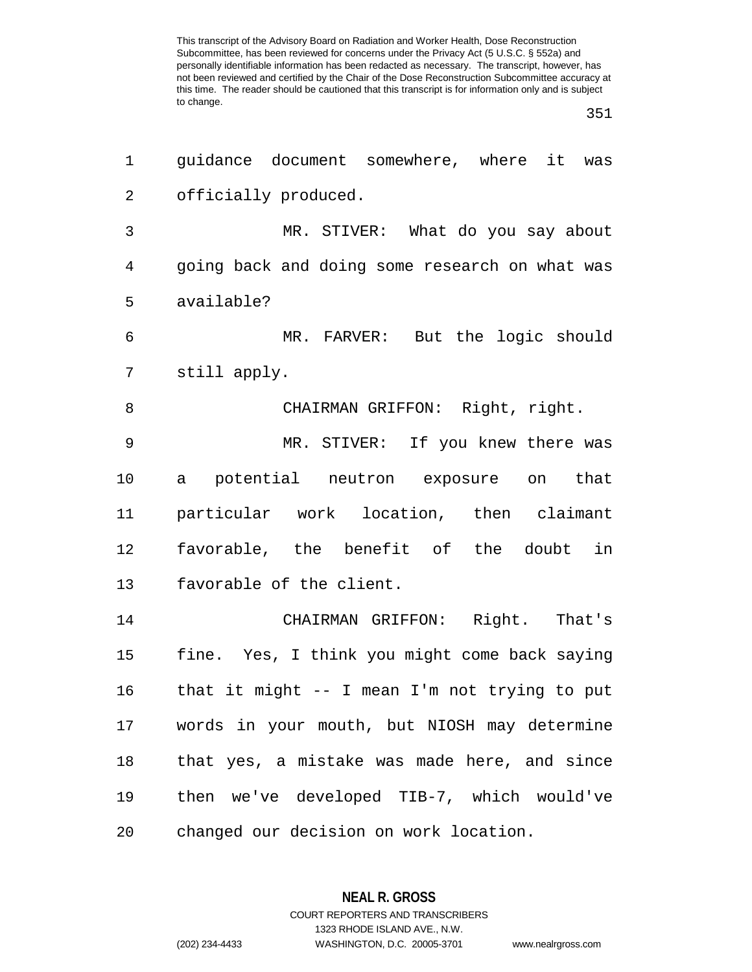| 1              | guidance document somewhere, where it<br>was   |
|----------------|------------------------------------------------|
| 2              | officially produced.                           |
| 3              | MR. STIVER: What do you say about              |
| $\overline{4}$ | going back and doing some research on what was |
| 5              | available?                                     |
| 6              | MR. FARVER: But the logic should               |
| 7              | still apply.                                   |
| 8              | CHAIRMAN GRIFFON: Right, right.                |
| $\mathsf 9$    | MR. STIVER: If you knew there was              |
| 10             | a potential neutron exposure on that           |
| 11             | particular work location, then claimant        |
| 12             | favorable, the benefit of the doubt in         |
| 13             | favorable of the client.                       |
| 14             | CHAIRMAN GRIFFON: Right. That's                |
| 15             | fine. Yes, I think you might come back saying  |
| 16             | that it might -- I mean I'm not trying to put  |
| 17             | words in your mouth, but NIOSH may determine   |
| 18             | that yes, a mistake was made here, and since   |
| 19             | then we've developed TIB-7, which would've     |
| 20             | changed our decision on work location.         |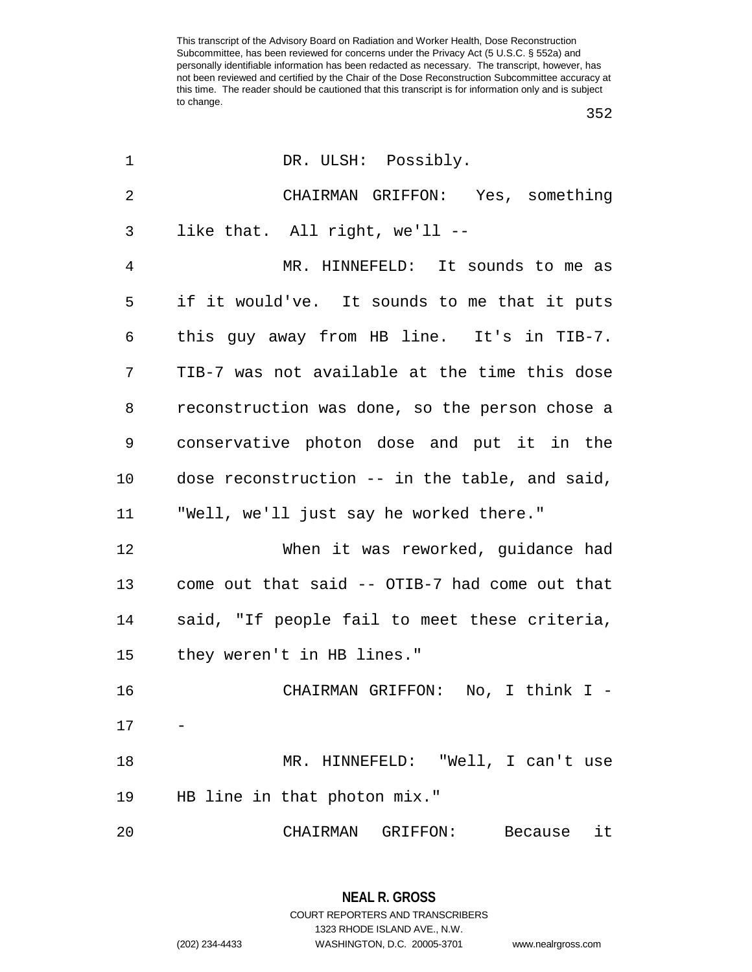| 1              | DR. ULSH: Possibly.                            |
|----------------|------------------------------------------------|
| $\overline{2}$ | CHAIRMAN GRIFFON: Yes, something               |
| 3              | like that. All right, we'll --                 |
| 4              | MR. HINNEFELD: It sounds to me as              |
| 5              | if it would've. It sounds to me that it puts   |
| 6              | this guy away from HB line. It's in TIB-7.     |
| 7              | TIB-7 was not available at the time this dose  |
| 8              | reconstruction was done, so the person chose a |
| 9              | conservative photon dose and put it in the     |
| 10             | dose reconstruction -- in the table, and said, |
| 11             | "Well, we'll just say he worked there."        |
| 12             | When it was reworked, guidance had             |
| 13             | come out that said -- OTIB-7 had come out that |
| 14             | said, "If people fail to meet these criteria,  |
| 15             | they weren't in HB lines."                     |
| 16             | CHAIRMAN GRIFFON: No, I think I -              |
| 17             |                                                |
| 18             | MR. HINNEFELD: "Well, I can't use              |
| 19             | HB line in that photon mix."                   |
| 20             | CHAIRMAN<br>GRIFFON:<br>Because<br>it          |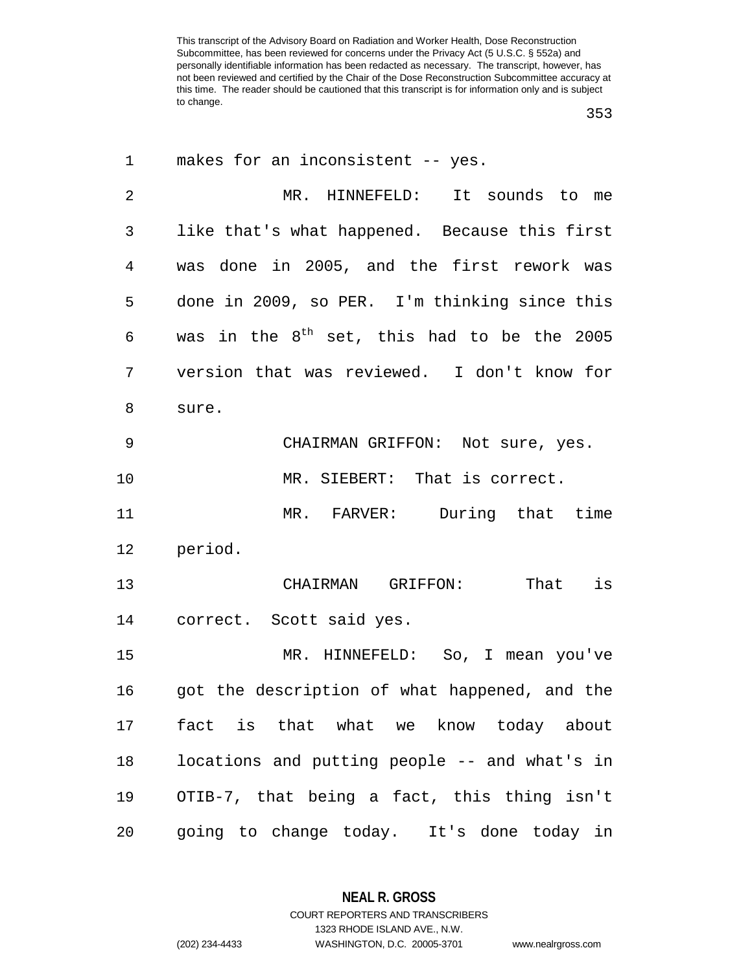| 1              | makes for an inconsistent -- yes.                       |
|----------------|---------------------------------------------------------|
| $\overline{2}$ | MR. HINNEFELD: It sounds to me                          |
| 3              | like that's what happened. Because this first           |
| 4              | was done in 2005, and the first rework was              |
| 5              | done in 2009, so PER. I'm thinking since this           |
| 6              | was in the 8 <sup>th</sup> set, this had to be the 2005 |
| 7              | version that was reviewed. I don't know for             |
| 8              | sure.                                                   |
| 9              | CHAIRMAN GRIFFON: Not sure, yes.                        |
| 10             | MR. SIEBERT: That is correct.                           |
| 11             | MR. FARVER: During that time                            |
| 12             | period.                                                 |
| 13             | CHAIRMAN GRIFFON: That is                               |
| 14             | correct. Scott said yes.                                |
| 15             | MR. HINNEFELD: So, I mean you've                        |
| 16             | got the description of what happened, and the           |
| 17             | fact is that what we know today about                   |
| 18             | locations and putting people -- and what's in           |
| 19             | OTIB-7, that being a fact, this thing isn't             |
| 20             | going to change today. It's done today in               |

**NEAL R. GROSS** COURT REPORTERS AND TRANSCRIBERS

1323 RHODE ISLAND AVE., N.W. (202) 234-4433 WASHINGTON, D.C. 20005-3701 www.nealrgross.com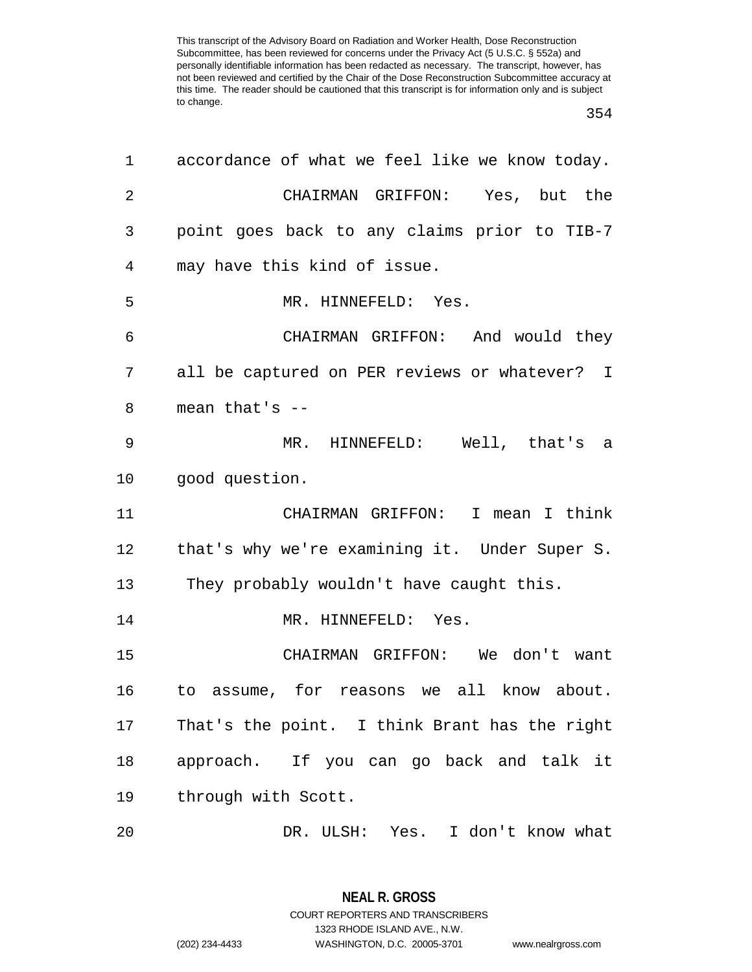| 1              | accordance of what we feel like we know today. |
|----------------|------------------------------------------------|
| $\overline{2}$ | CHAIRMAN GRIFFON: Yes, but the                 |
| 3              | point goes back to any claims prior to TIB-7   |
| 4              | may have this kind of issue.                   |
| 5              | MR. HINNEFELD: Yes.                            |
| 6              | CHAIRMAN GRIFFON: And would they               |
| 7              | all be captured on PER reviews or whatever? I  |
| 8              | mean that's $--$                               |
| 9              | MR. HINNEFELD: Well, that's a                  |
| 10             | good question.                                 |
| 11             | CHAIRMAN GRIFFON: I mean I think               |
| 12             | that's why we're examining it. Under Super S.  |
| 13             | They probably wouldn't have caught this.       |
| 14             | MR. HINNEFELD: Yes.                            |
| 15             | CHAIRMAN GRIFFON: We don't want                |
| 16             | to assume, for reasons we all know about.      |
| 17             | That's the point. I think Brant has the right  |
| 18             | approach. If you can go back and talk it       |
| 19             | through with Scott.                            |
| 20             | DR. ULSH: Yes. I don't know what               |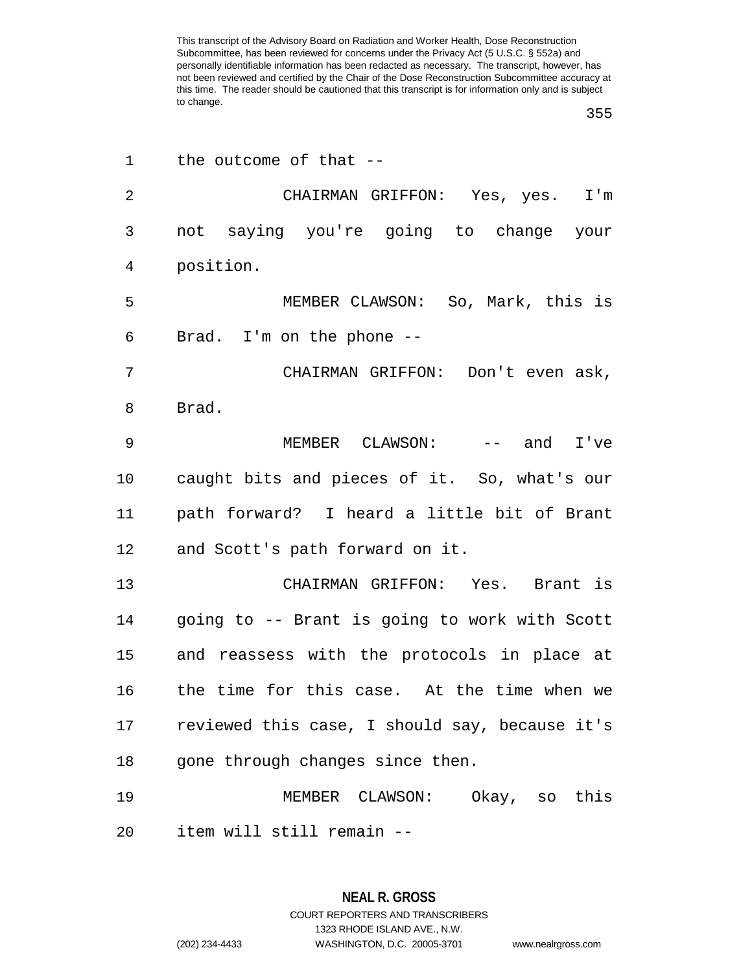| 1              | the outcome of that --                         |
|----------------|------------------------------------------------|
| $\overline{2}$ | CHAIRMAN GRIFFON: Yes, yes. I'm                |
| 3              | not saying you're going to change your         |
| 4              | position.                                      |
| 5              | MEMBER CLAWSON: So, Mark, this is              |
| 6              | Brad. I'm on the phone --                      |
| 7              | CHAIRMAN GRIFFON: Don't even ask,              |
| 8              | Brad.                                          |
| 9              | MEMBER $CLAWSON: -- and I've$                  |
| 10             | caught bits and pieces of it. So, what's our   |
| 11             | path forward? I heard a little bit of Brant    |
| 12             | and Scott's path forward on it.                |
| 13             | CHAIRMAN GRIFFON: Yes. Brant is                |
| 14             | going to -- Brant is going to work with Scott  |
| 15             | and reassess with the protocols in place at    |
| 16             | the time for this case. At the time when we    |
| 17             | reviewed this case, I should say, because it's |
| 18             | gone through changes since then.               |
| 19             | MEMBER CLAWSON: Okay, so this                  |
| 20             | item will still remain --                      |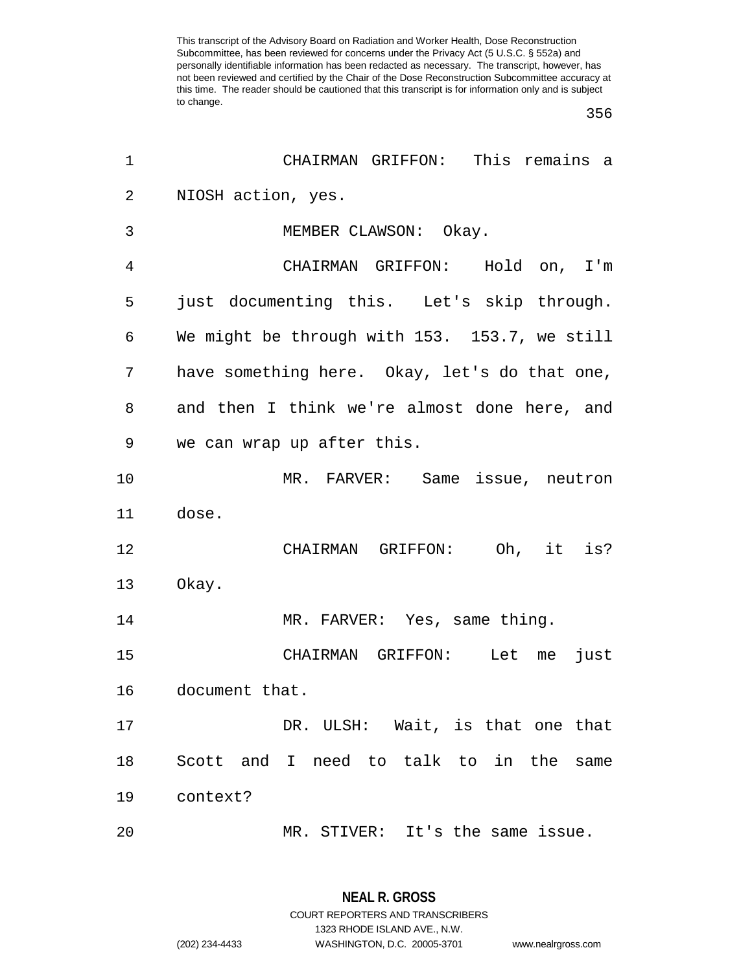| 1              | CHAIRMAN GRIFFON: This remains a              |
|----------------|-----------------------------------------------|
| $\overline{2}$ | NIOSH action, yes.                            |
| 3              | MEMBER CLAWSON: Okay.                         |
| 4              | CHAIRMAN GRIFFON: Hold on, I'm                |
| 5              | just documenting this. Let's skip through.    |
| 6              | We might be through with 153. 153.7, we still |
| 7              | have something here. Okay, let's do that one, |
| 8              | and then I think we're almost done here, and  |
| 9              | we can wrap up after this.                    |
| 10             | MR. FARVER: Same issue, neutron               |
| 11             | dose.                                         |
| 12             | CHAIRMAN GRIFFON: Oh, it is?                  |
| 13             | Okay.                                         |
| 14             | MR. FARVER: Yes, same thing.                  |
| 15             | CHAIRMAN GRIFFON: Let me<br>just              |
| 16             | document that.                                |
| 17             | DR. ULSH: Wait, is that one that              |
| 18             | Scott and I need to talk to in the same       |
| 19             | context?                                      |
| 20             | MR. STIVER: It's the same issue.              |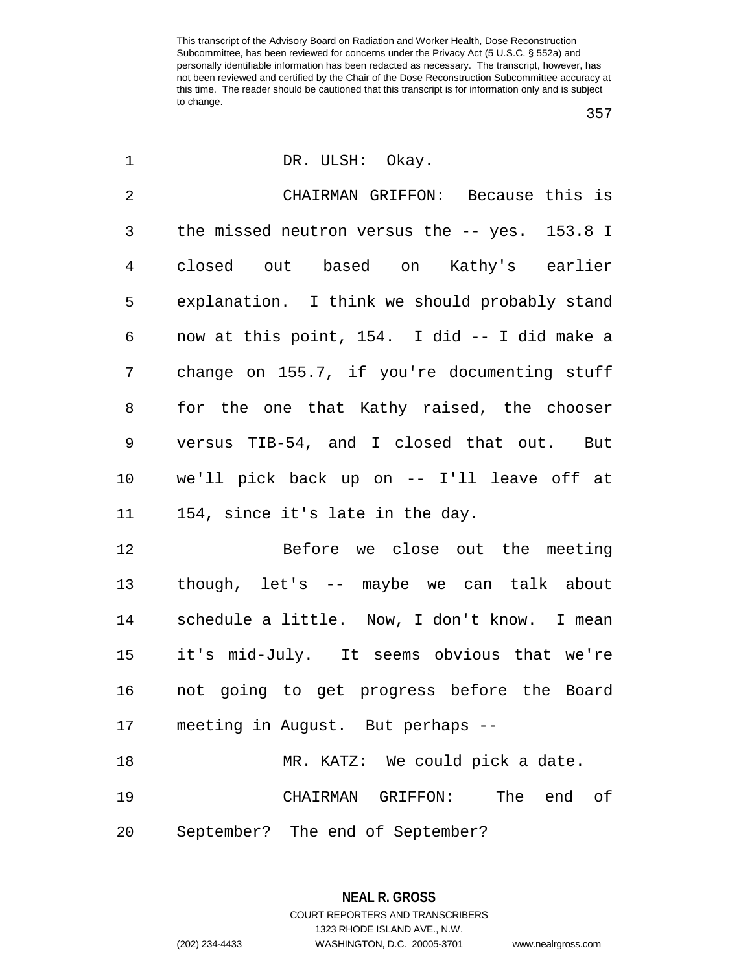| 1              | DR. ULSH: Okay.                                  |
|----------------|--------------------------------------------------|
| $\overline{2}$ | CHAIRMAN GRIFFON: Because this is                |
| 3              | the missed neutron versus the $-$ - yes. 153.8 I |
| 4              | closed out based on Kathy's earlier              |
| 5              | explanation. I think we should probably stand    |
| 6              | now at this point, 154. I did -- I did make a    |
| 7              | change on 155.7, if you're documenting stuff     |
| 8              | for the one that Kathy raised, the chooser       |
| 9              | versus TIB-54, and I closed that out. But        |
| 10             | we'll pick back up on -- I'll leave off at       |
| 11             | 154, since it's late in the day.                 |
| 12             | Before we close out the meeting                  |
| 13             | though, let's -- maybe we can talk about         |
| 14             | schedule a little. Now, I don't know. I mean     |
| 15             | it's mid-July. It seems obvious that we're       |
| 16             | not going to get progress before the Board       |
| 17             | meeting in August. But perhaps --                |
| 18             | MR. KATZ: We could pick a date.                  |
| 19             | The end<br>CHAIRMAN GRIFFON:<br>of               |
| 20             | September? The end of September?                 |

**NEAL R. GROSS** COURT REPORTERS AND TRANSCRIBERS

1323 RHODE ISLAND AVE., N.W.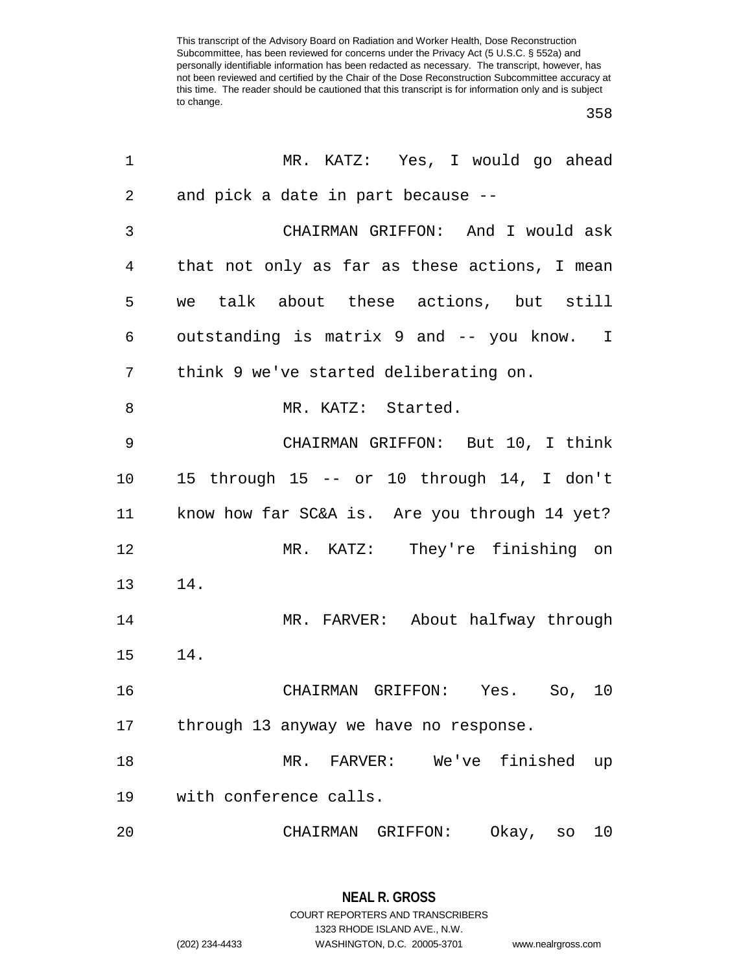| 1  | MR. KATZ: Yes, I would go ahead               |
|----|-----------------------------------------------|
| 2  | and pick a date in part because --            |
| 3  | CHAIRMAN GRIFFON: And I would ask             |
| 4  | that not only as far as these actions, I mean |
| 5  | we talk about these actions, but still        |
| 6  | outstanding is matrix 9 and -- you know. I    |
| 7  | think 9 we've started deliberating on.        |
| 8  | MR. KATZ: Started.                            |
| 9  | CHAIRMAN GRIFFON: But 10, I think             |
| 10 | 15 through 15 -- or 10 through 14, I don't    |
| 11 | know how far SC&A is. Are you through 14 yet? |
| 12 | MR. KATZ: They're finishing on                |
| 13 | 14.                                           |
| 14 | MR. FARVER: About halfway through             |
| 15 | 14.                                           |
| 16 | CHAIRMAN GRIFFON: Yes. So, 10                 |
| 17 | through 13 anyway we have no response.        |
| 18 | FARVER: We've finished<br>$MR$ .<br>up        |
| 19 | with conference calls.                        |
| 20 | CHAIRMAN GRIFFON:<br>Okay,<br>10<br>SO        |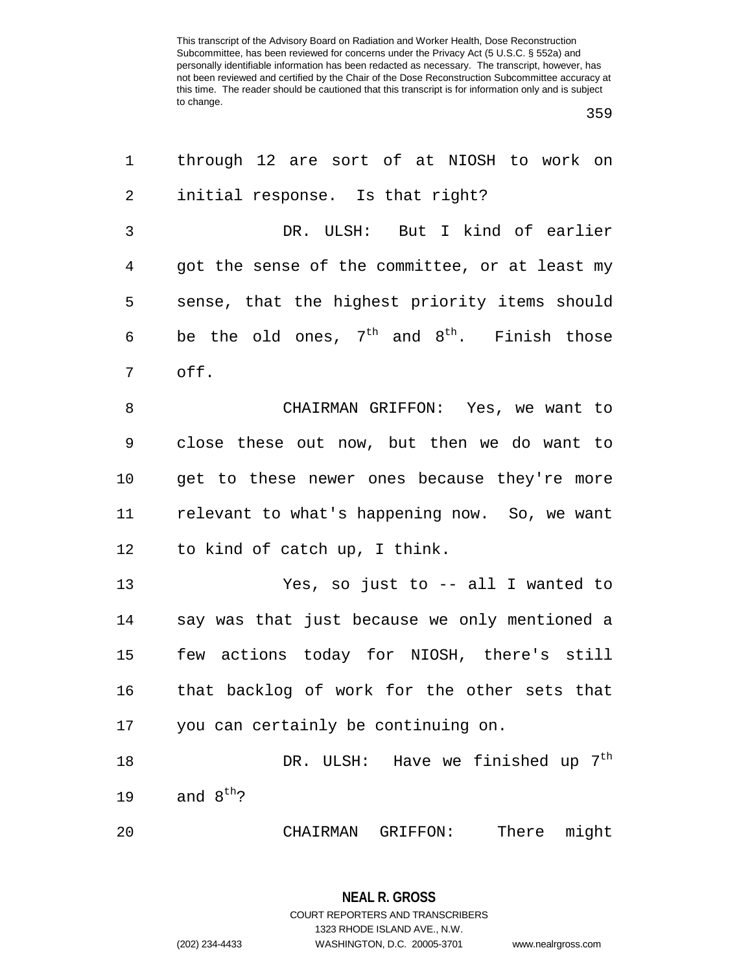| 1              | through 12 are sort of at NIOSH to work on      |
|----------------|-------------------------------------------------|
| 2              | initial response. Is that right?                |
| $\mathfrak{Z}$ | DR. ULSH: But I kind of earlier                 |
| $\overline{4}$ | got the sense of the committee, or at least my  |
| 5              | sense, that the highest priority items should   |
| 6              | be the old ones, $7th$ and $8th$ . Finish those |
| 7              | off.                                            |
| 8              | CHAIRMAN GRIFFON: Yes, we want to               |
| 9              | close these out now, but then we do want to     |
| $10$           | get to these newer ones because they're more    |
| 11             | relevant to what's happening now. So, we want   |
| 12             | to kind of catch up, I think.                   |
| 13             | Yes, so just to -- all I wanted to              |
| 14             | say was that just because we only mentioned a   |
| 15             | few actions today for NIOSH, there's still      |
| 16             | that backlog of work for the other sets that    |
| 17             | you can certainly be continuing on.             |
| 18             | DR. ULSH: Have we finished up $7^{th}$          |
| 19             | and $8^{th}$ ?                                  |
| 20             | There<br>might<br>CHAIRMAN<br>GRIFFON:          |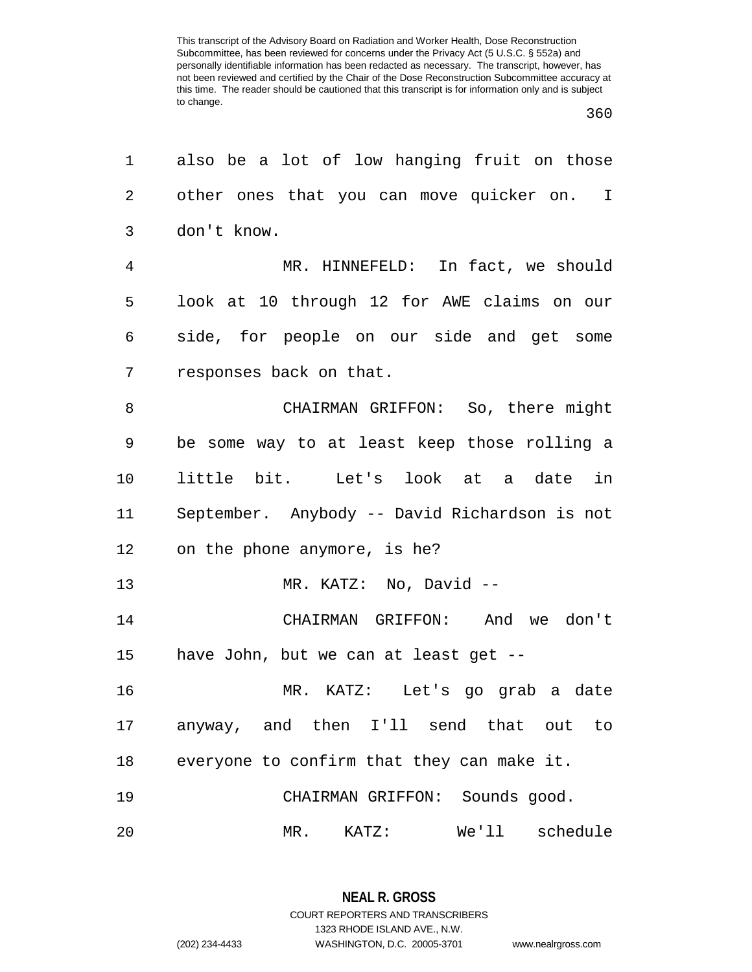| 1              | also be a lot of low hanging fruit on those   |
|----------------|-----------------------------------------------|
| 2              | other ones that you can move quicker on. I    |
| 3              | don't know.                                   |
| $\overline{4}$ | MR. HINNEFELD: In fact, we should             |
| 5              | look at 10 through 12 for AWE claims on our   |
| 6              | side, for people on our side and get some     |
| 7              | responses back on that.                       |
| 8              | CHAIRMAN GRIFFON: So, there might             |
| 9              | be some way to at least keep those rolling a  |
| 10             | little bit. Let's look at a date in           |
| 11             | September. Anybody -- David Richardson is not |
| 12             | on the phone anymore, is he?                  |
| 13             | MR. KATZ: No, David --                        |
| 14             | CHAIRMAN GRIFFON: And we don't                |
| 15             | have John, but we can at least get --         |
| 16             | MR. KATZ: Let's go grab a date                |
| 17             | anyway, and then I'll send that out to        |
| 18             | everyone to confirm that they can make it.    |
| 19             | CHAIRMAN GRIFFON: Sounds good.                |
| 20             | schedule<br>We'll<br>MR.<br>KATZ:             |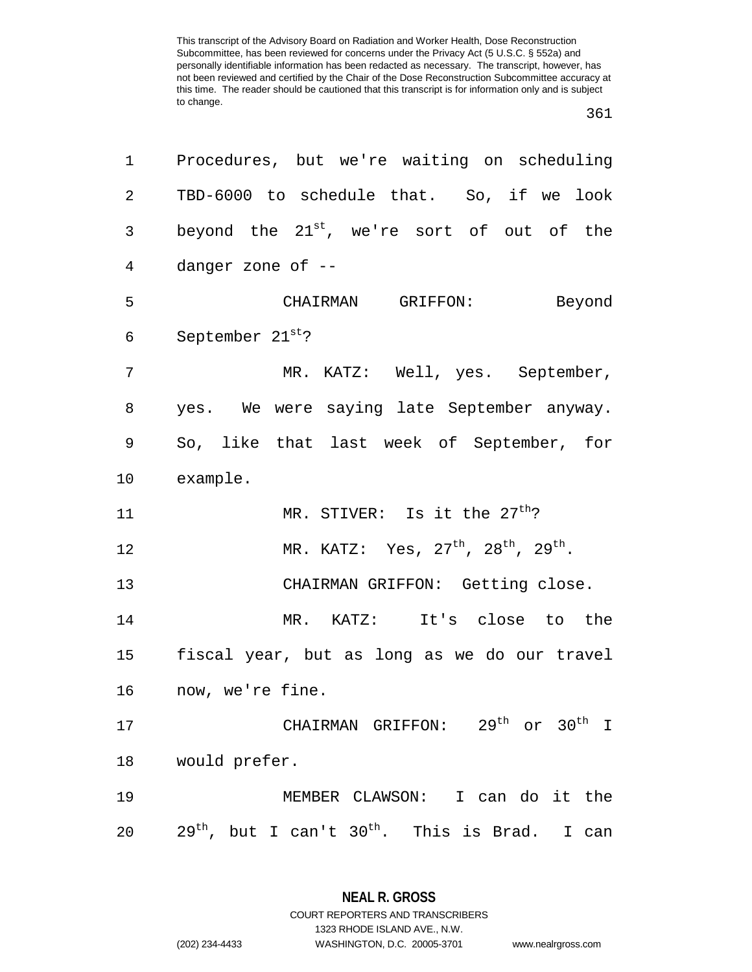361

| 1              | Procedures, but we're waiting on scheduling              |
|----------------|----------------------------------------------------------|
| $\overline{a}$ | TBD-6000 to schedule that. So, if we look                |
| 3              | beyond the $21^{st}$ , we're sort of out of the          |
| 4              | danger zone of --                                        |
| 5              | CHAIRMAN GRIFFON:<br>Beyond                              |
| 6              | September 21st?                                          |
| 7              | MR. KATZ: Well, yes. September,                          |
| 8              | yes. We were saying late September anyway.               |
| 9              | So, like that last week of September, for                |
| $10 \,$        | example.                                                 |
| 11             | MR. STIVER: Is it the 27 <sup>th</sup> ?                 |
| 12             | MR. KATZ: Yes, $27^{th}$ , $28^{th}$ , $29^{th}$ .       |
| 13             | CHAIRMAN GRIFFON: Getting close.                         |
| 14             | MR. KATZ: It's close to the                              |
| $15\,$         | fiscal year, but as long as we do our travel             |
| 16             | now, we're fine.                                         |
| 17             | CHAIRMAN GRIFFON: 29 <sup>th</sup> or 30 <sup>th</sup> I |
| 18             | would prefer.                                            |
| 19             | MEMBER CLAWSON: I can do it the                          |
| 20             | $29th$ , but I can't $30th$ . This is Brad. I can        |

**NEAL R. GROSS** COURT REPORTERS AND TRANSCRIBERS

1323 RHODE ISLAND AVE., N.W.

(202) 234-4433 WASHINGTON, D.C. 20005-3701 www.nealrgross.com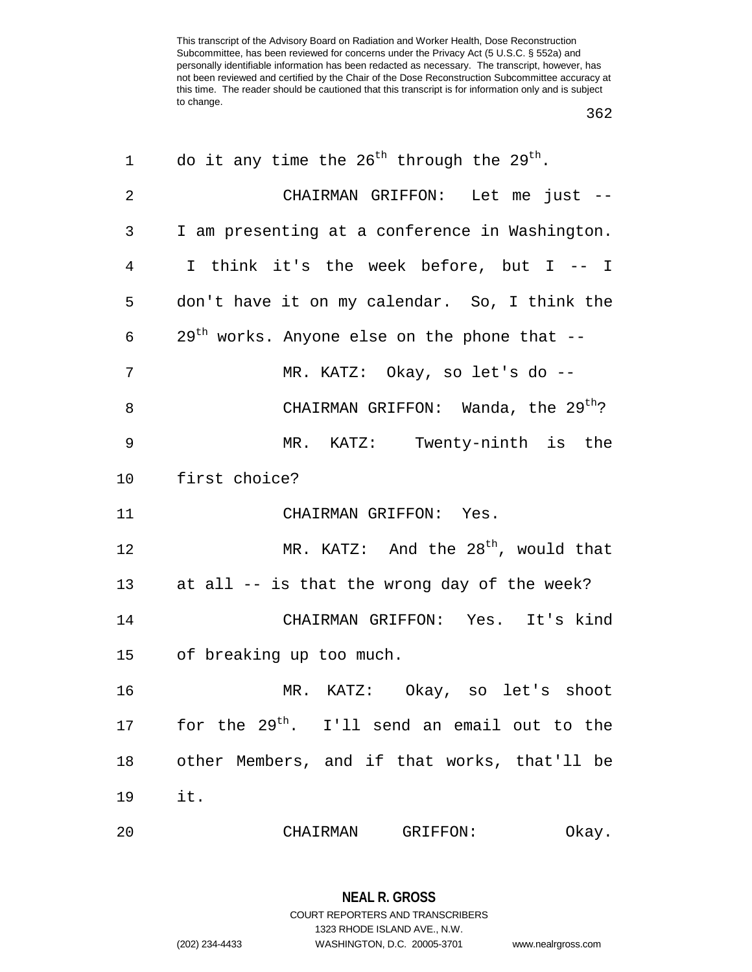362

| 1  | do it any time the $26^{th}$ through the $29^{th}$ .        |
|----|-------------------------------------------------------------|
| 2  | CHAIRMAN GRIFFON: Let me just --                            |
| 3  | I am presenting at a conference in Washington.              |
| 4  | I think it's the week before, but I -- I                    |
| 5  | don't have it on my calendar. So, I think the               |
| 6  | $29th$ works. Anyone else on the phone that --              |
| 7  | MR. KATZ: Okay, so let's do --                              |
| 8  | CHAIRMAN GRIFFON: Wanda, the 29 <sup>th</sup> ?             |
| 9  | MR. KATZ: Twenty-ninth is the                               |
| 10 | first choice?                                               |
| 11 | CHAIRMAN GRIFFON: Yes.                                      |
| 12 | MR. KATZ: And the $28th$ , would that                       |
| 13 | at all -- is that the wrong day of the week?                |
| 14 | CHAIRMAN GRIFFON: Yes. It's kind                            |
| 15 | of breaking up too much.                                    |
| 16 | MR. KATZ: Okay, so let's shoot                              |
|    | 17 for the 29 <sup>th</sup> . I'll send an email out to the |
|    | 18 other Members, and if that works, that'll be             |
| 19 | it.                                                         |
| 20 | CHAIRMAN GRIFFON:<br>Okay.                                  |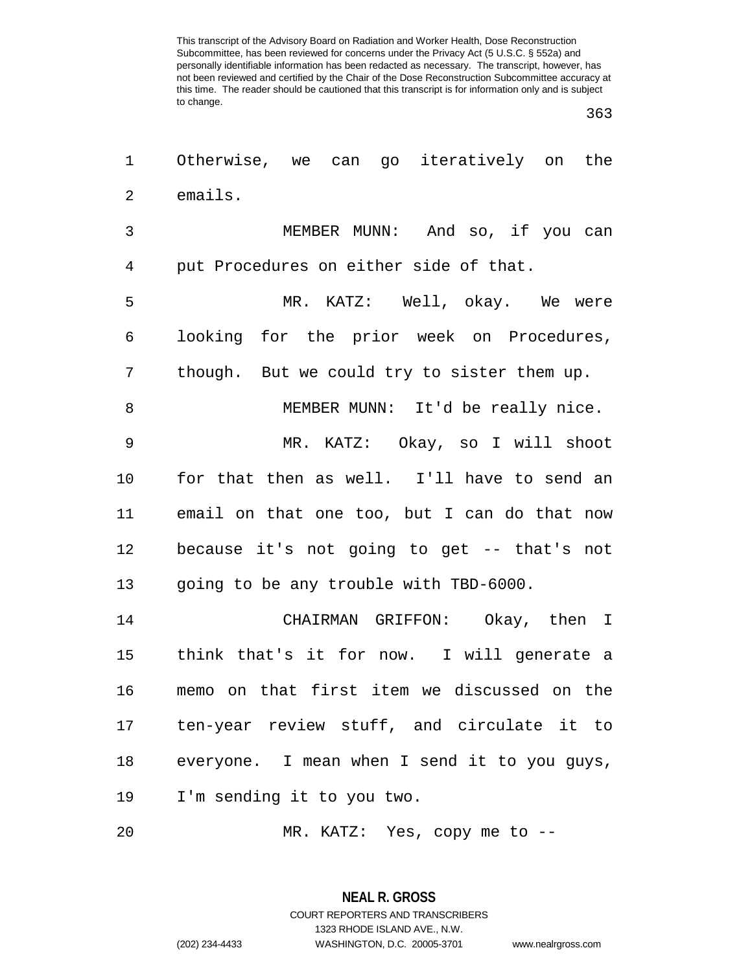| 1              | Otherwise, we can go iteratively on the      |
|----------------|----------------------------------------------|
| 2              | emails.                                      |
| 3              | MEMBER MUNN: And so, if you can              |
| $\overline{4}$ | put Procedures on either side of that.       |
| 5              | MR. KATZ: Well, okay. We were                |
| 6              | looking for the prior week on Procedures,    |
| 7              | though. But we could try to sister them up.  |
| 8              | MEMBER MUNN: It'd be really nice.            |
| 9              | MR. KATZ: Okay, so I will shoot              |
| 10             | for that then as well. I'll have to send an  |
| 11             | email on that one too, but I can do that now |
| 12             | because it's not going to get -- that's not  |
| 13             | going to be any trouble with TBD-6000.       |
| 14             | CHAIRMAN GRIFFON: Okay, then I               |
| 15             | think that's it for now. I will generate a   |
| 16             | memo on that first item we discussed on the  |
| 17             | ten-year review stuff, and circulate it to   |
| 18             | everyone. I mean when I send it to you guys, |
| 19             | I'm sending it to you two.                   |
| 20             | MR. KATZ: Yes, copy me to --                 |

**NEAL R. GROSS** COURT REPORTERS AND TRANSCRIBERS 1323 RHODE ISLAND AVE., N.W.

(202) 234-4433 WASHINGTON, D.C. 20005-3701 www.nealrgross.com